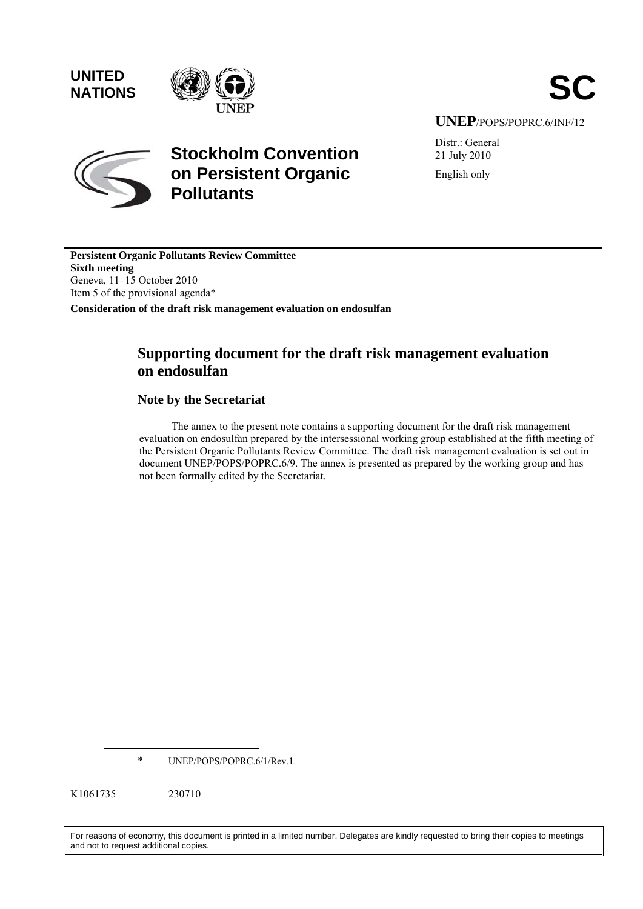**UNITED** 



**UNEP**/POPS/POPRC.6/INF/12



# **Stockholm Convention on Persistent Organic Pollutants**

Distr.: General 21 July 2010 English only

**Persistent Organic Pollutants Review Committee Sixth meeting**  Geneva, 11–15 October 2010 Item 5 of the provisional agenda\* **Consideration of the draft risk management evaluation on endosulfan** 

# **Supporting document for the draft risk management evaluation on endosulfan**

# **Note by the Secretariat**

The annex to the present note contains a supporting document for the draft risk management evaluation on endosulfan prepared by the intersessional working group established at the fifth meeting of the Persistent Organic Pollutants Review Committee. The draft risk management evaluation is set out in document UNEP/POPS/POPRC.6/9. The annex is presented as prepared by the working group and has not been formally edited by the Secretariat.

\* UNEP/POPS/POPRC.6/1/Rev.1.

K1061735 230710

 $\overline{a}$ 

For reasons of economy, this document is printed in a limited number. Delegates are kindly requested to bring their copies to meetings and not to request additional copies.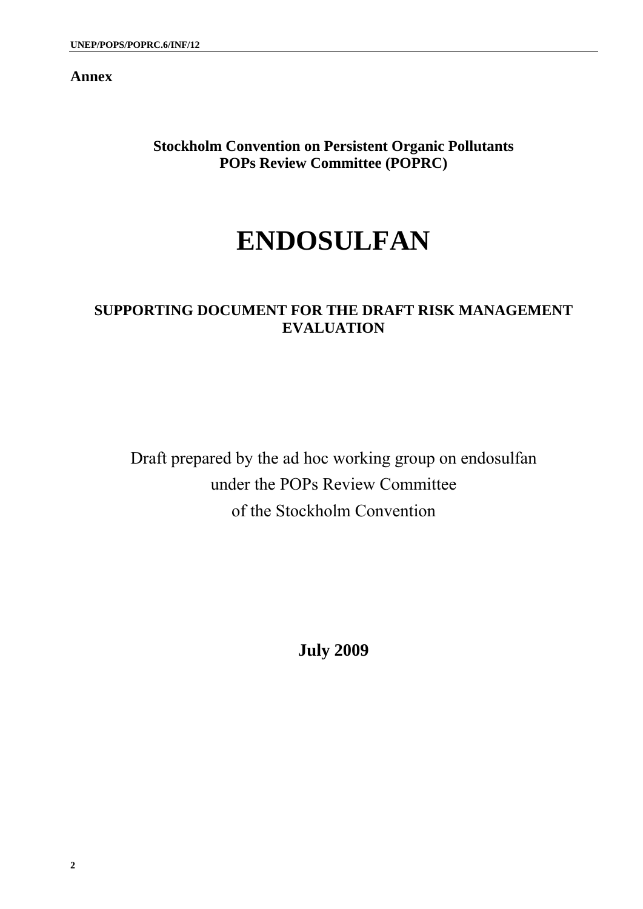**Annex** 

**Stockholm Convention on Persistent Organic Pollutants POPs Review Committee (POPRC)** 

# **ENDOSULFAN**

# **SUPPORTING DOCUMENT FOR THE DRAFT RISK MANAGEMENT EVALUATION**

Draft prepared by the ad hoc working group on endosulfan under the POPs Review Committee of the Stockholm Convention

**July 2009**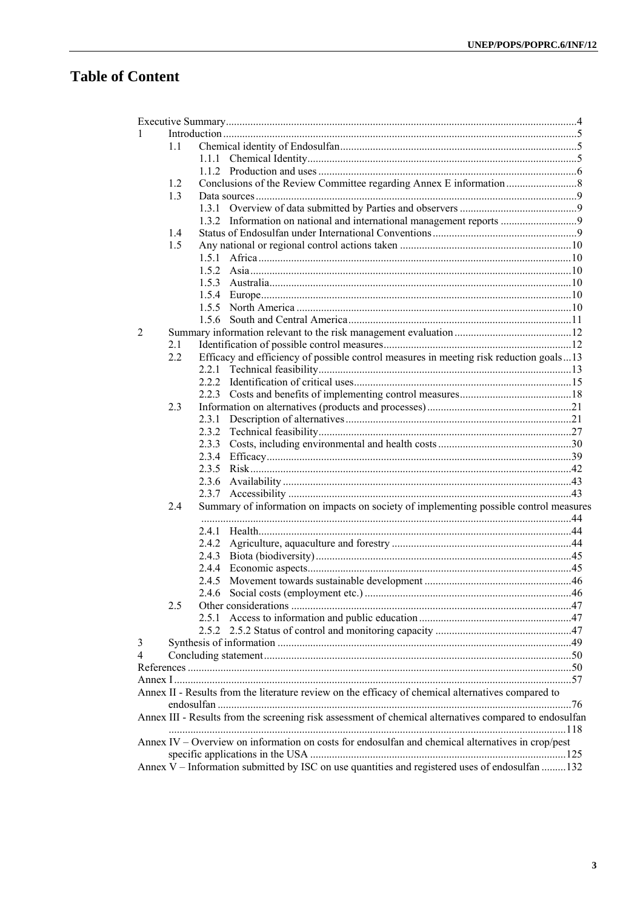# **Table of Content**

| 1                                                                                                 |     |                                                                                                        |  |  |  |  |
|---------------------------------------------------------------------------------------------------|-----|--------------------------------------------------------------------------------------------------------|--|--|--|--|
|                                                                                                   | 1.1 |                                                                                                        |  |  |  |  |
|                                                                                                   |     |                                                                                                        |  |  |  |  |
|                                                                                                   |     |                                                                                                        |  |  |  |  |
|                                                                                                   | 1.2 |                                                                                                        |  |  |  |  |
|                                                                                                   | 1.3 |                                                                                                        |  |  |  |  |
|                                                                                                   |     |                                                                                                        |  |  |  |  |
|                                                                                                   |     |                                                                                                        |  |  |  |  |
|                                                                                                   | 1.4 |                                                                                                        |  |  |  |  |
|                                                                                                   | 1.5 |                                                                                                        |  |  |  |  |
|                                                                                                   |     |                                                                                                        |  |  |  |  |
|                                                                                                   |     |                                                                                                        |  |  |  |  |
|                                                                                                   |     |                                                                                                        |  |  |  |  |
|                                                                                                   |     |                                                                                                        |  |  |  |  |
|                                                                                                   |     |                                                                                                        |  |  |  |  |
|                                                                                                   |     |                                                                                                        |  |  |  |  |
| 2                                                                                                 |     |                                                                                                        |  |  |  |  |
|                                                                                                   | 2.1 |                                                                                                        |  |  |  |  |
|                                                                                                   | 2.2 | Efficacy and efficiency of possible control measures in meeting risk reduction goals13                 |  |  |  |  |
|                                                                                                   |     |                                                                                                        |  |  |  |  |
|                                                                                                   |     |                                                                                                        |  |  |  |  |
|                                                                                                   |     |                                                                                                        |  |  |  |  |
|                                                                                                   | 2.3 |                                                                                                        |  |  |  |  |
|                                                                                                   |     |                                                                                                        |  |  |  |  |
|                                                                                                   |     |                                                                                                        |  |  |  |  |
|                                                                                                   |     |                                                                                                        |  |  |  |  |
|                                                                                                   |     |                                                                                                        |  |  |  |  |
|                                                                                                   |     |                                                                                                        |  |  |  |  |
|                                                                                                   |     |                                                                                                        |  |  |  |  |
|                                                                                                   |     |                                                                                                        |  |  |  |  |
|                                                                                                   | 2.4 | Summary of information on impacts on society of implementing possible control measures                 |  |  |  |  |
|                                                                                                   |     |                                                                                                        |  |  |  |  |
|                                                                                                   |     |                                                                                                        |  |  |  |  |
|                                                                                                   |     |                                                                                                        |  |  |  |  |
|                                                                                                   |     |                                                                                                        |  |  |  |  |
|                                                                                                   |     |                                                                                                        |  |  |  |  |
|                                                                                                   |     |                                                                                                        |  |  |  |  |
|                                                                                                   |     |                                                                                                        |  |  |  |  |
|                                                                                                   | 2.5 |                                                                                                        |  |  |  |  |
|                                                                                                   |     |                                                                                                        |  |  |  |  |
|                                                                                                   |     |                                                                                                        |  |  |  |  |
| 3                                                                                                 |     |                                                                                                        |  |  |  |  |
| 4                                                                                                 |     |                                                                                                        |  |  |  |  |
|                                                                                                   |     |                                                                                                        |  |  |  |  |
|                                                                                                   |     |                                                                                                        |  |  |  |  |
|                                                                                                   |     | Annex II - Results from the literature review on the efficacy of chemical alternatives compared to     |  |  |  |  |
|                                                                                                   |     |                                                                                                        |  |  |  |  |
|                                                                                                   |     | Annex III - Results from the screening risk assessment of chemical alternatives compared to endosulfan |  |  |  |  |
|                                                                                                   |     |                                                                                                        |  |  |  |  |
| Annex IV – Overview on information on costs for endosulfan and chemical alternatives in crop/pest |     |                                                                                                        |  |  |  |  |
|                                                                                                   |     |                                                                                                        |  |  |  |  |
|                                                                                                   |     | Annex V - Information submitted by ISC on use quantities and registered uses of endosulfan  132        |  |  |  |  |
|                                                                                                   |     |                                                                                                        |  |  |  |  |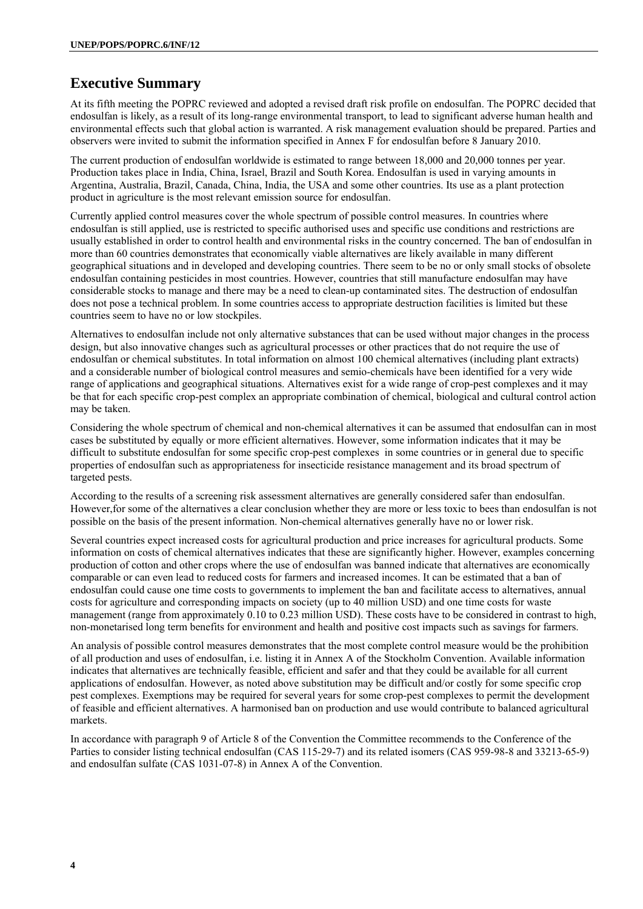# **Executive Summary**

At its fifth meeting the POPRC reviewed and adopted a revised draft risk profile on endosulfan. The POPRC decided that endosulfan is likely, as a result of its long-range environmental transport, to lead to significant adverse human health and environmental effects such that global action is warranted. A risk management evaluation should be prepared. Parties and observers were invited to submit the information specified in Annex F for endosulfan before 8 January 2010.

The current production of endosulfan worldwide is estimated to range between 18,000 and 20,000 tonnes per year. Production takes place in India, China, Israel, Brazil and South Korea. Endosulfan is used in varying amounts in Argentina, Australia, Brazil, Canada, China, India, the USA and some other countries. Its use as a plant protection product in agriculture is the most relevant emission source for endosulfan.

Currently applied control measures cover the whole spectrum of possible control measures. In countries where endosulfan is still applied, use is restricted to specific authorised uses and specific use conditions and restrictions are usually established in order to control health and environmental risks in the country concerned. The ban of endosulfan in more than 60 countries demonstrates that economically viable alternatives are likely available in many different geographical situations and in developed and developing countries. There seem to be no or only small stocks of obsolete endosulfan containing pesticides in most countries. However, countries that still manufacture endosulfan may have considerable stocks to manage and there may be a need to clean-up contaminated sites. The destruction of endosulfan does not pose a technical problem. In some countries access to appropriate destruction facilities is limited but these countries seem to have no or low stockpiles.

Alternatives to endosulfan include not only alternative substances that can be used without major changes in the process design, but also innovative changes such as agricultural processes or other practices that do not require the use of endosulfan or chemical substitutes. In total information on almost 100 chemical alternatives (including plant extracts) and a considerable number of biological control measures and semio-chemicals have been identified for a very wide range of applications and geographical situations. Alternatives exist for a wide range of crop-pest complexes and it may be that for each specific crop-pest complex an appropriate combination of chemical, biological and cultural control action may be taken.

Considering the whole spectrum of chemical and non-chemical alternatives it can be assumed that endosulfan can in most cases be substituted by equally or more efficient alternatives. However, some information indicates that it may be difficult to substitute endosulfan for some specific crop-pest complexes in some countries or in general due to specific properties of endosulfan such as appropriateness for insecticide resistance management and its broad spectrum of targeted pests.

According to the results of a screening risk assessment alternatives are generally considered safer than endosulfan. However,for some of the alternatives a clear conclusion whether they are more or less toxic to bees than endosulfan is not possible on the basis of the present information. Non-chemical alternatives generally have no or lower risk.

Several countries expect increased costs for agricultural production and price increases for agricultural products. Some information on costs of chemical alternatives indicates that these are significantly higher. However, examples concerning production of cotton and other crops where the use of endosulfan was banned indicate that alternatives are economically comparable or can even lead to reduced costs for farmers and increased incomes. It can be estimated that a ban of endosulfan could cause one time costs to governments to implement the ban and facilitate access to alternatives, annual costs for agriculture and corresponding impacts on society (up to 40 million USD) and one time costs for waste management (range from approximately 0.10 to 0.23 million USD). These costs have to be considered in contrast to high, non-monetarised long term benefits for environment and health and positive cost impacts such as savings for farmers.

An analysis of possible control measures demonstrates that the most complete control measure would be the prohibition of all production and uses of endosulfan, i.e. listing it in Annex A of the Stockholm Convention. Available information indicates that alternatives are technically feasible, efficient and safer and that they could be available for all current applications of endosulfan. However, as noted above substitution may be difficult and/or costly for some specific crop pest complexes. Exemptions may be required for several years for some crop-pest complexes to permit the development of feasible and efficient alternatives. A harmonised ban on production and use would contribute to balanced agricultural markets.

In accordance with paragraph 9 of Article 8 of the Convention the Committee recommends to the Conference of the Parties to consider listing technical endosulfan (CAS 115-29-7) and its related isomers (CAS 959-98-8 and 33213-65-9) and endosulfan sulfate (CAS 1031-07-8) in Annex A of the Convention.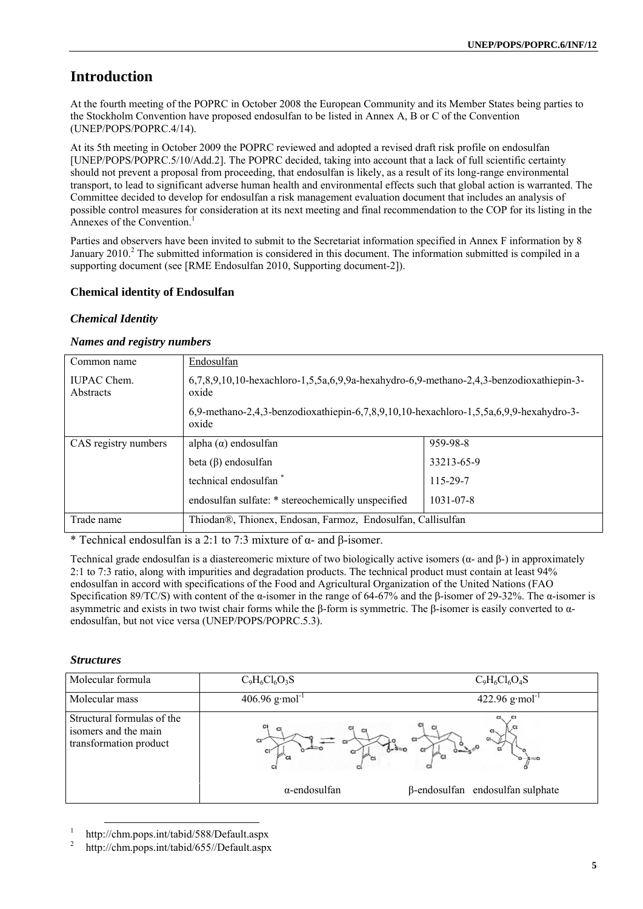# **Introduction**

At the fourth meeting of the POPRC in October 2008 the European Community and its Member States being parties to the Stockholm Convention have proposed endosulfan to be listed in Annex A, B or C of the Convention (UNEP/POPS/POPRC.4/14).

At its 5th meeting in October 2009 the POPRC reviewed and adopted a revised draft risk profile on endosulfan [UNEP/POPS/POPRC.5/10/Add.2]. The POPRC decided, taking into account that a lack of full scientific certainty should not prevent a proposal from proceeding, that endosulfan is likely, as a result of its long-range environmental transport, to lead to significant adverse human health and environmental effects such that global action is warranted. The Committee decided to develop for endosulfan a risk management evaluation document that includes an analysis of possible control measures for consideration at its next meeting and final recommendation to the COP for its listing in the Annexes of the Convention.<sup>1</sup>

Parties and observers have been invited to submit to the Secretariat information specified in Annex F information by 8 January 2010.<sup>2</sup> The submitted information is considered in this document. The information submitted is compiled in a supporting document (see [RME Endosulfan 2010, Supporting document-2]).

# **Chemical identity of Endosulfan**

# *Chemical Identity*

# *Names and registry numbers*

| Common name                                        | Endosulfan                                                                                          |                 |  |  |
|----------------------------------------------------|-----------------------------------------------------------------------------------------------------|-----------------|--|--|
| <b>IUPAC Chem.</b><br>Abstracts                    | $6,7,8,9,10,10$ -hexachloro-1,5,5a,6,9,9a-hexahydro-6,9-methano-2,4,3-benzodioxathiepin-3-<br>oxide |                 |  |  |
|                                                    | 6,9-methano-2,4,3-benzodioxathiepin-6,7,8,9,10,10-hexachloro-1,5,5a,6,9,9-hexahydro-3-<br>oxide     |                 |  |  |
| CAS registry numbers                               | alpha $(\alpha)$ endosulfan                                                                         | 959-98-8        |  |  |
|                                                    | beta $(\beta)$ endosulfan                                                                           | 33213-65-9      |  |  |
|                                                    | technical endosulfan *                                                                              | 115-29-7        |  |  |
| endosulfan sulfate: * stereochemically unspecified |                                                                                                     | $1031 - 07 - 8$ |  |  |
| Trade name                                         | Thiodan®, Thionex, Endosan, Farmoz, Endosulfan, Callisulfan                                         |                 |  |  |

\* Technical endosulfan is a 2:1 to 7:3 mixture of  $\alpha$ - and  $\beta$ -isomer.

Technical grade endosulfan is a diastereomeric mixture of two biologically active isomers (α- and β-) in approximately 2:1 to 7:3 ratio, along with impurities and degradation products. The technical product must contain at least 94% endosulfan in accord with specifications of the Food and Agricultural Organization of the United Nations (FAO Specification 89/TC/S) with content of the α-isomer in the range of 64-67% and the β-isomer of 29-32%. The α-isomer is asymmetric and exists in two twist chair forms while the β-form is symmetric. The β-isomer is easily converted to αendosulfan, but not vice versa (UNEP/POPS/POPRC.5.3).

# *Structures*

| Molecular formula                                                            | $C_9H_6Cl_6O_3S$              | $C_9H_6Cl_6O_4S$                                |
|------------------------------------------------------------------------------|-------------------------------|-------------------------------------------------|
| Molecular mass                                                               | 406.96 $g$ ·mol <sup>-1</sup> | 422.96 $g$ ·mol <sup>-1</sup>                   |
| Structural formulas of the<br>isomers and the main<br>transformation product | c<br>$\alpha$ -endosulfan     | -S≔O<br>$\beta$ -endosulfan endosulfan sulphate |

1 http://chm.pops.int/tabid/588/Default.aspx

2 http://chm.pops.int/tabid/655//Default.aspx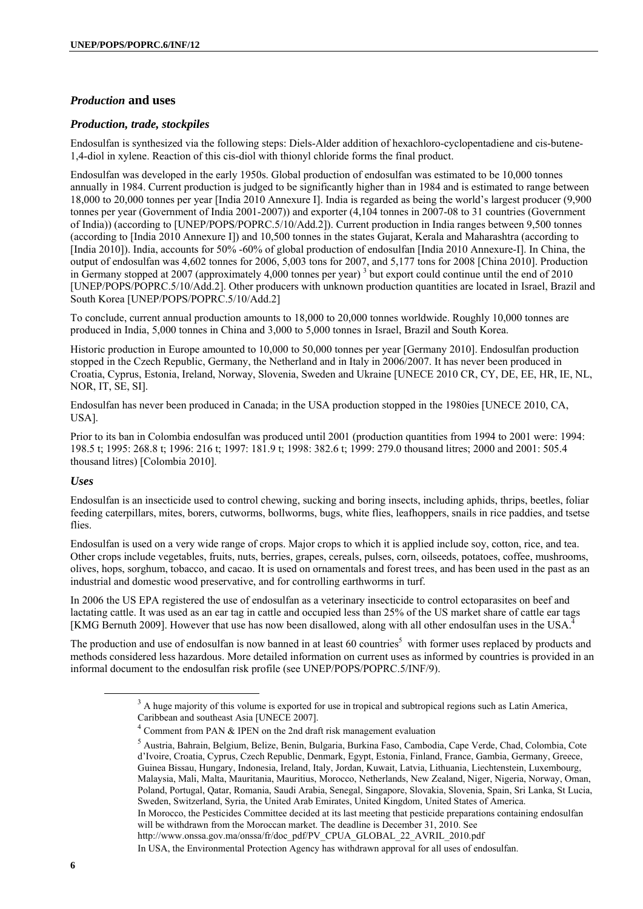# *Production* **and uses**

#### *Production, trade, stockpiles*

Endosulfan is synthesized via the following steps: Diels-Alder addition of hexachloro-cyclopentadiene and cis-butene-1,4-diol in xylene. Reaction of this cis-diol with thionyl chloride forms the final product.

Endosulfan was developed in the early 1950s. Global production of endosulfan was estimated to be 10,000 tonnes annually in 1984. Current production is judged to be significantly higher than in 1984 and is estimated to range between 18,000 to 20,000 tonnes per year [India 2010 Annexure I]. India is regarded as being the world's largest producer (9,900 tonnes per year (Government of India 2001-2007)) and exporter (4,104 tonnes in 2007-08 to 31 countries (Government of India)) (according to [UNEP/POPS/POPRC.5/10/Add.2]). Current production in India ranges between 9,500 tonnes (according to [India 2010 Annexure I]) and 10,500 tonnes in the states Gujarat, Kerala and Maharashtra (according to [India 2010]). India, accounts for 50% -60% of global production of endosulfan [India 2010 Annexure-I]. In China, the output of endosulfan was 4,602 tonnes for 2006, 5,003 tons for 2007, and 5,177 tons for 2008 [China 2010]. Production in Germany stopped at 2007 (approximately 4,000 tonnes per year)<sup>3</sup> but export could continue until the end of 2010 [UNEP/POPS/POPRC.5/10/Add.2]. Other producers with unknown production quantities are located in Israel, Brazil and South Korea [UNEP/POPS/POPRC.5/10/Add.2]

To conclude, current annual production amounts to 18,000 to 20,000 tonnes worldwide. Roughly 10,000 tonnes are produced in India, 5,000 tonnes in China and 3,000 to 5,000 tonnes in Israel, Brazil and South Korea.

Historic production in Europe amounted to 10,000 to 50,000 tonnes per year [Germany 2010]. Endosulfan production stopped in the Czech Republic, Germany, the Netherland and in Italy in 2006/2007. It has never been produced in Croatia, Cyprus, Estonia, Ireland, Norway, Slovenia, Sweden and Ukraine [UNECE 2010 CR, CY, DE, EE, HR, IE, NL, NOR, IT, SE, SI].

Endosulfan has never been produced in Canada; in the USA production stopped in the 1980ies [UNECE 2010, CA, USA].

Prior to its ban in Colombia endosulfan was produced until 2001 (production quantities from 1994 to 2001 were: 1994: 198.5 t; 1995: 268.8 t; 1996: 216 t; 1997: 181.9 t; 1998: 382.6 t; 1999: 279.0 thousand litres; 2000 and 2001: 505.4 thousand litres) [Colombia 2010].

#### *Uses*

Endosulfan is an insecticide used to control chewing, sucking and boring insects, including aphids, thrips, beetles, foliar feeding caterpillars, mites, borers, cutworms, bollworms, bugs, white flies, leafhoppers, snails in rice paddies, and tsetse flies

Endosulfan is used on a very wide range of crops. Major crops to which it is applied include soy, cotton, rice, and tea. Other crops include vegetables, fruits, nuts, berries, grapes, cereals, pulses, corn, oilseeds, potatoes, coffee, mushrooms, olives, hops, sorghum, tobacco, and cacao. It is used on ornamentals and forest trees, and has been used in the past as an industrial and domestic wood preservative, and for controlling earthworms in turf.

In 2006 the US EPA registered the use of endosulfan as a veterinary insecticide to control ectoparasites on beef and lactating cattle. It was used as an ear tag in cattle and occupied less than 25% of the US market share of cattle ear tags [KMG Bernuth 2009]. However that use has now been disallowed, along with all other endosulfan uses in the USA.

The production and use of endosulfan is now banned in at least 60 countries<sup>5</sup> with former uses replaced by products and methods considered less hazardous. More detailed information on current uses as informed by countries is provided in an informal document to the endosulfan risk profile (see UNEP/POPS/POPRC.5/INF/9).

In Morocco, the Pesticides Committee decided at its last meeting that pesticide preparations containing endosulfan will be withdrawn from the Moroccan market. The deadline is December 31, 2010. See

http://www.onssa.gov.ma/onssa/fr/doc\_pdf/PV\_CPUA\_GLOBAL\_22\_AVRIL\_2010.pdf

 $\frac{1}{3}$ <sup>3</sup> A huge majority of this volume is exported for use in tropical and subtropical regions such as Latin America, Caribbean and southeast Asia [UNECE 2007].

<sup>&</sup>lt;sup>4</sup> Comment from PAN & IPEN on the 2nd draft risk management evaluation  $\frac{5}{5}$  Austria. Debrain, Debrain, Debrain, Debrain, Debrain, Debrain, Debrain, Debrain, Debrain, Debrain, Debrain, Debrain, Debrain, Debrain, Debr

Austria, Bahrain, Belgium, Belize, Benin, Bulgaria, Burkina Faso, Cambodia, Cape Verde, Chad, Colombia, Cote d'Ivoire, Croatia, Cyprus, Czech Republic, Denmark, Egypt, Estonia, Finland, France, Gambia, Germany, Greece, Guinea Bissau, Hungary, Indonesia, Ireland, Italy, Jordan, Kuwait, Latvia, Lithuania, Liechtenstein, Luxembourg, Malaysia, Mali, Malta, Mauritania, Mauritius, Morocco, Netherlands, New Zealand, Niger, Nigeria, Norway, Oman, Poland, Portugal, Qatar, Romania, Saudi Arabia, Senegal, Singapore, Slovakia, Slovenia, Spain, Sri Lanka, St Lucia, Sweden, Switzerland, Syria, the United Arab Emirates, United Kingdom, United States of America.

In USA, the Environmental Protection Agency has withdrawn approval for all uses of endosulfan.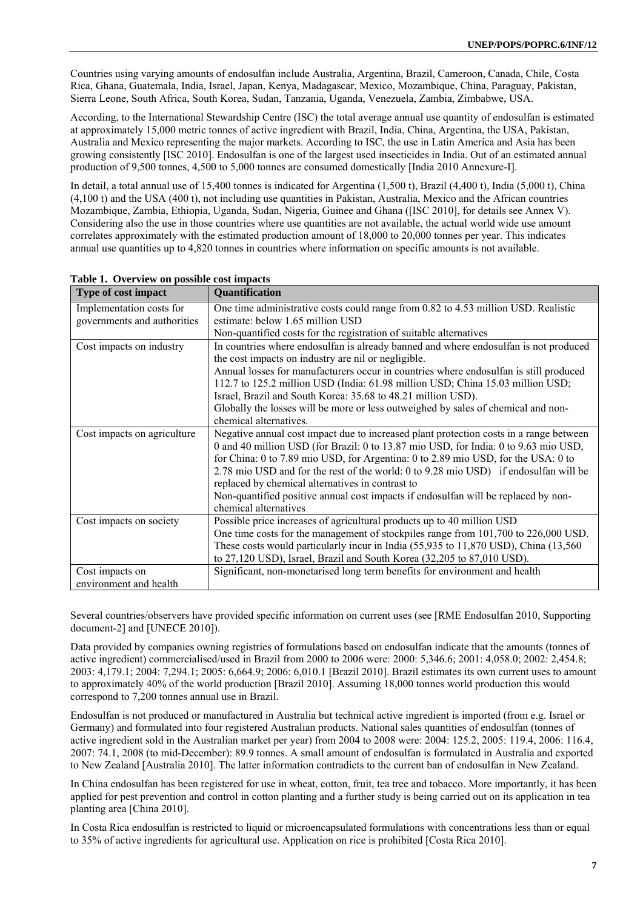Countries using varying amounts of endosulfan include Australia, Argentina, Brazil, Cameroon, Canada, Chile, Costa Rica, Ghana, Guatemala, India, Israel, Japan, Kenya, Madagascar, Mexico, Mozambique, China, Paraguay, Pakistan, Sierra Leone, South Africa, South Korea, Sudan, Tanzania, Uganda, Venezuela, Zambia, Zimbabwe, USA.

According, to the International Stewardship Centre (ISC) the total average annual use quantity of endosulfan is estimated at approximately 15,000 metric tonnes of active ingredient with Brazil, India, China, Argentina, the USA, Pakistan, Australia and Mexico representing the major markets. According to ISC, the use in Latin America and Asia has been growing consistently [ISC 2010]. Endosulfan is one of the largest used insecticides in India. Out of an estimated annual production of 9,500 tonnes, 4,500 to 5,000 tonnes are consumed domestically [India 2010 Annexure-I].

In detail, a total annual use of 15,400 tonnes is indicated for Argentina (1,500 t), Brazil (4,400 t), India (5,000 t), China (4,100 t) and the USA (400 t), not including use quantities in Pakistan, Australia, Mexico and the African countries Mozambique, Zambia, Ethiopia, Uganda, Sudan, Nigeria, Guinee and Ghana ([ISC 2010], for details see Annex V). Considering also the use in those countries where use quantities are not available, the actual world wide use amount correlates approximately with the estimated production amount of 18,000 to 20,000 tonnes per year. This indicates annual use quantities up to 4,820 tonnes in countries where information on specific amounts is not available.

| <b>Type of cost impact</b>  | Quantification                                                                                                                           |
|-----------------------------|------------------------------------------------------------------------------------------------------------------------------------------|
| Implementation costs for    | One time administrative costs could range from 0.82 to 4.53 million USD. Realistic                                                       |
| governments and authorities | estimate: below 1.65 million USD                                                                                                         |
|                             | Non-quantified costs for the registration of suitable alternatives                                                                       |
| Cost impacts on industry    | In countries where endosulfan is already banned and where endosulfan is not produced                                                     |
|                             | the cost impacts on industry are nil or negligible.                                                                                      |
|                             | Annual losses for manufacturers occur in countries where endosulfan is still produced                                                    |
|                             | 112.7 to 125.2 million USD (India: 61.98 million USD; China 15.03 million USD;                                                           |
|                             | Israel, Brazil and South Korea: 35.68 to 48.21 million USD).                                                                             |
|                             | Globally the losses will be more or less outweighed by sales of chemical and non-                                                        |
|                             | chemical alternatives.                                                                                                                   |
| Cost impacts on agriculture | Negative annual cost impact due to increased plant protection costs in a range between                                                   |
|                             | 0 and 40 million USD (for Brazil: 0 to 13.87 mio USD, for India: 0 to 9.63 mio USD,                                                      |
|                             | for China: 0 to 7.89 mio USD, for Argentina: 0 to 2.89 mio USD, for the USA: 0 to                                                        |
|                             | 2.78 mio USD and for the rest of the world: 0 to 9.28 mio USD) if endosulfan will be<br>replaced by chemical alternatives in contrast to |
|                             |                                                                                                                                          |
|                             | Non-quantified positive annual cost impacts if endosulfan will be replaced by non-<br>chemical alternatives                              |
| Cost impacts on society     | Possible price increases of agricultural products up to 40 million USD                                                                   |
|                             | One time costs for the management of stockpiles range from 101,700 to 226,000 USD.                                                       |
|                             | These costs would particularly incur in India (55,935 to 11,870 USD), China (13,560                                                      |
|                             | to 27,120 USD), Israel, Brazil and South Korea (32,205 to 87,010 USD).                                                                   |
| Cost impacts on             | Significant, non-monetarised long term benefits for environment and health                                                               |
| environment and health      |                                                                                                                                          |

**Table 1. Overview on possible cost impacts** 

Several countries/observers have provided specific information on current uses (see [RME Endosulfan 2010, Supporting document-2] and [UNECE 2010]).

Data provided by companies owning registries of formulations based on endosulfan indicate that the amounts (tonnes of active ingredient) commercialised/used in Brazil from 2000 to 2006 were: 2000: 5,346.6; 2001: 4,058.0; 2002: 2,454.8; 2003: 4,179.1; 2004: 7,294.1; 2005: 6,664.9; 2006: 6,010.1 [Brazil 2010]. Brazil estimates its own current uses to amount to approximately 40% of the world production [Brazil 2010]. Assuming 18,000 tonnes world production this would correspond to 7,200 tonnes annual use in Brazil.

Endosulfan is not produced or manufactured in Australia but technical active ingredient is imported (from e.g. Israel or Germany) and formulated into four registered Australian products. National sales quantities of endosulfan (tonnes of active ingredient sold in the Australian market per year) from 2004 to 2008 were: 2004: 125.2, 2005: 119.4, 2006: 116.4, 2007: 74.1, 2008 (to mid-December): 89.9 tonnes. A small amount of endosulfan is formulated in Australia and exported to New Zealand [Australia 2010]. The latter information contradicts to the current ban of endosulfan in New Zealand.

In China endosulfan has been registered for use in wheat, cotton, fruit, tea tree and tobacco. More importantly, it has been applied for pest prevention and control in cotton planting and a further study is being carried out on its application in tea planting area [China 2010].

In Costa Rica endosulfan is restricted to liquid or microencapsulated formulations with concentrations less than or equal to 35% of active ingredients for agricultural use. Application on rice is prohibited [Costa Rica 2010].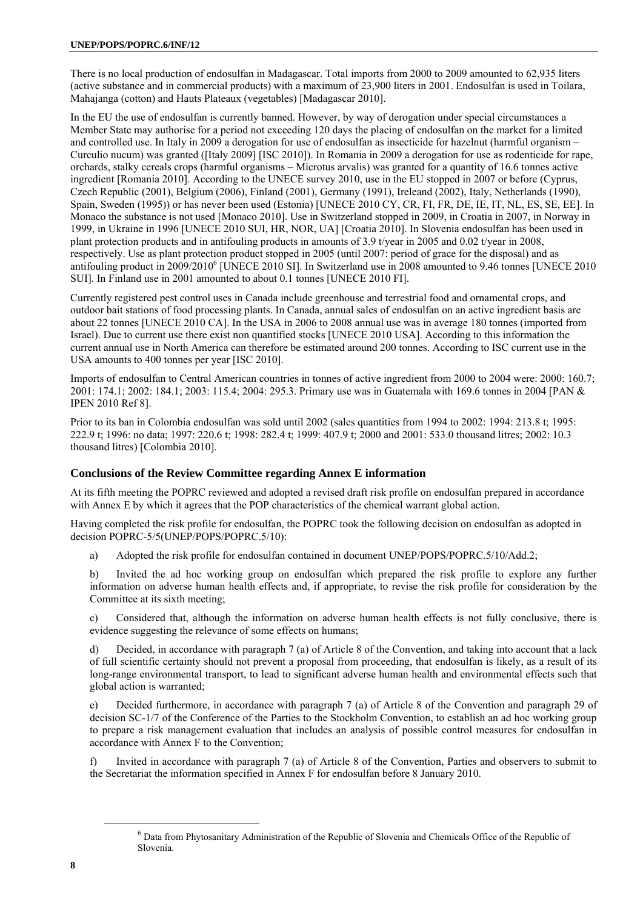There is no local production of endosulfan in Madagascar. Total imports from 2000 to 2009 amounted to 62,935 liters (active substance and in commercial products) with a maximum of 23,900 liters in 2001. Endosulfan is used in Toilara, Mahajanga (cotton) and Hauts Plateaux (vegetables) [Madagascar 2010].

In the EU the use of endosulfan is currently banned. However, by way of derogation under special circumstances a Member State may authorise for a period not exceeding 120 days the placing of endosulfan on the market for a limited and controlled use. In Italy in 2009 a derogation for use of endosulfan as insecticide for hazelnut (harmful organism – Curculio nucum) was granted ([Italy 2009] [ISC 2010]). In Romania in 2009 a derogation for use as rodenticide for rape, orchards, stalky cereals crops (harmful organisms – Microtus arvalis) was granted for a quantity of 16.6 tonnes active ingredient [Romania 2010]. According to the UNECE survey 2010, use in the EU stopped in 2007 or before (Cyprus, Czech Republic (2001), Belgium (2006), Finland (2001), Germany (1991), Ireleand (2002), Italy, Netherlands (1990), Spain, Sweden (1995)) or has never been used (Estonia) [UNECE 2010 CY, CR, FI, FR, DE, IE, IT, NL, ES, SE, EE]. In Monaco the substance is not used [Monaco 2010]. Use in Switzerland stopped in 2009, in Croatia in 2007, in Norway in 1999, in Ukraine in 1996 [UNECE 2010 SUI, HR, NOR, UA] [Croatia 2010]. In Slovenia endosulfan has been used in plant protection products and in antifouling products in amounts of 3.9 t/year in 2005 and 0.02 t/year in 2008, respectively. Use as plant protection product stopped in 2005 (until 2007: period of grace for the disposal) and as antifouling product in 2009/2010<sup>6</sup> [UNECE 2010 SI]. In Switzerland use in 2008 amounted to 9.46 tonnes [UNECE 2010 SUI]. In Finland use in 2001 amounted to about 0.1 tonnes [UNECE 2010 FI].

Currently registered pest control uses in Canada include greenhouse and terrestrial food and ornamental crops, and outdoor bait stations of food processing plants. In Canada, annual sales of endosulfan on an active ingredient basis are about 22 tonnes [UNECE 2010 CA]. In the USA in 2006 to 2008 annual use was in average 180 tonnes (imported from Israel). Due to current use there exist non quantified stocks [UNECE 2010 USA]. According to this information the current annual use in North America can therefore be estimated around 200 tonnes. According to ISC current use in the USA amounts to 400 tonnes per year [ISC 2010].

Imports of endosulfan to Central American countries in tonnes of active ingredient from 2000 to 2004 were: 2000: 160.7; 2001: 174.1; 2002: 184.1; 2003: 115.4; 2004: 295.3. Primary use was in Guatemala with 169.6 tonnes in 2004 [PAN & IPEN 2010 Ref 8].

Prior to its ban in Colombia endosulfan was sold until 2002 (sales quantities from 1994 to 2002: 1994: 213.8 t; 1995: 222.9 t; 1996: no data; 1997: 220.6 t; 1998: 282.4 t; 1999: 407.9 t; 2000 and 2001: 533.0 thousand litres; 2002: 10.3 thousand litres) [Colombia 2010].

# **Conclusions of the Review Committee regarding Annex E information**

At its fifth meeting the POPRC reviewed and adopted a revised draft risk profile on endosulfan prepared in accordance with Annex E by which it agrees that the POP characteristics of the chemical warrant global action.

Having completed the risk profile for endosulfan, the POPRC took the following decision on endosulfan as adopted in decision POPRC-5/5(UNEP/POPS/POPRC.5/10):

a) Adopted the risk profile for endosulfan contained in document UNEP/POPS/POPRC.5/10/Add.2;

b) Invited the ad hoc working group on endosulfan which prepared the risk profile to explore any further information on adverse human health effects and, if appropriate, to revise the risk profile for consideration by the Committee at its sixth meeting;

c) Considered that, although the information on adverse human health effects is not fully conclusive, there is evidence suggesting the relevance of some effects on humans;

d) Decided, in accordance with paragraph 7 (a) of Article 8 of the Convention, and taking into account that a lack of full scientific certainty should not prevent a proposal from proceeding, that endosulfan is likely, as a result of its long-range environmental transport, to lead to significant adverse human health and environmental effects such that global action is warranted;

e) Decided furthermore, in accordance with paragraph 7 (a) of Article 8 of the Convention and paragraph 29 of decision SC-1/7 of the Conference of the Parties to the Stockholm Convention, to establish an ad hoc working group to prepare a risk management evaluation that includes an analysis of possible control measures for endosulfan in accordance with Annex F to the Convention;

f) Invited in accordance with paragraph 7 (a) of Article 8 of the Convention, Parties and observers to submit to the Secretariat the information specified in Annex F for endosulfan before 8 January 2010.

 $\begin{array}{c|c}\n\hline\n\text{6}\n\end{array}$ <sup>6</sup> Data from Phytosanitary Administration of the Republic of Slovenia and Chemicals Office of the Republic of Slovenia.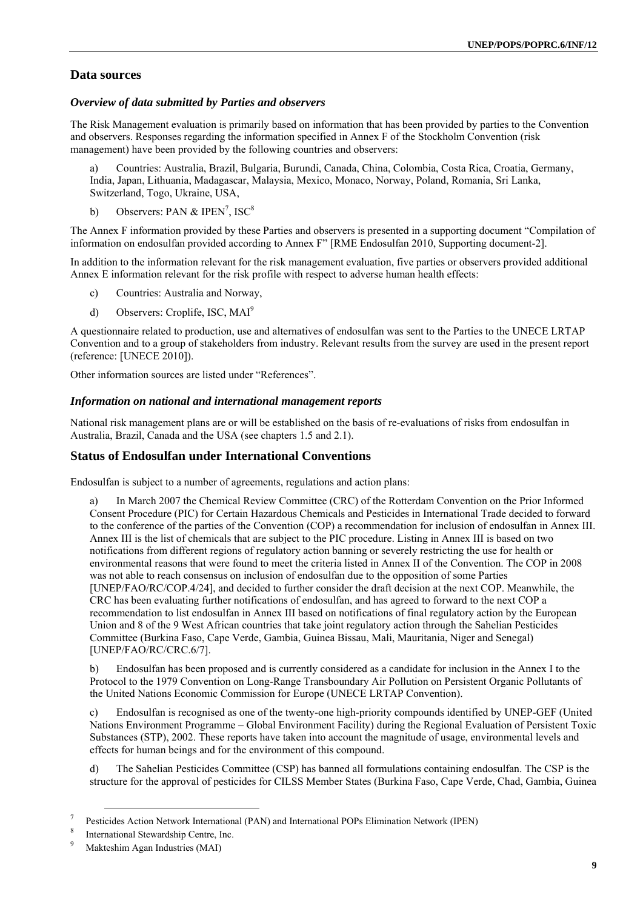# **Data sources**

#### *Overview of data submitted by Parties and observers*

The Risk Management evaluation is primarily based on information that has been provided by parties to the Convention and observers. Responses regarding the information specified in Annex F of the Stockholm Convention (risk management) have been provided by the following countries and observers:

a) Countries: Australia, Brazil, Bulgaria, Burundi, Canada, China, Colombia, Costa Rica, Croatia, Germany, India, Japan, Lithuania, Madagascar, Malaysia, Mexico, Monaco, Norway, Poland, Romania, Sri Lanka, Switzerland, Togo, Ukraine, USA,

b) Observers: PAN & IPEN<sup>7</sup>, ISC<sup>8</sup>

The Annex F information provided by these Parties and observers is presented in a supporting document "Compilation of information on endosulfan provided according to Annex F" [RME Endosulfan 2010, Supporting document-2].

In addition to the information relevant for the risk management evaluation, five parties or observers provided additional Annex E information relevant for the risk profile with respect to adverse human health effects:

- c) Countries: Australia and Norway,
- d) Observers: Croplife, ISC, MAI9

A questionnaire related to production, use and alternatives of endosulfan was sent to the Parties to the UNECE LRTAP Convention and to a group of stakeholders from industry. Relevant results from the survey are used in the present report (reference: [UNECE 2010]).

Other information sources are listed under "References".

#### *Information on national and international management reports*

National risk management plans are or will be established on the basis of re-evaluations of risks from endosulfan in Australia, Brazil, Canada and the USA (see chapters 1.5 and 2.1).

# **Status of Endosulfan under International Conventions**

Endosulfan is subject to a number of agreements, regulations and action plans:

In March 2007 the Chemical Review Committee (CRC) of the Rotterdam Convention on the Prior Informed Consent Procedure (PIC) for Certain Hazardous Chemicals and Pesticides in International Trade decided to forward to the conference of the parties of the Convention (COP) a recommendation for inclusion of endosulfan in Annex III. Annex III is the list of chemicals that are subject to the PIC procedure. Listing in Annex III is based on two notifications from different regions of regulatory action banning or severely restricting the use for health or environmental reasons that were found to meet the criteria listed in Annex II of the Convention. The COP in 2008 was not able to reach consensus on inclusion of endosulfan due to the opposition of some Parties [UNEP/FAO/RC/COP.4/24], and decided to further consider the draft decision at the next COP. Meanwhile, the CRC has been evaluating further notifications of endosulfan, and has agreed to forward to the next COP a recommendation to list endosulfan in Annex III based on notifications of final regulatory action by the European Union and 8 of the 9 West African countries that take joint regulatory action through the Sahelian Pesticides Committee (Burkina Faso, Cape Verde, Gambia, Guinea Bissau, Mali, Mauritania, Niger and Senegal) [UNEP/FAO/RC/CRC.6/7].

b) Endosulfan has been proposed and is currently considered as a candidate for inclusion in the Annex I to the Protocol to the 1979 Convention on Long-Range Transboundary Air Pollution on Persistent Organic Pollutants of the United Nations Economic Commission for Europe (UNECE LRTAP Convention).

c) Endosulfan is recognised as one of the twenty-one high-priority compounds identified by UNEP-GEF (United Nations Environment Programme – Global Environment Facility) during the Regional Evaluation of Persistent Toxic Substances (STP), 2002. These reports have taken into account the magnitude of usage, environmental levels and effects for human beings and for the environment of this compound.

d) The Sahelian Pesticides Committee (CSP) has banned all formulations containing endosulfan. The CSP is the structure for the approval of pesticides for CILSS Member States (Burkina Faso, Cape Verde, Chad, Gambia, Guinea

 $7$   $R_{\text{2}}$ Pesticides Action Network International (PAN) and International POPs Elimination Network (IPEN)

International Stewardship Centre, Inc.

<sup>9</sup> Makteshim Agan Industries (MAI)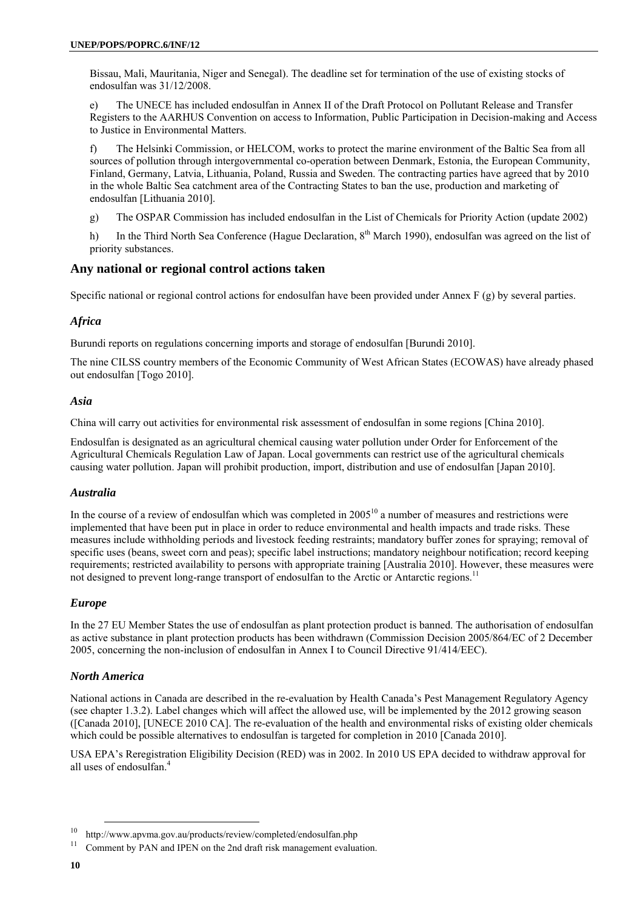Bissau, Mali, Mauritania, Niger and Senegal). The deadline set for termination of the use of existing stocks of endosulfan was 31/12/2008.

e) The UNECE has included endosulfan in Annex II of the Draft Protocol on Pollutant Release and Transfer Registers to the AARHUS Convention on access to Information, Public Participation in Decision-making and Access to Justice in Environmental Matters.

f) The Helsinki Commission, or HELCOM, works to protect the marine environment of the Baltic Sea from all sources of pollution through intergovernmental co-operation between Denmark, Estonia, the European Community, Finland, Germany, Latvia, Lithuania, Poland, Russia and Sweden. The contracting parties have agreed that by 2010 in the whole Baltic Sea catchment area of the Contracting States to ban the use, production and marketing of endosulfan [Lithuania 2010].

g) The OSPAR Commission has included endosulfan in the List of Chemicals for Priority Action (update 2002)

h) In the Third North Sea Conference (Hague Declaration, 8<sup>th</sup> March 1990), endosulfan was agreed on the list of priority substances.

# **Any national or regional control actions taken**

Specific national or regional control actions for endosulfan have been provided under Annex F (g) by several parties.

# *Africa*

Burundi reports on regulations concerning imports and storage of endosulfan [Burundi 2010].

The nine CILSS country members of the Economic Community of West African States (ECOWAS) have already phased out endosulfan [Togo 2010].

# *Asia*

China will carry out activities for environmental risk assessment of endosulfan in some regions [China 2010].

Endosulfan is designated as an agricultural chemical causing water pollution under Order for Enforcement of the Agricultural Chemicals Regulation Law of Japan. Local governments can restrict use of the agricultural chemicals causing water pollution. Japan will prohibit production, import, distribution and use of endosulfan [Japan 2010].

# *Australia*

In the course of a review of endosulfan which was completed in  $2005^{10}$  a number of measures and restrictions were implemented that have been put in place in order to reduce environmental and health impacts and trade risks. These measures include withholding periods and livestock feeding restraints; mandatory buffer zones for spraying; removal of specific uses (beans, sweet corn and peas); specific label instructions; mandatory neighbour notification; record keeping requirements; restricted availability to persons with appropriate training [Australia 2010]. However, these measures were not designed to prevent long-range transport of endosulfan to the Arctic or Antarctic regions.<sup>11</sup>

# *Europe*

In the 27 EU Member States the use of endosulfan as plant protection product is banned. The authorisation of endosulfan as active substance in plant protection products has been withdrawn (Commission Decision 2005/864/EC of 2 December 2005, concerning the non-inclusion of endosulfan in Annex I to Council Directive 91/414/EEC).

# *North America*

National actions in Canada are described in the re-evaluation by Health Canada's Pest Management Regulatory Agency (see chapter 1.3.2). Label changes which will affect the allowed use, will be implemented by the 2012 growing season ([Canada 2010], [UNECE 2010 CA]. The re-evaluation of the health and environmental risks of existing older chemicals which could be possible alternatives to endosulfan is targeted for completion in 2010 [Canada 2010].

USA EPA's Reregistration Eligibility Decision (RED) was in 2002. In 2010 US EPA decided to withdraw approval for all uses of endosulfan.<sup>4</sup>

<sup>&</sup>lt;sup>10</sup> http://www.apvma.gov.au/products/review/completed/endosulfan.php  $11$  Comment by PAN and IPEN on the 2nd draft risk management evaluation.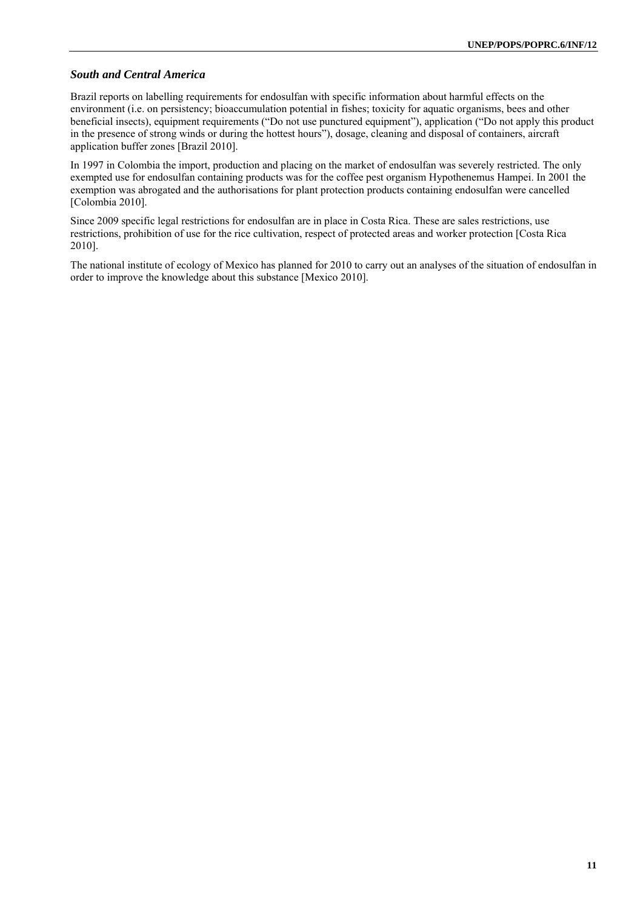#### *South and Central America*

Brazil reports on labelling requirements for endosulfan with specific information about harmful effects on the environment (i.e. on persistency; bioaccumulation potential in fishes; toxicity for aquatic organisms, bees and other beneficial insects), equipment requirements ("Do not use punctured equipment"), application ("Do not apply this product in the presence of strong winds or during the hottest hours"), dosage, cleaning and disposal of containers, aircraft application buffer zones [Brazil 2010].

In 1997 in Colombia the import, production and placing on the market of endosulfan was severely restricted. The only exempted use for endosulfan containing products was for the coffee pest organism Hypothenemus Hampei. In 2001 the exemption was abrogated and the authorisations for plant protection products containing endosulfan were cancelled [Colombia 2010].

Since 2009 specific legal restrictions for endosulfan are in place in Costa Rica. These are sales restrictions, use restrictions, prohibition of use for the rice cultivation, respect of protected areas and worker protection [Costa Rica 2010].

The national institute of ecology of Mexico has planned for 2010 to carry out an analyses of the situation of endosulfan in order to improve the knowledge about this substance [Mexico 2010].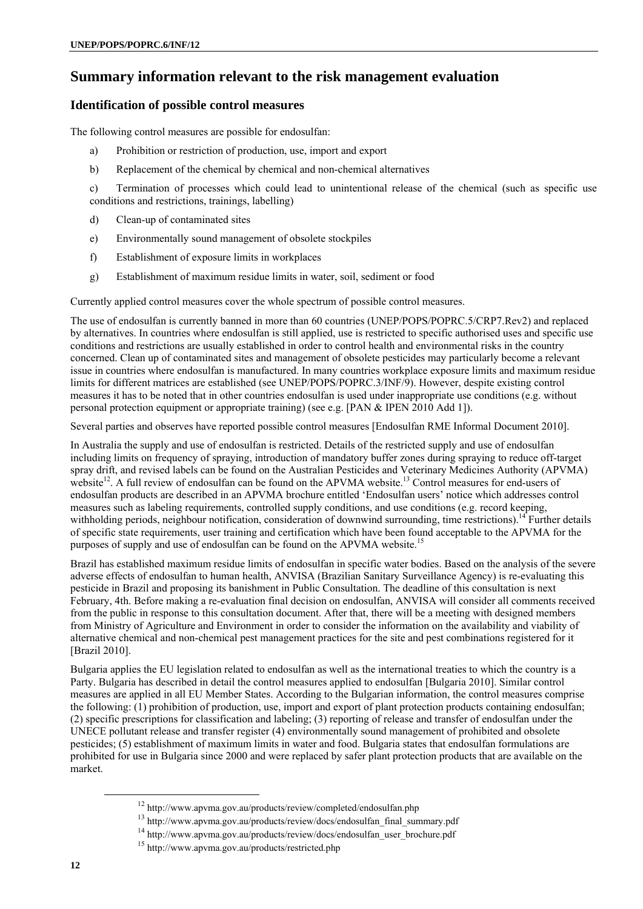# **Summary information relevant to the risk management evaluation**

# **Identification of possible control measures**

The following control measures are possible for endosulfan:

- a) Prohibition or restriction of production, use, import and export
- b) Replacement of the chemical by chemical and non-chemical alternatives
- c) Termination of processes which could lead to unintentional release of the chemical (such as specific use conditions and restrictions, trainings, labelling)
- d) Clean-up of contaminated sites
- e) Environmentally sound management of obsolete stockpiles
- f) Establishment of exposure limits in workplaces
- g) Establishment of maximum residue limits in water, soil, sediment or food

Currently applied control measures cover the whole spectrum of possible control measures.

The use of endosulfan is currently banned in more than 60 countries (UNEP/POPS/POPRC.5/CRP7.Rev2) and replaced by alternatives. In countries where endosulfan is still applied, use is restricted to specific authorised uses and specific use conditions and restrictions are usually established in order to control health and environmental risks in the country concerned. Clean up of contaminated sites and management of obsolete pesticides may particularly become a relevant issue in countries where endosulfan is manufactured. In many countries workplace exposure limits and maximum residue limits for different matrices are established (see UNEP/POPS/POPRC.3/INF/9). However, despite existing control measures it has to be noted that in other countries endosulfan is used under inappropriate use conditions (e.g. without personal protection equipment or appropriate training) (see e.g. [PAN & IPEN 2010 Add 1]).

Several parties and observes have reported possible control measures [Endosulfan RME Informal Document 2010].

In Australia the supply and use of endosulfan is restricted. Details of the restricted supply and use of endosulfan including limits on frequency of spraying, introduction of mandatory buffer zones during spraying to reduce off-target spray drift, and revised labels can be found on the Australian Pesticides and Veterinary Medicines Authority (APVMA) website<sup>12</sup>. A full review of endosulfan can be found on the APVMA website.<sup>13</sup> Control measures for end-users of endosulfan products are described in an APVMA brochure entitled 'Endosulfan users' notice which addresses control measures such as labeling requirements, controlled supply conditions, and use conditions (e.g. record keeping, withholding periods, neighbour notification, consideration of downwind surrounding, time restrictions).<sup>14</sup> Further details of specific state requirements, user training and certification which have been found acceptable to the APVMA for the purposes of supply and use of endosulfan can be found on the APVMA website.<sup>15</sup>

Brazil has established maximum residue limits of endosulfan in specific water bodies. Based on the analysis of the severe adverse effects of endosulfan to human health, ANVISA (Brazilian Sanitary Surveillance Agency) is re-evaluating this pesticide in Brazil and proposing its banishment in Public Consultation. The deadline of this consultation is next February, 4th. Before making a re-evaluation final decision on endosulfan, ANVISA will consider all comments received from the public in response to this consultation document. After that, there will be a meeting with designed members from Ministry of Agriculture and Environment in order to consider the information on the availability and viability of alternative chemical and non-chemical pest management practices for the site and pest combinations registered for it [Brazil 2010].

Bulgaria applies the EU legislation related to endosulfan as well as the international treaties to which the country is a Party. Bulgaria has described in detail the control measures applied to endosulfan [Bulgaria 2010]. Similar control measures are applied in all EU Member States. According to the Bulgarian information, the control measures comprise the following: (1) prohibition of production, use, import and export of plant protection products containing endosulfan; (2) specific prescriptions for classification and labeling; (3) reporting of release and transfer of endosulfan under the UNECE pollutant release and transfer register (4) environmentally sound management of prohibited and obsolete pesticides; (5) establishment of maximum limits in water and food. Bulgaria states that endosulfan formulations are prohibited for use in Bulgaria since 2000 and were replaced by safer plant protection products that are available on the market.

<sup>&</sup>lt;sup>12</sup> http://www.apvma.gov.au/products/review/completed/endosulfan.php<br>
<sup>13</sup> http://www.apvma.gov.au/products/review/docs/endosulfan\_final\_summary.pdf<br>
<sup>14</sup> http://www.apvma.gov.au/products/review/docs/endosulfan\_user\_broc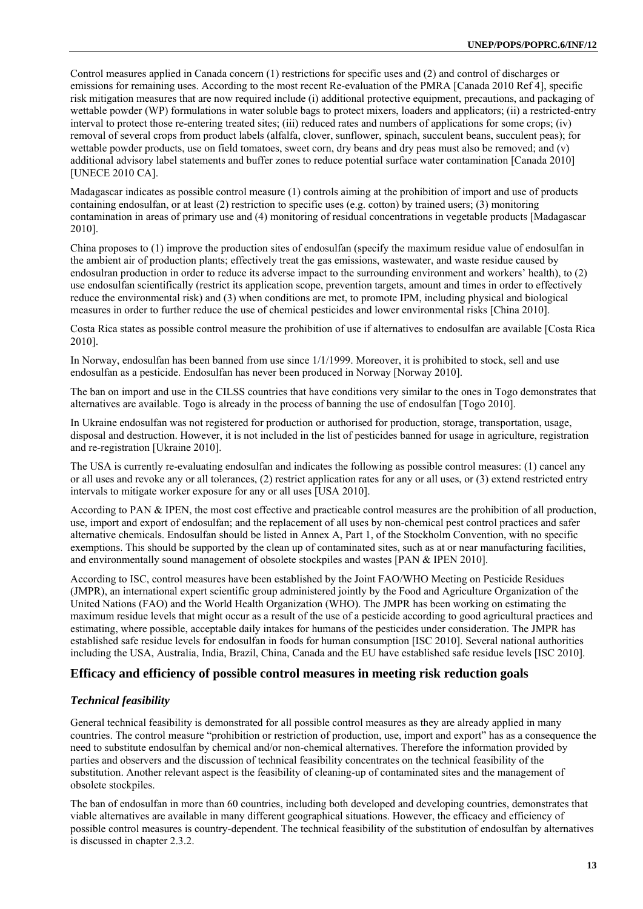Control measures applied in Canada concern (1) restrictions for specific uses and (2) and control of discharges or emissions for remaining uses. According to the most recent Re-evaluation of the PMRA [Canada 2010 Ref 4], specific risk mitigation measures that are now required include (i) additional protective equipment, precautions, and packaging of wettable powder (WP) formulations in water soluble bags to protect mixers, loaders and applicators; (ii) a restricted-entry interval to protect those re-entering treated sites; (iii) reduced rates and numbers of applications for some crops; (iv) removal of several crops from product labels (alfalfa, clover, sunflower, spinach, succulent beans, succulent peas); for wettable powder products, use on field tomatoes, sweet corn, dry beans and dry peas must also be removed; and (v) additional advisory label statements and buffer zones to reduce potential surface water contamination [Canada 2010] [UNECE 2010 CA].

Madagascar indicates as possible control measure (1) controls aiming at the prohibition of import and use of products containing endosulfan, or at least (2) restriction to specific uses (e.g. cotton) by trained users; (3) monitoring contamination in areas of primary use and (4) monitoring of residual concentrations in vegetable products [Madagascar 2010].

China proposes to (1) improve the production sites of endosulfan (specify the maximum residue value of endosulfan in the ambient air of production plants; effectively treat the gas emissions, wastewater, and waste residue caused by endosulran production in order to reduce its adverse impact to the surrounding environment and workers' health), to (2) use endosulfan scientifically (restrict its application scope, prevention targets, amount and times in order to effectively reduce the environmental risk) and (3) when conditions are met, to promote IPM, including physical and biological measures in order to further reduce the use of chemical pesticides and lower environmental risks [China 2010].

Costa Rica states as possible control measure the prohibition of use if alternatives to endosulfan are available [Costa Rica 2010].

In Norway, endosulfan has been banned from use since 1/1/1999. Moreover, it is prohibited to stock, sell and use endosulfan as a pesticide. Endosulfan has never been produced in Norway [Norway 2010].

The ban on import and use in the CILSS countries that have conditions very similar to the ones in Togo demonstrates that alternatives are available. Togo is already in the process of banning the use of endosulfan [Togo 2010].

In Ukraine endosulfan was not registered for production or authorised for production, storage, transportation, usage, disposal and destruction. However, it is not included in the list of pesticides banned for usage in agriculture, registration and re-registration [Ukraine 2010].

The USA is currently re-evaluating endosulfan and indicates the following as possible control measures: (1) cancel any or all uses and revoke any or all tolerances, (2) restrict application rates for any or all uses, or (3) extend restricted entry intervals to mitigate worker exposure for any or all uses [USA 2010].

According to PAN & IPEN, the most cost effective and practicable control measures are the prohibition of all production, use, import and export of endosulfan; and the replacement of all uses by non-chemical pest control practices and safer alternative chemicals. Endosulfan should be listed in Annex A, Part 1, of the Stockholm Convention, with no specific exemptions. This should be supported by the clean up of contaminated sites, such as at or near manufacturing facilities, and environmentally sound management of obsolete stockpiles and wastes [PAN & IPEN 2010].

According to ISC, control measures have been established by the Joint FAO/WHO Meeting on Pesticide Residues (JMPR), an international expert scientific group administered jointly by the Food and Agriculture Organization of the United Nations (FAO) and the World Health Organization (WHO). The JMPR has been working on estimating the maximum residue levels that might occur as a result of the use of a pesticide according to good agricultural practices and estimating, where possible, acceptable daily intakes for humans of the pesticides under consideration. The JMPR has established safe residue levels for endosulfan in foods for human consumption [ISC 2010]. Several national authorities including the USA, Australia, India, Brazil, China, Canada and the EU have established safe residue levels [ISC 2010].

# **Efficacy and efficiency of possible control measures in meeting risk reduction goals**

# *Technical feasibility*

General technical feasibility is demonstrated for all possible control measures as they are already applied in many countries. The control measure "prohibition or restriction of production, use, import and export" has as a consequence the need to substitute endosulfan by chemical and/or non-chemical alternatives. Therefore the information provided by parties and observers and the discussion of technical feasibility concentrates on the technical feasibility of the substitution. Another relevant aspect is the feasibility of cleaning-up of contaminated sites and the management of obsolete stockpiles.

The ban of endosulfan in more than 60 countries, including both developed and developing countries, demonstrates that viable alternatives are available in many different geographical situations. However, the efficacy and efficiency of possible control measures is country-dependent. The technical feasibility of the substitution of endosulfan by alternatives is discussed in chapter 2.3.2.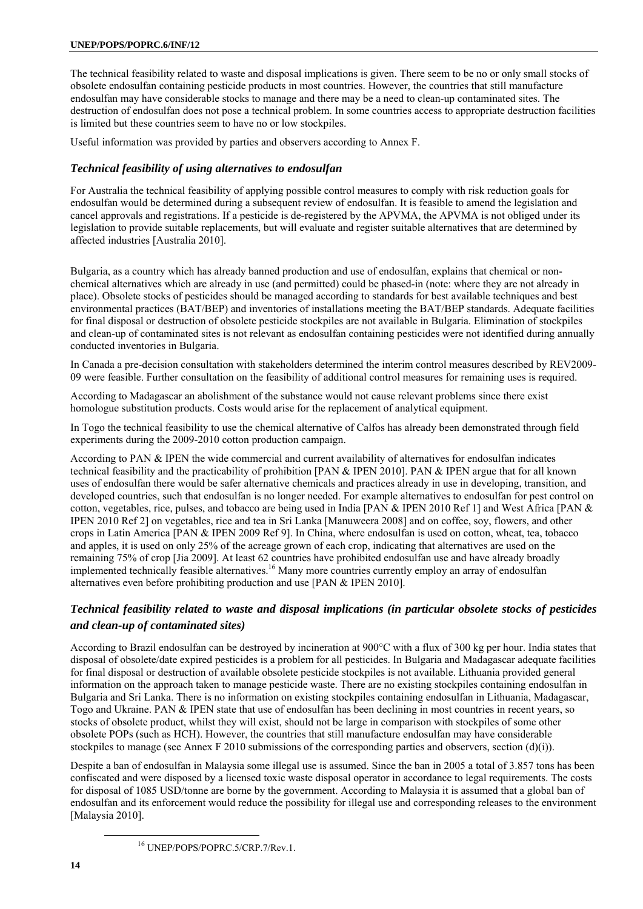The technical feasibility related to waste and disposal implications is given. There seem to be no or only small stocks of obsolete endosulfan containing pesticide products in most countries. However, the countries that still manufacture endosulfan may have considerable stocks to manage and there may be a need to clean-up contaminated sites. The destruction of endosulfan does not pose a technical problem. In some countries access to appropriate destruction facilities is limited but these countries seem to have no or low stockpiles.

Useful information was provided by parties and observers according to Annex F.

### *Technical feasibility of using alternatives to endosulfan*

For Australia the technical feasibility of applying possible control measures to comply with risk reduction goals for endosulfan would be determined during a subsequent review of endosulfan. It is feasible to amend the legislation and cancel approvals and registrations. If a pesticide is de-registered by the APVMA, the APVMA is not obliged under its legislation to provide suitable replacements, but will evaluate and register suitable alternatives that are determined by affected industries [Australia 2010].

Bulgaria, as a country which has already banned production and use of endosulfan, explains that chemical or nonchemical alternatives which are already in use (and permitted) could be phased-in (note: where they are not already in place). Obsolete stocks of pesticides should be managed according to standards for best available techniques and best environmental practices (BAT/BEP) and inventories of installations meeting the BAT/BEP standards. Adequate facilities for final disposal or destruction of obsolete pesticide stockpiles are not available in Bulgaria. Elimination of stockpiles and clean-up of contaminated sites is not relevant as endosulfan containing pesticides were not identified during annually conducted inventories in Bulgaria.

In Canada a pre-decision consultation with stakeholders determined the interim control measures described by REV2009- 09 were feasible. Further consultation on the feasibility of additional control measures for remaining uses is required.

According to Madagascar an abolishment of the substance would not cause relevant problems since there exist homologue substitution products. Costs would arise for the replacement of analytical equipment.

In Togo the technical feasibility to use the chemical alternative of Calfos has already been demonstrated through field experiments during the 2009-2010 cotton production campaign.

According to PAN & IPEN the wide commercial and current availability of alternatives for endosulfan indicates technical feasibility and the practicability of prohibition [PAN  $\&$  IPEN 2010]. PAN  $\&$  IPEN argue that for all known uses of endosulfan there would be safer alternative chemicals and practices already in use in developing, transition, and developed countries, such that endosulfan is no longer needed. For example alternatives to endosulfan for pest control on cotton, vegetables, rice, pulses, and tobacco are being used in India [PAN & IPEN 2010 Ref 1] and West Africa [PAN & IPEN 2010 Ref 2] on vegetables, rice and tea in Sri Lanka [Manuweera 2008] and on coffee, soy, flowers, and other crops in Latin America [PAN & IPEN 2009 Ref 9]. In China, where endosulfan is used on cotton, wheat, tea, tobacco and apples, it is used on only 25% of the acreage grown of each crop, indicating that alternatives are used on the remaining 75% of crop [Jia 2009]. At least 62 countries have prohibited endosulfan use and have already broadly implemented technically feasible alternatives.<sup>16</sup> Many more countries currently employ an array of endosulfan alternatives even before prohibiting production and use [PAN & IPEN 2010].

# *Technical feasibility related to waste and disposal implications (in particular obsolete stocks of pesticides and clean-up of contaminated sites)*

According to Brazil endosulfan can be destroyed by incineration at 900°C with a flux of 300 kg per hour. India states that disposal of obsolete/date expired pesticides is a problem for all pesticides. In Bulgaria and Madagascar adequate facilities for final disposal or destruction of available obsolete pesticide stockpiles is not available. Lithuania provided general information on the approach taken to manage pesticide waste. There are no existing stockpiles containing endosulfan in Bulgaria and Sri Lanka. There is no information on existing stockpiles containing endosulfan in Lithuania, Madagascar, Togo and Ukraine. PAN & IPEN state that use of endosulfan has been declining in most countries in recent years, so stocks of obsolete product, whilst they will exist, should not be large in comparison with stockpiles of some other obsolete POPs (such as HCH). However, the countries that still manufacture endosulfan may have considerable stockpiles to manage (see Annex F 2010 submissions of the corresponding parties and observers, section (d)(i)).

Despite a ban of endosulfan in Malaysia some illegal use is assumed. Since the ban in 2005 a total of 3.857 tons has been confiscated and were disposed by a licensed toxic waste disposal operator in accordance to legal requirements. The costs for disposal of 1085 USD/tonne are borne by the government. According to Malaysia it is assumed that a global ban of endosulfan and its enforcement would reduce the possibility for illegal use and corresponding releases to the environment [Malaysia 2010].

16 UNEP/POPS/POPRC.5/CRP.7/Rev.1.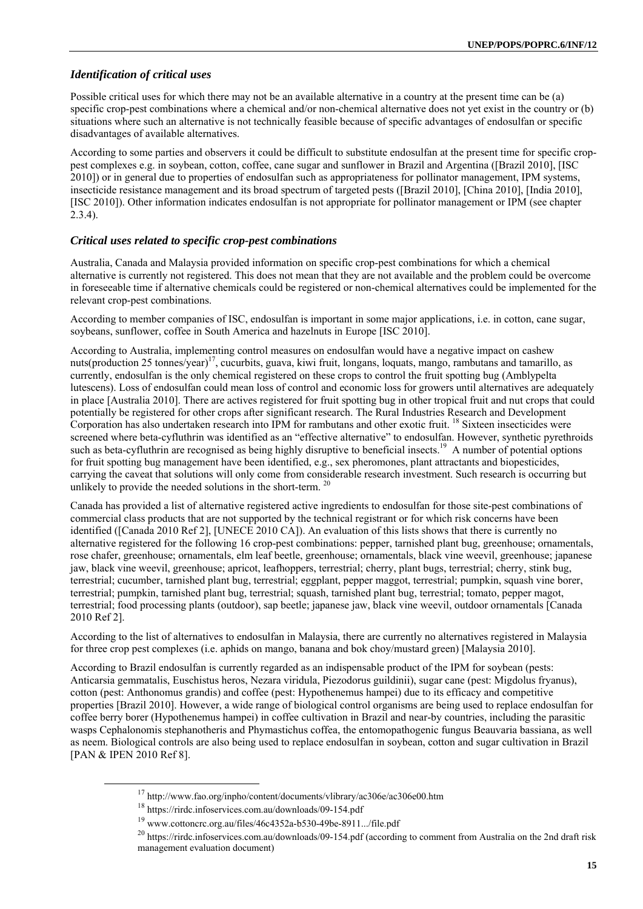# *Identification of critical uses*

Possible critical uses for which there may not be an available alternative in a country at the present time can be (a) specific crop-pest combinations where a chemical and/or non-chemical alternative does not yet exist in the country or (b) situations where such an alternative is not technically feasible because of specific advantages of endosulfan or specific disadvantages of available alternatives.

According to some parties and observers it could be difficult to substitute endosulfan at the present time for specific croppest complexes e.g. in soybean, cotton, coffee, cane sugar and sunflower in Brazil and Argentina ([Brazil 2010], [ISC 2010]) or in general due to properties of endosulfan such as appropriateness for pollinator management, IPM systems, insecticide resistance management and its broad spectrum of targeted pests ([Brazil 2010], [China 2010], [India 2010], [ISC 2010]). Other information indicates endosulfan is not appropriate for pollinator management or IPM (see chapter 2.3.4).

#### *Critical uses related to specific crop-pest combinations*

Australia, Canada and Malaysia provided information on specific crop-pest combinations for which a chemical alternative is currently not registered. This does not mean that they are not available and the problem could be overcome in foreseeable time if alternative chemicals could be registered or non-chemical alternatives could be implemented for the relevant crop-pest combinations.

According to member companies of ISC, endosulfan is important in some major applications, i.e. in cotton, cane sugar, soybeans, sunflower, coffee in South America and hazelnuts in Europe [ISC 2010].

According to Australia, implementing control measures on endosulfan would have a negative impact on cashew nuts(production 25 tonnes/year)<sup>17</sup>, cucurbits, guava, kiwi fruit, longans, loquats, mango, rambutans and tamarillo, as currently, endosulfan is the only chemical registered on these crops to control the fruit spotting bug (Amblypelta lutescens). Loss of endosulfan could mean loss of control and economic loss for growers until alternatives are adequately in place [Australia 2010]. There are actives registered for fruit spotting bug in other tropical fruit and nut crops that could potentially be registered for other crops after significant research. The Rural Industries Research and Development Corporation has also undertaken research into IPM for rambutans and other exotic fruit. <sup>18</sup> Sixteen insecticides were screened where beta-cyfluthrin was identified as an "effective alternative" to endosulfan. However, synthetic pyrethroids such as beta-cyfluthrin are recognised as being highly disruptive to beneficial insects.<sup>19</sup> A number of potential options for fruit spotting bug management have been identified, e.g., sex pheromones, plant attractants and biopesticides, carrying the caveat that solutions will only come from considerable research investment. Such research is occurring but unlikely to provide the needed solutions in the short-term.<sup>20</sup>

Canada has provided a list of alternative registered active ingredients to endosulfan for those site-pest combinations of commercial class products that are not supported by the technical registrant or for which risk concerns have been identified ([Canada 2010 Ref 2], [UNECE 2010 CA]). An evaluation of this lists shows that there is currently no alternative registered for the following 16 crop-pest combinations: pepper, tarnished plant bug, greenhouse; ornamentals, rose chafer, greenhouse; ornamentals, elm leaf beetle, greenhouse; ornamentals, black vine weevil, greenhouse; japanese jaw, black vine weevil, greenhouse; apricot, leafhoppers, terrestrial; cherry, plant bugs, terrestrial; cherry, stink bug, terrestrial; cucumber, tarnished plant bug, terrestrial; eggplant, pepper maggot, terrestrial; pumpkin, squash vine borer, terrestrial; pumpkin, tarnished plant bug, terrestrial; squash, tarnished plant bug, terrestrial; tomato, pepper magot, terrestrial; food processing plants (outdoor), sap beetle; japanese jaw, black vine weevil, outdoor ornamentals [Canada 2010 Ref 2].

According to the list of alternatives to endosulfan in Malaysia, there are currently no alternatives registered in Malaysia for three crop pest complexes (i.e. aphids on mango, banana and bok choy/mustard green) [Malaysia 2010].

According to Brazil endosulfan is currently regarded as an indispensable product of the IPM for soybean (pests: Anticarsia gemmatalis, Euschistus heros, Nezara viridula, Piezodorus guildinii), sugar cane (pest: Migdolus fryanus), cotton (pest: Anthonomus grandis) and coffee (pest: Hypothenemus hampei) due to its efficacy and competitive properties [Brazil 2010]. However, a wide range of biological control organisms are being used to replace endosulfan for coffee berry borer (Hypothenemus hampei) in coffee cultivation in Brazil and near-by countries, including the parasitic wasps Cephalonomis stephanotheris and Phymastichus coffea, the entomopathogenic fungus Beauvaria bassiana, as well as neem. Biological controls are also being used to replace endosulfan in soybean, cotton and sugar cultivation in Brazil [PAN & IPEN 2010 Ref 8].

<sup>&</sup>lt;sup>17</sup> http://www.fao.org/inpho/content/documents/vlibrary/ac306e/ac306e00.htm<br><sup>18</sup> https://rirdc.infoservices.com.au/downloads/09-154.pdf<br><sup>19</sup> www.cottoncrc.org.au/files/46c4352a-b530-49be-8911.../file.pdf<br><sup>20</sup> https://rir management evaluation document)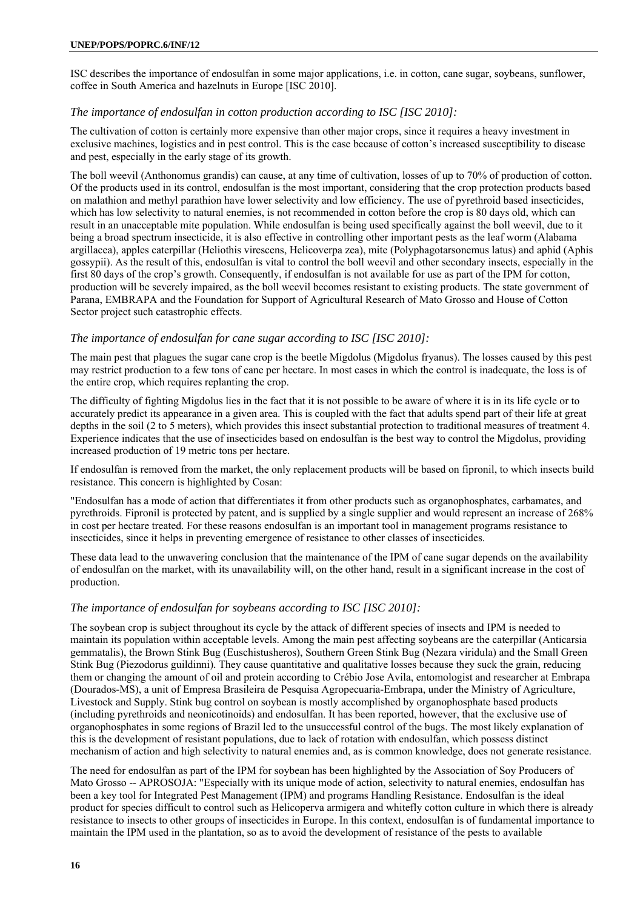#### **UNEP/POPS/POPRC.6/INF/12**

ISC describes the importance of endosulfan in some major applications, i.e. in cotton, cane sugar, soybeans, sunflower, coffee in South America and hazelnuts in Europe [ISC 2010].

#### *The importance of endosulfan in cotton production according to ISC [ISC 2010]:*

The cultivation of cotton is certainly more expensive than other major crops, since it requires a heavy investment in exclusive machines, logistics and in pest control. This is the case because of cotton's increased susceptibility to disease and pest, especially in the early stage of its growth.

The boll weevil (Anthonomus grandis) can cause, at any time of cultivation, losses of up to 70% of production of cotton. Of the products used in its control, endosulfan is the most important, considering that the crop protection products based on malathion and methyl parathion have lower selectivity and low efficiency. The use of pyrethroid based insecticides, which has low selectivity to natural enemies, is not recommended in cotton before the crop is 80 days old, which can result in an unacceptable mite population. While endosulfan is being used specifically against the boll weevil, due to it being a broad spectrum insecticide, it is also effective in controlling other important pests as the leaf worm (Alabama argillacea), apples caterpillar (Heliothis virescens, Helicoverpa zea), mite (Polyphagotarsonemus latus) and aphid (Aphis gossypii). As the result of this, endosulfan is vital to control the boll weevil and other secondary insects, especially in the first 80 days of the crop's growth. Consequently, if endosulfan is not available for use as part of the IPM for cotton, production will be severely impaired, as the boll weevil becomes resistant to existing products. The state government of Parana, EMBRAPA and the Foundation for Support of Agricultural Research of Mato Grosso and House of Cotton Sector project such catastrophic effects.

#### *The importance of endosulfan for cane sugar according to ISC [ISC 2010]:*

The main pest that plagues the sugar cane crop is the beetle Migdolus (Migdolus fryanus). The losses caused by this pest may restrict production to a few tons of cane per hectare. In most cases in which the control is inadequate, the loss is of the entire crop, which requires replanting the crop.

The difficulty of fighting Migdolus lies in the fact that it is not possible to be aware of where it is in its life cycle or to accurately predict its appearance in a given area. This is coupled with the fact that adults spend part of their life at great depths in the soil (2 to 5 meters), which provides this insect substantial protection to traditional measures of treatment 4. Experience indicates that the use of insecticides based on endosulfan is the best way to control the Migdolus, providing increased production of 19 metric tons per hectare.

If endosulfan is removed from the market, the only replacement products will be based on fipronil, to which insects build resistance. This concern is highlighted by Cosan:

"Endosulfan has a mode of action that differentiates it from other products such as organophosphates, carbamates, and pyrethroids. Fipronil is protected by patent, and is supplied by a single supplier and would represent an increase of 268% in cost per hectare treated. For these reasons endosulfan is an important tool in management programs resistance to insecticides, since it helps in preventing emergence of resistance to other classes of insecticides.

These data lead to the unwavering conclusion that the maintenance of the IPM of cane sugar depends on the availability of endosulfan on the market, with its unavailability will, on the other hand, result in a significant increase in the cost of production.

#### *The importance of endosulfan for soybeans according to ISC [ISC 2010]:*

The soybean crop is subject throughout its cycle by the attack of different species of insects and IPM is needed to maintain its population within acceptable levels. Among the main pest affecting soybeans are the caterpillar (Anticarsia gemmatalis), the Brown Stink Bug (Euschistusheros), Southern Green Stink Bug (Nezara viridula) and the Small Green Stink Bug (Piezodorus guildinni). They cause quantitative and qualitative losses because they suck the grain, reducing them or changing the amount of oil and protein according to Crébio Jose Avila, entomologist and researcher at Embrapa (Dourados-MS), a unit of Empresa Brasileira de Pesquisa Agropecuaria-Embrapa, under the Ministry of Agriculture, Livestock and Supply. Stink bug control on soybean is mostly accomplished by organophosphate based products (including pyrethroids and neonicotinoids) and endosulfan. It has been reported, however, that the exclusive use of organophosphates in some regions of Brazil led to the unsuccessful control of the bugs. The most likely explanation of this is the development of resistant populations, due to lack of rotation with endosulfan, which possess distinct mechanism of action and high selectivity to natural enemies and, as is common knowledge, does not generate resistance.

The need for endosulfan as part of the IPM for soybean has been highlighted by the Association of Soy Producers of Mato Grosso -- APROSOJA: "Especially with its unique mode of action, selectivity to natural enemies, endosulfan has been a key tool for Integrated Pest Management (IPM) and programs Handling Resistance. Endosulfan is the ideal product for species difficult to control such as Helicoperva armigera and whitefly cotton culture in which there is already resistance to insects to other groups of insecticides in Europe. In this context, endosulfan is of fundamental importance to maintain the IPM used in the plantation, so as to avoid the development of resistance of the pests to available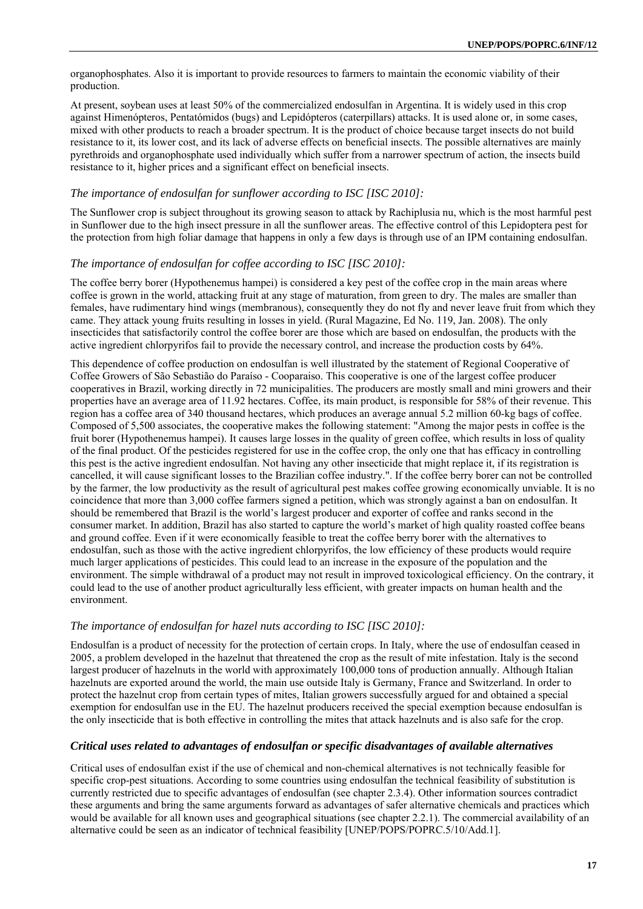organophosphates. Also it is important to provide resources to farmers to maintain the economic viability of their production.

At present, soybean uses at least 50% of the commercialized endosulfan in Argentina. It is widely used in this crop against Himenópteros, Pentatómidos (bugs) and Lepidópteros (caterpillars) attacks. It is used alone or, in some cases, mixed with other products to reach a broader spectrum. It is the product of choice because target insects do not build resistance to it, its lower cost, and its lack of adverse effects on beneficial insects. The possible alternatives are mainly pyrethroids and organophosphate used individually which suffer from a narrower spectrum of action, the insects build resistance to it, higher prices and a significant effect on beneficial insects.

#### *The importance of endosulfan for sunflower according to ISC [ISC 2010]:*

The Sunflower crop is subject throughout its growing season to attack by Rachiplusia nu, which is the most harmful pest in Sunflower due to the high insect pressure in all the sunflower areas. The effective control of this Lepidoptera pest for the protection from high foliar damage that happens in only a few days is through use of an IPM containing endosulfan.

#### *The importance of endosulfan for coffee according to ISC [ISC 2010]:*

The coffee berry borer (Hypothenemus hampei) is considered a key pest of the coffee crop in the main areas where coffee is grown in the world, attacking fruit at any stage of maturation, from green to dry. The males are smaller than females, have rudimentary hind wings (membranous), consequently they do not fly and never leave fruit from which they came. They attack young fruits resulting in losses in yield. (Rural Magazine, Ed No. 119, Jan. 2008). The only insecticides that satisfactorily control the coffee borer are those which are based on endosulfan, the products with the active ingredient chlorpyrifos fail to provide the necessary control, and increase the production costs by 64%.

This dependence of coffee production on endosulfan is well illustrated by the statement of Regional Cooperative of Coffee Growers of São Sebastião do Paraíso - Cooparaiso. This cooperative is one of the largest coffee producer cooperatives in Brazil, working directly in 72 municipalities. The producers are mostly small and mini growers and their properties have an average area of 11.92 hectares. Coffee, its main product, is responsible for 58% of their revenue. This region has a coffee area of 340 thousand hectares, which produces an average annual 5.2 million 60-kg bags of coffee. Composed of 5,500 associates, the cooperative makes the following statement: "Among the major pests in coffee is the fruit borer (Hypothenemus hampei). It causes large losses in the quality of green coffee, which results in loss of quality of the final product. Of the pesticides registered for use in the coffee crop, the only one that has efficacy in controlling this pest is the active ingredient endosulfan. Not having any other insecticide that might replace it, if its registration is cancelled, it will cause significant losses to the Brazilian coffee industry.". If the coffee berry borer can not be controlled by the farmer, the low productivity as the result of agricultural pest makes coffee growing economically unviable. It is no coincidence that more than 3,000 coffee farmers signed a petition, which was strongly against a ban on endosulfan. It should be remembered that Brazil is the world's largest producer and exporter of coffee and ranks second in the consumer market. In addition, Brazil has also started to capture the world's market of high quality roasted coffee beans and ground coffee. Even if it were economically feasible to treat the coffee berry borer with the alternatives to endosulfan, such as those with the active ingredient chlorpyrifos, the low efficiency of these products would require much larger applications of pesticides. This could lead to an increase in the exposure of the population and the environment. The simple withdrawal of a product may not result in improved toxicological efficiency. On the contrary, it could lead to the use of another product agriculturally less efficient, with greater impacts on human health and the environment.

#### *The importance of endosulfan for hazel nuts according to ISC [ISC 2010]:*

Endosulfan is a product of necessity for the protection of certain crops. In Italy, where the use of endosulfan ceased in 2005, a problem developed in the hazelnut that threatened the crop as the result of mite infestation. Italy is the second largest producer of hazelnuts in the world with approximately 100,000 tons of production annually. Although Italian hazelnuts are exported around the world, the main use outside Italy is Germany, France and Switzerland. In order to protect the hazelnut crop from certain types of mites, Italian growers successfully argued for and obtained a special exemption for endosulfan use in the EU. The hazelnut producers received the special exemption because endosulfan is the only insecticide that is both effective in controlling the mites that attack hazelnuts and is also safe for the crop.

#### *Critical uses related to advantages of endosulfan or specific disadvantages of available alternatives*

Critical uses of endosulfan exist if the use of chemical and non-chemical alternatives is not technically feasible for specific crop-pest situations. According to some countries using endosulfan the technical feasibility of substitution is currently restricted due to specific advantages of endosulfan (see chapter 2.3.4). Other information sources contradict these arguments and bring the same arguments forward as advantages of safer alternative chemicals and practices which would be available for all known uses and geographical situations (see chapter 2.2.1). The commercial availability of an alternative could be seen as an indicator of technical feasibility [UNEP/POPS/POPRC.5/10/Add.1].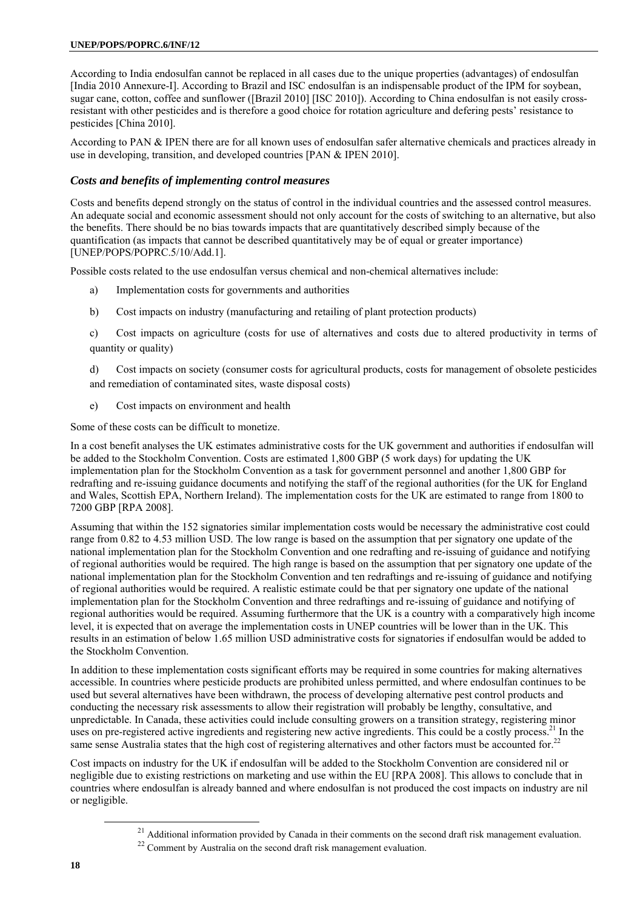#### **UNEP/POPS/POPRC.6/INF/12**

According to India endosulfan cannot be replaced in all cases due to the unique properties (advantages) of endosulfan [India 2010 Annexure-I]. According to Brazil and ISC endosulfan is an indispensable product of the IPM for soybean, sugar cane, cotton, coffee and sunflower ([Brazil 2010] [ISC 2010]). According to China endosulfan is not easily crossresistant with other pesticides and is therefore a good choice for rotation agriculture and defering pests' resistance to pesticides [China 2010].

According to PAN & IPEN there are for all known uses of endosulfan safer alternative chemicals and practices already in use in developing, transition, and developed countries [PAN & IPEN 2010].

### *Costs and benefits of implementing control measures*

Costs and benefits depend strongly on the status of control in the individual countries and the assessed control measures. An adequate social and economic assessment should not only account for the costs of switching to an alternative, but also the benefits. There should be no bias towards impacts that are quantitatively described simply because of the quantification (as impacts that cannot be described quantitatively may be of equal or greater importance) [UNEP/POPS/POPRC.5/10/Add.1].

Possible costs related to the use endosulfan versus chemical and non-chemical alternatives include:

- a) Implementation costs for governments and authorities
- b) Cost impacts on industry (manufacturing and retailing of plant protection products)

c) Cost impacts on agriculture (costs for use of alternatives and costs due to altered productivity in terms of quantity or quality)

d) Cost impacts on society (consumer costs for agricultural products, costs for management of obsolete pesticides and remediation of contaminated sites, waste disposal costs)

e) Cost impacts on environment and health

Some of these costs can be difficult to monetize.

In a cost benefit analyses the UK estimates administrative costs for the UK government and authorities if endosulfan will be added to the Stockholm Convention. Costs are estimated 1,800 GBP (5 work days) for updating the UK implementation plan for the Stockholm Convention as a task for government personnel and another 1,800 GBP for redrafting and re-issuing guidance documents and notifying the staff of the regional authorities (for the UK for England and Wales, Scottish EPA, Northern Ireland). The implementation costs for the UK are estimated to range from 1800 to 7200 GBP [RPA 2008].

Assuming that within the 152 signatories similar implementation costs would be necessary the administrative cost could range from 0.82 to 4.53 million USD. The low range is based on the assumption that per signatory one update of the national implementation plan for the Stockholm Convention and one redrafting and re-issuing of guidance and notifying of regional authorities would be required. The high range is based on the assumption that per signatory one update of the national implementation plan for the Stockholm Convention and ten redraftings and re-issuing of guidance and notifying of regional authorities would be required. A realistic estimate could be that per signatory one update of the national implementation plan for the Stockholm Convention and three redraftings and re-issuing of guidance and notifying of regional authorities would be required. Assuming furthermore that the UK is a country with a comparatively high income level, it is expected that on average the implementation costs in UNEP countries will be lower than in the UK. This results in an estimation of below 1.65 million USD administrative costs for signatories if endosulfan would be added to the Stockholm Convention.

In addition to these implementation costs significant efforts may be required in some countries for making alternatives accessible. In countries where pesticide products are prohibited unless permitted, and where endosulfan continues to be used but several alternatives have been withdrawn, the process of developing alternative pest control products and conducting the necessary risk assessments to allow their registration will probably be lengthy, consultative, and unpredictable. In Canada, these activities could include consulting growers on a transition strategy, registering minor uses on pre-registered active ingredients and registering new active ingredients. This could be a costly process.<sup>21</sup> In the same sense Australia states that the high cost of registering alternatives and other factors must be accounted for.<sup>22</sup>

Cost impacts on industry for the UK if endosulfan will be added to the Stockholm Convention are considered nil or negligible due to existing restrictions on marketing and use within the EU [RPA 2008]. This allows to conclude that in countries where endosulfan is already banned and where endosulfan is not produced the cost impacts on industry are nil or negligible.

<sup>&</sup>lt;sup>21</sup> Additional information provided by Canada in their comments on the second draft risk management evaluation.

<sup>&</sup>lt;sup>22</sup> Comment by Australia on the second draft risk management evaluation.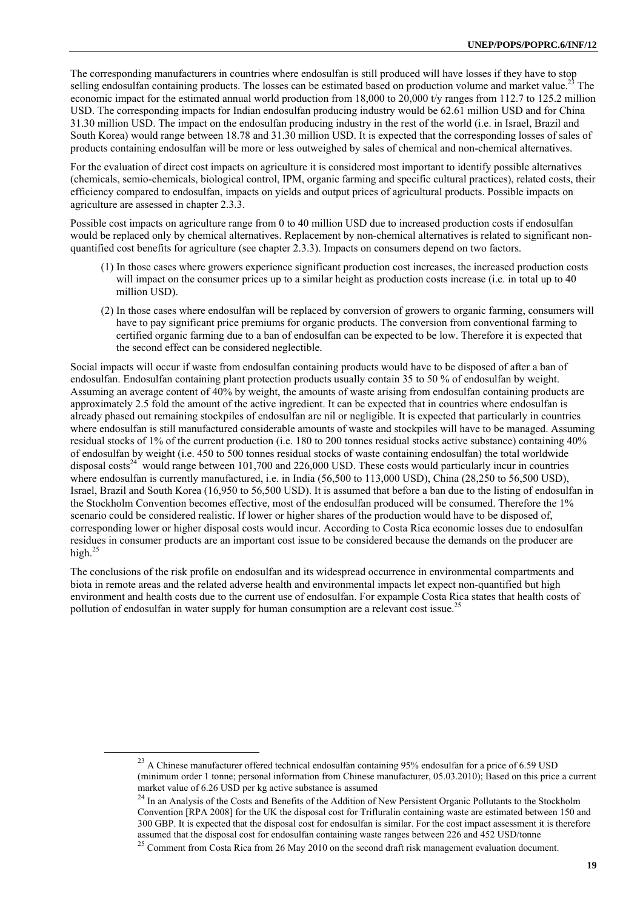The corresponding manufacturers in countries where endosulfan is still produced will have losses if they have to stop selling endosulfan containing products. The losses can be estimated based on production volume and market value.<sup>23</sup> The economic impact for the estimated annual world production from  $18,000$  to  $20,000$  t/y ranges from 112.7 to 125.2 million USD. The corresponding impacts for Indian endosulfan producing industry would be 62.61 million USD and for China 31.30 million USD. The impact on the endosulfan producing industry in the rest of the world (i.e. in Israel, Brazil and South Korea) would range between 18.78 and 31.30 million USD. It is expected that the corresponding losses of sales of products containing endosulfan will be more or less outweighed by sales of chemical and non-chemical alternatives.

For the evaluation of direct cost impacts on agriculture it is considered most important to identify possible alternatives (chemicals, semio-chemicals, biological control, IPM, organic farming and specific cultural practices), related costs, their efficiency compared to endosulfan, impacts on yields and output prices of agricultural products. Possible impacts on agriculture are assessed in chapter 2.3.3.

Possible cost impacts on agriculture range from 0 to 40 million USD due to increased production costs if endosulfan would be replaced only by chemical alternatives. Replacement by non-chemical alternatives is related to significant nonquantified cost benefits for agriculture (see chapter 2.3.3). Impacts on consumers depend on two factors.

- (1) In those cases where growers experience significant production cost increases, the increased production costs will impact on the consumer prices up to a similar height as production costs increase (i.e. in total up to 40 million USD).
- (2) In those cases where endosulfan will be replaced by conversion of growers to organic farming, consumers will have to pay significant price premiums for organic products. The conversion from conventional farming to certified organic farming due to a ban of endosulfan can be expected to be low. Therefore it is expected that the second effect can be considered neglectible.

Social impacts will occur if waste from endosulfan containing products would have to be disposed of after a ban of endosulfan. Endosulfan containing plant protection products usually contain 35 to 50 % of endosulfan by weight. Assuming an average content of 40% by weight, the amounts of waste arising from endosulfan containing products are approximately 2.5 fold the amount of the active ingredient. It can be expected that in countries where endosulfan is already phased out remaining stockpiles of endosulfan are nil or negligible. It is expected that particularly in countries where endosulfan is still manufactured considerable amounts of waste and stockpiles will have to be managed. Assuming residual stocks of 1% of the current production (i.e. 180 to 200 tonnes residual stocks active substance) containing 40% of endosulfan by weight (i.e. 450 to 500 tonnes residual stocks of waste containing endosulfan) the total worldwide disposal costs<sup>24</sup> would range between 101,700 and 226,000 USD. These costs would particularly incur in countries where endosulfan is currently manufactured, i.e. in India (56,500 to 113,000 USD), China (28,250 to 56,500 USD), Israel, Brazil and South Korea (16,950 to 56,500 USD). It is assumed that before a ban due to the listing of endosulfan in the Stockholm Convention becomes effective, most of the endosulfan produced will be consumed. Therefore the 1% scenario could be considered realistic. If lower or higher shares of the production would have to be disposed of, corresponding lower or higher disposal costs would incur. According to Costa Rica economic losses due to endosulfan residues in consumer products are an important cost issue to be considered because the demands on the producer are high. $^{25}$ 

The conclusions of the risk profile on endosulfan and its widespread occurrence in environmental compartments and biota in remote areas and the related adverse health and environmental impacts let expect non-quantified but high environment and health costs due to the current use of endosulfan. For expample Costa Rica states that health costs of pollution of endosulfan in water supply for human consumption are a relevant cost issue.<sup>25</sup>

<sup>&</sup>lt;sup>23</sup> A Chinese manufacturer offered technical endosulfan containing 95% endosulfan for a price of 6.59 USD (minimum order 1 tonne; personal information from Chinese manufacturer, 05.03.2010); Based on this price a current market value of 6.26 USD per kg active substance is assumed  $^{24}$  In an Analysis of the Costs and Benefits of the Addition of New Persistent Organic Pollutants to the Stockholm

Convention [RPA 2008] for the UK the disposal cost for Trifluralin containing waste are estimated between 150 and 300 GBP. It is expected that the disposal cost for endosulfan is similar. For the cost impact assessment it is therefore

<sup>&</sup>lt;sup>25</sup> Comment from Costa Rica from 26 May 2010 on the second draft risk management evaluation document.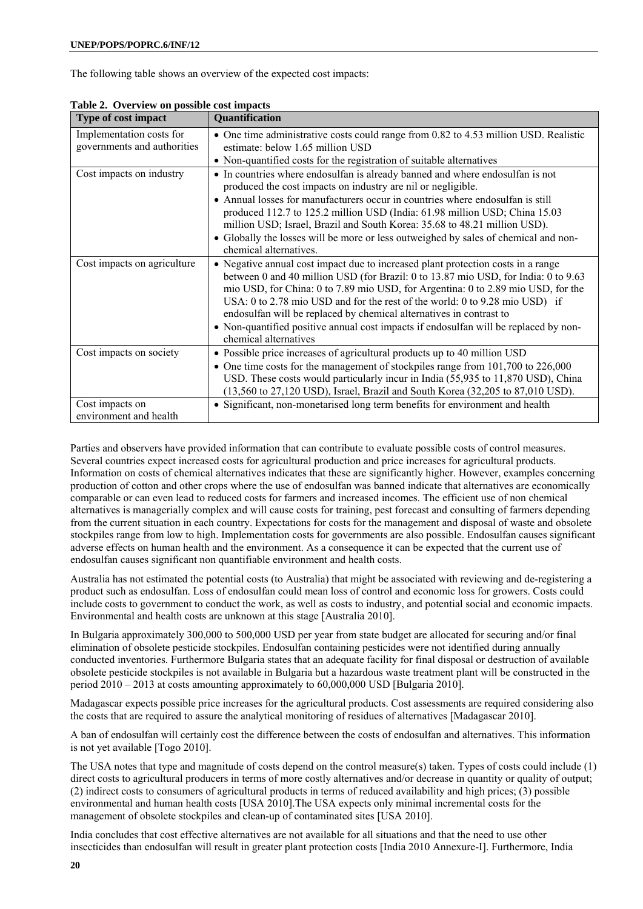The following table shows an overview of the expected cost impacts:

| Type of cost impact                                     | <b>Quantification</b>                                                                                                                                                                                                                                                                                                                                                                                                                                                                                                             |
|---------------------------------------------------------|-----------------------------------------------------------------------------------------------------------------------------------------------------------------------------------------------------------------------------------------------------------------------------------------------------------------------------------------------------------------------------------------------------------------------------------------------------------------------------------------------------------------------------------|
| Implementation costs for<br>governments and authorities | • One time administrative costs could range from 0.82 to 4.53 million USD. Realistic<br>estimate: below 1.65 million USD                                                                                                                                                                                                                                                                                                                                                                                                          |
|                                                         | • Non-quantified costs for the registration of suitable alternatives                                                                                                                                                                                                                                                                                                                                                                                                                                                              |
| Cost impacts on industry                                | • In countries where endosulfan is already banned and where endosulfan is not<br>produced the cost impacts on industry are nil or negligible.                                                                                                                                                                                                                                                                                                                                                                                     |
|                                                         | • Annual losses for manufacturers occur in countries where endosulfan is still<br>produced 112.7 to 125.2 million USD (India: 61.98 million USD; China 15.03<br>million USD; Israel, Brazil and South Korea: 35.68 to 48.21 million USD).                                                                                                                                                                                                                                                                                         |
|                                                         | • Globally the losses will be more or less outweighed by sales of chemical and non-<br>chemical alternatives.                                                                                                                                                                                                                                                                                                                                                                                                                     |
| Cost impacts on agriculture                             | • Negative annual cost impact due to increased plant protection costs in a range<br>between 0 and 40 million USD (for Brazil: 0 to 13.87 mio USD, for India: 0 to 9.63<br>mio USD, for China: 0 to 7.89 mio USD, for Argentina: 0 to 2.89 mio USD, for the<br>USA: 0 to 2.78 mio USD and for the rest of the world: 0 to 9.28 mio USD) if<br>endosulfan will be replaced by chemical alternatives in contrast to<br>• Non-quantified positive annual cost impacts if endosulfan will be replaced by non-<br>chemical alternatives |
| Cost impacts on society                                 | • Possible price increases of agricultural products up to 40 million USD<br>• One time costs for the management of stockpiles range from 101,700 to 226,000<br>USD. These costs would particularly incur in India (55,935 to 11,870 USD), China<br>(13,560 to 27,120 USD), Israel, Brazil and South Korea (32,205 to 87,010 USD).                                                                                                                                                                                                 |
| Cost impacts on<br>environment and health               | • Significant, non-monetarised long term benefits for environment and health                                                                                                                                                                                                                                                                                                                                                                                                                                                      |

**Table 2. Overview on possible cost impacts** 

Parties and observers have provided information that can contribute to evaluate possible costs of control measures. Several countries expect increased costs for agricultural production and price increases for agricultural products. Information on costs of chemical alternatives indicates that these are significantly higher. However, examples concerning production of cotton and other crops where the use of endosulfan was banned indicate that alternatives are economically comparable or can even lead to reduced costs for farmers and increased incomes. The efficient use of non chemical alternatives is managerially complex and will cause costs for training, pest forecast and consulting of farmers depending from the current situation in each country. Expectations for costs for the management and disposal of waste and obsolete stockpiles range from low to high. Implementation costs for governments are also possible. Endosulfan causes significant adverse effects on human health and the environment. As a consequence it can be expected that the current use of endosulfan causes significant non quantifiable environment and health costs.

Australia has not estimated the potential costs (to Australia) that might be associated with reviewing and de-registering a product such as endosulfan. Loss of endosulfan could mean loss of control and economic loss for growers. Costs could include costs to government to conduct the work, as well as costs to industry, and potential social and economic impacts. Environmental and health costs are unknown at this stage [Australia 2010].

In Bulgaria approximately 300,000 to 500,000 USD per year from state budget are allocated for securing and/or final elimination of obsolete pesticide stockpiles. Endosulfan containing pesticides were not identified during annually conducted inventories. Furthermore Bulgaria states that an adequate facility for final disposal or destruction of available obsolete pesticide stockpiles is not available in Bulgaria but a hazardous waste treatment plant will be constructed in the period 2010 – 2013 at costs amounting approximately to 60,000,000 USD [Bulgaria 2010].

Madagascar expects possible price increases for the agricultural products. Cost assessments are required considering also the costs that are required to assure the analytical monitoring of residues of alternatives [Madagascar 2010].

A ban of endosulfan will certainly cost the difference between the costs of endosulfan and alternatives. This information is not yet available [Togo 2010].

The USA notes that type and magnitude of costs depend on the control measure(s) taken. Types of costs could include (1) direct costs to agricultural producers in terms of more costly alternatives and/or decrease in quantity or quality of output; (2) indirect costs to consumers of agricultural products in terms of reduced availability and high prices; (3) possible environmental and human health costs [USA 2010].The USA expects only minimal incremental costs for the management of obsolete stockpiles and clean-up of contaminated sites [USA 2010].

India concludes that cost effective alternatives are not available for all situations and that the need to use other insecticides than endosulfan will result in greater plant protection costs [India 2010 Annexure-I]. Furthermore, India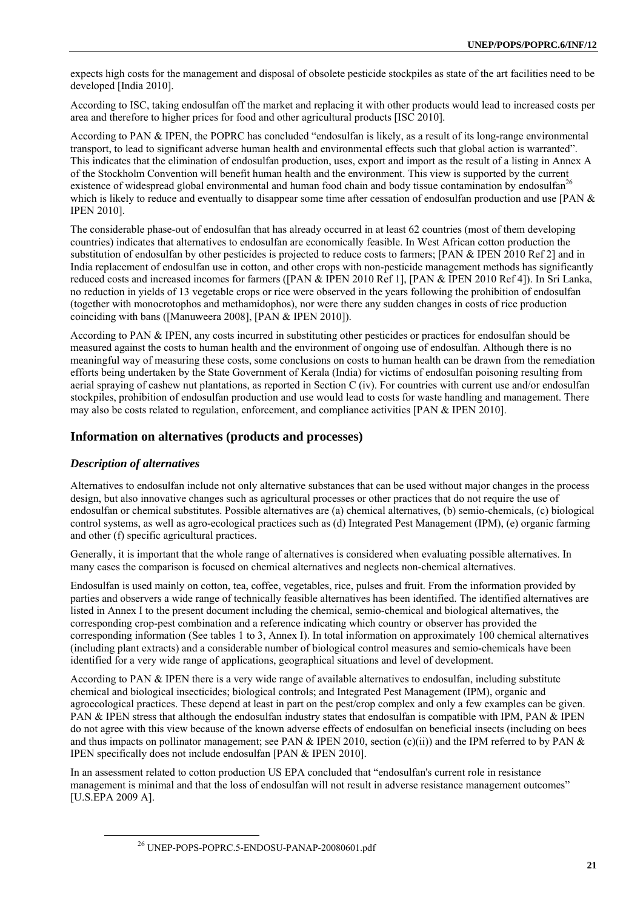expects high costs for the management and disposal of obsolete pesticide stockpiles as state of the art facilities need to be developed [India 2010].

According to ISC, taking endosulfan off the market and replacing it with other products would lead to increased costs per area and therefore to higher prices for food and other agricultural products [ISC 2010].

According to PAN & IPEN, the POPRC has concluded "endosulfan is likely, as a result of its long-range environmental transport, to lead to significant adverse human health and environmental effects such that global action is warranted". This indicates that the elimination of endosulfan production, uses, export and import as the result of a listing in Annex A of the Stockholm Convention will benefit human health and the environment. This view is supported by the current existence of widespread global environmental and human food chain and body tissue contamination by endosulfan<sup>26</sup> which is likely to reduce and eventually to disappear some time after cessation of endosulfan production and use [PAN  $\&$ IPEN 2010].

The considerable phase-out of endosulfan that has already occurred in at least 62 countries (most of them developing countries) indicates that alternatives to endosulfan are economically feasible. In West African cotton production the substitution of endosulfan by other pesticides is projected to reduce costs to farmers; [PAN & IPEN 2010 Ref 2] and in India replacement of endosulfan use in cotton, and other crops with non-pesticide management methods has significantly reduced costs and increased incomes for farmers ([PAN & IPEN 2010 Ref 1], [PAN & IPEN 2010 Ref 4]). In Sri Lanka, no reduction in yields of 13 vegetable crops or rice were observed in the years following the prohibition of endosulfan (together with monocrotophos and methamidophos), nor were there any sudden changes in costs of rice production coinciding with bans ([Manuweera 2008], [PAN & IPEN 2010]).

According to PAN & IPEN, any costs incurred in substituting other pesticides or practices for endosulfan should be measured against the costs to human health and the environment of ongoing use of endosulfan. Although there is no meaningful way of measuring these costs, some conclusions on costs to human health can be drawn from the remediation efforts being undertaken by the State Government of Kerala (India) for victims of endosulfan poisoning resulting from aerial spraying of cashew nut plantations, as reported in Section C (iv). For countries with current use and/or endosulfan stockpiles, prohibition of endosulfan production and use would lead to costs for waste handling and management. There may also be costs related to regulation, enforcement, and compliance activities [PAN & IPEN 2010].

# **Information on alternatives (products and processes)**

#### *Description of alternatives*

Alternatives to endosulfan include not only alternative substances that can be used without major changes in the process design, but also innovative changes such as agricultural processes or other practices that do not require the use of endosulfan or chemical substitutes. Possible alternatives are (a) chemical alternatives, (b) semio-chemicals, (c) biological control systems, as well as agro-ecological practices such as (d) Integrated Pest Management (IPM), (e) organic farming and other (f) specific agricultural practices.

Generally, it is important that the whole range of alternatives is considered when evaluating possible alternatives. In many cases the comparison is focused on chemical alternatives and neglects non-chemical alternatives.

Endosulfan is used mainly on cotton, tea, coffee, vegetables, rice, pulses and fruit. From the information provided by parties and observers a wide range of technically feasible alternatives has been identified. The identified alternatives are listed in Annex I to the present document including the chemical, semio-chemical and biological alternatives, the corresponding crop-pest combination and a reference indicating which country or observer has provided the corresponding information (See tables 1 to 3, Annex I). In total information on approximately 100 chemical alternatives (including plant extracts) and a considerable number of biological control measures and semio-chemicals have been identified for a very wide range of applications, geographical situations and level of development.

According to PAN & IPEN there is a very wide range of available alternatives to endosulfan, including substitute chemical and biological insecticides; biological controls; and Integrated Pest Management (IPM), organic and agroecological practices. These depend at least in part on the pest/crop complex and only a few examples can be given. PAN & IPEN stress that although the endosulfan industry states that endosulfan is compatible with IPM, PAN & IPEN do not agree with this view because of the known adverse effects of endosulfan on beneficial insects (including on bees and thus impacts on pollinator management; see PAN & IPEN 2010, section (c)(ii)) and the IPM referred to by PAN & IPEN specifically does not include endosulfan [PAN & IPEN 2010].

In an assessment related to cotton production US EPA concluded that "endosulfan's current role in resistance management is minimal and that the loss of endosulfan will not result in adverse resistance management outcomes" [U.S.EPA 2009 A].

 <sup>26</sup> UNEP-POPS-POPRC.5-ENDOSU-PANAP-20080601.pdf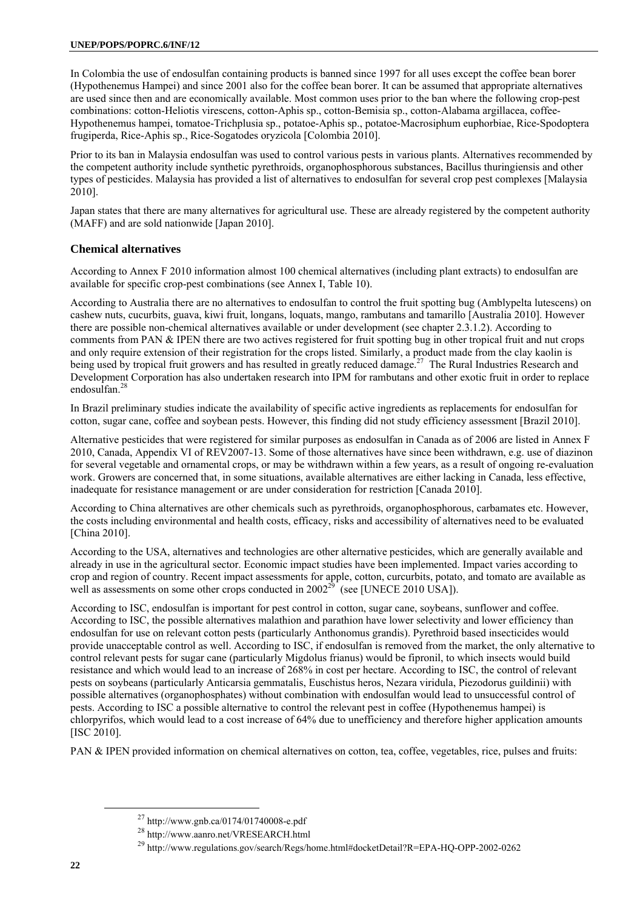In Colombia the use of endosulfan containing products is banned since 1997 for all uses except the coffee bean borer (Hypothenemus Hampei) and since 2001 also for the coffee bean borer. It can be assumed that appropriate alternatives are used since then and are economically available. Most common uses prior to the ban where the following crop-pest combinations: cotton-Heliotis virescens, cotton-Aphis sp., cotton-Bemisia sp., cotton-Alabama argillacea, coffee-Hypothenemus hampei, tomatoe-Trichplusia sp., potatoe-Aphis sp., potatoe-Macrosiphum euphorbiae, Rice-Spodoptera frugiperda, Rice-Aphis sp., Rice-Sogatodes oryzicola [Colombia 2010].

Prior to its ban in Malaysia endosulfan was used to control various pests in various plants. Alternatives recommended by the competent authority include synthetic pyrethroids, organophosphorous substances, Bacillus thuringiensis and other types of pesticides. Malaysia has provided a list of alternatives to endosulfan for several crop pest complexes [Malaysia 2010].

Japan states that there are many alternatives for agricultural use. These are already registered by the competent authority (MAFF) and are sold nationwide [Japan 2010].

# **Chemical alternatives**

According to Annex F 2010 information almost 100 chemical alternatives (including plant extracts) to endosulfan are available for specific crop-pest combinations (see Annex I, Table 10).

According to Australia there are no alternatives to endosulfan to control the fruit spotting bug (Amblypelta lutescens) on cashew nuts, cucurbits, guava, kiwi fruit, longans, loquats, mango, rambutans and tamarillo [Australia 2010]. However there are possible non-chemical alternatives available or under development (see chapter 2.3.1.2). According to comments from PAN & IPEN there are two actives registered for fruit spotting bug in other tropical fruit and nut crops and only require extension of their registration for the crops listed. Similarly, a product made from the clay kaolin is being used by tropical fruit growers and has resulted in greatly reduced damage.<sup>27</sup> The Rural Industries Research and Development Corporation has also undertaken research into IPM for rambutans and other exotic fruit in order to replace endosulfan.28

In Brazil preliminary studies indicate the availability of specific active ingredients as replacements for endosulfan for cotton, sugar cane, coffee and soybean pests. However, this finding did not study efficiency assessment [Brazil 2010].

Alternative pesticides that were registered for similar purposes as endosulfan in Canada as of 2006 are listed in Annex F 2010, Canada, Appendix VI of REV2007-13. Some of those alternatives have since been withdrawn, e.g. use of diazinon for several vegetable and ornamental crops, or may be withdrawn within a few years, as a result of ongoing re-evaluation work. Growers are concerned that, in some situations, available alternatives are either lacking in Canada, less effective, inadequate for resistance management or are under consideration for restriction [Canada 2010].

According to China alternatives are other chemicals such as pyrethroids, organophosphorous, carbamates etc. However, the costs including environmental and health costs, efficacy, risks and accessibility of alternatives need to be evaluated [China 2010].

According to the USA, alternatives and technologies are other alternative pesticides, which are generally available and already in use in the agricultural sector. Economic impact studies have been implemented. Impact varies according to crop and region of country. Recent impact assessments for apple, cotton, curcurbits, potato, and tomato are available as well as assessments on some other crops conducted in 2002<sup>29</sup> (see [UNECE 2010 USA]).

According to ISC, endosulfan is important for pest control in cotton, sugar cane, soybeans, sunflower and coffee. According to ISC, the possible alternatives malathion and parathion have lower selectivity and lower efficiency than endosulfan for use on relevant cotton pests (particularly Anthonomus grandis). Pyrethroid based insecticides would provide unacceptable control as well. According to ISC, if endosulfan is removed from the market, the only alternative to control relevant pests for sugar cane (particularly Migdolus frianus) would be fipronil, to which insects would build resistance and which would lead to an increase of 268% in cost per hectare. According to ISC, the control of relevant pests on soybeans (particularly Anticarsia gemmatalis, Euschistus heros, Nezara viridula, Piezodorus guildinii) with possible alternatives (organophosphates) without combination with endosulfan would lead to unsuccessful control of pests. According to ISC a possible alternative to control the relevant pest in coffee (Hypothenemus hampei) is chlorpyrifos, which would lead to a cost increase of 64% due to unefficiency and therefore higher application amounts [ISC 2010].

PAN & IPEN provided information on chemical alternatives on cotton, tea, coffee, vegetables, rice, pulses and fruits:

 <sup>27</sup> http://www.gnb.ca/0174/01740008-e.pdf

<sup>&</sup>lt;sup>28</sup> http://www.aanro.net/VRESEARCH.html<br><sup>29</sup> http://www.regulations.gov/search/Regs/home.html#docketDetail?R=EPA-HQ-OPP-2002-0262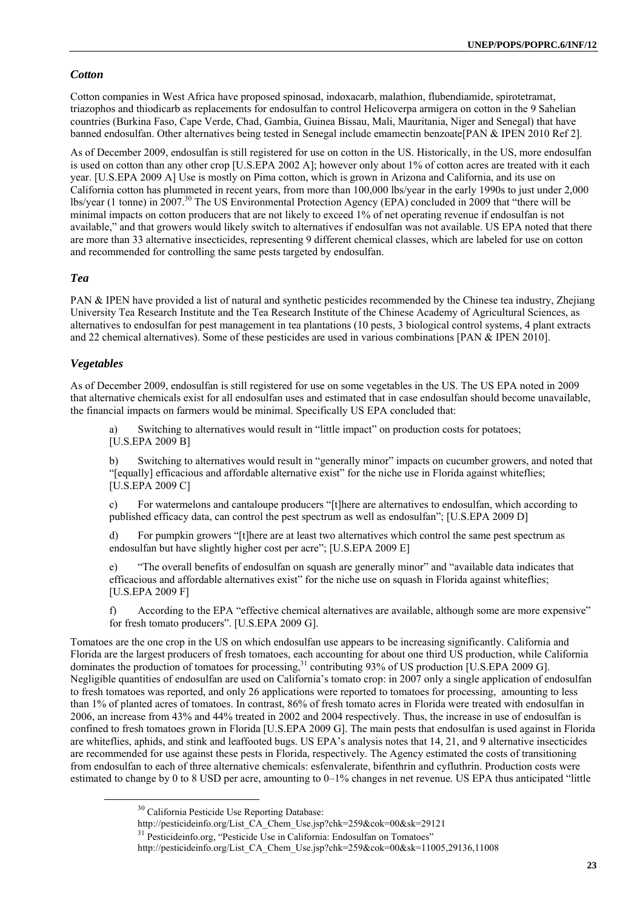#### *Cotton*

Cotton companies in West Africa have proposed spinosad, indoxacarb, malathion, flubendiamide, spirotetramat, triazophos and thiodicarb as replacements for endosulfan to control Helicoverpa armigera on cotton in the 9 Sahelian countries (Burkina Faso, Cape Verde, Chad, Gambia, Guinea Bissau, Mali, Mauritania, Niger and Senegal) that have banned endosulfan. Other alternatives being tested in Senegal include emamectin benzoate[PAN & IPEN 2010 Ref 2].

As of December 2009, endosulfan is still registered for use on cotton in the US. Historically, in the US, more endosulfan is used on cotton than any other crop [U.S.EPA 2002 A]; however only about 1% of cotton acres are treated with it each year. [U.S.EPA 2009 A] Use is mostly on Pima cotton, which is grown in Arizona and California, and its use on California cotton has plummeted in recent years, from more than 100,000 lbs/year in the early 1990s to just under 2,000 lbs/year (1 tonne) in 2007.<sup>30</sup> The US Environmental Protection Agency (EPA) concluded in 2009 that "there will be minimal impacts on cotton producers that are not likely to exceed 1% of net operating revenue if endosulfan is not available," and that growers would likely switch to alternatives if endosulfan was not available. US EPA noted that there are more than 33 alternative insecticides, representing 9 different chemical classes, which are labeled for use on cotton and recommended for controlling the same pests targeted by endosulfan.

#### *Tea*

PAN & IPEN have provided a list of natural and synthetic pesticides recommended by the Chinese tea industry, Zhejiang University Tea Research Institute and the Tea Research Institute of the Chinese Academy of Agricultural Sciences, as alternatives to endosulfan for pest management in tea plantations (10 pests, 3 biological control systems, 4 plant extracts and 22 chemical alternatives). Some of these pesticides are used in various combinations [PAN & IPEN 2010].

#### *Vegetables*

As of December 2009, endosulfan is still registered for use on some vegetables in the US. The US EPA noted in 2009 that alternative chemicals exist for all endosulfan uses and estimated that in case endosulfan should become unavailable, the financial impacts on farmers would be minimal. Specifically US EPA concluded that:

Switching to alternatives would result in "little impact" on production costs for potatoes; [U.S.EPA 2009 B]

b) Switching to alternatives would result in "generally minor" impacts on cucumber growers, and noted that "[equally] efficacious and affordable alternative exist" for the niche use in Florida against whiteflies; [U.S.EPA 2009 C]

c) For watermelons and cantaloupe producers "[t]here are alternatives to endosulfan, which according to published efficacy data, can control the pest spectrum as well as endosulfan"; [U.S.EPA 2009 D]

d) For pumpkin growers "[t]here are at least two alternatives which control the same pest spectrum as endosulfan but have slightly higher cost per acre"; [U.S.EPA 2009 E]

e) "The overall benefits of endosulfan on squash are generally minor" and "available data indicates that efficacious and affordable alternatives exist" for the niche use on squash in Florida against whiteflies; [U.S.EPA 2009 F]

f) According to the EPA "effective chemical alternatives are available, although some are more expensive" for fresh tomato producers". [U.S.EPA 2009 G].

Tomatoes are the one crop in the US on which endosulfan use appears to be increasing significantly. California and Florida are the largest producers of fresh tomatoes, each accounting for about one third US production, while California dominates the production of tomatoes for processing,<sup>31</sup> contributing 93% of US production [U.S.EPA 2009 G]. Negligible quantities of endosulfan are used on California's tomato crop: in 2007 only a single application of endosulfan to fresh tomatoes was reported, and only 26 applications were reported to tomatoes for processing, amounting to less than 1% of planted acres of tomatoes. In contrast, 86% of fresh tomato acres in Florida were treated with endosulfan in 2006, an increase from 43% and 44% treated in 2002 and 2004 respectively. Thus, the increase in use of endosulfan is confined to fresh tomatoes grown in Florida [U.S.EPA 2009 G]. The main pests that endosulfan is used against in Florida are whiteflies, aphids, and stink and leaffooted bugs. US EPA's analysis notes that 14, 21, and 9 alternative insecticides are recommended for use against these pests in Florida, respectively. The Agency estimated the costs of transitioning from endosulfan to each of three alternative chemicals: esfenvalerate, bifenthrin and cyfluthrin. Production costs were estimated to change by 0 to 8 USD per acre, amounting to 0–1% changes in net revenue. US EPA thus anticipated "little

<sup>&</sup>lt;sup>30</sup> California Pesticide Use Reporting Database:<br>http://pesticideinfo.org/List CA Chem Use.jsp?chk=259&cok=00&sk=29121

 $131$  Pesticideinfo.org. "Pesticide Use in California: Endosulfan on Tomatoes"

http://pesticideinfo.org/List\_CA\_Chem\_Use.jsp?chk=259&cok=00&sk=11005,29136,11008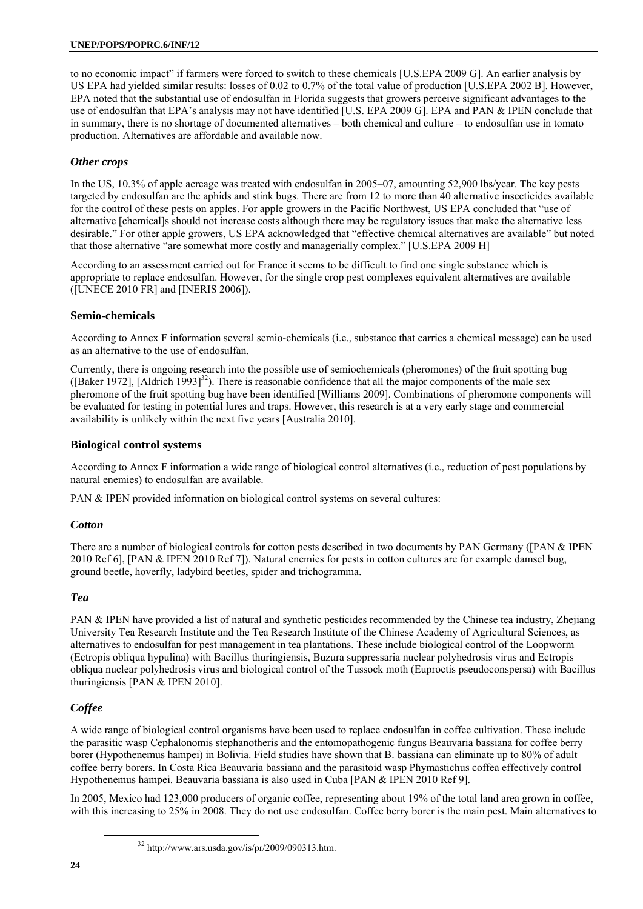to no economic impact" if farmers were forced to switch to these chemicals [U.S.EPA 2009 G]. An earlier analysis by US EPA had yielded similar results: losses of 0.02 to 0.7% of the total value of production [U.S.EPA 2002 B]. However, EPA noted that the substantial use of endosulfan in Florida suggests that growers perceive significant advantages to the use of endosulfan that EPA's analysis may not have identified [U.S. EPA 2009 G]. EPA and PAN & IPEN conclude that in summary, there is no shortage of documented alternatives – both chemical and culture – to endosulfan use in tomato production. Alternatives are affordable and available now.

# *Other crops*

In the US, 10.3% of apple acreage was treated with endosulfan in 2005–07, amounting 52,900 lbs/year. The key pests targeted by endosulfan are the aphids and stink bugs. There are from 12 to more than 40 alternative insecticides available for the control of these pests on apples. For apple growers in the Pacific Northwest, US EPA concluded that "use of alternative [chemical]s should not increase costs although there may be regulatory issues that make the alternative less desirable." For other apple growers, US EPA acknowledged that "effective chemical alternatives are available" but noted that those alternative "are somewhat more costly and managerially complex." [U.S.EPA 2009 H]

According to an assessment carried out for France it seems to be difficult to find one single substance which is appropriate to replace endosulfan. However, for the single crop pest complexes equivalent alternatives are available ([UNECE 2010 FR] and [INERIS 2006]).

# **Semio-chemicals**

According to Annex F information several semio-chemicals (i.e., substance that carries a chemical message) can be used as an alternative to the use of endosulfan.

Currently, there is ongoing research into the possible use of semiochemicals (pheromones) of the fruit spotting bug ([Baker 1972], [Aldrich 1993] $^{32}$ ). There is reasonable confidence that all the major components of the male sex pheromone of the fruit spotting bug have been identified [Williams 2009]. Combinations of pheromone components will be evaluated for testing in potential lures and traps. However, this research is at a very early stage and commercial availability is unlikely within the next five years [Australia 2010].

# **Biological control systems**

According to Annex F information a wide range of biological control alternatives (i.e., reduction of pest populations by natural enemies) to endosulfan are available.

PAN & IPEN provided information on biological control systems on several cultures:

# *Cotton*

There are a number of biological controls for cotton pests described in two documents by PAN Germany ([PAN & IPEN 2010 Ref 6], [PAN & IPEN 2010 Ref 7]). Natural enemies for pests in cotton cultures are for example damsel bug, ground beetle, hoverfly, ladybird beetles, spider and trichogramma.

# *Tea*

PAN & IPEN have provided a list of natural and synthetic pesticides recommended by the Chinese tea industry, Zhejiang University Tea Research Institute and the Tea Research Institute of the Chinese Academy of Agricultural Sciences, as alternatives to endosulfan for pest management in tea plantations. These include biological control of the Loopworm (Ectropis obliqua hypulina) with Bacillus thuringiensis, Buzura suppressaria nuclear polyhedrosis virus and Ectropis obliqua nuclear polyhedrosis virus and biological control of the Tussock moth (Euproctis pseudoconspersa) with Bacillus thuringiensis [PAN & IPEN 2010].

# *Coffee*

A wide range of biological control organisms have been used to replace endosulfan in coffee cultivation. These include the parasitic wasp Cephalonomis stephanotheris and the entomopathogenic fungus Beauvaria bassiana for coffee berry borer (Hypothenemus hampei) in Bolivia. Field studies have shown that B. bassiana can eliminate up to 80% of adult coffee berry borers. In Costa Rica Beauvaria bassiana and the parasitoid wasp Phymastichus coffea effectively control Hypothenemus hampei. Beauvaria bassiana is also used in Cuba [PAN & IPEN 2010 Ref 9].

In 2005, Mexico had 123,000 producers of organic coffee, representing about 19% of the total land area grown in coffee, with this increasing to 25% in 2008. They do not use endosulfan. Coffee berry borer is the main pest. Main alternatives to

 $32$  http://www.ars.usda.gov/is/pr/2009/090313.htm.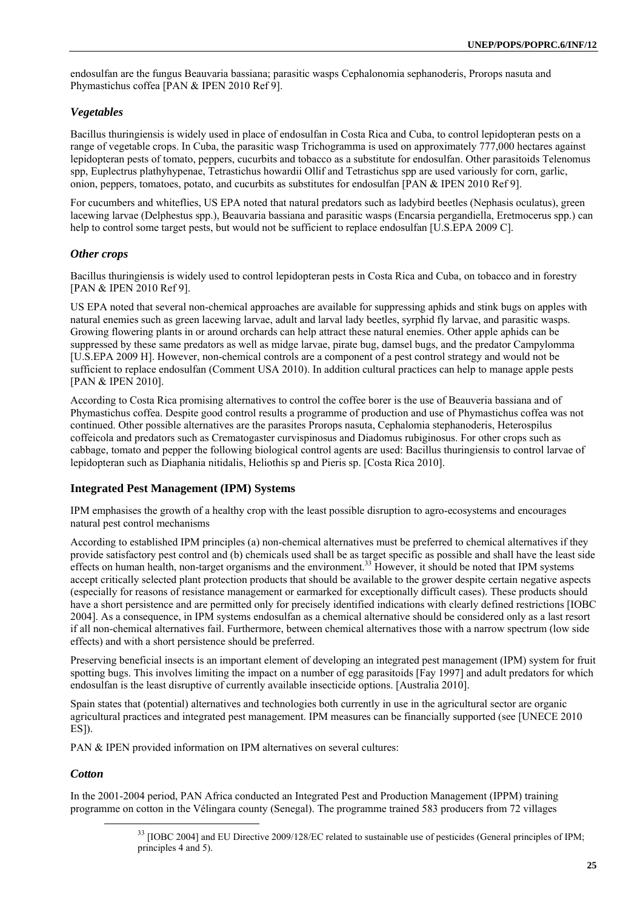endosulfan are the fungus Beauvaria bassiana; parasitic wasps Cephalonomia sephanoderis, Prorops nasuta and Phymastichus coffea [PAN & IPEN 2010 Ref 9].

# *Vegetables*

Bacillus thuringiensis is widely used in place of endosulfan in Costa Rica and Cuba, to control lepidopteran pests on a range of vegetable crops. In Cuba, the parasitic wasp Trichogramma is used on approximately 777,000 hectares against lepidopteran pests of tomato, peppers, cucurbits and tobacco as a substitute for endosulfan. Other parasitoids Telenomus spp, Euplectrus plathyhypenae, Tetrastichus howardii Ollif and Tetrastichus spp are used variously for corn, garlic, onion, peppers, tomatoes, potato, and cucurbits as substitutes for endosulfan [PAN & IPEN 2010 Ref 9].

For cucumbers and whiteflies, US EPA noted that natural predators such as ladybird beetles (Nephasis oculatus), green lacewing larvae (Delphestus spp.), Beauvaria bassiana and parasitic wasps (Encarsia pergandiella, Eretmocerus spp.) can help to control some target pests, but would not be sufficient to replace endosulfan [U.S.EPA 2009 C].

# *Other crops*

Bacillus thuringiensis is widely used to control lepidopteran pests in Costa Rica and Cuba, on tobacco and in forestry [PAN & IPEN 2010 Ref 9].

US EPA noted that several non-chemical approaches are available for suppressing aphids and stink bugs on apples with natural enemies such as green lacewing larvae, adult and larval lady beetles, syrphid fly larvae, and parasitic wasps. Growing flowering plants in or around orchards can help attract these natural enemies. Other apple aphids can be suppressed by these same predators as well as midge larvae, pirate bug, damsel bugs, and the predator Campylomma [U.S.EPA 2009 H]. However, non-chemical controls are a component of a pest control strategy and would not be sufficient to replace endosulfan (Comment USA 2010). In addition cultural practices can help to manage apple pests [PAN & IPEN 2010].

According to Costa Rica promising alternatives to control the coffee borer is the use of Beauveria bassiana and of Phymastichus coffea. Despite good control results a programme of production and use of Phymastichus coffea was not continued. Other possible alternatives are the parasites Prorops nasuta, Cephalomia stephanoderis, Heterospilus coffeicola and predators such as Crematogaster curvispinosus and Diadomus rubiginosus. For other crops such as cabbage, tomato and pepper the following biological control agents are used: Bacillus thuringiensis to control larvae of lepidopteran such as Diaphania nitidalis, Heliothis sp and Pieris sp. [Costa Rica 2010].

# **Integrated Pest Management (IPM) Systems**

IPM emphasises the growth of a healthy crop with the least possible disruption to agro-ecosystems and encourages natural pest control mechanisms

According to established IPM principles (a) non-chemical alternatives must be preferred to chemical alternatives if they provide satisfactory pest control and (b) chemicals used shall be as target specific as possible and shall have the least side effects on human health, non-target organisms and the environment.<sup>33</sup> However, it should be noted that IPM systems accept critically selected plant protection products that should be available to the grower despite certain negative aspects (especially for reasons of resistance management or earmarked for exceptionally difficult cases). These products should have a short persistence and are permitted only for precisely identified indications with clearly defined restrictions [IOBC 2004]. As a consequence, in IPM systems endosulfan as a chemical alternative should be considered only as a last resort if all non-chemical alternatives fail. Furthermore, between chemical alternatives those with a narrow spectrum (low side effects) and with a short persistence should be preferred.

Preserving beneficial insects is an important element of developing an integrated pest management (IPM) system for fruit spotting bugs. This involves limiting the impact on a number of egg parasitoids [Fay 1997] and adult predators for which endosulfan is the least disruptive of currently available insecticide options. [Australia 2010].

Spain states that (potential) alternatives and technologies both currently in use in the agricultural sector are organic agricultural practices and integrated pest management. IPM measures can be financially supported (see [UNECE 2010 ES]).

PAN & IPEN provided information on IPM alternatives on several cultures:

# *Cotton*

In the 2001-2004 period, PAN Africa conducted an Integrated Pest and Production Management (IPPM) training programme on cotton in the Vélingara county (Senegal). The programme trained 583 producers from 72 villages

<sup>&</sup>lt;sup>33</sup> [IOBC 2004] and EU Directive 2009/128/EC related to sustainable use of pesticides (General principles of IPM; principles 4 and 5).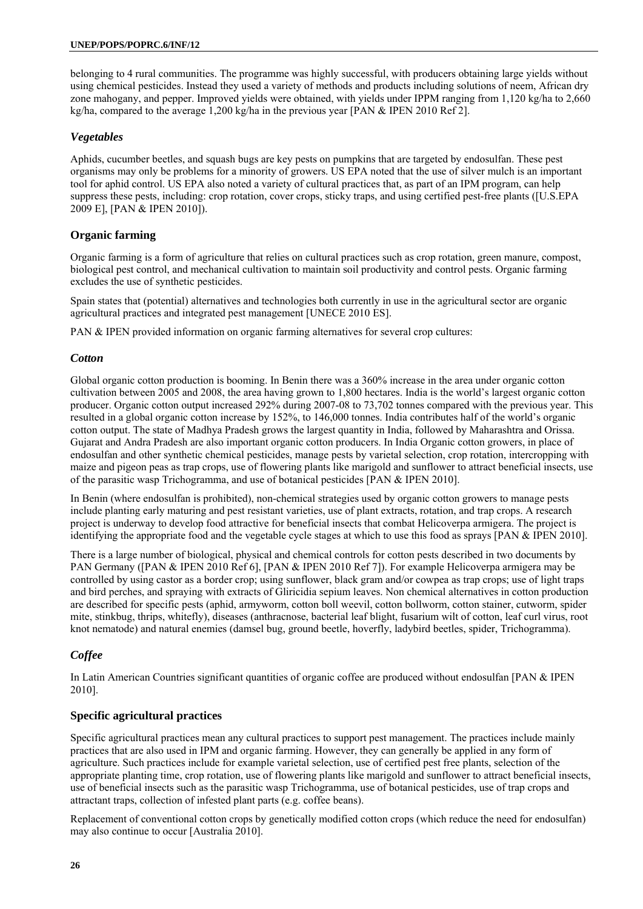belonging to 4 rural communities. The programme was highly successful, with producers obtaining large yields without using chemical pesticides. Instead they used a variety of methods and products including solutions of neem, African dry zone mahogany, and pepper. Improved yields were obtained, with yields under IPPM ranging from 1,120 kg/ha to 2,660 kg/ha, compared to the average 1,200 kg/ha in the previous year [PAN & IPEN 2010 Ref 2].

# *Vegetables*

Aphids, cucumber beetles, and squash bugs are key pests on pumpkins that are targeted by endosulfan. These pest organisms may only be problems for a minority of growers. US EPA noted that the use of silver mulch is an important tool for aphid control. US EPA also noted a variety of cultural practices that, as part of an IPM program, can help suppress these pests, including: crop rotation, cover crops, sticky traps, and using certified pest-free plants ([U.S.EPA 2009 E], [PAN & IPEN 2010]).

# **Organic farming**

Organic farming is a form of agriculture that relies on cultural practices such as crop rotation, green manure, compost, biological pest control, and mechanical cultivation to maintain soil productivity and control pests. Organic farming excludes the use of synthetic pesticides.

Spain states that (potential) alternatives and technologies both currently in use in the agricultural sector are organic agricultural practices and integrated pest management [UNECE 2010 ES].

PAN & IPEN provided information on organic farming alternatives for several crop cultures:

# *Cotton*

Global organic cotton production is booming. In Benin there was a 360% increase in the area under organic cotton cultivation between 2005 and 2008, the area having grown to 1,800 hectares. India is the world's largest organic cotton producer. Organic cotton output increased 292% during 2007-08 to 73,702 tonnes compared with the previous year. This resulted in a global organic cotton increase by 152%, to 146,000 tonnes. India contributes half of the world's organic cotton output. The state of Madhya Pradesh grows the largest quantity in India, followed by Maharashtra and Orissa. Gujarat and Andra Pradesh are also important organic cotton producers. In India Organic cotton growers, in place of endosulfan and other synthetic chemical pesticides, manage pests by varietal selection, crop rotation, intercropping with maize and pigeon peas as trap crops, use of flowering plants like marigold and sunflower to attract beneficial insects, use of the parasitic wasp Trichogramma, and use of botanical pesticides [PAN & IPEN 2010].

In Benin (where endosulfan is prohibited), non-chemical strategies used by organic cotton growers to manage pests include planting early maturing and pest resistant varieties, use of plant extracts, rotation, and trap crops. A research project is underway to develop food attractive for beneficial insects that combat Helicoverpa armigera. The project is identifying the appropriate food and the vegetable cycle stages at which to use this food as sprays [PAN & IPEN 2010].

There is a large number of biological, physical and chemical controls for cotton pests described in two documents by PAN Germany ([PAN & IPEN 2010 Ref 6], [PAN & IPEN 2010 Ref 7]). For example Helicoverpa armigera may be controlled by using castor as a border crop; using sunflower, black gram and/or cowpea as trap crops; use of light traps and bird perches, and spraying with extracts of Gliricidia sepium leaves. Non chemical alternatives in cotton production are described for specific pests (aphid, armyworm, cotton boll weevil, cotton bollworm, cotton stainer, cutworm, spider mite, stinkbug, thrips, whitefly), diseases (anthracnose, bacterial leaf blight, fusarium wilt of cotton, leaf curl virus, root knot nematode) and natural enemies (damsel bug, ground beetle, hoverfly, ladybird beetles, spider, Trichogramma).

# *Coffee*

In Latin American Countries significant quantities of organic coffee are produced without endosulfan [PAN & IPEN 2010].

# **Specific agricultural practices**

Specific agricultural practices mean any cultural practices to support pest management. The practices include mainly practices that are also used in IPM and organic farming. However, they can generally be applied in any form of agriculture. Such practices include for example varietal selection, use of certified pest free plants, selection of the appropriate planting time, crop rotation, use of flowering plants like marigold and sunflower to attract beneficial insects, use of beneficial insects such as the parasitic wasp Trichogramma, use of botanical pesticides, use of trap crops and attractant traps, collection of infested plant parts (e.g. coffee beans).

Replacement of conventional cotton crops by genetically modified cotton crops (which reduce the need for endosulfan) may also continue to occur [Australia 2010].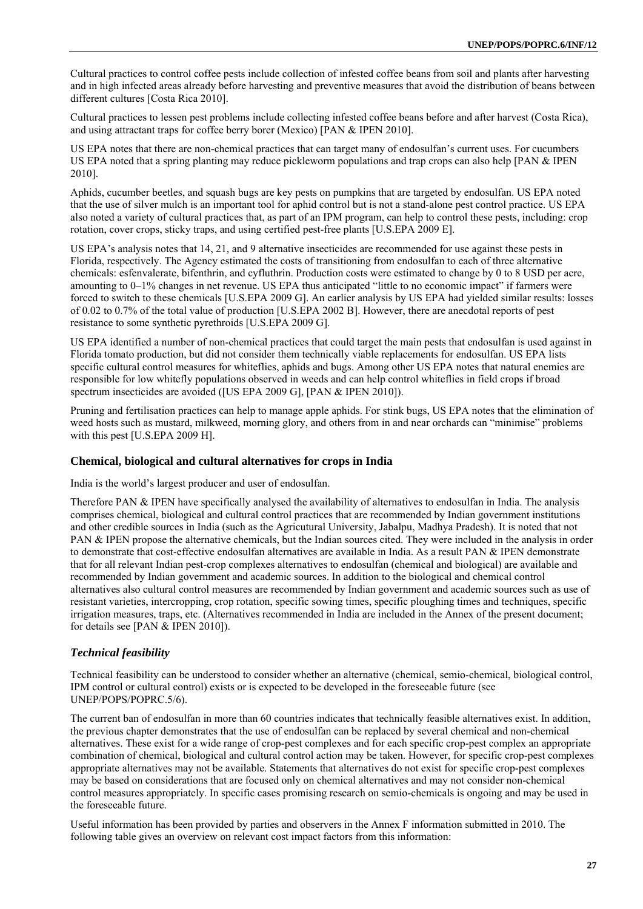Cultural practices to control coffee pests include collection of infested coffee beans from soil and plants after harvesting and in high infected areas already before harvesting and preventive measures that avoid the distribution of beans between different cultures [Costa Rica 2010].

Cultural practices to lessen pest problems include collecting infested coffee beans before and after harvest (Costa Rica), and using attractant traps for coffee berry borer (Mexico) [PAN & IPEN 2010].

US EPA notes that there are non-chemical practices that can target many of endosulfan's current uses. For cucumbers US EPA noted that a spring planting may reduce pickleworm populations and trap crops can also help [PAN & IPEN 2010].

Aphids, cucumber beetles, and squash bugs are key pests on pumpkins that are targeted by endosulfan. US EPA noted that the use of silver mulch is an important tool for aphid control but is not a stand-alone pest control practice. US EPA also noted a variety of cultural practices that, as part of an IPM program, can help to control these pests, including: crop rotation, cover crops, sticky traps, and using certified pest-free plants [U.S.EPA 2009 E].

US EPA's analysis notes that 14, 21, and 9 alternative insecticides are recommended for use against these pests in Florida, respectively. The Agency estimated the costs of transitioning from endosulfan to each of three alternative chemicals: esfenvalerate, bifenthrin, and cyfluthrin. Production costs were estimated to change by 0 to 8 USD per acre, amounting to 0–1% changes in net revenue. US EPA thus anticipated "little to no economic impact" if farmers were forced to switch to these chemicals [U.S.EPA 2009 G]. An earlier analysis by US EPA had yielded similar results: losses of 0.02 to 0.7% of the total value of production [U.S.EPA 2002 B]. However, there are anecdotal reports of pest resistance to some synthetic pyrethroids [U.S.EPA 2009 G].

US EPA identified a number of non-chemical practices that could target the main pests that endosulfan is used against in Florida tomato production, but did not consider them technically viable replacements for endosulfan. US EPA lists specific cultural control measures for whiteflies, aphids and bugs. Among other US EPA notes that natural enemies are responsible for low whitefly populations observed in weeds and can help control whiteflies in field crops if broad spectrum insecticides are avoided ([US EPA 2009 G], [PAN & IPEN 2010]).

Pruning and fertilisation practices can help to manage apple aphids. For stink bugs, US EPA notes that the elimination of weed hosts such as mustard, milkweed, morning glory, and others from in and near orchards can "minimise" problems with this pest [U.S.EPA 2009 H].

### **Chemical, biological and cultural alternatives for crops in India**

India is the world's largest producer and user of endosulfan.

Therefore PAN & IPEN have specifically analysed the availability of alternatives to endosulfan in India. The analysis comprises chemical, biological and cultural control practices that are recommended by Indian government institutions and other credible sources in India (such as the Agricutural University, Jabalpu, Madhya Pradesh). It is noted that not PAN & IPEN propose the alternative chemicals, but the Indian sources cited. They were included in the analysis in order to demonstrate that cost-effective endosulfan alternatives are available in India. As a result PAN & IPEN demonstrate that for all relevant Indian pest-crop complexes alternatives to endosulfan (chemical and biological) are available and recommended by Indian government and academic sources. In addition to the biological and chemical control alternatives also cultural control measures are recommended by Indian government and academic sources such as use of resistant varieties, intercropping, crop rotation, specific sowing times, specific ploughing times and techniques, specific irrigation measures, traps, etc. (Alternatives recommended in India are included in the Annex of the present document; for details see [PAN & IPEN 2010]).

# *Technical feasibility*

Technical feasibility can be understood to consider whether an alternative (chemical, semio-chemical, biological control, IPM control or cultural control) exists or is expected to be developed in the foreseeable future (see UNEP/POPS/POPRC.5/6).

The current ban of endosulfan in more than 60 countries indicates that technically feasible alternatives exist. In addition, the previous chapter demonstrates that the use of endosulfan can be replaced by several chemical and non-chemical alternatives. These exist for a wide range of crop-pest complexes and for each specific crop-pest complex an appropriate combination of chemical, biological and cultural control action may be taken. However, for specific crop-pest complexes appropriate alternatives may not be available. Statements that alternatives do not exist for specific crop-pest complexes may be based on considerations that are focused only on chemical alternatives and may not consider non-chemical control measures appropriately. In specific cases promising research on semio-chemicals is ongoing and may be used in the foreseeable future.

Useful information has been provided by parties and observers in the Annex F information submitted in 2010. The following table gives an overview on relevant cost impact factors from this information: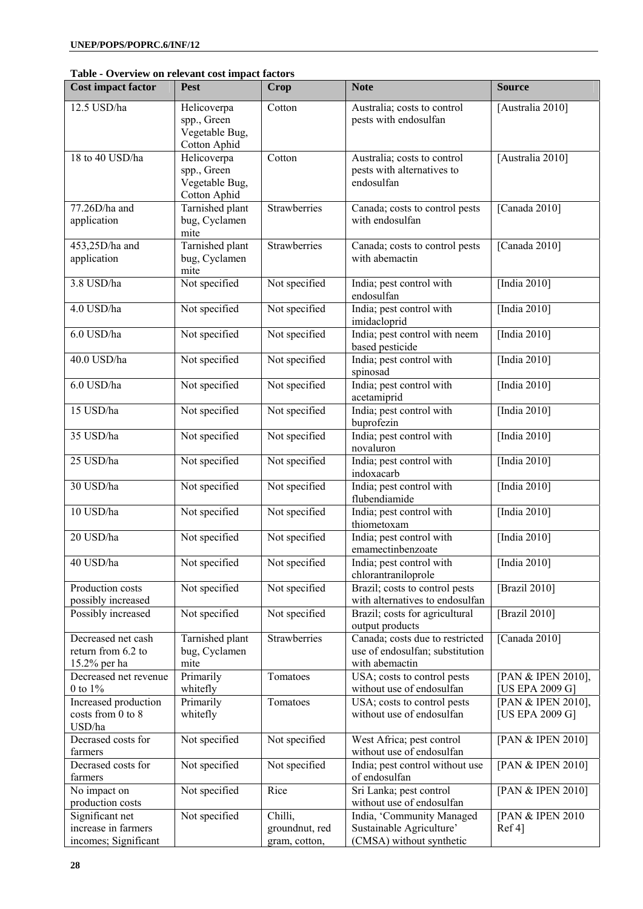|  |  |  | Table - Overview on relevant cost impact factors |
|--|--|--|--------------------------------------------------|
|--|--|--|--------------------------------------------------|

| <b>Cost impact factor</b>                                      | <b>Pest</b>                                                  | Crop                                       | <b>Note</b>                                                                          | <b>Source</b>                         |
|----------------------------------------------------------------|--------------------------------------------------------------|--------------------------------------------|--------------------------------------------------------------------------------------|---------------------------------------|
| 12.5 USD/ha                                                    | Helicoverpa<br>spp., Green<br>Vegetable Bug,<br>Cotton Aphid | Cotton                                     | Australia; costs to control<br>pests with endosulfan                                 | [Australia 2010]                      |
| 18 to 40 USD/ha                                                | Helicoverpa<br>spp., Green<br>Vegetable Bug,<br>Cotton Aphid | Cotton                                     | Australia; costs to control<br>pests with alternatives to<br>endosulfan              | [Australia 2010]                      |
| 77.26D/ha and<br>application                                   | Tarnished plant<br>bug, Cyclamen<br>mite                     | Strawberries                               | Canada; costs to control pests<br>with endosulfan                                    | [Canada 2010]                         |
| 453,25D/ha and<br>application                                  | Tarnished plant<br>bug, Cyclamen<br>mite                     | Strawberries                               | Canada; costs to control pests<br>with abemactin                                     | [Canada 2010]                         |
| 3.8 USD/ha                                                     | Not specified                                                | Not specified                              | India; pest control with<br>endosulfan                                               | [India 2010]                          |
| 4.0 USD/ha                                                     | Not specified                                                | Not specified                              | India; pest control with<br>imidacloprid                                             | [India 2010]                          |
| 6.0 USD/ha                                                     | Not specified                                                | Not specified                              | India; pest control with neem<br>based pesticide                                     | [India 2010]                          |
| 40.0 USD/ha                                                    | Not specified                                                | Not specified                              | India; pest control with<br>spinosad                                                 | [India 2010]                          |
| 6.0 USD/ha                                                     | Not specified                                                | Not specified                              | India; pest control with<br>acetamiprid                                              | [India 2010]                          |
| 15 USD/ha                                                      | Not specified                                                | Not specified                              | India; pest control with<br>buprofezin                                               | [India 2010]                          |
| 35 USD/ha                                                      | Not specified                                                | Not specified                              | India; pest control with<br>novaluron                                                | [India 2010]                          |
| 25 USD/ha                                                      | Not specified                                                | Not specified                              | India; pest control with<br>indoxacarb                                               | [India $20\overline{10}$ ]            |
| 30 USD/ha                                                      | Not specified                                                | Not specified                              | India; pest control with<br>flubendiamide                                            | [India 2010]                          |
| 10 USD/ha                                                      | Not specified                                                | Not specified                              | India; pest control with<br>thiometoxam                                              | [India 2010]                          |
| 20 USD/ha                                                      | Not specified                                                | Not specified                              | India; pest control with<br>emamectinbenzoate                                        | [India 2010]                          |
| 40 USD/ha                                                      | Not specified                                                | Not specified                              | India; pest control with<br>chlorantraniloprole                                      | [India 2010]                          |
| Production costs<br>possibly increased                         | Not specified                                                | Not specified                              | Brazil; costs to control pests<br>with alternatives to endosulfan                    | [Brazil 2010]                         |
| Possibly increased                                             | Not specified                                                | Not specified                              | Brazil; costs for agricultural<br>output products                                    | [Brazil 2010]                         |
| Decreased net cash<br>return from 6.2 to<br>15.2% per ha       | Tarnished plant<br>bug, Cyclamen<br>mite                     | Strawberries                               | Canada; costs due to restricted<br>use of endosulfan; substitution<br>with abemactin | [Canada 2010]                         |
| Decreased net revenue<br>0 to $1\%$                            | Primarily<br>whitefly                                        | Tomatoes                                   | USA; costs to control pests<br>without use of endosulfan                             | [PAN & IPEN 2010],<br>[US EPA 2009 G] |
| Increased production<br>costs from 0 to 8<br>USD/ha            | Primarily<br>whitefly                                        | Tomatoes                                   | USA; costs to control pests<br>without use of endosulfan                             | [PAN & IPEN 2010],<br>[US EPA 2009 G] |
| Decrased costs for<br>farmers                                  | Not specified                                                | Not specified                              | West Africa; pest control<br>without use of endosulfan                               | [PAN & IPEN 2010]                     |
| Decrased costs for<br>farmers                                  | Not specified                                                | Not specified                              | India; pest control without use<br>of endosulfan                                     | [PAN & IPEN 2010]                     |
| No impact on<br>production costs                               | Not specified                                                | Rice                                       | Sri Lanka; pest control<br>without use of endosulfan                                 | [PAN & IPEN 2010]                     |
| Significant net<br>increase in farmers<br>incomes; Significant | Not specified                                                | Chilli,<br>groundnut, red<br>gram, cotton, | India, 'Community Managed<br>Sustainable Agriculture'<br>(CMSA) without synthetic    | [PAN & IPEN 2010<br>Ref 4]            |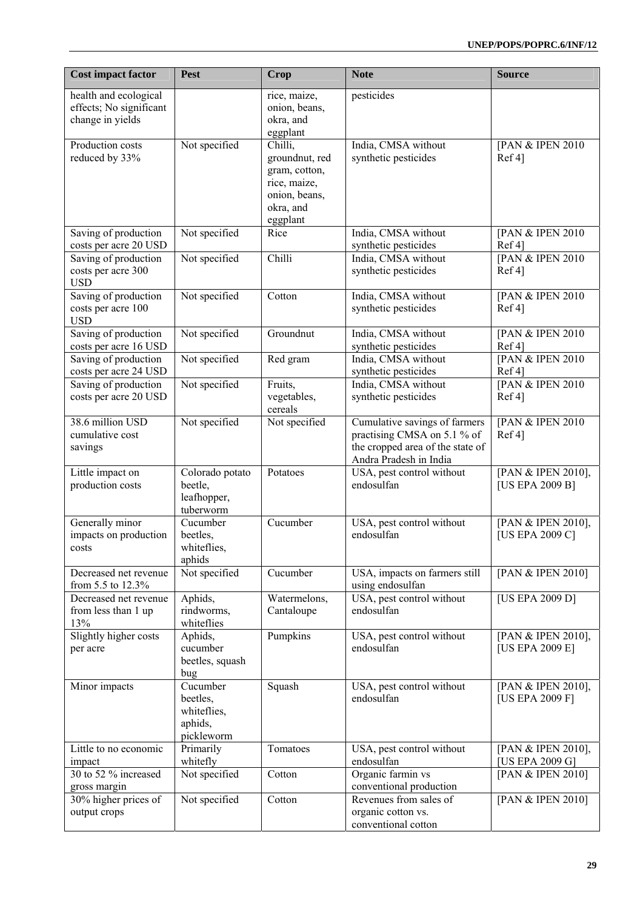| <b>Cost impact factor</b>                                            | Pest                                                         | <b>Crop</b>                                                                                          | <b>Note</b>                                                                                                                | <b>Source</b>                         |
|----------------------------------------------------------------------|--------------------------------------------------------------|------------------------------------------------------------------------------------------------------|----------------------------------------------------------------------------------------------------------------------------|---------------------------------------|
| health and ecological<br>effects; No significant<br>change in yields |                                                              | rice, maize,<br>onion, beans,<br>okra, and<br>eggplant                                               | pesticides                                                                                                                 |                                       |
| Production costs<br>reduced by 33%                                   | Not specified                                                | Chilli,<br>groundnut, red<br>gram, cotton,<br>rice, maize,<br>onion, beans,<br>okra, and<br>eggplant | India, CMSA without<br>synthetic pesticides                                                                                | [PAN & IPEN 2010<br>Ref 4]            |
| Saving of production<br>costs per acre 20 USD                        | Not specified                                                | Rice                                                                                                 | India, CMSA without<br>synthetic pesticides                                                                                | [PAN & IPEN 2010<br>Ref 4             |
| Saving of production<br>costs per acre 300<br><b>USD</b>             | Not specified                                                | Chilli                                                                                               | India, CMSA without<br>synthetic pesticides                                                                                | [PAN & IPEN 2010<br>Ref 4]            |
| Saving of production<br>costs per acre 100<br><b>USD</b>             | Not specified                                                | Cotton                                                                                               | India, CMSA without<br>synthetic pesticides                                                                                | [PAN & IPEN 2010<br>Ref 4]            |
| Saving of production<br>costs per acre 16 USD                        | Not specified                                                | Groundnut                                                                                            | India, CMSA without<br>synthetic pesticides                                                                                | [PAN & IPEN 2010<br>Ref 4             |
| Saving of production<br>costs per acre 24 USD                        | Not specified                                                | Red gram                                                                                             | India, CMSA without<br>synthetic pesticides                                                                                | [PAN & IPEN 2010<br>Ref 4             |
| Saving of production<br>costs per acre 20 USD                        | Not specified                                                | Fruits,<br>vegetables,<br>cereals                                                                    | India, CMSA without<br>synthetic pesticides                                                                                | [PAN & IPEN 2010<br>Ref 4]            |
| 38.6 million USD<br>cumulative cost<br>savings                       | Not specified                                                | Not specified                                                                                        | Cumulative savings of farmers<br>practising CMSA on 5.1 % of<br>the cropped area of the state of<br>Andra Pradesh in India | [PAN & IPEN 2010<br>Ref 4]            |
| Little impact on<br>production costs                                 | Colorado potato<br>beetle,<br>leafhopper,<br>tuberworm       | Potatoes                                                                                             | USA, pest control without<br>endosulfan                                                                                    | [PAN & IPEN 2010],<br>[US EPA 2009 B] |
| Generally minor<br>impacts on production<br>costs                    | Cucumber<br>beetles,<br>whiteflies,<br>aphids                | Cucumber                                                                                             | USA, pest control without<br>endosulfan                                                                                    | [PAN & IPEN 2010],<br>[US EPA 2009 C] |
| Decreased net revenue<br>from 5.5 to 12.3%                           | Not specified                                                | Cucumber                                                                                             | USA, impacts on farmers still<br>using endosulfan                                                                          | [PAN & IPEN 2010]                     |
| Decreased net revenue<br>from less than 1 up<br>13%                  | Aphids,<br>rindworms,<br>whiteflies                          | Watermelons,<br>Cantaloupe                                                                           | USA, pest control without<br>endosulfan                                                                                    | [US EPA 2009 D]                       |
| Slightly higher costs<br>per acre                                    | Aphids,<br>cucumber<br>beetles, squash<br>bug                | Pumpkins                                                                                             | USA, pest control without<br>endosulfan                                                                                    | [PAN & IPEN 2010],<br>[US EPA 2009 E] |
| Minor impacts                                                        | Cucumber<br>beetles,<br>whiteflies,<br>aphids,<br>pickleworm | Squash                                                                                               | USA, pest control without<br>endosulfan                                                                                    | [PAN & IPEN 2010],<br>[US EPA 2009 F] |
| Little to no economic<br>impact                                      | Primarily<br>whitefly                                        | Tomatoes                                                                                             | USA, pest control without<br>endosulfan                                                                                    | [PAN & IPEN 2010],<br>[US EPA 2009 G] |
| 30 to 52 % increased<br>gross margin                                 | Not specified                                                | Cotton                                                                                               | Organic farmin vs<br>conventional production                                                                               | [PAN & IPEN 2010]                     |
| 30% higher prices of<br>output crops                                 | Not specified                                                | Cotton                                                                                               | Revenues from sales of<br>organic cotton vs.<br>conventional cotton                                                        | [PAN & IPEN 2010]                     |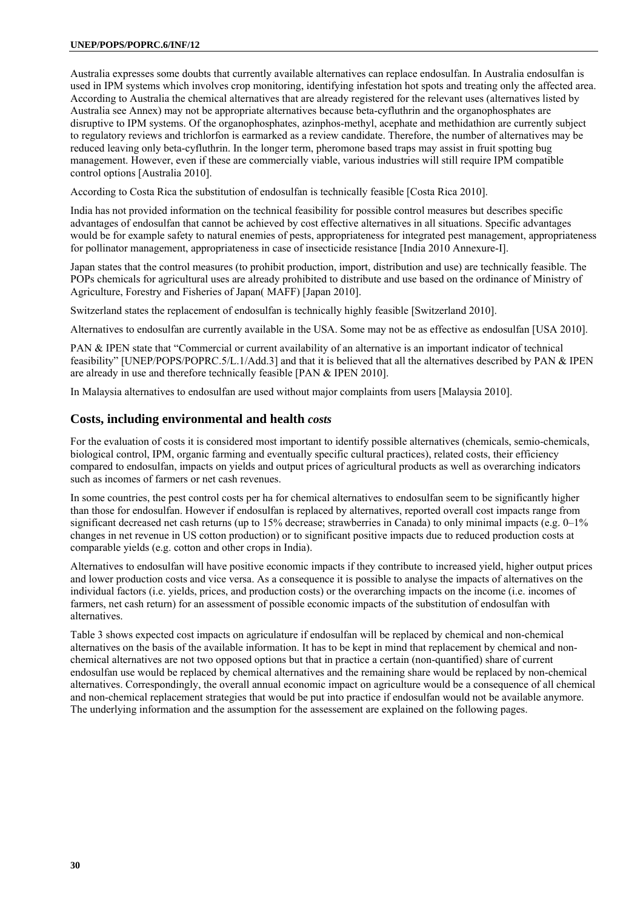#### **UNEP/POPS/POPRC.6/INF/12**

Australia expresses some doubts that currently available alternatives can replace endosulfan. In Australia endosulfan is used in IPM systems which involves crop monitoring, identifying infestation hot spots and treating only the affected area. According to Australia the chemical alternatives that are already registered for the relevant uses (alternatives listed by Australia see Annex) may not be appropriate alternatives because beta-cyfluthrin and the organophosphates are disruptive to IPM systems. Of the organophosphates, azinphos-methyl, acephate and methidathion are currently subject to regulatory reviews and trichlorfon is earmarked as a review candidate. Therefore, the number of alternatives may be reduced leaving only beta-cyfluthrin. In the longer term, pheromone based traps may assist in fruit spotting bug management. However, even if these are commercially viable, various industries will still require IPM compatible control options [Australia 2010].

According to Costa Rica the substitution of endosulfan is technically feasible [Costa Rica 2010].

India has not provided information on the technical feasibility for possible control measures but describes specific advantages of endosulfan that cannot be achieved by cost effective alternatives in all situations. Specific advantages would be for example safety to natural enemies of pests, appropriateness for integrated pest management, appropriateness for pollinator management, appropriateness in case of insecticide resistance [India 2010 Annexure-I].

Japan states that the control measures (to prohibit production, import, distribution and use) are technically feasible. The POPs chemicals for agricultural uses are already prohibited to distribute and use based on the ordinance of Ministry of Agriculture, Forestry and Fisheries of Japan( MAFF) [Japan 2010].

Switzerland states the replacement of endosulfan is technically highly feasible [Switzerland 2010].

Alternatives to endosulfan are currently available in the USA. Some may not be as effective as endosulfan [USA 2010].

PAN & IPEN state that "Commercial or current availability of an alternative is an important indicator of technical feasibility" [UNEP/POPS/POPRC.5/L.1/Add.3] and that it is believed that all the alternatives described by PAN & IPEN are already in use and therefore technically feasible [PAN & IPEN 2010].

In Malaysia alternatives to endosulfan are used without major complaints from users [Malaysia 2010].

# **Costs, including environmental and health** *costs*

For the evaluation of costs it is considered most important to identify possible alternatives (chemicals, semio-chemicals, biological control, IPM, organic farming and eventually specific cultural practices), related costs, their efficiency compared to endosulfan, impacts on yields and output prices of agricultural products as well as overarching indicators such as incomes of farmers or net cash revenues.

In some countries, the pest control costs per ha for chemical alternatives to endosulfan seem to be significantly higher than those for endosulfan. However if endosulfan is replaced by alternatives, reported overall cost impacts range from significant decreased net cash returns (up to 15% decrease; strawberries in Canada) to only minimal impacts (e.g. 0–1%) changes in net revenue in US cotton production) or to significant positive impacts due to reduced production costs at comparable yields (e.g. cotton and other crops in India).

Alternatives to endosulfan will have positive economic impacts if they contribute to increased yield, higher output prices and lower production costs and vice versa. As a consequence it is possible to analyse the impacts of alternatives on the individual factors (i.e. yields, prices, and production costs) or the overarching impacts on the income (i.e. incomes of farmers, net cash return) for an assessment of possible economic impacts of the substitution of endosulfan with alternatives.

Table 3 shows expected cost impacts on agriculature if endosulfan will be replaced by chemical and non-chemical alternatives on the basis of the available information. It has to be kept in mind that replacement by chemical and nonchemical alternatives are not two opposed options but that in practice a certain (non-quantified) share of current endosulfan use would be replaced by chemical alternatives and the remaining share would be replaced by non-chemical alternatives. Correspondingly, the overall annual economic impact on agriculture would be a consequence of all chemical and non-chemical replacement strategies that would be put into practice if endosulfan would not be available anymore. The underlying information and the assumption for the assessement are explained on the following pages.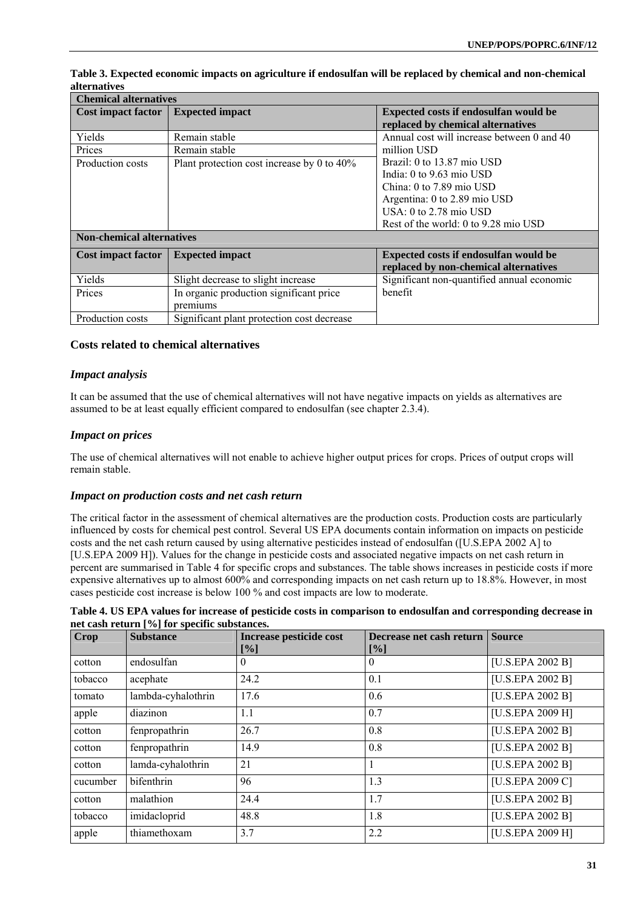| <b>Chemical alternatives</b>     |                                            |                                                     |  |  |  |
|----------------------------------|--------------------------------------------|-----------------------------------------------------|--|--|--|
| <b>Cost impact factor</b>        | <b>Expected impact</b>                     | <b>Expected costs if endosulfan would be</b>        |  |  |  |
|                                  |                                            | replaced by chemical alternatives                   |  |  |  |
| Yields                           | Remain stable                              | Annual cost will increase between 0 and 40          |  |  |  |
| Prices                           | Remain stable                              | million USD                                         |  |  |  |
| Production costs                 | Plant protection cost increase by 0 to 40% | Brazil: 0 to 13.87 mio USD                          |  |  |  |
|                                  |                                            | India: $0 \text{ to } 9.63 \text{ mio } \text{USD}$ |  |  |  |
|                                  |                                            | China: 0 to 7.89 mio USD                            |  |  |  |
|                                  |                                            | Argentina: 0 to 2.89 mio USD                        |  |  |  |
|                                  |                                            | USA: $0$ to 2.78 mio USD                            |  |  |  |
|                                  |                                            | Rest of the world: 0 to 9.28 mio USD                |  |  |  |
| <b>Non-chemical alternatives</b> |                                            |                                                     |  |  |  |
| <b>Cost impact factor</b>        | <b>Expected impact</b>                     | Expected costs if endosulfan would be               |  |  |  |
|                                  |                                            | replaced by non-chemical alternatives               |  |  |  |
| Yields                           | Slight decrease to slight increase         | Significant non-quantified annual economic          |  |  |  |
| Prices                           | In organic production significant price    | benefit                                             |  |  |  |
|                                  | premiums                                   |                                                     |  |  |  |
| Production costs                 | Significant plant protection cost decrease |                                                     |  |  |  |

### **Table 3. Expected economic impacts on agriculture if endosulfan will be replaced by chemical and non-chemical alternatives**

#### **Costs related to chemical alternatives**

#### *Impact analysis*

It can be assumed that the use of chemical alternatives will not have negative impacts on yields as alternatives are assumed to be at least equally efficient compared to endosulfan (see chapter 2.3.4).

#### *Impact on prices*

The use of chemical alternatives will not enable to achieve higher output prices for crops. Prices of output crops will remain stable.

#### *Impact on production costs and net cash return*

The critical factor in the assessment of chemical alternatives are the production costs. Production costs are particularly influenced by costs for chemical pest control. Several US EPA documents contain information on impacts on pesticide costs and the net cash return caused by using alternative pesticides instead of endosulfan ([U.S.EPA 2002 A] to [U.S.EPA 2009 H]). Values for the change in pesticide costs and associated negative impacts on net cash return in percent are summarised in Table 4 for specific crops and substances. The table shows increases in pesticide costs if more expensive alternatives up to almost 600% and corresponding impacts on net cash return up to 18.8%. However, in most cases pesticide cost increase is below 100 % and cost impacts are low to moderate.

| Table 4. US EPA values for increase of pesticide costs in comparison to endosulfan and corresponding decrease in |  |  |  |
|------------------------------------------------------------------------------------------------------------------|--|--|--|
| net cash return [%] for specific substances.                                                                     |  |  |  |

| Crop     | <b>Substance</b>   | Increase pesticide cost<br>[%] | Decrease net cash return<br>[%] | <b>Source</b>    |
|----------|--------------------|--------------------------------|---------------------------------|------------------|
| cotton   | endosulfan         | $\theta$                       | 0                               | [U.S.EPA 2002 B] |
| tobacco  | acephate           | 24.2                           | 0.1                             | [U.S.EPA 2002 B] |
| tomato   | lambda-cyhalothrin | 17.6                           | 0.6                             | [U.S.EPA 2002 B] |
| apple    | diazinon           | 1.1                            | 0.7                             | [U.S.EPA 2009 H] |
| cotton   | fenpropathrin      | 26.7                           | 0.8                             | [U.S.EPA 2002 B] |
| cotton   | fenpropathrin      | 14.9                           | 0.8                             | [U.S.EPA 2002 B] |
| cotton   | lamda-cyhalothrin  | 21                             |                                 | [U.S.EPA 2002 B] |
| cucumber | bifenthrin         | 96                             | 1.3                             | [U.S.EPA 2009 C] |
| cotton   | malathion          | 24.4                           | 1.7                             | [U.S.EPA 2002 B] |
| tobacco  | imidacloprid       | 48.8                           | 1.8                             | [U.S.EPA 2002 B] |
| apple    | thiamethoxam       | 3.7                            | 2.2                             | [U.S.EPA 2009 H] |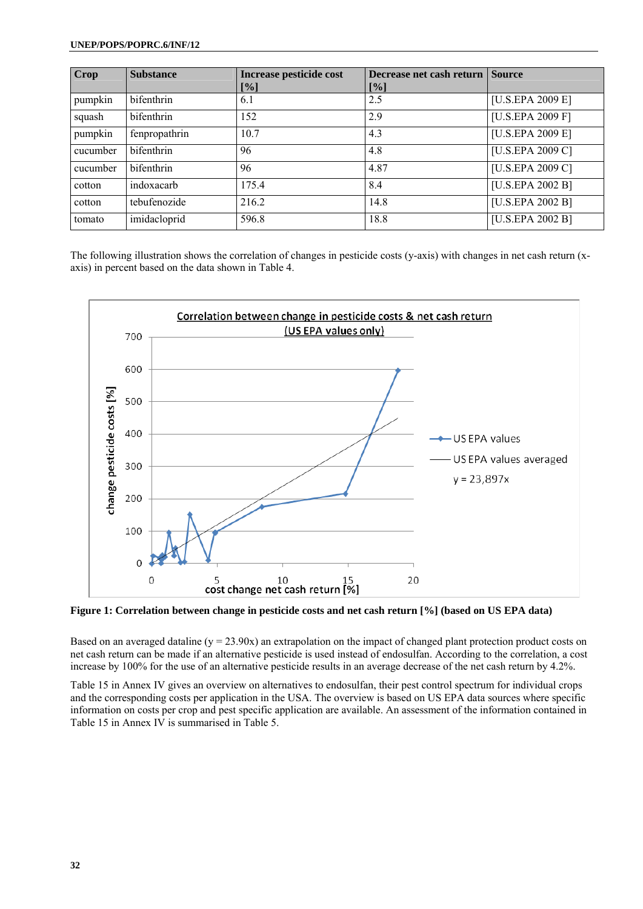#### **UNEP/POPS/POPRC.6/INF/12**

| Crop     | <b>Substance</b>  | Increase pesticide cost | Decrease net cash return Source |                  |
|----------|-------------------|-------------------------|---------------------------------|------------------|
|          |                   | $[\%]$                  | $[\%]$                          |                  |
| pumpkin  | bifenthrin        | 6.1                     | 2.5                             | [U.S.EPA 2009 E] |
| squash   | bifenthrin        | 152                     | 2.9                             | [U.S.EPA 2009 F] |
| pumpkin  | fenpropathrin     | 10.7                    | 4.3                             | [U.S.EPA 2009 E] |
| cucumber | <b>bifenthrin</b> | 96                      | 4.8                             | [U.S.EPA 2009 C] |
| cucumber | bifenthrin        | 96                      | 4.87                            | [U.S.EPA 2009 C] |
| cotton   | indoxacarb        | 175.4                   | 8.4                             | [U.S.EPA 2002 B] |
| cotton   | tebufenozide      | 216.2                   | 14.8                            | [U.S.EPA 2002 B] |
| tomato   | imidacloprid      | 596.8                   | 18.8                            | [U.S.EPA 2002 B] |

The following illustration shows the correlation of changes in pesticide costs (y-axis) with changes in net cash return (xaxis) in percent based on the data shown in Table 4.



**Figure 1: Correlation between change in pesticide costs and net cash return [%] (based on US EPA data)** 

Based on an averaged dataline ( $y = 23.90x$ ) an extrapolation on the impact of changed plant protection product costs on net cash return can be made if an alternative pesticide is used instead of endosulfan. According to the correlation, a cost increase by 100% for the use of an alternative pesticide results in an average decrease of the net cash return by 4.2%.

Table 15 in Annex IV gives an overview on alternatives to endosulfan, their pest control spectrum for individual crops and the corresponding costs per application in the USA. The overview is based on US EPA data sources where specific information on costs per crop and pest specific application are available. An assessment of the information contained in Table 15 in Annex IV is summarised in Table 5.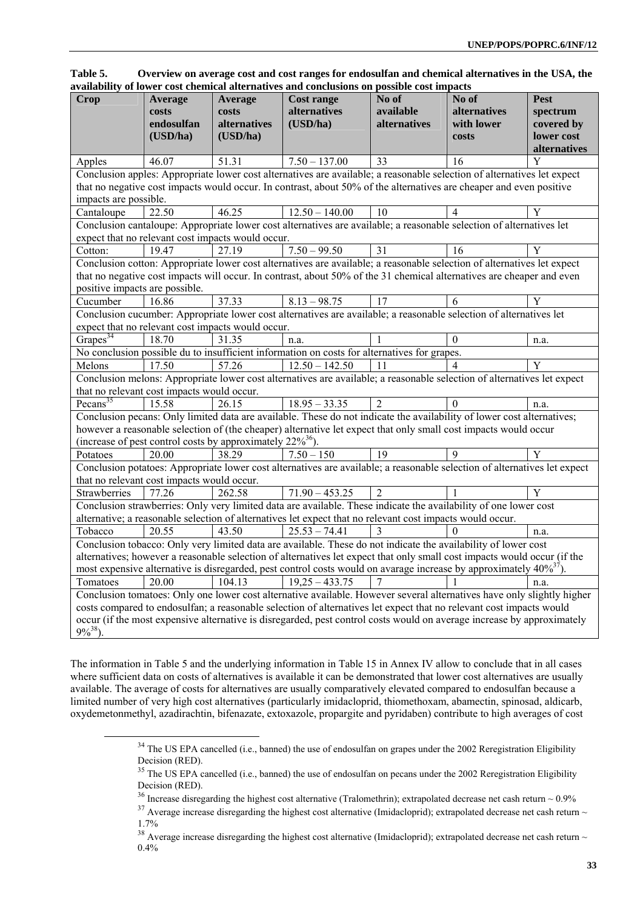| Table 5. |  | Overview on average cost and cost ranges for endosulfan and chemical alternatives in the USA, the |  |  |
|----------|--|---------------------------------------------------------------------------------------------------|--|--|
|          |  | availability of lower cost chemical alternatives and conclusions on possible cost impacts         |  |  |

| , ,,,,,,,,,,,,,<br><b>Crop</b>                                                                                                                                                                                                                      | or to were concentrated<br>Average<br>costs<br>endosulfan                                                      | Average<br>costs<br>alternatives                                      | <b>Cost range</b><br>alternatives<br>(USD/ha)                                                                                            | JODDIDIU UUDI MM<br>No of<br>available<br>alternatives | No of<br>alternatives<br>with lower | Pest<br>spectrum<br>covered by |  |
|-----------------------------------------------------------------------------------------------------------------------------------------------------------------------------------------------------------------------------------------------------|----------------------------------------------------------------------------------------------------------------|-----------------------------------------------------------------------|------------------------------------------------------------------------------------------------------------------------------------------|--------------------------------------------------------|-------------------------------------|--------------------------------|--|
|                                                                                                                                                                                                                                                     | (USD/ha)                                                                                                       | (USD/ha)                                                              |                                                                                                                                          |                                                        | costs                               | lower cost<br>alternatives     |  |
| Apples                                                                                                                                                                                                                                              | 46.07                                                                                                          | 51.31                                                                 | $7.50 - 137.00$                                                                                                                          | $\overline{33}$                                        | 16                                  | Y                              |  |
|                                                                                                                                                                                                                                                     |                                                                                                                |                                                                       | Conclusion apples: Appropriate lower cost alternatives are available; a reasonable selection of alternatives let expect                  |                                                        |                                     |                                |  |
|                                                                                                                                                                                                                                                     |                                                                                                                |                                                                       | that no negative cost impacts would occur. In contrast, about 50% of the alternatives are cheaper and even positive                      |                                                        |                                     |                                |  |
| impacts are possible.                                                                                                                                                                                                                               |                                                                                                                |                                                                       |                                                                                                                                          |                                                        |                                     |                                |  |
| Cantaloupe                                                                                                                                                                                                                                          | 22.50                                                                                                          | 46.25                                                                 | $12.50 - 140.00$<br>Conclusion cantaloupe: Appropriate lower cost alternatives are available; a reasonable selection of alternatives let | 10                                                     | $\overline{4}$                      | Y                              |  |
|                                                                                                                                                                                                                                                     |                                                                                                                | expect that no relevant cost impacts would occur.                     |                                                                                                                                          |                                                        |                                     |                                |  |
| Cotton:                                                                                                                                                                                                                                             | 19.47                                                                                                          | 27.19                                                                 | $7.50 - 99.50$                                                                                                                           | 31                                                     | $\overline{16}$                     | Y                              |  |
|                                                                                                                                                                                                                                                     |                                                                                                                |                                                                       | Conclusion cotton: Appropriate lower cost alternatives are available; a reasonable selection of alternatives let expect                  |                                                        |                                     |                                |  |
|                                                                                                                                                                                                                                                     |                                                                                                                |                                                                       | that no negative cost impacts will occur. In contrast, about 50% of the 31 chemical alternatives are cheaper and even                    |                                                        |                                     |                                |  |
| positive impacts are possible.                                                                                                                                                                                                                      |                                                                                                                |                                                                       |                                                                                                                                          |                                                        |                                     |                                |  |
| Cucumber                                                                                                                                                                                                                                            | 16.86                                                                                                          | 37.33                                                                 | $8.13 - 98.75$                                                                                                                           | 17                                                     | 6                                   | Y                              |  |
|                                                                                                                                                                                                                                                     |                                                                                                                |                                                                       | Conclusion cucumber: Appropriate lower cost alternatives are available; a reasonable selection of alternatives let                       |                                                        |                                     |                                |  |
|                                                                                                                                                                                                                                                     |                                                                                                                | expect that no relevant cost impacts would occur.                     |                                                                                                                                          |                                                        |                                     |                                |  |
| Grapes <sup>34</sup>                                                                                                                                                                                                                                | 18.70                                                                                                          | 31.35                                                                 | n.a.                                                                                                                                     |                                                        | $\mathbf{0}$                        | n.a.                           |  |
|                                                                                                                                                                                                                                                     |                                                                                                                |                                                                       | No conclusion possible du to insufficient information on costs for alternatives for grapes.                                              |                                                        |                                     |                                |  |
| Melons                                                                                                                                                                                                                                              | 17.50                                                                                                          | 57.26                                                                 | $12.50 - 142.50$                                                                                                                         | 11                                                     |                                     | Y                              |  |
|                                                                                                                                                                                                                                                     |                                                                                                                |                                                                       | Conclusion melons: Appropriate lower cost alternatives are available; a reasonable selection of alternatives let expect                  |                                                        |                                     |                                |  |
|                                                                                                                                                                                                                                                     | that no relevant cost impacts would occur.                                                                     |                                                                       |                                                                                                                                          |                                                        |                                     |                                |  |
| Pecans <sup>35</sup>                                                                                                                                                                                                                                | 15.58                                                                                                          | 26.15                                                                 | $18.95 - 33.35$                                                                                                                          | $\overline{2}$                                         | $\theta$                            | n.a.                           |  |
|                                                                                                                                                                                                                                                     |                                                                                                                |                                                                       | Conclusion pecans: Only limited data are available. These do not indicate the availability of lower cost alternatives;                   |                                                        |                                     |                                |  |
|                                                                                                                                                                                                                                                     |                                                                                                                |                                                                       | however a reasonable selection of (the cheaper) alternative let expect that only small cost impacts would occur                          |                                                        |                                     |                                |  |
|                                                                                                                                                                                                                                                     |                                                                                                                | (increase of pest control costs by approximately 22% <sup>36</sup> ). |                                                                                                                                          |                                                        |                                     |                                |  |
| Potatoes                                                                                                                                                                                                                                            | 20.00                                                                                                          | 38.29                                                                 | $7.50 - 150$                                                                                                                             | 19                                                     | $\mathbf Q$                         | Y                              |  |
|                                                                                                                                                                                                                                                     |                                                                                                                |                                                                       | Conclusion potatoes: Appropriate lower cost alternatives are available; a reasonable selection of alternatives let expect                |                                                        |                                     |                                |  |
|                                                                                                                                                                                                                                                     | that no relevant cost impacts would occur.                                                                     |                                                                       |                                                                                                                                          |                                                        |                                     |                                |  |
| Strawberries                                                                                                                                                                                                                                        | 77.26                                                                                                          | 262.58                                                                | $71.90 - 453.25$                                                                                                                         | $\overline{2}$                                         |                                     | $\overline{Y}$                 |  |
|                                                                                                                                                                                                                                                     |                                                                                                                |                                                                       | Conclusion strawberries: Only very limited data are available. These indicate the availability of one lower cost                         |                                                        |                                     |                                |  |
|                                                                                                                                                                                                                                                     |                                                                                                                |                                                                       | alternative; a reasonable selection of alternatives let expect that no relevant cost impacts would occur.                                |                                                        |                                     |                                |  |
| Tobacco                                                                                                                                                                                                                                             | 20.55                                                                                                          | 43.50                                                                 | $25.53 - 74.41$                                                                                                                          | 3                                                      |                                     | n.a.                           |  |
|                                                                                                                                                                                                                                                     | Conclusion tobacco: Only very limited data are available. These do not indicate the availability of lower cost |                                                                       |                                                                                                                                          |                                                        |                                     |                                |  |
| alternatives; however a reasonable selection of alternatives let expect that only small cost impacts would occur (if the<br>most expensive alternative is disregarded, pest control costs would on avarage increase by approximately $40\%^{37}$ ). |                                                                                                                |                                                                       |                                                                                                                                          |                                                        |                                     |                                |  |
|                                                                                                                                                                                                                                                     |                                                                                                                |                                                                       |                                                                                                                                          |                                                        |                                     |                                |  |
| Tomatoes                                                                                                                                                                                                                                            | 20.00                                                                                                          | 104.13                                                                | $19,25 - 433.75$                                                                                                                         | 7                                                      |                                     | n.a.                           |  |
|                                                                                                                                                                                                                                                     |                                                                                                                |                                                                       | Conclusion tomatoes: Only one lower cost alternative available. However several alternatives have only slightly higher                   |                                                        |                                     |                                |  |
| costs compared to endosulfan; a reasonable selection of alternatives let expect that no relevant cost impacts would                                                                                                                                 |                                                                                                                |                                                                       |                                                                                                                                          |                                                        |                                     |                                |  |
| occur (if the most expensive alternative is disregarded, pest control costs would on average increase by approximately<br>$9\%^{38}$ ).                                                                                                             |                                                                                                                |                                                                       |                                                                                                                                          |                                                        |                                     |                                |  |

The information in Table 5 and the underlying information in Table 15 in Annex IV allow to conclude that in all cases where sufficient data on costs of alternatives is available it can be demonstrated that lower cost alternatives are usually available. The average of costs for alternatives are usually comparatively elevated compared to endosulfan because a limited number of very high cost alternatives (particularly imidacloprid, thiomethoxam, abamectin, spinosad, aldicarb, oxydemetonmethyl, azadirachtin, bifenazate, extoxazole, propargite and pyridaben) contribute to high averages of cost

<sup>&</sup>lt;sup>34</sup> The US EPA cancelled (i.e., banned) the use of endosulfan on grapes under the 2002 Reregistration Eligibility Decision (RED).

<sup>&</sup>lt;sup>35</sup> The US EPA cancelled (i.e., banned) the use of endosulfan on pecans under the 2002 Reregistration Eligibility Decision (RED).

<sup>&</sup>lt;sup>36</sup> Increase disregarding the highest cost alternative (Tralomethrin); extrapolated decrease net cash return ~ 0.9%<br><sup>37</sup> Average increase disregarding the highest cost alternative (Imidacloprid); extrapolated decrease ne 1.7%

 $38$  Average increase disregarding the highest cost alternative (Imidacloprid); extrapolated decrease net cash return  $\sim$ 0.4%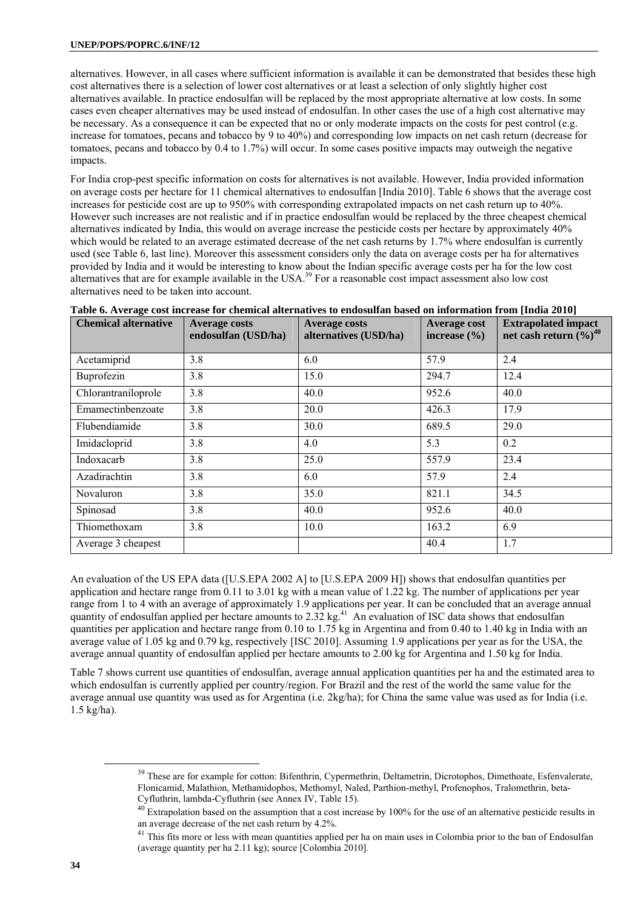alternatives. However, in all cases where sufficient information is available it can be demonstrated that besides these high cost alternatives there is a selection of lower cost alternatives or at least a selection of only slightly higher cost alternatives available. In practice endosulfan will be replaced by the most appropriate alternative at low costs. In some cases even cheaper alternatives may be used instead of endosulfan. In other cases the use of a high cost alternative may be necessary. As a consequence it can be expected that no or only moderate impacts on the costs for pest control (e.g. increase for tomatoes, pecans and tobacco by 9 to 40%) and corresponding low impacts on net cash return (decrease for tomatoes, pecans and tobacco by 0.4 to 1.7%) will occur. In some cases positive impacts may outweigh the negative impacts.

For India crop-pest specific information on costs for alternatives is not available. However, India provided information on average costs per hectare for 11 chemical alternatives to endosulfan [India 2010]. Table 6 shows that the average cost increases for pesticide cost are up to 950% with corresponding extrapolated impacts on net cash return up to 40%. However such increases are not realistic and if in practice endosulfan would be replaced by the three cheapest chemical alternatives indicated by India, this would on average increase the pesticide costs per hectare by approximately 40% which would be related to an average estimated decrease of the net cash returns by 1.7% where endosulfan is currently used (see Table 6, last line). Moreover this assessment considers only the data on average costs per ha for alternatives provided by India and it would be interesting to know about the Indian specific average costs per ha for the low cost alternatives that are for example available in the USA.<sup>39</sup> For a reasonable cost impact assessment also low cost alternatives need to be taken into account.

| <b>Chemical alternative</b> | <b>Average costs</b><br>endosulfan (USD/ha) | <b>Average costs</b><br>alternatives (USD/ha) | <b>Average cost</b><br>increase $(\% )$ | <b>Extrapolated impact</b><br>net cash return $(\%)^{40}$ |
|-----------------------------|---------------------------------------------|-----------------------------------------------|-----------------------------------------|-----------------------------------------------------------|
| Acetamiprid                 | 3.8                                         | 6.0                                           | 57.9                                    | 2.4                                                       |
| Buprofezin                  | 3.8                                         | 15.0                                          | 294.7                                   | 12.4                                                      |
| Chlorantraniloprole         | 3.8                                         | 40.0                                          | 952.6                                   | 40.0                                                      |
| Emamectinbenzoate           | 3.8                                         | 20.0                                          | 426.3                                   | 17.9                                                      |
| Flubendiamide               | 3.8                                         | 30.0                                          | 689.5                                   | 29.0                                                      |
| Imidacloprid                | 3.8                                         | 4.0                                           | 5.3                                     | 0.2                                                       |
| Indoxacarb                  | 3.8                                         | 25.0                                          | 557.9                                   | 23.4                                                      |
| Azadirachtin                | 3.8                                         | 6.0                                           | 57.9                                    | 2.4                                                       |
| Novaluron                   | 3.8                                         | 35.0                                          | 821.1                                   | 34.5                                                      |
| Spinosad                    | 3.8                                         | 40.0                                          | 952.6                                   | 40.0                                                      |
| Thiomethoxam                | 3.8                                         | 10.0                                          | 163.2                                   | 6.9                                                       |
| Average 3 cheapest          |                                             |                                               | 40.4                                    | 1.7                                                       |

### **Table 6. Average cost increase for chemical alternatives to endosulfan based on information from [India 2010]**

An evaluation of the US EPA data ([U.S.EPA 2002 A] to [U.S.EPA 2009 H]) shows that endosulfan quantities per application and hectare range from  $0.11$  to  $3.01$  kg with a mean value of  $1.22$  kg. The number of applications per year range from 1 to 4 with an average of approximately 1.9 applications per year. It can be concluded that an average annual quantity of endosulfan applied per hectare amounts to  $2.32$  kg.<sup>41</sup> An evaluation of ISC data shows that endosulfan quantities per application and hectare range from 0.10 to 1.75 kg in Argentina and from 0.40 to 1.40 kg in India with an average value of 1.05 kg and 0.79 kg, respectively [ISC 2010]. Assuming 1.9 applications per year as for the USA, the average annual quantity of endosulfan applied per hectare amounts to 2.00 kg for Argentina and 1.50 kg for India.

Table 7 shows current use quantities of endosulfan, average annual application quantities per ha and the estimated area to which endosulfan is currently applied per country/region. For Brazil and the rest of the world the same value for the average annual use quantity was used as for Argentina (i.e. 2kg/ha); for China the same value was used as for India (i.e. 1.5 kg/ha).

<sup>&</sup>lt;sup>39</sup> These are for example for cotton: Bifenthrin, Cypermethrin, Deltametrin, Dicrotophos, Dimethoate, Esfenvalerate, Flonicamid, Malathion, Methamidophos, Methomyl, Naled, Parthion-methyl, Profenophos, Tralomethrin, beta-Cyfluthrin, lambda-Cyfluthrin (see Annex IV, Table 15).

 $^{40}$  Extrapolation based on the assumption that a cost increase by 100% for the use of an alternative pesticide results in an average decrease of the net cash return by 4.2%.

<sup>&</sup>lt;sup>41</sup> This fits more or less with mean quantities applied per ha on main uses in Colombia prior to the ban of Endosulfan (average quantity per ha 2.11 kg); source [Colombia 2010].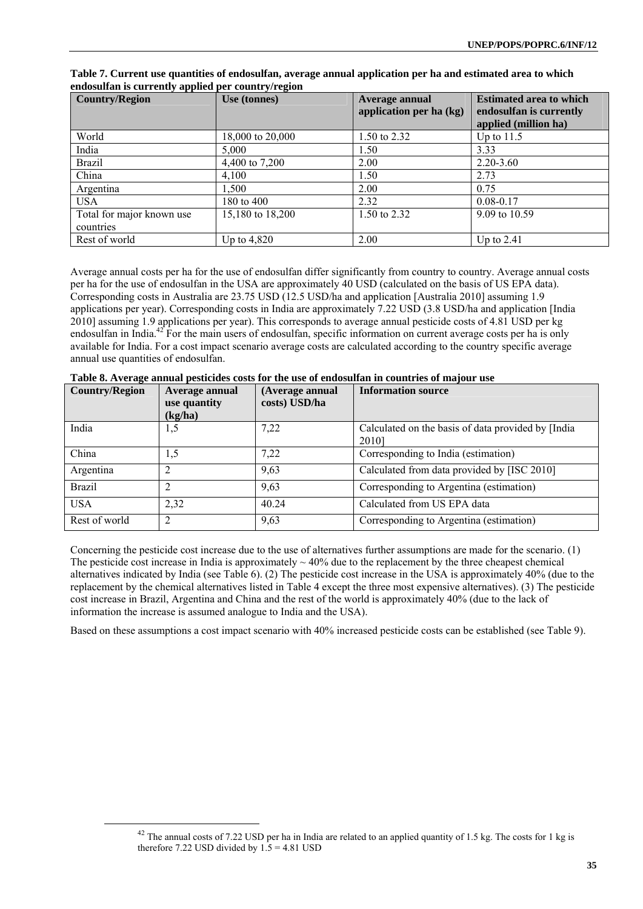| <b>Country/Region</b>                  | Use (tonnes)     | Average annual<br>application per ha (kg) | <b>Estimated area to which</b><br>endosulfan is currently<br>applied (million ha) |
|----------------------------------------|------------------|-------------------------------------------|-----------------------------------------------------------------------------------|
| World                                  | 18,000 to 20,000 | 1.50 to 2.32                              | Up to $11.5$                                                                      |
| India                                  | 5,000            | 1.50                                      | 3.33                                                                              |
| <b>Brazil</b>                          | 4,400 to 7,200   | 2.00                                      | $2.20 - 3.60$                                                                     |
| China                                  | 4.100            | 1.50                                      | 2.73                                                                              |
| Argentina                              | 1,500            | 2.00                                      | 0.75                                                                              |
| <b>USA</b>                             | 180 to 400       | 2.32                                      | $0.08 - 0.17$                                                                     |
| Total for major known use<br>countries | 15,180 to 18,200 | 1.50 to 2.32                              | 9.09 to 10.59                                                                     |
| Rest of world                          | Up to $4,820$    | 2.00                                      | Up to $2.41$                                                                      |

**Table 7. Current use quantities of endosulfan, average annual application per ha and estimated area to which endosulfan is currently applied per country/region** 

Average annual costs per ha for the use of endosulfan differ significantly from country to country. Average annual costs per ha for the use of endosulfan in the USA are approximately 40 USD (calculated on the basis of US EPA data). Corresponding costs in Australia are 23.75 USD (12.5 USD/ha and application [Australia 2010] assuming 1.9 applications per year). Corresponding costs in India are approximately 7.22 USD (3.8 USD/ha and application [India 2010] assuming 1.9 applications per year). This corresponds to average annual pesticide costs of 4.81 USD per kg endosulfan in India. $^{42}$  For the main users of endosulfan, specific information on current average costs per ha is only available for India. For a cost impact scenario average costs are calculated according to the country specific average annual use quantities of endosulfan.

| <b>Country/Region</b> | Average annual<br>use quantity<br>(kg/ha) | (Average annual<br>costs) USD/ha | <b>Information source</b>                                    |
|-----------------------|-------------------------------------------|----------------------------------|--------------------------------------------------------------|
| India                 | 1,5                                       | 7,22                             | Calculated on the basis of data provided by [India]<br>20101 |
| China                 | 1,5                                       | 7,22                             | Corresponding to India (estimation)                          |
| Argentina             |                                           | 9,63                             | Calculated from data provided by [ISC 2010]                  |
| <b>Brazil</b>         |                                           | 9,63                             | Corresponding to Argentina (estimation)                      |
| <b>USA</b>            | 2,32                                      | 40.24                            | Calculated from US EPA data                                  |
| Rest of world         | ↑                                         | 9,63                             | Corresponding to Argentina (estimation)                      |

| Table 8. Average annual pesticides costs for the use of endosulfan in countries of majour use |  |  |  |  |
|-----------------------------------------------------------------------------------------------|--|--|--|--|
|-----------------------------------------------------------------------------------------------|--|--|--|--|

Concerning the pesticide cost increase due to the use of alternatives further assumptions are made for the scenario. (1) The pesticide cost increase in India is approximately  $\sim$  40% due to the replacement by the three cheapest chemical alternatives indicated by India (see Table 6). (2) The pesticide cost increase in the USA is approximately 40% (due to the replacement by the chemical alternatives listed in Table 4 except the three most expensive alternatives). (3) The pesticide cost increase in Brazil, Argentina and China and the rest of the world is approximately 40% (due to the lack of information the increase is assumed analogue to India and the USA).

Based on these assumptions a cost impact scenario with 40% increased pesticide costs can be established (see Table 9).

 $42$  The annual costs of 7.22 USD per ha in India are related to an applied quantity of 1.5 kg. The costs for 1 kg is therefore 7.22 USD divided by  $1.5 = 4.81$  USD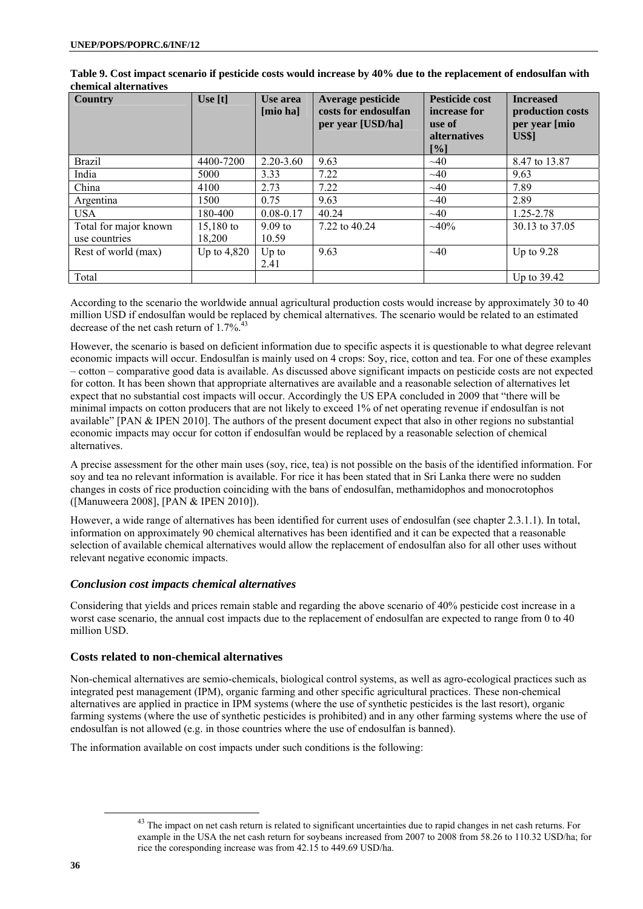| <b>Country</b>        | Use $[t]$     | Use area<br>[mio ha] | Average pesticide<br>costs for endosulfan<br>per year [USD/ha] | <b>Pesticide cost</b><br>increase for<br>use of<br><b>alternatives</b><br>$\lceil \sqrt[9]{6} \rceil$ | <b>Increased</b><br>production costs<br>per year [mio<br><b>US\$1</b> |
|-----------------------|---------------|----------------------|----------------------------------------------------------------|-------------------------------------------------------------------------------------------------------|-----------------------------------------------------------------------|
| <b>Brazil</b>         | 4400-7200     | $2.20 - 3.60$        | 9.63                                                           | $\sim 40$                                                                                             | 8.47 to 13.87                                                         |
| India                 | 5000          | 3.33                 | 7.22                                                           | $\sim$ 40                                                                                             | 9.63                                                                  |
| China                 | 4100          | 2.73                 | 7.22                                                           | $\sim 40$                                                                                             | 7.89                                                                  |
| Argentina             | 1500          | 0.75                 | 9.63                                                           | $\sim$ 40                                                                                             | 2.89                                                                  |
| <b>USA</b>            | 180-400       | $0.08 - 0.17$        | 40.24                                                          | $\sim 40$                                                                                             | 1.25-2.78                                                             |
| Total for major known | $15,180$ to   | $9.09 \text{ to}$    | 7.22 to 40.24                                                  | $\sim 40\%$                                                                                           | 30.13 to 37.05                                                        |
| use countries         | 18.200        | 10.59                |                                                                |                                                                                                       |                                                                       |
| Rest of world (max)   | Up to $4,820$ | $Up$ to<br>2.41      | 9.63                                                           | $\sim$ 40                                                                                             | Up to $9.28$                                                          |
| Total                 |               |                      |                                                                |                                                                                                       | Up to 39.42                                                           |

**Table 9. Cost impact scenario if pesticide costs would increase by 40% due to the replacement of endosulfan with chemical alternatives** 

According to the scenario the worldwide annual agricultural production costs would increase by approximately 30 to 40 million USD if endosulfan would be replaced by chemical alternatives. The scenario would be related to an estimated decrease of the net cash return of  $1.7\%$ <sup>43</sup>

However, the scenario is based on deficient information due to specific aspects it is questionable to what degree relevant economic impacts will occur. Endosulfan is mainly used on 4 crops: Soy, rice, cotton and tea. For one of these examples – cotton – comparative good data is available. As discussed above significant impacts on pesticide costs are not expected for cotton. It has been shown that appropriate alternatives are available and a reasonable selection of alternatives let expect that no substantial cost impacts will occur. Accordingly the US EPA concluded in 2009 that "there will be minimal impacts on cotton producers that are not likely to exceed 1% of net operating revenue if endosulfan is not available" [PAN & IPEN 2010]. The authors of the present document expect that also in other regions no substantial economic impacts may occur for cotton if endosulfan would be replaced by a reasonable selection of chemical alternatives.

A precise assessment for the other main uses (soy, rice, tea) is not possible on the basis of the identified information. For soy and tea no relevant information is available. For rice it has been stated that in Sri Lanka there were no sudden changes in costs of rice production coinciding with the bans of endosulfan, methamidophos and monocrotophos ([Manuweera 2008], [PAN & IPEN 2010]).

However, a wide range of alternatives has been identified for current uses of endosulfan (see chapter 2.3.1.1). In total, information on approximately 90 chemical alternatives has been identified and it can be expected that a reasonable selection of available chemical alternatives would allow the replacement of endosulfan also for all other uses without relevant negative economic impacts.

# *Conclusion cost impacts chemical alternatives*

Considering that yields and prices remain stable and regarding the above scenario of 40% pesticide cost increase in a worst case scenario, the annual cost impacts due to the replacement of endosulfan are expected to range from 0 to 40 million USD.

# **Costs related to non-chemical alternatives**

Non-chemical alternatives are semio-chemicals, biological control systems, as well as agro-ecological practices such as integrated pest management (IPM), organic farming and other specific agricultural practices. These non-chemical alternatives are applied in practice in IPM systems (where the use of synthetic pesticides is the last resort), organic farming systems (where the use of synthetic pesticides is prohibited) and in any other farming systems where the use of endosulfan is not allowed (e.g. in those countries where the use of endosulfan is banned).

The information available on cost impacts under such conditions is the following:

<sup>&</sup>lt;sup>43</sup> The impact on net cash return is related to significant uncertainties due to rapid changes in net cash returns. For example in the USA the net cash return for soybeans increased from 2007 to 2008 from 58.26 to 110.32 USD/ha; for rice the coresponding increase was from 42.15 to 449.69 USD/ha.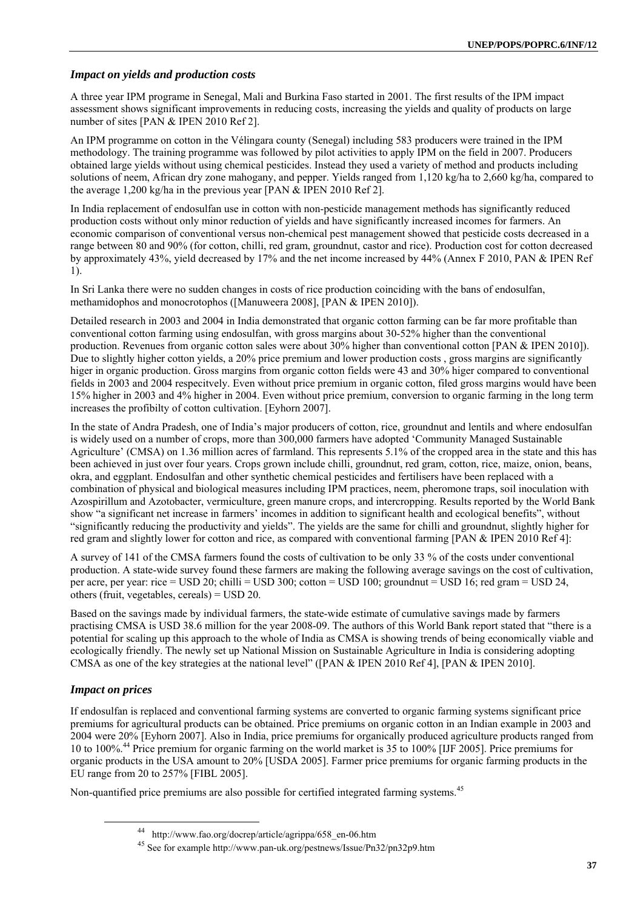## *Impact on yields and production costs*

A three year IPM programe in Senegal, Mali and Burkina Faso started in 2001. The first results of the IPM impact assessment shows significant improvements in reducing costs, increasing the yields and quality of products on large number of sites [PAN & IPEN 2010 Ref 2].

An IPM programme on cotton in the Vélingara county (Senegal) including 583 producers were trained in the IPM methodology. The training programme was followed by pilot activities to apply IPM on the field in 2007. Producers obtained large yields without using chemical pesticides. Instead they used a variety of method and products including solutions of neem, African dry zone mahogany, and pepper. Yields ranged from 1,120 kg/ha to 2,660 kg/ha, compared to the average 1,200 kg/ha in the previous year [PAN & IPEN 2010 Ref 2].

In India replacement of endosulfan use in cotton with non-pesticide management methods has significantly reduced production costs without only minor reduction of yields and have significantly increased incomes for farmers. An economic comparison of conventional versus non-chemical pest management showed that pesticide costs decreased in a range between 80 and 90% (for cotton, chilli, red gram, groundnut, castor and rice). Production cost for cotton decreased by approximately 43%, yield decreased by 17% and the net income increased by 44% (Annex F 2010, PAN & IPEN Ref 1).

In Sri Lanka there were no sudden changes in costs of rice production coinciding with the bans of endosulfan, methamidophos and monocrotophos ([Manuweera 2008], [PAN & IPEN 2010]).

Detailed research in 2003 and 2004 in India demonstrated that organic cotton farming can be far more profitable than conventional cotton farming using endosulfan, with gross margins about 30-52% higher than the conventional production. Revenues from organic cotton sales were about 30% higher than conventional cotton [PAN & IPEN 2010]). Due to slightly higher cotton yields, a 20% price premium and lower production costs , gross margins are significantly higer in organic production. Gross margins from organic cotton fields were 43 and 30% higer compared to conventional fields in 2003 and 2004 respecitvely. Even without price premium in organic cotton, filed gross margins would have been 15% higher in 2003 and 4% higher in 2004. Even without price premium, conversion to organic farming in the long term increases the profibilty of cotton cultivation. [Eyhorn 2007].

In the state of Andra Pradesh, one of India's major producers of cotton, rice, groundnut and lentils and where endosulfan is widely used on a number of crops, more than 300,000 farmers have adopted 'Community Managed Sustainable Agriculture' (CMSA) on 1.36 million acres of farmland. This represents 5.1% of the cropped area in the state and this has been achieved in just over four years. Crops grown include chilli, groundnut, red gram, cotton, rice, maize, onion, beans, okra, and eggplant. Endosulfan and other synthetic chemical pesticides and fertilisers have been replaced with a combination of physical and biological measures including IPM practices, neem, pheromone traps, soil inoculation with Azospirillum and Azotobacter, vermiculture, green manure crops, and intercropping. Results reported by the World Bank show "a significant net increase in farmers' incomes in addition to significant health and ecological benefits", without "significantly reducing the productivity and yields". The yields are the same for chilli and groundnut, slightly higher for red gram and slightly lower for cotton and rice, as compared with conventional farming [PAN & IPEN 2010 Ref 4]:

A survey of 141 of the CMSA farmers found the costs of cultivation to be only 33 % of the costs under conventional production. A state-wide survey found these farmers are making the following average savings on the cost of cultivation, per acre, per year: rice = USD 20; chilli = USD 300; cotton = USD 100; groundnut = USD 16; red gram = USD 24, others (fruit, vegetables, cereals) = USD 20.

Based on the savings made by individual farmers, the state-wide estimate of cumulative savings made by farmers practising CMSA is USD 38.6 million for the year 2008-09. The authors of this World Bank report stated that "there is a potential for scaling up this approach to the whole of India as CMSA is showing trends of being economically viable and ecologically friendly. The newly set up National Mission on Sustainable Agriculture in India is considering adopting CMSA as one of the key strategies at the national level" ([PAN & IPEN 2010 Ref 4], [PAN & IPEN 2010].

# *Impact on prices*

If endosulfan is replaced and conventional farming systems are converted to organic farming systems significant price premiums for agricultural products can be obtained. Price premiums on organic cotton in an Indian example in 2003 and 2004 were 20% [Eyhorn 2007]. Also in India, price premiums for organically produced agriculture products ranged from 10 to 100%.44 Price premium for organic farming on the world market is 35 to 100% [IJF 2005]. Price premiums for organic products in the USA amount to 20% [USDA 2005]. Farmer price premiums for organic farming products in the EU range from 20 to 257% [FIBL 2005].

Non-quantified price premiums are also possible for certified integrated farming systems.<sup>45</sup>

 <sup>44</sup> http://www.fao.org/docrep/article/agrippa/658\_en-06.htm 45 See for example http://www.pan-uk.org/pestnews/Issue/Pn32/pn32p9.htm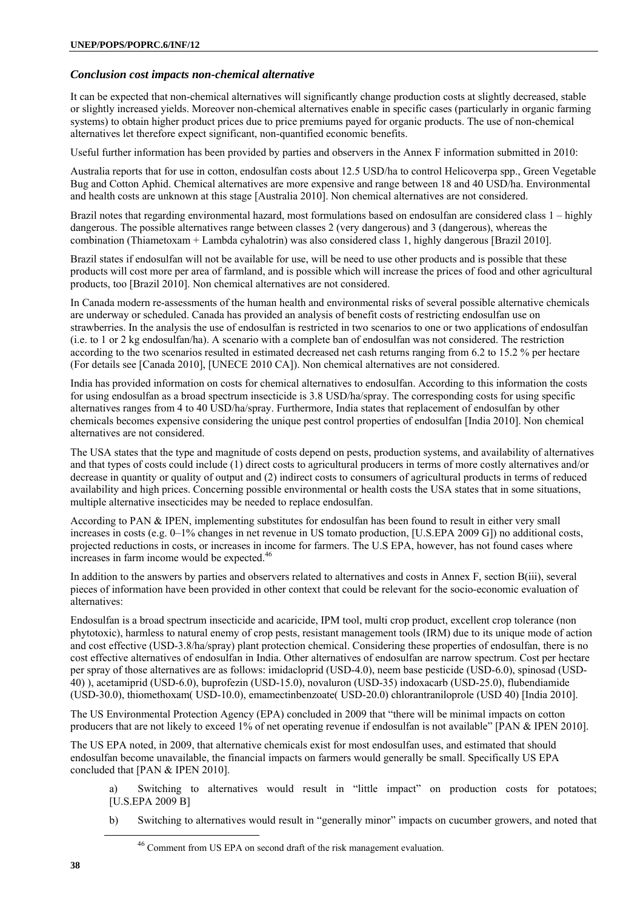# *Conclusion cost impacts non-chemical alternative*

It can be expected that non-chemical alternatives will significantly change production costs at slightly decreased, stable or slightly increased yields. Moreover non-chemical alternatives enable in specific cases (particularly in organic farming systems) to obtain higher product prices due to price premiums payed for organic products. The use of non-chemical alternatives let therefore expect significant, non-quantified economic benefits.

Useful further information has been provided by parties and observers in the Annex F information submitted in 2010:

Australia reports that for use in cotton, endosulfan costs about 12.5 USD/ha to control Helicoverpa spp., Green Vegetable Bug and Cotton Aphid. Chemical alternatives are more expensive and range between 18 and 40 USD/ha. Environmental and health costs are unknown at this stage [Australia 2010]. Non chemical alternatives are not considered.

Brazil notes that regarding environmental hazard, most formulations based on endosulfan are considered class 1 – highly dangerous. The possible alternatives range between classes 2 (very dangerous) and 3 (dangerous), whereas the combination (Thiametoxam + Lambda cyhalotrin) was also considered class 1, highly dangerous [Brazil 2010].

Brazil states if endosulfan will not be available for use, will be need to use other products and is possible that these products will cost more per area of farmland, and is possible which will increase the prices of food and other agricultural products, too [Brazil 2010]. Non chemical alternatives are not considered.

In Canada modern re-assessments of the human health and environmental risks of several possible alternative chemicals are underway or scheduled. Canada has provided an analysis of benefit costs of restricting endosulfan use on strawberries. In the analysis the use of endosulfan is restricted in two scenarios to one or two applications of endosulfan (i.e. to 1 or 2 kg endosulfan/ha). A scenario with a complete ban of endosulfan was not considered. The restriction according to the two scenarios resulted in estimated decreased net cash returns ranging from 6.2 to 15.2 % per hectare (For details see [Canada 2010], [UNECE 2010 CA]). Non chemical alternatives are not considered.

India has provided information on costs for chemical alternatives to endosulfan. According to this information the costs for using endosulfan as a broad spectrum insecticide is 3.8 USD/ha/spray. The corresponding costs for using specific alternatives ranges from 4 to 40 USD/ha/spray. Furthermore, India states that replacement of endosulfan by other chemicals becomes expensive considering the unique pest control properties of endosulfan [India 2010]. Non chemical alternatives are not considered.

The USA states that the type and magnitude of costs depend on pests, production systems, and availability of alternatives and that types of costs could include (1) direct costs to agricultural producers in terms of more costly alternatives and/or decrease in quantity or quality of output and (2) indirect costs to consumers of agricultural products in terms of reduced availability and high prices. Concerning possible environmental or health costs the USA states that in some situations, multiple alternative insecticides may be needed to replace endosulfan.

According to PAN & IPEN, implementing substitutes for endosulfan has been found to result in either very small increases in costs (e.g. 0–1% changes in net revenue in US tomato production, [U.S.EPA 2009 G]) no additional costs, projected reductions in costs, or increases in income for farmers. The U.S EPA, however, has not found cases where increases in farm income would be expected.<sup>46</sup>

In addition to the answers by parties and observers related to alternatives and costs in Annex F, section B(iii), several pieces of information have been provided in other context that could be relevant for the socio-economic evaluation of alternatives:

Endosulfan is a broad spectrum insecticide and acaricide, IPM tool, multi crop product, excellent crop tolerance (non phytotoxic), harmless to natural enemy of crop pests, resistant management tools (IRM) due to its unique mode of action and cost effective (USD-3.8/ha/spray) plant protection chemical. Considering these properties of endosulfan, there is no cost effective alternatives of endosulfan in India. Other alternatives of endosulfan are narrow spectrum. Cost per hectare per spray of those alternatives are as follows: imidacloprid (USD-4.0), neem base pesticide (USD-6.0), spinosad (USD-40) ), acetamiprid (USD-6.0), buprofezin (USD-15.0), novaluron (USD-35) indoxacarb (USD-25.0), flubendiamide (USD-30.0), thiomethoxam( USD-10.0), emamectinbenzoate( USD-20.0) chlorantraniloprole (USD 40) [India 2010].

The US Environmental Protection Agency (EPA) concluded in 2009 that "there will be minimal impacts on cotton producers that are not likely to exceed 1% of net operating revenue if endosulfan is not available" [PAN & IPEN 2010].

The US EPA noted, in 2009, that alternative chemicals exist for most endosulfan uses, and estimated that should endosulfan become unavailable, the financial impacts on farmers would generally be small. Specifically US EPA concluded that [PAN & IPEN 2010].

a) Switching to alternatives would result in "little impact" on production costs for potatoes; [U.S.EPA 2009 B]

b) Switching to alternatives would result in "generally minor" impacts on cucumber growers, and noted that

<sup>&</sup>lt;sup>46</sup> Comment from US EPA on second draft of the risk management evaluation.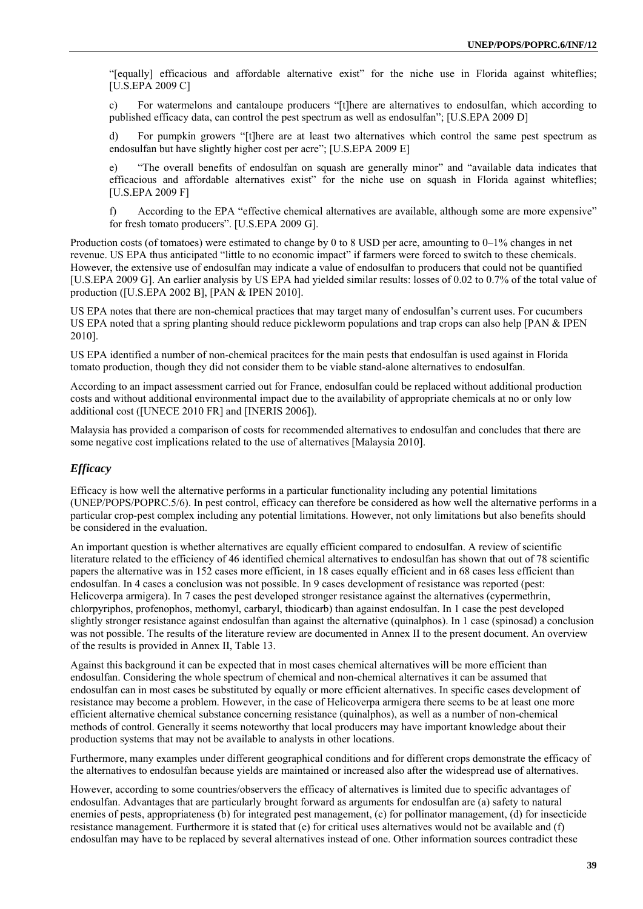"[equally] efficacious and affordable alternative exist" for the niche use in Florida against whiteflies; [U.S.EPA 2009 C]

c) For watermelons and cantaloupe producers "[t]here are alternatives to endosulfan, which according to published efficacy data, can control the pest spectrum as well as endosulfan"; [U.S.EPA 2009 D]

d) For pumpkin growers "[t]here are at least two alternatives which control the same pest spectrum as endosulfan but have slightly higher cost per acre"; [U.S.EPA 2009 E]

e) "The overall benefits of endosulfan on squash are generally minor" and "available data indicates that efficacious and affordable alternatives exist" for the niche use on squash in Florida against whiteflies; [U.S.EPA 2009 F]

f) According to the EPA "effective chemical alternatives are available, although some are more expensive" for fresh tomato producers". [U.S.EPA 2009 G].

Production costs (of tomatoes) were estimated to change by 0 to 8 USD per acre, amounting to 0–1% changes in net revenue. US EPA thus anticipated "little to no economic impact" if farmers were forced to switch to these chemicals. However, the extensive use of endosulfan may indicate a value of endosulfan to producers that could not be quantified [U.S.EPA 2009 G]. An earlier analysis by US EPA had yielded similar results: losses of 0.02 to 0.7% of the total value of production ([U.S.EPA 2002 B], [PAN & IPEN 2010].

US EPA notes that there are non-chemical practices that may target many of endosulfan's current uses. For cucumbers US EPA noted that a spring planting should reduce pickleworm populations and trap crops can also help [PAN & IPEN 2010].

US EPA identified a number of non-chemical pracitces for the main pests that endosulfan is used against in Florida tomato production, though they did not consider them to be viable stand-alone alternatives to endosulfan.

According to an impact assessment carried out for France, endosulfan could be replaced without additional production costs and without additional environmental impact due to the availability of appropriate chemicals at no or only low additional cost ([UNECE 2010 FR] and [INERIS 2006]).

Malaysia has provided a comparison of costs for recommended alternatives to endosulfan and concludes that there are some negative cost implications related to the use of alternatives [Malaysia 2010].

## *Efficacy*

Efficacy is how well the alternative performs in a particular functionality including any potential limitations (UNEP/POPS/POPRC.5/6). In pest control, efficacy can therefore be considered as how well the alternative performs in a particular crop-pest complex including any potential limitations. However, not only limitations but also benefits should be considered in the evaluation.

An important question is whether alternatives are equally efficient compared to endosulfan. A review of scientific literature related to the efficiency of 46 identified chemical alternatives to endosulfan has shown that out of 78 scientific papers the alternative was in 152 cases more efficient, in 18 cases equally efficient and in 68 cases less efficient than endosulfan. In 4 cases a conclusion was not possible. In 9 cases development of resistance was reported (pest: Helicoverpa armigera). In 7 cases the pest developed stronger resistance against the alternatives (cypermethrin, chlorpyriphos, profenophos, methomyl, carbaryl, thiodicarb) than against endosulfan. In 1 case the pest developed slightly stronger resistance against endosulfan than against the alternative (quinalphos). In 1 case (spinosad) a conclusion was not possible. The results of the literature review are documented in Annex II to the present document. An overview of the results is provided in Annex II, Table 13.

Against this background it can be expected that in most cases chemical alternatives will be more efficient than endosulfan. Considering the whole spectrum of chemical and non-chemical alternatives it can be assumed that endosulfan can in most cases be substituted by equally or more efficient alternatives. In specific cases development of resistance may become a problem. However, in the case of Helicoverpa armigera there seems to be at least one more efficient alternative chemical substance concerning resistance (quinalphos), as well as a number of non-chemical methods of control. Generally it seems noteworthy that local producers may have important knowledge about their production systems that may not be available to analysts in other locations.

Furthermore, many examples under different geographical conditions and for different crops demonstrate the efficacy of the alternatives to endosulfan because yields are maintained or increased also after the widespread use of alternatives.

However, according to some countries/observers the efficacy of alternatives is limited due to specific advantages of endosulfan. Advantages that are particularly brought forward as arguments for endosulfan are (a) safety to natural enemies of pests, appropriateness (b) for integrated pest management, (c) for pollinator management, (d) for insecticide resistance management. Furthermore it is stated that (e) for critical uses alternatives would not be available and (f) endosulfan may have to be replaced by several alternatives instead of one. Other information sources contradict these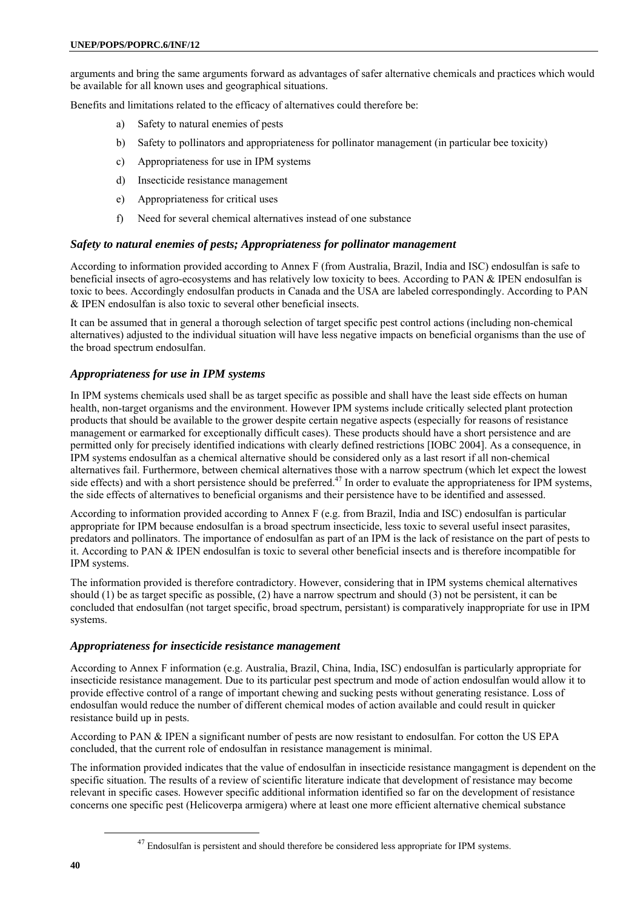arguments and bring the same arguments forward as advantages of safer alternative chemicals and practices which would be available for all known uses and geographical situations.

Benefits and limitations related to the efficacy of alternatives could therefore be:

- a) Safety to natural enemies of pests
- b) Safety to pollinators and appropriateness for pollinator management (in particular bee toxicity)
- c) Appropriateness for use in IPM systems
- d) Insecticide resistance management
- e) Appropriateness for critical uses
- f) Need for several chemical alternatives instead of one substance

## *Safety to natural enemies of pests; Appropriateness for pollinator management*

According to information provided according to Annex F (from Australia, Brazil, India and ISC) endosulfan is safe to beneficial insects of agro-ecosystems and has relatively low toxicity to bees. According to PAN & IPEN endosulfan is toxic to bees. Accordingly endosulfan products in Canada and the USA are labeled correspondingly. According to PAN & IPEN endosulfan is also toxic to several other beneficial insects.

It can be assumed that in general a thorough selection of target specific pest control actions (including non-chemical alternatives) adjusted to the individual situation will have less negative impacts on beneficial organisms than the use of the broad spectrum endosulfan.

# *Appropriateness for use in IPM systems*

In IPM systems chemicals used shall be as target specific as possible and shall have the least side effects on human health, non-target organisms and the environment. However IPM systems include critically selected plant protection products that should be available to the grower despite certain negative aspects (especially for reasons of resistance management or earmarked for exceptionally difficult cases). These products should have a short persistence and are permitted only for precisely identified indications with clearly defined restrictions [IOBC 2004]. As a consequence, in IPM systems endosulfan as a chemical alternative should be considered only as a last resort if all non-chemical alternatives fail. Furthermore, between chemical alternatives those with a narrow spectrum (which let expect the lowest side effects) and with a short persistence should be preferred.<sup>47</sup> In order to evaluate the appropriateness for IPM systems, the side effects of alternatives to beneficial organisms and their persistence have to be identified and assessed.

According to information provided according to Annex F (e.g. from Brazil, India and ISC) endosulfan is particular appropriate for IPM because endosulfan is a broad spectrum insecticide, less toxic to several useful insect parasites, predators and pollinators. The importance of endosulfan as part of an IPM is the lack of resistance on the part of pests to it. According to PAN & IPEN endosulfan is toxic to several other beneficial insects and is therefore incompatible for IPM systems.

The information provided is therefore contradictory. However, considering that in IPM systems chemical alternatives should (1) be as target specific as possible, (2) have a narrow spectrum and should (3) not be persistent, it can be concluded that endosulfan (not target specific, broad spectrum, persistant) is comparatively inappropriate for use in IPM systems.

#### *Appropriateness for insecticide resistance management*

According to Annex F information (e.g. Australia, Brazil, China, India, ISC) endosulfan is particularly appropriate for insecticide resistance management. Due to its particular pest spectrum and mode of action endosulfan would allow it to provide effective control of a range of important chewing and sucking pests without generating resistance. Loss of endosulfan would reduce the number of different chemical modes of action available and could result in quicker resistance build up in pests.

According to PAN & IPEN a significant number of pests are now resistant to endosulfan. For cotton the US EPA concluded, that the current role of endosulfan in resistance management is minimal.

The information provided indicates that the value of endosulfan in insecticide resistance mangagment is dependent on the specific situation. The results of a review of scientific literature indicate that development of resistance may become relevant in specific cases. However specific additional information identified so far on the development of resistance concerns one specific pest (Helicoverpa armigera) where at least one more efficient alternative chemical substance

 $^{47}$  Endosulfan is persistent and should therefore be considered less appropriate for IPM systems.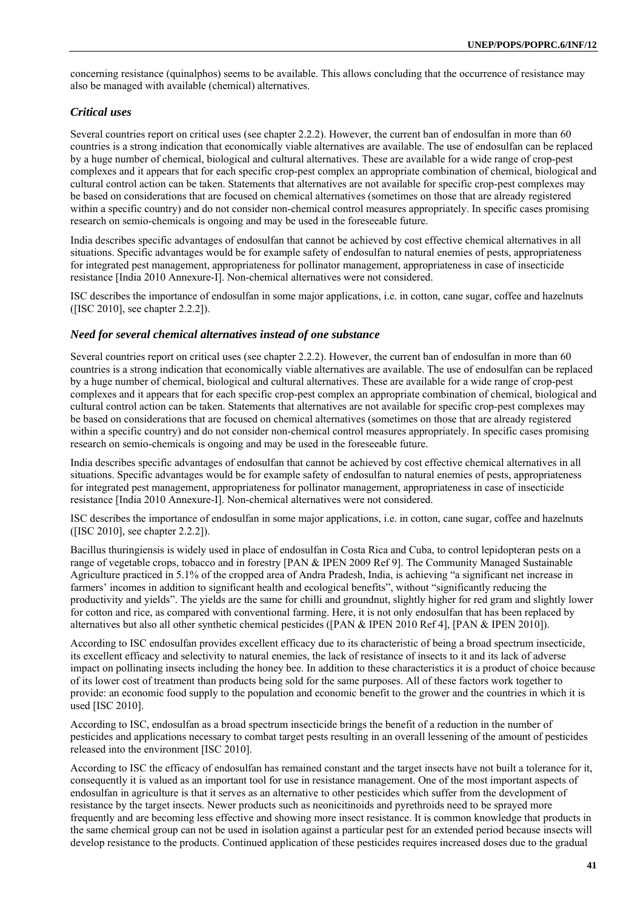concerning resistance (quinalphos) seems to be available. This allows concluding that the occurrence of resistance may also be managed with available (chemical) alternatives.

# *Critical uses*

Several countries report on critical uses (see chapter 2.2.2). However, the current ban of endosulfan in more than 60 countries is a strong indication that economically viable alternatives are available. The use of endosulfan can be replaced by a huge number of chemical, biological and cultural alternatives. These are available for a wide range of crop-pest complexes and it appears that for each specific crop-pest complex an appropriate combination of chemical, biological and cultural control action can be taken. Statements that alternatives are not available for specific crop-pest complexes may be based on considerations that are focused on chemical alternatives (sometimes on those that are already registered within a specific country) and do not consider non-chemical control measures appropriately. In specific cases promising research on semio-chemicals is ongoing and may be used in the foreseeable future.

India describes specific advantages of endosulfan that cannot be achieved by cost effective chemical alternatives in all situations. Specific advantages would be for example safety of endosulfan to natural enemies of pests, appropriateness for integrated pest management, appropriateness for pollinator management, appropriateness in case of insecticide resistance [India 2010 Annexure-I]. Non-chemical alternatives were not considered.

ISC describes the importance of endosulfan in some major applications, i.e. in cotton, cane sugar, coffee and hazelnuts ([ISC 2010], see chapter 2.2.2]).

# *Need for several chemical alternatives instead of one substance*

Several countries report on critical uses (see chapter 2.2.2). However, the current ban of endosulfan in more than 60 countries is a strong indication that economically viable alternatives are available. The use of endosulfan can be replaced by a huge number of chemical, biological and cultural alternatives. These are available for a wide range of crop-pest complexes and it appears that for each specific crop-pest complex an appropriate combination of chemical, biological and cultural control action can be taken. Statements that alternatives are not available for specific crop-pest complexes may be based on considerations that are focused on chemical alternatives (sometimes on those that are already registered within a specific country) and do not consider non-chemical control measures appropriately. In specific cases promising research on semio-chemicals is ongoing and may be used in the foreseeable future.

India describes specific advantages of endosulfan that cannot be achieved by cost effective chemical alternatives in all situations. Specific advantages would be for example safety of endosulfan to natural enemies of pests, appropriateness for integrated pest management, appropriateness for pollinator management, appropriateness in case of insecticide resistance [India 2010 Annexure-I]. Non-chemical alternatives were not considered.

ISC describes the importance of endosulfan in some major applications, i.e. in cotton, cane sugar, coffee and hazelnuts ([ISC 2010], see chapter 2.2.2]).

Bacillus thuringiensis is widely used in place of endosulfan in Costa Rica and Cuba, to control lepidopteran pests on a range of vegetable crops, tobacco and in forestry [PAN & IPEN 2009 Ref 9]. The Community Managed Sustainable Agriculture practiced in 5.1% of the cropped area of Andra Pradesh, India, is achieving "a significant net increase in farmers' incomes in addition to significant health and ecological benefits", without "significantly reducing the productivity and yields". The yields are the same for chilli and groundnut, slightly higher for red gram and slightly lower for cotton and rice, as compared with conventional farming. Here, it is not only endosulfan that has been replaced by alternatives but also all other synthetic chemical pesticides ([PAN & IPEN 2010 Ref 4], [PAN & IPEN 2010]).

According to ISC endosulfan provides excellent efficacy due to its characteristic of being a broad spectrum insecticide, its excellent efficacy and selectivity to natural enemies, the lack of resistance of insects to it and its lack of adverse impact on pollinating insects including the honey bee. In addition to these characteristics it is a product of choice because of its lower cost of treatment than products being sold for the same purposes. All of these factors work together to provide: an economic food supply to the population and economic benefit to the grower and the countries in which it is used [ISC 2010].

According to ISC, endosulfan as a broad spectrum insecticide brings the benefit of a reduction in the number of pesticides and applications necessary to combat target pests resulting in an overall lessening of the amount of pesticides released into the environment [ISC 2010].

According to ISC the efficacy of endosulfan has remained constant and the target insects have not built a tolerance for it, consequently it is valued as an important tool for use in resistance management. One of the most important aspects of endosulfan in agriculture is that it serves as an alternative to other pesticides which suffer from the development of resistance by the target insects. Newer products such as neonicitinoids and pyrethroids need to be sprayed more frequently and are becoming less effective and showing more insect resistance. It is common knowledge that products in the same chemical group can not be used in isolation against a particular pest for an extended period because insects will develop resistance to the products. Continued application of these pesticides requires increased doses due to the gradual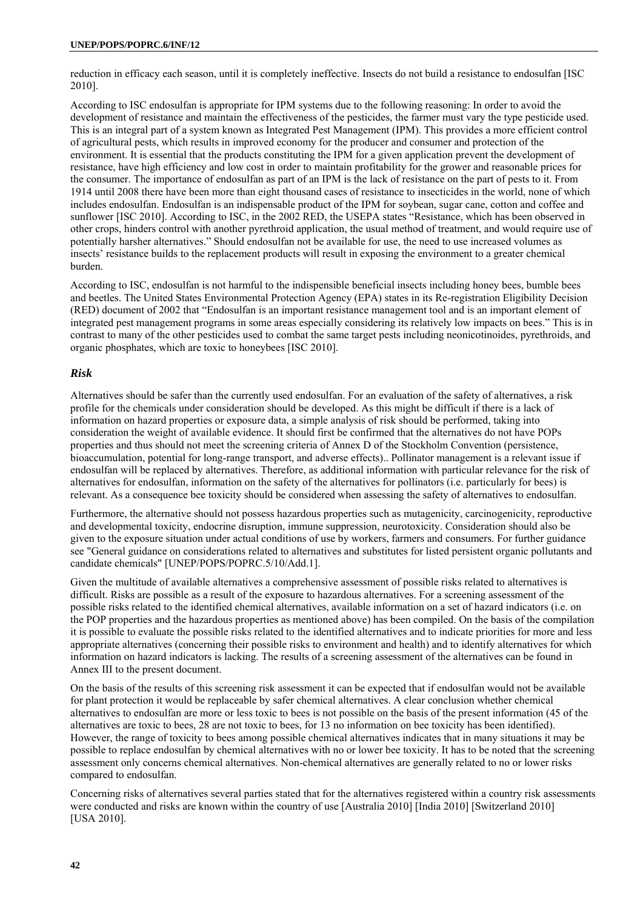reduction in efficacy each season, until it is completely ineffective. Insects do not build a resistance to endosulfan [ISC 2010].

According to ISC endosulfan is appropriate for IPM systems due to the following reasoning: In order to avoid the development of resistance and maintain the effectiveness of the pesticides, the farmer must vary the type pesticide used. This is an integral part of a system known as Integrated Pest Management (IPM). This provides a more efficient control of agricultural pests, which results in improved economy for the producer and consumer and protection of the environment. It is essential that the products constituting the IPM for a given application prevent the development of resistance, have high efficiency and low cost in order to maintain profitability for the grower and reasonable prices for the consumer. The importance of endosulfan as part of an IPM is the lack of resistance on the part of pests to it. From 1914 until 2008 there have been more than eight thousand cases of resistance to insecticides in the world, none of which includes endosulfan. Endosulfan is an indispensable product of the IPM for soybean, sugar cane, cotton and coffee and sunflower [ISC 2010]. According to ISC, in the 2002 RED, the USEPA states "Resistance, which has been observed in other crops, hinders control with another pyrethroid application, the usual method of treatment, and would require use of potentially harsher alternatives." Should endosulfan not be available for use, the need to use increased volumes as insects' resistance builds to the replacement products will result in exposing the environment to a greater chemical burden.

According to ISC, endosulfan is not harmful to the indispensible beneficial insects including honey bees, bumble bees and beetles. The United States Environmental Protection Agency (EPA) states in its Re-registration Eligibility Decision (RED) document of 2002 that "Endosulfan is an important resistance management tool and is an important element of integrated pest management programs in some areas especially considering its relatively low impacts on bees." This is in contrast to many of the other pesticides used to combat the same target pests including neonicotinoides, pyrethroids, and organic phosphates, which are toxic to honeybees [ISC 2010].

## *Risk*

Alternatives should be safer than the currently used endosulfan. For an evaluation of the safety of alternatives, a risk profile for the chemicals under consideration should be developed. As this might be difficult if there is a lack of information on hazard properties or exposure data, a simple analysis of risk should be performed, taking into consideration the weight of available evidence. It should first be confirmed that the alternatives do not have POPs properties and thus should not meet the screening criteria of Annex D of the Stockholm Convention (persistence, bioaccumulation, potential for long-range transport, and adverse effects).. Pollinator management is a relevant issue if endosulfan will be replaced by alternatives. Therefore, as additional information with particular relevance for the risk of alternatives for endosulfan, information on the safety of the alternatives for pollinators (i.e. particularly for bees) is relevant. As a consequence bee toxicity should be considered when assessing the safety of alternatives to endosulfan.

Furthermore, the alternative should not possess hazardous properties such as mutagenicity, carcinogenicity, reproductive and developmental toxicity, endocrine disruption, immune suppression, neurotoxicity. Consideration should also be given to the exposure situation under actual conditions of use by workers, farmers and consumers. For further guidance see "General guidance on considerations related to alternatives and substitutes for listed persistent organic pollutants and candidate chemicals" [UNEP/POPS/POPRC.5/10/Add.1].

Given the multitude of available alternatives a comprehensive assessment of possible risks related to alternatives is difficult. Risks are possible as a result of the exposure to hazardous alternatives. For a screening assessment of the possible risks related to the identified chemical alternatives, available information on a set of hazard indicators (i.e. on the POP properties and the hazardous properties as mentioned above) has been compiled. On the basis of the compilation it is possible to evaluate the possible risks related to the identified alternatives and to indicate priorities for more and less appropriate alternatives (concerning their possible risks to environment and health) and to identify alternatives for which information on hazard indicators is lacking. The results of a screening assessment of the alternatives can be found in Annex III to the present document.

On the basis of the results of this screening risk assessment it can be expected that if endosulfan would not be available for plant protection it would be replaceable by safer chemical alternatives. A clear conclusion whether chemical alternatives to endosulfan are more or less toxic to bees is not possible on the basis of the present information (45 of the alternatives are toxic to bees, 28 are not toxic to bees, for 13 no information on bee toxicity has been identified). However, the range of toxicity to bees among possible chemical alternatives indicates that in many situations it may be possible to replace endosulfan by chemical alternatives with no or lower bee toxicity. It has to be noted that the screening assessment only concerns chemical alternatives. Non-chemical alternatives are generally related to no or lower risks compared to endosulfan.

Concerning risks of alternatives several parties stated that for the alternatives registered within a country risk assessments were conducted and risks are known within the country of use [Australia 2010] [India 2010] [Switzerland 2010] [USA 2010].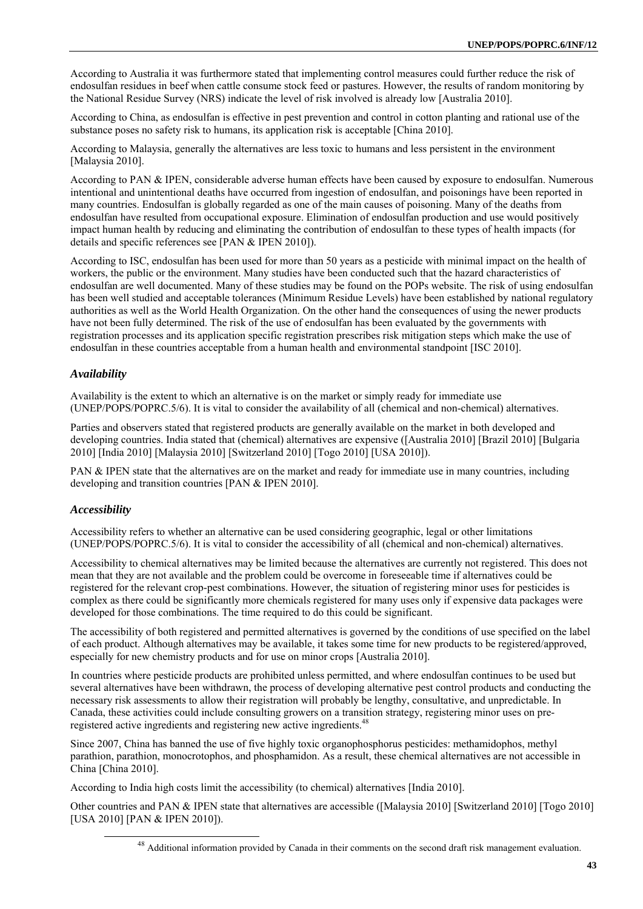According to Australia it was furthermore stated that implementing control measures could further reduce the risk of endosulfan residues in beef when cattle consume stock feed or pastures. However, the results of random monitoring by the National Residue Survey (NRS) indicate the level of risk involved is already low [Australia 2010].

According to China, as endosulfan is effective in pest prevention and control in cotton planting and rational use of the substance poses no safety risk to humans, its application risk is acceptable [China 2010].

According to Malaysia, generally the alternatives are less toxic to humans and less persistent in the environment [Malaysia 2010].

According to PAN & IPEN, considerable adverse human effects have been caused by exposure to endosulfan. Numerous intentional and unintentional deaths have occurred from ingestion of endosulfan, and poisonings have been reported in many countries. Endosulfan is globally regarded as one of the main causes of poisoning. Many of the deaths from endosulfan have resulted from occupational exposure. Elimination of endosulfan production and use would positively impact human health by reducing and eliminating the contribution of endosulfan to these types of health impacts (for details and specific references see [PAN & IPEN 2010]).

According to ISC, endosulfan has been used for more than 50 years as a pesticide with minimal impact on the health of workers, the public or the environment. Many studies have been conducted such that the hazard characteristics of endosulfan are well documented. Many of these studies may be found on the POPs website. The risk of using endosulfan has been well studied and acceptable tolerances (Minimum Residue Levels) have been established by national regulatory authorities as well as the World Health Organization. On the other hand the consequences of using the newer products have not been fully determined. The risk of the use of endosulfan has been evaluated by the governments with registration processes and its application specific registration prescribes risk mitigation steps which make the use of endosulfan in these countries acceptable from a human health and environmental standpoint [ISC 2010].

# *Availability*

Availability is the extent to which an alternative is on the market or simply ready for immediate use (UNEP/POPS/POPRC.5/6). It is vital to consider the availability of all (chemical and non-chemical) alternatives.

Parties and observers stated that registered products are generally available on the market in both developed and developing countries. India stated that (chemical) alternatives are expensive ([Australia 2010] [Brazil 2010] [Bulgaria 2010] [India 2010] [Malaysia 2010] [Switzerland 2010] [Togo 2010] [USA 2010]).

PAN & IPEN state that the alternatives are on the market and ready for immediate use in many countries, including developing and transition countries [PAN & IPEN 2010].

# *Accessibility*

Accessibility refers to whether an alternative can be used considering geographic, legal or other limitations (UNEP/POPS/POPRC.5/6). It is vital to consider the accessibility of all (chemical and non-chemical) alternatives.

Accessibility to chemical alternatives may be limited because the alternatives are currently not registered. This does not mean that they are not available and the problem could be overcome in foreseeable time if alternatives could be registered for the relevant crop-pest combinations. However, the situation of registering minor uses for pesticides is complex as there could be significantly more chemicals registered for many uses only if expensive data packages were developed for those combinations. The time required to do this could be significant.

The accessibility of both registered and permitted alternatives is governed by the conditions of use specified on the label of each product. Although alternatives may be available, it takes some time for new products to be registered/approved, especially for new chemistry products and for use on minor crops [Australia 2010].

In countries where pesticide products are prohibited unless permitted, and where endosulfan continues to be used but several alternatives have been withdrawn, the process of developing alternative pest control products and conducting the necessary risk assessments to allow their registration will probably be lengthy, consultative, and unpredictable. In Canada, these activities could include consulting growers on a transition strategy, registering minor uses on preregistered active ingredients and registering new active ingredients.<sup>48</sup>

Since 2007, China has banned the use of five highly toxic organophosphorus pesticides: methamidophos, methyl parathion, parathion, monocrotophos, and phosphamidon. As a result, these chemical alternatives are not accessible in China [China 2010].

According to India high costs limit the accessibility (to chemical) alternatives [India 2010].

Other countries and PAN & IPEN state that alternatives are accessible ([Malaysia 2010] [Switzerland 2010] [Togo 2010] [USA 2010] [PAN & IPEN 2010]).

<sup>&</sup>lt;sup>48</sup> Additional information provided by Canada in their comments on the second draft risk management evaluation.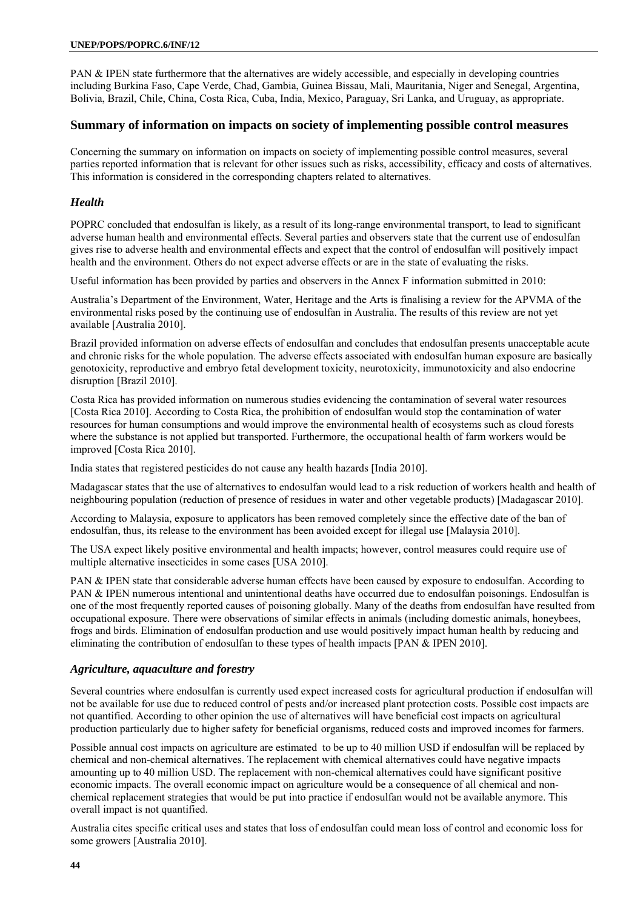PAN & IPEN state furthermore that the alternatives are widely accessible, and especially in developing countries including Burkina Faso, Cape Verde, Chad, Gambia, Guinea Bissau, Mali, Mauritania, Niger and Senegal, Argentina, Bolivia, Brazil, Chile, China, Costa Rica, Cuba, India, Mexico, Paraguay, Sri Lanka, and Uruguay, as appropriate.

## **Summary of information on impacts on society of implementing possible control measures**

Concerning the summary on information on impacts on society of implementing possible control measures, several parties reported information that is relevant for other issues such as risks, accessibility, efficacy and costs of alternatives. This information is considered in the corresponding chapters related to alternatives.

#### *Health*

POPRC concluded that endosulfan is likely, as a result of its long-range environmental transport, to lead to significant adverse human health and environmental effects. Several parties and observers state that the current use of endosulfan gives rise to adverse health and environmental effects and expect that the control of endosulfan will positively impact health and the environment. Others do not expect adverse effects or are in the state of evaluating the risks.

Useful information has been provided by parties and observers in the Annex F information submitted in 2010:

Australia's Department of the Environment, Water, Heritage and the Arts is finalising a review for the APVMA of the environmental risks posed by the continuing use of endosulfan in Australia. The results of this review are not yet available [Australia 2010].

Brazil provided information on adverse effects of endosulfan and concludes that endosulfan presents unacceptable acute and chronic risks for the whole population. The adverse effects associated with endosulfan human exposure are basically genotoxicity, reproductive and embryo fetal development toxicity, neurotoxicity, immunotoxicity and also endocrine disruption [Brazil 2010].

Costa Rica has provided information on numerous studies evidencing the contamination of several water resources [Costa Rica 2010]. According to Costa Rica, the prohibition of endosulfan would stop the contamination of water resources for human consumptions and would improve the environmental health of ecosystems such as cloud forests where the substance is not applied but transported. Furthermore, the occupational health of farm workers would be improved [Costa Rica 2010].

India states that registered pesticides do not cause any health hazards [India 2010].

Madagascar states that the use of alternatives to endosulfan would lead to a risk reduction of workers health and health of neighbouring population (reduction of presence of residues in water and other vegetable products) [Madagascar 2010].

According to Malaysia, exposure to applicators has been removed completely since the effective date of the ban of endosulfan, thus, its release to the environment has been avoided except for illegal use [Malaysia 2010].

The USA expect likely positive environmental and health impacts; however, control measures could require use of multiple alternative insecticides in some cases [USA 2010].

PAN & IPEN state that considerable adverse human effects have been caused by exposure to endosulfan. According to PAN & IPEN numerous intentional and unintentional deaths have occurred due to endosulfan poisonings. Endosulfan is one of the most frequently reported causes of poisoning globally. Many of the deaths from endosulfan have resulted from occupational exposure. There were observations of similar effects in animals (including domestic animals, honeybees, frogs and birds. Elimination of endosulfan production and use would positively impact human health by reducing and eliminating the contribution of endosulfan to these types of health impacts [PAN & IPEN 2010].

#### *Agriculture, aquaculture and forestry*

Several countries where endosulfan is currently used expect increased costs for agricultural production if endosulfan will not be available for use due to reduced control of pests and/or increased plant protection costs. Possible cost impacts are not quantified. According to other opinion the use of alternatives will have beneficial cost impacts on agricultural production particularly due to higher safety for beneficial organisms, reduced costs and improved incomes for farmers.

Possible annual cost impacts on agriculture are estimated to be up to 40 million USD if endosulfan will be replaced by chemical and non-chemical alternatives. The replacement with chemical alternatives could have negative impacts amounting up to 40 million USD. The replacement with non-chemical alternatives could have significant positive economic impacts. The overall economic impact on agriculture would be a consequence of all chemical and nonchemical replacement strategies that would be put into practice if endosulfan would not be available anymore. This overall impact is not quantified.

Australia cites specific critical uses and states that loss of endosulfan could mean loss of control and economic loss for some growers [Australia 2010].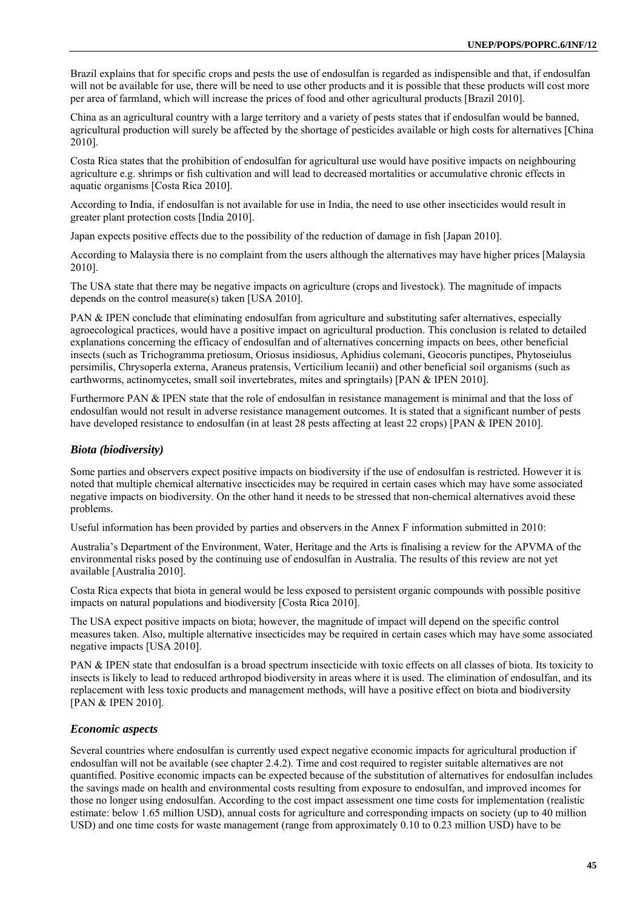Brazil explains that for specific crops and pests the use of endosulfan is regarded as indispensible and that, if endosulfan will not be available for use, there will be need to use other products and it is possible that these products will cost more per area of farmland, which will increase the prices of food and other agricultural products [Brazil 2010].

China as an agricultural country with a large territory and a variety of pests states that if endosulfan would be banned, agricultural production will surely be affected by the shortage of pesticides available or high costs for alternatives [China 2010].

Costa Rica states that the prohibition of endosulfan for agricultural use would have positive impacts on neighbouring agriculture e.g. shrimps or fish cultivation and will lead to decreased mortalities or accumulative chronic effects in aquatic organisms [Costa Rica 2010].

According to India, if endosulfan is not available for use in India, the need to use other insecticides would result in greater plant protection costs [India 2010].

Japan expects positive effects due to the possibility of the reduction of damage in fish [Japan 2010].

According to Malaysia there is no complaint from the users although the alternatives may have higher prices [Malaysia 2010].

The USA state that there may be negative impacts on agriculture (crops and livestock). The magnitude of impacts depends on the control measure(s) taken [USA 2010].

PAN & IPEN conclude that eliminating endosulfan from agriculture and substituting safer alternatives, especially agroecological practices, would have a positive impact on agricultural production. This conclusion is related to detailed explanations concerning the efficacy of endosulfan and of alternatives concerning impacts on bees, other beneficial insects (such as Trichogramma pretiosum, Oriosus insidiosus, Aphidius colemani, Geocoris punctipes, Phytoseiulus persimilis, Chrysoperla externa, Araneus pratensis, Verticilium lecanii) and other beneficial soil organisms (such as earthworms, actinomycetes, small soil invertebrates, mites and springtails) [PAN & IPEN 2010].

Furthermore PAN & IPEN state that the role of endosulfan in resistance management is minimal and that the loss of endosulfan would not result in adverse resistance management outcomes. It is stated that a significant number of pests have developed resistance to endosulfan (in at least 28 pests affecting at least 22 crops) [PAN & IPEN 2010].

## *Biota (biodiversity)*

Some parties and observers expect positive impacts on biodiversity if the use of endosulfan is restricted. However it is noted that multiple chemical alternative insecticides may be required in certain cases which may have some associated negative impacts on biodiversity. On the other hand it needs to be stressed that non-chemical alternatives avoid these problems.

Useful information has been provided by parties and observers in the Annex F information submitted in 2010:

Australia's Department of the Environment, Water, Heritage and the Arts is finalising a review for the APVMA of the environmental risks posed by the continuing use of endosulfan in Australia. The results of this review are not yet available [Australia 2010].

Costa Rica expects that biota in general would be less exposed to persistent organic compounds with possible positive impacts on natural populations and biodiversity [Costa Rica 2010].

The USA expect positive impacts on biota; however, the magnitude of impact will depend on the specific control measures taken. Also, multiple alternative insecticides may be required in certain cases which may have some associated negative impacts [USA 2010].

PAN & IPEN state that endosulfan is a broad spectrum insecticide with toxic effects on all classes of biota. Its toxicity to insects is likely to lead to reduced arthropod biodiversity in areas where it is used. The elimination of endosulfan, and its replacement with less toxic products and management methods, will have a positive effect on biota and biodiversity [PAN & IPEN 2010].

#### *Economic aspects*

Several countries where endosulfan is currently used expect negative economic impacts for agricultural production if endosulfan will not be available (see chapter 2.4.2). Time and cost required to register suitable alternatives are not quantified. Positive economic impacts can be expected because of the substitution of alternatives for endosulfan includes the savings made on health and environmental costs resulting from exposure to endosulfan, and improved incomes for those no longer using endosulfan. According to the cost impact assessment one time costs for implementation (realistic estimate: below 1.65 million USD), annual costs for agriculture and corresponding impacts on society (up to 40 million USD) and one time costs for waste management (range from approximately 0.10 to 0.23 million USD) have to be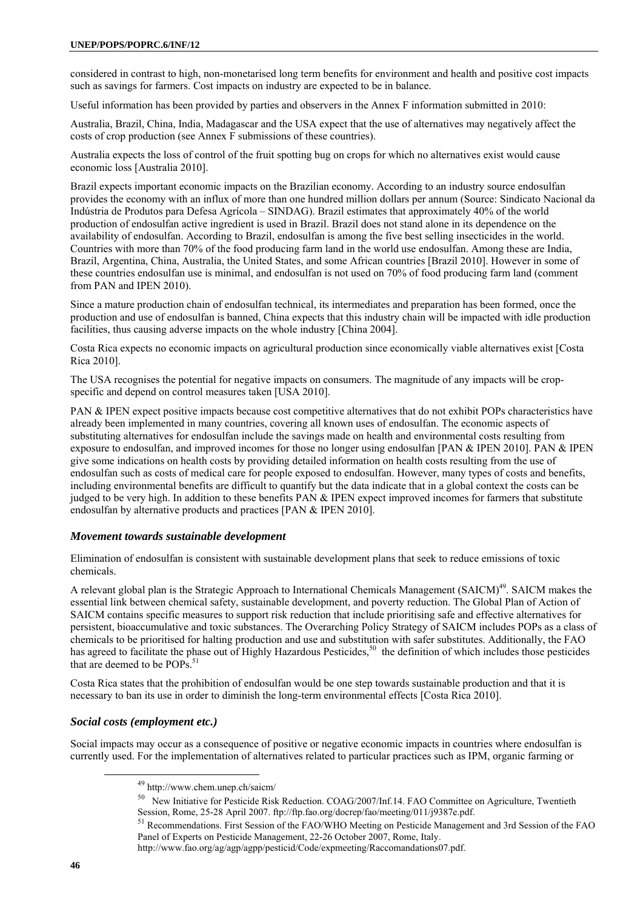considered in contrast to high, non-monetarised long term benefits for environment and health and positive cost impacts such as savings for farmers. Cost impacts on industry are expected to be in balance.

Useful information has been provided by parties and observers in the Annex F information submitted in 2010:

Australia, Brazil, China, India, Madagascar and the USA expect that the use of alternatives may negatively affect the costs of crop production (see Annex F submissions of these countries).

Australia expects the loss of control of the fruit spotting bug on crops for which no alternatives exist would cause economic loss [Australia 2010].

Brazil expects important economic impacts on the Brazilian economy. According to an industry source endosulfan provides the economy with an influx of more than one hundred million dollars per annum (Source: Sindicato Nacional da Indústria de Produtos para Defesa Agrícola – SINDAG). Brazil estimates that approximately 40% of the world production of endosulfan active ingredient is used in Brazil. Brazil does not stand alone in its dependence on the availability of endosulfan. According to Brazil, endosulfan is among the five best selling insecticides in the world. Countries with more than 70% of the food producing farm land in the world use endosulfan. Among these are India, Brazil, Argentina, China, Australia, the United States, and some African countries [Brazil 2010]. However in some of these countries endosulfan use is minimal, and endosulfan is not used on 70% of food producing farm land (comment from PAN and IPEN 2010).

Since a mature production chain of endosulfan technical, its intermediates and preparation has been formed, once the production and use of endosulfan is banned, China expects that this industry chain will be impacted with idle production facilities, thus causing adverse impacts on the whole industry [China 2004].

Costa Rica expects no economic impacts on agricultural production since economically viable alternatives exist [Costa Rica 2010].

The USA recognises the potential for negative impacts on consumers. The magnitude of any impacts will be cropspecific and depend on control measures taken [USA 2010].

PAN & IPEN expect positive impacts because cost competitive alternatives that do not exhibit POPs characteristics have already been implemented in many countries, covering all known uses of endosulfan. The economic aspects of substituting alternatives for endosulfan include the savings made on health and environmental costs resulting from exposure to endosulfan, and improved incomes for those no longer using endosulfan [PAN & IPEN 2010]. PAN & IPEN give some indications on health costs by providing detailed information on health costs resulting from the use of endosulfan such as costs of medical care for people exposed to endosulfan. However, many types of costs and benefits, including environmental benefits are difficult to quantify but the data indicate that in a global context the costs can be judged to be very high. In addition to these benefits PAN & IPEN expect improved incomes for farmers that substitute endosulfan by alternative products and practices [PAN & IPEN 2010].

# *Movement towards sustainable development*

Elimination of endosulfan is consistent with sustainable development plans that seek to reduce emissions of toxic chemicals.

A relevant global plan is the Strategic Approach to International Chemicals Management (SAICM)<sup>49</sup>. SAICM makes the essential link between chemical safety, sustainable development, and poverty reduction. The Global Plan of Action of SAICM contains specific measures to support risk reduction that include prioritising safe and effective alternatives for persistent, bioaccumulative and toxic substances. The Overarching Policy Strategy of SAICM includes POPs as a class of chemicals to be prioritised for halting production and use and substitution with safer substitutes. Additionally, the FAO has agreed to facilitate the phase out of Highly Hazardous Pesticides,<sup>50</sup> the definition of which includes those pesticides that are deemed to be  $POPs<sup>51</sup>$ 

Costa Rica states that the prohibition of endosulfan would be one step towards sustainable production and that it is necessary to ban its use in order to diminish the long-term environmental effects [Costa Rica 2010].

# *Social costs (employment etc.)*

Social impacts may occur as a consequence of positive or negative economic impacts in countries where endosulfan is currently used. For the implementation of alternatives related to particular practices such as IPM, organic farming or

<sup>&</sup>lt;sup>49</sup> http://www.chem.unep.ch/saicm/<br><sup>50</sup> New Initiative for Pesticide Risk Reduction. COAG/2007/Inf.14. FAO Committee on Agriculture, Twentieth Session, Rome, 25-28 April 2007. ftp://ftp.fao.org/docrep/fao/meeting/011/j9387e.pdf.<br><sup>51</sup> Recommendations. First Session of the FAO/WHO Meeting on Pesticide Management and 3rd Session of the FAO

Panel of Experts on Pesticide Management, 22-26 October 2007, Rome, Italy.

http://www.fao.org/ag/agp/agpp/pesticid/Code/expmeeting/Raccomandations07.pdf.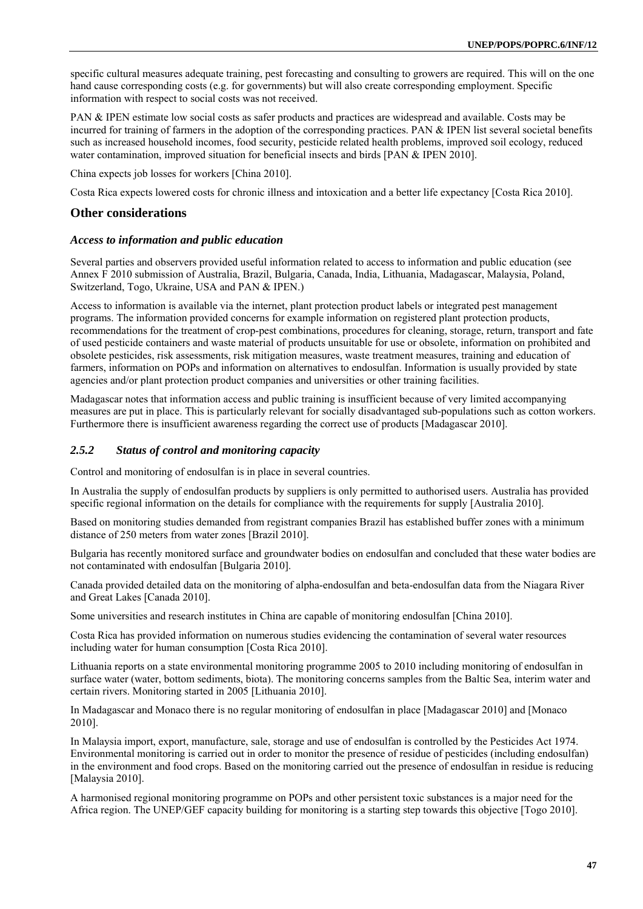specific cultural measures adequate training, pest forecasting and consulting to growers are required. This will on the one hand cause corresponding costs (e.g. for governments) but will also create corresponding employment. Specific information with respect to social costs was not received.

PAN & IPEN estimate low social costs as safer products and practices are widespread and available. Costs may be incurred for training of farmers in the adoption of the corresponding practices. PAN & IPEN list several societal benefits such as increased household incomes, food security, pesticide related health problems, improved soil ecology, reduced water contamination, improved situation for beneficial insects and birds [PAN & IPEN 2010].

China expects job losses for workers [China 2010].

Costa Rica expects lowered costs for chronic illness and intoxication and a better life expectancy [Costa Rica 2010].

## **Other considerations**

#### *Access to information and public education*

Several parties and observers provided useful information related to access to information and public education (see Annex F 2010 submission of Australia, Brazil, Bulgaria, Canada, India, Lithuania, Madagascar, Malaysia, Poland, Switzerland, Togo, Ukraine, USA and PAN & IPEN.)

Access to information is available via the internet, plant protection product labels or integrated pest management programs. The information provided concerns for example information on registered plant protection products, recommendations for the treatment of crop-pest combinations, procedures for cleaning, storage, return, transport and fate of used pesticide containers and waste material of products unsuitable for use or obsolete, information on prohibited and obsolete pesticides, risk assessments, risk mitigation measures, waste treatment measures, training and education of farmers, information on POPs and information on alternatives to endosulfan. Information is usually provided by state agencies and/or plant protection product companies and universities or other training facilities.

Madagascar notes that information access and public training is insufficient because of very limited accompanying measures are put in place. This is particularly relevant for socially disadvantaged sub-populations such as cotton workers. Furthermore there is insufficient awareness regarding the correct use of products [Madagascar 2010].

## *2.5.2 Status of control and monitoring capacity*

Control and monitoring of endosulfan is in place in several countries.

In Australia the supply of endosulfan products by suppliers is only permitted to authorised users. Australia has provided specific regional information on the details for compliance with the requirements for supply [Australia 2010].

Based on monitoring studies demanded from registrant companies Brazil has established buffer zones with a minimum distance of 250 meters from water zones [Brazil 2010].

Bulgaria has recently monitored surface and groundwater bodies on endosulfan and concluded that these water bodies are not contaminated with endosulfan [Bulgaria 2010].

Canada provided detailed data on the monitoring of alpha-endosulfan and beta-endosulfan data from the Niagara River and Great Lakes [Canada 2010].

Some universities and research institutes in China are capable of monitoring endosulfan [China 2010].

Costa Rica has provided information on numerous studies evidencing the contamination of several water resources including water for human consumption [Costa Rica 2010].

Lithuania reports on a state environmental monitoring programme 2005 to 2010 including monitoring of endosulfan in surface water (water, bottom sediments, biota). The monitoring concerns samples from the Baltic Sea, interim water and certain rivers. Monitoring started in 2005 [Lithuania 2010].

In Madagascar and Monaco there is no regular monitoring of endosulfan in place [Madagascar 2010] and [Monaco 2010].

In Malaysia import, export, manufacture, sale, storage and use of endosulfan is controlled by the Pesticides Act 1974. Environmental monitoring is carried out in order to monitor the presence of residue of pesticides (including endosulfan) in the environment and food crops. Based on the monitoring carried out the presence of endosulfan in residue is reducing [Malaysia 2010].

A harmonised regional monitoring programme on POPs and other persistent toxic substances is a major need for the Africa region. The UNEP/GEF capacity building for monitoring is a starting step towards this objective [Togo 2010].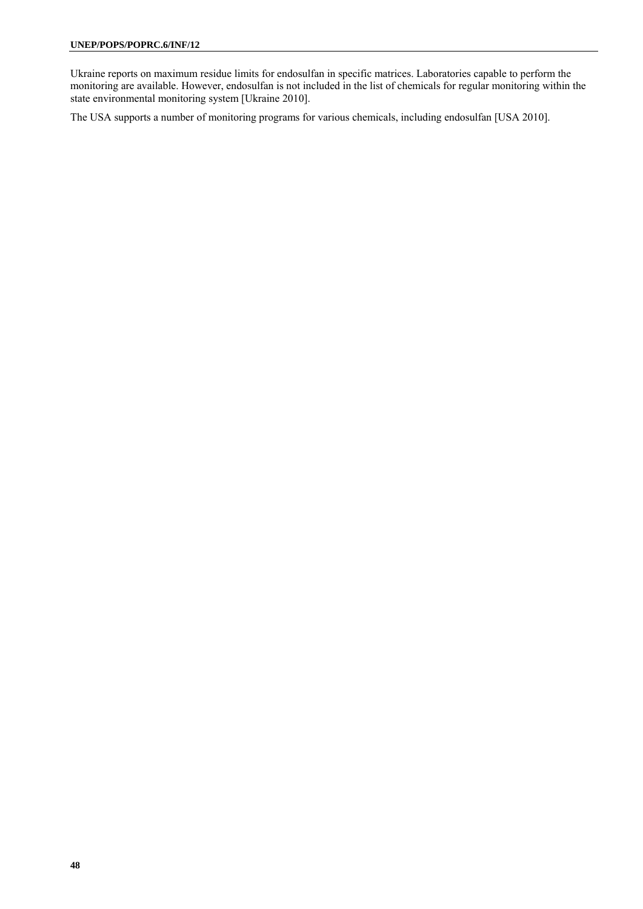Ukraine reports on maximum residue limits for endosulfan in specific matrices. Laboratories capable to perform the monitoring are available. However, endosulfan is not included in the list of chemicals for regular monitoring within the state environmental monitoring system [Ukraine 2010].

The USA supports a number of monitoring programs for various chemicals, including endosulfan [USA 2010].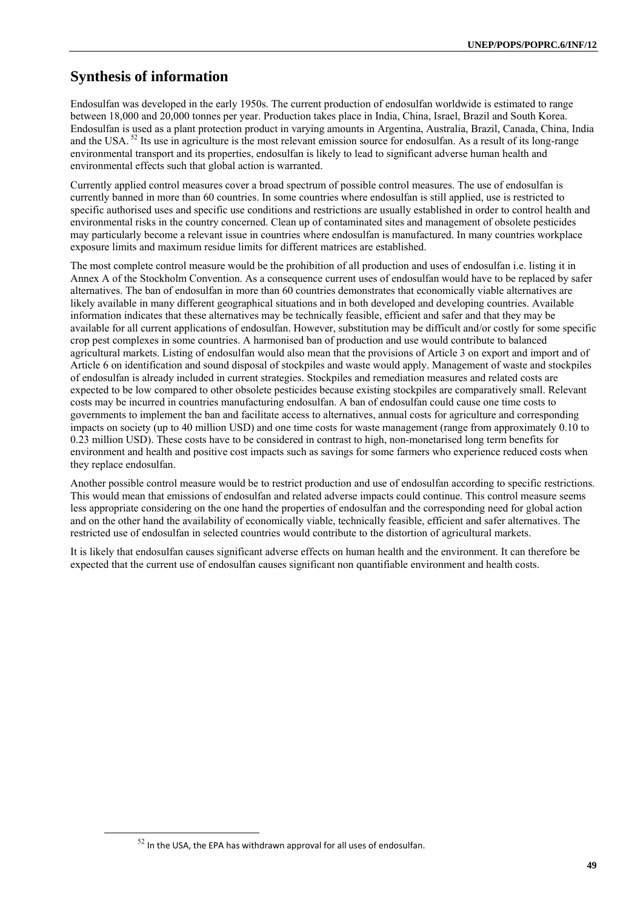# **Synthesis of information**

Endosulfan was developed in the early 1950s. The current production of endosulfan worldwide is estimated to range between 18,000 and 20,000 tonnes per year. Production takes place in India, China, Israel, Brazil and South Korea. Endosulfan is used as a plant protection product in varying amounts in Argentina, Australia, Brazil, Canada, China, India and the USA.<sup>52</sup> Its use in agriculture is the most relevant emission source for endosulfan. As a result of its long-range environmental transport and its properties, endosulfan is likely to lead to significant adverse human health and environmental effects such that global action is warranted.

Currently applied control measures cover a broad spectrum of possible control measures. The use of endosulfan is currently banned in more than 60 countries. In some countries where endosulfan is still applied, use is restricted to specific authorised uses and specific use conditions and restrictions are usually established in order to control health and environmental risks in the country concerned. Clean up of contaminated sites and management of obsolete pesticides may particularly become a relevant issue in countries where endosulfan is manufactured. In many countries workplace exposure limits and maximum residue limits for different matrices are established.

The most complete control measure would be the prohibition of all production and uses of endosulfan i.e. listing it in Annex A of the Stockholm Convention. As a consequence current uses of endosulfan would have to be replaced by safer alternatives. The ban of endosulfan in more than 60 countries demonstrates that economically viable alternatives are likely available in many different geographical situations and in both developed and developing countries. Available information indicates that these alternatives may be technically feasible, efficient and safer and that they may be available for all current applications of endosulfan. However, substitution may be difficult and/or costly for some specific crop pest complexes in some countries. A harmonised ban of production and use would contribute to balanced agricultural markets. Listing of endosulfan would also mean that the provisions of Article 3 on export and import and of Article 6 on identification and sound disposal of stockpiles and waste would apply. Management of waste and stockpiles of endosulfan is already included in current strategies. Stockpiles and remediation measures and related costs are expected to be low compared to other obsolete pesticides because existing stockpiles are comparatively small. Relevant costs may be incurred in countries manufacturing endosulfan. A ban of endosulfan could cause one time costs to governments to implement the ban and facilitate access to alternatives, annual costs for agriculture and corresponding impacts on society (up to 40 million USD) and one time costs for waste management (range from approximately 0.10 to 0.23 million USD). These costs have to be considered in contrast to high, non-monetarised long term benefits for environment and health and positive cost impacts such as savings for some farmers who experience reduced costs when they replace endosulfan.

Another possible control measure would be to restrict production and use of endosulfan according to specific restrictions. This would mean that emissions of endosulfan and related adverse impacts could continue. This control measure seems less appropriate considering on the one hand the properties of endosulfan and the corresponding need for global action and on the other hand the availability of economically viable, technically feasible, efficient and safer alternatives. The restricted use of endosulfan in selected countries would contribute to the distortion of agricultural markets.

It is likely that endosulfan causes significant adverse effects on human health and the environment. It can therefore be expected that the current use of endosulfan causes significant non quantifiable environment and health costs.

 $52$  In the USA, the EPA has withdrawn approval for all uses of endosulfan.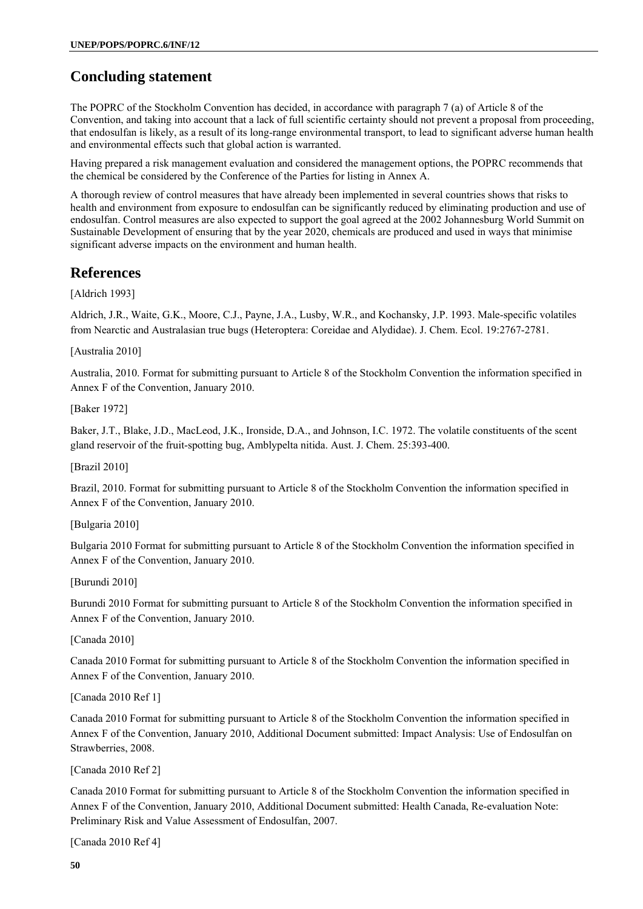# **Concluding statement**

The POPRC of the Stockholm Convention has decided, in accordance with paragraph 7 (a) of Article 8 of the Convention, and taking into account that a lack of full scientific certainty should not prevent a proposal from proceeding, that endosulfan is likely, as a result of its long-range environmental transport, to lead to significant adverse human health and environmental effects such that global action is warranted.

Having prepared a risk management evaluation and considered the management options, the POPRC recommends that the chemical be considered by the Conference of the Parties for listing in Annex A.

A thorough review of control measures that have already been implemented in several countries shows that risks to health and environment from exposure to endosulfan can be significantly reduced by eliminating production and use of endosulfan. Control measures are also expected to support the goal agreed at the 2002 Johannesburg World Summit on Sustainable Development of ensuring that by the year 2020, chemicals are produced and used in ways that minimise significant adverse impacts on the environment and human health.

# **References**

[Aldrich 1993]

Aldrich, J.R., Waite, G.K., Moore, C.J., Payne, J.A., Lusby, W.R., and Kochansky, J.P. 1993. Male-specific volatiles from Nearctic and Australasian true bugs (Heteroptera: Coreidae and Alydidae). J. Chem. Ecol. 19:2767-2781.

[Australia 2010]

Australia, 2010. Format for submitting pursuant to Article 8 of the Stockholm Convention the information specified in Annex F of the Convention, January 2010.

[Baker 1972]

Baker, J.T., Blake, J.D., MacLeod, J.K., Ironside, D.A., and Johnson, I.C. 1972. The volatile constituents of the scent gland reservoir of the fruit-spotting bug, Amblypelta nitida. Aust. J. Chem. 25:393-400.

[Brazil 2010]

Brazil, 2010. Format for submitting pursuant to Article 8 of the Stockholm Convention the information specified in Annex F of the Convention, January 2010.

[Bulgaria 2010]

Bulgaria 2010 Format for submitting pursuant to Article 8 of the Stockholm Convention the information specified in Annex F of the Convention, January 2010.

[Burundi 2010]

Burundi 2010 Format for submitting pursuant to Article 8 of the Stockholm Convention the information specified in Annex F of the Convention, January 2010.

[Canada 2010]

Canada 2010 Format for submitting pursuant to Article 8 of the Stockholm Convention the information specified in Annex F of the Convention, January 2010.

[Canada 2010 Ref 1]

Canada 2010 Format for submitting pursuant to Article 8 of the Stockholm Convention the information specified in Annex F of the Convention, January 2010, Additional Document submitted: Impact Analysis: Use of Endosulfan on Strawberries, 2008.

[Canada 2010 Ref 2]

Canada 2010 Format for submitting pursuant to Article 8 of the Stockholm Convention the information specified in Annex F of the Convention, January 2010, Additional Document submitted: Health Canada, Re-evaluation Note: Preliminary Risk and Value Assessment of Endosulfan, 2007.

[Canada 2010 Ref 4]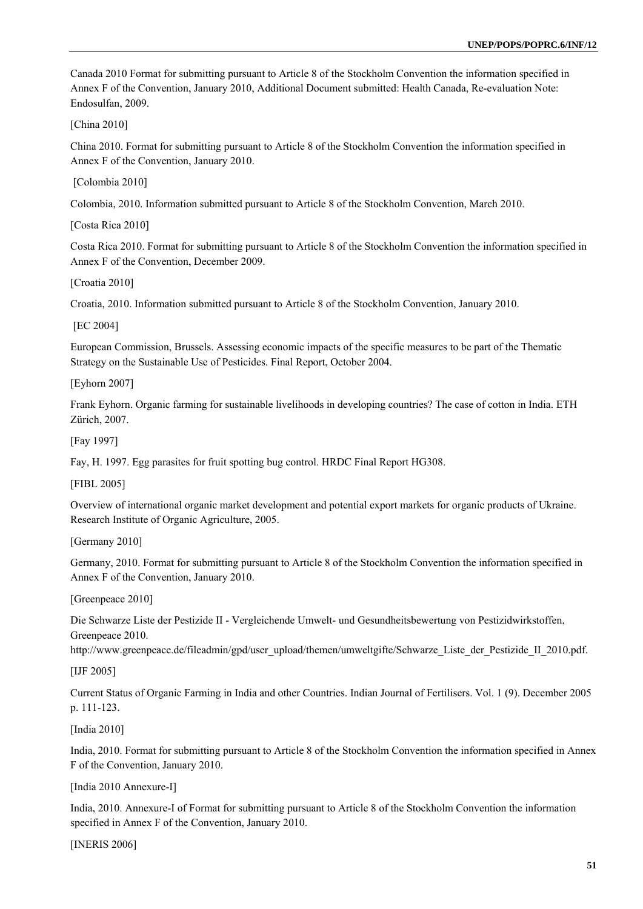Canada 2010 Format for submitting pursuant to Article 8 of the Stockholm Convention the information specified in Annex F of the Convention, January 2010, Additional Document submitted: Health Canada, Re-evaluation Note: Endosulfan, 2009.

[China 2010]

China 2010. Format for submitting pursuant to Article 8 of the Stockholm Convention the information specified in Annex F of the Convention, January 2010.

[Colombia 2010]

Colombia, 2010. Information submitted pursuant to Article 8 of the Stockholm Convention, March 2010.

[Costa Rica 2010]

Costa Rica 2010. Format for submitting pursuant to Article 8 of the Stockholm Convention the information specified in Annex F of the Convention, December 2009.

[Croatia 2010]

Croatia, 2010. Information submitted pursuant to Article 8 of the Stockholm Convention, January 2010.

[EC 2004]

European Commission, Brussels. Assessing economic impacts of the specific measures to be part of the Thematic Strategy on the Sustainable Use of Pesticides. Final Report, October 2004.

[Eyhorn 2007]

Frank Eyhorn. Organic farming for sustainable livelihoods in developing countries? The case of cotton in India. ETH Zürich, 2007.

[Fay 1997]

Fay, H. 1997. Egg parasites for fruit spotting bug control. HRDC Final Report HG308.

[FIBL 2005]

Overview of international organic market development and potential export markets for organic products of Ukraine. Research Institute of Organic Agriculture, 2005.

[Germany 2010]

Germany, 2010. Format for submitting pursuant to Article 8 of the Stockholm Convention the information specified in Annex F of the Convention, January 2010.

[Greenpeace 2010]

Die Schwarze Liste der Pestizide II - Vergleichende Umwelt- und Gesundheitsbewertung von Pestizidwirkstoffen, Greenpeace 2010.

http://www.greenpeace.de/fileadmin/gpd/user\_upload/themen/umweltgifte/Schwarze\_Liste\_der\_Pestizide\_II\_2010.pdf.

[IJF 2005]

Current Status of Organic Farming in India and other Countries. Indian Journal of Fertilisers. Vol. 1 (9). December 2005 p. 111-123.

[India 2010]

India, 2010. Format for submitting pursuant to Article 8 of the Stockholm Convention the information specified in Annex F of the Convention, January 2010.

[India 2010 Annexure-I]

India, 2010. Annexure-I of Format for submitting pursuant to Article 8 of the Stockholm Convention the information specified in Annex F of the Convention, January 2010.

[INERIS 2006]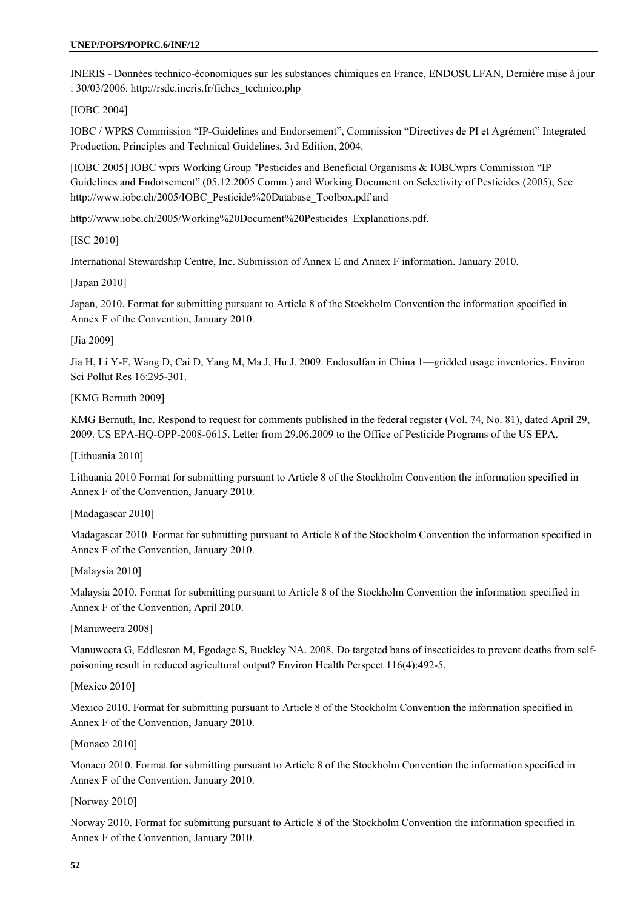INERIS - Données technico-économiques sur les substances chimiques en France, ENDOSULFAN, Dernière mise à jour : 30/03/2006. http://rsde.ineris.fr/fiches\_technico.php

[IOBC 2004]

IOBC / WPRS Commission "IP-Guidelines and Endorsement", Commission "Directives de PI et Agrément" Integrated Production, Principles and Technical Guidelines, 3rd Edition, 2004.

[IOBC 2005] IOBC wprs Working Group "Pesticides and Beneficial Organisms & IOBCwprs Commission "IP Guidelines and Endorsement" (05.12.2005 Comm.) and Working Document on Selectivity of Pesticides (2005); See http://www.iobc.ch/2005/IOBC\_Pesticide%20Database\_Toolbox.pdf and

http://www.iobc.ch/2005/Working%20Document%20Pesticides\_Explanations.pdf.

[ISC 2010]

International Stewardship Centre, Inc. Submission of Annex E and Annex F information. January 2010.

[Japan 2010]

Japan, 2010. Format for submitting pursuant to Article 8 of the Stockholm Convention the information specified in Annex F of the Convention, January 2010.

[Jia 2009]

Jia H, Li Y-F, Wang D, Cai D, Yang M, Ma J, Hu J. 2009. Endosulfan in China 1—gridded usage inventories. Environ Sci Pollut Res 16:295-301.

[KMG Bernuth 2009]

KMG Bernuth, Inc. Respond to request for comments published in the federal register (Vol. 74, No. 81), dated April 29, 2009. US EPA-HQ-OPP-2008-0615. Letter from 29.06.2009 to the Office of Pesticide Programs of the US EPA.

[Lithuania 2010]

Lithuania 2010 Format for submitting pursuant to Article 8 of the Stockholm Convention the information specified in Annex F of the Convention, January 2010.

[Madagascar 2010]

Madagascar 2010. Format for submitting pursuant to Article 8 of the Stockholm Convention the information specified in Annex F of the Convention, January 2010.

[Malaysia 2010]

Malaysia 2010. Format for submitting pursuant to Article 8 of the Stockholm Convention the information specified in Annex F of the Convention, April 2010.

[Manuweera 2008]

Manuweera G, Eddleston M, Egodage S, Buckley NA. 2008. Do targeted bans of insecticides to prevent deaths from selfpoisoning result in reduced agricultural output? Environ Health Perspect 116(4):492-5.

[Mexico 2010]

Mexico 2010. Format for submitting pursuant to Article 8 of the Stockholm Convention the information specified in Annex F of the Convention, January 2010.

[Monaco 2010]

Monaco 2010. Format for submitting pursuant to Article 8 of the Stockholm Convention the information specified in Annex F of the Convention, January 2010.

[Norway 2010]

Norway 2010. Format for submitting pursuant to Article 8 of the Stockholm Convention the information specified in Annex F of the Convention, January 2010.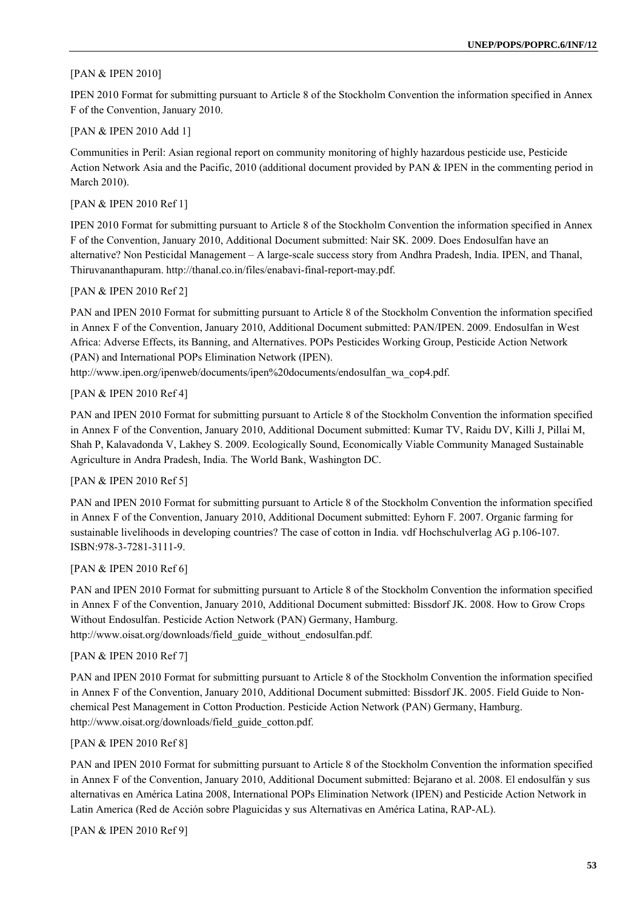#### [PAN & IPEN 2010]

IPEN 2010 Format for submitting pursuant to Article 8 of the Stockholm Convention the information specified in Annex F of the Convention, January 2010.

#### [PAN & IPEN 2010 Add 1]

Communities in Peril: Asian regional report on community monitoring of highly hazardous pesticide use, Pesticide Action Network Asia and the Pacific, 2010 (additional document provided by PAN & IPEN in the commenting period in March 2010).

## [PAN & IPEN 2010 Ref 1]

IPEN 2010 Format for submitting pursuant to Article 8 of the Stockholm Convention the information specified in Annex F of the Convention, January 2010, Additional Document submitted: Nair SK. 2009. Does Endosulfan have an alternative? Non Pesticidal Management – A large-scale success story from Andhra Pradesh, India. IPEN, and Thanal, Thiruvananthapuram. http://thanal.co.in/files/enabavi-final-report-may.pdf.

#### [PAN & IPEN 2010 Ref 2]

PAN and IPEN 2010 Format for submitting pursuant to Article 8 of the Stockholm Convention the information specified in Annex F of the Convention, January 2010, Additional Document submitted: PAN/IPEN. 2009. Endosulfan in West Africa: Adverse Effects, its Banning, and Alternatives. POPs Pesticides Working Group, Pesticide Action Network (PAN) and International POPs Elimination Network (IPEN).

http://www.ipen.org/ipenweb/documents/ipen%20documents/endosulfan\_wa\_cop4.pdf.

#### [PAN & IPEN 2010 Ref 4]

PAN and IPEN 2010 Format for submitting pursuant to Article 8 of the Stockholm Convention the information specified in Annex F of the Convention, January 2010, Additional Document submitted: Kumar TV, Raidu DV, Killi J, Pillai M, Shah P, Kalavadonda V, Lakhey S. 2009. Ecologically Sound, Economically Viable Community Managed Sustainable Agriculture in Andra Pradesh, India. The World Bank, Washington DC.

#### [PAN & IPEN 2010 Ref 5]

PAN and IPEN 2010 Format for submitting pursuant to Article 8 of the Stockholm Convention the information specified in Annex F of the Convention, January 2010, Additional Document submitted: Eyhorn F. 2007. Organic farming for sustainable livelihoods in developing countries? The case of cotton in India. vdf Hochschulverlag AG p.106-107. ISBN:978-3-7281-3111-9.

#### [PAN & IPEN 2010 Ref 6]

PAN and IPEN 2010 Format for submitting pursuant to Article 8 of the Stockholm Convention the information specified in Annex F of the Convention, January 2010, Additional Document submitted: Bissdorf JK. 2008. How to Grow Crops Without Endosulfan. Pesticide Action Network (PAN) Germany, Hamburg. http://www.oisat.org/downloads/field\_guide\_without\_endosulfan.pdf.

#### [PAN & IPEN 2010 Ref 7]

PAN and IPEN 2010 Format for submitting pursuant to Article 8 of the Stockholm Convention the information specified in Annex F of the Convention, January 2010, Additional Document submitted: Bissdorf JK. 2005. Field Guide to Nonchemical Pest Management in Cotton Production. Pesticide Action Network (PAN) Germany, Hamburg. http://www.oisat.org/downloads/field\_guide\_cotton.pdf.

#### [PAN & IPEN 2010 Ref 8]

PAN and IPEN 2010 Format for submitting pursuant to Article 8 of the Stockholm Convention the information specified in Annex F of the Convention, January 2010, Additional Document submitted: Bejarano et al. 2008. El endosulfán y sus alternativas en América Latina 2008, International POPs Elimination Network (IPEN) and Pesticide Action Network in Latin America (Red de Acción sobre Plaguicidas y sus Alternativas en América Latina, RAP-AL).

#### [PAN & IPEN 2010 Ref 9]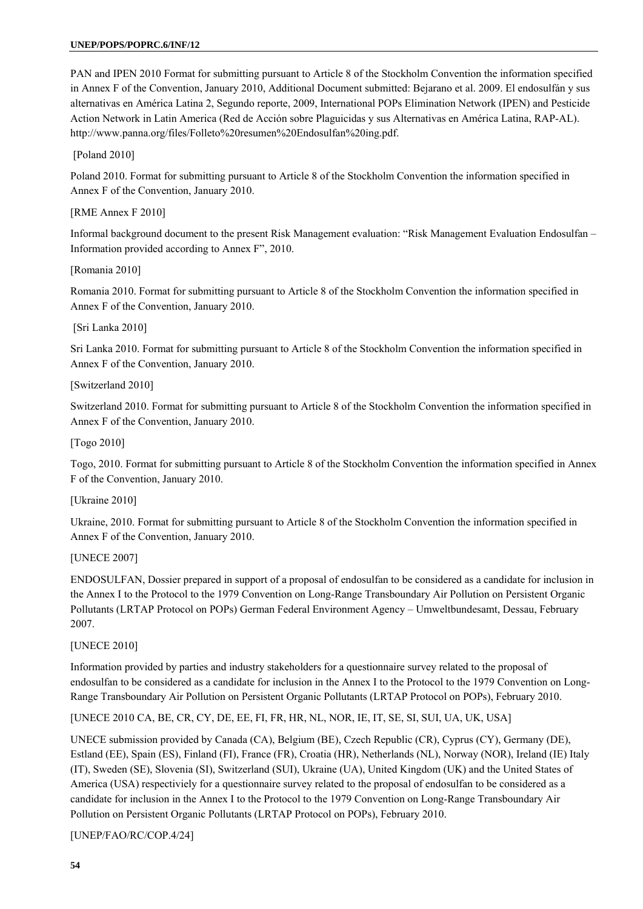PAN and IPEN 2010 Format for submitting pursuant to Article 8 of the Stockholm Convention the information specified in Annex F of the Convention, January 2010, Additional Document submitted: Bejarano et al. 2009. El endosulfán y sus alternativas en América Latina 2, Segundo reporte, 2009, International POPs Elimination Network (IPEN) and Pesticide Action Network in Latin America (Red de Acción sobre Plaguicidas y sus Alternativas en América Latina, RAP-AL). http://www.panna.org/files/Folleto%20resumen%20Endosulfan%20ing.pdf.

[Poland 2010]

Poland 2010. Format for submitting pursuant to Article 8 of the Stockholm Convention the information specified in Annex F of the Convention, January 2010.

[RME Annex F 2010]

Informal background document to the present Risk Management evaluation: "Risk Management Evaluation Endosulfan – Information provided according to Annex F", 2010.

[Romania 2010]

Romania 2010. Format for submitting pursuant to Article 8 of the Stockholm Convention the information specified in Annex F of the Convention, January 2010.

[Sri Lanka 2010]

Sri Lanka 2010. Format for submitting pursuant to Article 8 of the Stockholm Convention the information specified in Annex F of the Convention, January 2010.

[Switzerland 2010]

Switzerland 2010. Format for submitting pursuant to Article 8 of the Stockholm Convention the information specified in Annex F of the Convention, January 2010.

[Togo 2010]

Togo, 2010. Format for submitting pursuant to Article 8 of the Stockholm Convention the information specified in Annex F of the Convention, January 2010.

[Ukraine 2010]

Ukraine, 2010. Format for submitting pursuant to Article 8 of the Stockholm Convention the information specified in Annex F of the Convention, January 2010.

[UNECE 2007]

ENDOSULFAN, Dossier prepared in support of a proposal of endosulfan to be considered as a candidate for inclusion in the Annex I to the Protocol to the 1979 Convention on Long-Range Transboundary Air Pollution on Persistent Organic Pollutants (LRTAP Protocol on POPs) German Federal Environment Agency – Umweltbundesamt, Dessau, February 2007.

[UNECE 2010]

Information provided by parties and industry stakeholders for a questionnaire survey related to the proposal of endosulfan to be considered as a candidate for inclusion in the Annex I to the Protocol to the 1979 Convention on Long-Range Transboundary Air Pollution on Persistent Organic Pollutants (LRTAP Protocol on POPs), February 2010.

[UNECE 2010 CA, BE, CR, CY, DE, EE, FI, FR, HR, NL, NOR, IE, IT, SE, SI, SUI, UA, UK, USA]

UNECE submission provided by Canada (CA), Belgium (BE), Czech Republic (CR), Cyprus (CY), Germany (DE), Estland (EE), Spain (ES), Finland (FI), France (FR), Croatia (HR), Netherlands (NL), Norway (NOR), Ireland (IE) Italy (IT), Sweden (SE), Slovenia (SI), Switzerland (SUI), Ukraine (UA), United Kingdom (UK) and the United States of America (USA) respectiviely for a questionnaire survey related to the proposal of endosulfan to be considered as a candidate for inclusion in the Annex I to the Protocol to the 1979 Convention on Long-Range Transboundary Air Pollution on Persistent Organic Pollutants (LRTAP Protocol on POPs), February 2010.

[UNEP/FAO/RC/COP.4/24]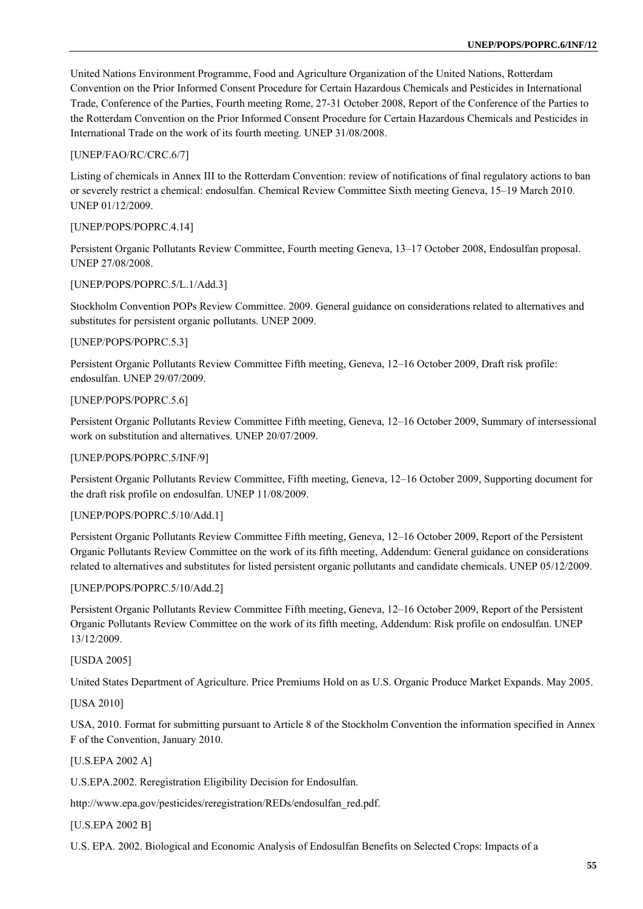United Nations Environment Programme, Food and Agriculture Organization of the United Nations, Rotterdam Convention on the Prior Informed Consent Procedure for Certain Hazardous Chemicals and Pesticides in International Trade, Conference of the Parties, Fourth meeting Rome, 27-31 October 2008, Report of the Conference of the Parties to the Rotterdam Convention on the Prior Informed Consent Procedure for Certain Hazardous Chemicals and Pesticides in International Trade on the work of its fourth meeting. UNEP 31/08/2008.

## [UNEP/FAO/RC/CRC.6/7]

Listing of chemicals in Annex III to the Rotterdam Convention: review of notifications of final regulatory actions to ban or severely restrict a chemical: endosulfan. Chemical Review Committee Sixth meeting Geneva, 15–19 March 2010. UNEP 01/12/2009.

## [UNEP/POPS/POPRC.4.14]

Persistent Organic Pollutants Review Committee, Fourth meeting Geneva, 13–17 October 2008, Endosulfan proposal. UNEP 27/08/2008.

#### [UNEP/POPS/POPRC.5/L.1/Add.3]

Stockholm Convention POPs Review Committee. 2009. General guidance on considerations related to alternatives and substitutes for persistent organic pollutants. UNEP 2009.

#### [UNEP/POPS/POPRC.5.3]

Persistent Organic Pollutants Review Committee Fifth meeting, Geneva, 12–16 October 2009, Draft risk profile: endosulfan. UNEP 29/07/2009.

#### [UNEP/POPS/POPRC.5.6]

Persistent Organic Pollutants Review Committee Fifth meeting, Geneva, 12–16 October 2009, Summary of intersessional work on substitution and alternatives. UNEP 20/07/2009.

#### [UNEP/POPS/POPRC.5/INF/9]

Persistent Organic Pollutants Review Committee, Fifth meeting, Geneva, 12–16 October 2009, Supporting document for the draft risk profile on endosulfan. UNEP 11/08/2009.

# [UNEP/POPS/POPRC.5/10/Add.1]

Persistent Organic Pollutants Review Committee Fifth meeting, Geneva, 12–16 October 2009, Report of the Persistent Organic Pollutants Review Committee on the work of its fifth meeting, Addendum: General guidance on considerations related to alternatives and substitutes for listed persistent organic pollutants and candidate chemicals. UNEP 05/12/2009.

#### [UNEP/POPS/POPRC.5/10/Add.2]

Persistent Organic Pollutants Review Committee Fifth meeting, Geneva, 12–16 October 2009, Report of the Persistent Organic Pollutants Review Committee on the work of its fifth meeting, Addendum: Risk profile on endosulfan. UNEP 13/12/2009.

#### [USDA 2005]

United States Department of Agriculture. Price Premiums Hold on as U.S. Organic Produce Market Expands. May 2005.

## [USA 2010]

USA, 2010. Format for submitting pursuant to Article 8 of the Stockholm Convention the information specified in Annex F of the Convention, January 2010.

#### [U.S.EPA 2002 A]

U.S.EPA.2002. Reregistration Eligibility Decision for Endosulfan.

http://www.epa.gov/pesticides/reregistration/REDs/endosulfan\_red.pdf.

# [U.S.EPA 2002 B]

U.S. EPA. 2002. Biological and Economic Analysis of Endosulfan Benefits on Selected Crops: Impacts of a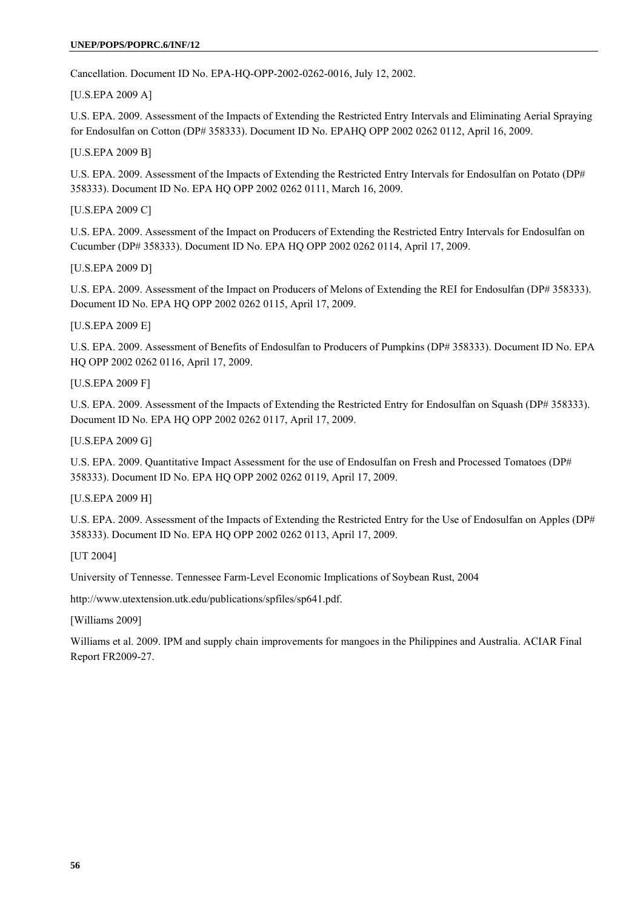#### **UNEP/POPS/POPRC.6/INF/12**

Cancellation. Document ID No. EPA-HQ-OPP-2002-0262-0016, July 12, 2002.

[U.S.EPA 2009 A]

U.S. EPA. 2009. Assessment of the Impacts of Extending the Restricted Entry Intervals and Eliminating Aerial Spraying for Endosulfan on Cotton (DP# 358333). Document ID No. EPAHQ OPP 2002 0262 0112, April 16, 2009.

[U.S.EPA 2009 B]

U.S. EPA. 2009. Assessment of the Impacts of Extending the Restricted Entry Intervals for Endosulfan on Potato (DP# 358333). Document ID No. EPA HQ OPP 2002 0262 0111, March 16, 2009.

[U.S.EPA 2009 C]

U.S. EPA. 2009. Assessment of the Impact on Producers of Extending the Restricted Entry Intervals for Endosulfan on Cucumber (DP# 358333). Document ID No. EPA HQ OPP 2002 0262 0114, April 17, 2009.

[U.S.EPA 2009 D]

U.S. EPA. 2009. Assessment of the Impact on Producers of Melons of Extending the REI for Endosulfan (DP# 358333). Document ID No. EPA HQ OPP 2002 0262 0115, April 17, 2009.

[U.S.EPA 2009 E]

U.S. EPA. 2009. Assessment of Benefits of Endosulfan to Producers of Pumpkins (DP# 358333). Document ID No. EPA HQ OPP 2002 0262 0116, April 17, 2009.

[U.S.EPA 2009 F]

U.S. EPA. 2009. Assessment of the Impacts of Extending the Restricted Entry for Endosulfan on Squash (DP# 358333). Document ID No. EPA HQ OPP 2002 0262 0117, April 17, 2009.

[U.S.EPA 2009 G]

U.S. EPA. 2009. Quantitative Impact Assessment for the use of Endosulfan on Fresh and Processed Tomatoes (DP# 358333). Document ID No. EPA HQ OPP 2002 0262 0119, April 17, 2009.

[U.S.EPA 2009 H]

U.S. EPA. 2009. Assessment of the Impacts of Extending the Restricted Entry for the Use of Endosulfan on Apples (DP# 358333). Document ID No. EPA HQ OPP 2002 0262 0113, April 17, 2009.

[UT 2004]

University of Tennesse. Tennessee Farm-Level Economic Implications of Soybean Rust, 2004

http://www.utextension.utk.edu/publications/spfiles/sp641.pdf.

[Williams 2009]

Williams et al. 2009. IPM and supply chain improvements for mangoes in the Philippines and Australia. ACIAR Final Report FR2009-27.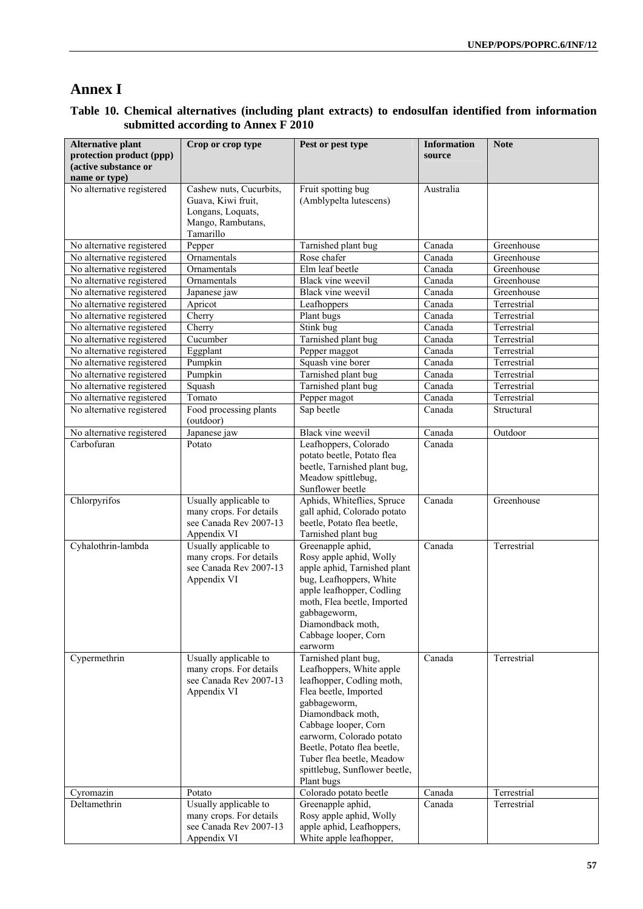# **Annex I**

| <b>Alternative plant</b><br>protection product (ppp) | Crop or crop type                                                                                    | Pest or pest type                                                                                                                                                                                                                                                                                          | <b>Information</b><br>source | <b>Note</b> |
|------------------------------------------------------|------------------------------------------------------------------------------------------------------|------------------------------------------------------------------------------------------------------------------------------------------------------------------------------------------------------------------------------------------------------------------------------------------------------------|------------------------------|-------------|
| (active substance or                                 |                                                                                                      |                                                                                                                                                                                                                                                                                                            |                              |             |
| name or type)                                        |                                                                                                      |                                                                                                                                                                                                                                                                                                            |                              |             |
| No alternative registered                            | Cashew nuts, Cucurbits,<br>Guava, Kiwi fruit,<br>Longans, Loquats,<br>Mango, Rambutans,<br>Tamarillo | Fruit spotting bug<br>(Amblypelta lutescens)                                                                                                                                                                                                                                                               | Australia                    |             |
| No alternative registered                            | Pepper                                                                                               | Tarnished plant bug                                                                                                                                                                                                                                                                                        | Canada                       | Greenhouse  |
| No alternative registered                            | Ornamentals                                                                                          | Rose chafer                                                                                                                                                                                                                                                                                                | Canada                       | Greenhouse  |
| No alternative registered                            | Ornamentals                                                                                          | Elm leaf beetle                                                                                                                                                                                                                                                                                            | Canada                       | Greenhouse  |
| No alternative registered                            | Ornamentals                                                                                          | Black vine weevil                                                                                                                                                                                                                                                                                          | Canada                       | Greenhouse  |
| No alternative registered                            | Japanese jaw                                                                                         | Black vine weevil                                                                                                                                                                                                                                                                                          | Canada                       | Greenhouse  |
| No alternative registered                            | Apricot                                                                                              | Leafhoppers                                                                                                                                                                                                                                                                                                | Canada                       | Terrestrial |
| No alternative registered                            | Cherry                                                                                               | Plant bugs                                                                                                                                                                                                                                                                                                 | Canada                       | Terrestrial |
| No alternative registered                            | Cherry                                                                                               | Stink bug                                                                                                                                                                                                                                                                                                  | Canada                       | Terrestrial |
| No alternative registered                            | Cucumber                                                                                             | Tarnished plant bug                                                                                                                                                                                                                                                                                        | Canada                       | Terrestrial |
| No alternative registered                            | Eggplant                                                                                             | Pepper maggot                                                                                                                                                                                                                                                                                              | Canada                       | Terrestrial |
| No alternative registered                            | Pumpkin                                                                                              | Squash vine borer                                                                                                                                                                                                                                                                                          | Canada                       | Terrestrial |
| No alternative registered                            | Pumpkin                                                                                              | Tarnished plant bug                                                                                                                                                                                                                                                                                        | Canada                       | Terrestrial |
| No alternative registered                            | Squash                                                                                               | Tarnished plant bug                                                                                                                                                                                                                                                                                        | Canada                       | Terrestrial |
| No alternative registered                            | Tomato                                                                                               | Pepper magot                                                                                                                                                                                                                                                                                               | Canada                       | Terrestrial |
| No alternative registered                            | Food processing plants<br>(outdoor)                                                                  | Sap beetle                                                                                                                                                                                                                                                                                                 | Canada                       | Structural  |
| No alternative registered                            | Japanese jaw                                                                                         | Black vine weevil                                                                                                                                                                                                                                                                                          | Canada                       | Outdoor     |
| Carbofuran                                           | Potato                                                                                               | Leafhoppers, Colorado<br>potato beetle, Potato flea<br>beetle, Tarnished plant bug,<br>Meadow spittlebug,<br>Sunflower beetle                                                                                                                                                                              | Canada                       |             |
| Chlorpyrifos                                         | Usually applicable to<br>many crops. For details<br>see Canada Rev 2007-13<br>Appendix VI            | Aphids, Whiteflies, Spruce<br>gall aphid, Colorado potato<br>beetle, Potato flea beetle,<br>Tarnished plant bug                                                                                                                                                                                            | Canada                       | Greenhouse  |
| Cyhalothrin-lambda                                   | Usually applicable to<br>many crops. For details<br>see Canada Rev 2007-13<br>Appendix VI            | Greenapple aphid,<br>Rosy apple aphid, Wolly<br>apple aphid, Tarnished plant<br>bug, Leafhoppers, White<br>apple leafhopper, Codling<br>moth, Flea beetle, Imported<br>gabbageworm,<br>Diamondback moth,<br>Cabbage looper, Corn<br>earworm                                                                | Canada                       | Terrestrial |
| Cypermethrin                                         | Usually applicable to<br>many crops. For details<br>see Canada Rev 2007-13<br>Appendix VI            | Tarnished plant bug,<br>Leafhoppers, White apple<br>leafhopper, Codling moth,<br>Flea beetle, Imported<br>gabbageworm,<br>Diamondback moth,<br>Cabbage looper, Corn<br>earworm, Colorado potato<br>Beetle, Potato flea beetle,<br>Tuber flea beetle, Meadow<br>spittlebug, Sunflower beetle,<br>Plant bugs | Canada                       | Terrestrial |
| Cyromazin                                            | Potato                                                                                               | Colorado potato beetle                                                                                                                                                                                                                                                                                     | Canada                       | Terrestrial |
| Deltamethrin                                         | Usually applicable to<br>many crops. For details<br>see Canada Rev 2007-13<br>Appendix VI            | Greenapple aphid,<br>Rosy apple aphid, Wolly<br>apple aphid, Leafhoppers,<br>White apple leafhopper,                                                                                                                                                                                                       | Canada                       | Terrestrial |

# **Table 10. Chemical alternatives (including plant extracts) to endosulfan identified from information submitted according to Annex F 2010**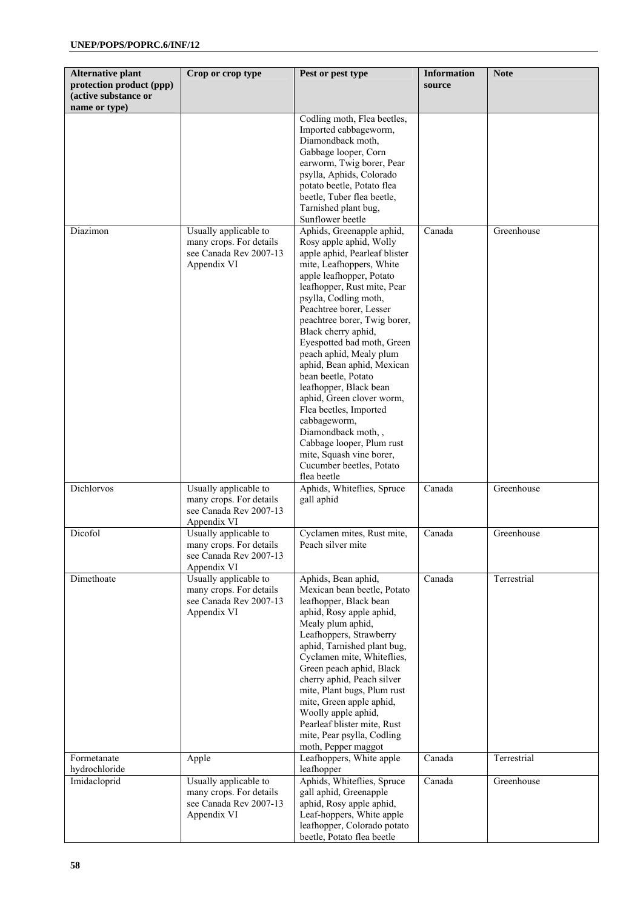| <b>Alternative plant</b>                                          | Crop or crop type                                                                         | Pest or pest type                                                                                                                                                                                                                                                                                                                                                                                                                                                                                                                                                                                                                | <b>Information</b> | <b>Note</b> |
|-------------------------------------------------------------------|-------------------------------------------------------------------------------------------|----------------------------------------------------------------------------------------------------------------------------------------------------------------------------------------------------------------------------------------------------------------------------------------------------------------------------------------------------------------------------------------------------------------------------------------------------------------------------------------------------------------------------------------------------------------------------------------------------------------------------------|--------------------|-------------|
| protection product (ppp)<br>(active substance or<br>name or type) |                                                                                           |                                                                                                                                                                                                                                                                                                                                                                                                                                                                                                                                                                                                                                  | source             |             |
|                                                                   |                                                                                           | Codling moth, Flea beetles,<br>Imported cabbageworm,<br>Diamondback moth,<br>Gabbage looper, Corn<br>earworm, Twig borer, Pear<br>psylla, Aphids, Colorado<br>potato beetle, Potato flea<br>beetle, Tuber flea beetle,<br>Tarnished plant bug,<br>Sunflower beetle                                                                                                                                                                                                                                                                                                                                                               |                    |             |
| Diazimon                                                          | Usually applicable to<br>many crops. For details<br>see Canada Rev 2007-13<br>Appendix VI | Aphids, Greenapple aphid,<br>Rosy apple aphid, Wolly<br>apple aphid, Pearleaf blister<br>mite, Leafhoppers, White<br>apple leafhopper, Potato<br>leafhopper, Rust mite, Pear<br>psylla, Codling moth,<br>Peachtree borer, Lesser<br>peachtree borer, Twig borer,<br>Black cherry aphid,<br>Eyespotted bad moth, Green<br>peach aphid, Mealy plum<br>aphid, Bean aphid, Mexican<br>bean beetle, Potato<br>leafhopper, Black bean<br>aphid, Green clover worm,<br>Flea beetles, Imported<br>cabbageworm,<br>Diamondback moth,,<br>Cabbage looper, Plum rust<br>mite, Squash vine borer,<br>Cucumber beetles, Potato<br>flea beetle | Canada             | Greenhouse  |
| Dichlorvos                                                        | Usually applicable to<br>many crops. For details<br>see Canada Rev 2007-13<br>Appendix VI | Aphids, Whiteflies, Spruce<br>gall aphid                                                                                                                                                                                                                                                                                                                                                                                                                                                                                                                                                                                         | Canada             | Greenhouse  |
| Dicofol                                                           | Usually applicable to<br>many crops. For details<br>see Canada Rev 2007-13<br>Appendix VI | Cyclamen mites, Rust mite,<br>Peach silver mite                                                                                                                                                                                                                                                                                                                                                                                                                                                                                                                                                                                  | Canada             | Greenhouse  |
| Dimethoate                                                        | Usually applicable to<br>many crops. For details<br>see Canada Rev 2007-13<br>Appendix VI | Aphids, Bean aphid,<br>Mexican bean beetle, Potato<br>leafhopper, Black bean<br>aphid, Rosy apple aphid,<br>Mealy plum aphid,<br>Leafhoppers, Strawberry<br>aphid, Tarnished plant bug,<br>Cyclamen mite, Whiteflies,<br>Green peach aphid, Black<br>cherry aphid, Peach silver<br>mite, Plant bugs, Plum rust<br>mite, Green apple aphid,<br>Woolly apple aphid,<br>Pearleaf blister mite, Rust<br>mite, Pear psylla, Codling<br>moth, Pepper maggot                                                                                                                                                                            | Canada             | Terrestrial |
| Formetanate<br>hydrochloride                                      | Apple                                                                                     | Leafhoppers, White apple<br>leafhopper                                                                                                                                                                                                                                                                                                                                                                                                                                                                                                                                                                                           | Canada             | Terrestrial |
| Imidacloprid                                                      | Usually applicable to<br>many crops. For details<br>see Canada Rev 2007-13<br>Appendix VI | Aphids, Whiteflies, Spruce<br>gall aphid, Greenapple<br>aphid, Rosy apple aphid,<br>Leaf-hoppers, White apple<br>leafhopper, Colorado potato<br>beetle, Potato flea beetle                                                                                                                                                                                                                                                                                                                                                                                                                                                       | Canada             | Greenhouse  |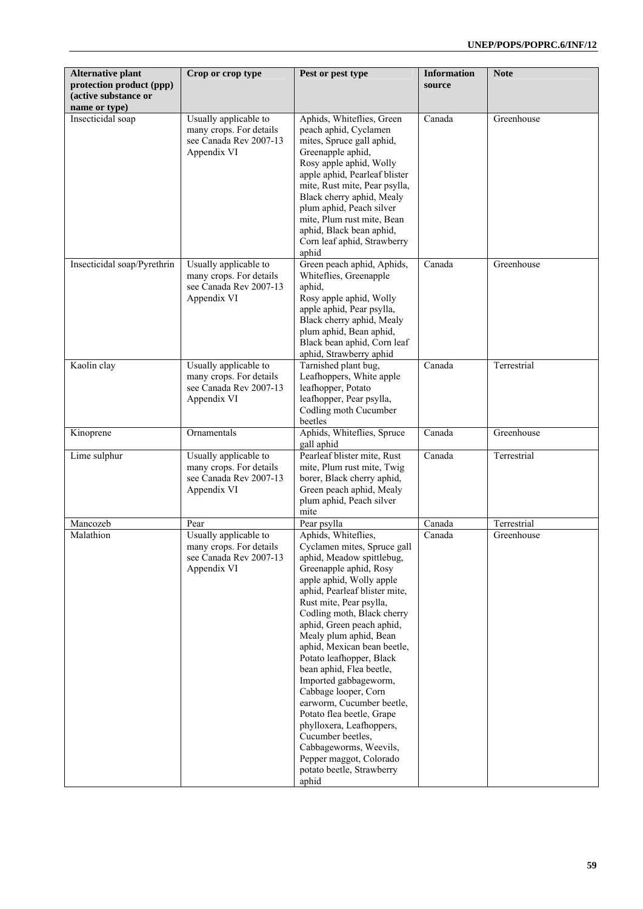| <b>Alternative plant</b><br>protection product (ppp)<br>(active substance or<br>name or type) | Crop or crop type                                                                         | Pest or pest type                                                                                                                                                                                                                                                                                                                                                                                                                                                                                                                                                                                                                    | <b>Information</b><br>source | <b>Note</b> |
|-----------------------------------------------------------------------------------------------|-------------------------------------------------------------------------------------------|--------------------------------------------------------------------------------------------------------------------------------------------------------------------------------------------------------------------------------------------------------------------------------------------------------------------------------------------------------------------------------------------------------------------------------------------------------------------------------------------------------------------------------------------------------------------------------------------------------------------------------------|------------------------------|-------------|
| Insecticidal soap                                                                             | Usually applicable to<br>many crops. For details<br>see Canada Rev 2007-13<br>Appendix VI | Aphids, Whiteflies, Green<br>peach aphid, Cyclamen<br>mites, Spruce gall aphid,<br>Greenapple aphid,<br>Rosy apple aphid, Wolly<br>apple aphid, Pearleaf blister<br>mite, Rust mite, Pear psylla,<br>Black cherry aphid, Mealy<br>plum aphid, Peach silver<br>mite, Plum rust mite, Bean<br>aphid, Black bean aphid,<br>Corn leaf aphid, Strawberry<br>aphid                                                                                                                                                                                                                                                                         | Canada                       | Greenhouse  |
| Insecticidal soap/Pyrethrin                                                                   | Usually applicable to<br>many crops. For details<br>see Canada Rev 2007-13<br>Appendix VI | Green peach aphid, Aphids,<br>Whiteflies, Greenapple<br>aphid,<br>Rosy apple aphid, Wolly<br>apple aphid, Pear psylla,<br>Black cherry aphid, Mealy<br>plum aphid, Bean aphid,<br>Black bean aphid, Corn leaf<br>aphid, Strawberry aphid                                                                                                                                                                                                                                                                                                                                                                                             | Canada                       | Greenhouse  |
| Kaolin clay                                                                                   | Usually applicable to<br>many crops. For details<br>see Canada Rev 2007-13<br>Appendix VI | Tarnished plant bug,<br>Leafhoppers, White apple<br>leafhopper, Potato<br>leafhopper, Pear psylla,<br>Codling moth Cucumber<br>beetles                                                                                                                                                                                                                                                                                                                                                                                                                                                                                               | Canada                       | Terrestrial |
| Kinoprene                                                                                     | Ornamentals                                                                               | Aphids, Whiteflies, Spruce<br>gall aphid                                                                                                                                                                                                                                                                                                                                                                                                                                                                                                                                                                                             | Canada                       | Greenhouse  |
| Lime sulphur                                                                                  | Usually applicable to<br>many crops. For details<br>see Canada Rev 2007-13<br>Appendix VI | Pearleaf blister mite, Rust<br>mite, Plum rust mite, Twig<br>borer, Black cherry aphid,<br>Green peach aphid, Mealy<br>plum aphid, Peach silver<br>mite                                                                                                                                                                                                                                                                                                                                                                                                                                                                              | Canada                       | Terrestrial |
| Mancozeb                                                                                      | Pear                                                                                      | Pear psylla                                                                                                                                                                                                                                                                                                                                                                                                                                                                                                                                                                                                                          | Canada                       | Terrestrial |
| Malathion                                                                                     | Usually applicable to<br>many crops. For details<br>see Canada Rev 2007-13<br>Appendix VI | Aphids, Whiteflies,<br>Cyclamen mites, Spruce gall<br>aphid, Meadow spittlebug,<br>Greenapple aphid, Rosy<br>apple aphid, Wolly apple<br>aphid, Pearleaf blister mite,<br>Rust mite, Pear psylla,<br>Codling moth, Black cherry<br>aphid, Green peach aphid,<br>Mealy plum aphid, Bean<br>aphid, Mexican bean beetle,<br>Potato leafhopper, Black<br>bean aphid, Flea beetle,<br>Imported gabbageworm,<br>Cabbage looper, Corn<br>earworm, Cucumber beetle,<br>Potato flea beetle, Grape<br>phylloxera, Leafhoppers,<br>Cucumber beetles,<br>Cabbageworms, Weevils,<br>Pepper maggot, Colorado<br>potato beetle, Strawberry<br>aphid | Canada                       | Greenhouse  |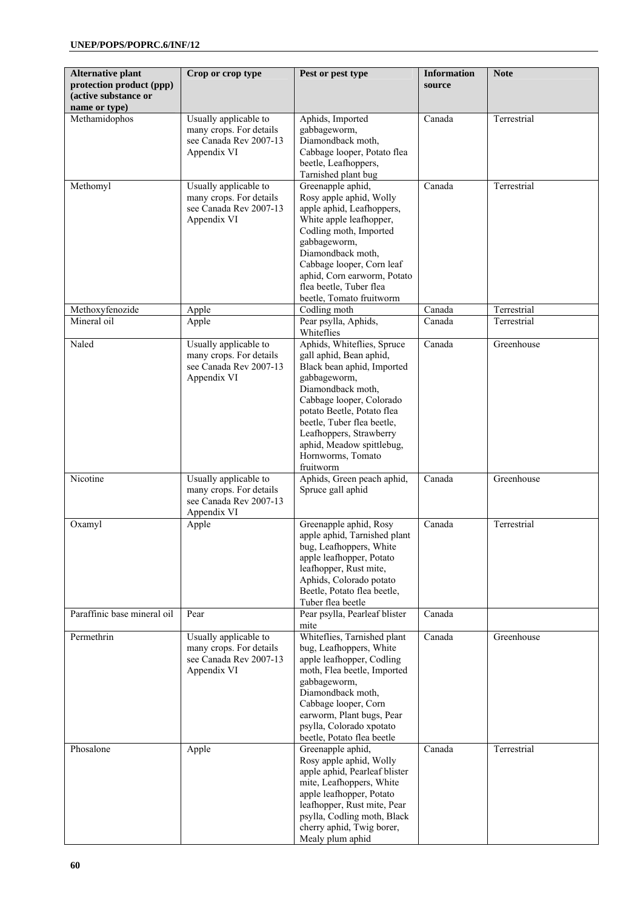| <b>Alternative plant</b><br>protection product (ppp)<br>(active substance or<br>name or type) | Crop or crop type                                                                         | Pest or pest type                                                                                                                                                                                                                                                                                          | <b>Information</b><br>source | <b>Note</b> |
|-----------------------------------------------------------------------------------------------|-------------------------------------------------------------------------------------------|------------------------------------------------------------------------------------------------------------------------------------------------------------------------------------------------------------------------------------------------------------------------------------------------------------|------------------------------|-------------|
| Methamidophos                                                                                 | Usually applicable to<br>many crops. For details<br>see Canada Rev 2007-13<br>Appendix VI | Aphids, Imported<br>gabbageworm,<br>Diamondback moth,<br>Cabbage looper, Potato flea<br>beetle, Leafhoppers,<br>Tarnished plant bug                                                                                                                                                                        | Canada                       | Terrestrial |
| Methomyl                                                                                      | Usually applicable to<br>many crops. For details<br>see Canada Rev 2007-13<br>Appendix VI | Greenapple aphid,<br>Rosy apple aphid, Wolly<br>apple aphid, Leafhoppers,<br>White apple leafhopper,<br>Codling moth, Imported<br>gabbageworm,<br>Diamondback moth,<br>Cabbage looper, Corn leaf<br>aphid, Corn earworm, Potato<br>flea beetle, Tuber flea<br>beetle, Tomato fruitworm                     | Canada                       | Terrestrial |
| Methoxyfenozide                                                                               | Apple                                                                                     | Codling moth                                                                                                                                                                                                                                                                                               | Canada                       | Terrestrial |
| Mineral oil                                                                                   | Apple                                                                                     | Pear psylla, Aphids,<br>Whiteflies                                                                                                                                                                                                                                                                         | Canada                       | Terrestrial |
| Naled                                                                                         | Usually applicable to<br>many crops. For details<br>see Canada Rev 2007-13<br>Appendix VI | Aphids, Whiteflies, Spruce<br>gall aphid, Bean aphid,<br>Black bean aphid, Imported<br>gabbageworm,<br>Diamondback moth,<br>Cabbage looper, Colorado<br>potato Beetle, Potato flea<br>beetle, Tuber flea beetle,<br>Leafhoppers, Strawberry<br>aphid, Meadow spittlebug,<br>Hornworms, Tomato<br>fruitworm | Canada                       | Greenhouse  |
| Nicotine                                                                                      | Usually applicable to<br>many crops. For details<br>see Canada Rev 2007-13<br>Appendix VI | Aphids, Green peach aphid,<br>Spruce gall aphid                                                                                                                                                                                                                                                            | Canada                       | Greenhouse  |
| Oxamyl                                                                                        | Apple                                                                                     | Greenapple aphid, Rosy<br>apple aphid, Tarnished plant<br>bug, Leafhoppers, White<br>apple leafhopper, Potato<br>leafhopper, Rust mite,<br>Aphids, Colorado potato<br>Beetle, Potato flea beetle,<br>Tuber flea beetle                                                                                     | Canada                       | Terrestrial |
| Paraffinic base mineral oil                                                                   | Pear                                                                                      | Pear psylla, Pearleaf blister<br>mite                                                                                                                                                                                                                                                                      | Canada                       |             |
| Permethrin                                                                                    | Usually applicable to<br>many crops. For details<br>see Canada Rev 2007-13<br>Appendix VI | Whiteflies, Tarnished plant<br>bug, Leafhoppers, White<br>apple leafhopper, Codling<br>moth, Flea beetle, Imported<br>gabbageworm,<br>Diamondback moth,<br>Cabbage looper, Corn<br>earworm, Plant bugs, Pear<br>psylla, Colorado xpotato<br>beetle, Potato flea beetle                                     | Canada                       | Greenhouse  |
| Phosalone                                                                                     | Apple                                                                                     | Greenapple aphid,<br>Rosy apple aphid, Wolly<br>apple aphid, Pearleaf blister<br>mite, Leafhoppers, White<br>apple leafhopper, Potato<br>leafhopper, Rust mite, Pear<br>psylla, Codling moth, Black<br>cherry aphid, Twig borer,<br>Mealy plum aphid                                                       | Canada                       | Terrestrial |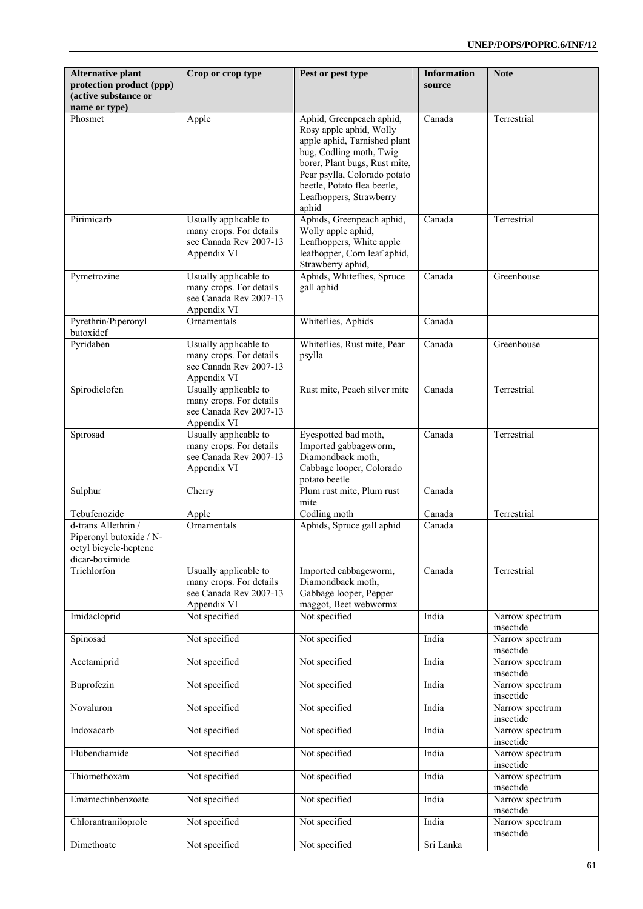| <b>Alternative plant</b><br>protection product (ppp)<br>(active substance or              | Crop or crop type                                                                         | Pest or pest type                                                                                                                                                                                                                                  | <b>Information</b><br>source | <b>Note</b>                  |
|-------------------------------------------------------------------------------------------|-------------------------------------------------------------------------------------------|----------------------------------------------------------------------------------------------------------------------------------------------------------------------------------------------------------------------------------------------------|------------------------------|------------------------------|
| name or type)<br>Phosmet                                                                  | Apple                                                                                     | Aphid, Greenpeach aphid,<br>Rosy apple aphid, Wolly<br>apple aphid, Tarnished plant<br>bug, Codling moth, Twig<br>borer, Plant bugs, Rust mite,<br>Pear psylla, Colorado potato<br>beetle, Potato flea beetle,<br>Leafhoppers, Strawberry<br>aphid | Canada                       | Terrestrial                  |
| Pirimicarb                                                                                | Usually applicable to<br>many crops. For details<br>see Canada Rev 2007-13<br>Appendix VI | Aphids, Greenpeach aphid,<br>Wolly apple aphid,<br>Leafhoppers, White apple<br>leafhopper, Corn leaf aphid,<br>Strawberry aphid,                                                                                                                   | Canada                       | Terrestrial                  |
| Pymetrozine                                                                               | Usually applicable to<br>many crops. For details<br>see Canada Rev 2007-13<br>Appendix VI | Aphids, Whiteflies, Spruce<br>gall aphid                                                                                                                                                                                                           | Canada                       | Greenhouse                   |
| Pyrethrin/Piperonyl<br>butoxidef                                                          | Ornamentals                                                                               | Whiteflies, Aphids                                                                                                                                                                                                                                 | Canada                       |                              |
| Pyridaben                                                                                 | Usually applicable to<br>many crops. For details<br>see Canada Rev 2007-13<br>Appendix VI | Whiteflies, Rust mite, Pear<br>psylla                                                                                                                                                                                                              | Canada                       | Greenhouse                   |
| Spirodiclofen                                                                             | Usually applicable to<br>many crops. For details<br>see Canada Rev 2007-13<br>Appendix VI | Rust mite, Peach silver mite                                                                                                                                                                                                                       | Canada                       | Terrestrial                  |
| Spirosad                                                                                  | Usually applicable to<br>many crops. For details<br>see Canada Rev 2007-13<br>Appendix VI | Eyespotted bad moth,<br>Imported gabbageworm,<br>Diamondback moth,<br>Cabbage looper, Colorado<br>potato beetle                                                                                                                                    | Canada                       | Terrestrial                  |
| Sulphur                                                                                   | Cherry                                                                                    | Plum rust mite, Plum rust<br>mite                                                                                                                                                                                                                  | Canada                       |                              |
| Tebufenozide                                                                              | Apple                                                                                     | Codling moth                                                                                                                                                                                                                                       | Canada                       | Terrestrial                  |
| d-trans Allethrin /<br>Piperonyl butoxide / N-<br>octyl bicycle-heptene<br>dicar-boximide | Ornamentals                                                                               | Aphids, Spruce gall aphid                                                                                                                                                                                                                          | Canada                       |                              |
| Trichlorfon                                                                               | Usually applicable to<br>many crops. For details<br>see Canada Rev 2007-13<br>Appendix VI | Imported cabbageworm,<br>Diamondback moth,<br>Gabbage looper, Pepper<br>maggot, Beet webwormx                                                                                                                                                      | Canada                       | Terrestrial                  |
| Imidacloprid                                                                              | Not specified                                                                             | Not specified                                                                                                                                                                                                                                      | India                        | Narrow spectrum<br>insectide |
| Spinosad                                                                                  | Not specified                                                                             | Not specified                                                                                                                                                                                                                                      | India                        | Narrow spectrum<br>insectide |
| Acetamiprid                                                                               | Not specified                                                                             | Not specified                                                                                                                                                                                                                                      | India                        | Narrow spectrum<br>insectide |
| Buprofezin                                                                                | Not specified                                                                             | Not specified                                                                                                                                                                                                                                      | India                        | Narrow spectrum<br>insectide |
| Novaluron                                                                                 | Not specified                                                                             | Not specified                                                                                                                                                                                                                                      | India                        | Narrow spectrum<br>insectide |
| Indoxacarb                                                                                | Not specified                                                                             | Not specified                                                                                                                                                                                                                                      | India                        | Narrow spectrum<br>insectide |
| Flubendiamide                                                                             | Not specified                                                                             | Not specified                                                                                                                                                                                                                                      | India                        | Narrow spectrum<br>insectide |
| Thiomethoxam                                                                              | Not specified                                                                             | Not specified                                                                                                                                                                                                                                      | India                        | Narrow spectrum<br>insectide |
| Emamectinbenzoate                                                                         | Not specified                                                                             | Not specified                                                                                                                                                                                                                                      | India                        | Narrow spectrum<br>insectide |
| Chlorantraniloprole                                                                       | Not specified                                                                             | Not specified                                                                                                                                                                                                                                      | India                        | Narrow spectrum<br>insectide |
| Dimethoate                                                                                | Not specified                                                                             | Not specified                                                                                                                                                                                                                                      | Sri Lanka                    |                              |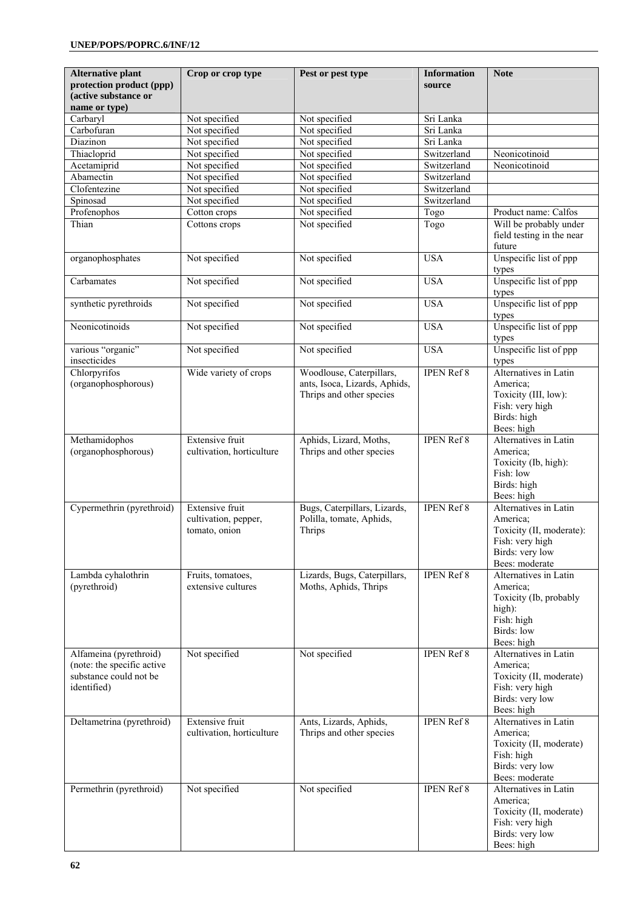| <b>Alternative plant</b>                                                                      | Crop or crop type                                               | Pest or pest type                                                                     | <b>Information</b>     | <b>Note</b>                                                                                                           |
|-----------------------------------------------------------------------------------------------|-----------------------------------------------------------------|---------------------------------------------------------------------------------------|------------------------|-----------------------------------------------------------------------------------------------------------------------|
| protection product (ppp)<br>(active substance or                                              |                                                                 |                                                                                       | source                 |                                                                                                                       |
| name or type)                                                                                 |                                                                 |                                                                                       |                        |                                                                                                                       |
| Carbaryl                                                                                      | Not specified                                                   | Not specified                                                                         | Sri Lanka              |                                                                                                                       |
| Carbofuran<br>Diazinon                                                                        | Not specified<br>Not specified                                  | Not specified<br>Not specified                                                        | Sri Lanka<br>Sri Lanka |                                                                                                                       |
| Thiacloprid                                                                                   | Not specified                                                   | Not specified                                                                         | Switzerland            | Neonicotinoid                                                                                                         |
| Acetamiprid                                                                                   | Not specified                                                   | Not specified                                                                         | Switzerland            | Neonicotinoid                                                                                                         |
| Abamectin                                                                                     | Not specified                                                   | Not specified                                                                         | Switzerland            |                                                                                                                       |
| Clofentezine                                                                                  | Not specified                                                   | Not specified                                                                         | Switzerland            |                                                                                                                       |
| Spinosad                                                                                      | Not specified                                                   | Not specified                                                                         | Switzerland            |                                                                                                                       |
| Profenophos                                                                                   | Cotton crops                                                    | Not specified                                                                         | Togo                   | Product name: Calfos                                                                                                  |
| Thian                                                                                         | Cottons crops                                                   | Not specified                                                                         | Togo                   | Will be probably under<br>field testing in the near<br>future                                                         |
| organophosphates                                                                              | Not specified                                                   | Not specified                                                                         | <b>USA</b>             | Unspecific list of ppp<br>types                                                                                       |
| Carbamates                                                                                    | Not specified                                                   | Not specified                                                                         | <b>USA</b>             | Unspecific list of ppp<br>types                                                                                       |
| synthetic pyrethroids                                                                         | Not specified                                                   | Not specified                                                                         | <b>USA</b>             | Unspecific list of ppp<br>types                                                                                       |
| Neonicotinoids                                                                                | Not specified                                                   | Not specified                                                                         | <b>USA</b>             | Unspecific list of ppp<br>types                                                                                       |
| various "organic"<br>insecticides                                                             | Not specified                                                   | Not specified                                                                         | <b>USA</b>             | Unspecific list of ppp<br>types                                                                                       |
| Chlorpyrifos<br>(organophosphorous)                                                           | Wide variety of crops                                           | Woodlouse, Caterpillars,<br>ants, Isoca, Lizards, Aphids,<br>Thrips and other species | <b>IPEN Ref 8</b>      | Alternatives in Latin<br>America;<br>Toxicity (III, low):<br>Fish: very high<br>Birds: high<br>Bees: high             |
| Methamidophos<br>(organophosphorous)                                                          | <b>Extensive fruit</b><br>cultivation, horticulture             | Aphids, Lizard, Moths,<br>Thrips and other species                                    | <b>IPEN Ref 8</b>      | Alternatives in Latin<br>America;<br>Toxicity (Ib, high):<br>Fish: low<br>Birds: high<br>Bees: high                   |
| Cypermethrin (pyrethroid)                                                                     | <b>Extensive fruit</b><br>cultivation, pepper,<br>tomato, onion | Bugs, Caterpillars, Lizards,<br>Polilla, tomate, Aphids,<br>Thrips                    | <b>IPEN Ref 8</b>      | Alternatives in Latin<br>America:<br>Toxicity (II, moderate):<br>Fish: very high<br>Birds: very low<br>Bees: moderate |
| Lambda cyhalothrin<br>(pyrethroid)                                                            | Fruits, tomatoes,<br>extensive cultures                         | Lizards, Bugs, Caterpillars,<br>Moths, Aphids, Thrips                                 | <b>IPEN Ref 8</b>      | Alternatives in Latin<br>America;<br>Toxicity (Ib, probably<br>high):<br>Fish: high<br>Birds: low<br>Bees: high       |
| Alfameina (pyrethroid)<br>(note: the specific active<br>substance could not be<br>identified) | Not specified                                                   | Not specified                                                                         | <b>IPEN Ref 8</b>      | Alternatives in Latin<br>America;<br>Toxicity (II, moderate)<br>Fish: very high<br>Birds: very low<br>Bees: high      |
| Deltametrina (pyrethroid)                                                                     | <b>Extensive fruit</b><br>cultivation, horticulture             | Ants, Lizards, Aphids,<br>Thrips and other species                                    | <b>IPEN Ref 8</b>      | Alternatives in Latin<br>America:<br>Toxicity (II, moderate)<br>Fish: high<br>Birds: very low<br>Bees: moderate       |
| Permethrin (pyrethroid)                                                                       | Not specified                                                   | Not specified                                                                         | <b>IPEN Ref 8</b>      | Alternatives in Latin<br>America;<br>Toxicity (II, moderate)<br>Fish: very high<br>Birds: very low<br>Bees: high      |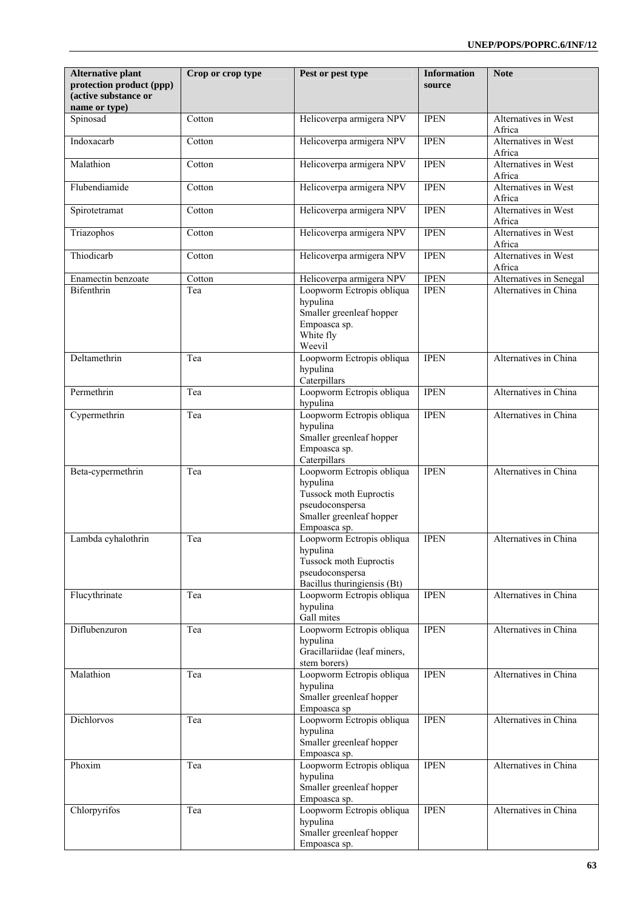| <b>Alternative plant</b><br>protection product (ppp)<br>active substance or<br>name or type) | Crop or crop type | Pest or pest type                                                                                                              | <b>Information</b><br>source | <b>Note</b>                    |
|----------------------------------------------------------------------------------------------|-------------------|--------------------------------------------------------------------------------------------------------------------------------|------------------------------|--------------------------------|
| Spinosad                                                                                     | Cotton            | Helicoverpa armigera NPV                                                                                                       | <b>IPEN</b>                  | Alternatives in West<br>Africa |
| Indoxacarb                                                                                   | Cotton            | Helicoverpa armigera NPV                                                                                                       | <b>IPEN</b>                  | Alternatives in West<br>Africa |
| Malathion                                                                                    | Cotton            | Helicoverpa armigera NPV                                                                                                       | <b>IPEN</b>                  | Alternatives in West<br>Africa |
| Flubendiamide                                                                                | Cotton            | Helicoverpa armigera NPV                                                                                                       | <b>IPEN</b>                  | Alternatives in West<br>Africa |
| Spirotetramat                                                                                | Cotton            | Helicoverpa armigera NPV                                                                                                       | <b>IPEN</b>                  | Alternatives in West<br>Africa |
| Triazophos                                                                                   | Cotton            | Helicoverpa armigera NPV                                                                                                       | <b>IPEN</b>                  | Alternatives in West<br>Africa |
| Thiodicarb                                                                                   | Cotton            | Helicoverpa armigera NPV                                                                                                       | <b>IPEN</b>                  | Alternatives in West<br>Africa |
| Enamectin benzoate                                                                           | Cotton            | Helicoverpa armigera NPV                                                                                                       | <b>IPEN</b>                  | Alternatives in Senegal        |
| <b>Bifenthrin</b>                                                                            | Tea               | Loopworm Ectropis obliqua<br>hypulina<br>Smaller greenleaf hopper<br>Empoasca sp.<br>White fly<br>Weevil                       | <b>IPEN</b>                  | Alternatives in China          |
| Deltamethrin                                                                                 | Tea               | Loopworm Ectropis obliqua<br>hypulina<br>Caterpillars                                                                          | <b>IPEN</b>                  | Alternatives in China          |
| Permethrin                                                                                   | Tea               | Loopworm Ectropis obliqua<br>hypulina                                                                                          | <b>IPEN</b>                  | Alternatives in China          |
| Cypermethrin                                                                                 | Tea               | Loopworm Ectropis obliqua<br>hypulina<br>Smaller greenleaf hopper<br>Empoasca sp.<br>Caterpillars                              | <b>IPEN</b>                  | Alternatives in China          |
| Beta-cypermethrin                                                                            | Tea               | Loopworm Ectropis obliqua<br>hypulina<br>Tussock moth Euproctis<br>pseudoconspersa<br>Smaller greenleaf hopper<br>Empoasca sp. | <b>IPEN</b>                  | Alternatives in China          |
| Lambda cyhalothrin                                                                           | Tea               | Loopworm Ectropis obliqua<br>hypulina<br>Tussock moth Euproctis<br>pseudoconspersa<br>Bacillus thuringiensis (Bt)              | <b>IPEN</b>                  | Alternatives in China          |
| Flucythrinate                                                                                | Tea               | Loopworm Ectropis obliqua<br>hypulina<br>Gall mites                                                                            | <b>IPEN</b>                  | Alternatives in China          |
| Diflubenzuron                                                                                | Tea               | Loopworm Ectropis obliqua<br>hypulina<br>Gracillariidae (leaf miners,<br>stem borers)                                          | <b>IPEN</b>                  | Alternatives in China          |
| Malathion                                                                                    | Tea               | Loopworm Ectropis obliqua<br>hypulina<br>Smaller greenleaf hopper<br>Empoasca sp                                               | <b>IPEN</b>                  | Alternatives in China          |
| Dichlorvos                                                                                   | Tea               | Loopworm Ectropis obliqua<br>hypulina<br>Smaller greenleaf hopper<br>Empoasca sp.                                              | <b>IPEN</b>                  | Alternatives in China          |
| Phoxim                                                                                       | Tea               | Loopworm Ectropis obliqua<br>hypulina<br>Smaller greenleaf hopper<br>Empoasca sp.                                              | <b>IPEN</b>                  | Alternatives in China          |
| Chlorpyrifos                                                                                 | Tea               | Loopworm Ectropis obliqua<br>hypulina<br>Smaller greenleaf hopper<br>Empoasca sp.                                              | <b>IPEN</b>                  | Alternatives in China          |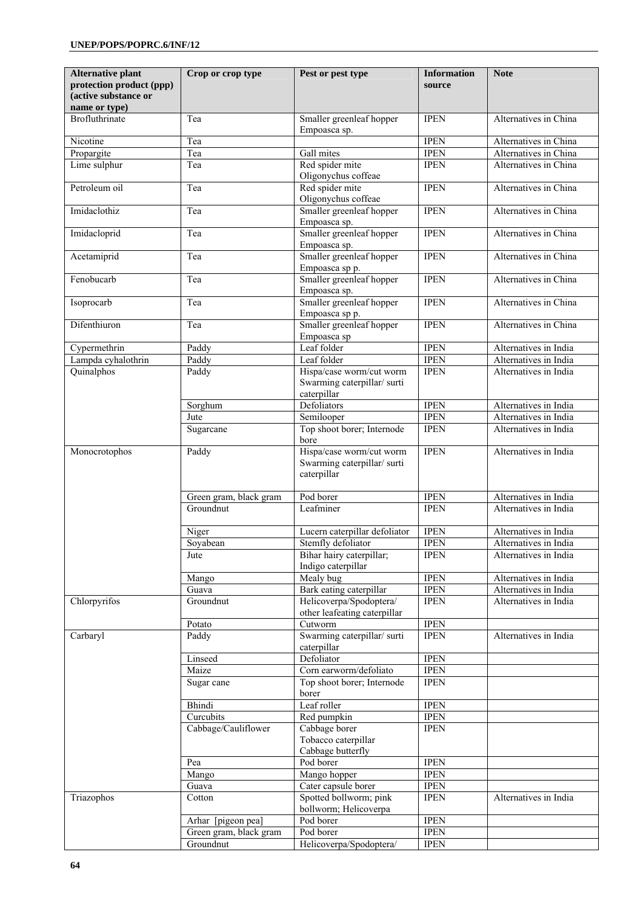| <b>Alternative plant</b><br>protection product (ppp)<br>(active substance or | Crop or crop type      | Pest or pest type                                                     | <b>Information</b><br>source | <b>Note</b>           |
|------------------------------------------------------------------------------|------------------------|-----------------------------------------------------------------------|------------------------------|-----------------------|
| name or type)<br>Brofluthrinate                                              | Tea                    | Smaller greenleaf hopper                                              | <b>IPEN</b>                  | Alternatives in China |
| Nicotine                                                                     | Tea                    | Empoasca sp.                                                          | <b>IPEN</b>                  | Alternatives in China |
| Propargite                                                                   | Tea                    | Gall mites                                                            | <b>IPEN</b>                  | Alternatives in China |
| Lime sulphur                                                                 | Tea                    | Red spider mite<br>Oligonychus coffeae                                | <b>IPEN</b>                  | Alternatives in China |
| Petroleum oil                                                                | Tea                    | Red spider mite<br>Oligonychus coffeae                                | <b>IPEN</b>                  | Alternatives in China |
| Imidaclothiz                                                                 | Tea                    | Smaller greenleaf hopper<br>Empoasca sp.                              | <b>IPEN</b>                  | Alternatives in China |
| Imidacloprid                                                                 | Tea                    | Smaller greenleaf hopper<br>Empoasca sp.                              | <b>IPEN</b>                  | Alternatives in China |
| Acetamiprid                                                                  | Tea                    | Smaller greenleaf hopper<br>Empoasca sp p.                            | <b>IPEN</b>                  | Alternatives in China |
| Fenobucarb                                                                   | Tea                    | Smaller greenleaf hopper<br>Empoasca sp.                              | <b>IPEN</b>                  | Alternatives in China |
| Isoprocarb                                                                   | Tea                    | Smaller greenleaf hopper<br>Empoasca sp p.                            | <b>IPEN</b>                  | Alternatives in China |
| Difenthiuron                                                                 | Tea                    | Smaller greenleaf hopper<br>Empoasca sp                               | <b>IPEN</b>                  | Alternatives in China |
| Cypermethrin                                                                 | Paddy                  | Leaf folder                                                           | <b>IPEN</b>                  | Alternatives in India |
| Lampda cyhalothrin                                                           | Paddy                  | Leaf folder                                                           | <b>IPEN</b>                  | Alternatives in India |
| Quinalphos                                                                   | Paddy                  | Hispa/case worm/cut worm<br>Swarming caterpillar/surti<br>caterpillar | <b>IPEN</b>                  | Alternatives in India |
|                                                                              | Sorghum                | Defoliators                                                           | <b>IPEN</b>                  | Alternatives in India |
|                                                                              | Jute                   | Semilooper                                                            | <b>IPEN</b>                  | Alternatives in India |
|                                                                              | Sugarcane              | Top shoot borer; Internode<br>bore                                    | <b>IPEN</b>                  | Alternatives in India |
| Monocrotophos                                                                | Paddy                  | Hispa/case worm/cut worm<br>Swarming caterpillar/surti<br>caterpillar | <b>IPEN</b>                  | Alternatives in India |
|                                                                              | Green gram, black gram | Pod borer                                                             | <b>IPEN</b>                  | Alternatives in India |
|                                                                              | Groundnut              | Leafminer                                                             | <b>IPEN</b>                  | Alternatives in India |
|                                                                              | Niger                  | Lucern caterpillar defoliator                                         | <b>IPEN</b>                  | Alternatives in India |
|                                                                              | Sovabean               | Stemfly defoliator                                                    | <b>IPEN</b>                  | Alternatives in India |
|                                                                              | Jute                   | Bihar hairy caterpillar;<br>Indigo caterpillar                        | <b>IPEN</b>                  | Alternatives in India |
|                                                                              | Mango                  | Mealy bug                                                             | <b>IPEN</b>                  | Alternatives in India |
|                                                                              | Guava                  | Bark eating caterpillar                                               | <b>IPEN</b>                  | Alternatives in India |
| Chlorpyrifos                                                                 | Groundnut              | Helicoverpa/Spodoptera/<br>other leafeating caterpillar               | <b>IPEN</b>                  | Alternatives in India |
|                                                                              | Potato                 | Cutworm                                                               | <b>IPEN</b>                  |                       |
| Carbaryl                                                                     | Paddy                  | Swarming caterpillar/surti<br>caterpillar                             | <b>IPEN</b>                  | Alternatives in India |
|                                                                              | Linseed<br>Maize       | Defoliator<br>Corn earworm/defoliato                                  | <b>IPEN</b><br><b>IPEN</b>   |                       |
|                                                                              | Sugar cane             | Top shoot borer; Internode<br>borer                                   | <b>IPEN</b>                  |                       |
|                                                                              | Bhindi                 | Leaf roller                                                           | <b>IPEN</b>                  |                       |
|                                                                              | Curcubits              | Red pumpkin                                                           | <b>IPEN</b>                  |                       |
|                                                                              | Cabbage/Cauliflower    | Cabbage borer                                                         | <b>IPEN</b>                  |                       |
|                                                                              |                        | Tobacco caterpillar<br>Cabbage butterfly                              |                              |                       |
|                                                                              | Pea                    | Pod borer                                                             | <b>IPEN</b>                  |                       |
|                                                                              | Mango                  | Mango hopper                                                          | <b>IPEN</b>                  |                       |
|                                                                              | Guava                  | Cater capsule borer                                                   | <b>IPEN</b>                  |                       |
| Triazophos                                                                   | Cotton                 | Spotted bollworm; pink<br>bollworm; Helicoverpa                       | <b>IPEN</b>                  | Alternatives in India |
|                                                                              | Arhar [pigeon pea]     | Pod borer                                                             | <b>IPEN</b>                  |                       |
|                                                                              | Green gram, black gram | Pod borer                                                             | <b>IPEN</b>                  |                       |
|                                                                              | Groundnut              | Helicoverpa/Spodoptera/                                               | <b>IPEN</b>                  |                       |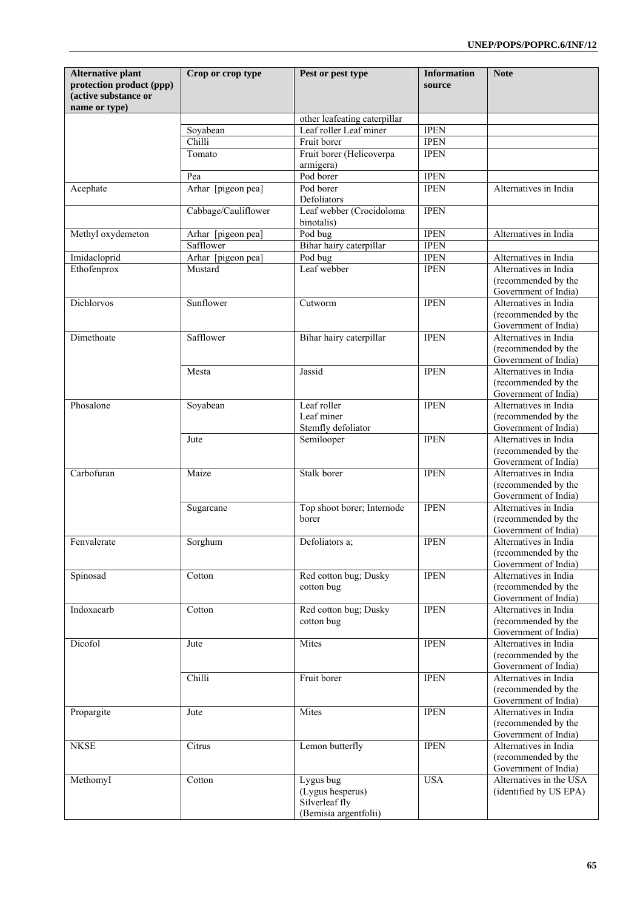| <b>Alternative plant</b><br>protection product (ppp)<br>(active substance or<br>name or type) | Crop or crop type   | Pest or pest type                                                        | <b>Information</b><br>source | <b>Note</b>                                                                                  |
|-----------------------------------------------------------------------------------------------|---------------------|--------------------------------------------------------------------------|------------------------------|----------------------------------------------------------------------------------------------|
|                                                                                               |                     | other leafeating caterpillar                                             |                              |                                                                                              |
|                                                                                               | Soyabean            | Leaf roller Leaf miner                                                   | <b>IPEN</b>                  |                                                                                              |
|                                                                                               | Chilli              | Fruit borer                                                              | <b>IPEN</b>                  |                                                                                              |
|                                                                                               | Tomato              | Fruit borer (Helicoverpa<br>armigera)                                    | <b>IPEN</b>                  |                                                                                              |
|                                                                                               | Pea                 | Pod borer                                                                | <b>IPEN</b>                  |                                                                                              |
| Acephate                                                                                      | Arhar [pigeon pea]  | Pod borer<br>Defoliators                                                 | <b>IPEN</b>                  | Alternatives in India                                                                        |
|                                                                                               | Cabbage/Cauliflower | Leaf webber (Crocidoloma<br>binotalis)                                   | <b>IPEN</b>                  |                                                                                              |
| Methyl oxydemeton                                                                             | Arhar [pigeon pea]  | Pod bug                                                                  | <b>IPEN</b>                  | Alternatives in India                                                                        |
|                                                                                               | Safflower           | Bihar hairy caterpillar                                                  | <b>IPEN</b>                  |                                                                                              |
| Imidacloprid                                                                                  | Arhar [pigeon pea]  | Pod bug                                                                  | <b>IPEN</b>                  | Alternatives in India                                                                        |
| Ethofenprox                                                                                   | Mustard             | Leaf webber                                                              | <b>IPEN</b>                  | Alternatives in India<br>(recommended by the<br>Government of India)                         |
| Dichlorvos                                                                                    | Sunflower           | Cutworm                                                                  | <b>IPEN</b>                  | Alternatives in India<br>(recommended by the                                                 |
| Dimethoate                                                                                    | Safflower           | Bihar hairy caterpillar                                                  | <b>IPEN</b>                  | Government of India)<br>Alternatives in India<br>(recommended by the<br>Government of India) |
|                                                                                               | Mesta               | Jassid                                                                   | <b>IPEN</b>                  | Alternatives in India<br>(recommended by the<br>Government of India)                         |
| Phosalone                                                                                     | Soyabean            | Leaf roller<br>Leaf miner<br>Stemfly defoliator                          | <b>IPEN</b>                  | Alternatives in India<br>(recommended by the<br>Government of India)                         |
|                                                                                               | Jute                | Semilooper                                                               | <b>IPEN</b>                  | Alternatives in India<br>(recommended by the<br>Government of India)                         |
| Carbofuran                                                                                    | Maize               | Stalk borer                                                              | <b>IPEN</b>                  | Alternatives in India<br>(recommended by the<br>Government of India)                         |
|                                                                                               | Sugarcane           | Top shoot borer; Internode<br>borer                                      | <b>IPEN</b>                  | Alternatives in India<br>(recommended by the<br>Government of India)                         |
| Fenvalerate                                                                                   | Sorghum             | Defoliators a;                                                           | <b>IPEN</b>                  | Alternatives in India<br>(recommended by the<br>Government of India)                         |
| Spinosad                                                                                      | Cotton              | Red cotton bug; Dusky<br>cotton bug                                      | <b>IPEN</b>                  | Alternatives in India<br>(recommended by the<br>Government of India)                         |
| Indoxacarb                                                                                    | Cotton              | Red cotton bug; Dusky<br>cotton bug                                      | <b>IPEN</b>                  | Alternatives in India<br>(recommended by the<br>Government of India)                         |
| Dicofol                                                                                       | Jute                | Mites                                                                    | <b>IPEN</b>                  | Alternatives in India<br>(recommended by the<br>Government of India)                         |
|                                                                                               | Chilli              | Fruit borer                                                              | <b>IPEN</b>                  | Alternatives in India<br>(recommended by the<br>Government of India)                         |
| Propargite                                                                                    | Jute                | Mites                                                                    | <b>IPEN</b>                  | Alternatives in India<br>(recommended by the<br>Government of India)                         |
| <b>NKSE</b>                                                                                   | Citrus              | Lemon butterfly                                                          | <b>IPEN</b>                  | Alternatives in India<br>(recommended by the<br>Government of India)                         |
| MethomyI                                                                                      | Cotton              | Lygus bug<br>(Lygus hesperus)<br>Silverleaf fly<br>(Bemisia argentfolii) | <b>USA</b>                   | Alternatives in the USA<br>(identified by US EPA)                                            |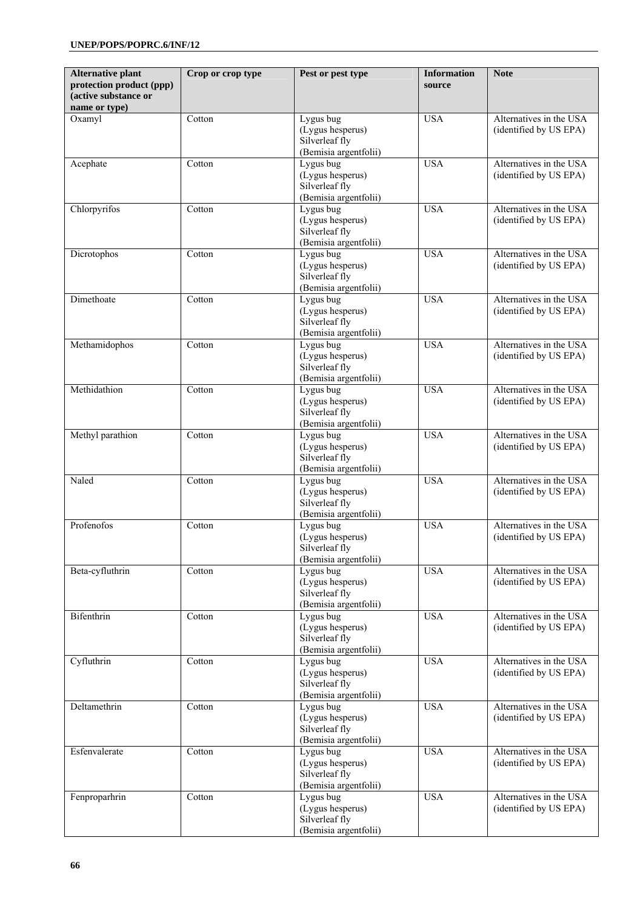| <b>Alternative plant</b><br>protection product (ppp)<br>(active substance or | Crop or crop type | Pest or pest type                                                        | <b>Information</b><br>source | <b>Note</b>                                       |
|------------------------------------------------------------------------------|-------------------|--------------------------------------------------------------------------|------------------------------|---------------------------------------------------|
| name or type)                                                                |                   |                                                                          |                              |                                                   |
| Oxamyl                                                                       | Cotton            | Lygus bug<br>(Lygus hesperus)<br>Silverleaf fly<br>(Bemisia argentfolii) | <b>USA</b>                   | Alternatives in the USA<br>(identified by US EPA) |
| Acephate                                                                     | Cotton            | Lygus bug<br>(Lygus hesperus)<br>Silverleaf fly<br>(Bemisia argentfolii) | <b>USA</b>                   | Alternatives in the USA<br>(identified by US EPA) |
| Chlorpyrifos                                                                 | Cotton            | Lygus bug<br>(Lygus hesperus)<br>Silverleaf fly<br>(Bemisia argentfolii) | <b>USA</b>                   | Alternatives in the USA<br>(identified by US EPA) |
| Dicrotophos                                                                  | Cotton            | Lygus bug<br>(Lygus hesperus)<br>Silverleaf fly<br>(Bemisia argentfolii) | <b>USA</b>                   | Alternatives in the USA<br>(identified by US EPA) |
| Dimethoate                                                                   | Cotton            | Lygus bug<br>(Lygus hesperus)<br>Silverleaf fly<br>(Bemisia argentfolii) | <b>USA</b>                   | Alternatives in the USA<br>(identified by US EPA) |
| Methamidophos                                                                | Cotton            | Lygus bug<br>(Lygus hesperus)<br>Silverleaf fly<br>(Bemisia argentfolii) | <b>USA</b>                   | Alternatives in the USA<br>(identified by US EPA) |
| Methidathion                                                                 | Cotton            | Lygus bug<br>(Lygus hesperus)<br>Silverleaf fly<br>(Bemisia argentfolii) | <b>USA</b>                   | Alternatives in the USA<br>(identified by US EPA) |
| Methyl parathion                                                             | Cotton            | Lygus bug<br>(Lygus hesperus)<br>Silverleaf fly<br>(Bemisia argentfolii) | <b>USA</b>                   | Alternatives in the USA<br>(identified by US EPA) |
| Naled                                                                        | Cotton            | Lygus bug<br>(Lygus hesperus)<br>Silverleaf fly<br>(Bemisia argentfolii) | <b>USA</b>                   | Alternatives in the USA<br>(identified by US EPA) |
| Profenofos                                                                   | Cotton            | Lygus bug<br>(Lygus hesperus)<br>Silverleaf fly<br>(Bemisia argentfolii) | <b>USA</b>                   | Alternatives in the USA<br>(identified by US EPA) |
| Beta-cyfluthrin                                                              | Cotton            | Lygus bug<br>(Lygus hesperus)<br>Silverleaf fly<br>(Bemisia argentfolii) | <b>USA</b>                   | Alternatives in the USA<br>(identified by US EPA) |
| Bifenthrin                                                                   | Cotton            | Lygus bug<br>(Lygus hesperus)<br>Silverleaf fly<br>(Bemisia argentfolii) | <b>USA</b>                   | Alternatives in the USA<br>(identified by US EPA) |
| Cyfluthrin                                                                   | Cotton            | Lygus bug<br>(Lygus hesperus)<br>Silverleaf fly<br>(Bemisia argentfolii) | <b>USA</b>                   | Alternatives in the USA<br>(identified by US EPA) |
| Deltamethrin                                                                 | Cotton            | Lygus bug<br>(Lygus hesperus)<br>Silverleaf fly<br>(Bemisia argentfolii) | <b>USA</b>                   | Alternatives in the USA<br>(identified by US EPA) |
| Esfenvalerate                                                                | Cotton            | Lygus bug<br>(Lygus hesperus)<br>Silverleaf fly<br>(Bemisia argentfolii) | <b>USA</b>                   | Alternatives in the USA<br>(identified by US EPA) |
| Fenproparhrin                                                                | Cotton            | Lygus bug<br>(Lygus hesperus)<br>Silverleaf fly<br>(Bemisia argentfolii) | <b>USA</b>                   | Alternatives in the USA<br>(identified by US EPA) |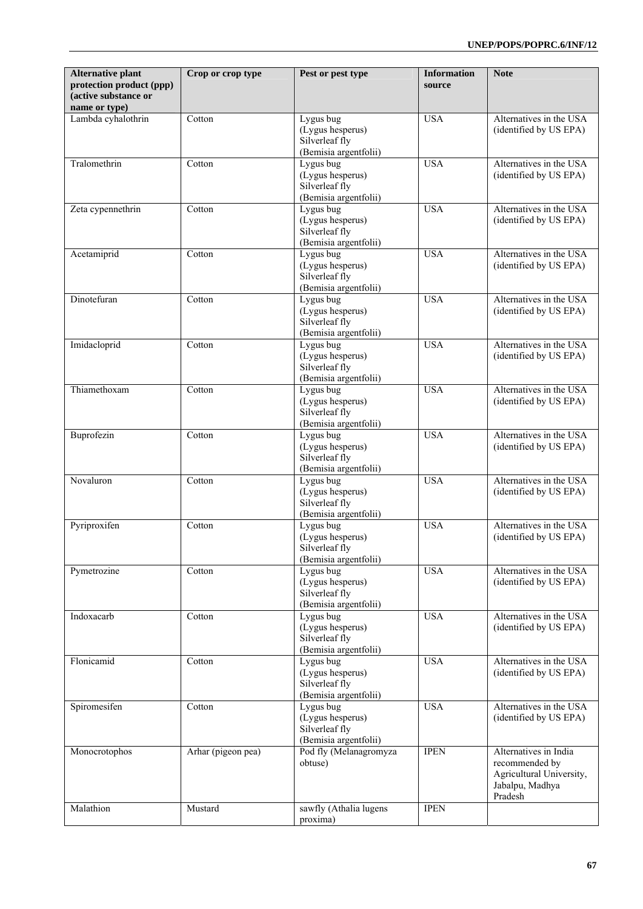| <b>Alternative plant</b><br>protection product (ppp)<br>(active substance or<br>name or type) | Crop or crop type  | Pest or pest type                                                        | <b>Information</b><br>source | <b>Note</b>                                                                                       |
|-----------------------------------------------------------------------------------------------|--------------------|--------------------------------------------------------------------------|------------------------------|---------------------------------------------------------------------------------------------------|
| Lambda cyhalothrin                                                                            | Cotton             | Lygus bug<br>(Lygus hesperus)<br>Silverleaf fly<br>(Bemisia argentfolii) | <b>USA</b>                   | Alternatives in the USA<br>(identified by US EPA)                                                 |
| Tralomethrin                                                                                  | Cotton             | Lygus bug<br>(Lygus hesperus)<br>Silverleaf fly<br>(Bemisia argentfolii) | <b>USA</b>                   | Alternatives in the USA<br>(identified by US EPA)                                                 |
| Zeta cypennethrin                                                                             | Cotton             | Lygus bug<br>(Lygus hesperus)<br>Silverleaf fly<br>(Bemisia argentfolii) | <b>USA</b>                   | Alternatives in the USA<br>(identified by US EPA)                                                 |
| Acetamiprid                                                                                   | Cotton             | Lygus bug<br>(Lygus hesperus)<br>Silverleaf fly<br>(Bemisia argentfolii) | <b>USA</b>                   | Alternatives in the USA<br>(identified by US EPA)                                                 |
| Dinotefuran                                                                                   | Cotton             | Lygus bug<br>(Lygus hesperus)<br>Silverleaf fly<br>(Bemisia argentfolii) | <b>USA</b>                   | Alternatives in the USA<br>(identified by US EPA)                                                 |
| Imidacloprid                                                                                  | Cotton             | Lygus bug<br>(Lygus hesperus)<br>Silverleaf fly<br>(Bemisia argentfolii) | <b>USA</b>                   | Alternatives in the USA<br>(identified by US EPA)                                                 |
| Thiamethoxam                                                                                  | Cotton             | Lygus bug<br>(Lygus hesperus)<br>Silverleaf fly<br>(Bemisia argentfolii) | <b>USA</b>                   | Alternatives in the USA<br>(identified by US EPA)                                                 |
| Buprofezin                                                                                    | Cotton             | Lygus bug<br>(Lygus hesperus)<br>Silverleaf fly<br>(Bemisia argentfolii) | <b>USA</b>                   | Alternatives in the USA<br>(identified by US EPA)                                                 |
| Novaluron                                                                                     | Cotton             | Lygus bug<br>(Lygus hesperus)<br>Silverleaf fly<br>(Bemisia argentfolii) | <b>USA</b>                   | Alternatives in the USA<br>(identified by US EPA)                                                 |
| Pyriproxifen                                                                                  | Cotton             | Lygus bug<br>(Lygus hesperus)<br>Silverleaf fly<br>(Bemisia argentfolii) | <b>USA</b>                   | Alternatives in the USA<br>(identified by US EPA)                                                 |
| Pymetrozine                                                                                   | Cotton             | Lygus bug<br>(Lygus hesperus)<br>Silverleaf fly<br>(Bemisia argentfolii) | <b>USA</b>                   | Alternatives in the USA<br>(identified by US EPA)                                                 |
| Indoxacarb                                                                                    | Cotton             | Lygus bug<br>(Lygus hesperus)<br>Silverleaf fly<br>(Bemisia argentfolii) | <b>USA</b>                   | Alternatives in the USA<br>(identified by US EPA)                                                 |
| Flonicamid                                                                                    | Cotton             | Lygus bug<br>(Lygus hesperus)<br>Silverleaf fly<br>(Bemisia argentfolii) | <b>USA</b>                   | Alternatives in the USA<br>(identified by US EPA)                                                 |
| Spiromesifen                                                                                  | Cotton             | Lygus bug<br>(Lygus hesperus)<br>Silverleaf fly<br>(Bemisia argentfolii) | <b>USA</b>                   | Alternatives in the USA<br>(identified by US EPA)                                                 |
| Monocrotophos                                                                                 | Arhar (pigeon pea) | Pod fly (Melanagromyza<br>obtuse)                                        | <b>IPEN</b>                  | Alternatives in India<br>recommended by<br>Agricultural University,<br>Jabalpu, Madhya<br>Pradesh |
| Malathion                                                                                     | Mustard            | sawfly (Athalia lugens<br>proxima)                                       | <b>IPEN</b>                  |                                                                                                   |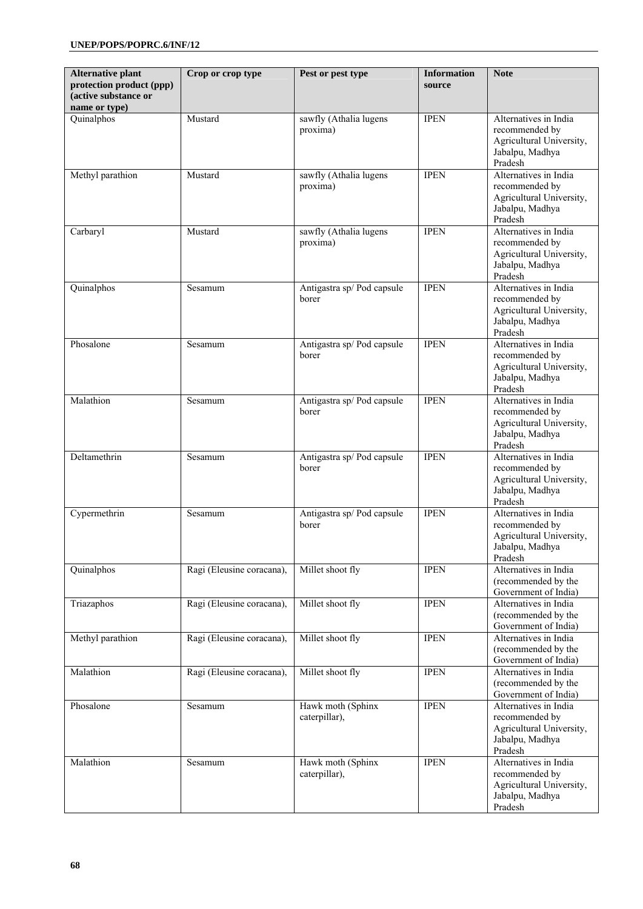| <b>Alternative plant</b><br>protection product (ppp)<br>(active substance or<br>name or type) | Crop or crop type         | Pest or pest type                   | <b>Information</b><br>source | <b>Note</b>                                                                                       |
|-----------------------------------------------------------------------------------------------|---------------------------|-------------------------------------|------------------------------|---------------------------------------------------------------------------------------------------|
| Quinalphos                                                                                    | Mustard                   | sawfly (Athalia lugens<br>proxima)  | <b>IPEN</b>                  | Alternatives in India<br>recommended by<br>Agricultural University,<br>Jabalpu, Madhya<br>Pradesh |
| Methyl parathion                                                                              | Mustard                   | sawfly (Athalia lugens<br>proxima)  | <b>IPEN</b>                  | Alternatives in India<br>recommended by<br>Agricultural University,<br>Jabalpu, Madhya<br>Pradesh |
| Carbaryl                                                                                      | Mustard                   | sawfly (Athalia lugens<br>proxima)  | <b>IPEN</b>                  | Alternatives in India<br>recommended by<br>Agricultural University,<br>Jabalpu, Madhya<br>Pradesh |
| Quinalphos                                                                                    | Sesamum                   | Antigastra sp/Pod capsule<br>borer  | <b>IPEN</b>                  | Alternatives in India<br>recommended by<br>Agricultural University,<br>Jabalpu, Madhya<br>Pradesh |
| Phosalone                                                                                     | Sesamum                   | Antigastra sp/ Pod capsule<br>borer | <b>IPEN</b>                  | Alternatives in India<br>recommended by<br>Agricultural University,<br>Jabalpu, Madhya<br>Pradesh |
| Malathion                                                                                     | Sesamum                   | Antigastra sp/ Pod capsule<br>borer | <b>IPEN</b>                  | Alternatives in India<br>recommended by<br>Agricultural University,<br>Jabalpu, Madhya<br>Pradesh |
| Deltamethrin                                                                                  | Sesamum                   | Antigastra sp/ Pod capsule<br>borer | <b>IPEN</b>                  | Alternatives in India<br>recommended by<br>Agricultural University,<br>Jabalpu, Madhya<br>Pradesh |
| Cypermethrin                                                                                  | Sesamum                   | Antigastra sp/ Pod capsule<br>borer | <b>IPEN</b>                  | Alternatives in India<br>recommended by<br>Agricultural University,<br>Jabalpu, Madhya<br>Pradesh |
| Quinalphos                                                                                    | Ragi (Eleusine coracana), | Millet shoot fly                    | <b>IPEN</b>                  | Alternatives in India<br>(recommended by the<br>Government of India)                              |
| Triazaphos                                                                                    | Ragi (Eleusine coracana), | Millet shoot fly                    | <b>IPEN</b>                  | Alternatives in India<br>(recommended by the<br>Government of India)                              |
| Methyl parathion                                                                              | Ragi (Eleusine coracana), | Millet shoot fly                    | <b>IPEN</b>                  | Alternatives in India<br>(recommended by the<br>Government of India)                              |
| Malathion                                                                                     | Ragi (Eleusine coracana), | Millet shoot fly                    | <b>IPEN</b>                  | Alternatives in India<br>(recommended by the<br>Government of India)                              |
| Phosalone                                                                                     | Sesamum                   | Hawk moth (Sphinx<br>caterpillar),  | <b>IPEN</b>                  | Alternatives in India<br>recommended by<br>Agricultural University,<br>Jabalpu, Madhya<br>Pradesh |
| Malathion                                                                                     | Sesamum                   | Hawk moth (Sphinx<br>caterpillar),  | <b>IPEN</b>                  | Alternatives in India<br>recommended by<br>Agricultural University,<br>Jabalpu, Madhya<br>Pradesh |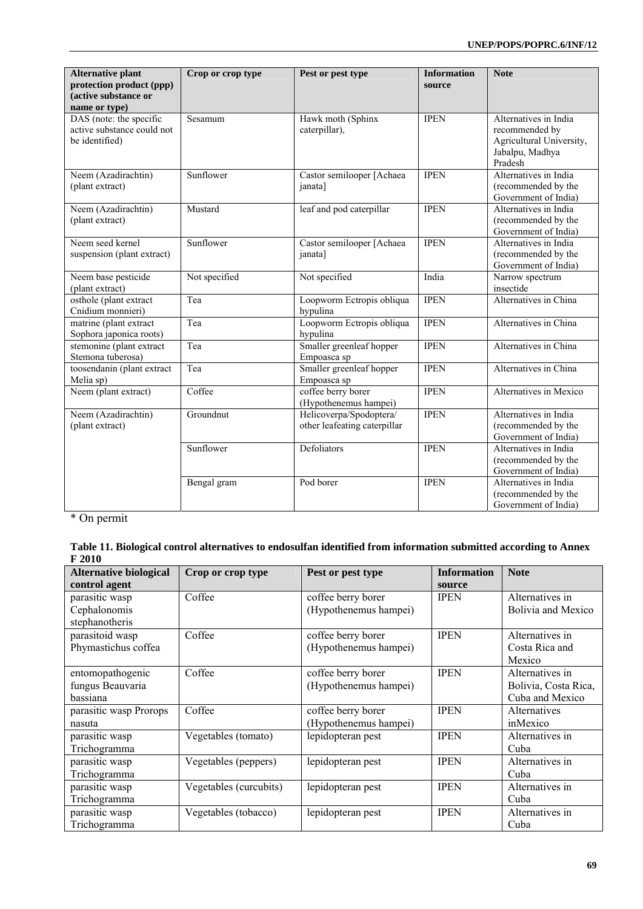| <b>Alternative plant</b><br>protection product (ppp)<br>(active substance or<br>name or type) | Crop or crop type | Pest or pest type                                       | <b>Information</b><br>source | <b>Note</b>                                                                                       |
|-----------------------------------------------------------------------------------------------|-------------------|---------------------------------------------------------|------------------------------|---------------------------------------------------------------------------------------------------|
| DAS (note: the specific<br>active substance could not<br>be identified)                       | Sesamum           | Hawk moth (Sphinx<br>caterpillar),                      | <b>IPEN</b>                  | Alternatives in India<br>recommended by<br>Agricultural University,<br>Jabalpu, Madhya<br>Pradesh |
| Neem (Azadirachtin)<br>(plant extract)                                                        | Sunflower         | Castor semilooper [Achaea<br>janata]                    | <b>IPEN</b>                  | Alternatives in India<br>(recommended by the<br>Government of India)                              |
| Neem (Azadirachtin)<br>(plant extract)                                                        | Mustard           | leaf and pod caterpillar                                | <b>IPEN</b>                  | Alternatives in India<br>(recommended by the<br>Government of India)                              |
| Neem seed kernel<br>suspension (plant extract)                                                | Sunflower         | Castor semilooper [Achaea<br>janata]                    | <b>IPEN</b>                  | Alternatives in India<br>(recommended by the<br>Government of India)                              |
| Neem base pesticide<br>(plant extract)                                                        | Not specified     | Not specified                                           | India                        | Narrow spectrum<br>insectide                                                                      |
| osthole (plant extract<br>Cnidium monnieri)                                                   | Tea               | Loopworm Ectropis obliqua<br>hypulina                   | <b>IPEN</b>                  | Alternatives in China                                                                             |
| matrine (plant extract<br>Sophora japonica roots)                                             | Tea               | Loopworm Ectropis obliqua<br>hypulina                   | <b>IPEN</b>                  | Alternatives in China                                                                             |
| stemonine (plant extract<br>Stemona tuberosa)                                                 | Tea               | Smaller greenleaf hopper<br>Empoasca sp                 | <b>IPEN</b>                  | Alternatives in China                                                                             |
| toosendanin (plant extract<br>Melia sp)                                                       | Tea               | Smaller greenleaf hopper<br>Empoasca sp                 | <b>IPEN</b>                  | Alternatives in China                                                                             |
| Neem (plant extract)                                                                          | Coffee            | coffee berry borer<br>(Hypothenemus hampei)             | <b>IPEN</b>                  | Alternatives in Mexico                                                                            |
| Neem (Azadirachtin)<br>(plant extract)                                                        | Groundnut         | Helicoverpa/Spodoptera/<br>other leafeating caterpillar | <b>IPEN</b>                  | Alternatives in India<br>(recommended by the<br>Government of India)                              |
|                                                                                               | Sunflower         | Defoliators                                             | <b>IPEN</b>                  | Alternatives in India<br>(recommended by the<br>Government of India)                              |
|                                                                                               | Bengal gram       | Pod borer                                               | <b>IPEN</b>                  | Alternatives in India<br>(recommended by the<br>Government of India)                              |

\* On permit

| Table 11. Biological control alternatives to endosulfan identified from information submitted according to Annex |  |
|------------------------------------------------------------------------------------------------------------------|--|
| F 2010                                                                                                           |  |

| <b>Alternative biological</b><br>control agent | Crop or crop type      | Pest or pest type     | <b>Information</b><br>source | <b>Note</b>               |
|------------------------------------------------|------------------------|-----------------------|------------------------------|---------------------------|
| parasitic wasp                                 | Coffee                 | coffee berry borer    | <b>IPEN</b>                  | Alternatives in           |
| Cephalonomis                                   |                        | (Hypothenemus hampei) |                              | <b>Bolivia and Mexico</b> |
| stephanotheris                                 |                        |                       |                              |                           |
| parasitoid wasp                                | Coffee                 | coffee berry borer    | <b>IPEN</b>                  | Alternatives in           |
| Phymastichus coffea                            |                        | (Hypothenemus hampei) |                              | Costa Rica and            |
|                                                |                        |                       |                              | Mexico                    |
| entomopathogenic                               | Coffee                 | coffee berry borer    | <b>IPEN</b>                  | Alternatives in           |
| fungus Beauvaria                               |                        | (Hypothenemus hampei) |                              | Bolivia, Costa Rica,      |
| bassiana                                       |                        |                       |                              | Cuba and Mexico           |
| parasitic wasp Prorops                         | Coffee                 | coffee berry borer    | <b>IPEN</b>                  | Alternatives              |
| nasuta                                         |                        | (Hypothenemus hampei) |                              | inMexico                  |
| parasitic wasp                                 | Vegetables (tomato)    | lepidopteran pest     | <b>IPEN</b>                  | Alternatives in           |
| Trichogramma                                   |                        |                       |                              | Cuba                      |
| parasitic wasp                                 | Vegetables (peppers)   | lepidopteran pest     | <b>IPEN</b>                  | Alternatives in           |
| Trichogramma                                   |                        |                       |                              | Cuba                      |
| parasitic wasp                                 | Vegetables (curcubits) | lepidopteran pest     | <b>IPEN</b>                  | Alternatives in           |
| Trichogramma                                   |                        |                       |                              | Cuba                      |
| parasitic wasp                                 | Vegetables (tobacco)   | lepidopteran pest     | <b>IPEN</b>                  | Alternatives in           |
| Trichogramma                                   |                        |                       |                              | Cuba                      |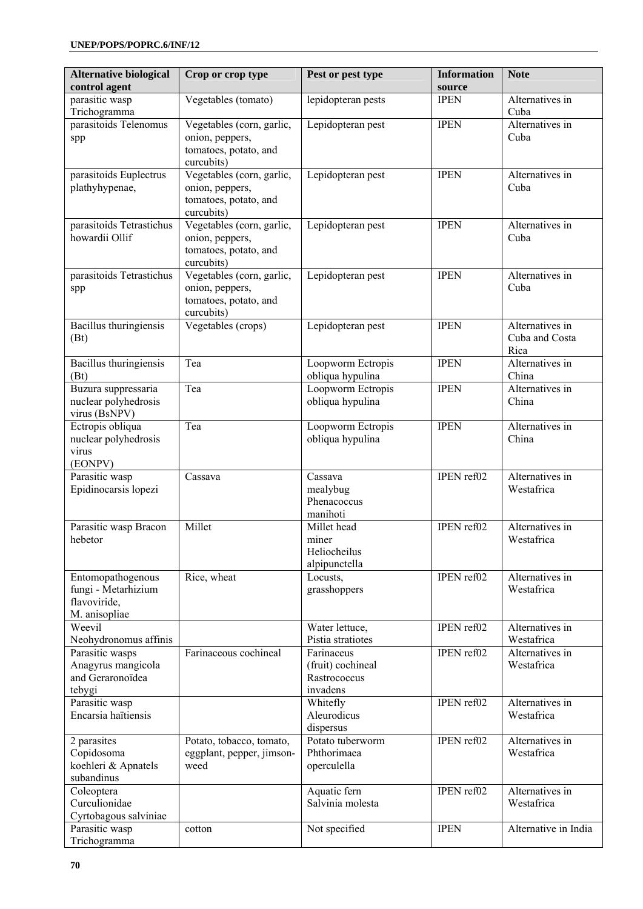| <b>Alternative biological</b><br>control agent                            | Crop or crop type                                                                   | Pest or pest type                                           | <b>Information</b><br>source | <b>Note</b>                               |
|---------------------------------------------------------------------------|-------------------------------------------------------------------------------------|-------------------------------------------------------------|------------------------------|-------------------------------------------|
| parasitic wasp<br>Trichogramma                                            | Vegetables (tomato)                                                                 | lepidopteran pests                                          | <b>IPEN</b>                  | Alternatives in<br>Cuba                   |
| parasitoids Telenomus<br>spp                                              | Vegetables (corn, garlic,<br>onion, peppers,<br>tomatoes, potato, and<br>curcubits) | Lepidopteran pest                                           | <b>IPEN</b>                  | Alternatives in<br>Cuba                   |
| parasitoids Euplectrus<br>plathyhypenae,                                  | Vegetables (corn, garlic,<br>onion, peppers,<br>tomatoes, potato, and<br>curcubits) | Lepidopteran pest                                           | <b>IPEN</b>                  | Alternatives in<br>Cuba                   |
| parasitoids Tetrastichus<br>howardii Ollif                                | Vegetables (corn, garlic,<br>onion, peppers,<br>tomatoes, potato, and<br>curcubits) | Lepidopteran pest                                           | <b>IPEN</b>                  | Alternatives in<br>Cuba                   |
| parasitoids Tetrastichus<br>spp                                           | Vegetables (corn, garlic,<br>onion, peppers,<br>tomatoes, potato, and<br>curcubits) | Lepidopteran pest                                           | <b>IPEN</b>                  | Alternatives in<br>Cuba                   |
| Bacillus thuringiensis<br>(Bt)                                            | Vegetables (crops)                                                                  | Lepidopteran pest                                           | <b>IPEN</b>                  | Alternatives in<br>Cuba and Costa<br>Rica |
| Bacillus thuringiensis<br>(Bt)                                            | Tea                                                                                 | Loopworm Ectropis<br>obliqua hypulina                       | <b>IPEN</b>                  | Alternatives in<br>China                  |
| Buzura suppressaria<br>nuclear polyhedrosis<br>virus (BsNPV)              | Tea                                                                                 | Loopworm Ectropis<br>obliqua hypulina                       | <b>IPEN</b>                  | Alternatives in<br>China                  |
| Ectropis obliqua<br>nuclear polyhedrosis<br>virus<br>(EONPV)              | Tea                                                                                 | Loopworm Ectropis<br>obliqua hypulina                       | <b>IPEN</b>                  | Alternatives in<br>China                  |
| Parasitic wasp<br>Epidinocarsis lopezi                                    | Cassava                                                                             | Cassava<br>mealybug<br>Phenacoccus<br>manihoti              | IPEN ref02                   | Alternatives in<br>Westafrica             |
| Parasitic wasp Bracon<br>hebetor                                          | Millet                                                                              | Millet head<br>miner<br>Heliocheilus<br>alpipunctella       | IPEN ref02                   | Alternatives in<br>Westafrica             |
| Entomopathogenous<br>fungi - Metarhizium<br>flavoviride,<br>M. anisopliae | Rice, wheat                                                                         | Locusts,<br>grasshoppers                                    | IPEN ref02                   | Alternatives in<br>Westafrica             |
| Weevil<br>Neohydronomus affinis                                           |                                                                                     | Water lettuce,<br>Pistia stratiotes                         | IPEN ref02                   | Alternatives in<br>Westafrica             |
| Parasitic wasps<br>Anagyrus mangicola<br>and Geraronoïdea<br>tebygi       | Farinaceous cochineal                                                               | Farinaceus<br>(fruit) cochineal<br>Rastrococcus<br>invadens | IPEN ref02                   | Alternatives in<br>Westafrica             |
| Parasitic wasp<br>Encarsia haïtiensis                                     |                                                                                     | Whitefly<br>Aleurodicus<br>dispersus                        | IPEN ref02                   | Alternatives in<br>Westafrica             |
| 2 parasites<br>Copidosoma<br>koehleri & Apnatels<br>subandinus            | Potato, tobacco, tomato,<br>eggplant, pepper, jimson-<br>weed                       | Potato tuberworm<br>Phthorimaea<br>operculella              | IPEN ref02                   | Alternatives in<br>Westafrica             |
| Coleoptera<br>Curculionidae<br>Cyrtobagous salviniae                      |                                                                                     | Aquatic fern<br>Salvinia molesta                            | IPEN ref02                   | Alternatives in<br>Westafrica             |
| Parasitic wasp<br>Trichogramma                                            | cotton                                                                              | Not specified                                               | <b>IPEN</b>                  | Alternative in India                      |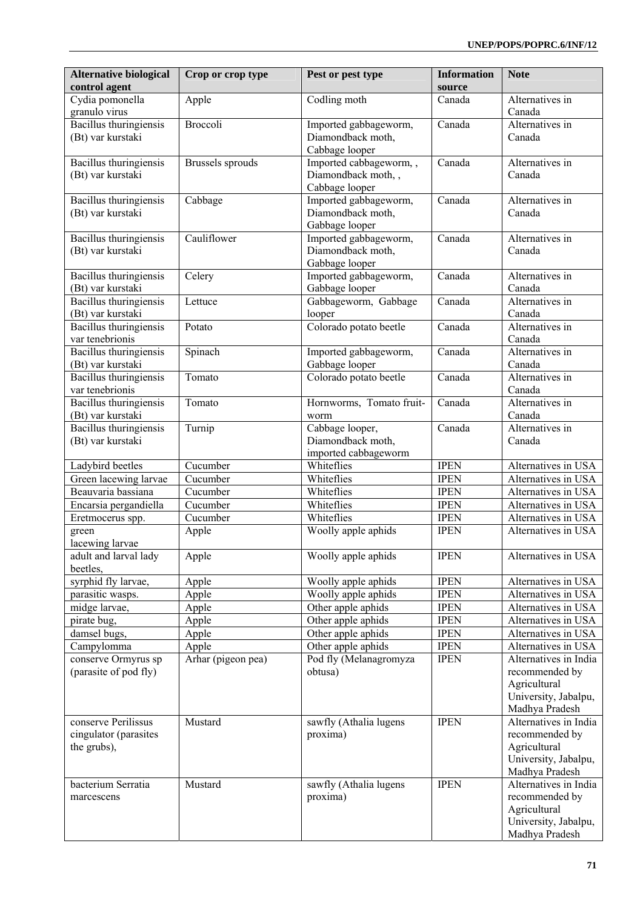| <b>Alternative biological</b><br>control agent              | Crop or crop type  | Pest or pest type                                              | <b>Information</b><br>source | <b>Note</b>                                                                                       |
|-------------------------------------------------------------|--------------------|----------------------------------------------------------------|------------------------------|---------------------------------------------------------------------------------------------------|
| Cydia pomonella<br>granulo virus                            | Apple              | Codling moth                                                   | Canada                       | Alternatives in<br>Canada                                                                         |
| Bacillus thuringiensis<br>(Bt) var kurstaki                 | Broccoli           | Imported gabbageworm,<br>Diamondback moth,<br>Cabbage looper   | Canada                       | Alternatives in<br>Canada                                                                         |
| Bacillus thuringiensis<br>(Bt) var kurstaki                 | Brussels sprouds   | Imported cabbageworm,,<br>Diamondback moth,,<br>Cabbage looper | Canada                       | Alternatives in<br>Canada                                                                         |
| Bacillus thuringiensis<br>(Bt) var kurstaki                 | Cabbage            | Imported gabbageworm,<br>Diamondback moth,<br>Gabbage looper   | Canada                       | Alternatives in<br>Canada                                                                         |
| Bacillus thuringiensis<br>(Bt) var kurstaki                 | Cauliflower        | Imported gabbageworm,<br>Diamondback moth,<br>Gabbage looper   | Canada                       | Alternatives in<br>Canada                                                                         |
| Bacillus thuringiensis<br>(Bt) var kurstaki                 | Celery             | Imported gabbageworm,<br>Gabbage looper                        | Canada                       | Alternatives in<br>Canada                                                                         |
| Bacillus thuringiensis<br>(Bt) var kurstaki                 | Lettuce            | Gabbageworm, Gabbage<br>looper                                 | Canada                       | Alternatives in<br>Canada                                                                         |
| <b>Bacillus</b> thuringiensis<br>var tenebrionis            | Potato             | Colorado potato beetle                                         | Canada                       | Alternatives in<br>Canada                                                                         |
| Bacillus thuringiensis<br>(Bt) var kurstaki                 | Spinach            | Imported gabbageworm,<br>Gabbage looper                        | Canada                       | Alternatives in<br>Canada                                                                         |
| <b>Bacillus</b> thuringiensis<br>var tenebrionis            | Tomato             | Colorado potato beetle                                         | Canada                       | Alternatives in<br>Canada                                                                         |
| Bacillus thuringiensis<br>(Bt) var kurstaki                 | Tomato             | Hornworms, Tomato fruit-<br>worm                               | Canada                       | Alternatives in<br>Canada                                                                         |
| Bacillus thuringiensis<br>(Bt) var kurstaki                 | Turnip             | Cabbage looper,<br>Diamondback moth,<br>imported cabbageworm   | Canada                       | Alternatives in<br>Canada                                                                         |
| Ladybird beetles                                            | Cucumber           | Whiteflies                                                     | <b>IPEN</b>                  | Alternatives in USA                                                                               |
| Green lacewing larvae                                       | Cucumber           | Whiteflies                                                     | <b>IPEN</b>                  | Alternatives in USA                                                                               |
| Beauvaria bassiana                                          | Cucumber           | Whiteflies                                                     | <b>IPEN</b>                  | Alternatives in USA                                                                               |
| Encarsia pergandiella                                       | Cucumber           | Whiteflies                                                     | <b>IPEN</b>                  | Alternatives in USA                                                                               |
| Eretmocerus spp.                                            | Cucumber           | Whiteflies                                                     | <b>IPEN</b>                  | Alternatives in USA                                                                               |
| green<br>lacewing larvae                                    | Apple              | Woolly apple aphids                                            | <b>IPEN</b>                  | Alternatives in USA                                                                               |
| adult and larval lady<br>beetles,                           | Apple              | Woolly apple aphids                                            | <b>IPEN</b>                  | Alternatives in USA                                                                               |
| syrphid fly larvae,                                         | Apple              | Woolly apple aphids                                            | <b>IPEN</b>                  | Alternatives in USA                                                                               |
| parasitic wasps.                                            | Apple              | Woolly apple aphids                                            | <b>IPEN</b>                  | Alternatives in USA                                                                               |
| midge larvae,                                               | Apple              | Other apple aphids                                             | <b>IPEN</b>                  | Alternatives in USA                                                                               |
| pirate bug,<br>damsel bugs,                                 | Apple              | Other apple aphids<br>Other apple aphids                       | <b>IPEN</b><br><b>IPEN</b>   | Alternatives in USA<br>Alternatives in USA                                                        |
| Campylomma                                                  | Apple<br>Apple     | Other apple aphids                                             | <b>IPEN</b>                  | Alternatives in USA                                                                               |
| conserve Ormyrus sp<br>(parasite of pod fly)                | Arhar (pigeon pea) | Pod fly (Melanagromyza<br>obtusa)                              | <b>IPEN</b>                  | Alternatives in India<br>recommended by<br>Agricultural<br>University, Jabalpu,                   |
|                                                             |                    |                                                                |                              | Madhya Pradesh                                                                                    |
| conserve Perilissus<br>cingulator (parasites<br>the grubs), | Mustard            | sawfly (Athalia lugens<br>proxima)                             | <b>IPEN</b>                  | Alternatives in India<br>recommended by<br>Agricultural<br>University, Jabalpu,<br>Madhya Pradesh |
| bacterium Serratia<br>marcescens                            | Mustard            | sawfly (Athalia lugens<br>proxima)                             | <b>IPEN</b>                  | Alternatives in India<br>recommended by<br>Agricultural<br>University, Jabalpu,<br>Madhya Pradesh |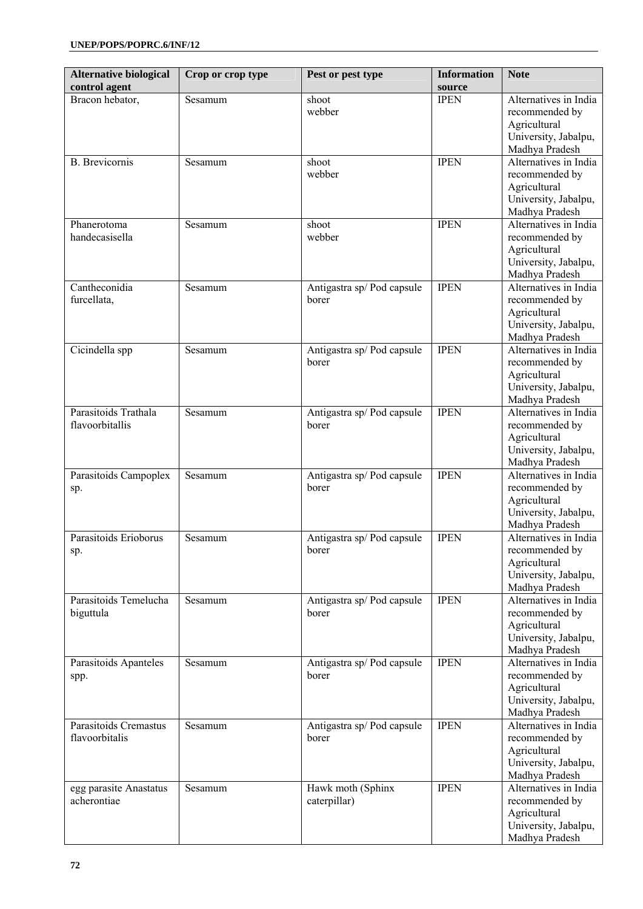| <b>Alternative biological</b><br>control agent | Crop or crop type | Pest or pest type                   | <b>Information</b><br>source | <b>Note</b>                                                                                       |
|------------------------------------------------|-------------------|-------------------------------------|------------------------------|---------------------------------------------------------------------------------------------------|
| Bracon hebator,                                | Sesamum           | shoot<br>webber                     | <b>IPEN</b>                  | Alternatives in India<br>recommended by<br>Agricultural<br>University, Jabalpu,<br>Madhya Pradesh |
| <b>B.</b> Brevicornis                          | Sesamum           | shoot<br>webber                     | <b>IPEN</b>                  | Alternatives in India<br>recommended by<br>Agricultural<br>University, Jabalpu,<br>Madhya Pradesh |
| Phanerotoma<br>handecasisella                  | Sesamum           | shoot<br>webber                     | <b>IPEN</b>                  | Alternatives in India<br>recommended by<br>Agricultural<br>University, Jabalpu,<br>Madhya Pradesh |
| Cantheconidia<br>furcellata,                   | Sesamum           | Antigastra sp/Pod capsule<br>borer  | <b>IPEN</b>                  | Alternatives in India<br>recommended by<br>Agricultural<br>University, Jabalpu,<br>Madhya Pradesh |
| Cicindella spp                                 | Sesamum           | Antigastra sp/Pod capsule<br>borer  | <b>IPEN</b>                  | Alternatives in India<br>recommended by<br>Agricultural<br>University, Jabalpu,<br>Madhya Pradesh |
| Parasitoids Trathala<br>flavoorbitallis        | Sesamum           | Antigastra sp/Pod capsule<br>borer  | <b>IPEN</b>                  | Alternatives in India<br>recommended by<br>Agricultural<br>University, Jabalpu,<br>Madhya Pradesh |
| Parasitoids Campoplex<br>sp.                   | Sesamum           | Antigastra sp/ Pod capsule<br>borer | <b>IPEN</b>                  | Alternatives in India<br>recommended by<br>Agricultural<br>University, Jabalpu,<br>Madhya Pradesh |
| Parasitoids Erioborus<br>sp.                   | Sesamum           | Antigastra sp/Pod capsule<br>borer  | <b>IPEN</b>                  | Alternatives in India<br>recommended by<br>Agricultural<br>University, Jabalpu,<br>Madhya Pradesh |
| Parasitoids Temelucha<br>biguttula             | Sesamum           | Antigastra sp/Pod capsule<br>borer  | <b>IPEN</b>                  | Alternatives in India<br>recommended by<br>Agricultural<br>University, Jabalpu,<br>Madhya Pradesh |
| Parasitoids Apanteles<br>spp.                  | Sesamum           | Antigastra sp/Pod capsule<br>borer  | <b>IPEN</b>                  | Alternatives in India<br>recommended by<br>Agricultural<br>University, Jabalpu,<br>Madhya Pradesh |
| Parasitoids Cremastus<br>flavoorbitalis        | Sesamum           | Antigastra sp/Pod capsule<br>borer  | <b>IPEN</b>                  | Alternatives in India<br>recommended by<br>Agricultural<br>University, Jabalpu,<br>Madhya Pradesh |
| egg parasite Anastatus<br>acherontiae          | Sesamum           | Hawk moth (Sphinx<br>caterpillar)   | <b>IPEN</b>                  | Alternatives in India<br>recommended by<br>Agricultural<br>University, Jabalpu,<br>Madhya Pradesh |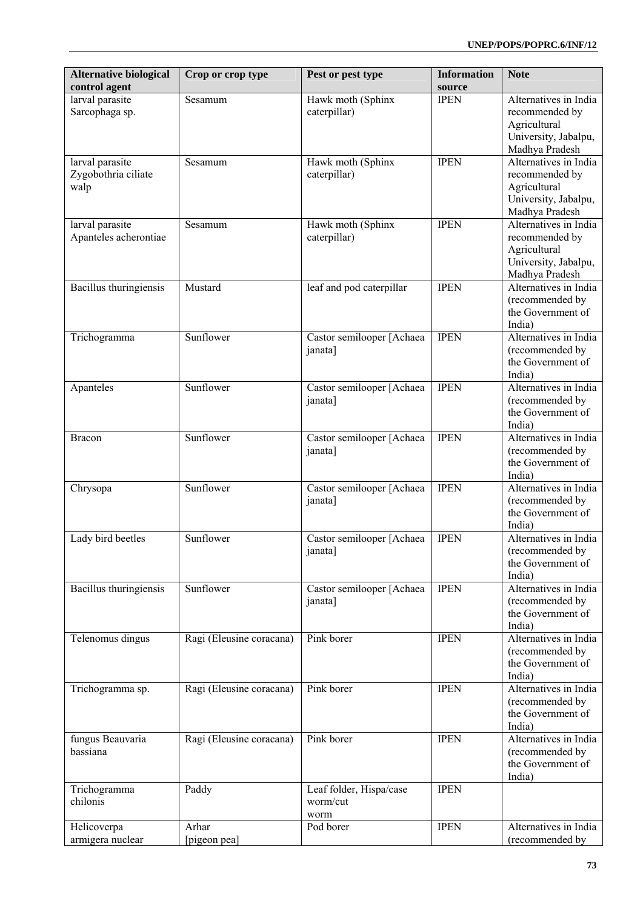| larval parasite<br>Hawk moth (Sphinx<br><b>IPEN</b><br>Alternatives in India<br>Sesamum<br>caterpillar)<br>Sarcophaga sp.<br>recommended by<br>Agricultural<br>University, Jabalpu,<br>Madhya Pradesh<br><b>IPEN</b><br>Hawk moth (Sphinx<br>Alternatives in India<br>larval parasite<br>Sesamum<br>Zygobothria ciliate<br>caterpillar)<br>recommended by<br>Agricultural<br>walp<br>University, Jabalpu,<br>Madhya Pradesh<br><b>IPEN</b><br>Alternatives in India<br>larval parasite<br>Hawk moth (Sphinx<br>Sesamum<br>Apanteles acherontiae<br>caterpillar)<br>recommended by<br>Agricultural<br>University, Jabalpu,<br>Madhya Pradesh<br>leaf and pod caterpillar<br><b>IPEN</b><br>Alternatives in India<br>Bacillus thuringiensis<br>Mustard<br>(recommended by<br>the Government of<br>India)<br>Sunflower<br><b>IPEN</b><br>Alternatives in India<br>Castor semilooper [Achaea<br>Trichogramma<br>(recommended by<br>janata]<br>the Government of<br>India)<br><b>IPEN</b><br>Alternatives in India<br>Sunflower<br>Apanteles<br>Castor semilooper [Achaea<br>(recommended by<br>janata]<br>the Government of<br>India)<br><b>IPEN</b><br>Alternatives in India<br>Sunflower<br>Castor semilooper [Achaea<br><b>Bracon</b><br>(recommended by<br>janata]<br>the Government of<br>India)<br><b>IPEN</b><br>Sunflower<br>Alternatives in India<br>Castor semilooper [Achaea<br>Chrysopa<br>(recommended by<br>janata]<br>the Government of<br>India)<br><b>IPEN</b><br>Alternatives in India<br>Lady bird beetles<br>Sunflower<br>Castor semilooper [Achaea<br>janata]<br>(recommended by<br>the Government of<br>India)<br>Bacillus thuringiensis<br>Sunflower<br><b>IPEN</b><br>Alternatives in India<br>Castor semilooper [Achaea<br>(recommended by<br>janata]<br>the Government of<br>India)<br>Pink borer<br><b>IPEN</b><br>Alternatives in India<br>Telenomus dingus<br>Ragi (Eleusine coracana)<br>(recommended by<br>the Government of<br>India)<br>Pink borer<br><b>IPEN</b><br>Alternatives in India<br>Trichogramma sp.<br>Ragi (Eleusine coracana)<br>(recommended by<br>the Government of<br>India)<br>Pink borer<br><b>IPEN</b><br>Alternatives in India<br>fungus Beauvaria<br>Ragi (Eleusine coracana)<br>bassiana<br>(recommended by<br>the Government of<br>India)<br><b>IPEN</b><br>Paddy<br>Trichogramma<br>Leaf folder, Hispa/case<br>chilonis<br>worm/cut<br>worm<br>Pod borer<br><b>IPEN</b><br>Arhar<br>Alternatives in India<br>Helicoverpa<br>armigera nuclear<br>[pigeon pea]<br>(recommended by | <b>Alternative biological</b><br>control agent | Crop or crop type | Pest or pest type | <b>Information</b><br>source | <b>Note</b> |
|--------------------------------------------------------------------------------------------------------------------------------------------------------------------------------------------------------------------------------------------------------------------------------------------------------------------------------------------------------------------------------------------------------------------------------------------------------------------------------------------------------------------------------------------------------------------------------------------------------------------------------------------------------------------------------------------------------------------------------------------------------------------------------------------------------------------------------------------------------------------------------------------------------------------------------------------------------------------------------------------------------------------------------------------------------------------------------------------------------------------------------------------------------------------------------------------------------------------------------------------------------------------------------------------------------------------------------------------------------------------------------------------------------------------------------------------------------------------------------------------------------------------------------------------------------------------------------------------------------------------------------------------------------------------------------------------------------------------------------------------------------------------------------------------------------------------------------------------------------------------------------------------------------------------------------------------------------------------------------------------------------------------------------------------------------------------------------------------------------------------------------------------------------------------------------------------------------------------------------------------------------------------------------------------------------------------------------------------------------------------------------------------------------------------------------------------------------------------------------------------------------------------------------------|------------------------------------------------|-------------------|-------------------|------------------------------|-------------|
|                                                                                                                                                                                                                                                                                                                                                                                                                                                                                                                                                                                                                                                                                                                                                                                                                                                                                                                                                                                                                                                                                                                                                                                                                                                                                                                                                                                                                                                                                                                                                                                                                                                                                                                                                                                                                                                                                                                                                                                                                                                                                                                                                                                                                                                                                                                                                                                                                                                                                                                                      |                                                |                   |                   |                              |             |
|                                                                                                                                                                                                                                                                                                                                                                                                                                                                                                                                                                                                                                                                                                                                                                                                                                                                                                                                                                                                                                                                                                                                                                                                                                                                                                                                                                                                                                                                                                                                                                                                                                                                                                                                                                                                                                                                                                                                                                                                                                                                                                                                                                                                                                                                                                                                                                                                                                                                                                                                      |                                                |                   |                   |                              |             |
|                                                                                                                                                                                                                                                                                                                                                                                                                                                                                                                                                                                                                                                                                                                                                                                                                                                                                                                                                                                                                                                                                                                                                                                                                                                                                                                                                                                                                                                                                                                                                                                                                                                                                                                                                                                                                                                                                                                                                                                                                                                                                                                                                                                                                                                                                                                                                                                                                                                                                                                                      |                                                |                   |                   |                              |             |
|                                                                                                                                                                                                                                                                                                                                                                                                                                                                                                                                                                                                                                                                                                                                                                                                                                                                                                                                                                                                                                                                                                                                                                                                                                                                                                                                                                                                                                                                                                                                                                                                                                                                                                                                                                                                                                                                                                                                                                                                                                                                                                                                                                                                                                                                                                                                                                                                                                                                                                                                      |                                                |                   |                   |                              |             |
|                                                                                                                                                                                                                                                                                                                                                                                                                                                                                                                                                                                                                                                                                                                                                                                                                                                                                                                                                                                                                                                                                                                                                                                                                                                                                                                                                                                                                                                                                                                                                                                                                                                                                                                                                                                                                                                                                                                                                                                                                                                                                                                                                                                                                                                                                                                                                                                                                                                                                                                                      |                                                |                   |                   |                              |             |
|                                                                                                                                                                                                                                                                                                                                                                                                                                                                                                                                                                                                                                                                                                                                                                                                                                                                                                                                                                                                                                                                                                                                                                                                                                                                                                                                                                                                                                                                                                                                                                                                                                                                                                                                                                                                                                                                                                                                                                                                                                                                                                                                                                                                                                                                                                                                                                                                                                                                                                                                      |                                                |                   |                   |                              |             |
|                                                                                                                                                                                                                                                                                                                                                                                                                                                                                                                                                                                                                                                                                                                                                                                                                                                                                                                                                                                                                                                                                                                                                                                                                                                                                                                                                                                                                                                                                                                                                                                                                                                                                                                                                                                                                                                                                                                                                                                                                                                                                                                                                                                                                                                                                                                                                                                                                                                                                                                                      |                                                |                   |                   |                              |             |
|                                                                                                                                                                                                                                                                                                                                                                                                                                                                                                                                                                                                                                                                                                                                                                                                                                                                                                                                                                                                                                                                                                                                                                                                                                                                                                                                                                                                                                                                                                                                                                                                                                                                                                                                                                                                                                                                                                                                                                                                                                                                                                                                                                                                                                                                                                                                                                                                                                                                                                                                      |                                                |                   |                   |                              |             |
|                                                                                                                                                                                                                                                                                                                                                                                                                                                                                                                                                                                                                                                                                                                                                                                                                                                                                                                                                                                                                                                                                                                                                                                                                                                                                                                                                                                                                                                                                                                                                                                                                                                                                                                                                                                                                                                                                                                                                                                                                                                                                                                                                                                                                                                                                                                                                                                                                                                                                                                                      |                                                |                   |                   |                              |             |
|                                                                                                                                                                                                                                                                                                                                                                                                                                                                                                                                                                                                                                                                                                                                                                                                                                                                                                                                                                                                                                                                                                                                                                                                                                                                                                                                                                                                                                                                                                                                                                                                                                                                                                                                                                                                                                                                                                                                                                                                                                                                                                                                                                                                                                                                                                                                                                                                                                                                                                                                      |                                                |                   |                   |                              |             |
|                                                                                                                                                                                                                                                                                                                                                                                                                                                                                                                                                                                                                                                                                                                                                                                                                                                                                                                                                                                                                                                                                                                                                                                                                                                                                                                                                                                                                                                                                                                                                                                                                                                                                                                                                                                                                                                                                                                                                                                                                                                                                                                                                                                                                                                                                                                                                                                                                                                                                                                                      |                                                |                   |                   |                              |             |
|                                                                                                                                                                                                                                                                                                                                                                                                                                                                                                                                                                                                                                                                                                                                                                                                                                                                                                                                                                                                                                                                                                                                                                                                                                                                                                                                                                                                                                                                                                                                                                                                                                                                                                                                                                                                                                                                                                                                                                                                                                                                                                                                                                                                                                                                                                                                                                                                                                                                                                                                      |                                                |                   |                   |                              |             |
|                                                                                                                                                                                                                                                                                                                                                                                                                                                                                                                                                                                                                                                                                                                                                                                                                                                                                                                                                                                                                                                                                                                                                                                                                                                                                                                                                                                                                                                                                                                                                                                                                                                                                                                                                                                                                                                                                                                                                                                                                                                                                                                                                                                                                                                                                                                                                                                                                                                                                                                                      |                                                |                   |                   |                              |             |
|                                                                                                                                                                                                                                                                                                                                                                                                                                                                                                                                                                                                                                                                                                                                                                                                                                                                                                                                                                                                                                                                                                                                                                                                                                                                                                                                                                                                                                                                                                                                                                                                                                                                                                                                                                                                                                                                                                                                                                                                                                                                                                                                                                                                                                                                                                                                                                                                                                                                                                                                      |                                                |                   |                   |                              |             |
|                                                                                                                                                                                                                                                                                                                                                                                                                                                                                                                                                                                                                                                                                                                                                                                                                                                                                                                                                                                                                                                                                                                                                                                                                                                                                                                                                                                                                                                                                                                                                                                                                                                                                                                                                                                                                                                                                                                                                                                                                                                                                                                                                                                                                                                                                                                                                                                                                                                                                                                                      |                                                |                   |                   |                              |             |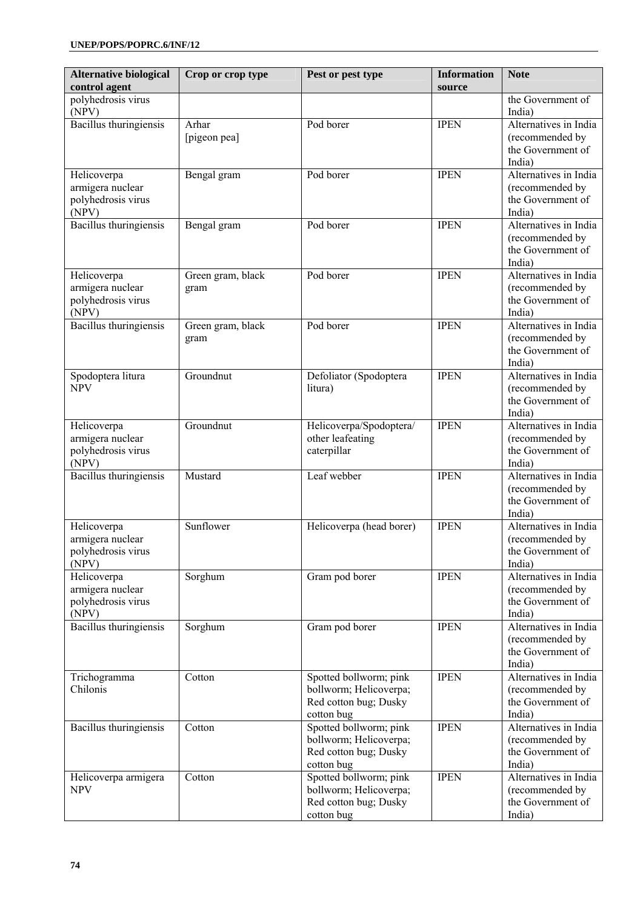| <b>Alternative biological</b><br>control agent | Crop or crop type | Pest or pest type                                | <b>Information</b><br>source | <b>Note</b>                              |
|------------------------------------------------|-------------------|--------------------------------------------------|------------------------------|------------------------------------------|
| polyhedrosis virus                             |                   |                                                  |                              | the Government of                        |
| (NPV)                                          |                   |                                                  |                              | India)                                   |
| Bacillus thuringiensis                         | Arhar             | Pod borer                                        | <b>IPEN</b>                  | Alternatives in India                    |
|                                                | [pigeon pea]      |                                                  |                              | (recommended by<br>the Government of     |
|                                                |                   |                                                  |                              | India)                                   |
| Helicoverpa                                    | Bengal gram       | Pod borer                                        | <b>IPEN</b>                  | Alternatives in India                    |
| armigera nuclear                               |                   |                                                  |                              | (recommended by                          |
| polyhedrosis virus                             |                   |                                                  |                              | the Government of                        |
| (NPV)<br>Bacillus thuringiensis                | Bengal gram       | Pod borer                                        | <b>IPEN</b>                  | India)<br>Alternatives in India          |
|                                                |                   |                                                  |                              | (recommended by                          |
|                                                |                   |                                                  |                              | the Government of                        |
|                                                |                   |                                                  |                              | India)                                   |
| Helicoverpa                                    | Green gram, black | Pod borer                                        | <b>IPEN</b>                  | Alternatives in India                    |
| armigera nuclear<br>polyhedrosis virus         | gram              |                                                  |                              | (recommended by<br>the Government of     |
| (NPV)                                          |                   |                                                  |                              | India)                                   |
| Bacillus thuringiensis                         | Green gram, black | Pod borer                                        | <b>IPEN</b>                  | Alternatives in India                    |
|                                                | gram              |                                                  |                              | (recommended by                          |
|                                                |                   |                                                  |                              | the Government of                        |
|                                                | Groundnut         | Defoliator (Spodoptera                           | <b>IPEN</b>                  | India)<br>Alternatives in India          |
| Spodoptera litura<br><b>NPV</b>                |                   | litura)                                          |                              | (recommended by                          |
|                                                |                   |                                                  |                              | the Government of                        |
|                                                |                   |                                                  |                              | India)                                   |
| Helicoverpa                                    | Groundnut         | Helicoverpa/Spodoptera/                          | <b>IPEN</b>                  | Alternatives in India                    |
| armigera nuclear<br>polyhedrosis virus         |                   | other leafeating<br>caterpillar                  |                              | (recommended by<br>the Government of     |
| (NPV)                                          |                   |                                                  |                              | India)                                   |
| <b>Bacillus</b> thuringiensis                  | Mustard           | Leaf webber                                      | <b>IPEN</b>                  | Alternatives in India                    |
|                                                |                   |                                                  |                              | (recommended by                          |
|                                                |                   |                                                  |                              | the Government of                        |
| Helicoverpa                                    | Sunflower         | Helicoverpa (head borer)                         | <b>IPEN</b>                  | India)<br>Alternatives in India          |
| armigera nuclear                               |                   |                                                  |                              | (recommended by                          |
| polyhedrosis virus                             |                   |                                                  |                              | the Government of                        |
| (NPV)                                          |                   |                                                  |                              | India)                                   |
| Helicoverpa                                    | Sorghum           | Gram pod borer                                   | <b>IPEN</b>                  | Alternatives in India                    |
| armigera nuclear                               |                   |                                                  |                              | (recommended by                          |
| polyhedrosis virus<br>(NPV)                    |                   |                                                  |                              | the Government of<br>India)              |
| Bacillus thuringiensis                         | Sorghum           | Gram pod borer                                   | <b>IPEN</b>                  | Alternatives in India                    |
|                                                |                   |                                                  |                              | (recommended by                          |
|                                                |                   |                                                  |                              | the Government of                        |
|                                                |                   |                                                  |                              | India)                                   |
| Trichogramma<br>Chilonis                       | Cotton            | Spotted bollworm; pink<br>bollworm; Helicoverpa; | <b>IPEN</b>                  | Alternatives in India<br>(recommended by |
|                                                |                   | Red cotton bug; Dusky                            |                              | the Government of                        |
|                                                |                   | cotton bug                                       |                              | India)                                   |
| Bacillus thuringiensis                         | Cotton            | Spotted bollworm; pink                           | <b>IPEN</b>                  | Alternatives in India                    |
|                                                |                   | bollworm; Helicoverpa;                           |                              | (recommended by                          |
|                                                |                   | Red cotton bug; Dusky<br>cotton bug              |                              | the Government of<br>India)              |
| Helicoverpa armigera                           | Cotton            | Spotted bollworm; pink                           | <b>IPEN</b>                  | Alternatives in India                    |
| <b>NPV</b>                                     |                   | bollworm; Helicoverpa;                           |                              | (recommended by                          |
|                                                |                   | Red cotton bug; Dusky                            |                              | the Government of                        |
|                                                |                   | cotton bug                                       |                              | India)                                   |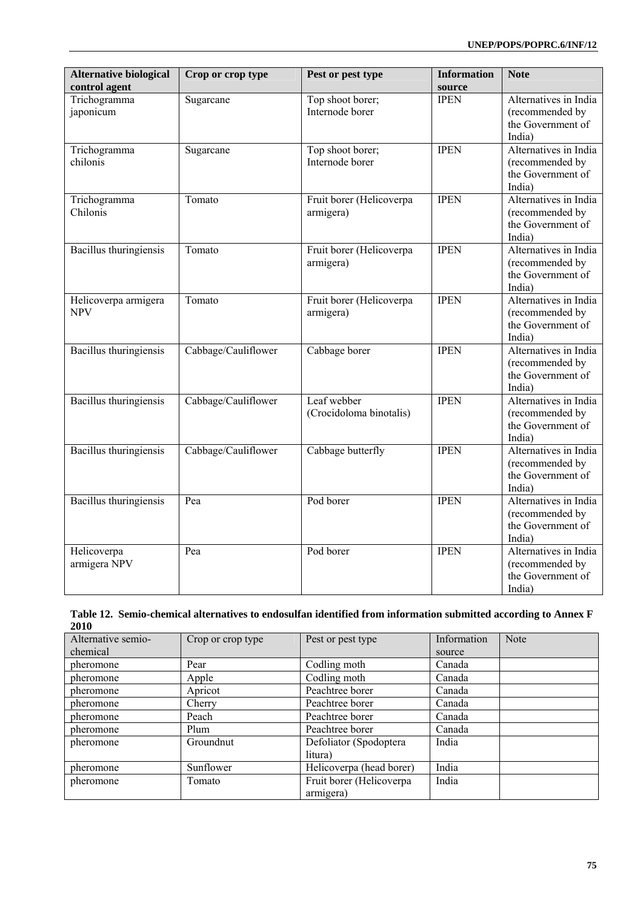| <b>Alternative biological</b>      | Crop or crop type   | Pest or pest type                      | <b>Information</b> | <b>Note</b>                                                             |
|------------------------------------|---------------------|----------------------------------------|--------------------|-------------------------------------------------------------------------|
| control agent                      |                     |                                        | source             |                                                                         |
| Trichogramma<br>japonicum          | Sugarcane           | Top shoot borer;<br>Internode borer    | <b>IPEN</b>        | Alternatives in India<br>(recommended by<br>the Government of<br>India) |
| Trichogramma<br>chilonis           | Sugarcane           | Top shoot borer;<br>Internode borer    | <b>IPEN</b>        | Alternatives in India<br>(recommended by<br>the Government of<br>India) |
| Trichogramma<br>Chilonis           | Tomato              | Fruit borer (Helicoverpa<br>armigera)  | <b>IPEN</b>        | Alternatives in India<br>(recommended by<br>the Government of<br>India) |
| <b>Bacillus</b> thuringiensis      | Tomato              | Fruit borer (Helicoverpa<br>armigera)  | <b>IPEN</b>        | Alternatives in India<br>(recommended by<br>the Government of<br>India) |
| Helicoverpa armigera<br><b>NPV</b> | Tomato              | Fruit borer (Helicoverpa<br>armigera)  | <b>IPEN</b>        | Alternatives in India<br>(recommended by<br>the Government of<br>India) |
| Bacillus thuringiensis             | Cabbage/Cauliflower | Cabbage borer                          | <b>IPEN</b>        | Alternatives in India<br>(recommended by<br>the Government of<br>India) |
| Bacillus thuringiensis             | Cabbage/Cauliflower | Leaf webber<br>(Crocidoloma binotalis) | <b>IPEN</b>        | Alternatives in India<br>(recommended by<br>the Government of<br>India) |
| Bacillus thuringiensis             | Cabbage/Cauliflower | Cabbage butterfly                      | <b>IPEN</b>        | Alternatives in India<br>(recommended by<br>the Government of<br>India) |
| <b>Bacillus</b> thuringiensis      | Pea                 | Pod borer                              | <b>IPEN</b>        | Alternatives in India<br>(recommended by<br>the Government of<br>India) |
| Helicoverpa<br>armigera NPV        | Pea                 | Pod borer                              | <b>IPEN</b>        | Alternatives in India<br>(recommended by<br>the Government of<br>India) |

|      | Table 12. Semio-chemical alternatives to endosulfan identified from information submitted according to Annex F |
|------|----------------------------------------------------------------------------------------------------------------|
| 2010 |                                                                                                                |

| Alternative semio- | Crop or crop type | Pest or pest type        | Information | Note |
|--------------------|-------------------|--------------------------|-------------|------|
| chemical           |                   |                          | source      |      |
| pheromone          | Pear              | Codling moth             | Canada      |      |
| pheromone          | Apple             | Codling moth             | Canada      |      |
| pheromone          | Apricot           | Peachtree borer          | Canada      |      |
| pheromone          | Cherry            | Peachtree borer          | Canada      |      |
| pheromone          | Peach             | Peachtree borer          | Canada      |      |
| pheromone          | Plum              | Peachtree borer          | Canada      |      |
| pheromone          | Groundnut         | Defoliator (Spodoptera   | India       |      |
|                    |                   | litura)                  |             |      |
| pheromone          | Sunflower         | Helicoverpa (head borer) | India       |      |
| pheromone          | Tomato            | Fruit borer (Helicoverpa | India       |      |
|                    |                   | armigera)                |             |      |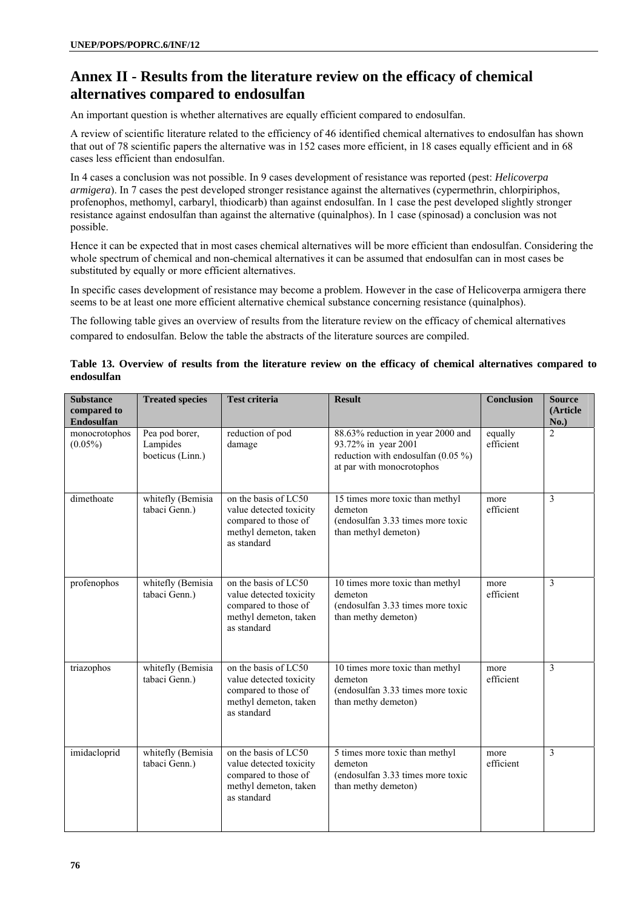# **Annex II - Results from the literature review on the efficacy of chemical alternatives compared to endosulfan**

An important question is whether alternatives are equally efficient compared to endosulfan.

A review of scientific literature related to the efficiency of 46 identified chemical alternatives to endosulfan has shown that out of 78 scientific papers the alternative was in 152 cases more efficient, in 18 cases equally efficient and in 68 cases less efficient than endosulfan.

In 4 cases a conclusion was not possible. In 9 cases development of resistance was reported (pest: *Helicoverpa armigera*). In 7 cases the pest developed stronger resistance against the alternatives (cypermethrin, chlorpiriphos, profenophos, methomyl, carbaryl, thiodicarb) than against endosulfan. In 1 case the pest developed slightly stronger resistance against endosulfan than against the alternative (quinalphos). In 1 case (spinosad) a conclusion was not possible.

Hence it can be expected that in most cases chemical alternatives will be more efficient than endosulfan. Considering the whole spectrum of chemical and non-chemical alternatives it can be assumed that endosulfan can in most cases be substituted by equally or more efficient alternatives.

In specific cases development of resistance may become a problem. However in the case of Helicoverpa armigera there seems to be at least one more efficient alternative chemical substance concerning resistance (quinalphos).

The following table gives an overview of results from the literature review on the efficacy of chemical alternatives compared to endosulfan. Below the table the abstracts of the literature sources are compiled.

# **Table 13. Overview of results from the literature review on the efficacy of chemical alternatives compared to endosulfan**

| <b>Substance</b><br>compared to                  | <b>Treated species</b>                         | <b>Test criteria</b>                                                                                            | <b>Result</b>                                                                                                                 | Conclusion           | <b>Source</b><br>(Article |
|--------------------------------------------------|------------------------------------------------|-----------------------------------------------------------------------------------------------------------------|-------------------------------------------------------------------------------------------------------------------------------|----------------------|---------------------------|
| <b>Endosulfan</b><br>monocrotophos<br>$(0.05\%)$ | Pea pod borer,<br>Lampides<br>boeticus (Linn.) | reduction of pod<br>damage                                                                                      | 88.63% reduction in year 2000 and<br>93.72% in year 2001<br>reduction with endosulfan $(0.05\%)$<br>at par with monocrotophos | equally<br>efficient | No.)<br>$\overline{2}$    |
| dimethoate                                       | whitefly (Bemisia<br>tabaci Genn.)             | on the basis of LC50<br>value detected toxicity<br>compared to those of<br>methyl demeton, taken<br>as standard | 15 times more toxic than methyl<br>demeton<br>(endosulfan 3.33 times more toxic<br>than methyl demeton)                       | more<br>efficient    | $\overline{3}$            |
| profenophos                                      | whitefly (Bemisia<br>tabaci Genn.)             | on the basis of LC50<br>value detected toxicity<br>compared to those of<br>methyl demeton, taken<br>as standard | 10 times more toxic than methyl<br>demeton<br>(endosulfan 3.33 times more toxic<br>than methy demeton)                        | more<br>efficient    | 3                         |
| triazophos                                       | whitefly (Bemisia<br>tabaci Genn.)             | on the basis of LC50<br>value detected toxicity<br>compared to those of<br>methyl demeton, taken<br>as standard | 10 times more toxic than methyl<br>demeton<br>(endosulfan 3.33 times more toxic<br>than methy demeton)                        | more<br>efficient    | 3                         |
| imidacloprid                                     | whitefly (Bemisia<br>tabaci Genn.)             | on the basis of LC50<br>value detected toxicity<br>compared to those of<br>methyl demeton, taken<br>as standard | 5 times more toxic than methyl<br>demeton<br>(endosulfan 3.33 times more toxic<br>than methy demeton)                         | more<br>efficient    | 3                         |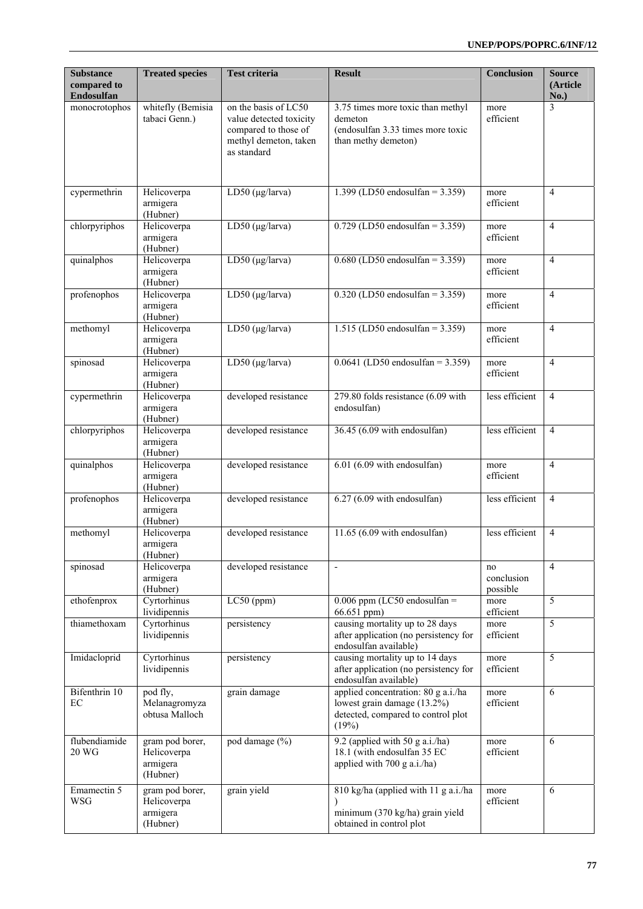| <b>Substance</b><br>compared to<br>Endosulfan | <b>Treated species</b>                                 | <b>Test criteria</b>                                                                                            | <b>Result</b>                                                                                                     | <b>Conclusion</b>            | <b>Source</b><br>(Article<br>No.) |
|-----------------------------------------------|--------------------------------------------------------|-----------------------------------------------------------------------------------------------------------------|-------------------------------------------------------------------------------------------------------------------|------------------------------|-----------------------------------|
| monocrotophos                                 | whitefly (Bemisia<br>tabaci Genn.)                     | on the basis of LC50<br>value detected toxicity<br>compared to those of<br>methyl demeton, taken<br>as standard | 3.75 times more toxic than methyl<br>demeton<br>(endosulfan 3.33 times more toxic<br>than methy demeton)          | more<br>efficient            | 3                                 |
| cypermethrin                                  | Helicoverpa<br>armigera<br>(Hubner)                    | LD50 ( $\mu$ g/larva)                                                                                           | 1.399 (LD50 endosulfan = $3.359$ )                                                                                | more<br>efficient            | $\overline{4}$                    |
| chlorpyriphos                                 | Helicoverpa<br>armigera<br>(Hubner)                    | $LD50$ (µg/larva)                                                                                               | $0.729$ (LD50 endosulfan = 3.359)                                                                                 | more<br>efficient            | $\overline{4}$                    |
| quinalphos                                    | Helicoverpa<br>armigera<br>(Hubner)                    | $LD50$ (µg/larva)                                                                                               | $0.680$ (LD50 endosulfan = 3.359)                                                                                 | more<br>efficient            | $\overline{4}$                    |
| profenophos                                   | Helicoverpa<br>armigera<br>(Hubner)                    | LD50 ( $\mu$ g/larva)                                                                                           | $0.320$ (LD50 endosulfan = 3.359)                                                                                 | more<br>efficient            | $\overline{4}$                    |
| methomyl                                      | Helicoverpa<br>armigera<br>(Hubner)                    | $LD50$ (µg/larva)                                                                                               | 1.515 (LD50 endosulfan = $3.359$ )                                                                                | more<br>efficient            | $\overline{4}$                    |
| spinosad                                      | Helicoverpa<br>armigera<br>(Hubner)                    | LD50 ( $\mu$ g/larva)                                                                                           | $0.0641$ (LD50 endosulfan = 3.359)                                                                                | more<br>efficient            | $\overline{4}$                    |
| cypermethrin                                  | Helicoverpa<br>armigera<br>(Hubner)                    | developed resistance                                                                                            | 279.80 folds resistance (6.09 with<br>endosulfan)                                                                 | less efficient               | $\overline{4}$                    |
| chlorpyriphos                                 | Helicoverpa<br>armigera<br>(Hubner)                    | developed resistance                                                                                            | 36.45 (6.09 with endosulfan)                                                                                      | less efficient               | $\overline{4}$                    |
| quinalphos                                    | Helicoverpa<br>armigera<br>(Hubner)                    | developed resistance                                                                                            | $6.01$ $(6.09$ with endosulfan)                                                                                   | more<br>efficient            | $\overline{4}$                    |
| profenophos                                   | Helicoverpa<br>armigera<br>(Hubner)                    | developed resistance                                                                                            | $6.27(6.09$ with endosulfan)                                                                                      | less efficient               | $\overline{4}$                    |
| methomyl                                      | Helicoverpa<br>armigera<br>(Hubner)                    | developed resistance                                                                                            | $11.65(6.09$ with endosulfan)                                                                                     | less efficient               | $\overline{4}$                    |
| spinosad                                      | Helicoverpa<br>armigera<br>(Hubner)                    | developed resistance                                                                                            | Ĭ.                                                                                                                | no<br>conclusion<br>possible | $\overline{4}$                    |
| ethofenprox                                   | Cyrtorhinus<br>lividipennis                            | $LC50$ (ppm)                                                                                                    | $0.006$ ppm (LC50 endosulfan =<br>66.651 ppm)                                                                     | more<br>efficient            | 5                                 |
| thiamethoxam                                  | Cyrtorhinus<br>lividipennis                            | persistency                                                                                                     | causing mortality up to 28 days<br>after application (no persistency for<br>endosulfan available)                 | more<br>efficient            | 5                                 |
| Imidacloprid                                  | Cyrtorhinus<br>lividipennis                            | persistency                                                                                                     | causing mortality up to 14 days<br>after application (no persistency for<br>endosulfan available)                 | more<br>efficient            | 5                                 |
| Bifenthrin 10<br>EC                           | pod fly,<br>Melanagromyza<br>obtusa Malloch            | grain damage                                                                                                    | applied concentration: 80 g a.i./ha<br>lowest grain damage (13.2%)<br>detected, compared to control plot<br>(19%) | more<br>efficient            | 6                                 |
| flubendiamide<br>20 WG                        | gram pod borer,<br>Helicoverpa<br>armigera<br>(Hubner) | pod damage (%)                                                                                                  | 9.2 (applied with 50 g a.i./ha)<br>18.1 (with endosulfan 35 EC<br>applied with 700 g a.i./ha)                     | more<br>efficient            | 6                                 |
| Emamectin 5<br><b>WSG</b>                     | gram pod borer,<br>Helicoverpa<br>armigera<br>(Hubner) | grain yield                                                                                                     | 810 kg/ha (applied with 11 g a.i./ha<br>minimum (370 kg/ha) grain yield<br>obtained in control plot               | more<br>efficient            | 6                                 |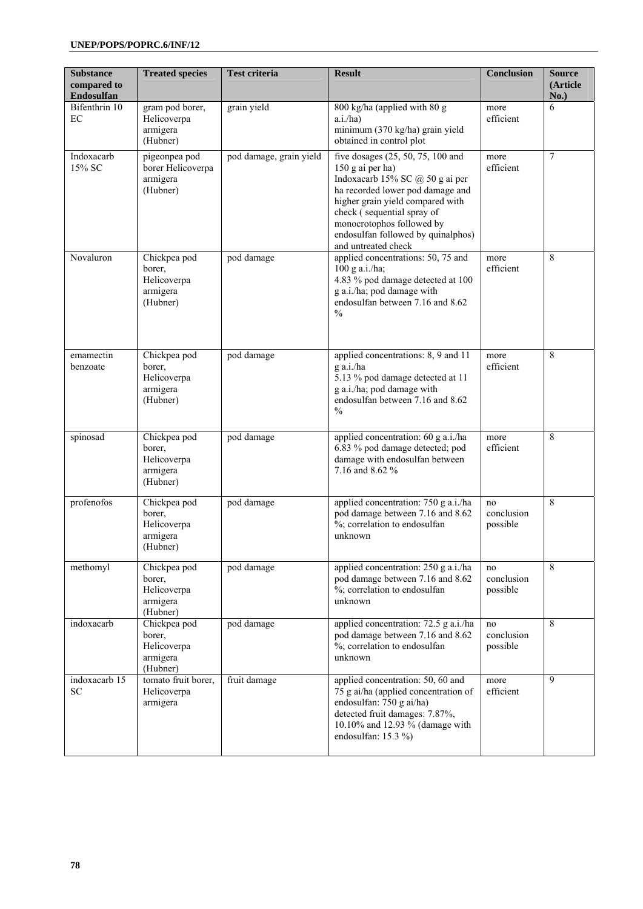| <b>Substance</b><br>compared to<br>Endosulfan | <b>Treated species</b>                                        | <b>Test criteria</b>    | <b>Result</b>                                                                                                                                                                                                                                                                            | <b>Conclusion</b>            | <b>Source</b><br>(Article<br>No.) |
|-----------------------------------------------|---------------------------------------------------------------|-------------------------|------------------------------------------------------------------------------------------------------------------------------------------------------------------------------------------------------------------------------------------------------------------------------------------|------------------------------|-----------------------------------|
| Bifenthrin 10<br>EC                           | gram pod borer,<br>Helicoverpa<br>armigera<br>(Hubner)        | grain yield             | 800 kg/ha (applied with 80 g<br>a.i./ha)<br>minimum (370 kg/ha) grain yield<br>obtained in control plot                                                                                                                                                                                  | more<br>efficient            | 6                                 |
| Indoxacarb<br>15% SC                          | pigeonpea pod<br>borer Helicoverpa<br>armigera<br>(Hubner)    | pod damage, grain yield | five dosages (25, 50, 75, 100 and<br>150 g ai per ha)<br>Indoxacarb 15% SC @ 50 g ai per<br>ha recorded lower pod damage and<br>higher grain yield compared with<br>check (sequential spray of<br>monocrotophos followed by<br>endosulfan followed by quinalphos)<br>and untreated check | more<br>efficient            | 7                                 |
| Novaluron                                     | Chickpea pod<br>borer,<br>Helicoverpa<br>armigera<br>(Hubner) | pod damage              | applied concentrations: 50, 75 and<br>$100$ g a.i./ha;<br>4.83 % pod damage detected at 100<br>g a.i./ha; pod damage with<br>endosulfan between 7.16 and 8.62<br>$\frac{0}{0}$                                                                                                           | more<br>efficient            | 8                                 |
| emamectin<br>benzoate                         | Chickpea pod<br>borer,<br>Helicoverpa<br>armigera<br>(Hubner) | pod damage              | applied concentrations: 8, 9 and 11<br>g a.i./ha<br>5.13 % pod damage detected at 11<br>g a.i./ha; pod damage with<br>endosulfan between 7.16 and 8.62<br>$\frac{0}{0}$                                                                                                                  | more<br>efficient            | 8                                 |
| spinosad                                      | Chickpea pod<br>borer,<br>Helicoverpa<br>armigera<br>(Hubner) | pod damage              | applied concentration: 60 g a.i./ha<br>6.83 % pod damage detected; pod<br>damage with endosulfan between<br>7.16 and 8.62 %                                                                                                                                                              | more<br>efficient            | 8                                 |
| profenofos                                    | Chickpea pod<br>borer,<br>Helicoverpa<br>armigera<br>(Hubner) | pod damage              | applied concentration: 750 g a.i./ha<br>pod damage between 7.16 and 8.62<br>%; correlation to endosulfan<br>unknown                                                                                                                                                                      | no<br>conclusion<br>possible | 8                                 |
| methomyl                                      | Chickpea pod<br>borer,<br>Helicoverpa<br>armigera<br>(Hubner) | pod damage              | applied concentration: 250 g a.i./ha<br>pod damage between 7.16 and 8.62<br>%; correlation to endosulfan<br>unknown                                                                                                                                                                      | no<br>conclusion<br>possible | 8                                 |
| indoxacarb                                    | Chickpea pod<br>borer,<br>Helicoverpa<br>armigera<br>(Hubner) | pod damage              | applied concentration: 72.5 g a.i./ha<br>pod damage between 7.16 and 8.62<br>%; correlation to endosulfan<br>unknown                                                                                                                                                                     | no<br>conclusion<br>possible | 8                                 |
| indoxacarb 15<br><b>SC</b>                    | tomato fruit borer,<br>Helicoverpa<br>armigera                | fruit damage            | applied concentration: 50, 60 and<br>75 g ai/ha (applied concentration of<br>endosulfan: 750 g ai/ha)<br>detected fruit damages: 7.87%,<br>10.10% and 12.93 % (damage with<br>endosulfan: 15.3 %)                                                                                        | more<br>efficient            | 9                                 |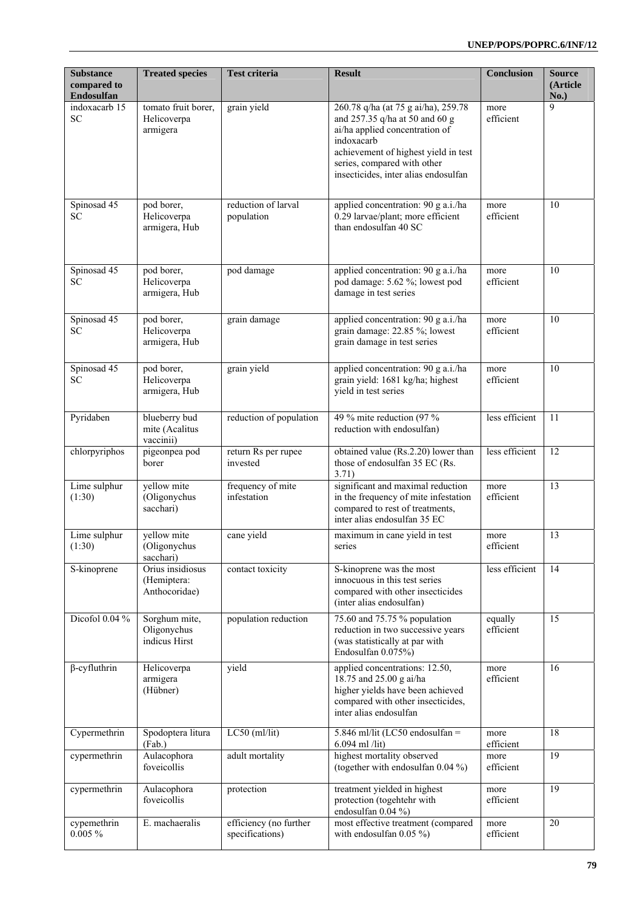| <b>Substance</b><br>compared to<br>Endosulfan | <b>Treated species</b>                           | <b>Test criteria</b>                      | <b>Result</b>                                                                                                                                                                                                                        | <b>Conclusion</b>    | <b>Source</b><br>(Article<br>No.) |
|-----------------------------------------------|--------------------------------------------------|-------------------------------------------|--------------------------------------------------------------------------------------------------------------------------------------------------------------------------------------------------------------------------------------|----------------------|-----------------------------------|
| indoxacarb $15$<br><b>SC</b>                  | tomato fruit borer,<br>Helicoverpa<br>armigera   | grain yield                               | 260.78 q/ha (at 75 g ai/ha), 259.78<br>and 257.35 q/ha at 50 and 60 g<br>ai/ha applied concentration of<br>indoxacarb<br>achievement of highest yield in test<br>series, compared with other<br>insecticides, inter alias endosulfan | more<br>efficient    | 9                                 |
| Spinosad 45<br>SC                             | pod borer,<br>Helicoverpa<br>armigera, Hub       | reduction of larval<br>population         | applied concentration: 90 g a.i./ha<br>0.29 larvae/plant; more efficient<br>than endosulfan 40 SC                                                                                                                                    | more<br>efficient    | 10                                |
| Spinosad 45<br>SC                             | pod borer,<br>Helicoverpa<br>armigera, Hub       | pod damage                                | applied concentration: 90 g a.i./ha<br>pod damage: 5.62 %; lowest pod<br>damage in test series                                                                                                                                       | more<br>efficient    | 10                                |
| Spinosad 45<br>SC.                            | pod borer,<br>Helicoverpa<br>armigera, Hub       | grain damage                              | applied concentration: 90 g a.i./ha<br>grain damage: 22.85 %; lowest<br>grain damage in test series                                                                                                                                  | more<br>efficient    | 10                                |
| Spinosad 45<br><b>SC</b>                      | pod borer,<br>Helicoverpa<br>armigera, Hub       | grain yield                               | applied concentration: 90 g a.i./ha<br>grain yield: 1681 kg/ha; highest<br>yield in test series                                                                                                                                      | more<br>efficient    | 10                                |
| Pyridaben                                     | blueberry bud<br>mite (Acalitus<br>vaccinii)     | reduction of population                   | 49 % mite reduction (97 %<br>reduction with endosulfan)                                                                                                                                                                              | less efficient       | 11                                |
| chlorpyriphos                                 | pigeonpea pod<br>borer                           | return Rs per rupee<br>invested           | obtained value (Rs.2.20) lower than<br>those of endosulfan 35 EC (Rs.<br>3.71)                                                                                                                                                       | less efficient       | 12                                |
| Lime sulphur<br>(1:30)                        | yellow mite<br>(Oligonychus<br>sacchari)         | frequency of mite<br>infestation          | significant and maximal reduction<br>in the frequency of mite infestation<br>compared to rest of treatments,<br>inter alias endosulfan 35 EC                                                                                         | more<br>efficient    | 13                                |
| Lime sulphur<br>(1:30)                        | yellow mite<br>(Oligonychus<br>sacchari)         | cane yield                                | maximum in cane yield in test<br>series                                                                                                                                                                                              | more<br>efficient    | 13                                |
| S-kinoprene                                   | Orius insidiosus<br>(Hemiptera:<br>Anthocoridae) | contact toxicity                          | S-kinoprene was the most<br>innocuous in this test series<br>compared with other insecticides<br>(inter alias endosulfan)                                                                                                            | less efficient       | 14                                |
| Dicofol 0.04 %                                | Sorghum mite,<br>Oligonychus<br>indicus Hirst    | population reduction                      | 75.60 and 75.75 % population<br>reduction in two successive years<br>(was statistically at par with<br>Endosulfan 0.075%)                                                                                                            | equally<br>efficient | 15                                |
| $\beta$ -cyfluthrin                           | Helicoverpa<br>armigera<br>(Hübner)              | yield                                     | applied concentrations: 12.50,<br>18.75 and 25.00 g ai/ha<br>higher yields have been achieved<br>compared with other insecticides,<br>inter alias endosulfan                                                                         | more<br>efficient    | 16                                |
| Cypermethrin                                  | Spodoptera litura<br>(Fab.)                      | $LC50$ (ml/lit)                           | 5.846 ml/lit (LC50 endosulfan =<br>$6.094$ ml /lit)                                                                                                                                                                                  | more<br>efficient    | 18                                |
| cypermethrin                                  | Aulacophora<br>foveicollis                       | adult mortality                           | highest mortality observed<br>(together with endosulfan 0.04 %)                                                                                                                                                                      | more<br>efficient    | 19                                |
| cypermethrin                                  | Aulacophora<br>foveicollis                       | protection                                | treatment yielded in highest<br>protection (togehtehr with<br>endosulfan 0.04 %)                                                                                                                                                     | more<br>efficient    | 19                                |
| cypemethrin<br>$0.005 \%$                     | E. machaeralis                                   | efficiency (no further<br>specifications) | most effective treatment (compared<br>with endosulfan $0.05\%$ )                                                                                                                                                                     | more<br>efficient    | 20                                |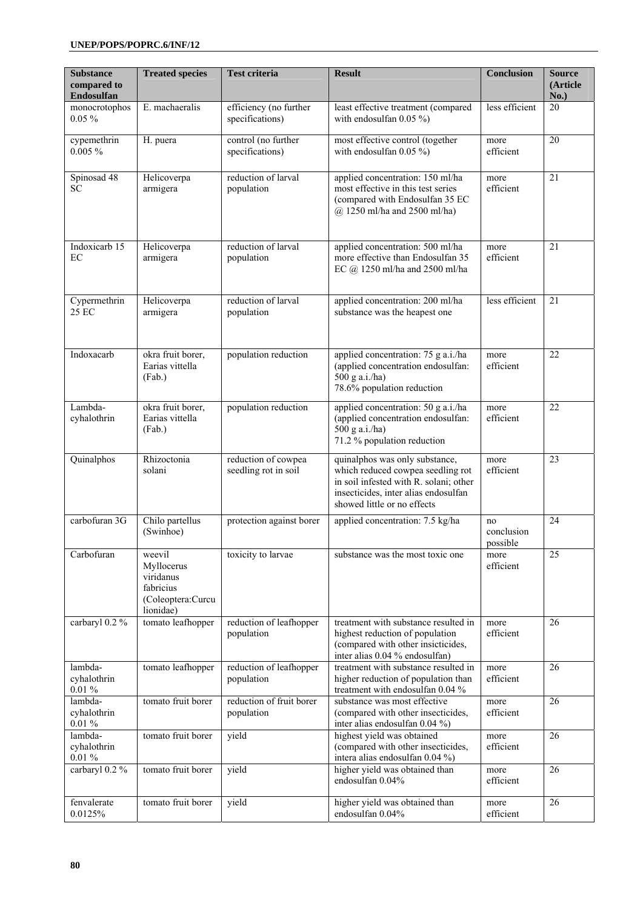| <b>Substance</b><br>compared to<br>Endosulfan | <b>Treated species</b>                                                           | <b>Test criteria</b>                        | <b>Result</b>                                                                                                                                                                        | <b>Conclusion</b>            | <b>Source</b><br>(Article)<br>No.) |
|-----------------------------------------------|----------------------------------------------------------------------------------|---------------------------------------------|--------------------------------------------------------------------------------------------------------------------------------------------------------------------------------------|------------------------------|------------------------------------|
| monocrotophos<br>$0.05\%$                     | E. machaeralis                                                                   | efficiency (no further<br>specifications)   | least effective treatment (compared<br>with endosulfan $0.05\%$ )                                                                                                                    | less efficient               | 20                                 |
| cypemethrin<br>$0.005 \%$                     | H. puera                                                                         | control (no further<br>specifications)      | most effective control (together<br>with endosulfan $0.05\%$ )                                                                                                                       | more<br>efficient            | 20                                 |
| Spinosad 48<br><b>SC</b>                      | Helicoverpa<br>armigera                                                          | reduction of larval<br>population           | applied concentration: 150 ml/ha<br>most effective in this test series<br>(compared with Endosulfan 35 EC<br>@ 1250 ml/ha and 2500 ml/ha)                                            | more<br>efficient            | 21                                 |
| Indoxicarb 15<br>EC                           | Helicoverpa<br>armigera                                                          | reduction of larval<br>population           | applied concentration: 500 ml/ha<br>more effective than Endosulfan 35<br>EC @ 1250 ml/ha and 2500 ml/ha                                                                              | more<br>efficient            | 21                                 |
| Cypermethrin<br>25 EC                         | Helicoverpa<br>armigera                                                          | reduction of larval<br>population           | applied concentration: 200 ml/ha<br>substance was the heapest one                                                                                                                    | less efficient               | 21                                 |
| Indoxacarb                                    | okra fruit borer,<br>Earias vittella<br>(Fab.)                                   | population reduction                        | applied concentration: 75 g a.i./ha<br>(applied concentration endosulfan:<br>500 g a.i./ha)<br>78.6% population reduction                                                            | more<br>efficient            | 22                                 |
| Lambda-<br>cyhalothrin                        | okra fruit borer,<br>Earias vittella<br>(Fab.)                                   | population reduction                        | applied concentration: 50 g a.i./ha<br>(applied concentration endosulfan:<br>500 g a.i./ha)<br>71.2 % population reduction                                                           | more<br>efficient            | 22                                 |
| Quinalphos                                    | Rhizoctonia<br>solani                                                            | reduction of cowpea<br>seedling rot in soil | quinalphos was only substance,<br>which reduced cowpea seedling rot<br>in soil infested with R. solani; other<br>insecticides, inter alias endosulfan<br>showed little or no effects | more<br>efficient            | 23                                 |
| carbofuran 3G                                 | Chilo partellus<br>(Swinhoe)                                                     | protection against borer                    | applied concentration: 7.5 kg/ha                                                                                                                                                     | no<br>conclusion<br>possible | 24                                 |
| Carbofuran                                    | weevil<br>Myllocerus<br>viridanus<br>fabricius<br>(Coleoptera:Curcu<br>lionidae) | toxicity to larvae                          | substance was the most toxic one                                                                                                                                                     | more<br>efficient            | $\overline{25}$                    |
| carbaryl 0.2 %                                | tomato leafhopper                                                                | reduction of leafhopper<br>population       | treatment with substance resulted in<br>highest reduction of population<br>(compared with other insicticides,<br>inter alias 0.04 % endosulfan)                                      | more<br>efficient            | 26                                 |
| lambda-<br>cyhalothrin<br>$0.01\%$            | tomato leafhopper                                                                | reduction of leafhopper<br>population       | treatment with substance resulted in<br>higher reduction of population than<br>treatment with endosulfan 0.04 %                                                                      | more<br>efficient            | 26                                 |
| lambda-<br>cyhalothrin<br>$0.01\%$            | tomato fruit borer                                                               | reduction of fruit borer<br>population      | substance was most effective<br>(compared with other insecticides,<br>inter alias endosulfan 0.04 %)                                                                                 | more<br>efficient            | 26                                 |
| lambda-<br>cyhalothrin<br>$0.01~\%$           | tomato fruit borer                                                               | yield                                       | highest yield was obtained<br>(compared with other insecticides,<br>intera alias endosulfan 0.04 %)                                                                                  | more<br>efficient            | 26                                 |
| carbaryl 0.2 %                                | tomato fruit borer                                                               | yield                                       | higher yield was obtained than<br>endosulfan 0.04%                                                                                                                                   | more<br>efficient            | 26                                 |
| fenvalerate<br>0.0125%                        | tomato fruit borer                                                               | yield                                       | higher yield was obtained than<br>endosulfan 0.04%                                                                                                                                   | more<br>efficient            | 26                                 |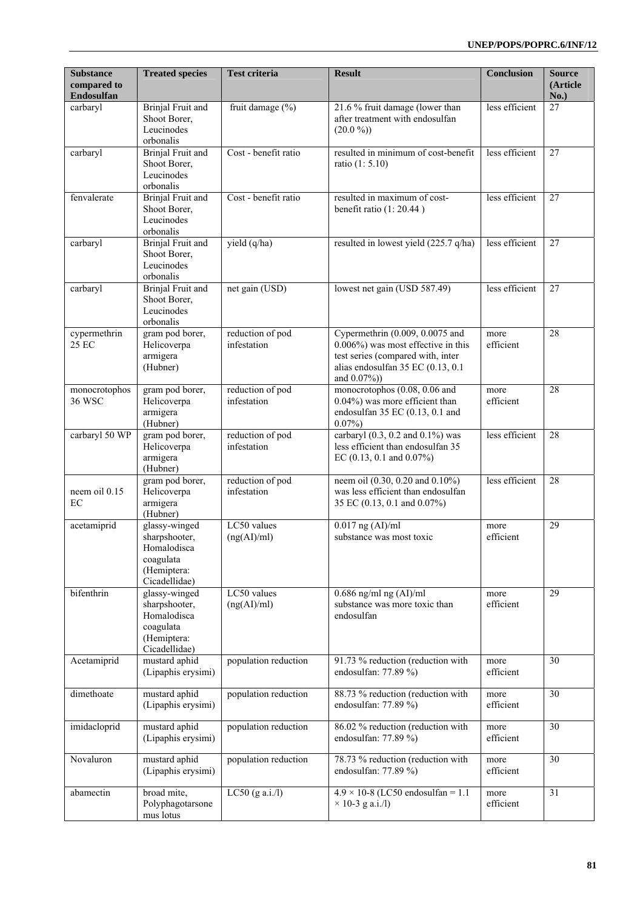| <b>Substance</b><br>compared to<br>Endosulfan | <b>Treated species</b>                                                                     | Test criteria                   | <b>Result</b>                                                                                                                                                        | <b>Conclusion</b> | <b>Source</b><br>(Article<br>No.) |
|-----------------------------------------------|--------------------------------------------------------------------------------------------|---------------------------------|----------------------------------------------------------------------------------------------------------------------------------------------------------------------|-------------------|-----------------------------------|
| carbaryl                                      | Brinjal Fruit and<br>Shoot Borer,<br>Leucinodes<br>orbonalis                               | fruit damage $(\% )$            | 21.6 % fruit damage (lower than<br>after treatment with endosulfan<br>$(20.0\%)$                                                                                     | less efficient    | 27                                |
| carbaryl                                      | <b>Brinjal Fruit and</b><br>Shoot Borer,<br>Leucinodes<br>orbonalis                        | Cost - benefit ratio            | resulted in minimum of cost-benefit<br>ratio (1: 5.10)                                                                                                               | less efficient    | 27                                |
| fenvalerate                                   | <b>Brinjal Fruit and</b><br>Shoot Borer,<br>Leucinodes<br>orbonalis                        | Cost - benefit ratio            | resulted in maximum of cost-<br>benefit ratio $(1:20.44)$                                                                                                            | less efficient    | 27                                |
| carbaryl                                      | <b>Brinjal Fruit and</b><br>Shoot Borer,<br>Leucinodes<br>orbonalis                        | yield (q/ha)                    | resulted in lowest yield (225.7 q/ha)                                                                                                                                | less efficient    | 27                                |
| carbaryl                                      | Brinjal Fruit and<br>Shoot Borer,<br>Leucinodes<br>orbonalis                               | net gain (USD)                  | lowest net gain (USD 587.49)                                                                                                                                         | less efficient    | 27                                |
| cypermethrin<br>25 EC                         | gram pod borer,<br>Helicoverpa<br>armigera<br>(Hubner)                                     | reduction of pod<br>infestation | Cypermethrin $(0.009, 0.0075$ and<br>$0.006\%$ ) was most effective in this<br>test series (compared with, inter<br>alias endosulfan 35 EC (0.13, 0.1<br>and 0.07%)) | more<br>efficient | 28                                |
| monocrotophos<br>36 WSC                       | gram pod borer,<br>Helicoverpa<br>armigera<br>(Hubner)                                     | reduction of pod<br>infestation | monocrotophos (0.08, 0.06 and<br>0.04%) was more efficient than<br>endosulfan 35 EC (0.13, 0.1 and<br>$0.07\%)$                                                      | more<br>efficient | 28                                |
| carbaryl 50 WP                                | gram pod borer,<br>Helicoverpa<br>armigera<br>(Hubner)                                     | reduction of pod<br>infestation | carbaryl $(0.3, 0.2 \text{ and } 0.1\%)$ was<br>less efficient than endosulfan 35<br>EC $(0.13, 0.1$ and $0.07\%)$                                                   | less efficient    | 28                                |
| neem oil 0.15<br>EC                           | gram pod borer,<br>Helicoverpa<br>armigera<br>(Hubner)                                     | reduction of pod<br>infestation | neem oil (0.30, 0.20 and 0.10%)<br>was less efficient than endosulfan<br>35 EC (0.13, 0.1 and 0.07%)                                                                 | less efficient    | 28                                |
| acetamiprid                                   | glassy-winged<br>sharpshooter,<br>Homalodisca<br>coagulata<br>(Hemiptera:<br>Cicadellidae) | LC50 values<br>(ng(AI)/ml)      | $0.017$ ng (AI)/ml<br>substance was most toxic                                                                                                                       | more<br>efficient | $\overline{29}$                   |
| bifenthrin                                    | glassy-winged<br>sharpshooter,<br>Homalodisca<br>coagulata<br>(Hemiptera:<br>Cicadellidae) | LC50 values<br>(ng(AI)/ml)      | $0.686$ ng/ml ng (AI)/ml<br>substance was more toxic than<br>endosulfan                                                                                              | more<br>efficient | 29                                |
| Acetamiprid                                   | mustard aphid<br>(Lipaphis erysimi)                                                        | population reduction            | 91.73 % reduction (reduction with<br>endosulfan: 77.89 %)                                                                                                            | more<br>efficient | 30                                |
| dimethoate                                    | mustard aphid<br>(Lipaphis erysimi)                                                        | population reduction            | 88.73 % reduction (reduction with<br>endosulfan: 77.89 %)                                                                                                            | more<br>efficient | 30                                |
| imidacloprid                                  | mustard aphid<br>(Lipaphis erysimi)                                                        | population reduction            | 86.02 % reduction (reduction with<br>endosulfan: 77.89 %)                                                                                                            | more<br>efficient | 30                                |
| Novaluron                                     | mustard aphid<br>(Lipaphis erysimi)                                                        | population reduction            | 78.73 % reduction (reduction with<br>endosulfan: $77.89\%$                                                                                                           | more<br>efficient | 30                                |
| abamectin                                     | broad mite,<br>Polyphagotarsone<br>mus lotus                                               | $LC50$ (g a.i./l)               | $4.9 \times 10-8$ (LC50 endosulfan = 1.1)<br>$\times$ 10-3 g a.i./l)                                                                                                 | more<br>efficient | 31                                |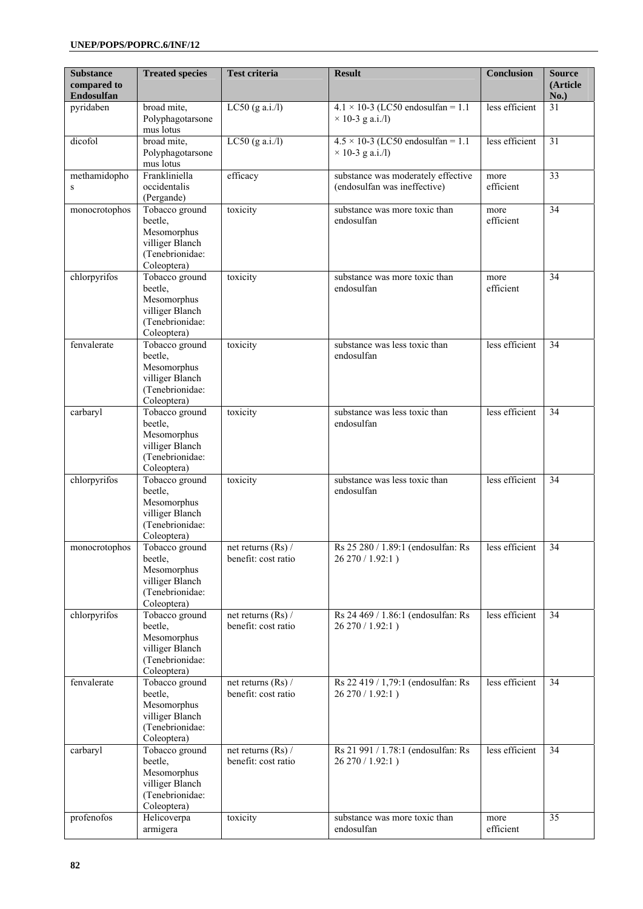| <b>Substance</b><br>compared to<br>Endosulfan | <b>Treated species</b>                                                                        | <b>Test criteria</b>                        | <b>Result</b>                                                        | <b>Conclusion</b> | <b>Source</b><br>(Article<br>No.) |
|-----------------------------------------------|-----------------------------------------------------------------------------------------------|---------------------------------------------|----------------------------------------------------------------------|-------------------|-----------------------------------|
| pyridaben                                     | broad mite,<br>Polyphagotarsone<br>mus lotus                                                  | LC50 $(g a.i/l)$                            | $4.1 \times 10-3$ (LC50 endosulfan = 1.1)<br>$\times$ 10-3 g a.i./l) | less efficient    | 31                                |
| dicofol                                       | broad mite,<br>Polyphagotarsone<br>mus lotus                                                  | $LC50$ (g a.i./l)                           | $4.5 \times 10-3$ (LC50 endosulfan = 1.1)<br>$\times$ 10-3 g a.i./l) | less efficient    | 31                                |
| methamidopho<br>$\mathbf S$                   | Frankliniella<br>occidentalis<br>(Pergande)                                                   | efficacy                                    | substance was moderately effective<br>(endosulfan was ineffective)   | more<br>efficient | 33                                |
| monocrotophos                                 | Tobacco ground<br>beetle.<br>Mesomorphus<br>villiger Blanch<br>(Tenebrionidae:<br>Coleoptera) | toxicity                                    | substance was more toxic than<br>endosulfan                          | more<br>efficient | 34                                |
| chlorpyrifos                                  | Tobacco ground<br>beetle,<br>Mesomorphus<br>villiger Blanch<br>(Tenebrionidae:<br>Coleoptera) | toxicity                                    | substance was more toxic than<br>endosulfan                          | more<br>efficient | 34                                |
| fenvalerate                                   | Tobacco ground<br>beetle,<br>Mesomorphus<br>villiger Blanch<br>(Tenebrionidae:<br>Coleoptera) | toxicity                                    | substance was less toxic than<br>endosulfan                          | less efficient    | 34                                |
| carbaryl                                      | Tobacco ground<br>beetle,<br>Mesomorphus<br>villiger Blanch<br>(Tenebrionidae:<br>Coleoptera) | toxicity                                    | substance was less toxic than<br>endosulfan                          | less efficient    | 34                                |
| chlorpyrifos                                  | Tobacco ground<br>beetle,<br>Mesomorphus<br>villiger Blanch<br>(Tenebrionidae:<br>Coleoptera) | toxicity                                    | substance was less toxic than<br>endosulfan                          | less efficient    | 34                                |
| monocrotophos                                 | Tobacco ground<br>beetle,<br>Mesomorphus<br>villiger Blanch<br>(Tenebrionidae:<br>Coleoptera) | net returns $(Rs)$ /<br>benefit: cost ratio | Rs 25 280 / 1.89:1 (endosulfan: Rs<br>26 270 / 1.92:1)               | less efficient    | 34                                |
| chlorpyrifos                                  | Tobacco ground<br>beetle,<br>Mesomorphus<br>villiger Blanch<br>(Tenebrionidae:<br>Coleoptera) | net returns $(Rs)$ /<br>benefit: cost ratio | Rs 24 469 / 1.86:1 (endosulfan: Rs<br>26 270 / 1.92:1)               | less efficient    | 34                                |
| fenvalerate                                   | Tobacco ground<br>beetle,<br>Mesomorphus<br>villiger Blanch<br>(Tenebrionidae:<br>Coleoptera) | net returns $(Rs)$ /<br>benefit: cost ratio | Rs 22 419 / 1,79:1 (endosulfan: Rs<br>26 270 / 1.92:1)               | less efficient    | 34                                |
| carbaryl                                      | Tobacco ground<br>beetle,<br>Mesomorphus<br>villiger Blanch<br>(Tenebrionidae:<br>Coleoptera) | net returns (Rs) /<br>benefit: cost ratio   | Rs 21 991 / 1.78:1 (endosulfan: Rs<br>26 270 / 1.92:1)               | less efficient    | 34                                |
| profenofos                                    | Helicoverpa<br>armigera                                                                       | toxicity                                    | substance was more toxic than<br>endosulfan                          | more<br>efficient | 35                                |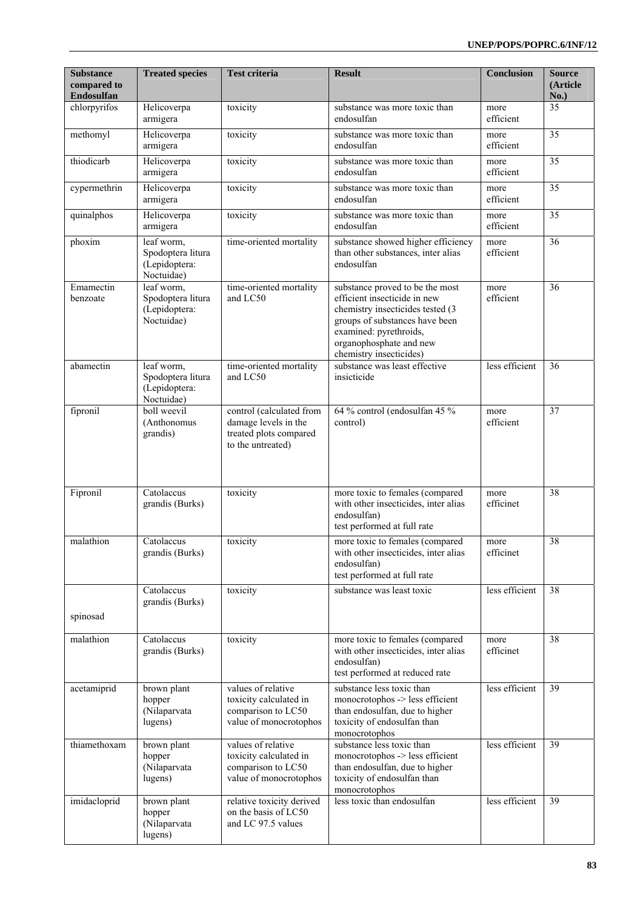| <b>Substance</b><br>compared to<br>Endosulfan | <b>Treated species</b>                                         | <b>Test criteria</b>                                                                            | <b>Result</b>                                                                                                                                                                                                         | <b>Conclusion</b> | <b>Source</b><br>(Article<br>No.) |
|-----------------------------------------------|----------------------------------------------------------------|-------------------------------------------------------------------------------------------------|-----------------------------------------------------------------------------------------------------------------------------------------------------------------------------------------------------------------------|-------------------|-----------------------------------|
| chlorpyrifos                                  | Helicoverpa<br>armigera                                        | toxicity                                                                                        | substance was more toxic than<br>endosulfan                                                                                                                                                                           | more<br>efficient | $\overline{35}$                   |
| methomyl                                      | Helicoverpa<br>armigera                                        | toxicity                                                                                        | substance was more toxic than<br>endosulfan                                                                                                                                                                           | more<br>efficient | $\overline{35}$                   |
| thiodicarb                                    | Helicoverpa<br>armigera                                        | toxicity                                                                                        | substance was more toxic than<br>endosulfan                                                                                                                                                                           | more<br>efficient | 35                                |
| cypermethrin                                  | Helicoverpa<br>armigera                                        | toxicity                                                                                        | substance was more toxic than<br>endosulfan                                                                                                                                                                           | more<br>efficient | 35                                |
| quinalphos                                    | Helicoverpa<br>armigera                                        | toxicity                                                                                        | substance was more toxic than<br>endosulfan                                                                                                                                                                           | more<br>efficient | 35                                |
| phoxim                                        | leaf worm,<br>Spodoptera litura<br>(Lepidoptera:<br>Noctuidae) | time-oriented mortality                                                                         | substance showed higher efficiency<br>than other substances, inter alias<br>endosulfan                                                                                                                                | more<br>efficient | $\overline{36}$                   |
| Emamectin<br>benzoate                         | leaf worm,<br>Spodoptera litura<br>(Lepidoptera:<br>Noctuidae) | time-oriented mortality<br>and LC50                                                             | substance proved to be the most<br>efficient insecticide in new<br>chemistry insecticides tested (3<br>groups of substances have been<br>examined: pyrethroids,<br>organophosphate and new<br>chemistry insecticides) | more<br>efficient | 36                                |
| abamectin                                     | leaf worm,<br>Spodoptera litura<br>(Lepidoptera:<br>Noctuidae) | time-oriented mortality<br>and LC50                                                             | substance was least effective<br>insicticide                                                                                                                                                                          | less efficient    | 36                                |
| fipronil                                      | boll weevil<br>(Anthonomus<br>grandis)                         | control (calculated from<br>damage levels in the<br>treated plots compared<br>to the untreated) | 64 % control (endosulfan 45 %<br>control)                                                                                                                                                                             | more<br>efficient | 37                                |
| Fipronil                                      | Catolaccus<br>grandis (Burks)                                  | toxicity                                                                                        | more toxic to females (compared<br>with other insecticides, inter alias<br>endosulfan)<br>test performed at full rate                                                                                                 | more<br>efficinet | 38                                |
| malathion                                     | Catolaccus<br>grandis (Burks)                                  | toxicity                                                                                        | more toxic to females (compared<br>with other insecticides, inter alias<br>endosulfan)<br>test performed at full rate                                                                                                 | more<br>efficinet | 38                                |
| spinosad                                      | Catolaccus<br>grandis (Burks)                                  | toxicity                                                                                        | substance was least toxic                                                                                                                                                                                             | less efficient    | 38                                |
| malathion                                     | Catolaccus<br>grandis (Burks)                                  | toxicity                                                                                        | more toxic to females (compared<br>with other insecticides, inter alias<br>endosulfan)<br>test performed at reduced rate                                                                                              | more<br>efficinet | $\overline{38}$                   |
| acetamiprid                                   | brown plant<br>hopper<br>(Nilaparvata<br>lugens)               | values of relative<br>toxicity calculated in<br>comparison to LC50<br>value of monocrotophos    | substance less toxic than<br>monocrotophos -> less efficient<br>than endosulfan, due to higher<br>toxicity of endosulfan than<br>monocrotophos                                                                        | less efficient    | 39                                |
| thiamethoxam                                  | brown plant<br>hopper<br>(Nilaparvata<br>lugens)               | values of relative<br>toxicity calculated in<br>comparison to LC50<br>value of monocrotophos    | substance less toxic than<br>monocrotophos -> less efficient<br>than endosulfan, due to higher<br>toxicity of endosulfan than<br>monocrotophos                                                                        | less efficient    | 39                                |
| imidacloprid                                  | brown plant<br>hopper<br>(Nilaparvata<br>lugens)               | relative toxicity derived<br>on the basis of LC50<br>and LC 97.5 values                         | less toxic than endosulfan                                                                                                                                                                                            | less efficient    | 39                                |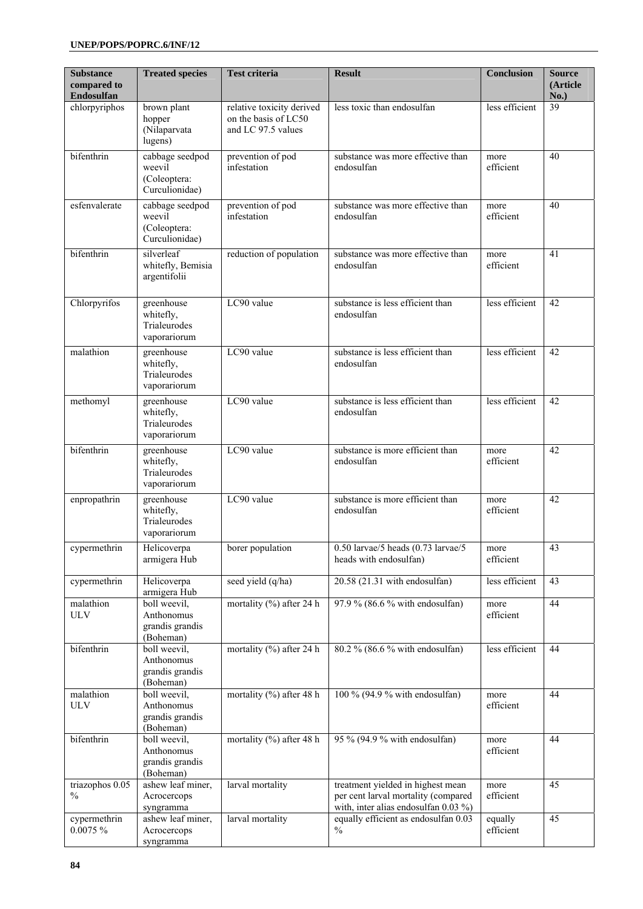| <b>Substance</b><br>compared to<br>Endosulfan | <b>Treated species</b>                                      | <b>Test criteria</b>                                                    | <b>Result</b>                                                                                                    | <b>Conclusion</b>    | <b>Source</b><br>(Article<br>No.) |
|-----------------------------------------------|-------------------------------------------------------------|-------------------------------------------------------------------------|------------------------------------------------------------------------------------------------------------------|----------------------|-----------------------------------|
| chlorpyriphos                                 | brown plant<br>hopper<br>(Nilaparvata<br>lugens)            | relative toxicity derived<br>on the basis of LC50<br>and LC 97.5 values | less toxic than endosulfan                                                                                       | less efficient       | $\overline{39}$                   |
| bifenthrin                                    | cabbage seedpod<br>weevil<br>(Coleoptera:<br>Curculionidae) | prevention of pod<br>infestation                                        | substance was more effective than<br>endosulfan                                                                  | more<br>efficient    | 40                                |
| esfenvalerate                                 | cabbage seedpod<br>weevil<br>(Coleoptera:<br>Curculionidae) | prevention of pod<br>infestation                                        | substance was more effective than<br>endosulfan                                                                  | more<br>efficient    | 40                                |
| bifenthrin                                    | silverleaf<br>whitefly, Bemisia<br>argentifolii             | reduction of population                                                 | substance was more effective than<br>endosulfan                                                                  | more<br>efficient    | 41                                |
| Chlorpyrifos                                  | greenhouse<br>whitefly,<br>Trialeurodes<br>vaporariorum     | LC90 value                                                              | substance is less efficient than<br>endosulfan                                                                   | less efficient       | 42                                |
| malathion                                     | greenhouse<br>whitefly,<br>Trialeurodes<br>vaporariorum     | LC90 value                                                              | substance is less efficient than<br>endosulfan                                                                   | less efficient       | 42                                |
| methomyl                                      | greenhouse<br>whitefly,<br>Trialeurodes<br>vaporariorum     | LC90 value                                                              | substance is less efficient than<br>endosulfan                                                                   | less efficient       | 42                                |
| bifenthrin                                    | greenhouse<br>whitefly,<br>Trialeurodes<br>vaporariorum     | LC90 value                                                              | substance is more efficient than<br>endosulfan                                                                   | more<br>efficient    | 42                                |
| enpropathrin                                  | greenhouse<br>whitefly,<br>Trialeurodes<br>vaporariorum     | LC90 value                                                              | substance is more efficient than<br>endosulfan                                                                   | more<br>efficient    | 42                                |
| cypermethrin                                  | Helicoverpa<br>armigera Hub                                 | borer population                                                        | 0.50 larvae/5 heads (0.73 larvae/5<br>heads with endosulfan)                                                     | more<br>efficient    | 43                                |
| cypermethrin                                  | Helicoverpa<br>armigera Hub                                 | seed yield (q/ha)                                                       | $20.58$ (21.31 with endosulfan)                                                                                  | less efficient       | 43                                |
| malathion<br><b>ULV</b>                       | boll weevil,<br>Anthonomus<br>grandis grandis<br>(Boheman)  | mortality $\left(\frac{9}{6}\right)$ after 24 h                         | 97.9 % (86.6 % with endosulfan)                                                                                  | more<br>efficient    | 44                                |
| bifenthrin                                    | boll weevil,<br>Anthonomus<br>grandis grandis<br>(Boheman)  | mortality (%) after 24 h                                                | 80.2 % (86.6 % with endosulfan)                                                                                  | less efficient       | 44                                |
| malathion<br><b>ULV</b>                       | boll weevil,<br>Anthonomus<br>grandis grandis<br>(Boheman)  | mortality (%) after 48 h                                                | 100 % (94.9 % with endosulfan)                                                                                   | more<br>efficient    | 44                                |
| bifenthrin                                    | boll weevil,<br>Anthonomus<br>grandis grandis<br>(Boheman)  | mortality (%) after 48 h                                                | 95 % (94.9 % with endosulfan)                                                                                    | more<br>efficient    | 44                                |
| triazophos 0.05<br>$\%$                       | ashew leaf miner,<br>Acrocercops<br>syngramma               | larval mortality                                                        | treatment yielded in highest mean<br>per cent larval mortality (compared<br>with, inter alias endosulfan 0.03 %) | more<br>efficient    | 45                                |
| cypermethrin<br>0.0075 %                      | ashew leaf miner,<br>Acrocercops<br>syngramma               | larval mortality                                                        | equally efficient as endosulfan 0.03<br>$\%$                                                                     | equally<br>efficient | 45                                |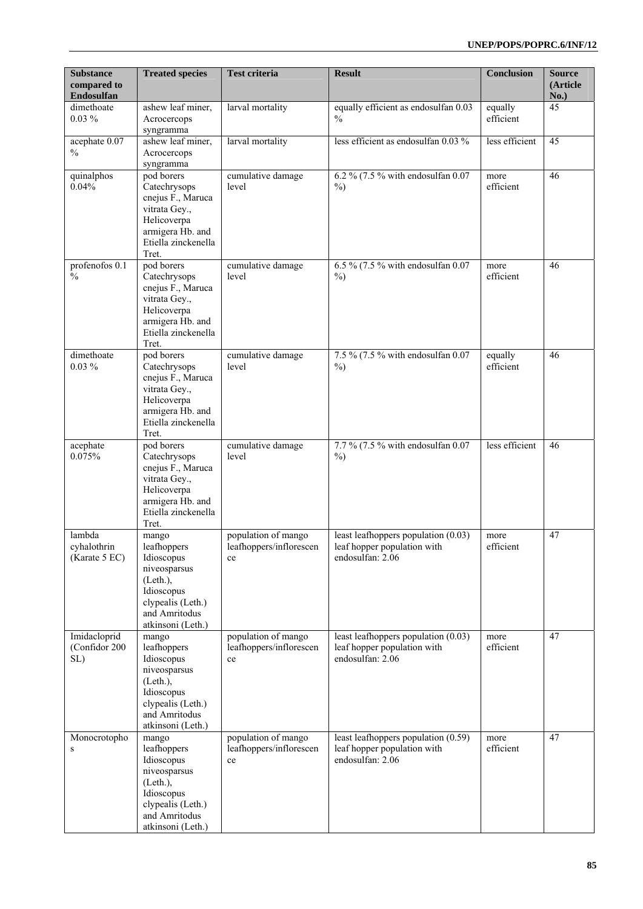| <b>Substance</b><br>compared to<br>Endosulfan | <b>Treated species</b>                                                                                                                 | <b>Test criteria</b>                                 | <b>Result</b>                                                                            | <b>Conclusion</b>    | <b>Source</b><br>(Article<br>No.) |
|-----------------------------------------------|----------------------------------------------------------------------------------------------------------------------------------------|------------------------------------------------------|------------------------------------------------------------------------------------------|----------------------|-----------------------------------|
| dimethoate<br>$0.03\%$                        | ashew leaf miner,<br>Acrocercops<br>syngramma                                                                                          | larval mortality                                     | equally efficient as endosulfan 0.03<br>$\frac{0}{0}$                                    | equally<br>efficient | 45                                |
| acephate 0.07<br>$\frac{0}{0}$                | ashew leaf miner,<br>Acrocercops<br>syngramma                                                                                          | larval mortality                                     | less efficient as endosulfan 0.03 %                                                      | less efficient       | 45                                |
| quinalphos<br>0.04%                           | pod borers<br>Catechrysops<br>cnejus F., Maruca<br>vitrata Gey.,<br>Helicoverpa<br>armigera Hb. and<br>Etiella zinckenella<br>Tret.    | cumulative damage<br>level                           | 6.2 % (7.5 % with endosulfan 0.07<br>$\%$ )                                              | more<br>efficient    | 46                                |
| profenofos 0.1<br>$\frac{0}{0}$               | pod borers<br>Catechrysops<br>cnejus F., Maruca<br>vitrata Gey.,<br>Helicoverpa<br>armigera Hb. and<br>Etiella zinckenella<br>Tret.    | cumulative damage<br>level                           | 6.5 % (7.5 % with endosulfan $0.07$<br>$\%$ )                                            | more<br>efficient    | 46                                |
| dimethoate<br>$0.03\%$                        | pod borers<br>Catechrysops<br>cnejus F., Maruca<br>vitrata Gey.,<br>Helicoverpa<br>armigera Hb. and<br>Etiella zinckenella<br>Tret.    | cumulative damage<br>level                           | 7.5 % (7.5 % with endosulfan 0.07<br>$\%$ )                                              | equally<br>efficient | 46                                |
| acephate<br>0.075%                            | pod borers<br>Catechrysops<br>cnejus F., Maruca<br>vitrata Gey.,<br>Helicoverpa<br>armigera Hb. and<br>Etiella zinckenella<br>Tret.    | cumulative damage<br>level                           | 7.7 % (7.5 % with endosulfan 0.07<br>$\%$ )                                              | less efficient       | 46                                |
| lambda<br>cyhalothrin<br>(Karate 5 EC)        | mango<br>leafhoppers<br>Idioscopus<br>niveosparsus<br>(Left.)<br>Idioscopus<br>clypealis (Leth.)<br>and Amritodus<br>atkinsoni (Leth.) | population of mango<br>leafhoppers/inflorescen<br>ce | least leafhoppers population $(0.03)$<br>leaf hopper population with<br>endosulfan: 2.06 | more<br>efficient    | 47                                |
| Imidacloprid<br>(Confidor 200<br>SL)          | mango<br>leafhoppers<br>Idioscopus<br>niveosparsus<br>(Left.)<br>Idioscopus<br>clypealis (Leth.)<br>and Amritodus<br>atkinsoni (Leth.) | population of mango<br>leafhoppers/inflorescen<br>ce | least leafhoppers population $(0.03)$<br>leaf hopper population with<br>endosulfan: 2.06 | more<br>efficient    | 47                                |
| Monocrotopho<br>${\bf S}$                     | mango<br>leafhoppers<br>Idioscopus<br>niveosparsus<br>(Leth.)<br>Idioscopus<br>clypealis (Leth.)<br>and Amritodus<br>atkinsoni (Leth.) | population of mango<br>leafhoppers/inflorescen<br>ce | least leafhoppers population (0.59)<br>leaf hopper population with<br>endosulfan: 2.06   | more<br>efficient    | 47                                |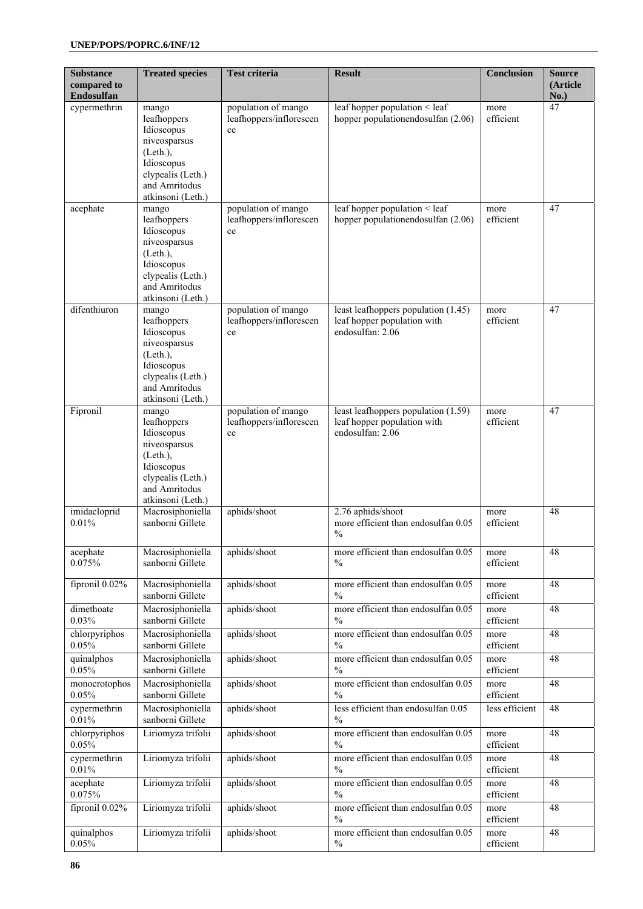| <b>Substance</b><br>compared to<br><b>Endosulfan</b> | <b>Treated species</b>                                                                                                                 | <b>Test criteria</b>                                 | <b>Result</b>                                                                          | Conclusion        | <b>Source</b><br>(Article<br>No.) |
|------------------------------------------------------|----------------------------------------------------------------------------------------------------------------------------------------|------------------------------------------------------|----------------------------------------------------------------------------------------|-------------------|-----------------------------------|
| cypermethrin                                         | mango<br>leafhoppers<br>Idioscopus<br>niveosparsus<br>(Leth.)<br>Idioscopus<br>clypealis (Leth.)<br>and Amritodus<br>atkinsoni (Leth.) | population of mango<br>leafhoppers/inflorescen<br>ce | leaf hopper population < leaf<br>hopper populationendosulfan (2.06)                    | more<br>efficient | 47                                |
| acephate                                             | mango<br>leafhoppers<br>Idioscopus<br>niveosparsus<br>(Leth.)<br>Idioscopus<br>clypealis (Leth.)<br>and Amritodus<br>atkinsoni (Leth.) | population of mango<br>leafhoppers/inflorescen<br>ce | leaf hopper population < leaf<br>hopper populationendosulfan (2.06)                    | more<br>efficient | 47                                |
| difenthiuron                                         | mango<br>leafhoppers<br>Idioscopus<br>niveosparsus<br>(Left.)<br>Idioscopus<br>clypealis (Leth.)<br>and Amritodus<br>atkinsoni (Leth.) | population of mango<br>leafhoppers/inflorescen<br>ce | least leafhoppers population (1.45)<br>leaf hopper population with<br>endosulfan: 2.06 | more<br>efficient | 47                                |
| Fipronil                                             | mango<br>leafhoppers<br>Idioscopus<br>niveosparsus<br>(Left.)<br>Idioscopus<br>clypealis (Leth.)<br>and Amritodus<br>atkinsoni (Leth.) | population of mango<br>leafhoppers/inflorescen<br>ce | least leafhoppers population (1.59)<br>leaf hopper population with<br>endosulfan: 2.06 | more<br>efficient | 47                                |
| imidacloprid<br>0.01%                                | Macrosiphoniella<br>sanborni Gillete                                                                                                   | aphids/shoot                                         | 2.76 aphids/shoot<br>more efficient than endosulfan 0.05<br>$\frac{0}{0}$              | more<br>efficient | 48                                |
| acephate<br>0.075%                                   | Macrosiphoniella<br>sanborni Gillete                                                                                                   | aphids/shoot                                         | more efficient than endosulfan 0.05<br>$\frac{0}{0}$                                   | more<br>efficient | 48                                |
| fipronil 0.02%                                       | Macrosiphoniella<br>sanborni Gillete                                                                                                   | aphids/shoot                                         | more efficient than endosulfan 0.05<br>$\frac{0}{0}$                                   | more<br>efficient | 48                                |
| dimethoate<br>0.03%                                  | Macrosiphoniella<br>sanborni Gillete                                                                                                   | aphids/shoot                                         | more efficient than endosulfan 0.05<br>$\frac{0}{0}$                                   | more<br>efficient | 48                                |
| chlorpyriphos<br>0.05%                               | Macrosiphoniella<br>sanborni Gillete                                                                                                   | aphids/shoot                                         | more efficient than endosulfan 0.05<br>$\frac{0}{0}$                                   | more<br>efficient | 48                                |
| quinalphos<br>0.05%                                  | Macrosiphoniella<br>sanborni Gillete                                                                                                   | aphids/shoot                                         | more efficient than endosulfan 0.05<br>$\frac{0}{0}$                                   | more<br>efficient | 48                                |
| monocrotophos<br>0.05%                               | Macrosiphoniella<br>sanborni Gillete                                                                                                   | aphids/shoot                                         | more efficient than endosulfan 0.05<br>$\frac{0}{0}$                                   | more<br>efficient | 48                                |
| cypermethrin<br>0.01%                                | Macrosiphoniella<br>sanborni Gillete                                                                                                   | aphids/shoot                                         | less efficient than endosulfan 0.05<br>$\frac{0}{0}$                                   | less efficient    | 48                                |
| chlorpyriphos<br>0.05%                               | Liriomyza trifolii                                                                                                                     | aphids/shoot                                         | more efficient than endosulfan 0.05<br>$\%$                                            | more<br>efficient | 48                                |
| cypermethrin<br>0.01%                                | Liriomyza trifolii                                                                                                                     | aphids/shoot                                         | more efficient than endosulfan 0.05<br>$\frac{0}{0}$                                   | more<br>efficient | 48                                |
| acephate<br>0.075%                                   | Liriomyza trifolii                                                                                                                     | aphids/shoot                                         | more efficient than endosulfan 0.05<br>$\%$                                            | more<br>efficient | 48                                |
| fipronil 0.02%                                       | Liriomyza trifolii                                                                                                                     | aphids/shoot                                         | more efficient than endosulfan 0.05<br>$\%$                                            | more<br>efficient | 48                                |
| quinalphos<br>0.05%                                  | Liriomyza trifolii                                                                                                                     | aphids/shoot                                         | more efficient than endosulfan 0.05<br>$\%$                                            | more<br>efficient | 48                                |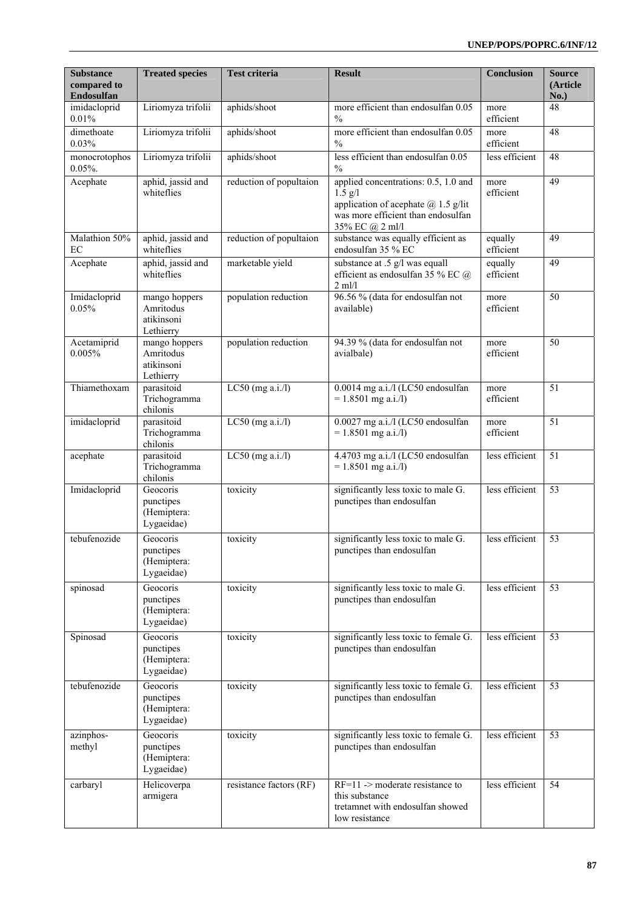| <b>Substance</b><br>compared to<br>Endosulfan | <b>Treated species</b>                                | <b>Test criteria</b>    | <b>Result</b>                                                                                                                                         | <b>Conclusion</b>    | <b>Source</b><br>(Article<br>No.) |
|-----------------------------------------------|-------------------------------------------------------|-------------------------|-------------------------------------------------------------------------------------------------------------------------------------------------------|----------------------|-----------------------------------|
| imidacloprid<br>0.01%                         | Liriomyza trifolii                                    | aphids/shoot            | more efficient than endosulfan 0.05<br>$\frac{0}{0}$                                                                                                  | more<br>efficient    | 48                                |
| dimethoate<br>0.03%                           | Liriomyza trifolii                                    | aphids/shoot            | more efficient than endosulfan 0.05<br>$\frac{0}{0}$                                                                                                  | more<br>efficient    | 48                                |
| monocrotophos<br>0.05%                        | Liriomyza trifolii                                    | aphids/shoot            | less efficient than endosulfan 0.05<br>$\frac{0}{0}$                                                                                                  | less efficient       | 48                                |
| Acephate                                      | aphid, jassid and<br>whiteflies                       | reduction of popultaion | applied concentrations: 0.5, 1.0 and<br>$1.5$ g/l<br>application of acephate $(a)$ 1.5 g/lit<br>was more efficient than endosulfan<br>35% EC @ 2 ml/l | more<br>efficient    | 49                                |
| Malathion 50%<br>EC                           | aphid, jassid and<br>whiteflies                       | reduction of popultaion | substance was equally efficient as<br>endosulfan 35 % EC                                                                                              | equally<br>efficient | 49                                |
| Acephate                                      | aphid, jassid and<br>whiteflies                       | marketable yield        | substance at .5 g/l was equall<br>efficient as endosulfan 35 % EC @<br>$2$ ml/l                                                                       | equally<br>efficient | 49                                |
| Imidacloprid<br>0.05%                         | mango hoppers<br>Amritodus<br>atikinsoni<br>Lethierry | population reduction    | 96.56 % (data for endosulfan not<br>available)                                                                                                        | more<br>efficient    | 50                                |
| Acetamiprid<br>0.005%                         | mango hoppers<br>Amritodus<br>atikinsoni<br>Lethierry | population reduction    | 94.39 % (data for endosulfan not<br>avialbale)                                                                                                        | more<br>efficient    | 50                                |
| Thiamethoxam                                  | parasitoid<br>Trichogramma<br>chilonis                | LC50 (mg $a.i/l$ )      | 0.0014 mg a.i./l (LC50 endosulfan<br>$= 1.8501$ mg a.i./l)                                                                                            | more<br>efficient    | 51                                |
| imidacloprid                                  | parasitoid<br>Trichogramma<br>chilonis                | $LC50$ (mg a.i./l)      | 0.0027 mg a.i./l (LC50 endosulfan<br>$= 1.8501$ mg a.i./l)                                                                                            | more<br>efficient    | 51                                |
| acephate                                      | parasitoid<br>Trichogramma<br>chilonis                | $LC50$ (mg a.i./l)      | 4.4703 mg a.i./l (LC50 endosulfan<br>$= 1.8501$ mg a.i./l)                                                                                            | less efficient       | 51                                |
| Imidacloprid                                  | Geocoris<br>punctipes<br>(Hemiptera:<br>Lygaeidae)    | toxicity                | significantly less toxic to male G.<br>punctipes than endosulfan                                                                                      | less efficient       | 53                                |
| tebufenozide                                  | Geocoris<br>punctipes<br>(Hemiptera:<br>Lygaeidae)    | toxicity                | significantly less toxic to male G.<br>punctipes than endosulfan                                                                                      | less efficient       | 53                                |
| spinosad                                      | Geocoris<br>punctipes<br>(Hemiptera:<br>Lygaeidae)    | toxicity                | significantly less toxic to male G.<br>punctipes than endosulfan                                                                                      | less efficient       | 53                                |
| Spinosad                                      | Geocoris<br>punctipes<br>(Hemiptera:<br>Lygaeidae)    | toxicity                | significantly less toxic to female G.<br>punctipes than endosulfan                                                                                    | less efficient       | 53                                |
| tebufenozide                                  | Geocoris<br>punctipes<br>(Hemiptera:<br>Lygaeidae)    | toxicity                | significantly less toxic to female G.<br>punctipes than endosulfan                                                                                    | less efficient       | 53                                |
| azinphos-<br>methyl                           | Geocoris<br>punctipes<br>(Hemiptera:<br>Lygaeidae)    | toxicity                | significantly less toxic to female G.<br>punctipes than endosulfan                                                                                    | less efficient       | 53                                |
| carbaryl                                      | Helicoverpa<br>armigera                               | resistance factors (RF) | $RF=11$ -> moderate resistance to<br>this substance<br>tretamnet with endosulfan showed<br>low resistance                                             | less efficient       | 54                                |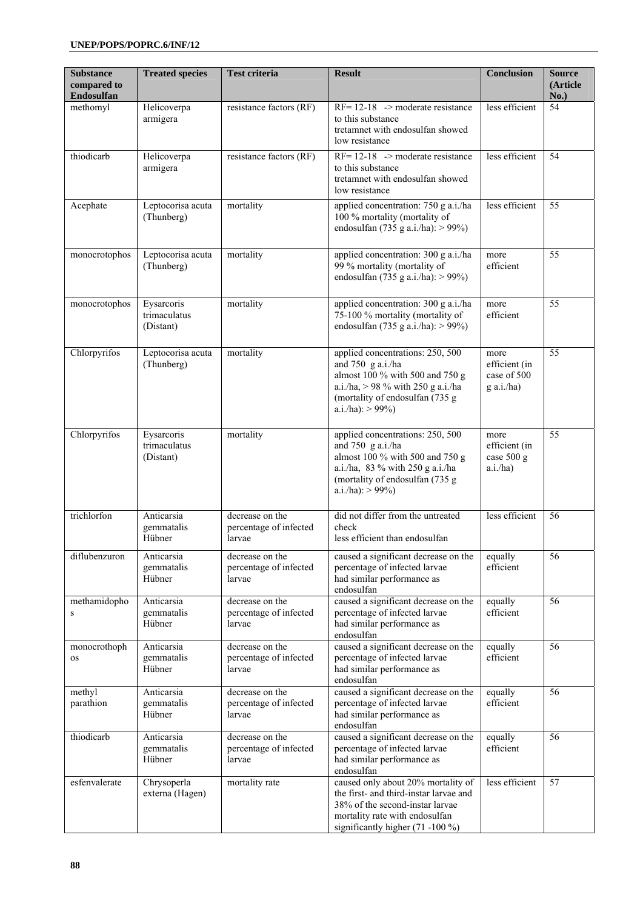| <b>Substance</b><br>compared to<br>Endosulfan | <b>Treated species</b>                  | <b>Test criteria</b>                                | <b>Result</b>                                                                                                                                                                             | <b>Conclusion</b>                                    | <b>Source</b><br>(Article<br>No.) |
|-----------------------------------------------|-----------------------------------------|-----------------------------------------------------|-------------------------------------------------------------------------------------------------------------------------------------------------------------------------------------------|------------------------------------------------------|-----------------------------------|
| methomyl                                      | Helicoverpa<br>armigera                 | resistance factors (RF)                             | $RF = 12-18$ -> moderate resistance<br>to this substance<br>tretamnet with endosulfan showed<br>low resistance                                                                            | less efficient                                       | 54                                |
| thiodicarb                                    | Helicoverpa<br>armigera                 | resistance factors (RF)                             | $RF = 12-18$ -> moderate resistance<br>to this substance<br>tretamnet with endosulfan showed<br>low resistance                                                                            | less efficient                                       | 54                                |
| Acephate                                      | Leptocorisa acuta<br>(Thunberg)         | mortality                                           | applied concentration: 750 g a.i./ha<br>100 % mortality (mortality of<br>endosulfan (735 g a.i./ha): > 99%)                                                                               | less efficient                                       | 55                                |
| monocrotophos                                 | Leptocorisa acuta<br>(Thunberg)         | mortality                                           | applied concentration: 300 g a.i./ha<br>99 % mortality (mortality of<br>endosulfan (735 g a.i./ha): > 99%)                                                                                | more<br>efficient                                    | 55                                |
| monocrotophos                                 | Eysarcoris<br>trimaculatus<br>(Distant) | mortality                                           | applied concentration: 300 g a.i./ha<br>75-100 % mortality (mortality of<br>endosulfan (735 g a.i./ha): > 99%)                                                                            | more<br>efficient                                    | 55                                |
| Chlorpyrifos                                  | Leptocorisa acuta<br>(Thunberg)         | mortality                                           | applied concentrations: 250, 500<br>and 750 g a.i./ha<br>almost 100 % with 500 and 750 g<br>a.i./ha, $> 98$ % with 250 g a.i./ha<br>(mortality of endosulfan (735 g<br>$a.i./ha$ : > 99%) | more<br>efficient (in<br>case of 500<br>$g$ a.i./ha) | 55                                |
| Chlorpyrifos                                  | Eysarcoris<br>trimaculatus<br>(Distant) | mortality                                           | applied concentrations: 250, 500<br>and 750 g a.i./ha<br>almost 100 % with 500 and 750 g<br>a.i./ha, 83 % with 250 g a.i./ha<br>(mortality of endosulfan (735 g<br>$a.i./ha$ : > 99%)     | more<br>efficient (in<br>case 500 g<br>a.i/ha)       | 55                                |
| trichlorfon                                   | Anticarsia<br>gemmatalis<br>Hübner      | decrease on the<br>percentage of infected<br>larvae | did not differ from the untreated<br>check<br>less efficient than endosulfan                                                                                                              | less efficient                                       | 56                                |
| diflubenzuron                                 | Anticarsia<br>gemmatalis<br>Hübner      | decrease on the<br>percentage of infected<br>larvae | caused a significant decrease on the<br>percentage of infected larvae<br>had similar performance as<br>endosulfan                                                                         | equally<br>efficient                                 | 56                                |
| methamidopho<br>$\mathbf S$                   | Anticarsia<br>gemmatalis<br>Hübner      | decrease on the<br>percentage of infected<br>larvae | caused a significant decrease on the<br>percentage of infected larvae<br>had similar performance as<br>endosulfan                                                                         | equally<br>efficient                                 | 56                                |
| monocrothoph<br><b>OS</b>                     | Anticarsia<br>gemmatalis<br>Hübner      | decrease on the<br>percentage of infected<br>larvae | caused a significant decrease on the<br>percentage of infected larvae<br>had similar performance as<br>endosulfan                                                                         | equally<br>efficient                                 | 56                                |
| methyl<br>parathion                           | Anticarsia<br>gemmatalis<br>Hübner      | decrease on the<br>percentage of infected<br>larvae | caused a significant decrease on the<br>percentage of infected larvae<br>had similar performance as<br>endosulfan                                                                         | equally<br>efficient                                 | 56                                |
| thiodicarb                                    | Anticarsia<br>gemmatalis<br>Hübner      | decrease on the<br>percentage of infected<br>larvae | caused a significant decrease on the<br>percentage of infected larvae<br>had similar performance as<br>endosulfan                                                                         | equally<br>efficient                                 | 56                                |
| esfenvalerate                                 | Chrysoperla<br>externa (Hagen)          | mortality rate                                      | caused only about 20% mortality of<br>the first- and third-instar larvae and<br>38% of the second-instar larvae<br>mortality rate with endosulfan<br>significantly higher (71 -100 %)     | less efficient                                       | 57                                |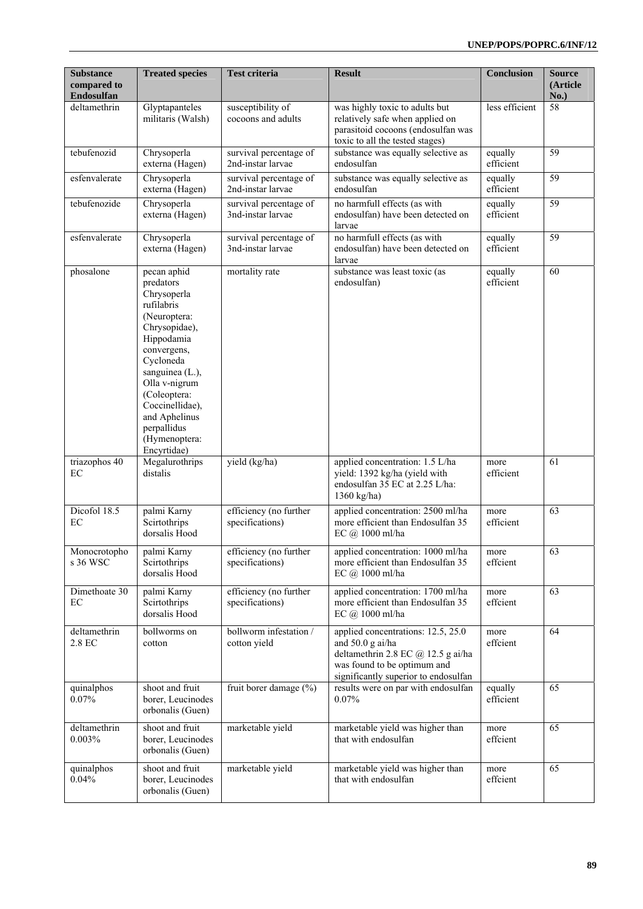| <b>Substance</b><br>compared to<br><b>Endosulfan</b> | <b>Treated species</b>                                                                                                                                                                                                                                                  | <b>Test criteria</b>                        | <b>Result</b>                                                                                                                                                       | Conclusion           | <b>Source</b><br>(Article<br>No.) |
|------------------------------------------------------|-------------------------------------------------------------------------------------------------------------------------------------------------------------------------------------------------------------------------------------------------------------------------|---------------------------------------------|---------------------------------------------------------------------------------------------------------------------------------------------------------------------|----------------------|-----------------------------------|
| deltamethrin                                         | Glyptapanteles<br>militaris (Walsh)                                                                                                                                                                                                                                     | susceptibility of<br>cocoons and adults     | was highly toxic to adults but<br>relatively safe when applied on<br>parasitoid cocoons (endosulfan was<br>toxic to all the tested stages)                          | less efficient       | 58                                |
| tebufenozid                                          | Chrysoperla<br>externa (Hagen)                                                                                                                                                                                                                                          | survival percentage of<br>2nd-instar larvae | substance was equally selective as<br>endosulfan                                                                                                                    | equally<br>efficient | 59                                |
| esfenvalerate                                        | Chrysoperla<br>externa (Hagen)                                                                                                                                                                                                                                          | survival percentage of<br>2nd-instar larvae | substance was equally selective as<br>endosulfan                                                                                                                    | equally<br>efficient | 59                                |
| tebufenozide                                         | Chrysoperla<br>externa (Hagen)                                                                                                                                                                                                                                          | survival percentage of<br>3nd-instar larvae | no harmfull effects (as with<br>endosulfan) have been detected on<br>larvae                                                                                         | equally<br>efficient | 59                                |
| esfenvalerate                                        | Chrysoperla<br>externa (Hagen)                                                                                                                                                                                                                                          | survival percentage of<br>3nd-instar larvae | no harmfull effects (as with<br>endosulfan) have been detected on<br>larvae                                                                                         | equally<br>efficient | 59                                |
| phosalone                                            | pecan aphid<br>predators<br>Chrysoperla<br>rufilabris<br>(Neuroptera:<br>Chrysopidae),<br>Hippodamia<br>convergens,<br>Cycloneda<br>sanguinea (L.),<br>Olla v-nigrum<br>(Coleoptera:<br>Coccinellidae),<br>and Aphelinus<br>perpallidus<br>(Hymenoptera:<br>Encyrtidae) | mortality rate                              | substance was least toxic (as<br>endosulfan)                                                                                                                        | equally<br>efficient | 60                                |
| triazophos 40<br>EC                                  | Megalurothrips<br>distalis                                                                                                                                                                                                                                              | yield $(\overline{\text{kg/ha}})$           | applied concentration: 1.5 L/ha<br>yield: 1392 kg/ha (yield with<br>endosulfan 35 EC at 2.25 L/ha:<br>1360 kg/ha)                                                   | more<br>efficient    | 61                                |
| Dicofol 18.5<br>EC                                   | palmi Karny<br>Scirtothrips<br>dorsalis Hood                                                                                                                                                                                                                            | efficiency (no further<br>specifications)   | applied concentration: 2500 ml/ha<br>more efficient than Endosulfan 35<br>EC @ 1000 ml/ha                                                                           | more<br>efficient    | 63                                |
| Monocrotopho<br>s 36 WSC                             | palmi Karny<br>Scirtothrips<br>dorsalis Hood                                                                                                                                                                                                                            | efficiency (no further<br>specifications)   | applied concentration: 1000 ml/ha<br>more efficient than Endosulfan 35<br>EC @ 1000 ml/ha                                                                           | more<br>effcient     | 63                                |
| Dimethoate 30<br>EC                                  | palmi Karny<br>Scirtothrips<br>dorsalis Hood                                                                                                                                                                                                                            | efficiency (no further<br>specifications)   | applied concentration: 1700 ml/ha<br>more efficient than Endosulfan 35<br>EC @ 1000 ml/ha                                                                           | more<br>effcient     | 63                                |
| deltamethrin<br>2.8 EC                               | bollworms on<br>cotton                                                                                                                                                                                                                                                  | bollworm infestation /<br>cotton yield      | applied concentrations: 12.5, 25.0<br>and 50.0 g ai/ha<br>deltamethrin 2.8 EC @ 12.5 g ai/ha<br>was found to be optimum and<br>significantly superior to endosulfan | more<br>effcient     | 64                                |
| quinalphos<br>0.07%                                  | shoot and fruit<br>borer, Leucinodes<br>orbonalis (Guen)                                                                                                                                                                                                                | fruit borer damage (%)                      | results were on par with endosulfan<br>0.07%                                                                                                                        | equally<br>efficient | 65                                |
| deltamethrin<br>0.003%                               | shoot and fruit<br>borer, Leucinodes<br>orbonalis (Guen)                                                                                                                                                                                                                | marketable yield                            | marketable yield was higher than<br>that with endosulfan                                                                                                            | more<br>effcient     | 65                                |
| quinalphos<br>0.04%                                  | shoot and fruit<br>borer, Leucinodes<br>orbonalis (Guen)                                                                                                                                                                                                                | marketable yield                            | marketable yield was higher than<br>that with endosulfan                                                                                                            | more<br>effcient     | 65                                |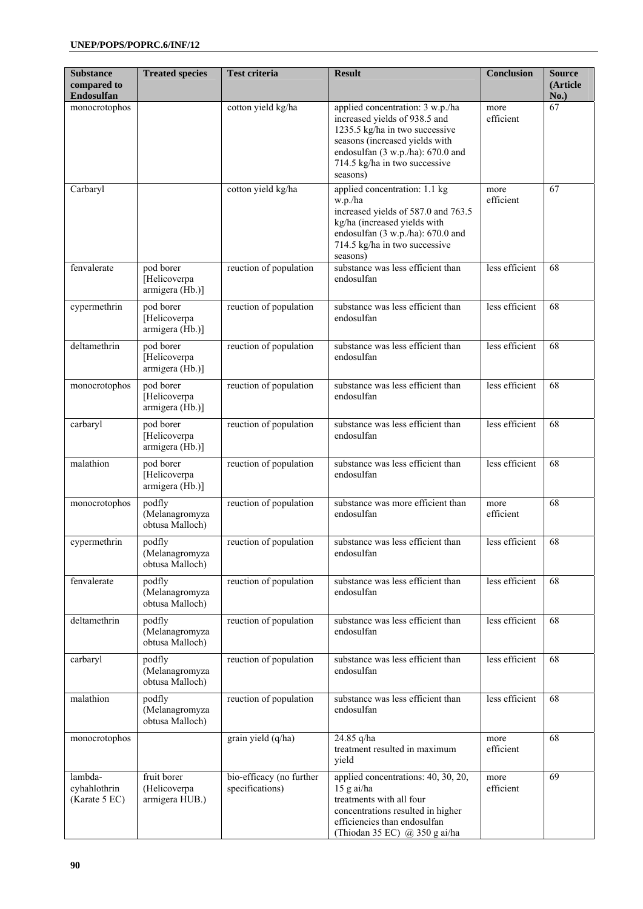| <b>Substance</b><br>compared to<br>Endosulfan | <b>Treated species</b>                        | <b>Test criteria</b>                        | <b>Result</b>                                                                                                                                                                                                           | <b>Conclusion</b> | <b>Source</b><br>(Article<br>No.) |
|-----------------------------------------------|-----------------------------------------------|---------------------------------------------|-------------------------------------------------------------------------------------------------------------------------------------------------------------------------------------------------------------------------|-------------------|-----------------------------------|
| monocrotophos                                 |                                               | cotton yield kg/ha                          | applied concentration: 3 w.p./ha<br>increased yields of 938.5 and<br>1235.5 kg/ha in two successive<br>seasons (increased yields with<br>endosulfan (3 w.p./ha): 670.0 and<br>714.5 kg/ha in two successive<br>seasons) | more<br>efficient | 67                                |
| Carbaryl                                      |                                               | cotton yield kg/ha                          | applied concentration: 1.1 kg<br>w.p./ha<br>increased yields of 587.0 and 763.5<br>kg/ha (increased yields with<br>endosulfan (3 w.p./ha): 670.0 and<br>714.5 kg/ha in two successive<br>seasons)                       | more<br>efficient | 67                                |
| fenvalerate                                   | pod borer<br>Helicoverpa<br>armigera (Hb.)]   | reuction of population                      | substance was less efficient than<br>endosulfan                                                                                                                                                                         | less efficient    | 68                                |
| cypermethrin                                  | pod borer<br>[Helicoverpa<br>armigera (Hb.)]  | reuction of population                      | substance was less efficient than<br>endosulfan                                                                                                                                                                         | less efficient    | 68                                |
| deltamethrin                                  | pod borer<br>[Helicoverpa<br>armigera (Hb.)]  | reuction of population                      | substance was less efficient than<br>endosulfan                                                                                                                                                                         | less efficient    | 68                                |
| monocrotophos                                 | pod borer<br>[Helicoverpa<br>armigera (Hb.)]  | reuction of population                      | substance was less efficient than<br>endosulfan                                                                                                                                                                         | less efficient    | 68                                |
| carbaryl                                      | pod borer<br>[Helicoverpa<br>armigera (Hb.)]  | reuction of population                      | substance was less efficient than<br>endosulfan                                                                                                                                                                         | less efficient    | 68                                |
| malathion                                     | pod borer<br>[Helicoverpa<br>armigera (Hb.)]  | reuction of population                      | substance was less efficient than<br>endosulfan                                                                                                                                                                         | less efficient    | 68                                |
| monocrotophos                                 | podfly<br>(Melanagromyza<br>obtusa Malloch)   | reuction of population                      | substance was more efficient than<br>endosulfan                                                                                                                                                                         | more<br>efficient | 68                                |
| cypermethrin                                  | podfly<br>(Melanagromyza<br>obtusa Malloch)   | reuction of population                      | substance was less efficient than<br>endosulfan                                                                                                                                                                         | less efficient    | 68                                |
| fenvalerate                                   | podfly<br>(Melanagromyza<br>obtusa Malloch)   | reuction of population                      | substance was less efficient than<br>endosulfan                                                                                                                                                                         | less efficient    | 68                                |
| deltamethrin                                  | podfly<br>(Melanagromyza<br>obtusa Malloch)   | reuction of population                      | substance was less efficient than<br>endosulfan                                                                                                                                                                         | less efficient    | 68                                |
| carbaryl                                      | podfly<br>(Melanagromyza<br>obtusa Malloch)   | reuction of population                      | substance was less efficient than<br>endosulfan                                                                                                                                                                         | less efficient    | 68                                |
| malathion                                     | podfly<br>(Melanagromyza<br>obtusa Malloch)   | reuction of population                      | substance was less efficient than<br>endosulfan                                                                                                                                                                         | less efficient    | 68                                |
| monocrotophos                                 |                                               | grain yield (q/ha)                          | 24.85 q/ha<br>treatment resulted in maximum<br>yield                                                                                                                                                                    | more<br>efficient | 68                                |
| lambda-<br>cyhahlothrin<br>(Karate 5 EC)      | fruit borer<br>(Helicoverpa<br>armigera HUB.) | bio-efficacy (no further<br>specifications) | applied concentrations: 40, 30, 20,<br>$15$ g ai/ha<br>treatments with all four<br>concentrations resulted in higher<br>efficiencies than endosulfan<br>(Thiodan 35 EC) @ 350 g ai/ha                                   | more<br>efficient | 69                                |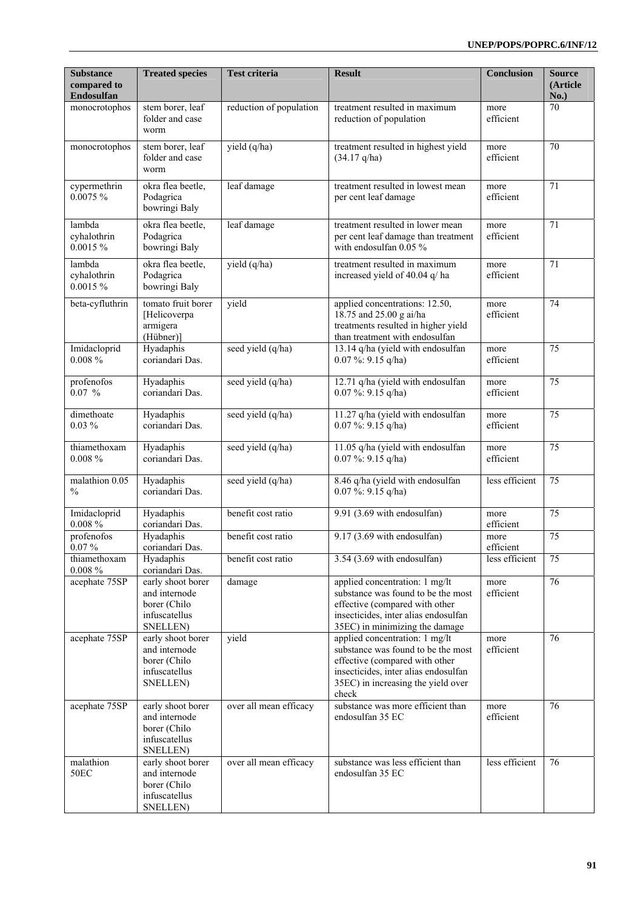| <b>Substance</b><br>compared to<br><b>Endosulfan</b> | <b>Treated species</b>                                                          | <b>Test criteria</b>    | <b>Result</b>                                                                                                                                                                                 | <b>Conclusion</b> | <b>Source</b><br>(Article<br>No.) |
|------------------------------------------------------|---------------------------------------------------------------------------------|-------------------------|-----------------------------------------------------------------------------------------------------------------------------------------------------------------------------------------------|-------------------|-----------------------------------|
| monocrotophos                                        | stem borer, leaf<br>folder and case<br>worm                                     | reduction of population | treatment resulted in maximum<br>reduction of population                                                                                                                                      | more<br>efficient | 70                                |
| monocrotophos                                        | stem borer, leaf<br>folder and case<br>worm                                     | yield (q/ha)            | treatment resulted in highest yield<br>$(34.17 \text{ q/ha})$                                                                                                                                 | more<br>efficient | 70                                |
| cypermethrin<br>0.0075%                              | okra flea beetle,<br>Podagrica<br>bowringi Baly                                 | leaf damage             | treatment resulted in lowest mean<br>per cent leaf damage                                                                                                                                     | more<br>efficient | 71                                |
| lambda<br>cyhalothrin<br>0.0015%                     | okra flea beetle,<br>Podagrica<br>bowringi Baly                                 | leaf damage             | treatment resulted in lower mean<br>per cent leaf damage than treatment<br>with endosulfan 0.05 %                                                                                             | more<br>efficient | 71                                |
| lambda<br>cyhalothrin<br>$0.0015 \%$                 | okra flea beetle,<br>Podagrica<br>bowringi Baly                                 | yield (q/ha)            | treatment resulted in maximum<br>increased yield of 40.04 q/ ha                                                                                                                               | more<br>efficient | 71                                |
| beta-cyfluthrin                                      | tomato fruit borer<br>[Helicoverpa<br>armigera<br>(Hübner)]                     | yield                   | applied concentrations: 12.50,<br>18.75 and 25.00 g ai/ha<br>treatments resulted in higher yield<br>than treatment with endosulfan                                                            | more<br>efficient | 74                                |
| Imidacloprid<br>$0.008 \%$                           | Hyadaphis<br>coriandari Das.                                                    | seed yield (q/ha)       | 13.14 q/ha (yield with endosulfan<br>$0.07 \%$ : 9.15 q/ha)                                                                                                                                   | more<br>efficient | 75                                |
| profenofos<br>$0.07\%$                               | Hyadaphis<br>coriandari Das.                                                    | seed yield (q/ha)       | 12.71 q/ha (yield with endosulfan<br>$0.07 \%$ : 9.15 q/ha)                                                                                                                                   | more<br>efficient | 75                                |
| dimethoate<br>$0.03\%$                               | Hyadaphis<br>coriandari Das.                                                    | seed yield (q/ha)       | 11.27 q/ha (yield with endosulfan<br>$0.07 \%$ : 9.15 q/ha)                                                                                                                                   | more<br>efficient | 75                                |
| thiamethoxam<br>$0.008 \%$                           | Hyadaphis<br>coriandari Das.                                                    | seed yield (q/ha)       | 11.05 q/ha (yield with endosulfan<br>$0.07 \%$ : 9.15 q/ha)                                                                                                                                   | more<br>efficient | 75                                |
| malathion 0.05<br>$\frac{0}{0}$                      | Hyadaphis<br>coriandari Das.                                                    | seed yield (q/ha)       | 8.46 q/ha (yield with endosulfan<br>$0.07 \%$ : 9.15 q/ha)                                                                                                                                    | less efficient    | $\overline{75}$                   |
| Imidacloprid<br>$0.008 \%$                           | Hyadaphis<br>coriandari Das.                                                    | benefit cost ratio      | 9.91 (3.69 with endosulfan)                                                                                                                                                                   | more<br>efficient | 75                                |
| profenofos<br>$0.07\%$                               | Hyadaphis<br>coriandari Das.                                                    | benefit cost ratio      | 9.17 (3.69 with endosulfan)                                                                                                                                                                   | more<br>efficient | 75                                |
| thiamethoxam<br>$0.008 \%$                           | Hyadaphis<br>coriandari Das.                                                    | benefit cost ratio      | 3.54 (3.69 with endosulfan)                                                                                                                                                                   | less efficient    | 75                                |
| acephate 75SP                                        | early shoot borer<br>and internode<br>borer (Chilo<br>infuscatellus<br>SNELLEN) | damage                  | applied concentration: 1 mg/lt<br>substance was found to be the most<br>effective (compared with other<br>insecticides, inter alias endosulfan<br>35EC) in minimizing the damage              | more<br>efficient | 76                                |
| acephate 75SP                                        | early shoot borer<br>and internode<br>borer (Chilo<br>infuscatellus<br>SNELLEN) | yield                   | applied concentration: 1 mg/lt<br>substance was found to be the most<br>effective (compared with other<br>insecticides, inter alias endosulfan<br>35EC) in increasing the yield over<br>check | more<br>efficient | 76                                |
| acephate 75SP                                        | early shoot borer<br>and internode<br>borer (Chilo<br>infuscatellus<br>SNELLEN) | over all mean efficacy  | substance was more efficient than<br>endosulfan 35 EC                                                                                                                                         | more<br>efficient | 76                                |
| malathion<br><b>50EC</b>                             | early shoot borer<br>and internode<br>borer (Chilo<br>infuscatellus<br>SNELLEN) | over all mean efficacy  | substance was less efficient than<br>endosulfan 35 EC                                                                                                                                         | less efficient    | 76                                |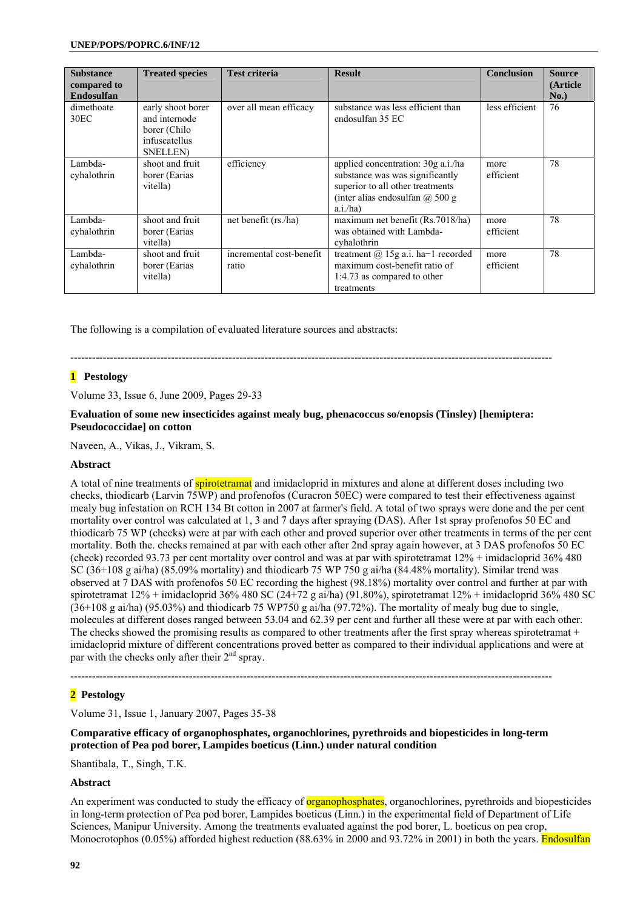| <b>Substance</b><br>compared to<br><b>Endosulfan</b> | <b>Treated species</b>                                                                  | <b>Test criteria</b>              | <b>Result</b>                                                                                                                                              | <b>Conclusion</b> | <b>Source</b><br>(Article<br>No.) |
|------------------------------------------------------|-----------------------------------------------------------------------------------------|-----------------------------------|------------------------------------------------------------------------------------------------------------------------------------------------------------|-------------------|-----------------------------------|
| dimethoate<br>30 <sub>EC</sub>                       | early shoot borer<br>and internode<br>borer (Chilo<br>infuscatellus<br><b>SNELLEN</b> ) | over all mean efficacy            | substance was less efficient than<br>endosulfan 35 EC                                                                                                      | less efficient    | 76                                |
| Lambda-<br>cyhalothrin                               | shoot and fruit<br>borer (Earias<br>vitella)                                            | efficiency                        | applied concentration: 30g a.i./ha<br>substance was was significantly<br>superior to all other treatments<br>(inter alias endosulfan $(a)$ 500 g<br>a.i/ha | more<br>efficient | 78                                |
| Lambda-<br>cyhalothrin                               | shoot and fruit<br>borer (Earias<br>vitella)                                            | net benefit (rs./ha)              | maximum net benefit (Rs.7018/ha)<br>was obtained with Lambda-<br>cyhalothrin                                                                               | more<br>efficient | 78                                |
| Lambda-<br>cyhalothrin                               | shoot and fruit<br>borer (Earias)<br>vitella)                                           | incremental cost-benefit<br>ratio | treatment $(a)$ 15g a.i. ha-1 recorded<br>maximum cost-benefit ratio of<br>1:4.73 as compared to other<br>treatments                                       | more<br>efficient | 78                                |

The following is a compilation of evaluated literature sources and abstracts:

--------------------------------------------------------------------------------------------------------------------------------------

### **1 Pestology**

Volume 33, Issue 6, June 2009, Pages 29-33

### **Evaluation of some new insecticides against mealy bug, phenacoccus so/enopsis (Tinsley) [hemiptera: Pseudococcidae] on cotton**

Naveen, A., Vikas, J., Vikram, S.

### **Abstract**

A total of nine treatments of **spirotetramat** and imidacloprid in mixtures and alone at different doses including two checks, thiodicarb (Larvin 75WP) and profenofos (Curacron 50EC) were compared to test their effectiveness against mealy bug infestation on RCH 134 Bt cotton in 2007 at farmer's field. A total of two sprays were done and the per cent mortality over control was calculated at 1, 3 and 7 days after spraying (DAS). After 1st spray profenofos 50 EC and thiodicarb 75 WP (checks) were at par with each other and proved superior over other treatments in terms of the per cent mortality. Both the. checks remained at par with each other after 2nd spray again however, at 3 DAS profenofos 50 EC (check) recorded 93.73 per cent mortality over control and was at par with spirotetramat 12% + imidacloprid 36% 480 SC (36+108 g ai/ha) (85.09% mortality) and thiodicarb 75 WP 750 g ai/ha (84.48% mortality). Similar trend was observed at 7 DAS with profenofos 50 EC recording the highest (98.18%) mortality over control and further at par with spirotetramat 12% + imidacloprid 36% 480 SC (24+72 g ai/ha) (91.80%), spirotetramat 12% + imidacloprid 36% 480 SC (36+108 g ai/ha) (95.03%) and thiodicarb 75 WP750 g ai/ha (97.72%). The mortality of mealy bug due to single, molecules at different doses ranged between 53.04 and 62.39 per cent and further all these were at par with each other. The checks showed the promising results as compared to other treatments after the first spray whereas spirotetramat  $+$ imidacloprid mixture of different concentrations proved better as compared to their individual applications and were at par with the checks only after their  $2<sup>nd</sup>$  spray.

--------------------------------------------------------------------------------------------------------------------------------------

### **2 Pestology**

Volume 31, Issue 1, January 2007, Pages 35-38

### **Comparative efficacy of organophosphates, organochlorines, pyrethroids and biopesticides in long-term protection of Pea pod borer, Lampides boeticus (Linn.) under natural condition**

Shantibala, T., Singh, T.K.

### **Abstract**

An experiment was conducted to study the efficacy of **organophosphates**, organochlorines, pyrethroids and biopesticides in long-term protection of Pea pod borer, Lampides boeticus (Linn.) in the experimental field of Department of Life Sciences, Manipur University. Among the treatments evaluated against the pod borer, L. boeticus on pea crop, Monocrotophos (0.05%) afforded highest reduction (88.63% in 2000 and 93.72% in 2001) in both the years. Endosulfan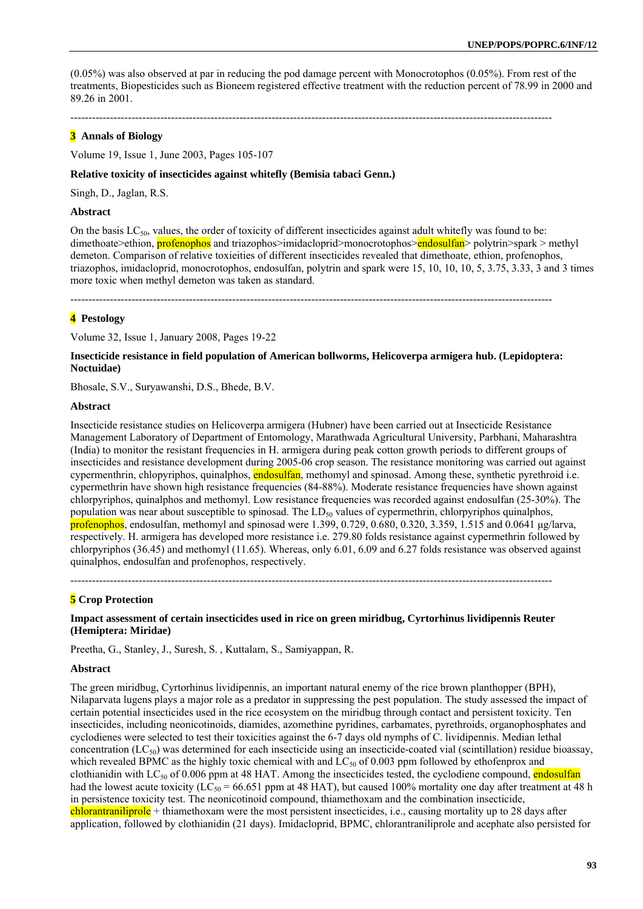(0.05%) was also observed at par in reducing the pod damage percent with Monocrotophos (0.05%). From rest of the treatments, Biopesticides such as Bioneem registered effective treatment with the reduction percent of 78.99 in 2000 and 89.26 in 2001.

--------------------------------------------------------------------------------------------------------------------------------------

# **3 Annals of Biology**

Volume 19, Issue 1, June 2003, Pages 105-107

#### **Relative toxicity of insecticides against whitefly (Bemisia tabaci Genn.)**

Singh, D., Jaglan, R.S.

#### **Abstract**

On the basis  $LC_{50}$ , values, the order of toxicity of different insecticides against adult whitefly was found to be: dimethoate>ethion, **profenophos** and triazophos>imidacloprid>monocrotophos>**endosulfan**> polytrin>spark > methyl demeton. Comparison of relative toxieities of different insecticides revealed that dimethoate, ethion, profenophos, triazophos, imidacloprid, monocrotophos, endosulfan, polytrin and spark were 15, 10, 10, 10, 5, 3.75, 3.33, 3 and 3 times more toxic when methyl demeton was taken as standard.

--------------------------------------------------------------------------------------------------------------------------------------

# **4 Pestology**

Volume 32, Issue 1, January 2008, Pages 19-22

### **Insecticide resistance in field population of American bollworms, Helicoverpa armigera hub. (Lepidoptera: Noctuidae)**

Bhosale, S.V., Suryawanshi, D.S., Bhede, B.V.

### **Abstract**

Insecticide resistance studies on Helicoverpa armigera (Hubner) have been carried out at Insecticide Resistance Management Laboratory of Department of Entomology, Marathwada Agricultural University, Parbhani, Maharashtra (India) to monitor the resistant frequencies in H. armigera during peak cotton growth periods to different groups of insecticides and resistance development during 2005-06 crop season. The resistance monitoring was carried out against cypermenthrin, chlopyriphos, quinalphos, endosulfan, methomyl and spinosad. Among these, synthetic pyrethroid i.e. cypermethrin have shown high resistance frequencies (84-88%). Moderate resistance frequencies have shown against chlorpyriphos, quinalphos and methomyl. Low resistance frequencies was recorded against endosulfan (25-30%). The population was near about susceptible to spinosad. The  $LD<sub>50</sub>$  values of cypermethrin, chlorpyriphos quinalphos, profenophos, endosulfan, methomyl and spinosad were 1.399, 0.729, 0.680, 0.320, 3.359, 1.515 and 0.0641 μg/larva, respectively. H. armigera has developed more resistance i.e. 279.80 folds resistance against cypermethrin followed by chlorpyriphos (36.45) and methomyl (11.65). Whereas, only 6.01, 6.09 and 6.27 folds resistance was observed against quinalphos, endosulfan and profenophos, respectively.

### **5 Crop Protection**

#### **Impact assessment of certain insecticides used in rice on green miridbug, Cyrtorhinus lividipennis Reuter (Hemiptera: Miridae)**

--------------------------------------------------------------------------------------------------------------------------------------

Preetha, G., Stanley, J., Suresh, S. , Kuttalam, S., Samiyappan, R.

#### **Abstract**

The green miridbug, Cyrtorhinus lividipennis, an important natural enemy of the rice brown planthopper (BPH), Nilaparvata lugens plays a major role as a predator in suppressing the pest population. The study assessed the impact of certain potential insecticides used in the rice ecosystem on the miridbug through contact and persistent toxicity. Ten insecticides, including neonicotinoids, diamides, azomethine pyridines, carbamates, pyrethroids, organophosphates and cyclodienes were selected to test their toxicities against the 6-7 days old nymphs of C. lividipennis. Median lethal concentration  $(LC_{50})$  was determined for each insecticide using an insecticide-coated vial (scintillation) residue bioassay. which revealed BPMC as the highly toxic chemical with and  $LC_{50}$  of 0.003 ppm followed by ethofenprox and clothianidin with LC<sub>50</sub> of 0.006 ppm at 48 HAT. Among the insecticides tested, the cyclodiene compound, endosulfan had the lowest acute toxicity ( $\widehat{LC}_{50}$  = 66.651 ppm at 48 HAT), but caused 100% mortality one day after treatment at 48 h in persistence toxicity test. The neonicotinoid compound, thiamethoxam and the combination insecticide, chlorantraniliprole + thiamethoxam were the most persistent insecticides, i.e., causing mortality up to 28 days after application, followed by clothianidin (21 days). Imidacloprid, BPMC, chlorantraniliprole and acephate also persisted for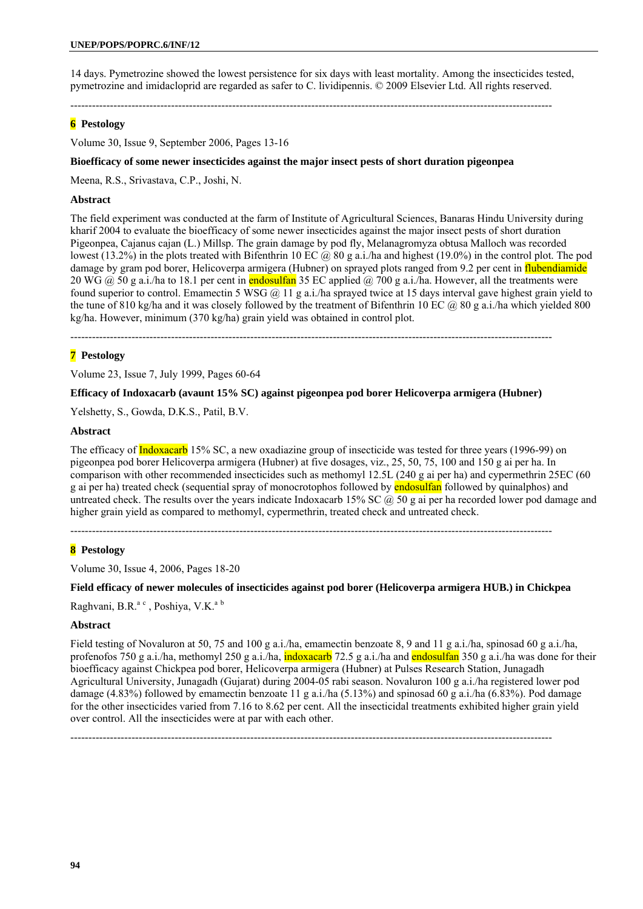14 days. Pymetrozine showed the lowest persistence for six days with least mortality. Among the insecticides tested, pymetrozine and imidacloprid are regarded as safer to C. lividipennis. © 2009 Elsevier Ltd. All rights reserved.

--------------------------------------------------------------------------------------------------------------------------------------

# **6 Pestology**

Volume 30, Issue 9, September 2006, Pages 13-16

#### **Bioefficacy of some newer insecticides against the major insect pests of short duration pigeonpea**

Meena, R.S., Srivastava, C.P., Joshi, N.

#### **Abstract**

The field experiment was conducted at the farm of Institute of Agricultural Sciences, Banaras Hindu University during kharif 2004 to evaluate the bioefficacy of some newer insecticides against the major insect pests of short duration Pigeonpea, Cajanus cajan (L.) Millsp. The grain damage by pod fly, Melanagromyza obtusa Malloch was recorded lowest (13.2%) in the plots treated with Bifenthrin 10 EC  $\omega$  80 g a.i./ha and highest (19.0%) in the control plot. The pod damage by gram pod borer, Helicoverpa armigera (Hubner) on sprayed plots ranged from 9.2 per cent in flubendiamide 20 WG  $\omega$  50 g a.i./ha to 18.1 per cent in endosultan 35 EC applied  $\omega$  700 g a.i./ha. However, all the treatments were found superior to control. Emamectin 5 WSG  $\omega$  11 g a.i./ha sprayed twice at 15 days interval gave highest grain yield to the tune of 810 kg/ha and it was closely followed by the treatment of Bifenthrin 10 EC  $\omega$  80 g a.i./ha which yielded 800 kg/ha. However, minimum (370 kg/ha) grain yield was obtained in control plot.

--------------------------------------------------------------------------------------------------------------------------------------

# **7 Pestology**

Volume 23, Issue 7, July 1999, Pages 60-64

#### **Efficacy of Indoxacarb (avaunt 15% SC) against pigeonpea pod borer Helicoverpa armigera (Hubner)**

Yelshetty, S., Gowda, D.K.S., Patil, B.V.

#### **Abstract**

The efficacy of **Indoxacarb** 15% SC, a new oxadiazine group of insecticide was tested for three years (1996-99) on pigeonpea pod borer Helicoverpa armigera (Hubner) at five dosages, viz., 25, 50, 75, 100 and 150 g ai per ha. In comparison with other recommended insecticides such as methomyl 12.5L (240 g ai per ha) and cypermethrin 25EC (60 g ai per ha) treated check (sequential spray of monocrotophos followed by **endosulfan** followed by quinalphos) and untreated check. The results over the years indicate Indoxacarb 15% SC  $\omega$  50 g ai per ha recorded lower pod damage and higher grain yield as compared to methomyl, cypermethrin, treated check and untreated check.

--------------------------------------------------------------------------------------------------------------------------------------

### **8 Pestology**

Volume 30, Issue 4, 2006, Pages 18-20

#### **Field efficacy of newer molecules of insecticides against pod borer (Helicoverpa armigera HUB.) in Chickpea**

Raghvani, B.R.<sup>a c</sup>, Poshiya, V.K.<sup>a b</sup>

#### **Abstract**

Field testing of Novaluron at 50, 75 and 100 g a.i./ha, emamectin benzoate 8, 9 and 11 g a.i./ha, spinosad 60 g a.i./ha, profenofos 750 g a.i./ha, methomyl 250 g a.i./ha, **indoxacarb** 72.5 g a.i./ha and **endosulfan** 350 g a.i./ha was done for their bioefficacy against Chickpea pod borer, Helicoverpa armigera (Hubner) at Pulses Research Station, Junagadh Agricultural University, Junagadh (Gujarat) during 2004-05 rabi season. Novaluron 100 g a.i./ha registered lower pod damage (4.83%) followed by emamectin benzoate 11 g a.i./ha (5.13%) and spinosad 60 g a.i./ha (6.83%). Pod damage for the other insecticides varied from 7.16 to 8.62 per cent. All the insecticidal treatments exhibited higher grain yield over control. All the insecticides were at par with each other.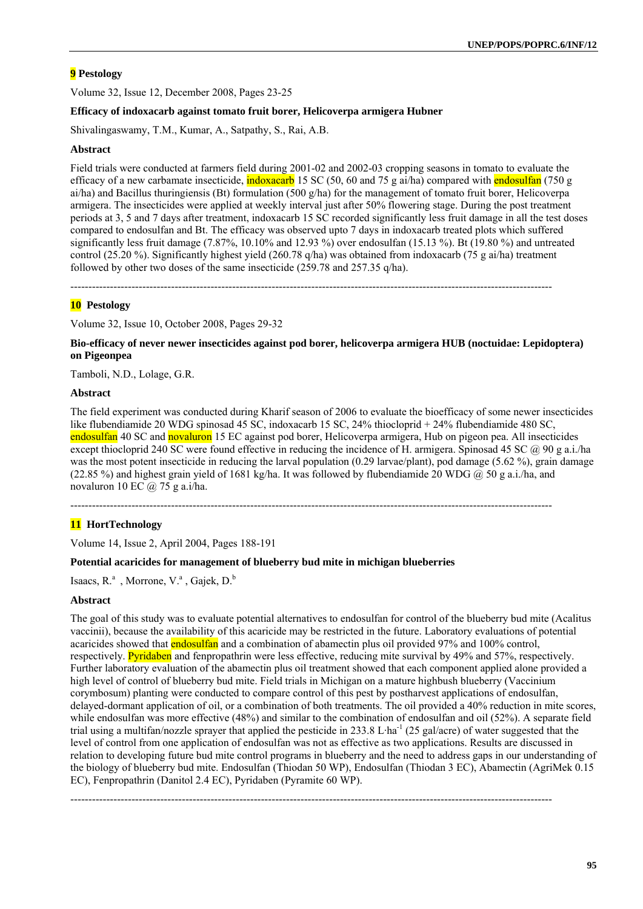Volume 32, Issue 12, December 2008, Pages 23-25

#### **Efficacy of indoxacarb against tomato fruit borer, Helicoverpa armigera Hubner**

Shivalingaswamy, T.M., Kumar, A., Satpathy, S., Rai, A.B.

#### **Abstract**

Field trials were conducted at farmers field during 2001-02 and 2002-03 cropping seasons in tomato to evaluate the efficacy of a new carbamate insecticide,  $\frac{1}{n}$  indoxacarb 15 SC (50, 60 and 75 g ai/ha) compared with endosulfan (750 g ai/ha) and Bacillus thuringiensis (Bt) formulation (500 g/ha) for the management of tomato fruit borer, Helicoverpa armigera. The insecticides were applied at weekly interval just after 50% flowering stage. During the post treatment periods at 3, 5 and 7 days after treatment, indoxacarb 15 SC recorded significantly less fruit damage in all the test doses compared to endosulfan and Bt. The efficacy was observed upto 7 days in indoxacarb treated plots which suffered significantly less fruit damage  $(7.87\%, 10.10\%$  and  $12.93\%)$  over endosulfan  $(15.13\%)$ . Bt  $(19.80\%)$  and untreated control (25.20 %). Significantly highest yield (260.78 q/ha) was obtained from indoxacarb (75 g ai/ha) treatment followed by other two doses of the same insecticide (259.78 and 257.35 q/ha).

--------------------------------------------------------------------------------------------------------------------------------------

#### **10 Pestology**

Volume 32, Issue 10, October 2008, Pages 29-32

**Bio-efficacy of never newer insecticides against pod borer, helicoverpa armigera HUB (noctuidae: Lepidoptera) on Pigeonpea** 

Tamboli, N.D., Lolage, G.R.

#### **Abstract**

The field experiment was conducted during Kharif season of 2006 to evaluate the bioefficacy of some newer insecticides like flubendiamide 20 WDG spinosad 45 SC, indoxacarb 15 SC, 24% thiocloprid + 24% flubendiamide 480 SC, endosulfan 40 SC and novaluron 15 EC against pod borer, Helicoverpa armigera, Hub on pigeon pea. All insecticides except thiocloprid 240 SC were found effective in reducing the incidence of H. armigera. Spinosad 45 SC @ 90 g a.i./ha was the most potent insecticide in reducing the larval population (0.29 larvae/plant), pod damage (5.62 %), grain damage (22.85 %) and highest grain yield of 1681 kg/ha. It was followed by flubendiamide 20 WDG  $\omega$  50 g a.i./ha, and novaluron 10 EC  $\omega$  75 g a.i/ha.

--------------------------------------------------------------------------------------------------------------------------------------

### **11 HortTechnology**

Volume 14, Issue 2, April 2004, Pages 188-191

#### **Potential acaricides for management of blueberry bud mite in michigan blueberries**

Isaacs, R.<sup>a</sup>, Morrone, V.<sup>a</sup>, Gajek, D.<sup>b</sup>

#### **Abstract**

The goal of this study was to evaluate potential alternatives to endosulfan for control of the blueberry bud mite (Acalitus vaccinii), because the availability of this acaricide may be restricted in the future. Laboratory evaluations of potential acaricides showed that **endosulfan** and a combination of abamectin plus oil provided 97% and 100% control, respectively. Pyridaben and fenpropathrin were less effective, reducing mite survival by 49% and 57%, respectively. Further laboratory evaluation of the abamectin plus oil treatment showed that each component applied alone provided a high level of control of blueberry bud mite. Field trials in Michigan on a mature highbush blueberry (Vaccinium corymbosum) planting were conducted to compare control of this pest by postharvest applications of endosulfan, delayed-dormant application of oil, or a combination of both treatments. The oil provided a 40% reduction in mite scores, while endosulfan was more effective (48%) and similar to the combination of endosulfan and oil (52%). A separate field trial using a multifan/nozzle sprayer that applied the pesticide in 233.8 L·ha<sup>-1</sup> (25 gal/acre) of water suggested that the level of control from one application of endosulfan was not as effective as two applications. Results are discussed in relation to developing future bud mite control programs in blueberry and the need to address gaps in our understanding of the biology of blueberry bud mite. Endosulfan (Thiodan 50 WP), Endosulfan (Thiodan 3 EC), Abamectin (AgriMek 0.15 EC), Fenpropathrin (Danitol 2.4 EC), Pyridaben (Pyramite 60 WP).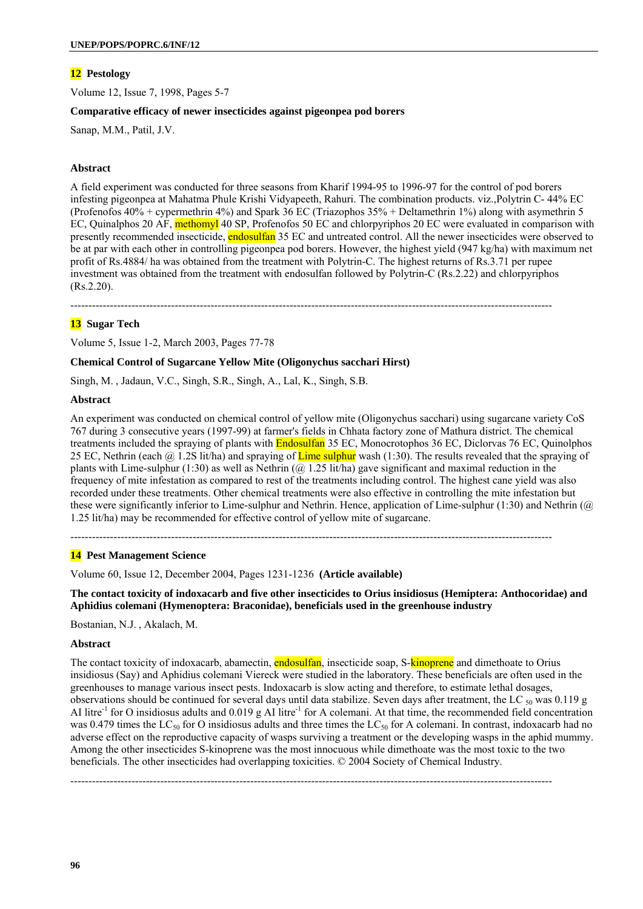Volume 12, Issue 7, 1998, Pages 5-7

#### **Comparative efficacy of newer insecticides against pigeonpea pod borers**

Sanap, M.M., Patil, J.V.

# **Abstract**

A field experiment was conducted for three seasons from Kharif 1994-95 to 1996-97 for the control of pod borers infesting pigeonpea at Mahatma Phule Krishi Vidyapeeth, Rahuri. The combination products. viz.,Polytrin C- 44% EC (Profenofos 40% + cypermethrin 4%) and Spark 36 EC (Triazophos 35% + Deltamethrin 1%) along with asymethrin 5 EC, Quinalphos 20 AF, methomyl 40 SP, Profenofos 50 EC and chlorpyriphos 20 EC were evaluated in comparison with presently recommended insecticide, endosulfan 35 EC and untreated control. All the newer insecticides were observed to be at par with each other in controlling pigeonpea pod borers. However, the highest yield (947 kg/ha) with maximum net profit of Rs.4884/ ha was obtained from the treatment with Polytrin-C. The highest returns of Rs.3.71 per rupee investment was obtained from the treatment with endosulfan followed by Polytrin-C (Rs.2.22) and chlorpyriphos (Rs.2.20).

--------------------------------------------------------------------------------------------------------------------------------------

# **13 Sugar Tech**

Volume 5, Issue 1-2, March 2003, Pages 77-78

#### **Chemical Control of Sugarcane Yellow Mite (Oligonychus sacchari Hirst)**

Singh, M. , Jadaun, V.C., Singh, S.R., Singh, A., Lal, K., Singh, S.B.

#### **Abstract**

An experiment was conducted on chemical control of yellow mite (Oligonychus sacchari) using sugarcane variety CoS 767 during 3 consecutive years (1997-99) at farmer's fields in Chhata factory zone of Mathura district. The chemical treatments included the spraying of plants with **Endosulfan** 35 EC, Monocrotophos 36 EC, Diclorvas 76 EC, Quinolphos 25 EC, Nethrin (each  $\hat{a}$  1.2S lit/ha) and spraying of Lime sulphur wash (1:30). The results revealed that the spraying of plants with Lime-sulphur (1:30) as well as Nethrin  $(Q \ 1.25 \ 0.125 \ 0.125)$  gave significant and maximal reduction in the frequency of mite infestation as compared to rest of the treatments including control. The highest cane yield was also recorded under these treatments. Other chemical treatments were also effective in controlling the mite infestation but these were significantly inferior to Lime-sulphur and Nethrin. Hence, application of Lime-sulphur (1:30) and Nethrin (@ 1.25 lit/ha) may be recommended for effective control of yellow mite of sugarcane.

--------------------------------------------------------------------------------------------------------------------------------------

### **14 Pest Management Science**

Volume 60, Issue 12, December 2004, Pages 1231-1236 **(Article available)** 

**The contact toxicity of indoxacarb and five other insecticides to Orius insidiosus (Hemiptera: Anthocoridae) and Aphidius colemani (Hymenoptera: Braconidae), beneficials used in the greenhouse industry** 

Bostanian, N.J. , Akalach, M.

#### **Abstract**

The contact toxicity of indoxacarb, abamectin, **endosulfan**, insecticide soap, S-**kinoprene** and dimethoate to Orius insidiosus (Say) and Aphidius colemani Viereck were studied in the laboratory. These beneficials are often used in the greenhouses to manage various insect pests. Indoxacarb is slow acting and therefore, to estimate lethal dosages, observations should be continued for several days until data stabilize. Seven days after treatment, the LC  $_{50}$  was 0.119 g AI litre<sup>-1</sup> for O insidiosus adults and  $0.019$  g AI litre<sup>-1</sup> for A colemani. At that time, the recommended field concentration was 0.479 times the LC<sub>50</sub> for O insidiosus adults and three times the LC<sub>50</sub> for A colemani. In contrast, indoxacarb had no adverse effect on the reproductive capacity of wasps surviving a treatment or the developing wasps in the aphid mummy. Among the other insecticides S-kinoprene was the most innocuous while dimethoate was the most toxic to the two beneficials. The other insecticides had overlapping toxicities. © 2004 Society of Chemical Industry.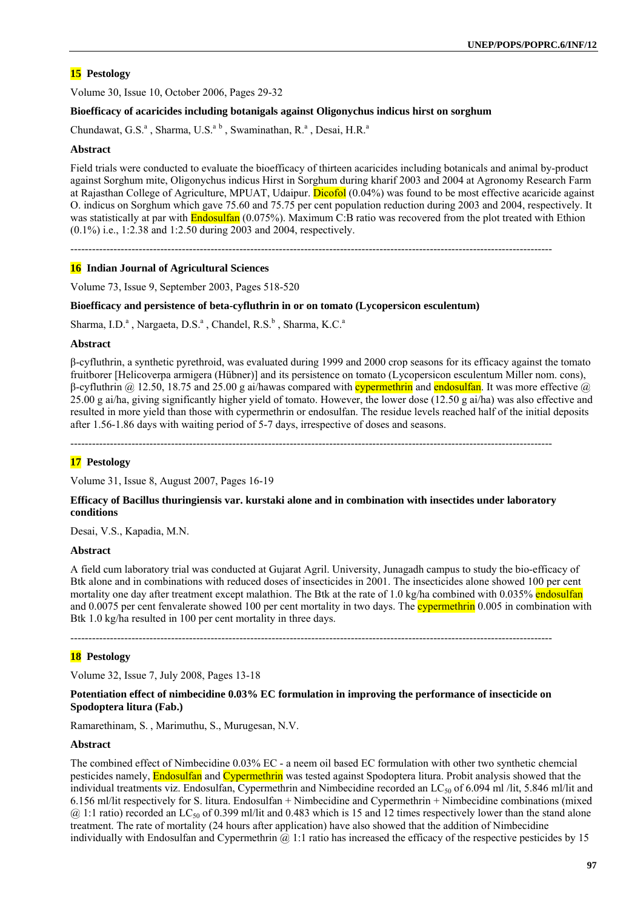Volume 30, Issue 10, October 2006, Pages 29-32

### **Bioefficacy of acaricides including botanigals against Oligonychus indicus hirst on sorghum**

Chundawat, G.S.<sup>a</sup>, Sharma, U.S.<sup>a b</sup>, Swaminathan, R.<sup>a</sup>, Desai, H.R.<sup>a</sup>

#### **Abstract**

Field trials were conducted to evaluate the bioefficacy of thirteen acaricides including botanicals and animal by-product against Sorghum mite, Oligonychus indicus Hirst in Sorghum during kharif 2003 and 2004 at Agronomy Research Farm at Rajasthan College of Agriculture, MPUAT, Udaipur. Dicofol (0.04%) was found to be most effective acaricide against O. indicus on Sorghum which gave 75.60 and 75.75 per cent population reduction during 2003 and 2004, respectively. It was statistically at par with Endosulfan (0.075%). Maximum C:B ratio was recovered from the plot treated with Ethion (0.1%) i.e., 1:2.38 and 1:2.50 during 2003 and 2004, respectively.

--------------------------------------------------------------------------------------------------------------------------------------

#### **16 Indian Journal of Agricultural Sciences**

Volume 73, Issue 9, September 2003, Pages 518-520

#### **Bioefficacy and persistence of beta-cyfluthrin in or on tomato (Lycopersicon esculentum)**

Sharma, I.D.<sup>a</sup>, Nargaeta, D.S.<sup>a</sup>, Chandel, R.S.<sup>b</sup>, Sharma, K.C.<sup>a</sup>

#### **Abstract**

β-cyfluthrin, a synthetic pyrethroid, was evaluated during 1999 and 2000 crop seasons for its efficacy against the tomato fruitborer [Helicoverpa armigera (Hübner)] and its persistence on tomato (Lycopersicon esculentum Miller nom. cons), β-cyfluthrin  $a$  12.50, 18.75 and 25.00 g ai/hawas compared with **cypermethrin** and endosulfan. It was more effective  $a$ 25.00 g ai/ha, giving significantly higher yield of tomato. However, the lower dose (12.50 g ai/ha) was also effective and resulted in more yield than those with cypermethrin or endosulfan. The residue levels reached half of the initial deposits after 1.56-1.86 days with waiting period of 5-7 days, irrespective of doses and seasons.

--------------------------------------------------------------------------------------------------------------------------------------

### **17 Pestology**

Volume 31, Issue 8, August 2007, Pages 16-19

#### **Efficacy of Bacillus thuringiensis var. kurstaki alone and in combination with insectides under laboratory conditions**

Desai, V.S., Kapadia, M.N.

#### **Abstract**

A field cum laboratory trial was conducted at Gujarat Agril. University, Junagadh campus to study the bio-efficacy of Btk alone and in combinations with reduced doses of insecticides in 2001. The insecticides alone showed 100 per cent mortality one day after treatment except malathion. The Btk at the rate of 1.0 kg/ha combined with 0.035% endosulfan and 0.0075 per cent fenvalerate showed 100 per cent mortality in two days. The **cypermethrin** 0.005 in combination with Btk 1.0 kg/ha resulted in 100 per cent mortality in three days.

--------------------------------------------------------------------------------------------------------------------------------------

# **18 Pestology**

Volume 32, Issue 7, July 2008, Pages 13-18

### **Potentiation effect of nimbecidine 0.03% EC formulation in improving the performance of insecticide on Spodoptera litura (Fab.)**

Ramarethinam, S. , Marimuthu, S., Murugesan, N.V.

#### **Abstract**

The combined effect of Nimbecidine 0.03% EC - a neem oil based EC formulation with other two synthetic chemcial pesticides namely, **Endosulfan** and Cypermethrin was tested against Spodoptera litura. Probit analysis showed that the individual treatments viz. Endosulfan, Cypermethrin and Nimbecidine recorded an LC<sub>50</sub> of 6.094 ml /lit, 5.846 ml/lit and 6.156 ml/lit respectively for S. litura. Endosulfan + Nimbecidine and Cypermethrin + Nimbecidine combinations (mixed  $(a)$  1:1 ratio) recorded an LC<sub>50</sub> of 0.399 ml/lit and 0.483 which is 15 and 12 times respectively lower than the stand alone treatment. The rate of mortality (24 hours after application) have also showed that the addition of Nimbecidine individually with Endosulfan and Cypermethrin  $@1:1$  ratio has increased the efficacy of the respective pesticides by 15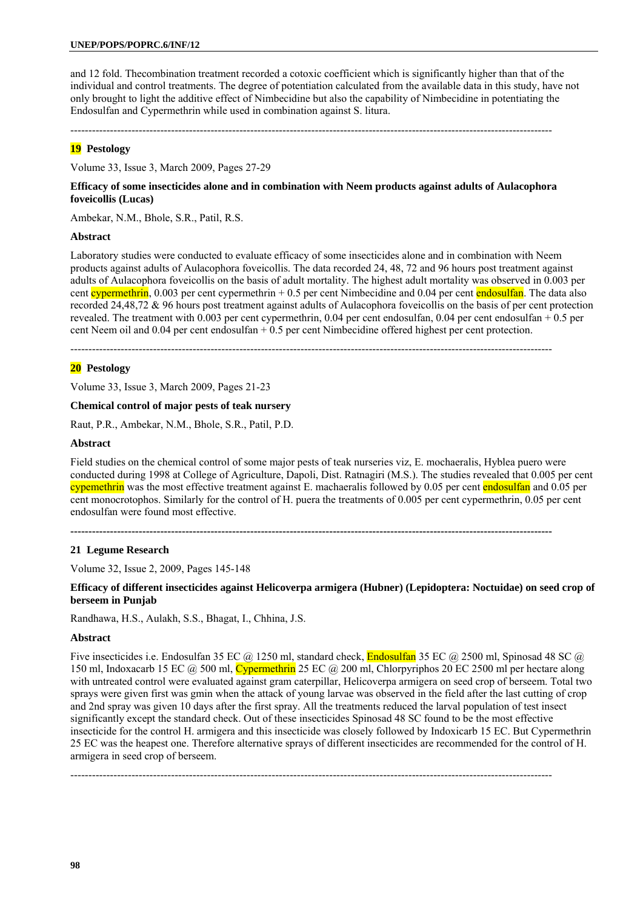and 12 fold. Thecombination treatment recorded a cotoxic coefficient which is significantly higher than that of the individual and control treatments. The degree of potentiation calculated from the available data in this study, have not only brought to light the additive effect of Nimbecidine but also the capability of Nimbecidine in potentiating the Endosulfan and Cypermethrin while used in combination against S. litura.

--------------------------------------------------------------------------------------------------------------------------------------

# **19 Pestology**

Volume 33, Issue 3, March 2009, Pages 27-29

#### **Efficacy of some insecticides alone and in combination with Neem products against adults of Aulacophora foveicollis (Lucas)**

Ambekar, N.M., Bhole, S.R., Patil, R.S.

#### **Abstract**

Laboratory studies were conducted to evaluate efficacy of some insecticides alone and in combination with Neem products against adults of Aulacophora foveicollis. The data recorded 24, 48, 72 and 96 hours post treatment against adults of Aulacophora foveicollis on the basis of adult mortality. The highest adult mortality was observed in 0.003 per cent cypermethrin, 0.003 per cent cypermethrin  $+ 0.5$  per cent Nimbecidine and 0.04 per cent endosulfan. The data also recorded 24,48,72 & 96 hours post treatment against adults of Aulacophora foveicollis on the basis of per cent protection revealed. The treatment with 0.003 per cent cypermethrin, 0.04 per cent endosulfan, 0.04 per cent endosulfan + 0.5 per cent Neem oil and  $0.04$  per cent endosulfan  $+0.5$  per cent Nimbecidine offered highest per cent protection.

--------------------------------------------------------------------------------------------------------------------------------------

### **20 Pestology**

Volume 33, Issue 3, March 2009, Pages 21-23

#### **Chemical control of major pests of teak nursery**

Raut, P.R., Ambekar, N.M., Bhole, S.R., Patil, P.D.

#### **Abstract**

Field studies on the chemical control of some major pests of teak nurseries viz, E. mochaeralis, Hyblea puero were conducted during 1998 at College of Agriculture, Dapoli, Dist. Ratnagiri (M.S.). The studies revealed that 0.005 per cent cypemethrin was the most effective treatment against E. machaeralis followed by 0.05 per cent endosulfan and 0.05 per cent monocrotophos. Similarly for the control of H. puera the treatments of 0.005 per cent cypermethrin, 0.05 per cent endosulfan were found most effective.

**--------------------------------------------------------------------------------------------------------------------------------------** 

#### **21 Legume Research**

Volume 32, Issue 2, 2009, Pages 145-148

**Efficacy of different insecticides against Helicoverpa armigera (Hubner) (Lepidoptera: Noctuidae) on seed crop of berseem in Punjab** 

Randhawa, H.S., Aulakh, S.S., Bhagat, I., Chhina, J.S.

#### **Abstract**

Five insecticides i.e. Endosulfan 35 EC @ 1250 ml, standard check, **Endosulfan** 35 EC @ 2500 ml, Spinosad 48 SC @ 150 ml, Indoxacarb 15 EC @ 500 ml, Cypermethrin 25 EC @ 200 ml, Chlorpyriphos 20 EC 2500 ml per hectare along with untreated control were evaluated against gram caterpillar, Helicoverpa armigera on seed crop of berseem. Total two sprays were given first was gmin when the attack of young larvae was observed in the field after the last cutting of crop and 2nd spray was given 10 days after the first spray. All the treatments reduced the larval population of test insect significantly except the standard check. Out of these insecticides Spinosad 48 SC found to be the most effective insecticide for the control H. armigera and this insecticide was closely followed by Indoxicarb 15 EC. But Cypermethrin 25 EC was the heapest one. Therefore alternative sprays of different insecticides are recommended for the control of H. armigera in seed crop of berseem.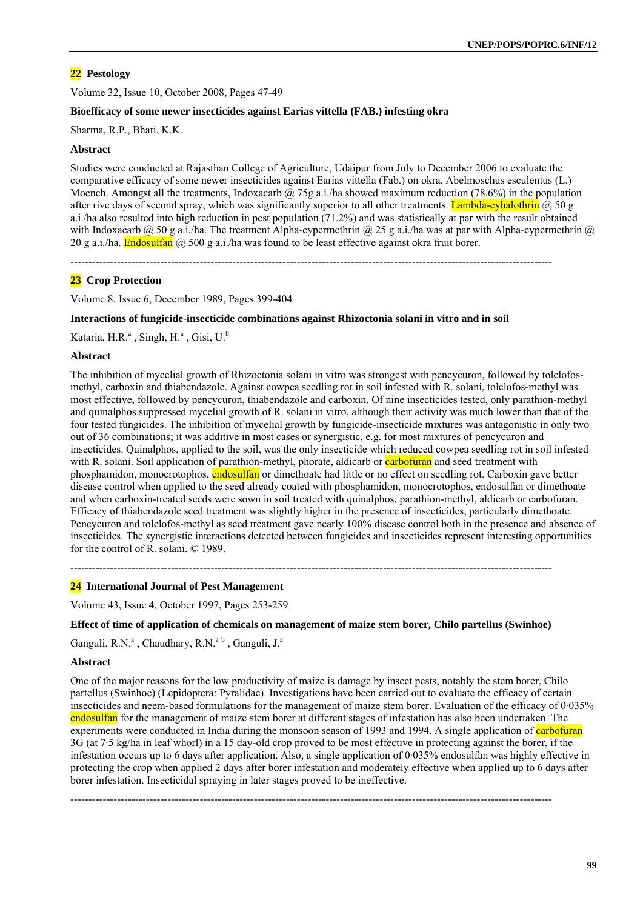Volume 32, Issue 10, October 2008, Pages 47-49

## **Bioefficacy of some newer insecticides against Earias vittella (FAB.) infesting okra**

Sharma, R.P., Bhati, K.K.

### **Abstract**

Studies were conducted at Rajasthan College of Agriculture, Udaipur from July to December 2006 to evaluate the comparative efficacy of some newer insecticides against Earias vittella (Fab.) on okra, Abelmoschus esculentus (L.) Moench. Amongst all the treatments, Indoxacarb @ 75g a.i./ha showed maximum reduction (78.6%) in the population after rive days of second spray, which was significantly superior to all other treatments. Lambda-cyhalothrin  $\omega$  50 g a.i./ha also resulted into high reduction in pest population (71.2%) and was statistically at par with the result obtained with Indoxacarb @ 50 g a.i./ha. The treatment Alpha-cypermethrin @ 25 g a.i./ha was at par with Alpha-cypermethrin @ 20 g a.i./ha. **Endosulfan**  $\omega$  500 g a.i./ha was found to be least effective against okra fruit borer.

--------------------------------------------------------------------------------------------------------------------------------------

# **23 Crop Protection**

Volume 8, Issue 6, December 1989, Pages 399-404

#### **Interactions of fungicide-insecticide combinations against Rhizoctonia solani in vitro and in soil**

Kataria, H.R.<sup>a</sup>, Singh, H.<sup>a</sup>, Gisi, U.<sup>b</sup>

#### **Abstract**

The inhibition of mycelial growth of Rhizoctonia solani in vitro was strongest with pencycuron, followed by tolclofosmethyl, carboxin and thiabendazole. Against cowpea seedling rot in soil infested with R. solani, tolclofos-methyl was most effective, followed by pencycuron, thiabendazole and carboxin. Of nine insecticides tested, only parathion-methyl and quinalphos suppressed mycelial growth of R. solani in vitro, although their activity was much lower than that of the four tested fungicides. The inhibition of mycelial growth by fungicide-insecticide mixtures was antagonistic in only two out of 36 combinations; it was additive in most cases or synergistic, e.g. for most mixtures of pencycuron and insecticides. Quinalphos, applied to the soil, was the only insecticide which reduced cowpea seedling rot in soil infested with R. solani. Soil application of parathion-methyl, phorate, aldicarb or **carbofuran** and seed treatment with phosphamidon, monocrotophos, endosulfan or dimethoate had little or no effect on seedling rot. Carboxin gave better disease control when applied to the seed already coated with phosphamidon, monocrotophos, endosulfan or dimethoate and when carboxin-treated seeds were sown in soil treated with quinalphos, parathion-methyl, aldicarb or carbofuran. Efficacy of thiabendazole seed treatment was slightly higher in the presence of insecticides, particularly dimethoate. Pencycuron and tolclofos-methyl as seed treatment gave nearly 100% disease control both in the presence and absence of insecticides. The synergistic interactions detected between fungicides and insecticides represent interesting opportunities for the control of R. solani. © 1989.

--------------------------------------------------------------------------------------------------------------------------------------

### **24 International Journal of Pest Management**

Volume 43, Issue 4, October 1997, Pages 253-259

### **Effect of time of application of chemicals on management of maize stem borer, Chilo partellus (Swinhoe)**

Ganguli, R.N.<sup>a</sup>, Chaudhary, R.N.<sup>a b</sup>, Ganguli, J.<sup>a</sup>

#### **Abstract**

One of the major reasons for the low productivity of maize is damage by insect pests, notably the stem borer, Chilo partellus (Swinhoe) (Lepidoptera: Pyralidae). Investigations have been carried out to evaluate the efficacy of certain insecticides and neem-based formulations for the management of maize stem borer. Evaluation of the efficacy of 0·035% endosulfan for the management of maize stem borer at different stages of infestation has also been undertaken. The experiments were conducted in India during the monsoon season of 1993 and 1994. A single application of carbofuran 3G (at 7·5 kg/ha in leaf whorl) in a 15 day-old crop proved to be most effective in protecting against the borer, if the infestation occurs up to 6 days after application. Also, a single application of 0·035% endosulfan was highly effective in protecting the crop when applied 2 days after borer infestation and moderately effective when applied up to 6 days after borer infestation. Insecticidal spraying in later stages proved to be ineffective.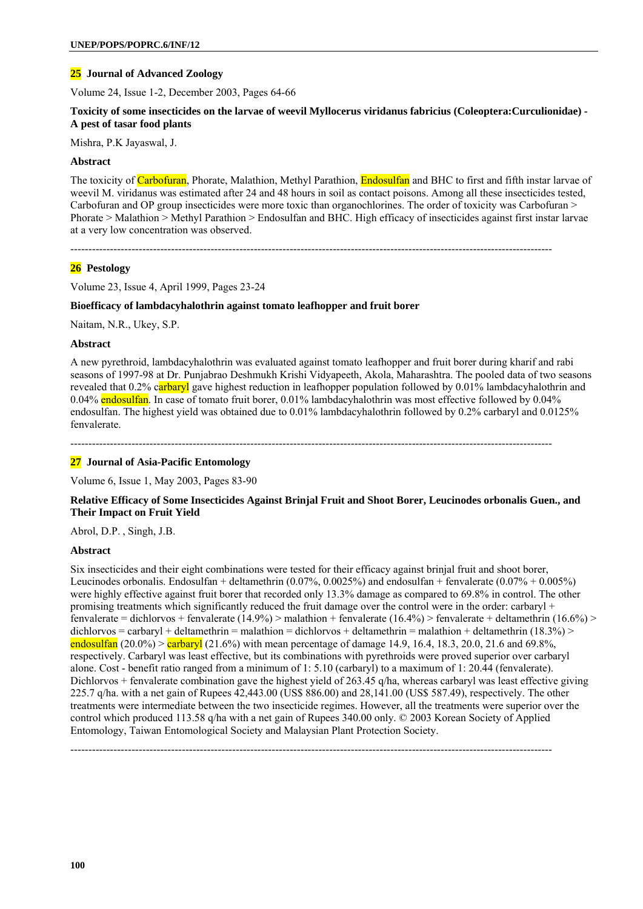# **25 Journal of Advanced Zoology**

Volume 24, Issue 1-2, December 2003, Pages 64-66

### **Toxicity of some insecticides on the larvae of weevil Myllocerus viridanus fabricius (Coleoptera:Curculionidae) - A pest of tasar food plants**

Mishra, P.K Jayaswal, J.

#### **Abstract**

The toxicity of Carbofuran, Phorate, Malathion, Methyl Parathion, Endosulfan and BHC to first and fifth instar larvae of weevil M. viridanus was estimated after 24 and 48 hours in soil as contact poisons. Among all these insecticides tested, Carbofuran and OP group insecticides were more toxic than organochlorines. The order of toxicity was Carbofuran > Phorate > Malathion > Methyl Parathion > Endosulfan and BHC. High efficacy of insecticides against first instar larvae at a very low concentration was observed.

--------------------------------------------------------------------------------------------------------------------------------------

# **26 Pestology**

Volume 23, Issue 4, April 1999, Pages 23-24

### **Bioefficacy of lambdacyhalothrin against tomato leafhopper and fruit borer**

Naitam, N.R., Ukey, S.P.

#### **Abstract**

A new pyrethroid, lambdacyhalothrin was evaluated against tomato leafhopper and fruit borer during kharif and rabi seasons of 1997-98 at Dr. Punjabrao Deshmukh Krishi Vidyapeeth, Akola, Maharashtra. The pooled data of two seasons revealed that  $0.2\%$  carbaryl gave highest reduction in leafhopper population followed by  $0.01\%$  lambdacyhalothrin and 0.04% endosulfan. In case of tomato fruit borer, 0.01% lambdacyhalothrin was most effective followed by 0.04% endosulfan. The highest yield was obtained due to 0.01% lambdacyhalothrin followed by 0.2% carbaryl and 0.0125% fenvalerate.

--------------------------------------------------------------------------------------------------------------------------------------

### **27 Journal of Asia-Pacific Entomology**

Volume 6, Issue 1, May 2003, Pages 83-90

### **Relative Efficacy of Some Insecticides Against Brinjal Fruit and Shoot Borer, Leucinodes orbonalis Guen., and Their Impact on Fruit Yield**

Abrol, D.P. , Singh, J.B.

### **Abstract**

Six insecticides and their eight combinations were tested for their efficacy against brinjal fruit and shoot borer, Leucinodes orbonalis. Endosulfan + deltamethrin (0.07%, 0.0025%) and endosulfan + fenvalerate (0.07% + 0.005%) were highly effective against fruit borer that recorded only 13.3% damage as compared to 69.8% in control. The other promising treatments which significantly reduced the fruit damage over the control were in the order: carbaryl + fenvalerate = dichlorvos + fenvalerate (14.9%) > malathion + fenvalerate (16.4%) > fenvalerate + deltamethrin (16.6%) > dichlorvos = carbaryl + deltamethrin = malathion = dichlorvos + deltamethrin = malathion + deltamethrin (18.3%) > endosulfan  $(20.0\%)$  > carbaryl  $(21.6\%)$  with mean percentage of damage 14.9, 16.4, 18.3, 20.0, 21.6 and 69.8%, respectively. Carbaryl was least effective, but its combinations with pyrethroids were proved superior over carbaryl alone. Cost - benefit ratio ranged from a minimum of 1: 5.10 (carbaryl) to a maximum of 1: 20.44 (fenvalerate). Dichlorvos + fenvalerate combination gave the highest yield of 263.45 q/ha, whereas carbaryl was least effective giving 225.7 q/ha. with a net gain of Rupees 42,443.00 (US\$ 886.00) and 28,141.00 (US\$ 587.49), respectively. The other treatments were intermediate between the two insecticide regimes. However, all the treatments were superior over the control which produced 113.58 q/ha with a net gain of Rupees 340.00 only. © 2003 Korean Society of Applied Entomology, Taiwan Entomological Society and Malaysian Plant Protection Society.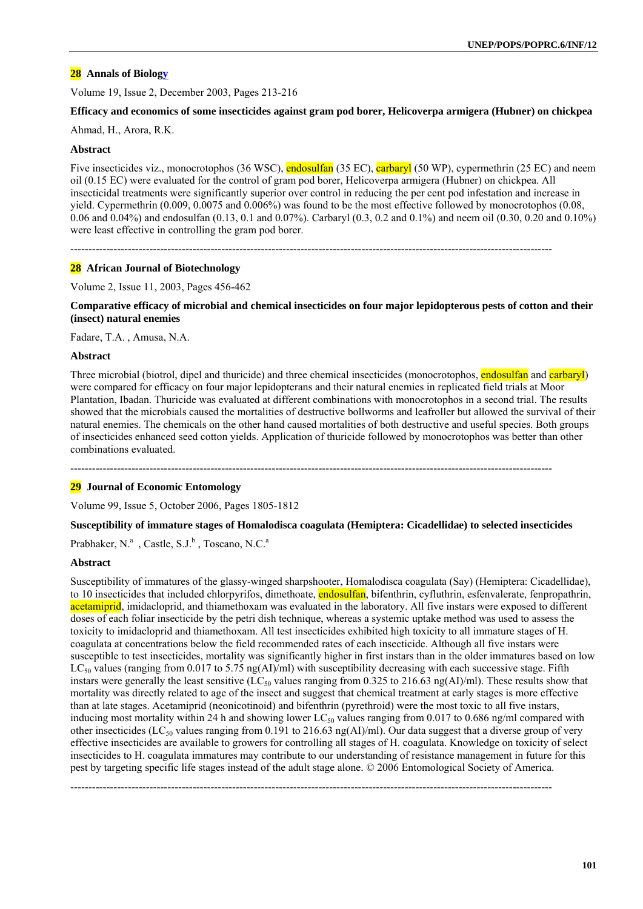# **28 Annals of Biology**

Volume 19, Issue 2, December 2003, Pages 213-216

#### **Efficacy and economics of some insecticides against gram pod borer, Helicoverpa armigera (Hubner) on chickpea**

Ahmad, H., Arora, R.K.

## **Abstract**

Five insecticides viz., monocrotophos (36 WSC), endosulfan (35 EC), carbaryl (50 WP), cypermethrin (25 EC) and neem oil (0.15 EC) were evaluated for the control of gram pod borer, Helicoverpa armigera (Hubner) on chickpea. All insecticidal treatments were significantly superior over control in reducing the per cent pod infestation and increase in yield. Cypermethrin (0.009, 0.0075 and 0.006%) was found to be the most effective followed by monocrotophos (0.08, 0.06 and 0.04%) and endosulfan (0.13, 0.1 and 0.07%). Carbaryl (0.3, 0.2 and 0.1%) and neem oil (0.30, 0.20 and 0.10%) were least effective in controlling the gram pod borer.

--------------------------------------------------------------------------------------------------------------------------------------

### **28 African Journal of Biotechnology**

Volume 2, Issue 11, 2003, Pages 456-462

**Comparative efficacy of microbial and chemical insecticides on four major lepidopterous pests of cotton and their (insect) natural enemies** 

Fadare, T.A. , Amusa, N.A.

#### **Abstract**

Three microbial (biotrol, dipel and thuricide) and three chemical insecticides (monocrotophos, endosulfan and carbaryl) were compared for efficacy on four major lepidopterans and their natural enemies in replicated field trials at Moor Plantation, Ibadan. Thuricide was evaluated at different combinations with monocrotophos in a second trial. The results showed that the microbials caused the mortalities of destructive bollworms and leafroller but allowed the survival of their natural enemies. The chemicals on the other hand caused mortalities of both destructive and useful species. Both groups of insecticides enhanced seed cotton yields. Application of thuricide followed by monocrotophos was better than other combinations evaluated.

--------------------------------------------------------------------------------------------------------------------------------------

### **29 Journal of Economic Entomology**

Volume 99, Issue 5, October 2006, Pages 1805-1812

### **Susceptibility of immature stages of Homalodisca coagulata (Hemiptera: Cicadellidae) to selected insecticides**

Prabhaker, N.<sup>a</sup>, Castle, S.J.<sup>b</sup>, Toscano, N.C.<sup>a</sup>

### **Abstract**

Susceptibility of immatures of the glassy-winged sharpshooter, Homalodisca coagulata (Say) (Hemiptera: Cicadellidae), to 10 insecticides that included chlorpyrifos, dimethoate, **endosulfan**, bifenthrin, cyfluthrin, esfenvalerate, fenpropathrin, acetamiprid, imidacloprid, and thiamethoxam was evaluated in the laboratory. All five instars were exposed to different doses of each foliar insecticide by the petri dish technique, whereas a systemic uptake method was used to assess the toxicity to imidacloprid and thiamethoxam. All test insecticides exhibited high toxicity to all immature stages of H. coagulata at concentrations below the field recommended rates of each insecticide. Although all five instars were susceptible to test insecticides, mortality was significantly higher in first instars than in the older immatures based on low  $LC<sub>50</sub>$  values (ranging from 0.017 to 5.75 ng(AI)/ml) with susceptibility decreasing with each successive stage. Fifth instars were generally the least sensitive (LC<sub>50</sub> values ranging from 0.325 to 216.63 ng(AI)/ml). These results show that mortality was directly related to age of the insect and suggest that chemical treatment at early stages is more effective than at late stages. Acetamiprid (neonicotinoid) and bifenthrin (pyrethroid) were the most toxic to all five instars, inducing most mortality within 24 h and showing lower  $LC_{50}$  values ranging from 0.017 to 0.686 ng/ml compared with other insecticides (LC<sub>50</sub> values ranging from 0.191 to 216.63 ng(AI)/ml). Our data suggest that a diverse group of very effective insecticides are available to growers for controlling all stages of H. coagulata. Knowledge on toxicity of select insecticides to H. coagulata immatures may contribute to our understanding of resistance management in future for this pest by targeting specific life stages instead of the adult stage alone. © 2006 Entomological Society of America.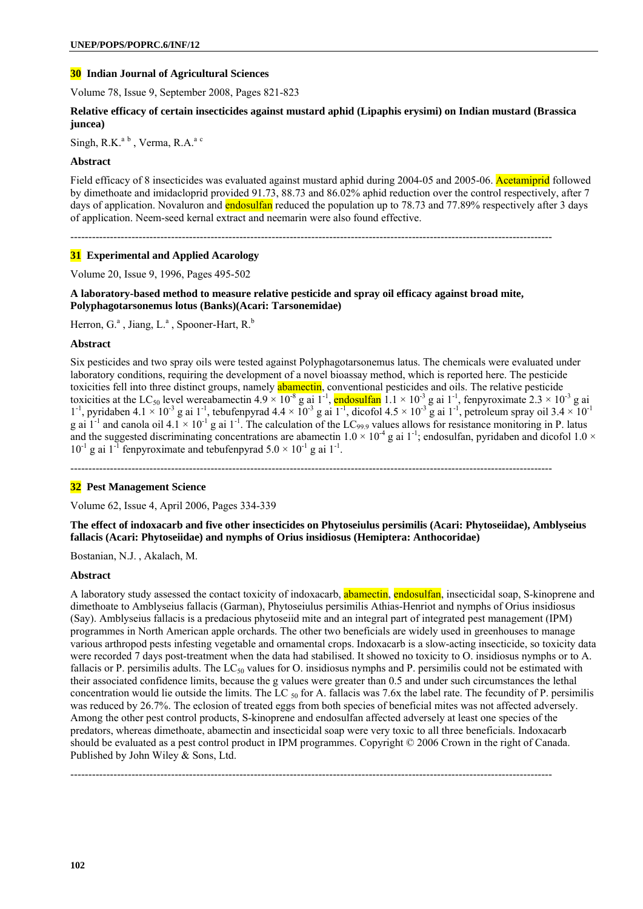# **30 Indian Journal of Agricultural Sciences**

Volume 78, Issue 9, September 2008, Pages 821-823

### **Relative efficacy of certain insecticides against mustard aphid (Lipaphis erysimi) on Indian mustard (Brassica juncea)**

Singh, R.K. $a^b$ , Verma, R.A. $a^c$ 

### **Abstract**

Field efficacy of 8 insecticides was evaluated against mustard aphid during 2004-05 and 2005-06. Acetamiprid followed by dimethoate and imidacloprid provided 91.73, 88.73 and 86.02% aphid reduction over the control respectively, after 7 days of application. Novaluron and endosulfan reduced the population up to 78.73 and 77.89% respectively after 3 days of application. Neem-seed kernal extract and neemarin were also found effective.

--------------------------------------------------------------------------------------------------------------------------------------

### **31 Experimental and Applied Acarology**

Volume 20, Issue 9, 1996, Pages 495-502

#### **A laboratory-based method to measure relative pesticide and spray oil efficacy against broad mite, Polyphagotarsonemus lotus (Banks)(Acari: Tarsonemidae)**

Herron, G.<sup>a</sup>, Jiang, L.<sup>a</sup>, Spooner-Hart, R.<sup>b</sup>

### **Abstract**

Six pesticides and two spray oils were tested against Polyphagotarsonemus latus. The chemicals were evaluated under laboratory conditions, requiring the development of a novel bioassay method, which is reported here. The pesticide toxicities fell into three distinct groups, namely **abamectin**, conventional pesticides and oils. The relative pesticide toxicities at the LC<sub>50</sub> level wereabamectin  $4.9 \times 10^{-8}$  g ai  $1^{-1}$ , endosulfan  $1.1 \times 10^{-3}$  g ai  $1^{-1}$ , fenpyroximate  $2.3 \times 10^{-3}$  g ai  $1^{-1}$ , pyridaben 4.1 × 10<sup>-3</sup> g ai 1<sup>-1</sup>, tebufenpyrad 4.4 × 10<sup>-3</sup> g ai  $1^{-1}$ , dicofol 4.5 × 10<sup>-3</sup> g ai 1<sup>-1</sup>, petroleum spray oil 3.4 × 10<sup>-1</sup> g ai  $1^{-1}$  and canola oil  $4.1 \times 10^{-1}$  g ai  $1^{-1}$ . The calculation of the LC<sub>99.9</sub> values allows for resistance monitoring in P. latus and the suggested discriminating concentrations are abamectin  $1.0 \times 10^{-4}$  g ai 1<sup>-1</sup>; endosulfan, pyridaben and dicofol  $1.0 \times$  $10^{-1}$  g ai  $1^{-1}$  fenpyroximate and tebufenpyrad  $5.0 \times 10^{-1}$  g ai  $1^{-1}$ .

--------------------------------------------------------------------------------------------------------------------------------------

### **32 Pest Management Science**

Volume 62, Issue 4, April 2006, Pages 334-339

**The effect of indoxacarb and five other insecticides on Phytoseiulus persimilis (Acari: Phytoseiidae), Amblyseius fallacis (Acari: Phytoseiidae) and nymphs of Orius insidiosus (Hemiptera: Anthocoridae)** 

Bostanian, N.J. , Akalach, M.

### **Abstract**

A laboratory study assessed the contact toxicity of indoxacarb, **abamectin**, **endosulfan**, insecticidal soap, S-kinoprene and dimethoate to Amblyseius fallacis (Garman), Phytoseiulus persimilis Athias-Henriot and nymphs of Orius insidiosus (Say). Amblyseius fallacis is a predacious phytoseiid mite and an integral part of integrated pest management (IPM) programmes in North American apple orchards. The other two beneficials are widely used in greenhouses to manage various arthropod pests infesting vegetable and ornamental crops. Indoxacarb is a slow-acting insecticide, so toxicity data were recorded 7 days post-treatment when the data had stabilised. It showed no toxicity to O. insidiosus nymphs or to A. fallacis or P. persimilis adults. The  $LC_{50}$  values for O. insidiosus nymphs and P. persimilis could not be estimated with their associated confidence limits, because the g values were greater than 0.5 and under such circumstances the lethal concentration would lie outside the limits. The LC  $_{50}$  for A. fallacis was 7.6x the label rate. The fecundity of P. persimilis was reduced by 26.7%. The eclosion of treated eggs from both species of beneficial mites was not affected adversely. Among the other pest control products, S-kinoprene and endosulfan affected adversely at least one species of the predators, whereas dimethoate, abamectin and insecticidal soap were very toxic to all three beneficials. Indoxacarb should be evaluated as a pest control product in IPM programmes. Copyright © 2006 Crown in the right of Canada. Published by John Wiley & Sons, Ltd.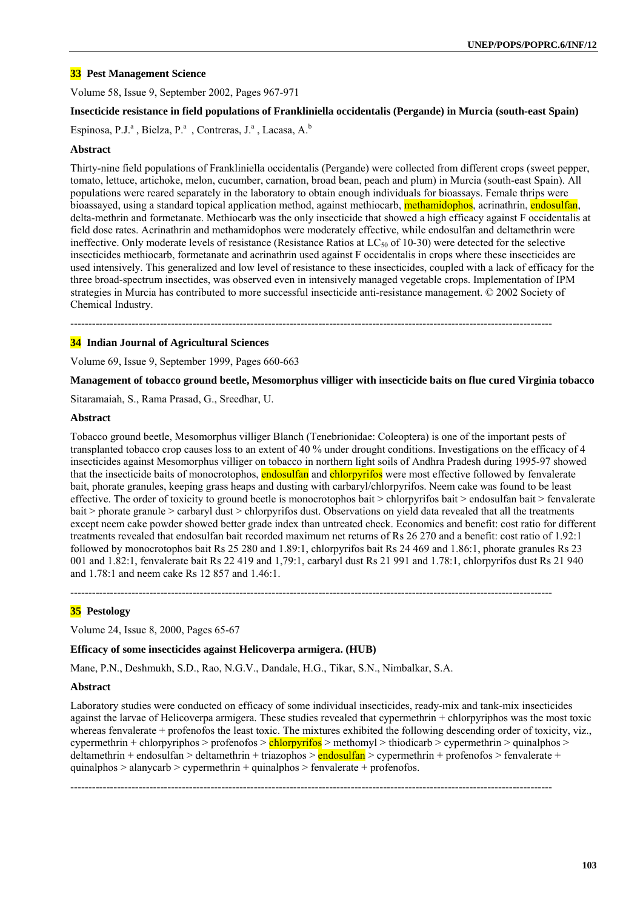# **33 Pest Management Science**

Volume 58, Issue 9, September 2002, Pages 967-971

#### **Insecticide resistance in field populations of Frankliniella occidentalis (Pergande) in Murcia (south-east Spain)**

Espinosa, P.J.<sup>a</sup>, Bielza, P.<sup>a</sup>, Contreras, J.<sup>a</sup>, Lacasa, A.<sup>b</sup>

#### **Abstract**

Thirty-nine field populations of Frankliniella occidentalis (Pergande) were collected from different crops (sweet pepper, tomato, lettuce, artichoke, melon, cucumber, carnation, broad bean, peach and plum) in Murcia (south-east Spain). All populations were reared separately in the laboratory to obtain enough individuals for bioassays. Female thrips were bioassayed, using a standard topical application method, against methiocarb, **methamidophos**, acrinathrin, endosulfan, delta-methrin and formetanate. Methiocarb was the only insecticide that showed a high efficacy against F occidentalis at field dose rates. Acrinathrin and methamidophos were moderately effective, while endosulfan and deltamethrin were ineffective. Only moderate levels of resistance (Resistance Ratios at  $LC_{50}$  of 10-30) were detected for the selective insecticides methiocarb, formetanate and acrinathrin used against F occidentalis in crops where these insecticides are used intensively. This generalized and low level of resistance to these insecticides, coupled with a lack of efficacy for the three broad-spectrum insectides, was observed even in intensively managed vegetable crops. Implementation of IPM strategies in Murcia has contributed to more successful insecticide anti-resistance management. © 2002 Society of Chemical Industry.

--------------------------------------------------------------------------------------------------------------------------------------

#### **34 Indian Journal of Agricultural Sciences**

Volume 69, Issue 9, September 1999, Pages 660-663

**Management of tobacco ground beetle, Mesomorphus villiger with insecticide baits on flue cured Virginia tobacco** 

Sitaramaiah, S., Rama Prasad, G., Sreedhar, U.

### **Abstract**

Tobacco ground beetle, Mesomorphus villiger Blanch (Tenebrionidae: Coleoptera) is one of the important pests of transplanted tobacco crop causes loss to an extent of 40 % under drought conditions. Investigations on the efficacy of 4 insecticides against Mesomorphus villiger on tobacco in northern light soils of Andhra Pradesh during 1995-97 showed that the insecticide baits of monocrotophos, endosulfan and chlorpyrifos were most effective followed by fenvalerate bait, phorate granules, keeping grass heaps and dusting with carbaryl/chlorpyrifos. Neem cake was found to be least effective. The order of toxicity to ground beetle is monocrotophos bait > chlorpyrifos bait > endosulfan bait > fenvalerate bait > phorate granule > carbaryl dust > chlorpyrifos dust. Observations on yield data revealed that all the treatments except neem cake powder showed better grade index than untreated check. Economics and benefit: cost ratio for different treatments revealed that endosulfan bait recorded maximum net returns of Rs 26 270 and a benefit: cost ratio of 1.92:1 followed by monocrotophos bait Rs 25 280 and 1.89:1, chlorpyrifos bait Rs 24 469 and 1.86:1, phorate granules Rs 23 001 and 1.82:1, fenvalerate bait Rs 22 419 and 1,79:1, carbaryl dust Rs 21 991 and 1.78:1, chlorpyrifos dust Rs 21 940 and 1.78:1 and neem cake Rs 12 857 and 1.46:1.

--------------------------------------------------------------------------------------------------------------------------------------

### **35 Pestology**

Volume 24, Issue 8, 2000, Pages 65-67

#### **Efficacy of some insecticides against Helicoverpa armigera. (HUB)**

Mane, P.N., Deshmukh, S.D., Rao, N.G.V., Dandale, H.G., Tikar, S.N., Nimbalkar, S.A.

#### **Abstract**

Laboratory studies were conducted on efficacy of some individual insecticides, ready-mix and tank-mix insecticides against the larvae of Helicoverpa armigera. These studies revealed that cypermethrin + chlorpyriphos was the most toxic whereas fenvalerate + profenofos the least toxic. The mixtures exhibited the following descending order of toxicity, viz., cypermethrin + chlorpyriphos > profenofos >  $\frac{\text{chlory} \cdot \text{ch} \cdot \text{ch} \cdot \text{ch}}{\text{ch} \cdot \text{ch}}$  > thiodicarb > cypermethrin > quinalphos > deltamethrin + endosulfan > deltamethrin + triazophos >  $\frac{\text{endosulfan}}{\text{evpermethrin}} + \frac{\text{profenofos}}{\text{eronofos}}$  > fenvalerate + quinalphos  $>$  alanycarb  $>$  cypermethrin + quinalphos  $>$  fenvalerate + profenofos.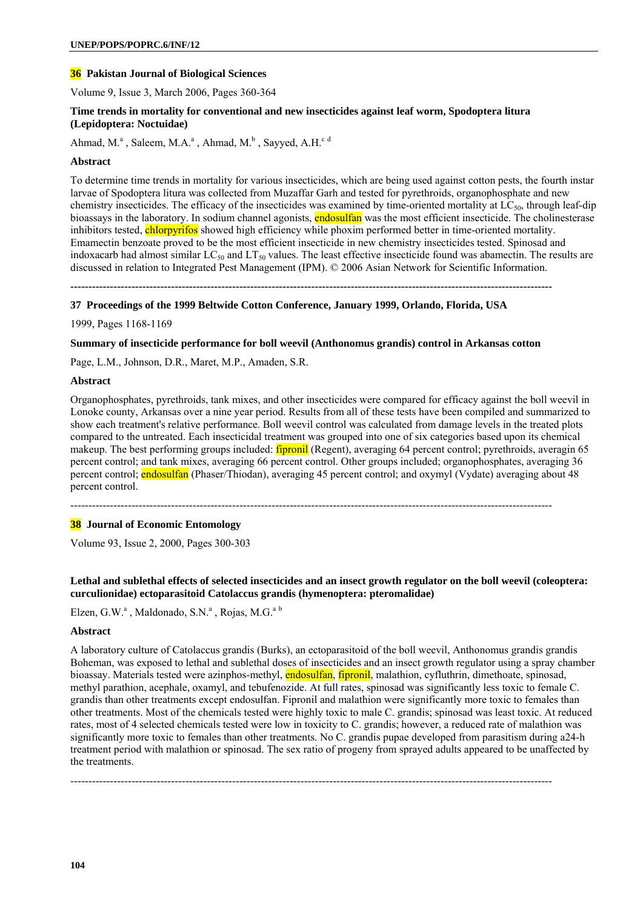# **36 Pakistan Journal of Biological Sciences**

Volume 9, Issue 3, March 2006, Pages 360-364

### **Time trends in mortality for conventional and new insecticides against leaf worm, Spodoptera litura (Lepidoptera: Noctuidae)**

Ahmad, M.<sup>a</sup>, Saleem, M.A.<sup>a</sup>, Ahmad, M.<sup>b</sup>, Sayyed, A.H.<sup>c d</sup>

#### **Abstract**

To determine time trends in mortality for various insecticides, which are being used against cotton pests, the fourth instar larvae of Spodoptera litura was collected from Muzaffar Garh and tested for pyrethroids, organophosphate and new chemistry insecticides. The efficacy of the insecticides was examined by time-oriented mortality at LC<sub>50</sub>, through leaf-dip bioassays in the laboratory. In sodium channel agonists, **endosulfan** was the most efficient insecticide. The cholinesterase inhibitors tested, chlorpyrifos showed high efficiency while phoxim performed better in time-oriented mortality. Emamectin benzoate proved to be the most efficient insecticide in new chemistry insecticides tested. Spinosad and indoxacarb had almost similar  $LC_{50}$  and  $LT_{50}$  values. The least effective insecticide found was abamectin. The results are discussed in relation to Integrated Pest Management (IPM). © 2006 Asian Network for Scientific Information.

**--------------------------------------------------------------------------------------------------------------------------------------** 

#### **37 Proceedings of the 1999 Beltwide Cotton Conference, January 1999, Orlando, Florida, USA**

1999, Pages 1168-1169

#### **Summary of insecticide performance for boll weevil (Anthonomus grandis) control in Arkansas cotton**

Page, L.M., Johnson, D.R., Maret, M.P., Amaden, S.R.

#### **Abstract**

Organophosphates, pyrethroids, tank mixes, and other insecticides were compared for efficacy against the boll weevil in Lonoke county, Arkansas over a nine year period. Results from all of these tests have been compiled and summarized to show each treatment's relative performance. Boll weevil control was calculated from damage levels in the treated plots compared to the untreated. Each insecticidal treatment was grouped into one of six categories based upon its chemical makeup. The best performing groups included: *fipronil* (Regent), averaging 64 percent control; pyrethroids, averagin 65 percent control; and tank mixes, averaging 66 percent control. Other groups included; organophosphates, averaging 36 percent control; endosulfan (Phaser/Thiodan), averaging 45 percent control; and oxymyl (Vydate) averaging about 48 percent control.

--------------------------------------------------------------------------------------------------------------------------------------

# **38 Journal of Economic Entomology**

Volume 93, Issue 2, 2000, Pages 300-303

# Lethal and sublethal effects of selected insecticides and an insect growth regulator on the boll weevil (coleoptera: **curculionidae) ectoparasitoid Catolaccus grandis (hymenoptera: pteromalidae)**

Elzen, G.W.<sup>a</sup>, Maldonado, S.N.<sup>a</sup>, Rojas, M.G.<sup>a b</sup>

#### **Abstract**

A laboratory culture of Catolaccus grandis (Burks), an ectoparasitoid of the boll weevil, Anthonomus grandis grandis Boheman, was exposed to lethal and sublethal doses of insecticides and an insect growth regulator using a spray chamber bioassay. Materials tested were azinphos-methyl, endosulfan, fipronil, malathion, cyfluthrin, dimethoate, spinosad, methyl parathion, acephale, oxamyl, and tebufenozide. At full rates, spinosad was significantly less toxic to female C. grandis than other treatments except endosulfan. Fipronil and malathion were significantly more toxic to females than other treatments. Most of the chemicals tested were highly toxic to male C. grandis; spinosad was least toxic. At reduced rates, most of 4 selected chemicals tested were low in toxicity to C. grandis; however, a reduced rate of malathion was significantly more toxic to females than other treatments. No C. grandis pupae developed from parasitism during a24-h treatment period with malathion or spinosad. The sex ratio of progeny from sprayed adults appeared to be unaffected by the treatments.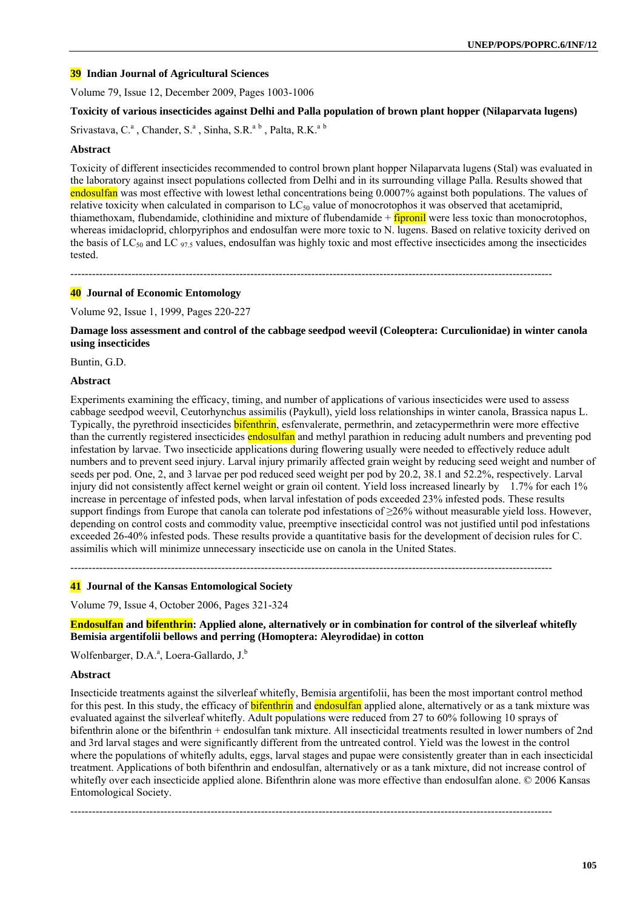### **39 Indian Journal of Agricultural Sciences**

Volume 79, Issue 12, December 2009, Pages 1003-1006

### **Toxicity of various insecticides against Delhi and Palla population of brown plant hopper (Nilaparvata lugens)**

Srivastava, C.<sup>a</sup>, Chander, S.<sup>a</sup>, Sinha, S.R.<sup>a b</sup>, Palta, R.K.<sup>a b</sup>

#### **Abstract**

Toxicity of different insecticides recommended to control brown plant hopper Nilaparvata lugens (Stal) was evaluated in the laboratory against insect populations collected from Delhi and in its surrounding village Palla. Results showed that endosulfan was most effective with lowest lethal concentrations being 0.0007% against both populations. The values of relative toxicity when calculated in comparison to  $LC_{50}$  value of monocrotophos it was observed that acetamiprid, thiamethoxam, flubendamide, clothinidine and mixture of flubendamide  $+$  fipronil were less toxic than monocrotophos, whereas imidacloprid, chlorpyriphos and endosulfan were more toxic to N. lugens. Based on relative toxicity derived on the basis of LC<sub>50</sub> and LC<sub>975</sub> values, endosulfan was highly toxic and most effective insecticides among the insecticides tested.

--------------------------------------------------------------------------------------------------------------------------------------

# **40 Journal of Economic Entomology**

Volume 92, Issue 1, 1999, Pages 220-227

#### **Damage loss assessment and control of the cabbage seedpod weevil (Coleoptera: Curculionidae) in winter canola using insecticides**

Buntin, G.D.

#### **Abstract**

Experiments examining the efficacy, timing, and number of applications of various insecticides were used to assess cabbage seedpod weevil, Ceutorhynchus assimilis (Paykull), yield loss relationships in winter canola, Brassica napus L. Typically, the pyrethroid insecticides **bifenthrin**, esfenvalerate, permethrin, and zetacypermethrin were more effective than the currently registered insecticides endosulfan and methyl parathion in reducing adult numbers and preventing pod infestation by larvae. Two insecticide applications during flowering usually were needed to effectively reduce adult numbers and to prevent seed injury. Larval injury primarily affected grain weight by reducing seed weight and number of seeds per pod. One, 2, and 3 larvae per pod reduced seed weight per pod by 20.2, 38.1 and 52.2%, respectively. Larval injury did not consistently affect kernel weight or grain oil content. Yield loss increased linearly by 1.7% for each 1% increase in percentage of infested pods, when larval infestation of pods exceeded 23% infested pods. These results support findings from Europe that canola can tolerate pod infestations of ≥26% without measurable yield loss. However, depending on control costs and commodity value, preemptive insecticidal control was not justified until pod infestations exceeded 26-40% infested pods. These results provide a quantitative basis for the development of decision rules for C. assimilis which will minimize unnecessary insecticide use on canola in the United States.

--------------------------------------------------------------------------------------------------------------------------------------

#### **41 Journal of the Kansas Entomological Society**

Volume 79, Issue 4, October 2006, Pages 321-324

**Endosulfan and bifenthrin: Applied alone, alternatively or in combination for control of the silverleaf whitefly Bemisia argentifolii bellows and perring (Homoptera: Aleyrodidae) in cotton** 

Wolfenbarger, D.A.<sup>a</sup>, Loera-Gallardo, J.<sup>b</sup>

#### **Abstract**

Insecticide treatments against the silverleaf whitefly, Bemisia argentifolii, has been the most important control method for this pest. In this study, the efficacy of **bifenthrin** and endosulfan applied alone, alternatively or as a tank mixture was evaluated against the silverleaf whitefly. Adult populations were reduced from 27 to 60% following 10 sprays of bifenthrin alone or the bifenthrin + endosulfan tank mixture. All insecticidal treatments resulted in lower numbers of 2nd and 3rd larval stages and were significantly different from the untreated control. Yield was the lowest in the control where the populations of whitefly adults, eggs, larval stages and pupae were consistently greater than in each insecticidal treatment. Applications of both bifenthrin and endosulfan, alternatively or as a tank mixture, did not increase control of whitefly over each insecticide applied alone. Bifenthrin alone was more effective than endosulfan alone. © 2006 Kansas Entomological Society.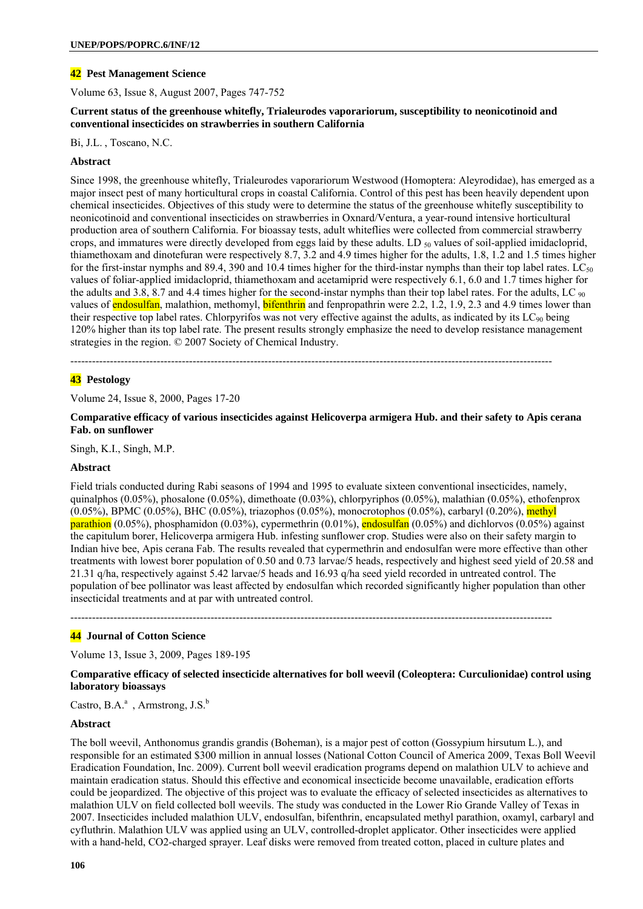# **42 Pest Management Science**

Volume 63, Issue 8, August 2007, Pages 747-752

### **Current status of the greenhouse whitefly, Trialeurodes vaporariorum, susceptibility to neonicotinoid and conventional insecticides on strawberries in southern California**

Bi, J.L. , Toscano, N.C.

### **Abstract**

Since 1998, the greenhouse whitefly, Trialeurodes vaporariorum Westwood (Homoptera: Aleyrodidae), has emerged as a major insect pest of many horticultural crops in coastal California. Control of this pest has been heavily dependent upon chemical insecticides. Objectives of this study were to determine the status of the greenhouse whitefly susceptibility to neonicotinoid and conventional insecticides on strawberries in Oxnard/Ventura, a year-round intensive horticultural production area of southern California. For bioassay tests, adult whiteflies were collected from commercial strawberry crops, and immatures were directly developed from eggs laid by these adults. LD  $_{50}$  values of soil-applied imidacloprid, thiamethoxam and dinotefuran were respectively 8.7, 3.2 and 4.9 times higher for the adults, 1.8, 1.2 and 1.5 times higher for the first-instar nymphs and 89.4, 390 and 10.4 times higher for the third-instar nymphs than their top label rates. LC $_{50}$ values of foliar-applied imidacloprid, thiamethoxam and acetamiprid were respectively 6.1, 6.0 and 1.7 times higher for the adults and 3.8, 8.7 and 4.4 times higher for the second-instar nymphs than their top label rates. For the adults, LC  $_{90}$ values of endosulfan, malathion, methomyl, **bifenthrin** and fenpropathrin were 2.2, 1.2, 1.9, 2.3 and 4.9 times lower than their respective top label rates. Chlorpyrifos was not very effective against the adults, as indicated by its  $LC_{90}$  being 120% higher than its top label rate. The present results strongly emphasize the need to develop resistance management strategies in the region. © 2007 Society of Chemical Industry.

--------------------------------------------------------------------------------------------------------------------------------------

# **43 Pestology**

Volume 24, Issue 8, 2000, Pages 17-20

**Comparative efficacy of various insecticides against Helicoverpa armigera Hub. and their safety to Apis cerana Fab. on sunflower** 

Singh, K.I., Singh, M.P.

### **Abstract**

Field trials conducted during Rabi seasons of 1994 and 1995 to evaluate sixteen conventional insecticides, namely, quinalphos (0.05%), phosalone (0.05%), dimethoate (0.03%), chlorpyriphos (0.05%), malathian (0.05%), ethofenprox  $(0.05\%)$ , BPMC  $(0.05\%)$ , BHC  $(0.05\%)$ , triazophos  $(0.05\%)$ , monocrotophos  $(0.05\%)$ , carbaryl  $(0.20\%)$ , methyl **parathion** (0.05%), phosphamidon (0.03%), cypermethrin (0.01%), endosulfan (0.05%) and dichlorvos (0.05%) against the capitulum borer, Helicoverpa armigera Hub. infesting sunflower crop. Studies were also on their safety margin to Indian hive bee, Apis cerana Fab. The results revealed that cypermethrin and endosulfan were more effective than other treatments with lowest borer population of 0.50 and 0.73 larvae/5 heads, respectively and highest seed yield of 20.58 and 21.31 q/ha, respectively against 5.42 larvae/5 heads and 16.93 q/ha seed yield recorded in untreated control. The population of bee pollinator was least affected by endosulfan which recorded significantly higher population than other insecticidal treatments and at par with untreated control.

--------------------------------------------------------------------------------------------------------------------------------------

### **44 Journal of Cotton Science**

Volume 13, Issue 3, 2009, Pages 189-195

### **Comparative efficacy of selected insecticide alternatives for boll weevil (Coleoptera: Curculionidae) control using laboratory bioassays**

Castro, B.A. $^{\rm a}$ , Armstrong, J.S. $^{\rm b}$ 

### **Abstract**

The boll weevil, Anthonomus grandis grandis (Boheman), is a major pest of cotton (Gossypium hirsutum L.), and responsible for an estimated \$300 million in annual losses (National Cotton Council of America 2009, Texas Boll Weevil Eradication Foundation, Inc. 2009). Current boll weevil eradication programs depend on malathion ULV to achieve and maintain eradication status. Should this effective and economical insecticide become unavailable, eradication efforts could be jeopardized. The objective of this project was to evaluate the efficacy of selected insecticides as alternatives to malathion ULV on field collected boll weevils. The study was conducted in the Lower Rio Grande Valley of Texas in 2007. Insecticides included malathion ULV, endosulfan, bifenthrin, encapsulated methyl parathion, oxamyl, carbaryl and cyfluthrin. Malathion ULV was applied using an ULV, controlled-droplet applicator. Other insecticides were applied with a hand-held, CO2-charged sprayer. Leaf disks were removed from treated cotton, placed in culture plates and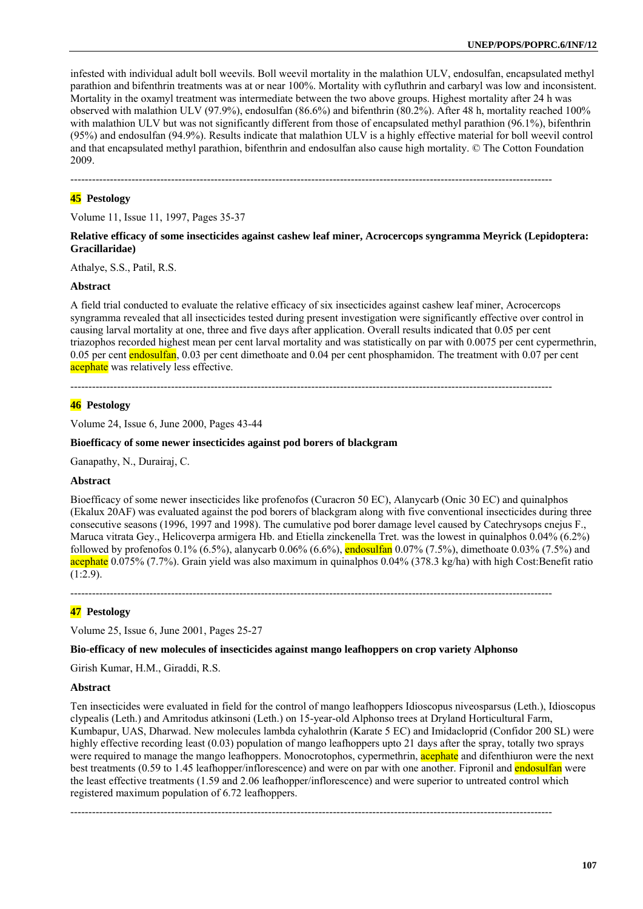infested with individual adult boll weevils. Boll weevil mortality in the malathion ULV, endosulfan, encapsulated methyl parathion and bifenthrin treatments was at or near 100%. Mortality with cyfluthrin and carbaryl was low and inconsistent. Mortality in the oxamyl treatment was intermediate between the two above groups. Highest mortality after 24 h was observed with malathion ULV (97.9%), endosulfan (86.6%) and bifenthrin (80.2%). After 48 h, mortality reached 100% with malathion ULV but was not significantly different from those of encapsulated methyl parathion (96.1%), bifenthrin (95%) and endosulfan (94.9%). Results indicate that malathion ULV is a highly effective material for boll weevil control and that encapsulated methyl parathion, bifenthrin and endosulfan also cause high mortality. © The Cotton Foundation 2009.

--------------------------------------------------------------------------------------------------------------------------------------

### **45 Pestology**

Volume 11, Issue 11, 1997, Pages 35-37

#### **Relative efficacy of some insecticides against cashew leaf miner, Acrocercops syngramma Meyrick (Lepidoptera: Gracillaridae)**

Athalye, S.S., Patil, R.S.

#### **Abstract**

A field trial conducted to evaluate the relative efficacy of six insecticides against cashew leaf miner, Acrocercops syngramma revealed that all insecticides tested during present investigation were significantly effective over control in causing larval mortality at one, three and five days after application. Overall results indicated that 0.05 per cent triazophos recorded highest mean per cent larval mortality and was statistically on par with 0.0075 per cent cypermethrin, 0.05 per cent endosulfan, 0.03 per cent dimethoate and 0.04 per cent phosphamidon. The treatment with 0.07 per cent acephate was relatively less effective.

--------------------------------------------------------------------------------------------------------------------------------------

#### **46 Pestology**

Volume 24, Issue 6, June 2000, Pages 43-44

#### **Bioefficacy of some newer insecticides against pod borers of blackgram**

Ganapathy, N., Durairaj, C.

#### **Abstract**

Bioefficacy of some newer insecticides like profenofos (Curacron 50 EC), Alanycarb (Onic 30 EC) and quinalphos (Ekalux 20AF) was evaluated against the pod borers of blackgram along with five conventional insecticides during three consecutive seasons (1996, 1997 and 1998). The cumulative pod borer damage level caused by Catechrysops cnejus F., Maruca vitrata Gey., Helicoverpa armigera Hb. and Etiella zinckenella Tret. was the lowest in quinalphos 0.04% (6.2%) followed by profenofos  $0.1\%$  (6.5%), alanycarb  $0.06\%$  (6.6%), endosulfan  $0.07\%$  (7.5%), dimethoate 0.03% (7.5%) and acephate 0.075% (7.7%). Grain yield was also maximum in quinalphos 0.04% (378.3 kg/ha) with high Cost:Benefit ratio  $(1:2.9)$ .

--------------------------------------------------------------------------------------------------------------------------------------

# **47 Pestology**

Volume 25, Issue 6, June 2001, Pages 25-27

#### **Bio-efficacy of new molecules of insecticides against mango leafhoppers on crop variety Alphonso**

Girish Kumar, H.M., Giraddi, R.S.

#### **Abstract**

Ten insecticides were evaluated in field for the control of mango leafhoppers Idioscopus niveosparsus (Leth.), Idioscopus clypealis (Leth.) and Amritodus atkinsoni (Leth.) on 15-year-old Alphonso trees at Dryland Horticultural Farm, Kumbapur, UAS, Dharwad. New molecules lambda cyhalothrin (Karate 5 EC) and Imidacloprid (Confidor 200 SL) were highly effective recording least (0.03) population of mango leafhoppers upto 21 days after the spray, totally two sprays were required to manage the mango leafhoppers. Monocrotophos, cypermethrin, **acephate** and difenthiuron were the next best treatments (0.59 to 1.45 leafhopper/inflorescence) and were on par with one another. Fipronil and **endosulfan** were the least effective treatments (1.59 and 2.06 leafhopper/inflorescence) and were superior to untreated control which registered maximum population of 6.72 leafhoppers.

--------------------------------------------------------------------------------------------------------------------------------------

**107**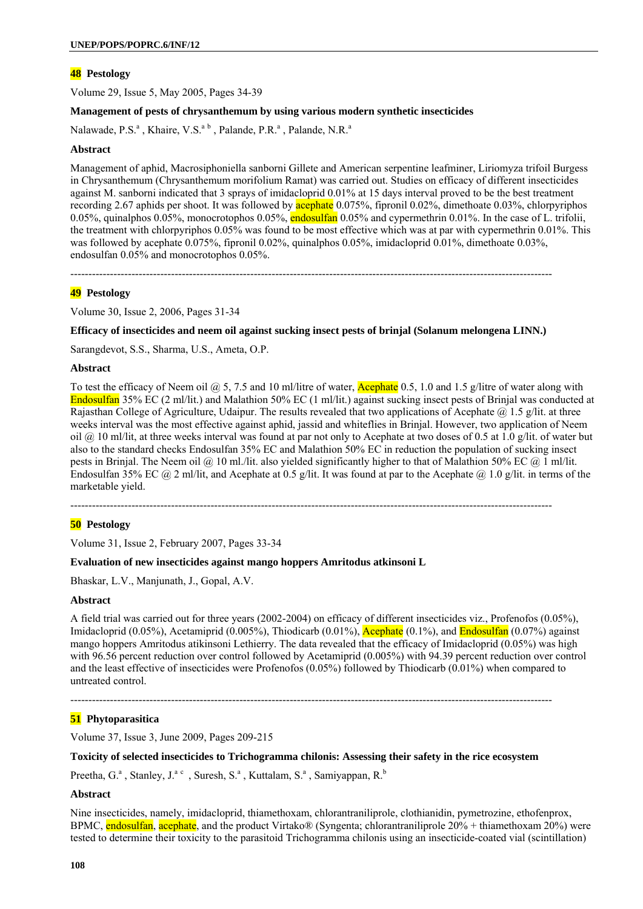Volume 29, Issue 5, May 2005, Pages 34-39

### **Management of pests of chrysanthemum by using various modern synthetic insecticides**

Nalawade, P.S.<sup>a</sup>, Khaire, V.S.<sup>a b</sup>, Palande, P.R.<sup>a</sup>, Palande, N.R.<sup>a</sup>

#### **Abstract**

Management of aphid, Macrosiphoniella sanborni Gillete and American serpentine leafminer, Liriomyza trifoil Burgess in Chrysanthemum (Chrysanthemum morifolium Ramat) was carried out. Studies on efficacy of different insecticides against M. sanborni indicated that 3 sprays of imidacloprid 0.01% at 15 days interval proved to be the best treatment recording 2.67 aphids per shoot. It was followed by **acephate** 0.075%, fipronil 0.02%, dimethoate 0.03%, chlorpyriphos 0.05%, quinalphos 0.05%, monocrotophos 0.05%, endosulfan 0.05% and cypermethrin 0.01%. In the case of L. trifolii, the treatment with chlorpyriphos 0.05% was found to be most effective which was at par with cypermethrin 0.01%. This was followed by acephate 0.075%, fipronil 0.02%, quinalphos 0.05%, imidacloprid 0.01%, dimethoate 0.03%, endosulfan 0.05% and monocrotophos 0.05%.

--------------------------------------------------------------------------------------------------------------------------------------

### **49 Pestology**

Volume 30, Issue 2, 2006, Pages 31-34

#### **Efficacy of insecticides and neem oil against sucking insect pests of brinjal (Solanum melongena LINN.)**

Sarangdevot, S.S., Sharma, U.S., Ameta, O.P.

#### **Abstract**

To test the efficacy of Neem oil  $\omega$  5, 7.5 and 10 ml/litre of water, **Acephate** 0.5, 1.0 and 1.5 g/litre of water along with Endosulfan 35% EC (2 ml/lit.) and Malathion 50% EC (1 ml/lit.) against sucking insect pests of Brinjal was conducted at Rajasthan College of Agriculture, Udaipur. The results revealed that two applications of Acephate  $\omega$  1.5 g/lit. at three weeks interval was the most effective against aphid, jassid and whiteflies in Brinjal. However, two application of Neem oil  $@$  10 ml/lit, at three weeks interval was found at par not only to Acephate at two doses of 0.5 at 1.0 g/lit. of water but also to the standard checks Endosulfan 35% EC and Malathion 50% EC in reduction the population of sucking insect pests in Brinjal. The Neem oil @ 10 ml./lit. also yielded significantly higher to that of Malathion 50% EC @ 1 ml/lit. Endosulfan 35% EC @ 2 ml/lit, and Acephate at 0.5 g/lit. It was found at par to the Acephate @ 1.0 g/lit. in terms of the marketable yield.

--------------------------------------------------------------------------------------------------------------------------------------

### **50 Pestology**

Volume 31, Issue 2, February 2007, Pages 33-34

#### **Evaluation of new insecticides against mango hoppers Amritodus atkinsoni L**

Bhaskar, L.V., Manjunath, J., Gopal, A.V.

#### **Abstract**

A field trial was carried out for three years (2002-2004) on efficacy of different insecticides viz., Profenofos (0.05%), Imidacloprid (0.05%), Acetamiprid (0.005%), Thiodicarb (0.01%), Acephate (0.1%), and Endosulfan (0.07%) against mango hoppers Amritodus atikinsoni Lethierry. The data revealed that the efficacy of Imidacloprid (0.05%) was high with 96.56 percent reduction over control followed by Acetamiprid (0.005%) with 94.39 percent reduction over control and the least effective of insecticides were Profenofos (0.05%) followed by Thiodicarb (0.01%) when compared to untreated control.

# --------------------------------------------------------------------------------------------------------------------------------------

# **51 Phytoparasitica**

Volume 37, Issue 3, June 2009, Pages 209-215

### **Toxicity of selected insecticides to Trichogramma chilonis: Assessing their safety in the rice ecosystem**

Preetha, G.<sup>a</sup>, Stanley, J.<sup>a.c</sup>, Suresh, S.<sup>a</sup>, Kuttalam, S.<sup>a</sup>, Samiyappan, R.<sup>b</sup>

#### **Abstract**

Nine insecticides, namely, imidacloprid, thiamethoxam, chlorantraniliprole, clothianidin, pymetrozine, ethofenprox, BPMC, endosulfan, acephate, and the product Virtako® (Syngenta; chlorantraniliprole 20% + thiamethoxam 20%) were tested to determine their toxicity to the parasitoid Trichogramma chilonis using an insecticide-coated vial (scintillation)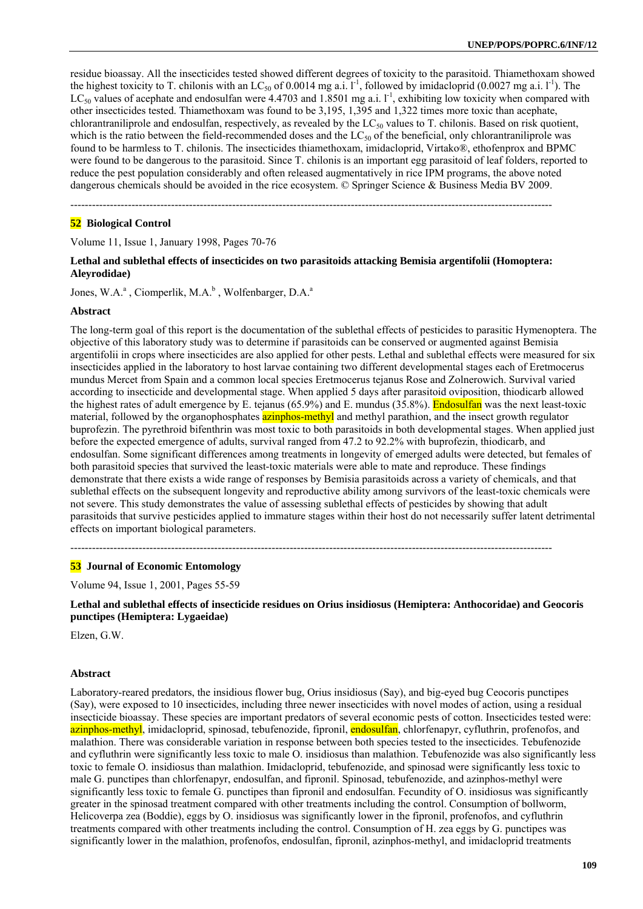residue bioassay. All the insecticides tested showed different degrees of toxicity to the parasitoid. Thiamethoxam showed the highest toxicity to T. chilonis with an LC<sub>50</sub> of 0.0014 mg a.i.  $l^{-1}$ , followed by imidacloprid (0.0027 mg a.i.  $l^{-1}$ ). The  $LC_{50}$  values of acephate and endosulfan were 4.4703 and 1.8501 mg a.i.  $I^{-1}$ , exhibiting low toxicity when compared with other insecticides tested. Thiamethoxam was found to be 3,195, 1,395 and 1,322 times more toxic than acephate, chlorantraniliprole and endosulfan, respectively, as revealed by the  $LC_{50}$  values to T. chilonis. Based on risk quotient, which is the ratio between the field-recommended doses and the  $LC_{50}$  of the beneficial, only chlorantraniliprole was found to be harmless to T. chilonis. The insecticides thiamethoxam, imidacloprid, Virtako®, ethofenprox and BPMC were found to be dangerous to the parasitoid. Since T. chilonis is an important egg parasitoid of leaf folders, reported to reduce the pest population considerably and often released augmentatively in rice IPM programs, the above noted dangerous chemicals should be avoided in the rice ecosystem. © Springer Science & Business Media BV 2009.

--------------------------------------------------------------------------------------------------------------------------------------

### **52 Biological Control**

Volume 11, Issue 1, January 1998, Pages 70-76

## **Lethal and sublethal effects of insecticides on two parasitoids attacking Bemisia argentifolii (Homoptera: Aleyrodidae)**

Jones, W.A.<sup>a</sup>, Ciomperlik, M.A.<sup>b</sup>, Wolfenbarger, D.A.<sup>a</sup>

#### **Abstract**

The long-term goal of this report is the documentation of the sublethal effects of pesticides to parasitic Hymenoptera. The objective of this laboratory study was to determine if parasitoids can be conserved or augmented against Bemisia argentifolii in crops where insecticides are also applied for other pests. Lethal and sublethal effects were measured for six insecticides applied in the laboratory to host larvae containing two different developmental stages each of Eretmocerus mundus Mercet from Spain and a common local species Eretmocerus tejanus Rose and Zolnerowich. Survival varied according to insecticide and developmental stage. When applied 5 days after parasitoid oviposition, thiodicarb allowed the highest rates of adult emergence by E. tejanus (65.9%) and E. mundus (35.8%). Endosulfan was the next least-toxic material, followed by the organophosphates **azinphos-methyl** and methyl parathion, and the insect growth regulator buprofezin. The pyrethroid bifenthrin was most toxic to both parasitoids in both developmental stages. When applied just before the expected emergence of adults, survival ranged from 47.2 to 92.2% with buprofezin, thiodicarb, and endosulfan. Some significant differences among treatments in longevity of emerged adults were detected, but females of both parasitoid species that survived the least-toxic materials were able to mate and reproduce. These findings demonstrate that there exists a wide range of responses by Bemisia parasitoids across a variety of chemicals, and that sublethal effects on the subsequent longevity and reproductive ability among survivors of the least-toxic chemicals were not severe. This study demonstrates the value of assessing sublethal effects of pesticides by showing that adult parasitoids that survive pesticides applied to immature stages within their host do not necessarily suffer latent detrimental effects on important biological parameters.

--------------------------------------------------------------------------------------------------------------------------------------

#### **53 Journal of Economic Entomology**

Volume 94, Issue 1, 2001, Pages 55-59

**Lethal and sublethal effects of insecticide residues on Orius insidiosus (Hemiptera: Anthocoridae) and Geocoris punctipes (Hemiptera: Lygaeidae)** 

Elzen, G.W.

#### **Abstract**

Laboratory-reared predators, the insidious flower bug, Orius insidiosus (Say), and big-eyed bug Ceocoris punctipes (Say), were exposed to 10 insecticides, including three newer insecticides with novel modes of action, using a residual insecticide bioassay. These species are important predators of several economic pests of cotton. Insecticides tested were: azinphos-methyl, imidacloprid, spinosad, tebufenozide, fipronil, endosulfan, chlorfenapyr, cyfluthrin, profenofos, and malathion. There was considerable variation in response between both species tested to the insecticides. Tebufenozide and cyfluthrin were significantly less toxic to male O. insidiosus than malathion. Tebufenozide was also significantly less toxic to female O. insidiosus than malathion. Imidacloprid, tebufenozide, and spinosad were significantly less toxic to male G. punctipes than chlorfenapyr, endosulfan, and fipronil. Spinosad, tebufenozide, and azinphos-methyl were significantly less toxic to female G. punctipes than fipronil and endosulfan. Fecundity of O. insidiosus was significantly greater in the spinosad treatment compared with other treatments including the control. Consumption of bollworm, Helicoverpa zea (Boddie), eggs by O. insidiosus was significantly lower in the fipronil, profenofos, and cyfluthrin treatments compared with other treatments including the control. Consumption of H. zea eggs by G. punctipes was significantly lower in the malathion, profenofos, endosulfan, fipronil, azinphos-methyl, and imidacloprid treatments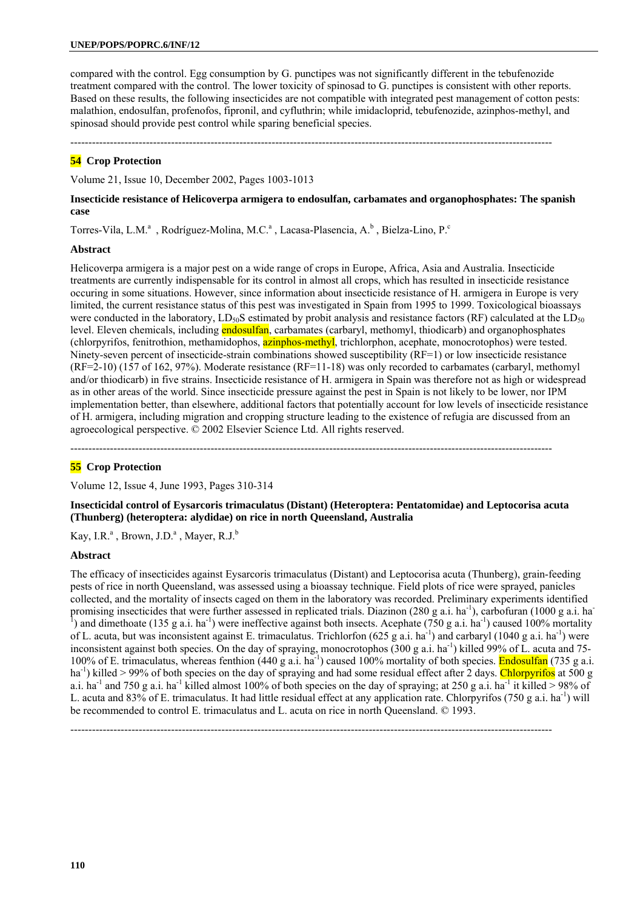compared with the control. Egg consumption by G. punctipes was not significantly different in the tebufenozide treatment compared with the control. The lower toxicity of spinosad to G. punctipes is consistent with other reports. Based on these results, the following insecticides are not compatible with integrated pest management of cotton pests: malathion, endosulfan, profenofos, fipronil, and cyfluthrin; while imidacloprid, tebufenozide, azinphos-methyl, and spinosad should provide pest control while sparing beneficial species.

--------------------------------------------------------------------------------------------------------------------------------------

## **54 Crop Protection**

Volume 21, Issue 10, December 2002, Pages 1003-1013

## **Insecticide resistance of Helicoverpa armigera to endosulfan, carbamates and organophosphates: The spanish case**

Torres-Vila, L.M.<sup>a</sup>, Rodríguez-Molina, M.C.<sup>a</sup>, Lacasa-Plasencia, A.<sup>b</sup>, Bielza-Lino, P.<sup>c</sup>

### **Abstract**

Helicoverpa armigera is a major pest on a wide range of crops in Europe, Africa, Asia and Australia. Insecticide treatments are currently indispensable for its control in almost all crops, which has resulted in insecticide resistance occuring in some situations. However, since information about insecticide resistance of H. armigera in Europe is very limited, the current resistance status of this pest was investigated in Spain from 1995 to 1999. Toxicological bioassays were conducted in the laboratory,  $LD_{50}S$  estimated by probit analysis and resistance factors (RF) calculated at the  $LD_{50}$ level. Eleven chemicals, including endosulfan, carbamates (carbaryl, methomyl, thiodicarb) and organophosphates (chlorpyrifos, fenitrothion, methamidophos, azinphos-methyl, trichlorphon, acephate, monocrotophos) were tested. Ninety-seven percent of insecticide-strain combinations showed susceptibility (RF=1) or low insecticide resistance (RF=2-10) (157 of 162, 97%). Moderate resistance (RF=11-18) was only recorded to carbamates (carbaryl, methomyl and/or thiodicarb) in five strains. Insecticide resistance of H. armigera in Spain was therefore not as high or widespread as in other areas of the world. Since insecticide pressure against the pest in Spain is not likely to be lower, nor IPM implementation better, than elsewhere, additional factors that potentially account for low levels of insecticide resistance of H. armigera, including migration and cropping structure leading to the existence of refugia are discussed from an agroecological perspective. © 2002 Elsevier Science Ltd. All rights reserved.

--------------------------------------------------------------------------------------------------------------------------------------

## **55 Crop Protection**

Volume 12, Issue 4, June 1993, Pages 310-314

**Insecticidal control of Eysarcoris trimaculatus (Distant) (Heteroptera: Pentatomidae) and Leptocorisa acuta (Thunberg) (heteroptera: alydidae) on rice in north Queensland, Australia** 

Kay, I.R.<sup>a</sup>, Brown, J.D.<sup>a</sup>, Mayer, R.J.<sup>b</sup>

## **Abstract**

The efficacy of insecticides against Eysarcoris trimaculatus (Distant) and Leptocorisa acuta (Thunberg), grain-feeding pests of rice in north Queensland, was assessed using a bioassay technique. Field plots of rice were sprayed, panicles collected, and the mortality of insects caged on them in the laboratory was recorded. Preliminary experiments identified promising insecticides that were further assessed in replicated trials. Diazinon (280 g a.i. ha<sup>-1</sup>), carbofuran (1000 g a.i. ha<sup>-1</sup>) <sup>1</sup>) and dimethoate (135 g a.i. ha<sup>-1</sup>) were ineffective against both insects. Acephate (750 g a.i. ha<sup>-1</sup>) caused 100% mortality of L. acuta, but was inconsistent against E. trimaculatus. Trichlorfon  $(625 g a.i. ha<sup>-1</sup>)$  and carbaryl  $(1040 g a.i. ha<sup>-1</sup>)$  were inconsistent against both species. On the day of spraying, monocrotophos (300 g a.i. ha<sup>-1</sup>) killed 99% of L. acuta and 75-100% of E. trimaculatus, whereas fenthion  $(440 \text{ g a.i.} \text{ha}^{-1})$  caused 100% mortality of both species. Endosulfan (735 g a.i. ha<sup>-1</sup>) killed > 99% of both species on the day of spraying and had some residual effect after 2 days. Chlorpyrifos at 500 g a.i. ha<sup>-1</sup> and 750 g a.i. ha<sup>-1</sup> killed almost 100% of both species on the day of spraying; at 250 g a.i. ha<sup>-1</sup> it killed > 98% of L. acuta and 83% of E. trimaculatus. It had little residual effect at any application rate. Chlorpyrifos (750 g a.i. ha<sup>-1</sup>) will be recommended to control E. trimaculatus and L. acuta on rice in north Queensland. © 1993.

--------------------------------------------------------------------------------------------------------------------------------------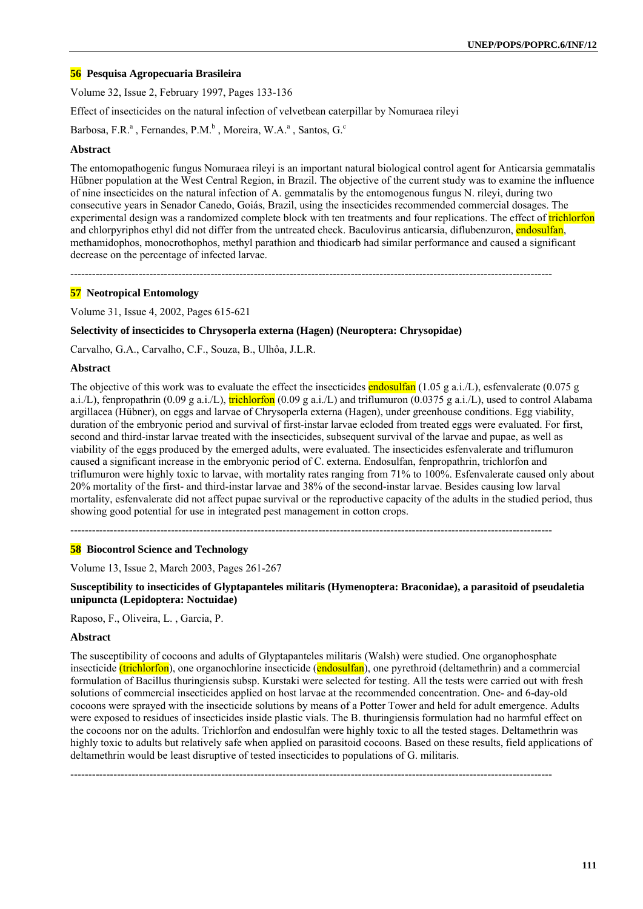## **56 Pesquisa Agropecuaria Brasileira**

Volume 32, Issue 2, February 1997, Pages 133-136

Effect of insecticides on the natural infection of velvetbean caterpillar by Nomuraea rileyi

Barbosa, F.R.<sup>a</sup>, Fernandes, P.M.<sup>b</sup>, Moreira, W.A.<sup>a</sup>, Santos, G.<sup>c</sup>

#### **Abstract**

The entomopathogenic fungus Nomuraea rileyi is an important natural biological control agent for Anticarsia gemmatalis Hübner population at the West Central Region, in Brazil. The objective of the current study was to examine the influence of nine insecticides on the natural infection of A. gemmatalis by the entomogenous fungus N. rileyi, during two consecutive years in Senador Canedo, Goiás, Brazil, using the insecticides recommended commercial dosages. The experimental design was a randomized complete block with ten treatments and four replications. The effect of **trichlorfon** and chlorpyriphos ethyl did not differ from the untreated check. Baculovirus anticarsia, diflubenzuron, endosulfan, methamidophos, monocrothophos, methyl parathion and thiodicarb had similar performance and caused a significant decrease on the percentage of infected larvae.

--------------------------------------------------------------------------------------------------------------------------------------

### **57 Neotropical Entomology**

Volume 31, Issue 4, 2002, Pages 615-621

### **Selectivity of insecticides to Chrysoperla externa (Hagen) (Neuroptera: Chrysopidae)**

Carvalho, G.A., Carvalho, C.F., Souza, B., Ulhôa, J.L.R.

### **Abstract**

The objective of this work was to evaluate the effect the insecticides endosulfan (1.05 g a.i./L), esfenvalerate (0.075 g a.i./L), fenpropathrin (0.09 g a.i./L),  $\frac{\text{trichlorfon}}{\text{(0.09 g a.i/L)}}$  and triflumuron (0.0375 g a.i./L), used to control Alabama argillacea (Hübner), on eggs and larvae of Chrysoperla externa (Hagen), under greenhouse conditions. Egg viability, duration of the embryonic period and survival of first-instar larvae ecloded from treated eggs were evaluated. For first, second and third-instar larvae treated with the insecticides, subsequent survival of the larvae and pupae, as well as viability of the eggs produced by the emerged adults, were evaluated. The insecticides esfenvalerate and triflumuron caused a significant increase in the embryonic period of C. externa. Endosulfan, fenpropathrin, trichlorfon and triflumuron were highly toxic to larvae, with mortality rates ranging from 71% to 100%. Esfenvalerate caused only about 20% mortality of the first- and third-instar larvae and 38% of the second-instar larvae. Besides causing low larval mortality, esfenvalerate did not affect pupae survival or the reproductive capacity of the adults in the studied period, thus showing good potential for use in integrated pest management in cotton crops.

--------------------------------------------------------------------------------------------------------------------------------------

## **58 Biocontrol Science and Technology**

Volume 13, Issue 2, March 2003, Pages 261-267

**Susceptibility to insecticides of Glyptapanteles militaris (Hymenoptera: Braconidae), a parasitoid of pseudaletia unipuncta (Lepidoptera: Noctuidae)** 

Raposo, F., Oliveira, L. , Garcia, P.

#### **Abstract**

The susceptibility of cocoons and adults of Glyptapanteles militaris (Walsh) were studied. One organophosphate insecticide (trichlorfon), one organochlorine insecticide (endosulfan), one pyrethroid (deltamethrin) and a commercial formulation of Bacillus thuringiensis subsp. Kurstaki were selected for testing. All the tests were carried out with fresh solutions of commercial insecticides applied on host larvae at the recommended concentration. One- and 6-day-old cocoons were sprayed with the insecticide solutions by means of a Potter Tower and held for adult emergence. Adults were exposed to residues of insecticides inside plastic vials. The B. thuringiensis formulation had no harmful effect on the cocoons nor on the adults. Trichlorfon and endosulfan were highly toxic to all the tested stages. Deltamethrin was highly toxic to adults but relatively safe when applied on parasitoid cocoons. Based on these results, field applications of deltamethrin would be least disruptive of tested insecticides to populations of G. militaris.

--------------------------------------------------------------------------------------------------------------------------------------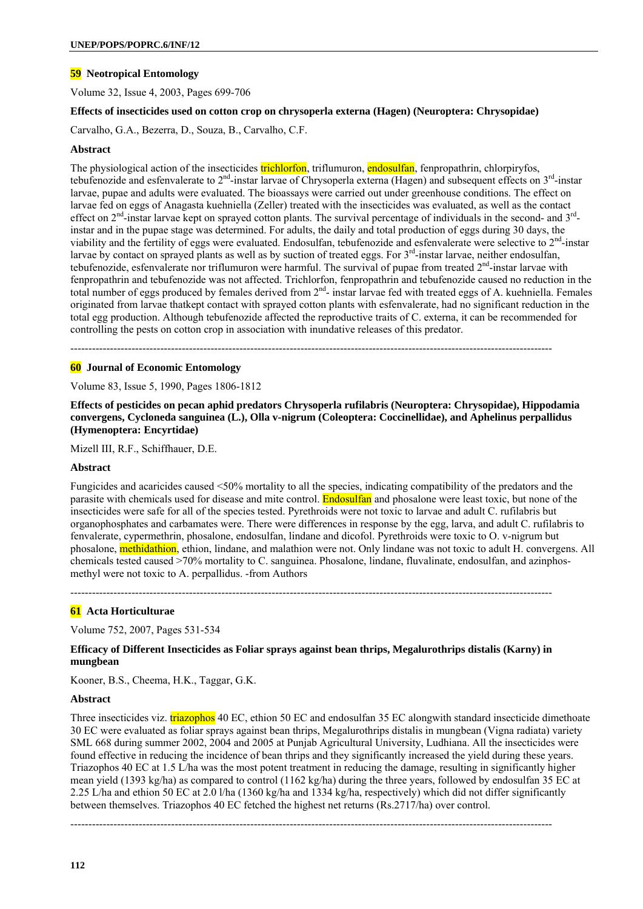## **59 Neotropical Entomology**

Volume 32, Issue 4, 2003, Pages 699-706

## **Effects of insecticides used on cotton crop on chrysoperla externa (Hagen) (Neuroptera: Chrysopidae)**

Carvalho, G.A., Bezerra, D., Souza, B., Carvalho, C.F.

## **Abstract**

The physiological action of the insecticides trichlorfon, triflumuron, endosulfan, fenpropathrin, chlorpiryfos, tebufenozide and esfenvalerate to  $2^{nd}$ -instar larvae of Chrysoperla externa (Hagen) and subsequent effects on  $3^{rd}$ -instar larvae, pupae and adults were evaluated. The bioassays were carried out under greenhouse conditions. The effect on larvae fed on eggs of Anagasta kuehniella (Zeller) treated with the insecticides was evaluated, as well as the contact effect on  $2<sup>nd</sup>$ -instar larvae kept on sprayed cotton plants. The survival percentage of individuals in the second- and  $3<sup>rd</sup>$ instar and in the pupae stage was determined. For adults, the daily and total production of eggs during 30 days, the viability and the fertility of eggs were evaluated. Endosulfan, tebufenozide and esfenvalerate were selective to  $2<sup>nd</sup>$ -instar larvae by contact on sprayed plants as well as by suction of treated eggs. For  $3<sup>rd</sup>$ -instar larvae, neither endosulfan, tebufenozide, esfenvalerate nor triflumuron were harmful. The survival of pupae from treated 2<sup>nd</sup>-instar larvae with fenpropathrin and tebufenozide was not affected. Trichlorfon, fenpropathrin and tebufenozide caused no reduction in the total number of eggs produced by females derived from  $2<sup>nd</sup>$ - instar larvae fed with treated eggs of A. kuehniella. Females originated from larvae thatkept contact with sprayed cotton plants with esfenvalerate, had no significant reduction in the total egg production. Although tebufenozide affected the reproductive traits of C. externa, it can be recommended for controlling the pests on cotton crop in association with inundative releases of this predator.

--------------------------------------------------------------------------------------------------------------------------------------

### **60 Journal of Economic Entomology**

Volume 83, Issue 5, 1990, Pages 1806-1812

**Effects of pesticides on pecan aphid predators Chrysoperla rufilabris (Neuroptera: Chrysopidae), Hippodamia convergens, Cycloneda sanguinea (L.), Olla v-nigrum (Coleoptera: Coccinellidae), and Aphelinus perpallidus (Hymenoptera: Encyrtidae)** 

Mizell III, R.F., Schiffhauer, D.E.

## **Abstract**

Fungicides and acaricides caused <50% mortality to all the species, indicating compatibility of the predators and the parasite with chemicals used for disease and mite control. Endosulfan and phosalone were least toxic, but none of the insecticides were safe for all of the species tested. Pyrethroids were not toxic to larvae and adult C. rufilabris but organophosphates and carbamates were. There were differences in response by the egg, larva, and adult C. rufilabris to fenvalerate, cypermethrin, phosalone, endosulfan, lindane and dicofol. Pyrethroids were toxic to O. v-nigrum but phosalone, methidathion, ethion, lindane, and malathion were not. Only lindane was not toxic to adult H. convergens. All chemicals tested caused >70% mortality to C. sanguinea. Phosalone, lindane, fluvalinate, endosulfan, and azinphosmethyl were not toxic to A. perpallidus. -from Authors

--------------------------------------------------------------------------------------------------------------------------------------

## **61 Acta Horticulturae**

Volume 752, 2007, Pages 531-534

## **Efficacy of Different Insecticides as Foliar sprays against bean thrips, Megalurothrips distalis (Karny) in mungbean**

Kooner, B.S., Cheema, H.K., Taggar, G.K.

## **Abstract**

Three insecticides viz. **triazophos** 40 EC, ethion 50 EC and endosulfan 35 EC alongwith standard insecticide dimethoate 30 EC were evaluated as foliar sprays against bean thrips, Megalurothrips distalis in mungbean (Vigna radiata) variety SML 668 during summer 2002, 2004 and 2005 at Punjab Agricultural University, Ludhiana. All the insecticides were found effective in reducing the incidence of bean thrips and they significantly increased the yield during these years. Triazophos 40 EC at 1.5 L/ha was the most potent treatment in reducing the damage, resulting in significantly higher mean yield (1393 kg/ha) as compared to control (1162 kg/ha) during the three years, followed by endosulfan 35 EC at 2.25 L/ha and ethion 50 EC at 2.0 l/ha (1360 kg/ha and 1334 kg/ha, respectively) which did not differ significantly between themselves. Triazophos 40 EC fetched the highest net returns (Rs.2717/ha) over control.

--------------------------------------------------------------------------------------------------------------------------------------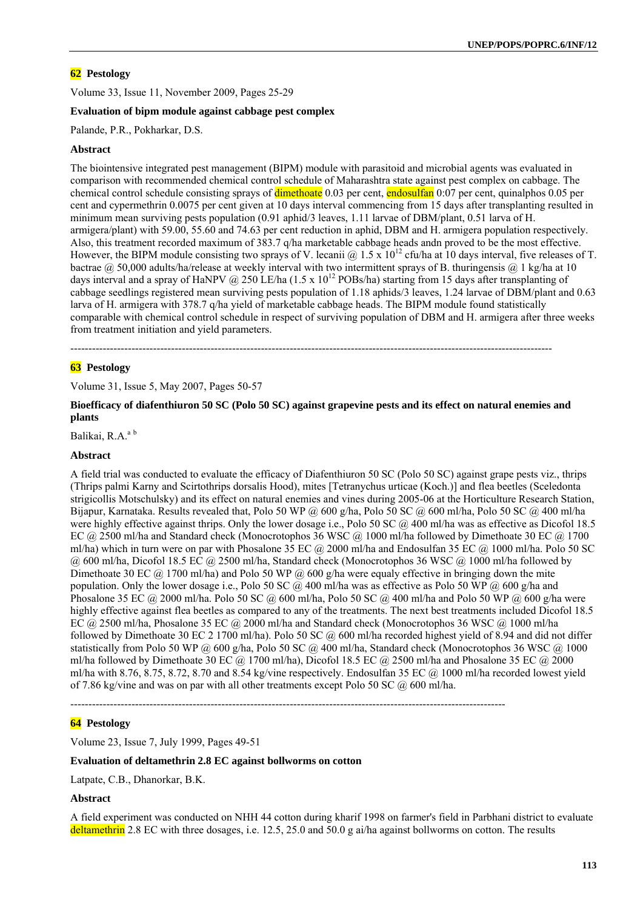## **62 Pestology**

Volume 33, Issue 11, November 2009, Pages 25-29

## **Evaluation of bipm module against cabbage pest complex**

Palande, P.R., Pokharkar, D.S.

## **Abstract**

The biointensive integrated pest management (BIPM) module with parasitoid and microbial agents was evaluated in comparison with recommended chemical control schedule of Maharashtra state against pest complex on cabbage. The chemical control schedule consisting sprays of dimethoate 0.03 per cent, endosulfan 0:07 per cent, quinalphos 0.05 per cent and cypermethrin 0.0075 per cent given at 10 days interval commencing from 15 days after transplanting resulted in minimum mean surviving pests population (0.91 aphid/3 leaves, 1.11 larvae of DBM/plant, 0.51 larva of H. armigera/plant) with 59.00, 55.60 and 74.63 per cent reduction in aphid, DBM and H. armigera population respectively. Also, this treatment recorded maximum of 383.7 q/ha marketable cabbage heads andn proved to be the most effective. However, the BIPM module consisting two sprays of V. lecanii @ 1.5 x  $10^{12}$  cfu/ha at 10 days interval, five releases of T. bactrae @ 50,000 adults/ha/release at weekly interval with two intermittent sprays of B. thuringensis @ 1 kg/ha at 10 days interval and a spray of HaNPV @ 250 LE/ha (1.5 x  $10^{12}$  POBs/ha) starting from 15 days after transplanting of cabbage seedlings registered mean surviving pests population of 1.18 aphids/3 leaves, 1.24 larvae of DBM/plant and 0.63 larva of H. armigera with 378.7 q/ha yield of marketable cabbage heads. The BIPM module found statistically comparable with chemical control schedule in respect of surviving population of DBM and H. armigera after three weeks from treatment initiation and yield parameters.

--------------------------------------------------------------------------------------------------------------------------------------

### **63 Pestology**

Volume 31, Issue 5, May 2007, Pages 50-57

## **Bioefficacy of diafenthiuron 50 SC (Polo 50 SC) against grapevine pests and its effect on natural enemies and plants**

Balikai, R.A.<sup>a b</sup>

## **Abstract**

A field trial was conducted to evaluate the efficacy of Diafenthiuron 50 SC (Polo 50 SC) against grape pests viz., thrips (Thrips palmi Karny and Scirtothrips dorsalis Hood), mites [Tetranychus urticae (Koch.)] and flea beetles (Sceledonta strigicollis Motschulsky) and its effect on natural enemies and vines during 2005-06 at the Horticulture Research Station, Bijapur, Karnataka. Results revealed that, Polo 50 WP @ 600 g/ha, Polo 50 SC @ 600 ml/ha, Polo 50 SC @ 400 ml/ha were highly effective against thrips. Only the lower dosage i.e., Polo 50 SC @ 400 ml/ha was as effective as Dicofol 18.5 EC @ 2500 ml/ha and Standard check (Monocrotophos 36 WSC @ 1000 ml/ha followed by Dimethoate 30 EC @ 1700 ml/ha) which in turn were on par with Phosalone 35 EC  $\omega$  2000 ml/ha and Endosulfan 35 EC  $\omega$  1000 ml/ha. Polo 50 SC @ 600 ml/ha, Dicofol 18.5 EC @ 2500 ml/ha, Standard check (Monocrotophos 36 WSC @ 1000 ml/ha followed by Dimethoate 30 EC  $\omega$  1700 ml/ha) and Polo 50 WP  $\omega$  600 g/ha were equaly effective in bringing down the mite population. Only the lower dosage i.e., Polo 50 SC  $\dddot{\omega}$  400 ml/ha was as effective as Polo 50 WP  $\ddot{\omega}$  600 g/ha and Phosalone 35 EC  $\omega$  2000 ml/ha. Polo 50 SC  $\omega$  600 ml/ha, Polo 50 SC  $\omega$  400 ml/ha and Polo 50 WP  $\omega$  600 g/ha were highly effective against flea beetles as compared to any of the treatments. The next best treatments included Dicofol 18.5 EC @ 2500 ml/ha, Phosalone 35 EC @ 2000 ml/ha and Standard check (Monocrotophos 36 WSC @ 1000 ml/ha followed by Dimethoate 30 EC 2 1700 ml/ha). Polo 50 SC  $\omega$  600 ml/ha recorded highest yield of 8.94 and did not differ statistically from Polo 50 WP  $\omega$  600 g/ha, Polo 50 SC  $\omega$  400 ml/ha, Standard check (Monocrotophos 36 WSC  $\omega$  1000 ml/ha followed by Dimethoate 30 EC  $\omega$  1700 ml/ha), Dicofol 18.5 EC  $\omega$  2500 ml/ha and Phosalone 35 EC  $\omega$  2000 ml/ha with 8.76, 8.75, 8.72, 8.70 and 8.54 kg/vine respectively. Endosulfan 35 EC  $\omega$  1000 ml/ha recorded lowest yield of 7.86 kg/vine and was on par with all other treatments except Polo 50 SC  $\omega$  600 ml/ha.

-------------------------------------------------------------------------------------------------------------------------

## **64 Pestology**

Volume 23, Issue 7, July 1999, Pages 49-51

## **Evaluation of deltamethrin 2.8 EC against bollworms on cotton**

Latpate, C.B., Dhanorkar, B.K.

#### **Abstract**

A field experiment was conducted on NHH 44 cotton during kharif 1998 on farmer's field in Parbhani district to evaluate deltamethrin 2.8 EC with three dosages, i.e. 12.5, 25.0 and 50.0 g ai/ha against bollworms on cotton. The results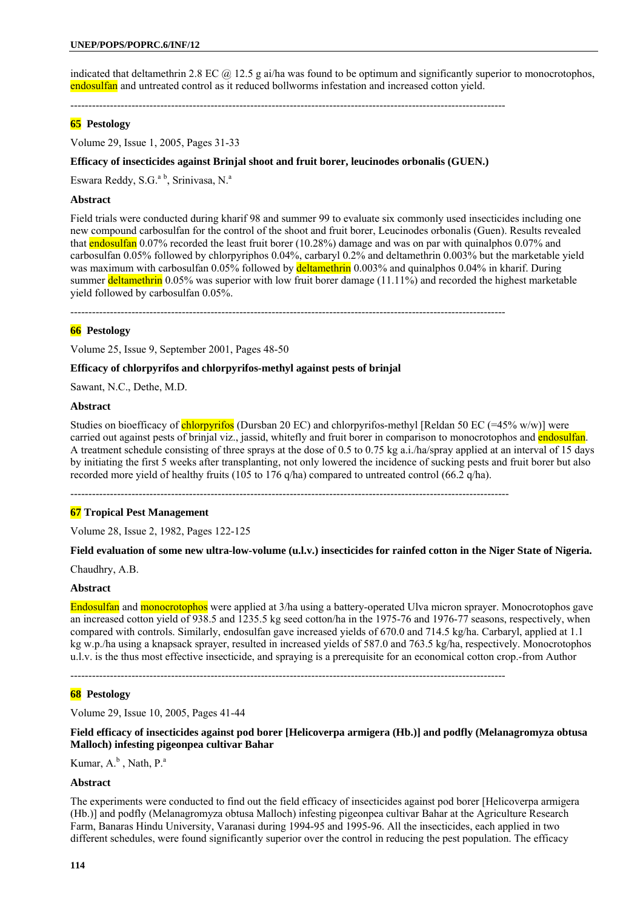indicated that deltamethrin 2.8 EC  $\omega$  12.5 g ai/ha was found to be optimum and significantly superior to monocrotophos, endosulfan and untreated control as it reduced bollworms infestation and increased cotton yield.

-------------------------------------------------------------------------------------------------------------------------

## **65 Pestology**

Volume 29, Issue 1, 2005, Pages 31-33

## **Efficacy of insecticides against Brinjal shoot and fruit borer, leucinodes orbonalis (GUEN.)**

Eswara Reddy, S.G.<sup>a b</sup>, Srinivasa, N.<sup>a</sup>

### **Abstract**

Field trials were conducted during kharif 98 and summer 99 to evaluate six commonly used insecticides including one new compound carbosulfan for the control of the shoot and fruit borer, Leucinodes orbonalis (Guen). Results revealed that endosulfan 0.07% recorded the least fruit borer (10.28%) damage and was on par with quinalphos 0.07% and carbosulfan 0.05% followed by chlorpyriphos 0.04%, carbaryl 0.2% and deltamethrin 0.003% but the marketable yield was maximum with carbosulfan 0.05% followed by deltamethrin 0.003% and quinalphos 0.04% in kharif. During summer deltamethrin 0.05% was superior with low fruit borer damage  $(11.11\%)$  and recorded the highest marketable yield followed by carbosulfan 0.05%.

-------------------------------------------------------------------------------------------------------------------------

## **66 Pestology**

Volume 25, Issue 9, September 2001, Pages 48-50

#### **Efficacy of chlorpyrifos and chlorpyrifos-methyl against pests of brinjal**

Sawant, N.C., Dethe, M.D.

## **Abstract**

Studies on bioefficacy of chlorpyrifos (Dursban 20 EC) and chlorpyrifos-methyl [Reldan 50 EC (=45% w/w)] were carried out against pests of brinjal viz., jassid, whitefly and fruit borer in comparison to monocrotophos and endosulfan. A treatment schedule consisting of three sprays at the dose of 0.5 to 0.75 kg a.i./ha/spray applied at an interval of 15 days by initiating the first 5 weeks after transplanting, not only lowered the incidence of sucking pests and fruit borer but also recorded more yield of healthy fruits (105 to 176 q/ha) compared to untreated control (66.2 q/ha).

--------------------------------------------------------------------------------------------------------------------------

## **67 Tropical Pest Management**

Volume 28, Issue 2, 1982, Pages 122-125

#### **Field evaluation of some new ultra-low-volume (u.l.v.) insecticides for rainfed cotton in the Niger State of Nigeria.**

Chaudhry, A.B.

#### **Abstract**

Endosulfan and monocrotophos were applied at 3/ha using a battery-operated Ulva micron sprayer. Monocrotophos gave an increased cotton yield of 938.5 and 1235.5 kg seed cotton/ha in the 1975-76 and 1976-77 seasons, respectively, when compared with controls. Similarly, endosulfan gave increased yields of 670.0 and 714.5 kg/ha. Carbaryl, applied at 1.1 kg w.p./ha using a knapsack sprayer, resulted in increased yields of 587.0 and 763.5 kg/ha, respectively. Monocrotophos u.l.v. is the thus most effective insecticide, and spraying is a prerequisite for an economical cotton crop.-from Author

-------------------------------------------------------------------------------------------------------------------------

### **68 Pestology**

Volume 29, Issue 10, 2005, Pages 41-44

**Field efficacy of insecticides against pod borer [Helicoverpa armigera (Hb.)] and podfly (Melanagromyza obtusa Malloch) infesting pigeonpea cultivar Bahar** 

Kumar,  $A^b$ , Nath,  $P^a$ .

#### **Abstract**

The experiments were conducted to find out the field efficacy of insecticides against pod borer [Helicoverpa armigera (Hb.)] and podfly (Melanagromyza obtusa Malloch) infesting pigeonpea cultivar Bahar at the Agriculture Research Farm, Banaras Hindu University, Varanasi during 1994-95 and 1995-96. All the insecticides, each applied in two different schedules, were found significantly superior over the control in reducing the pest population. The efficacy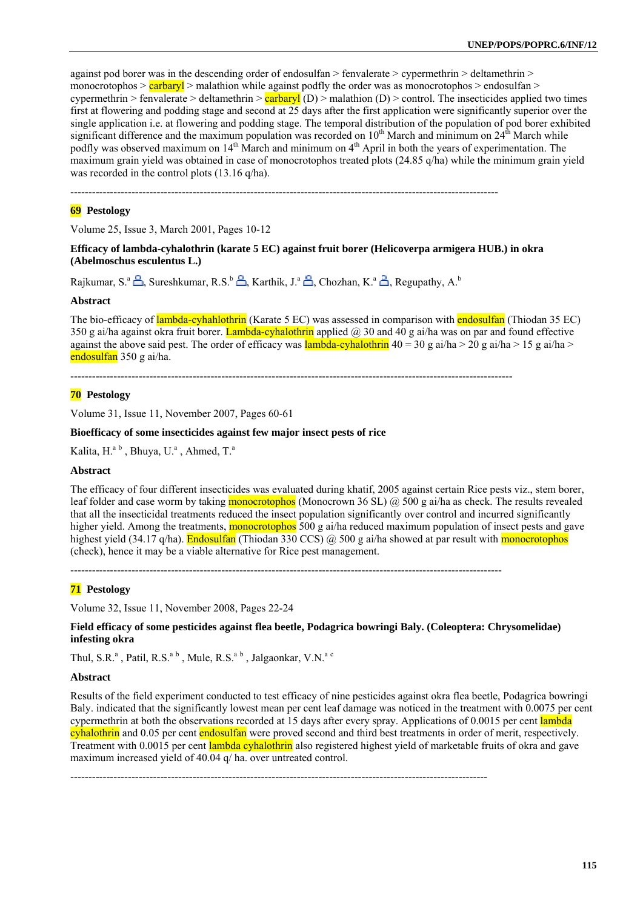against pod borer was in the descending order of endosulfan  $>$  fenvalerate  $>$  cypermethrin  $>$  deltamethrin  $>$ monocrotophos >  $\text{carbary}$  > malathion while against podfly the order was as monocrotophos > endosulfan > cypermethrin > fenvalerate > deltamethrin >  $\frac{carbaryI}{(D)}$  > malathion (D) > control. The insecticides applied two times first at flowering and podding stage and second at 25 days after the first application were significantly superior over the single application i.e. at flowering and podding stage. The temporal distribution of the population of pod borer exhibited significant difference and the maximum population was recorded on  $10<sup>th</sup>$  March and minimum on  $24<sup>th</sup>$  March while podfly was observed maximum on 14<sup>th</sup> March and minimum on 4<sup>th</sup> April in both the years of experimentation. The maximum grain yield was obtained in case of monocrotophos treated plots (24.85 q/ha) while the minimum grain yield was recorded in the control plots (13.16 q/ha).

-----------------------------------------------------------------------------------------------------------------------

## **69 Pestology**

Volume 25, Issue 3, March 2001, Pages 10-12

**Efficacy of lambda-cyhalothrin (karate 5 EC) against fruit borer (Helicoverpa armigera HUB.) in okra (Abelmoschus esculentus L.)** 

Rajkumar, S.<sup>a</sup>  $\triangle$ , Sureshkumar, R.S.<sup>b</sup>  $\triangle$ , Karthik, J.<sup>a</sup>  $\triangle$ , Chozhan, K.<sup>a</sup>  $\triangle$ , Regupathy, A.<sup>b</sup>

#### **Abstract**

The bio-efficacy of lambda-cyhahlothrin (Karate 5 EC) was assessed in comparison with endosulfan (Thiodan 35 EC) 350 g ai/ha against okra fruit borer. Lambda-cyhalothrin applied  $\omega$  30 and 40 g ai/ha was on par and found effective against the above said pest. The order of efficacy was lambda-cyhalothrin  $40 = 30$  g ai/ha  $> 20$  g ai/ha  $> 15$  g ai/ha  $>$ endosulfan 350 g ai/ha.

---------------------------------------------------------------------------------------------------------------------------

## **70 Pestology**

Volume 31, Issue 11, November 2007, Pages 60-61

#### **Bioefficacy of some insecticides against few major insect pests of rice**

Kalita, H.<sup>a b</sup>, Bhuya, U.<sup>a</sup>, Ahmed, T.<sup>a</sup>

## **Abstract**

The efficacy of four different insecticides was evaluated during khatif, 2005 against certain Rice pests viz., stem borer, leaf folder and case worm by taking **monocrotophos** (Monocrown 36 SL)  $\omega$  500 g ai/ha as check. The results revealed that all the insecticidal treatments reduced the insect population significantly over control and incurred significantly higher yield. Among the treatments, **monocrotophos** 500 g ai/ha reduced maximum population of insect pests and gave highest yield (34.17 q/ha). Endosulfan (Thiodan 330 CCS) @ 500 g ai/ha showed at par result with monocrotophos (check), hence it may be a viable alternative for Rice pest management.

------------------------------------------------------------------------------------------------------------------------

## **71 Pestology**

Volume 32, Issue 11, November 2008, Pages 22-24

**Field efficacy of some pesticides against flea beetle, Podagrica bowringi Baly. (Coleoptera: Chrysomelidae) infesting okra** 

Thul, S.R.<sup>a</sup>, Patil, R.S.<sup>a b</sup>, Mule, R.S.<sup>a b</sup>, Jalgaonkar, V.N.<sup>a c</sup>

#### **Abstract**

Results of the field experiment conducted to test efficacy of nine pesticides against okra flea beetle, Podagrica bowringi Baly. indicated that the significantly lowest mean per cent leaf damage was noticed in the treatment with 0.0075 per cent cypermethrin at both the observations recorded at 15 days after every spray. Applications of 0.0015 per cent lambda cyhalothrin and 0.05 per cent endosulfan were proved second and third best treatments in order of merit, respectively. Treatment with 0.0015 per cent lambda cyhalothrin also registered highest yield of marketable fruits of okra and gave maximum increased yield of 40.04 q/ ha. over untreated control.

--------------------------------------------------------------------------------------------------------------------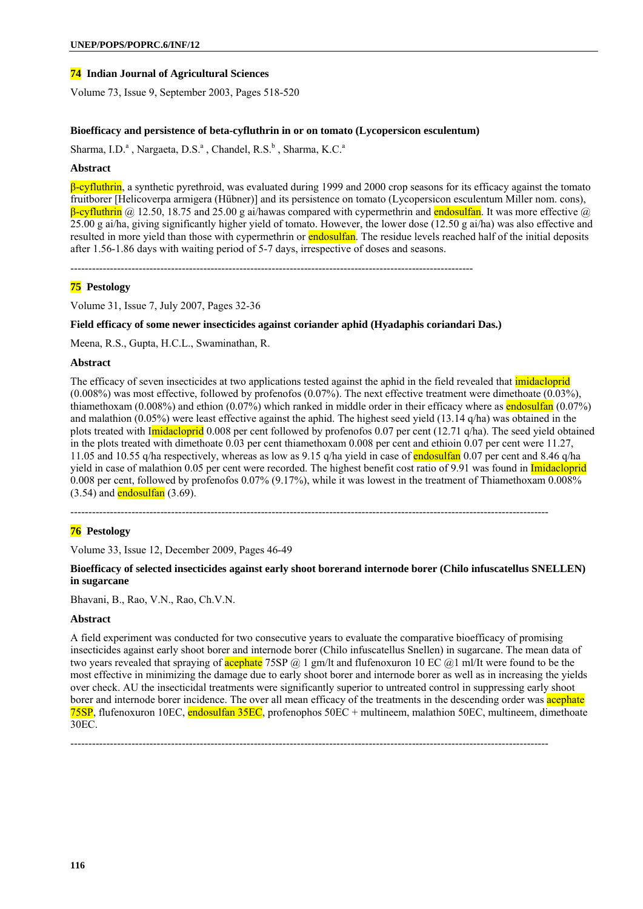## **74 Indian Journal of Agricultural Sciences**

Volume 73, Issue 9, September 2003, Pages 518-520

### **Bioefficacy and persistence of beta-cyfluthrin in or on tomato (Lycopersicon esculentum)**

Sharma, I.D.<sup>a</sup>, Nargaeta, D.S.<sup>a</sup>, Chandel, R.S.<sup>b</sup>, Sharma, K.C.<sup>a</sup>

#### **Abstract**

β-cyfluthrin, a synthetic pyrethroid, was evaluated during 1999 and 2000 crop seasons for its efficacy against the tomato fruitborer [Helicoverpa armigera (Hübner)] and its persistence on tomato (Lycopersicon esculentum Miller nom. cons),  $\beta$ -cyfluthrin ( $\alpha$ ) 12.50, 18.75 and 25.00 g ai/hawas compared with cypermethrin and endosulfan. It was more effective ( $\alpha$ )  $25.00$  g ai/ha, giving significantly higher yield of tomato. However, the lower dose (12.50 g ai/ha) was also effective and resulted in more yield than those with cypermethrin or **endosulfan**. The residue levels reached half of the initial deposits after 1.56-1.86 days with waiting period of 5-7 days, irrespective of doses and seasons.

----------------------------------------------------------------------------------------------------------------

### **75 Pestology**

Volume 31, Issue 7, July 2007, Pages 32-36

## **Field efficacy of some newer insecticides against coriander aphid (Hyadaphis coriandari Das.)**

Meena, R.S., Gupta, H.C.L., Swaminathan, R.

#### **Abstract**

The efficacy of seven insecticides at two applications tested against the aphid in the field revealed that *imidacloprid* (0.008%) was most effective, followed by profenofos (0.07%). The next effective treatment were dimethoate (0.03%), thiamethoxam (0.008%) and ethion (0.07%) which ranked in middle order in their efficacy where as **endosultan** (0.07%) and malathion (0.05%) were least effective against the aphid. The highest seed yield (13.14 q/ha) was obtained in the plots treated with Imidacloprid 0.008 per cent followed by profenofos 0.07 per cent (12.71 q/ha). The seed yield obtained in the plots treated with dimethoate 0.03 per cent thiamethoxam 0.008 per cent and ethioin 0.07 per cent were 11.27, 11.05 and 10.55 q/ha respectively, whereas as low as 9.15 q/ha yield in case of **endosulfan** 0.07 per cent and 8.46 q/ha yield in case of malathion 0.05 per cent were recorded. The highest benefit cost ratio of 9.91 was found in Imidacloprid 0.008 per cent, followed by profenofos 0.07% (9.17%), while it was lowest in the treatment of Thiamethoxam 0.008%  $(3.54)$  and endosulfan  $(3.69)$ .

-------------------------------------------------------------------------------------------------------------------------------------

## **76 Pestology**

Volume 33, Issue 12, December 2009, Pages 46-49

**Bioefficacy of selected insecticides against early shoot borerand internode borer (Chilo infuscatellus SNELLEN) in sugarcane** 

Bhavani, B., Rao, V.N., Rao, Ch.V.N.

## **Abstract**

A field experiment was conducted for two consecutive years to evaluate the comparative bioefficacy of promising insecticides against early shoot borer and internode borer (Chilo infuscatellus Snellen) in sugarcane. The mean data of two years revealed that spraying of **acephate** 75SP  $@$  1 gm/lt and flufenoxuron 10 EC  $@$ 1 ml/It were found to be the most effective in minimizing the damage due to early shoot borer and internode borer as well as in increasing the yields over check. AU the insecticidal treatments were significantly superior to untreated control in suppressing early shoot borer and internode borer incidence. The over all mean efficacy of the treatments in the descending order was acephate 75SP, flufenoxuron 10EC, endosulfan 35EC, profenophos 50EC + multineem, malathion 50EC, multineem, dimethoate 30EC.

-------------------------------------------------------------------------------------------------------------------------------------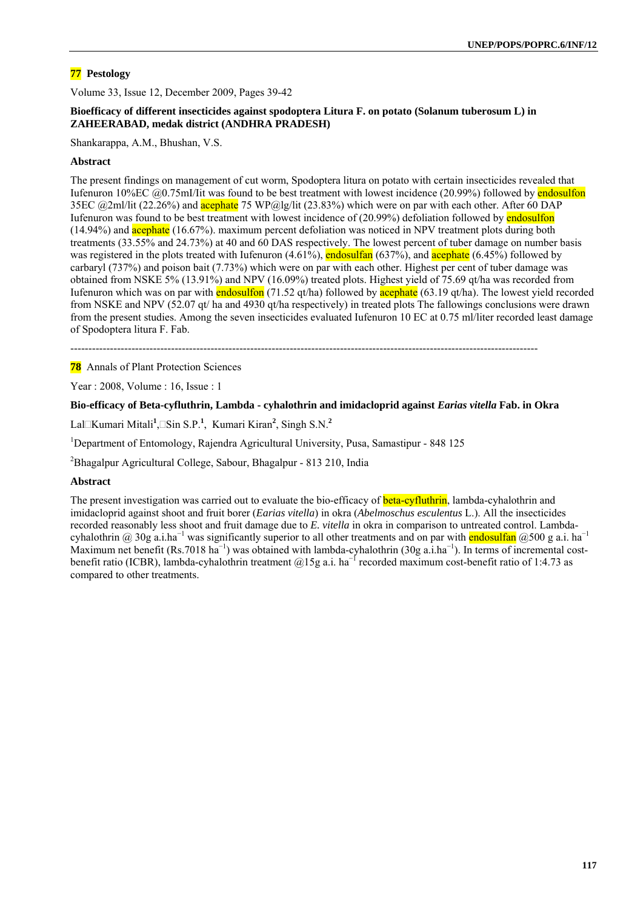## **77 Pestology**

Volume 33, Issue 12, December 2009, Pages 39-42

## **Bioefficacy of different insecticides against spodoptera Litura F. on potato (Solanum tuberosum L) in ZAHEERABAD, medak district (ANDHRA PRADESH)**

Shankarappa, A.M., Bhushan, V.S.

### **Abstract**

The present findings on management of cut worm, Spodoptera litura on potato with certain insecticides revealed that Iufenuron 10%EC @0.75mI/Iit was found to be best treatment with lowest incidence (20.99%) followed by endosulfon 35EC @2ml/lit (22.26%) and **acephate** 75 WP@lg/lit (23.83%) which were on par with each other. After 60 DAP Iufenuron was found to be best treatment with lowest incidence of (20.99%) defoliation followed by endosulfon (14.94%) and **acephate** (16.67%). maximum percent defoliation was noticed in NPV treatment plots during both treatments (33.55% and 24.73%) at 40 and 60 DAS respectively. The lowest percent of tuber damage on number basis was registered in the plots treated with Iufenuron  $(4.61\%)$ , endosulfan  $(637\%)$ , and acephate  $(6.45\%)$  followed by carbaryl (737%) and poison bait (7.73%) which were on par with each other. Highest per cent of tuber damage was obtained from NSKE 5% (13.91%) and NPV (16.09%) treated plots. Highest yield of 75.69 qt/ha was recorded from Iufenuron which was on par with endosulfon  $(71.52 \text{ qt/ha})$  followed by acephate  $(63.19 \text{ qt/ha})$ . The lowest yield recorded from NSKE and NPV (52.07 qt/ ha and 4930 qt/ha respectively) in treated plots The fallowings conclusions were drawn from the present studies. Among the seven insecticides evaluated Iufenuron 10 EC at 0.75 ml/liter recorded least damage of Spodoptera litura F. Fab.

----------------------------------------------------------------------------------------------------------------------------------

**78** Annals of Plant Protection Sciences

Year : 2008, Volume : 16, Issue : 1

#### **Bio-efficacy of Beta-cyfluthrin, Lambda - cyhalothrin and imidacloprid against** *Earias vitella* **Fab. in Okra**

Lal□Kumari Mitali<sup>1</sup>,□Sin S.P.<sup>1</sup>, Kumari Kiran<sup>2</sup>, Singh S.N.<sup>2</sup>

<sup>1</sup>Department of Entomology, Rajendra Agricultural University, Pusa, Samastipur - 848 125

2 Bhagalpur Agricultural College, Sabour, Bhagalpur - 813 210, India

## **Abstract**

The present investigation was carried out to evaluate the bio-efficacy of **beta-cyfluthrin**, lambda-cyhalothrin and imidacloprid against shoot and fruit borer (*Earias vitella*) in okra (*Abelmoschus esculentus* L.). All the insecticides recorded reasonably less shoot and fruit damage due to *E. vitella* in okra in comparison to untreated control. Lambdacyhalothrin @ 30g a.i.ha<sup>-1</sup> was significantly superior to all other treatments and on par with **endosulfan** @500 g a.i. ha<sup>-1</sup> Maximum net benefit (Rs.7018 ha<sup>-1</sup>) was obtained with lambda-cyhalothrin (30g a.i.ha<sup>-1</sup>). In terms of incremental costbenefit ratio (ICBR), lambda-cyhalothrin treatment @15g a.i. ha<sup>-1</sup> recorded maximum cost-benefit ratio of 1:4.73 as compared to other treatments.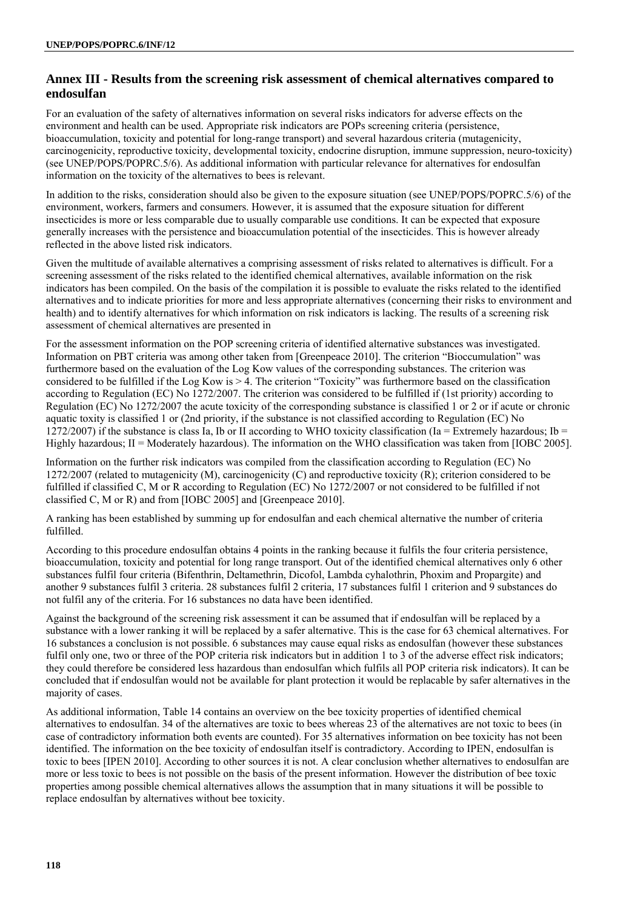# **Annex III - Results from the screening risk assessment of chemical alternatives compared to endosulfan**

For an evaluation of the safety of alternatives information on several risks indicators for adverse effects on the environment and health can be used. Appropriate risk indicators are POPs screening criteria (persistence, bioaccumulation, toxicity and potential for long-range transport) and several hazardous criteria (mutagenicity, carcinogenicity, reproductive toxicity, developmental toxicity, endocrine disruption, immune suppression, neuro-toxicity) (see UNEP/POPS/POPRC.5/6). As additional information with particular relevance for alternatives for endosulfan information on the toxicity of the alternatives to bees is relevant.

In addition to the risks, consideration should also be given to the exposure situation (see UNEP/POPS/POPRC.5/6) of the environment, workers, farmers and consumers. However, it is assumed that the exposure situation for different insecticides is more or less comparable due to usually comparable use conditions. It can be expected that exposure generally increases with the persistence and bioaccumulation potential of the insecticides. This is however already reflected in the above listed risk indicators.

Given the multitude of available alternatives a comprising assessment of risks related to alternatives is difficult. For a screening assessment of the risks related to the identified chemical alternatives, available information on the risk indicators has been compiled. On the basis of the compilation it is possible to evaluate the risks related to the identified alternatives and to indicate priorities for more and less appropriate alternatives (concerning their risks to environment and health) and to identify alternatives for which information on risk indicators is lacking. The results of a screening risk assessment of chemical alternatives are presented in

For the assessment information on the POP screening criteria of identified alternative substances was investigated. Information on PBT criteria was among other taken from [Greenpeace 2010]. The criterion "Bioccumulation" was furthermore based on the evaluation of the Log Kow values of the corresponding substances. The criterion was considered to be fulfilled if the Log Kow is > 4. The criterion "Toxicity" was furthermore based on the classification according to Regulation (EC) No 1272/2007. The criterion was considered to be fulfilled if (1st priority) according to Regulation (EC) No 1272/2007 the acute toxicity of the corresponding substance is classified 1 or 2 or if acute or chronic aquatic toxity is classified 1 or (2nd priority, if the substance is not classified according to Regulation (EC) No 1272/2007) if the substance is class Ia, Ib or II according to WHO toxicity classification (Ia = Extremely hazardous; Ib = Highly hazardous; II = Moderately hazardous). The information on the WHO classification was taken from [IOBC 2005].

Information on the further risk indicators was compiled from the classification according to Regulation (EC) No 1272/2007 (related to mutagenicity (M), carcinogenicity (C) and reproductive toxicity (R); criterion considered to be fulfilled if classified C, M or R according to Regulation (EC) No 1272/2007 or not considered to be fulfilled if not classified C, M or R) and from [IOBC 2005] and [Greenpeace 2010].

A ranking has been established by summing up for endosulfan and each chemical alternative the number of criteria fulfilled.

According to this procedure endosulfan obtains 4 points in the ranking because it fulfils the four criteria persistence, bioaccumulation, toxicity and potential for long range transport. Out of the identified chemical alternatives only 6 other substances fulfil four criteria (Bifenthrin, Deltamethrin, Dicofol, Lambda cyhalothrin, Phoxim and Propargite) and another 9 substances fulfil 3 criteria. 28 substances fulfil 2 criteria, 17 substances fulfil 1 criterion and 9 substances do not fulfil any of the criteria. For 16 substances no data have been identified.

Against the background of the screening risk assessment it can be assumed that if endosulfan will be replaced by a substance with a lower ranking it will be replaced by a safer alternative. This is the case for 63 chemical alternatives. For 16 substances a conclusion is not possible. 6 substances may cause equal risks as endosulfan (however these substances fulfil only one, two or three of the POP criteria risk indicators but in addition 1 to 3 of the adverse effect risk indicators; they could therefore be considered less hazardous than endosulfan which fulfils all POP criteria risk indicators). It can be concluded that if endosulfan would not be available for plant protection it would be replacable by safer alternatives in the majority of cases.

As additional information, Table 14 contains an overview on the bee toxicity properties of identified chemical alternatives to endosulfan. 34 of the alternatives are toxic to bees whereas 23 of the alternatives are not toxic to bees (in case of contradictory information both events are counted). For 35 alternatives information on bee toxicity has not been identified. The information on the bee toxicity of endosulfan itself is contradictory. According to IPEN, endosulfan is toxic to bees [IPEN 2010]. According to other sources it is not. A clear conclusion whether alternatives to endosulfan are more or less toxic to bees is not possible on the basis of the present information. However the distribution of bee toxic properties among possible chemical alternatives allows the assumption that in many situations it will be possible to replace endosulfan by alternatives without bee toxicity.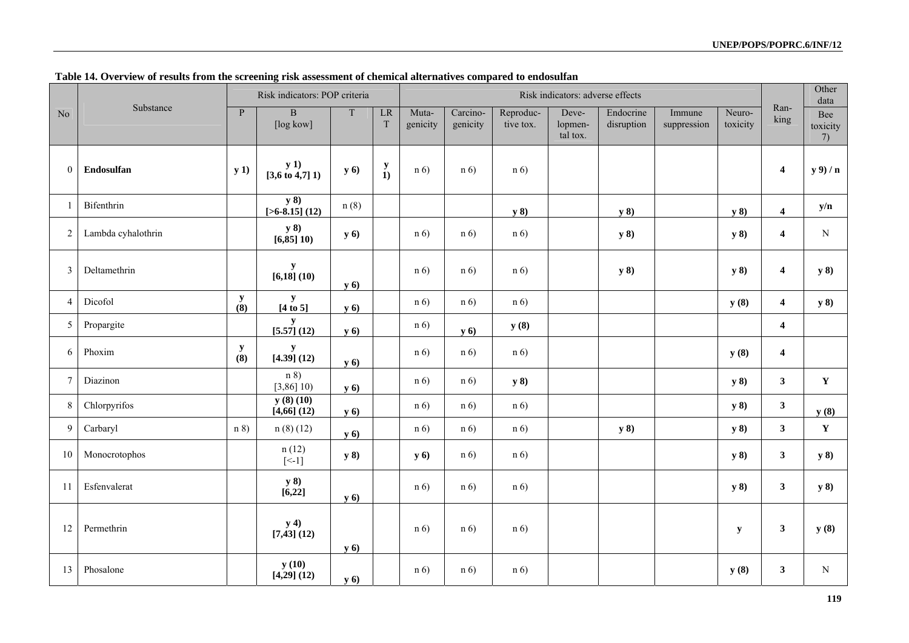|                  |                    |                    | Risk indicators: POP criteria      |             |                             | Risk indicators: adverse effects |                      |                        |                              |                         |                       |                    |                         | Other<br>data         |
|------------------|--------------------|--------------------|------------------------------------|-------------|-----------------------------|----------------------------------|----------------------|------------------------|------------------------------|-------------------------|-----------------------|--------------------|-------------------------|-----------------------|
| No               | Substance          | $\overline{P}$     | $\, {\bf B}$<br>[log kow]          | $\mathbf T$ | $\mathbf{L}\mathbf{R}$<br>T | Muta-<br>genicity                | Carcino-<br>genicity | Reproduc-<br>tive tox. | Deve-<br>lopmen-<br>tal tox. | Endocrine<br>disruption | Immune<br>suppression | Neuro-<br>toxicity | Ran-<br>king            | Bee<br>toxicity<br>7) |
| $\boldsymbol{0}$ | Endosulfan         | y(1)               | y(1)<br>$[3,6 \text{ to } 4,7]$ 1) | <b>y</b> 6) | $\frac{y}{1}$               | n(6)                             | n(6)                 | n(6)                   |                              |                         |                       |                    | $\overline{\mathbf{4}}$ | $y$ 9) / n            |
| 1                | Bifenthrin         |                    | y 8)<br>$[>6-8.15]$ (12)           | n(8)        |                             |                                  |                      | y 8)                   |                              | y 8)                    |                       | y(8)               | $\overline{\mathbf{4}}$ | y/n                   |
| $\overline{c}$   | Lambda cyhalothrin |                    | y 8)<br>[6, 85] 10                 | <b>y</b> 6) |                             | n(6)                             | n(6)                 | n(6)                   |                              | y 8)                    |                       | y 8)               | $\overline{\mathbf{4}}$ | ${\bf N}$             |
| 3                | Deltamethrin       |                    | y<br>[6, 18] (10)                  | <b>y</b> 6) |                             | n(6)                             | n(6)                 | n(6)                   |                              | y 8)                    |                       | y 8)               | $\overline{\mathbf{4}}$ | y 8)                  |
| $\overline{4}$   | Dicofol            | ${\bf y}$<br>(8)   | ${\bf y}$<br>$[4 \text{ to } 5]$   | <b>y</b> 6) |                             | n(6)                             | n(6)                 | n(6)                   |                              |                         |                       | y(8)               | $\overline{4}$          | <b>y</b> 8)           |
| 5                | Propargite         |                    | y<br>[5.57] (12)                   | <b>y</b> 6) |                             | n(6)                             | <b>y</b> 6)          | y(8)                   |                              |                         |                       |                    | $\overline{\mathbf{4}}$ |                       |
| 6                | Phoxim             | $\mathbf y$<br>(8) | y<br>[4.39] (12)                   | <b>y</b> 6) |                             | n(6)                             | n(6)                 | n(6)                   |                              |                         |                       | y(8)               | $\overline{4}$          |                       |
| $\overline{7}$   | Diazinon           |                    | n 8<br>[3,86]10                    | <b>y</b> 6) |                             | n(6)                             | n(6)                 | y 8)                   |                              |                         |                       | y 8)               | $\mathbf{3}$            | $\mathbf{Y}$          |
| 8                | Chlorpyrifos       |                    | y(8)(10)<br>$[4,66]$ $(12)$        | <b>y</b> 6) |                             | n(6)                             | n(6)                 | n(6)                   |                              |                         |                       | y(8)               | $\mathbf{3}$            | y(8)                  |
| 9                | Carbaryl           | n 8)               | n(8)(12)                           | <b>y</b> 6) |                             | n(6)                             | n(6)                 | n(6)                   |                              | y 8)                    |                       | y 8)               | $\mathbf{3}$            | $\mathbf Y$           |
| 10               | Monocrotophos      |                    | n(12)<br>$\left[\times 1\right]$   | y 8)        |                             | y(6)                             | n(6)                 | n(6)                   |                              |                         |                       | y 8)               | $\mathbf{3}$            | y 8)                  |
| -11              | Esfenvalerat       |                    | y 8)<br>[6,22]                     | <b>y</b> 6) |                             | n(6)                             | n(6)                 | n(6)                   |                              |                         |                       | y 8)               | $\mathbf{3}$            | y 8)                  |
| 12               | Permethrin         |                    | y(4)<br>$[7, 43]$ (12)             | <b>y</b> 6) |                             | n(6)                             | n(6)                 | n(6)                   |                              |                         |                       | y                  | $\mathbf{3}$            | y(8)                  |
| 13               | Phosalone          |                    | y(10)<br>$[4,29]$ $(12)$           | <b>y</b> 6) |                             | n(6)                             | n(6)                 | n(6)                   |                              |                         |                       | y(8)               | $\mathbf{3}$            | $\mathbf N$           |

## **Table 14. Overview of results from the screening risk assessment of chemical alternatives compared to endosulfan**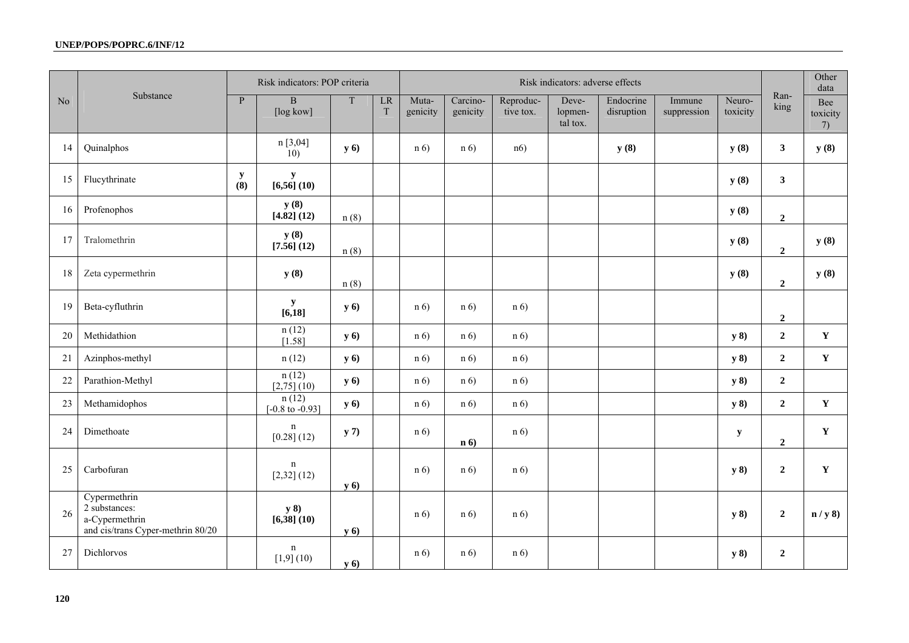|                |                                                                                      |                  | Risk indicators: POP criteria                  |             |         | Risk indicators: adverse effects |                      |                        |                              |                         |                       |                    | Other<br>data    |                       |
|----------------|--------------------------------------------------------------------------------------|------------------|------------------------------------------------|-------------|---------|----------------------------------|----------------------|------------------------|------------------------------|-------------------------|-----------------------|--------------------|------------------|-----------------------|
| N <sub>o</sub> | Substance                                                                            | P                | $\mathbf B$<br>$\lceil \log \text{kow} \rceil$ | T           | LR<br>T | Muta-<br>genicity                | Carcino-<br>genicity | Reproduc-<br>tive tox. | Deve-<br>lopmen-<br>tal tox. | Endocrine<br>disruption | Immune<br>suppression | Neuro-<br>toxicity | Ran-<br>king     | Bee<br>toxicity<br>7) |
| 14             | Quinalphos                                                                           |                  | n [3,04]<br>10)                                | <b>y</b> 6) |         | n(6)                             | n(6)                 | n6)                    |                              | y(8)                    |                       | y(8)               | $\mathbf{3}$     | y(8)                  |
| 15             | Flucythrinate                                                                        | ${\bf y}$<br>(8) | y<br>[6,56] (10)                               |             |         |                                  |                      |                        |                              |                         |                       | y(8)               | $\mathbf{3}$     |                       |
| 16             | Profenophos                                                                          |                  | y(8)<br>[4.82] (12)                            | n(8)        |         |                                  |                      |                        |                              |                         |                       | y(8)               | $\mathbf 2$      |                       |
| 17             | Tralomethrin                                                                         |                  | y(8)<br>[7.56] (12)                            | n(8)        |         |                                  |                      |                        |                              |                         |                       | y(8)               | $\mathbf 2$      | y(8)                  |
| 18             | Zeta cypermethrin                                                                    |                  | y(8)                                           | n(8)        |         |                                  |                      |                        |                              |                         |                       | y(8)               | $\overline{2}$   | y(8)                  |
| 19             | Beta-cyfluthrin                                                                      |                  | ${\bf y}$<br>$\overline{[6,18]}$               | <b>y</b> 6) |         | n(6)                             | n(6)                 | n(6)                   |                              |                         |                       |                    | $\boldsymbol{2}$ |                       |
| 20             | Methidathion                                                                         |                  | n(12)<br>[1.58]                                | <b>y</b> 6) |         | n(6)                             | n(6)                 | n(6)                   |                              |                         |                       | y 8)               | $\overline{2}$   | $\mathbf Y$           |
| 21             | Azinphos-methyl                                                                      |                  | n(12)                                          | <b>y</b> 6) |         | n(6)                             | n(6)                 | n(6)                   |                              |                         |                       | y 8)               | $\overline{2}$   | $\mathbf Y$           |
| 22             | Parathion-Methyl                                                                     |                  | n(12)<br>$[2,75]$ (10)                         | <b>y</b> 6) |         | n(6)                             | n(6)                 | n(6)                   |                              |                         |                       | y 8)               | $\mathbf{2}$     |                       |
| 23             | Methamidophos                                                                        |                  | n(12)<br>$[-0.8 \text{ to } -0.93]$            | <b>y</b> 6) |         | n(6)                             | n(6)                 | n(6)                   |                              |                         |                       | y 8)               | $\overline{2}$   | $\mathbf Y$           |
| 24             | Dimethoate                                                                           |                  | $\mathbf n$<br>$[0.28]$ $(12)$                 | y(7)        |         | n(6)                             | n(6)                 | n(6)                   |                              |                         |                       | $\mathbf y$        | $\overline{2}$   | $\mathbf Y$           |
| 25             | Carbofuran                                                                           |                  | n<br>$[2,32]$ (12)                             | <b>y</b> 6) |         | n(6)                             | n(6)                 | n(6)                   |                              |                         |                       | y 8)               | $\overline{2}$   | $\mathbf Y$           |
| 26             | Cypermethrin<br>2 substances:<br>a-Cypermethrin<br>and cis/trans Cyper-methrin 80/20 |                  | y 8)<br>$[6,38]$ $(10)$                        | <b>y</b> 6) |         | n(6)                             | n(6)                 | n(6)                   |                              |                         |                       | y 8)               | $\overline{2}$   | n / y 8               |
| 27             | Dichlorvos                                                                           |                  | $\mathbf n$<br>[1,9] (10)                      | <b>y</b> 6) |         | n(6)                             | n(6)                 | n(6)                   |                              |                         |                       | y 8)               | $\boldsymbol{2}$ |                       |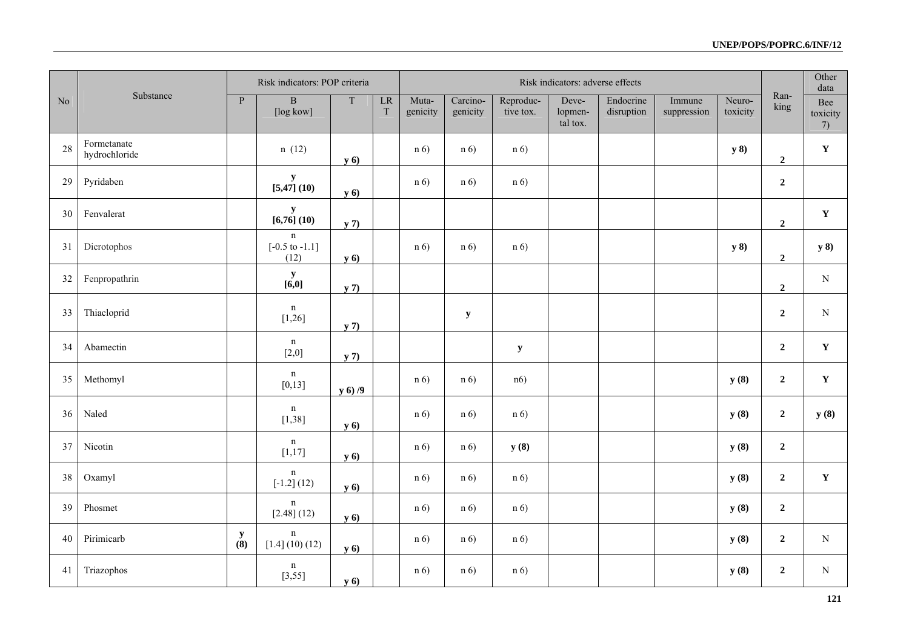|                |                              |                  | Risk indicators: POP criteria                    |             |                                       | Risk indicators: adverse effects |                      |                        |                              |                         |                       |                    | Other<br>data    |                       |
|----------------|------------------------------|------------------|--------------------------------------------------|-------------|---------------------------------------|----------------------------------|----------------------|------------------------|------------------------------|-------------------------|-----------------------|--------------------|------------------|-----------------------|
| N <sub>o</sub> | Substance                    | P                | $\, {\bf B}$<br>[log kow]                        | $\mathbf T$ | $\overline{\text{LR}}$<br>$\mathbf T$ | Muta-<br>genicity                | Carcino-<br>genicity | Reproduc-<br>tive tox. | Deve-<br>lopmen-<br>tal tox. | Endocrine<br>disruption | Immune<br>suppression | Neuro-<br>toxicity | Ran-<br>king     | Bee<br>toxicity<br>7) |
| 28             | Formetanate<br>hydrochloride |                  | n(12)                                            | y(6)        |                                       | n(6)                             | n(6)                 | n(6)                   |                              |                         |                       | y 8)               | $\boldsymbol{2}$ | $\mathbf Y$           |
| 29             | Pyridaben                    |                  | ${\bf y}$<br>[5,47] (10)                         | <b>y</b> 6) |                                       | n(6)                             | n(6)                 | n(6)                   |                              |                         |                       |                    | $\boldsymbol{2}$ |                       |
| 30             | Fenvalerat                   |                  | $\frac{y}{[6,76](10)}$                           | y(7)        |                                       |                                  |                      |                        |                              |                         |                       |                    | $\overline{2}$   | $\mathbf Y$           |
| 31             | Dicrotophos                  |                  | $\mathbf n$<br>$[-0.5 \text{ to } -1.1]$<br>(12) | <b>y</b> 6) |                                       | n(6)                             | n(6)                 | n(6)                   |                              |                         |                       | y 8)               | $\boldsymbol{2}$ | y 8)                  |
| 32             | Fenpropathrin                |                  | $\frac{y}{[6,0]}$                                | y(7)        |                                       |                                  |                      |                        |                              |                         |                       |                    | $\boldsymbol{2}$ | ${\bf N}$             |
| 33             | Thiacloprid                  |                  | n<br>[1,26]                                      | y(7)        |                                       |                                  | $\mathbf y$          |                        |                              |                         |                       |                    | $\overline{2}$   | ${\bf N}$             |
| 34             | Abamectin                    |                  | n<br>[2,0]                                       | y(7)        |                                       |                                  |                      | $\mathbf y$            |                              |                         |                       |                    | $\overline{2}$   | $\mathbf Y$           |
| 35             | Methomyl                     |                  | n<br>[0, 13]                                     | y(6)/9      |                                       | n(6)                             | n(6)                 | n6)                    |                              |                         |                       | y(8)               | $\boldsymbol{2}$ | $\mathbf Y$           |
| 36             | Naled                        |                  | $\mathbf n$<br>[1,38]                            | <b>y</b> 6) |                                       | n(6)                             | n(6)                 | n(6)                   |                              |                         |                       | y(8)               | $\boldsymbol{2}$ | y(8)                  |
| 37             | Nicotin                      |                  | n<br>[1, 17]                                     | <b>y</b> 6) |                                       | n(6)                             | n(6)                 | y(8)                   |                              |                         |                       | y(8)               | $\overline{2}$   |                       |
| 38             | Oxamyl                       |                  | n<br>$[-1.2] (12)$                               | y(6)        |                                       | n(6)                             | n(6)                 | n(6)                   |                              |                         |                       | y(8)               | $\boldsymbol{2}$ | $\mathbf Y$           |
| 39             | Phosmet                      |                  | $\mathbf n$<br>$[2.48]$ (12)                     | <b>y</b> 6) |                                       | n(6)                             | n(6)                 | n(6)                   |                              |                         |                       | y(8)               | $\overline{2}$   |                       |
| 40             | Pirimicarb                   | ${\bf y}$<br>(8) | n<br>[1.4] (10) (12)                             | <b>y</b> 6) |                                       | n(6)                             | n(6)                 | n(6)                   |                              |                         |                       | y(8)               | $\boldsymbol{2}$ | $\mathbf N$           |
| 41             | Triazophos                   |                  | $\mathbf n$<br>[3, 55]                           | y(6)        |                                       | n(6)                             | n(6)                 | n(6)                   |                              |                         |                       | y(8)               | $\overline{2}$   | ${\bf N}$             |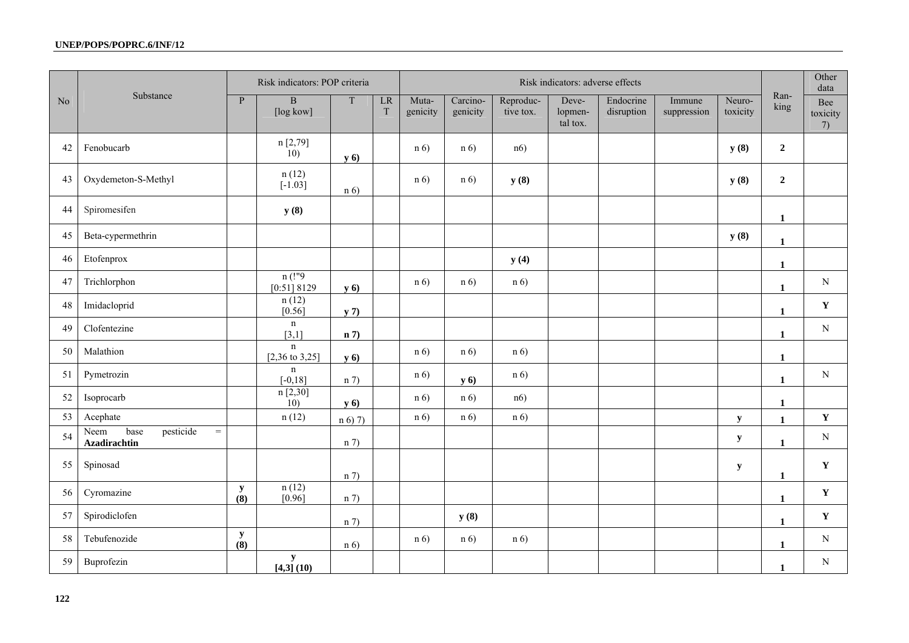|                |                                                              |                    | Risk indicators: POP criteria            |             |         | Risk indicators: adverse effects |                      |                        |                              |                         |                       |                    |                | Other<br>data         |
|----------------|--------------------------------------------------------------|--------------------|------------------------------------------|-------------|---------|----------------------------------|----------------------|------------------------|------------------------------|-------------------------|-----------------------|--------------------|----------------|-----------------------|
| N <sub>o</sub> | Substance                                                    | $\mathbf{P}$       | $\, {\bf B}$<br>[log kow]                | $\mathbf T$ | LR<br>T | Muta-<br>genicity                | Carcino-<br>genicity | Reproduc-<br>tive tox. | Deve-<br>lopmen-<br>tal tox. | Endocrine<br>disruption | Immune<br>suppression | Neuro-<br>toxicity | Ran-<br>king   | Bee<br>toxicity<br>7) |
| 42             | Fenobucarb                                                   |                    | n [2,79]<br>$\left(10\right)$            | <b>y</b> 6) |         | n(6)                             | n(6)                 | n6)                    |                              |                         |                       | y(8)               | $\overline{2}$ |                       |
| 43             | Oxydemeton-S-Methyl                                          |                    | n(12)<br>$[-1.03]$                       | n(6)        |         | n(6)                             | n(6)                 | y(8)                   |                              |                         |                       | y(8)               | $\overline{2}$ |                       |
| 44             | Spiromesifen                                                 |                    | y(8)                                     |             |         |                                  |                      |                        |                              |                         |                       |                    | 1              |                       |
| 45             | Beta-cypermethrin                                            |                    |                                          |             |         |                                  |                      |                        |                              |                         |                       | y(8)               | $\mathbf{1}$   |                       |
| 46             | Etofenprox                                                   |                    |                                          |             |         |                                  |                      | y(4)                   |                              |                         |                       |                    | $\mathbf{1}$   |                       |
| 47             | Trichlorphon                                                 |                    | $n($ !"9<br>[0:51] 8129                  | <b>y</b> 6) |         | n(6)                             | n(6)                 | n(6)                   |                              |                         |                       |                    | $\mathbf{1}$   | ${\bf N}$             |
| 48             | Imidacloprid                                                 |                    | n(12)<br>$[0.56]$                        | y(7)        |         |                                  |                      |                        |                              |                         |                       |                    | 1              | $\mathbf Y$           |
| 49             | Clofentezine                                                 |                    | $\mathbf n$<br>[3,1]                     | n 7         |         |                                  |                      |                        |                              |                         |                       |                    | $\mathbf{1}$   | ${\bf N}$             |
| 50             | Malathion                                                    |                    | $\mathbf n$<br>$[2,36 \text{ to } 3,25]$ | <b>y</b> 6) |         | n(6)                             | n(6)                 | n(6)                   |                              |                         |                       |                    | $\mathbf{1}$   |                       |
| 51             | Pymetrozin                                                   |                    | $\mathbf n$<br>$[-0, 18]$                | n 7         |         | n(6)                             | y 6)                 | n(6)                   |                              |                         |                       |                    | $\mathbf{1}$   | ${\bf N}$             |
| 52             | Isoprocarb                                                   |                    | n[2,30]<br>10)                           | y(6)        |         | n(6)                             | n(6)                 | n6)                    |                              |                         |                       |                    | 1              |                       |
| 53             | Acephate                                                     |                    | n(12)                                    | $n(6)$ 7)   |         | n(6)                             | n(6)                 | n(6)                   |                              |                         |                       | $\mathbf y$        | $\mathbf{1}$   | $\mathbf Y$           |
| 54             | pesticide<br>base<br>$\equiv$<br>Neem<br><b>Azadirachtin</b> |                    |                                          | n 7         |         |                                  |                      |                        |                              |                         |                       | $\mathbf y$        | $\mathbf{1}$   | ${\bf N}$             |
| 55             | Spinosad                                                     |                    |                                          | n(7)        |         |                                  |                      |                        |                              |                         |                       | $\mathbf y$        | 1              | Y                     |
| 56             | Cyromazine                                                   | $\mathbf y$<br>(8) | n(12)<br>[0.96]                          | n 7         |         |                                  |                      |                        |                              |                         |                       |                    | $\mathbf{1}$   | $\mathbf Y$           |
| 57             | Spirodiclofen                                                |                    |                                          | n 7         |         |                                  | y(8)                 |                        |                              |                         |                       |                    | 1              | Y                     |
| 58             | Tebufenozide                                                 | $\mathbf y$<br>(8) |                                          | n(6)        |         | n(6)                             | n(6)                 | n(6)                   |                              |                         |                       |                    | $\mathbf{1}$   | $\mathbf N$           |
| 59             | Buprofezin                                                   |                    | ${\bf y}$<br>[4,3] (10)                  |             |         |                                  |                      |                        |                              |                         |                       |                    | 1              | N                     |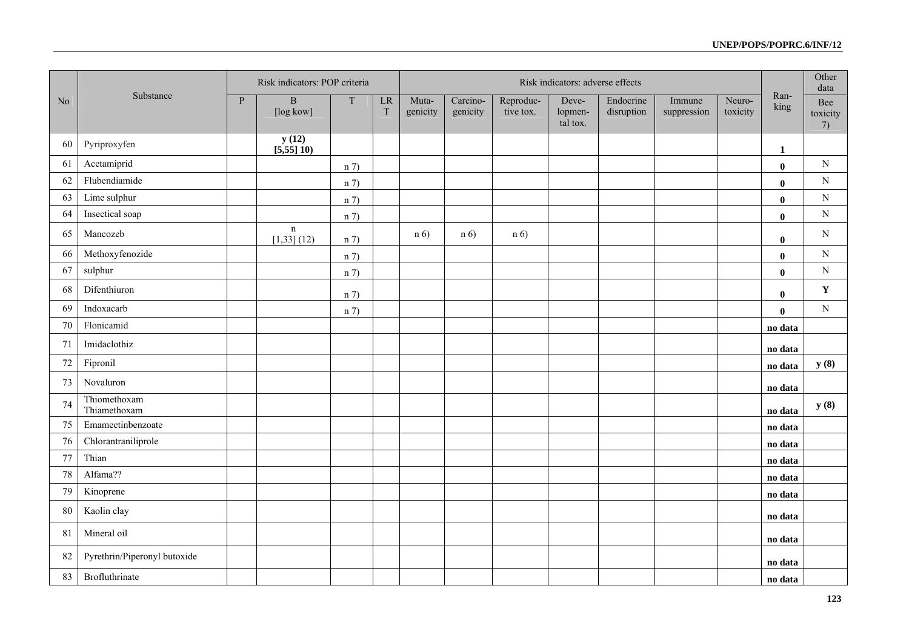|                |                              |                | Risk indicators: POP criteria |             |               | Risk indicators: adverse effects |                      |                        |                              |                         |                       |                    |              | Other<br>data         |
|----------------|------------------------------|----------------|-------------------------------|-------------|---------------|----------------------------------|----------------------|------------------------|------------------------------|-------------------------|-----------------------|--------------------|--------------|-----------------------|
| N <sub>o</sub> | Substance                    | $\overline{P}$ | $\, {\bf B}$<br>[log kow]     | $\mathbf T$ | $\rm LR$<br>T | Muta-<br>genicity                | Carcino-<br>genicity | Reproduc-<br>tive tox. | Deve-<br>lopmen-<br>tal tox. | Endocrine<br>disruption | Immune<br>suppression | Neuro-<br>toxicity | Ran-<br>king | Bee<br>toxicity<br>7) |
| 60             | Pyriproxyfen                 |                | y(12)<br>[5,55]10             |             |               |                                  |                      |                        |                              |                         |                       |                    | 1            |                       |
| 61             | Acetamiprid                  |                |                               | n 7         |               |                                  |                      |                        |                              |                         |                       |                    | $\mathbf{0}$ | $\mathbf N$           |
| 62             | Flubendiamide                |                |                               | n 7         |               |                                  |                      |                        |                              |                         |                       |                    | $\bf{0}$     | ${\bf N}$             |
| 63             | Lime sulphur                 |                |                               | n 7         |               |                                  |                      |                        |                              |                         |                       |                    | $\mathbf{0}$ | ${\bf N}$             |
| 64             | Insectical soap              |                |                               | n 7         |               |                                  |                      |                        |                              |                         |                       |                    | $\bf{0}$     | ${\bf N}$             |
| 65             | Mancozeb                     |                | $\mathbf n$<br>$[1,33]$ (12)  | n 7         |               | n(6)                             | n(6)                 | n(6)                   |                              |                         |                       |                    | $\bf{0}$     | $\mathbf N$           |
| 66             | Methoxyfenozide              |                |                               | n 7         |               |                                  |                      |                        |                              |                         |                       |                    | $\bf{0}$     | ${\bf N}$             |
| 67             | sulphur                      |                |                               | n 7         |               |                                  |                      |                        |                              |                         |                       |                    | $\bf{0}$     | $\mathbf N$           |
| 68             | Difenthiuron                 |                |                               | n 7         |               |                                  |                      |                        |                              |                         |                       |                    | $\mathbf 0$  | $\mathbf Y$           |
| 69             | Indoxacarb                   |                |                               | n 7         |               |                                  |                      |                        |                              |                         |                       |                    | $\mathbf{0}$ | ${\bf N}$             |
| 70             | Flonicamid                   |                |                               |             |               |                                  |                      |                        |                              |                         |                       |                    | no data      |                       |
| 71             | Imidaclothiz                 |                |                               |             |               |                                  |                      |                        |                              |                         |                       |                    | no data      |                       |
| $72\,$         | Fipronil                     |                |                               |             |               |                                  |                      |                        |                              |                         |                       |                    | no data      | y(8)                  |
| 73             | Novaluron                    |                |                               |             |               |                                  |                      |                        |                              |                         |                       |                    | no data      |                       |
| 74             | Thiomethoxam<br>Thiamethoxam |                |                               |             |               |                                  |                      |                        |                              |                         |                       |                    | no data      | y(8)                  |
| 75             | Emamectinbenzoate            |                |                               |             |               |                                  |                      |                        |                              |                         |                       |                    | no data      |                       |
| 76             | Chlorantraniliprole          |                |                               |             |               |                                  |                      |                        |                              |                         |                       |                    | no data      |                       |
| 77             | Thian                        |                |                               |             |               |                                  |                      |                        |                              |                         |                       |                    | no data      |                       |
| $78\,$         | Alfama??                     |                |                               |             |               |                                  |                      |                        |                              |                         |                       |                    | no data      |                       |
| 79             | Kinoprene                    |                |                               |             |               |                                  |                      |                        |                              |                         |                       |                    | no data      |                       |
| 80             | Kaolin clay                  |                |                               |             |               |                                  |                      |                        |                              |                         |                       |                    | no data      |                       |
| 81             | Mineral oil                  |                |                               |             |               |                                  |                      |                        |                              |                         |                       |                    | no data      |                       |
| 82             | Pyrethrin/Piperonyl butoxide |                |                               |             |               |                                  |                      |                        |                              |                         |                       |                    | no data      |                       |
| 83             | Brofluthrinate               |                |                               |             |               |                                  |                      |                        |                              |                         |                       |                    | no data      |                       |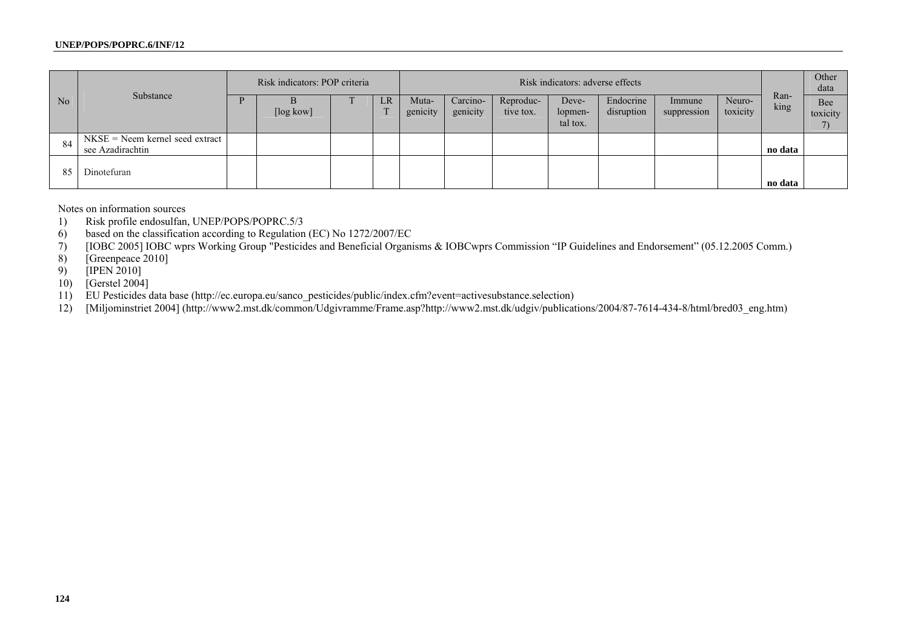|    | Substance                                             | Risk indicators: POP criteria |           |  |    | Risk indicators: adverse effects |                      |                        |                              |                         |                       |                    | Other<br>data |                 |
|----|-------------------------------------------------------|-------------------------------|-----------|--|----|----------------------------------|----------------------|------------------------|------------------------------|-------------------------|-----------------------|--------------------|---------------|-----------------|
| No |                                                       |                               | [log kow] |  | LR | Muta-<br>genicity                | Carcino-<br>genicity | Reproduc-<br>tive tox. | Deve-<br>lopmen-<br>tal tox. | Endocrine<br>disruption | Immune<br>suppression | Neuro-<br>toxicity | Ran-<br>king  | Bee<br>toxicity |
| 84 | $NKSE = Neem$ kernel seed extract<br>see Azadirachtin |                               |           |  |    |                                  |                      |                        |                              |                         |                       |                    | no data       |                 |
| 85 | Dinotefuran                                           |                               |           |  |    |                                  |                      |                        |                              |                         |                       |                    | no data       |                 |

Notes on information sources

1) Risk profile endosulfan, UNEP/POPS/POPRC.5/3

6) based on the classification according to Regulation (EC) No 1272/2007/EC

7) [IOBC 2005] IOBC wprs Working Group "Pesticides and Beneficial Organisms & IOBCwprs Commission "IP Guidelines and Endorsement" (05.12.2005 Comm.)

[Greenpeace 2010]

9) [IPEN 2010]

10) [Gerstel 2004]

11) EU Pesticides data base (http://ec.europa.eu/sanco\_pesticides/public/index.cfm?event=activesubstance.selection)

12) [Miljominstriet 2004] (http://www2.mst.dk/common/Udgivramme/Frame.asp?http://www2.mst.dk/udgiv/publications/2004/87-7614-434-8/html/bred03\_eng.htm)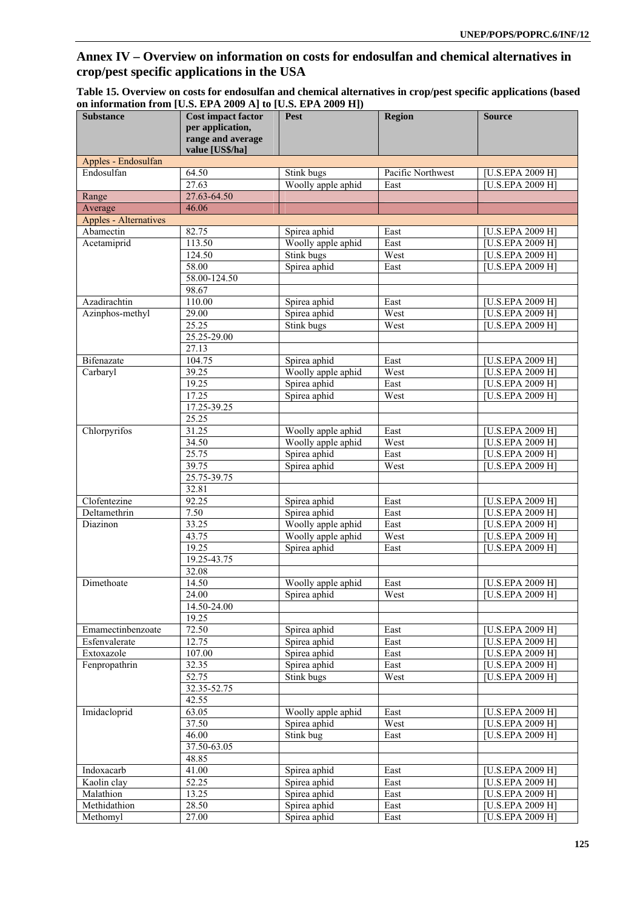# **Annex IV – Overview on information on costs for endosulfan and chemical alternatives in crop/pest specific applications in the USA**

| <b>Substance</b>             | $\frac{1}{2}$<br><b>Cost impact factor</b><br>per application, | Pest                         | Region            | <b>Source</b>                        |
|------------------------------|----------------------------------------------------------------|------------------------------|-------------------|--------------------------------------|
|                              | range and average<br>value [US\$/ha]                           |                              |                   |                                      |
| Apples - Endosulfan          |                                                                |                              |                   |                                      |
| Endosulfan                   | 64.50                                                          | Stink bugs                   | Pacific Northwest | [U.S.EPA 2009 H]                     |
|                              | 27.63                                                          | Woolly apple aphid           | East              | [U.S.EPA 2009 H]                     |
| Range                        | 27.63-64.50                                                    |                              |                   |                                      |
| Average                      | 46.06                                                          |                              |                   |                                      |
| <b>Apples - Alternatives</b> |                                                                |                              |                   |                                      |
| Abamectin                    | 82.75                                                          | Spirea aphid                 | East              | [U.S.EPA 2009 H]                     |
| Acetamiprid                  | 113.50                                                         | Woolly apple aphid           | East              | [U.S.EPA 2009 H]                     |
|                              | 124.50                                                         | Stink bugs                   | West              | [U.S.EPA 2009 H]                     |
|                              | 58.00<br>58.00-124.50                                          | Spirea aphid                 | East              | [U.S.EPA 2009 H]                     |
|                              | 98.67                                                          |                              |                   |                                      |
| Azadirachtin                 | 110.00                                                         | Spirea aphid                 | East              | [U.S.EPA 2009 H]                     |
| Azinphos-methyl              | 29.00                                                          | Spirea aphid                 | West              | [U.S.EPA 2009 H]                     |
|                              | 25.25                                                          | Stink bugs                   | West              | [U.S.EPA 2009 H]                     |
|                              | 25.25-29.00                                                    |                              |                   |                                      |
|                              | 27.13                                                          |                              |                   |                                      |
| Bifenazate                   | 104.75                                                         | Spirea aphid                 | East              | [U.S.EPA 2009 H]                     |
| Carbaryl                     | 39.25                                                          | Woolly apple aphid           | West              | [U.S.EPA 2009 H]                     |
|                              | 19.25                                                          | Spirea aphid                 | East              | [U.S.EPA 2009 H]                     |
|                              | 17.25                                                          | Spirea aphid                 | West              | [U.S.EPA 2009 H]                     |
|                              | $17.25 - 39.25$                                                |                              |                   |                                      |
|                              | 25.25                                                          |                              |                   |                                      |
| Chlorpyrifos                 | 31.25                                                          | Woolly apple aphid           | East              | [U.S.EPA 2009 H]                     |
|                              | 34.50                                                          | Woolly apple aphid           | West              | [U.S.EPA 2009 H]                     |
|                              | 25.75                                                          | Spirea aphid                 | East              | [U.S.EPA 2009 H]                     |
|                              | 39.75                                                          | Spirea aphid                 | West              | [U.S.EPA 2009 H]                     |
|                              | 25.75-39.75                                                    |                              |                   |                                      |
| Clofentezine                 | 32.81<br>92.25                                                 |                              |                   |                                      |
| Deltamethrin                 | 7.50                                                           | Spirea aphid<br>Spirea aphid | East<br>East      | [U.S.EPA 2009 H]<br>[U.S.EPA 2009 H] |
| Diazinon                     | 33.25                                                          | Woolly apple aphid           | East              | [U.S.EPA 2009 H]                     |
|                              | 43.75                                                          | Woolly apple aphid           | West              | [U.S.EPA 2009 H]                     |
|                              | 19.25                                                          | Spirea aphid                 | East              | [U.S.EPA 2009 H]                     |
|                              | 19.25-43.75                                                    |                              |                   |                                      |
|                              | 32.08                                                          |                              |                   |                                      |
| Dimethoate                   | 14.50                                                          | Woolly apple aphid           | East              | [U.S.EPA 2009 H]                     |
|                              | 24.00                                                          | Spirea aphid                 | West              | U.S.EPA 2009 H]                      |
|                              | 14.50-24.00                                                    |                              |                   |                                      |
|                              | 19.25                                                          |                              |                   |                                      |
| Emamectinbenzoate            | 72.50                                                          | Spirea aphid                 | East              | $\overline{[U.S. EPA 2009 H]}$       |
| Esfenvalerate                | 12.75                                                          | Spirea aphid                 | East              | [U.S.EPA 2009 H]                     |
| Extoxazole                   | 107.00                                                         | Spirea aphid                 | East              | [U.S.EPA 2009 H]                     |
| Fenpropathrin                | 32.35                                                          | Spirea aphid                 | East              | [U.S.EPA 2009 H]                     |
|                              | 52.75                                                          | Stink bugs                   | West              | [U.S.EPA 2009 H]                     |
|                              | 32.35-52.75                                                    |                              |                   |                                      |
|                              | 42.55                                                          |                              |                   |                                      |
| Imidacloprid                 | 63.05                                                          | Woolly apple aphid           | East              | [U.S.EPA 2009 H]                     |
|                              | 37.50<br>46.00                                                 | Spirea aphid                 | West              | [U.S.EPA 2009 H]                     |
|                              | 37.50-63.05                                                    | Stink bug                    | East              | [U.S.EPA 2009 H]                     |
|                              | 48.85                                                          |                              |                   |                                      |
| Indoxacarb                   | 41.00                                                          | Spirea aphid                 | East              | [U.S.EPA 2009 H]                     |
| Kaolin clay                  | 52.25                                                          | Spirea aphid                 | East              | [U.S.EPA 2009 H]                     |
| Malathion                    | 13.25                                                          | Spirea aphid                 | East              | [U.S.EPA 2009 H]                     |
| Methidathion                 | 28.50                                                          | Spirea aphid                 | East              | [U.S.EPA 2009 H]                     |
| Methomyl                     | 27.00                                                          | Spirea aphid                 | East              | [U.S.EPA 2009 H]                     |

| Table 15. Overview on costs for endosulfan and chemical alternatives in crop/pest specific applications (based |  |  |
|----------------------------------------------------------------------------------------------------------------|--|--|
| on information from [U.S. EPA 2009 A] to [U.S. EPA 2009 H])                                                    |  |  |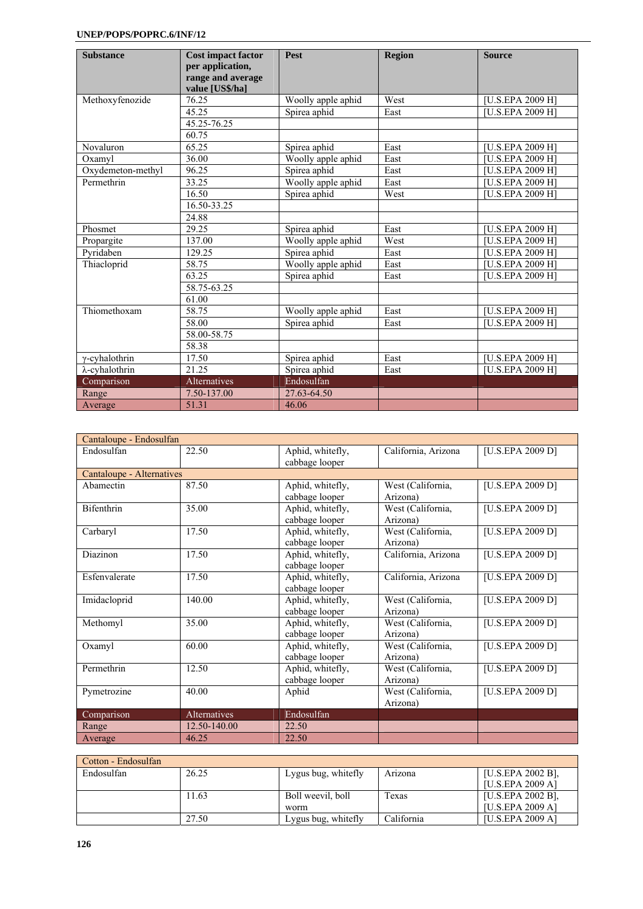| <b>Substance</b>       | <b>Cost impact factor</b><br>per application,<br>range and average<br>value [US\$/ha] | Pest               | <b>Region</b> | <b>Source</b>                 |
|------------------------|---------------------------------------------------------------------------------------|--------------------|---------------|-------------------------------|
| Methoxyfenozide        | 76.25                                                                                 | Woolly apple aphid | West          | [U.S.EPA 2009 H]              |
|                        | 45.25                                                                                 | Spirea aphid       | East          | <b>IU.S.EPA 2009 H1</b>       |
|                        | 45.25-76.25                                                                           |                    |               |                               |
|                        | 60.75                                                                                 |                    |               |                               |
| Novaluron              | 65.25                                                                                 | Spirea aphid       | East          | [U.S.EPA 2009 H]              |
| Oxamyl                 | 36.00                                                                                 | Woolly apple aphid | East          | [U.S.EPA 2009 H]              |
| Oxydemeton-methyl      | 96.25                                                                                 | Spirea aphid       | East          | [U.S.EPA 2009 H]              |
| Permethrin             | 33.25                                                                                 | Woolly apple aphid | East          | [U.S.EPA 2009 H]              |
|                        | 16.50                                                                                 | Spirea aphid       | West          | <b>IU.S.EPA 2009 H1</b>       |
|                        | 16.50-33.25                                                                           |                    |               |                               |
|                        | 24.88                                                                                 |                    |               |                               |
| Phosmet                | 29.25                                                                                 | Spirea aphid       | East          | $\overline{[U.S.}EPA 2009 H]$ |
| Propargite             | 137.00                                                                                | Woolly apple aphid | West          | [U.S.EPA 2009 H]              |
| Pyridaben              | 129.25                                                                                | Spirea aphid       | East          | [U.S.EPA 2009 H]              |
| Thiacloprid            | 58.75                                                                                 | Woolly apple aphid | East          | [U.S.EPA 2009 H]              |
|                        | 63.25                                                                                 | Spirea aphid       | East          | <b>IU.S.EPA 2009 H1</b>       |
|                        | 58.75-63.25                                                                           |                    |               |                               |
|                        | 61.00                                                                                 |                    |               |                               |
| Thiomethoxam           | 58.75                                                                                 | Woolly apple aphid | East          | [U.S.EPA 2009 H]              |
|                        | 58.00                                                                                 | Spirea aphid       | East          | [U.S.EPA 2009 H]              |
|                        | 58.00-58.75                                                                           |                    |               |                               |
|                        | 58.38                                                                                 |                    |               |                               |
| $\gamma$ -cyhalothrin  | 17.50                                                                                 | Spirea aphid       | East          | [U.S.EPA 2009 H]              |
| $\lambda$ -cyhalothrin | 21.25                                                                                 | Spirea aphid       | East          | [U.S.EPA 2009 H]              |
| Comparison             | Alternatives                                                                          | Endosulfan         |               |                               |
| Range                  | 7.50-137.00                                                                           | 27.63-64.50        |               |                               |
| Average                | 51.31                                                                                 | 46.06              |               |                               |

| Cantaloupe - Endosulfan   |              |                                    |                     |                  |
|---------------------------|--------------|------------------------------------|---------------------|------------------|
| Endosulfan                | 22.50        | Aphid, whitefly,<br>cabbage looper | California, Arizona | [U.S.EPA 2009 D] |
| Cantaloupe - Alternatives |              |                                    |                     |                  |
| Abamectin                 | 87.50        | Aphid, whitefly,                   | West (California,   | [U.S.EPA 2009 D] |
|                           |              | cabbage looper                     | Arizona)            |                  |
| Bifenthrin                | 35.00        | Aphid, whitefly,                   | West (California,   | [U.S.EPA 2009 D] |
|                           |              | cabbage looper                     | Arizona)            |                  |
| Carbaryl                  | 17.50        | Aphid, whitefly,                   | West (California,   | [U.S.EPA 2009 D] |
|                           |              | cabbage looper                     | Arizona)            |                  |
| Diazinon                  | 17.50        | Aphid, whitefly,                   | California, Arizona | [U.S.EPA 2009 D] |
|                           |              | cabbage looper                     |                     |                  |
| Esfenvalerate             | 17.50        | Aphid, whitefly,                   | California, Arizona | [U.S.EPA 2009 D] |
|                           |              | cabbage looper                     |                     |                  |
| Imidacloprid              | 140.00       | Aphid, whitefly,                   | West (California,   | [U.S.EPA 2009 D] |
|                           |              | cabbage looper                     | Arizona)            |                  |
| Methomyl                  | 35.00        | Aphid, whitefly,                   | West (California,   | [U.S.EPA 2009 D] |
|                           |              | cabbage looper                     | Arizona)            |                  |
| Oxamyl                    | 60.00        | Aphid, whitefly,                   | West (California,   | [U.S.EPA 2009 D] |
|                           |              | cabbage looper                     | Arizona)            |                  |
| Permethrin                | 12.50        | Aphid, whitefly,                   | West (California,   | [U.S.EPA 2009 D] |
|                           |              | cabbage looper                     | Arizona)            |                  |
| Pymetrozine               | 40.00        | Aphid                              | West (California,   | [U.S.EPA 2009 D] |
|                           |              |                                    | Arizona)            |                  |
| Comparison                | Alternatives | Endosulfan                         |                     |                  |
| Range                     | 12.50-140.00 | 22.50                              |                     |                  |
| Average                   | 46.25        | 22.50                              |                     |                  |

| Cotton - Endosulfan |       |                     |            |                   |  |  |  |  |  |
|---------------------|-------|---------------------|------------|-------------------|--|--|--|--|--|
| Endosulfan          | 26.25 | Lygus bug, whitefly | Arizona    | [U.S.EPA 2002 B]. |  |  |  |  |  |
|                     |       |                     |            | [U.S.EPA 2009 A]  |  |  |  |  |  |
|                     | 1.63  | Boll weevil, boll   | Texas      | [U.S.EPA 2002 B]. |  |  |  |  |  |
|                     |       | worm                |            | [U.S.EPA 2009 A]  |  |  |  |  |  |
|                     | 27.50 | Lygus bug, whitefly | California | [U.S.EPA 2009 A]  |  |  |  |  |  |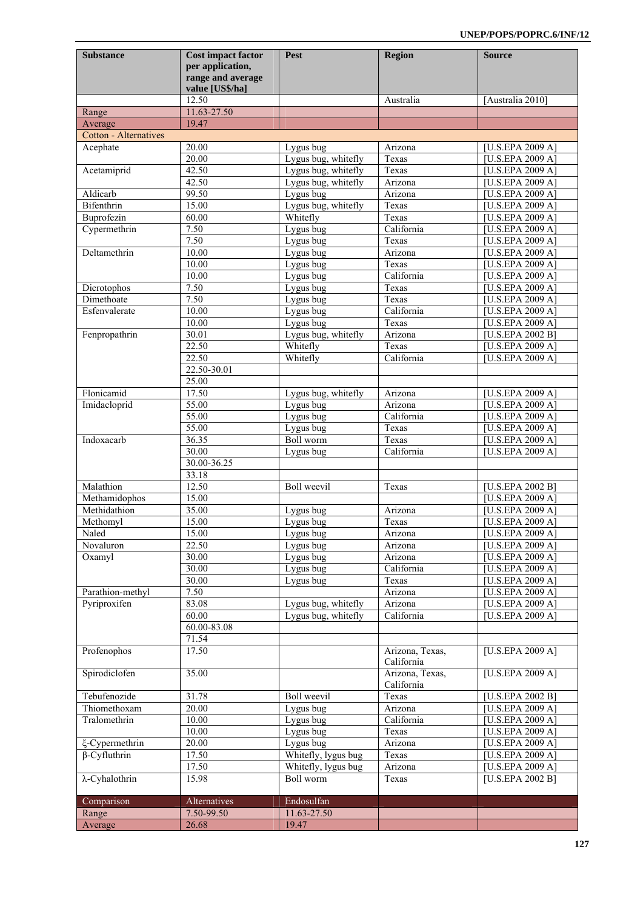| <b>Substance</b>             | <b>Cost impact factor</b><br>per application,<br>range and average<br>value [US\$/ha] | Pest                                       | <b>Region</b>                 | <b>Source</b>                        |
|------------------------------|---------------------------------------------------------------------------------------|--------------------------------------------|-------------------------------|--------------------------------------|
|                              | 12.50                                                                                 |                                            | Australia                     | [Australia 2010]                     |
| Range                        | 11.63-27.50                                                                           |                                            |                               |                                      |
| Average                      | 19.47                                                                                 |                                            |                               |                                      |
| <b>Cotton - Alternatives</b> |                                                                                       |                                            |                               |                                      |
| Acephate                     | 20.00                                                                                 | Lygus bug                                  | Arizona                       | [U.S.EPA 2009 A]                     |
|                              | 20.00<br>42.50                                                                        | Lygus bug, whitefly                        | Texas<br>Texas                | [U.S.EPA 2009 A]                     |
| Acetamiprid                  | 42.50                                                                                 | Lygus bug, whitefly<br>Lygus bug, whitefly | Arizona                       | [U.S.EPA 2009 A]<br>[U.S.EPA 2009 A] |
| Aldicarb                     | 99.50                                                                                 | Lygus bug                                  | Arizona                       | [U.S.EPA 2009 A]                     |
| Bifenthrin                   | 15.00                                                                                 | Lygus bug, whitefly                        | Texas                         | $\overline{[U.S.EPA 2009} A]$        |
| Buprofezin                   | 60.00                                                                                 | Whitefly                                   | Texas                         | [U.S.EPA 2009 A]                     |
| Cypermethrin                 | 7.50                                                                                  | Lygus bug                                  | California                    | [U.S.EPA 2009 A]                     |
|                              | 7.50                                                                                  | Lygus bug                                  | Texas                         | [U.S.EPA 2009 A]                     |
| Deltamethrin                 | 10.00                                                                                 | Lygus bug                                  | Arizona                       | [U.S.EPA 2009 A]                     |
|                              | 10.00                                                                                 | Lygus bug                                  | Texas                         | [U.S.EPA 2009 A]                     |
|                              | 10.00                                                                                 | Lygus bug                                  | California                    | [U.S.EPA 2009 A]                     |
| Dicrotophos                  | 7.50                                                                                  | Lygus bug                                  | Texas                         | [U.S.EPA 2009 A]                     |
| Dimethoate                   | 7.50                                                                                  | Lygus bug                                  | Texas                         | [U.S.EPA 2009 A]                     |
| Esfenvalerate                | 10.00<br>10.00                                                                        | Lygus bug                                  | California<br>Texas           | [U.S.EPA 2009 A]                     |
| Fenpropathrin                | 30.01                                                                                 | Lygus bug<br>Lygus bug, whitefly           | Arizona                       | [U.S.EPA 2009 A]<br>[U.S.EPA 2002 B] |
|                              | 22.50                                                                                 | Whitefly                                   | Texas                         | [U.S.EPA 2009 A]                     |
|                              | 22.50                                                                                 | Whitefly                                   | California                    | [U.S.EPA 2009 A]                     |
|                              | 22.50-30.01                                                                           |                                            |                               |                                      |
|                              | 25.00                                                                                 |                                            |                               |                                      |
| Flonicamid                   | 17.50                                                                                 | Lygus bug, whitefly                        | Arizona                       | [U.S.EPA 2009 A]                     |
| Imidacloprid                 | 55.00                                                                                 | Lygus bug                                  | Arizona                       | [U.S.EPA 2009 A]                     |
|                              | 55.00                                                                                 | Lygus bug                                  | California                    | [U.S.EPA 2009 A]                     |
|                              | 55.00                                                                                 | Lygus bug                                  | Texas                         | [U.S.EPA 2009 A]                     |
| Indoxacarb                   | 36.35                                                                                 | <b>Boll</b> worm                           | Texas                         | [U.S.EPA 2009 A]                     |
|                              | 30.00                                                                                 | Lygus bug                                  | California                    | [U.S.EPA 2009 A]                     |
|                              | 30.00-36.25<br>33.18                                                                  |                                            |                               |                                      |
| Malathion                    | 12.50                                                                                 | <b>Boll</b> weevil                         | Texas                         | [U.S.EPA 2002 B]                     |
| Methamidophos                | 15.00                                                                                 |                                            |                               | [U.S.EPA 2009 A]                     |
| Methidathion                 | 35.00                                                                                 | Lygus bug                                  | Arizona                       | [U.S.EPA 2009 A]                     |
| Methomyl                     | 15.00                                                                                 | Lygus bug                                  | Texas                         | [U.S.EPA 2009 A]                     |
| Naled                        | 15.00                                                                                 | Lygus bug                                  | Arizona                       | [U.S.EPA 2009 A]                     |
| Novaluron                    | $\overline{22.50}$                                                                    | Lygus bug                                  | Arizona                       | [U.S.EPA 2009 A]                     |
| Oxamyl                       | 30.00                                                                                 | Lygus bug                                  | Arizona                       | [U.S.EPA 2009 A]                     |
|                              | 30.00                                                                                 | Lygus bug                                  | California                    | [U.S.EPA 2009 A]                     |
|                              | 30.00                                                                                 | Lygus bug                                  | Texas                         | [U.S.EPA 2009 A]                     |
| Parathion-methyl             | 7.50                                                                                  |                                            | Arizona                       | [U.S.EPA 2009 A]                     |
| Pyriproxifen                 | 83.08<br>60.00                                                                        | Lygus bug, whitefly<br>Lygus bug, whitefly | Arizona                       | [U.S.EPA 2009 A]                     |
|                              | 60.00-83.08                                                                           |                                            | California                    | [U.S.EPA 2009 A]                     |
|                              | 71.54                                                                                 |                                            |                               |                                      |
| Profenophos                  | 17.50                                                                                 |                                            | Arizona, Texas,<br>California | [U.S.EPA 2009 A]                     |
| Spirodiclofen                | 35.00                                                                                 |                                            | Arizona, Texas,<br>California | [U.S.EPA 2009 A]                     |
| Tebufenozide                 | 31.78                                                                                 | <b>Boll</b> weevil                         | Texas                         | [U.S.EPA 2002 B]                     |
| Thiomethoxam                 | 20.00                                                                                 | Lygus bug                                  | Arizona                       | [U.S.EPA 2009 A]                     |
| Tralomethrin                 | 10.00                                                                                 | Lygus bug                                  | California                    | [U.S.EPA 2009 A]                     |
|                              | 10.00                                                                                 | Lygus bug                                  | Texas                         | [U.S.EPA 2009 A]                     |
| ξ-Cypermethrin               | 20.00                                                                                 | Lygus bug                                  | Arizona                       | [U.S.EPA 2009 A]                     |
| $\beta$ -Cyfluthrin          | 17.50                                                                                 | Whitefly, lygus bug                        | Texas                         | [U.S.EPA 2009 A]                     |
|                              | 17.50                                                                                 | Whitefly, lygus bug                        | Arizona                       | $\overline{[U.S.EPA 2009 A]}$        |
| $\lambda$ -Cyhalothrin       | 15.98                                                                                 | Boll worm                                  | Texas                         | [U.S.EPA 2002 B]                     |
| Comparison                   | Alternatives                                                                          | Endosulfan                                 |                               |                                      |
| Range                        | 7.50-99.50                                                                            | 11.63-27.50                                |                               |                                      |
| Average                      | 26.68                                                                                 | 19.47                                      |                               |                                      |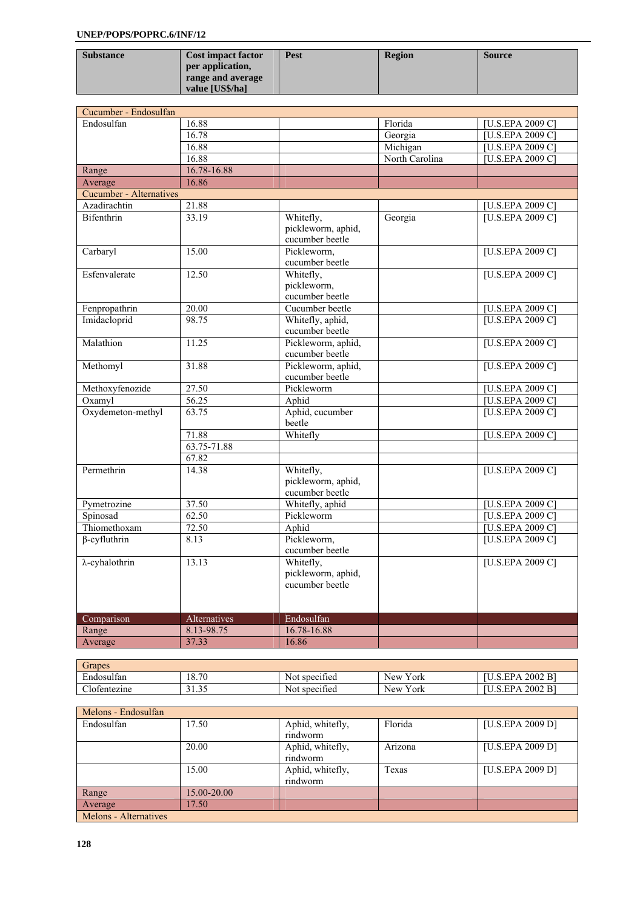| <b>Substance</b> | <b>Cost impact factor</b> | Pest | <b>Region</b> | <b>Source</b> |
|------------------|---------------------------|------|---------------|---------------|
|                  | per application,          |      |               |               |
|                  | range and average         |      |               |               |
|                  | value [US\$/ha]           |      |               |               |

| Cucumber - Endosulfan          |              |                                 |                |                  |
|--------------------------------|--------------|---------------------------------|----------------|------------------|
| Endosulfan                     | 16.88        |                                 | Florida        | [U.S.EPA 2009 C] |
|                                | 16.78        |                                 | Georgia        | [U.S.EPA 2009 C] |
|                                | 16.88        |                                 | Michigan       | [U.S.EPA 2009 C] |
|                                | 16.88        |                                 | North Carolina | [U.S.EPA 2009 C] |
| Range                          | 16.78-16.88  |                                 |                |                  |
| Average                        | 16.86        |                                 |                |                  |
| <b>Cucumber - Alternatives</b> |              |                                 |                |                  |
| Azadirachtin                   | 21.88        |                                 |                | [U.S.EPA 2009 C] |
| <b>Bifenthrin</b>              | 33.19        | Whitefly,<br>pickleworm, aphid, | Georgia        | [U.S.EPA 2009 C] |
|                                |              | cucumber beetle                 |                |                  |
| Carbaryl                       | 15.00        | Pickleworm,                     |                | [U.S.EPA 2009 C] |
|                                |              | cucumber beetle                 |                |                  |
| Esfenvalerate                  | 12.50        | Whitefly,                       |                | [U.S.EPA 2009 C] |
|                                |              | pickleworm,                     |                |                  |
|                                |              | cucumber beetle                 |                |                  |
| Fenpropathrin                  | 20.00        | Cucumber beetle                 |                | [U.S.EPA 2009 C] |
| Imidacloprid                   | 98.75        | Whitefly, aphid,                |                | [U.S.EPA 2009 C] |
|                                |              | cucumber beetle                 |                |                  |
| Malathion                      | 11.25        | Pickleworm, aphid,              |                | [U.S.EPA 2009 C] |
|                                |              | cucumber beetle                 |                |                  |
| Methomyl                       | 31.88        | Pickleworm, aphid,              |                | [U.S.EPA 2009 C] |
|                                |              | cucumber beetle                 |                |                  |
| Methoxyfenozide                | 27.50        | Pickleworm                      |                | [U.S.EPA 2009 C] |
| Oxamyl                         | 56.25        | Aphid                           |                | [U.S.EPA 2009 C] |
| Oxydemeton-methyl              | 63.75        | Aphid, cucumber<br>beetle       |                | [U.S.EPA 2009 C] |
|                                | 71.88        | Whitefly                        |                | [U.S.EPA 2009 C] |
|                                | 63.75-71.88  |                                 |                |                  |
|                                | 67.82        |                                 |                |                  |
| Permethrin                     | 14.38        | Whitefly,                       |                | [U.S.EPA 2009 C] |
|                                |              | pickleworm, aphid,              |                |                  |
|                                |              | cucumber beetle                 |                |                  |
| Pymetrozine                    | 37.50        | Whitefly, aphid                 |                | [U.S.EPA 2009 C] |
| Spinosad                       | 62.50        | Pickleworm                      |                | [U.S.EPA 2009 C] |
| Thiomethoxam                   | 72.50        | Aphid                           |                | [U.S.EPA 2009 C] |
| $\beta$ -cyfluthrin            | 8.13         | Pickleworm,<br>cucumber beetle  |                | [U.S.EPA 2009 C] |
| $\lambda$ -cyhalothrin         | 13.13        | Whitefly,                       |                | [U.S.EPA 2009 C] |
|                                |              | pickleworm, aphid,              |                |                  |
|                                |              | cucumber beetle                 |                |                  |
|                                |              |                                 |                |                  |
| Comparison                     | Alternatives | Endosulfan                      |                |                  |
| Range                          | 8.13-98.75   | 16.78-16.88                     |                |                  |
| Average                        | 37.33        | 16.86                           |                |                  |

| Grapes                     |               |                          |                             |                                                   |
|----------------------------|---------------|--------------------------|-----------------------------|---------------------------------------------------|
| $\sim$<br>T.<br>Endosultan | 18.70         | $\cdot$<br>Not specified | $ -$<br><b>New</b><br>Y ork | 2002 B<br>$\nabla \mathbf{p}$                     |
| $\sim$ 1<br>Jotentezine    | 2125<br>ں ب د | $\cdot$<br>Not specified | $ -$<br>Y ork<br>New.       | 2002 B<br>$\mathbf{F} \mathbf{p} \mathbf{\Delta}$ |

| Melons - Endosulfan   |             |                  |         |                  |
|-----------------------|-------------|------------------|---------|------------------|
| Endosulfan            | 17.50       | Aphid, whitefly, | Florida | [U.S.EPA 2009 D] |
|                       |             | rindworm         |         |                  |
|                       | 20.00       | Aphid, whitefly, | Arizona | [U.S.EPA 2009 D] |
|                       |             | rindworm         |         |                  |
|                       | 15.00       | Aphid, whitefly, | Texas   | [U.S.EPA 2009 D] |
|                       |             | rindworm         |         |                  |
| Range                 | 15.00-20.00 |                  |         |                  |
| Average               | 17.50       |                  |         |                  |
| Melons - Alternatives |             |                  |         |                  |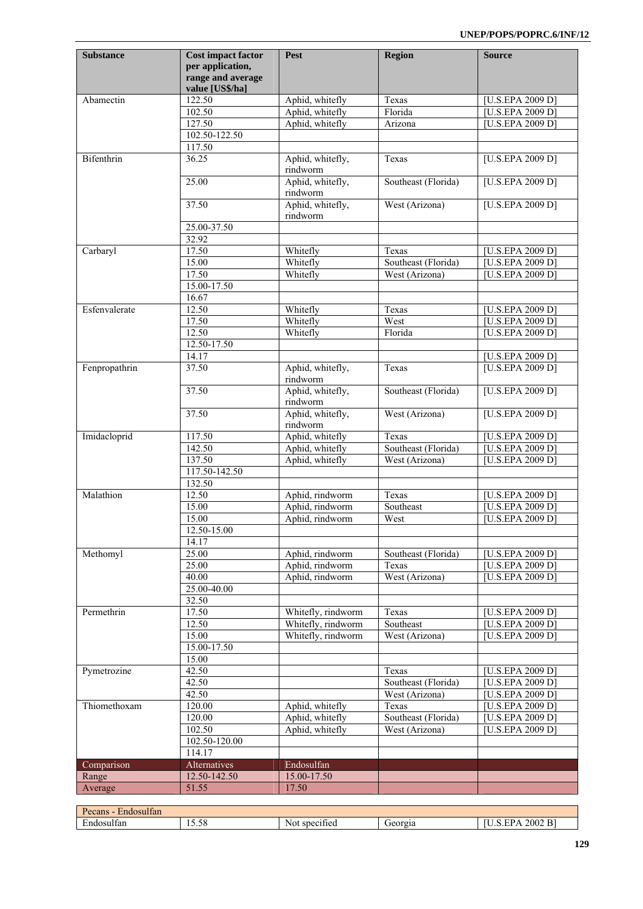| Substance     | <b>Cost impact factor</b><br>per application,<br>range and average<br>value [US\$/ha] | Pest                               | <b>Region</b>       | <b>Source</b>                        |
|---------------|---------------------------------------------------------------------------------------|------------------------------------|---------------------|--------------------------------------|
| Abamectin     | 122.50                                                                                | Aphid, whitefly                    | Texas               | <b>IU.S.EPA 2009 D]</b>              |
|               | 102.50                                                                                | Aphid, whitefly                    | Florida             | [U.S.EPA 2009 D]                     |
|               | 127.50                                                                                | Aphid, whitefly                    | Arizona             | [U.S.EPA 2009 D]                     |
|               | 102.50-122.50                                                                         |                                    |                     |                                      |
|               | 117.50                                                                                |                                    |                     |                                      |
| Bifenthrin    | $\frac{36.25}{ }$                                                                     | Aphid, whitefly,<br>rindworm       | Texas               | [U.S.EPA 2009 D]                     |
|               | 25.00                                                                                 | Aphid, whitefly,<br>rindworm       | Southeast (Florida) | [U.S.EPA 2009 D]                     |
|               | 37.50                                                                                 | Aphid, whitefly,<br>rindworm       | West (Arizona)      | [U.S.EPA 2009 D]                     |
|               | 25.00-37.50                                                                           |                                    |                     |                                      |
|               | 32.92                                                                                 |                                    |                     |                                      |
| Carbaryl      | 17.50                                                                                 | Whitefly                           | Texas               | [U.S.EPA 2009 D]                     |
|               | 15.00                                                                                 | Whitefly                           | Southeast (Florida) | [U.S.EPA 2009 D]                     |
|               | 17.50<br>15.00-17.50                                                                  | Whitefly                           | West (Arizona)      | [U.S.EPA 2009 D]                     |
|               | 16.67                                                                                 |                                    |                     |                                      |
| Esfenvalerate | 12.50                                                                                 | Whitefly                           | Texas               | [U.S.EPA 2009 D]                     |
|               | 17.50                                                                                 | Whitefly                           | West                | [U.S.EPA 2009 D]                     |
|               | 12.50                                                                                 | Whitefly                           | Florida             | [U.S.EPA 2009 D]                     |
|               | 12.50-17.50                                                                           |                                    |                     |                                      |
|               | 14.17                                                                                 |                                    |                     | [U.S.EPA 2009 D]                     |
| Fenpropathrin | 37.50                                                                                 | Aphid, whitefly,<br>rindworm       | Texas               | [U.S.EPA 2009 D]                     |
|               | 37.50                                                                                 | Aphid, whitefly,<br>rindworm       | Southeast (Florida) | [U.S.EPA 2009 D]                     |
|               | 37.50                                                                                 | Aphid, whitefly,<br>rindworm       | West (Arizona)      | [U.S.EPA 2009 D]                     |
| Imidacloprid  | 117.50                                                                                | Aphid, whitefly                    | Texas               | [U.S.EPA 2009 D]                     |
|               | 142.50                                                                                | Aphid, whitefly                    | Southeast (Florida) | <b>U.S.EPA 2009 D]</b>               |
|               | 137.50                                                                                | Aphid, whitefly                    | West (Arizona)      | [U.S.EPA 2009 D]                     |
|               | 117.50-142.50                                                                         |                                    |                     |                                      |
|               | 132.50                                                                                |                                    |                     |                                      |
| Malathion     | 12.50                                                                                 | Aphid, rindworm                    | Texas               | [U.S.EPA 2009 D]                     |
|               | 15.00<br>15.00                                                                        | Aphid, rindworm<br>Aphid, rindworm | Southeast           | [U.S.EPA 2009 D]                     |
|               | 12.50-15.00                                                                           |                                    | West                | [U.S.EPA 2009 D]                     |
|               | 14.17                                                                                 |                                    |                     |                                      |
| Methomyl      | 25.00                                                                                 | Aphid, rindworm                    | Southeast (Florida) | [U.S.EPA 2009 D]                     |
|               | 25.00                                                                                 | Aphid, rindworm                    | Texas               | [U.S.EPA 2009 D]                     |
|               | 40.00                                                                                 | Aphid, rindworm                    | West (Arizona)      | <b>U.S.EPA 2009 D]</b>               |
|               | 25.00-40.00                                                                           |                                    |                     |                                      |
|               | 32.50                                                                                 |                                    |                     |                                      |
| Permethrin    | 17.50                                                                                 | Whitefly, rindworm                 | Texas               | [U.S.EPA 2009 D]                     |
|               | 12.50                                                                                 | Whitefly, rindworm                 | Southeast           | [U.S.EPA 2009 D]                     |
|               | 15.00                                                                                 | Whitefly, rindworm                 | West (Arizona)      | [U.S.EPA 2009 D]                     |
|               | 15.00-17.50                                                                           |                                    |                     |                                      |
| Pymetrozine   | 15.00<br>42.50                                                                        |                                    | Texas               |                                      |
|               | 42.50                                                                                 |                                    | Southeast (Florida) | [U.S.EPA 2009 D]<br>[U.S.EPA 2009 D] |
|               | 42.50                                                                                 |                                    | West (Arizona)      | [U.S.EPA 2009 D]                     |
| Thiomethoxam  | 120.00                                                                                | Aphid, whitefly                    | Texas               | [U.S.EPA 2009 D]                     |
|               | 120.00                                                                                | Aphid, whitefly                    | Southeast (Florida) | <b>U.S.EPA 2009 D]</b>               |
|               | 102.50                                                                                | Aphid, whitefly                    | West (Arizona)      | [U.S.EPA 2009 D]                     |
|               | 102.50-120.00                                                                         |                                    |                     |                                      |
|               | 114.17                                                                                |                                    |                     |                                      |
| Comparison    | Alternatives                                                                          | Endosulfan                         |                     |                                      |
| Range         | 12.50-142.50                                                                          | 15.00-17.50                        |                     |                                      |
| Average       | 51.55                                                                                 | 17.50                              |                     |                                      |

| $\sim$<br>$\sim$<br>ecans<br>Endosultan |                        |                           |                |                                                    |
|-----------------------------------------|------------------------|---------------------------|----------------|----------------------------------------------------|
| $\mathbf{r}$<br>Endosul<br>Itan         | $\sim$ $\sim$<br>10.JO | . .<br>. specified<br>NOL | <b>Georgia</b> | $\overline{\phantom{a}}$<br>2002<br>י ש<br>۰в<br>. |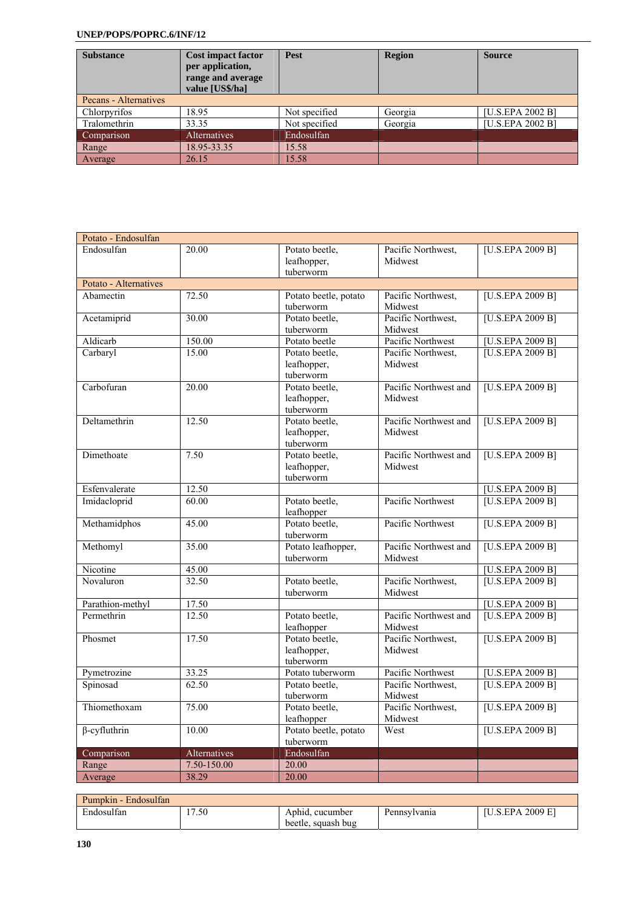| <b>Substance</b>      | <b>Cost impact factor</b><br>per application,<br>range and average<br>value [US\$/ha] | <b>Pest</b>   | <b>Region</b> | <b>Source</b>    |  |  |
|-----------------------|---------------------------------------------------------------------------------------|---------------|---------------|------------------|--|--|
| Pecans - Alternatives |                                                                                       |               |               |                  |  |  |
| Chlorpyrifos          | 18.95                                                                                 | Not specified | Georgia       | [U.S.EPA 2002 B] |  |  |
| Tralomethrin          | 33.35                                                                                 | Not specified | Georgia       | [U.S.EPA 2002 B] |  |  |
| Comparison            | <b>Alternatives</b>                                                                   | Endosulfan    |               |                  |  |  |
| Range                 | 18.95-33.35                                                                           | 15.58         |               |                  |  |  |
| Average               | 26.15                                                                                 | 15.58         |               |                  |  |  |

| Potato - Endosulfan   |              |                              |                       |                                      |
|-----------------------|--------------|------------------------------|-----------------------|--------------------------------------|
| Endosulfan            | 20.00        | Potato beetle,               | Pacific Northwest,    | [U.S.EPA 2009 B]                     |
|                       |              | leafhopper,                  | Midwest               |                                      |
|                       |              | tuberworm                    |                       |                                      |
| Potato - Alternatives |              |                              |                       |                                      |
| Abamectin             | 72.50        | Potato beetle, potato        | Pacific Northwest,    | [U.S.EPA 2009 B]                     |
|                       |              | tuberworm                    | Midwest               |                                      |
| Acetamiprid           | 30.00        | Potato beetle,               | Pacific Northwest,    | [U.S.EPA 2009 B]                     |
|                       |              | tuberworm                    | Midwest               |                                      |
| Aldicarb              | 150.00       | Potato beetle                | Pacific Northwest     | [U.S.EPA 2009 B]                     |
| Carbaryl              | 15.00        | Potato beetle,               | Pacific Northwest,    | [U.S.EPA 2009 B]                     |
|                       |              | leafhopper,                  | Midwest               |                                      |
|                       |              | tuberworm                    |                       |                                      |
| Carbofuran            | 20.00        | Potato beetle,               | Pacific Northwest and | [U.S.EPA 2009 B]                     |
|                       |              | leafhopper,                  | Midwest               |                                      |
|                       |              | tuberworm                    |                       |                                      |
| Deltamethrin          | 12.50        | Potato beetle,               | Pacific Northwest and | [U.S.EPA 2009 B]                     |
|                       |              | leafhopper,                  | Midwest               |                                      |
|                       |              | tuberworm                    |                       |                                      |
| Dimethoate            | 7.50         | Potato beetle,               | Pacific Northwest and | [U.S.EPA 2009 B]                     |
|                       |              | leafhopper,<br>tuberworm     | Midwest               |                                      |
|                       |              |                              |                       |                                      |
| Esfenvalerate         | 12.50        |                              |                       | [U.S.EPA 2009 B]<br>[U.S.EPA 2009 B] |
| Imidacloprid          | 60.00        | Potato beetle,               | Pacific Northwest     |                                      |
| Methamidphos          | 45.00        | leafhopper<br>Potato beetle. | Pacific Northwest     | [U.S.EPA 2009 B]                     |
|                       |              | tuberworm                    |                       |                                      |
| Methomyl              | 35.00        | Potato leafhopper,           | Pacific Northwest and | [U.S.EPA 2009 B]                     |
|                       |              | tuberworm                    | Midwest               |                                      |
| Nicotine              | 45.00        |                              |                       | [U.S.EPA 2009 B]                     |
| Novaluron             | 32.50        | Potato beetle,               | Pacific Northwest,    | [U.S.EPA 2009 B]                     |
|                       |              | tuberworm                    | Midwest               |                                      |
| Parathion-methyl      | 17.50        |                              |                       | [U.S.EPA 2009 B]                     |
| Permethrin            | 12.50        | Potato beetle,               | Pacific Northwest and | [U.S.EPA 2009 B]                     |
|                       |              | leafhopper                   | Midwest               |                                      |
| Phosmet               | 17.50        | Potato beetle,               | Pacific Northwest,    | [U.S.EPA 2009 B]                     |
|                       |              | leafhopper,                  | Midwest               |                                      |
|                       |              | tuberworm                    |                       |                                      |
| Pymetrozine           | 33.25        | Potato tuberworm             | Pacific Northwest     | [U.S.EPA 2009 B]                     |
| Spinosad              | 62.50        | Potato beetle,               | Pacific Northwest,    | [U.S.EPA 2009 B]                     |
|                       |              | tuberworm                    | Midwest               |                                      |
| Thiomethoxam          | 75.00        | Potato beetle,               | Pacific Northwest,    | [U.S.EPA 2009 B]                     |
|                       |              | leafhopper                   | Midwest               |                                      |
| $\beta$ -cyfluthrin   | 10.00        | Potato beetle, potato        | West                  | [U.S.EPA 2009 B]                     |
|                       |              | tuberworm                    |                       |                                      |
| Comparison            | Alternatives | Endosulfan                   |                       |                                      |
| Range                 | 7.50-150.00  | 20.00                        |                       |                                      |
| Average               | 38.29        | 20.00                        |                       |                                      |

| Pumpkin - Endosulfan |                        |                    |              |                         |
|----------------------|------------------------|--------------------|--------------|-------------------------|
| Endosulfan           | '.50<br>$\overline{ }$ | Aphid, cucumber    | Pennsylvania | <b>IU.S.EPA 2009 E1</b> |
|                      |                        | beetle, squash bug |              |                         |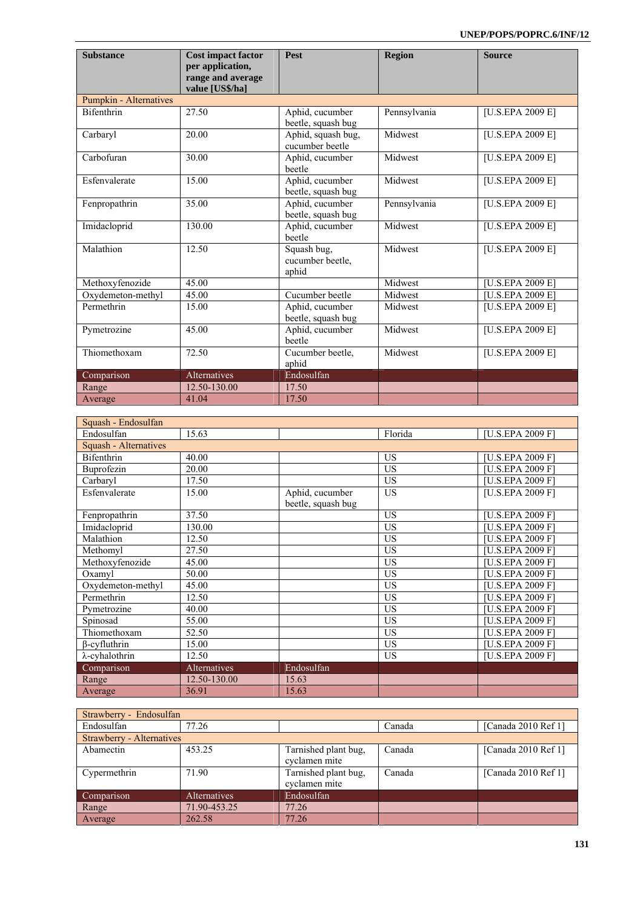| <b>Substance</b>       | <b>Cost impact factor</b><br>per application,<br>range and average<br>value [US\$/ha] | <b>Pest</b>                              | <b>Region</b> | <b>Source</b>                  |
|------------------------|---------------------------------------------------------------------------------------|------------------------------------------|---------------|--------------------------------|
| Pumpkin - Alternatives |                                                                                       |                                          |               |                                |
| <b>Bifenthrin</b>      | 27.50                                                                                 | Aphid, cucumber<br>beetle, squash bug    | Pennsylvania  | [U.S.EPA 2009 E]               |
| Carbaryl               | 20.00                                                                                 | Aphid, squash bug,<br>cucumber beetle    | Midwest       | [U.S.EPA 2009 E]               |
| Carbofuran             | 30.00                                                                                 | Aphid, cucumber<br>beetle                | Midwest       | $\overline{[U.S.EPA 2009 E]}$  |
| Esfenvalerate          | 15.00                                                                                 | Aphid, cucumber<br>beetle, squash bug    | Midwest       | [U.S.EPA 2009 E]               |
| Fenpropathrin          | 35.00                                                                                 | Aphid, cucumber<br>beetle, squash bug    | Pennsylvania  | [U.S.EPA 2009 E]               |
| Imidacloprid           | 130.00                                                                                | Aphid, cucumber<br>beetle                | Midwest       | [U.S.EPA 2009 E]               |
| Malathion              | 12.50                                                                                 | Squash bug,<br>cucumber beetle,<br>aphid | Midwest       | [U.S.EPA 2009 E]               |
| Methoxyfenozide        | 45.00                                                                                 |                                          | Midwest       | $\overline{[U.S.}$ EPA 2009 E  |
| Oxydemeton-methyl      | 45.00                                                                                 | Cucumber beetle                          | Midwest       | $\overline{[U.S.}EPA 2009 E]}$ |
| Permethrin             | 15.00                                                                                 | Aphid, cucumber<br>beetle, squash bug    | Midwest       | [U.S.EPA 2009 E]               |
| Pymetrozine            | 45.00                                                                                 | Aphid, cucumber<br>beetle                | Midwest       | [U.S.EPA 2009 E]               |
| Thiomethoxam           | 72.50                                                                                 | Cucumber beetle,<br>aphid                | Midwest       | [U.S.EPA 2009 E]               |
| Comparison             | Alternatives                                                                          | Endosulfan                               |               |                                |
| Range                  | 12.50-130.00                                                                          | 17.50                                    |               |                                |
| Average                | 41.04                                                                                 | 17.50                                    |               |                                |

| Squash - Endosulfan    |              |                    |           |                  |
|------------------------|--------------|--------------------|-----------|------------------|
| Endosulfan             | 15.63        |                    | Florida   | [U.S.EPA 2009 F] |
| Squash - Alternatives  |              |                    |           |                  |
| Bifenthrin             | 40.00        |                    | <b>US</b> | [U.S.EPA 2009 F] |
| Buprofezin             | 20.00        |                    | <b>US</b> | [U.S.EPA 2009 F] |
| Carbaryl               | 17.50        |                    | US        | [U.S.EPA 2009 F] |
| Esfenvalerate          | 15.00        | Aphid, cucumber    | <b>US</b> | [U.S.EPA 2009 F] |
|                        |              | beetle, squash bug |           |                  |
| Fenpropathrin          | 37.50        |                    | US        | [U.S.EPA 2009 F] |
| Imidacloprid           | 130.00       |                    | <b>US</b> | [U.S.EPA 2009 F] |
| Malathion              | 12.50        |                    | <b>US</b> | [U.S.EPA 2009 F] |
| Methomyl               | 27.50        |                    | <b>US</b> | [U.S.EPA 2009 F] |
| Methoxyfenozide        | 45.00        |                    | <b>US</b> | [U.S.EPA 2009 F] |
| Oxamyl                 | 50.00        |                    | <b>US</b> | [U.S.EPA 2009 F] |
| Oxydemeton-methyl      | 45.00        |                    | <b>US</b> | [U.S.EPA 2009 F] |
| Permethrin             | 12.50        |                    | US        | [U.S.EPA 2009 F] |
| Pymetrozine            | 40.00        |                    | <b>US</b> | [U.S.EPA 2009 F] |
| Spinosad               | 55.00        |                    | <b>US</b> | [U.S.EPA 2009 F] |
| Thiomethoxam           | 52.50        |                    | <b>US</b> | [U.S.EPA 2009 F] |
| $\beta$ -cyfluthrin    | 15.00        |                    | US        | [U.S.EPA 2009 F] |
| $\lambda$ -cyhalothrin | 12.50        |                    | <b>US</b> | [U.S.EPA 2009 F] |
| Comparison             | Alternatives | Endosulfan         |           |                  |
| Range                  | 12.50-130.00 | 15.63              |           |                  |
| Average                | 36.91        | 15.63              |           |                  |

| Strawberry - Endosulfan          |                     |                                       |        |                       |  |
|----------------------------------|---------------------|---------------------------------------|--------|-----------------------|--|
| Endosulfan                       | 77.26               |                                       | Canada | [Canada $2010$ Ref 1] |  |
| <b>Strawberry - Alternatives</b> |                     |                                       |        |                       |  |
| Abamectin                        | 453.25              | Tarnished plant bug,<br>cyclamen mite | Canada | [Canada 2010 Ref 1]   |  |
| Cypermethrin                     | 71.90               | Tarnished plant bug,<br>cyclamen mite | Canada | [Canada 2010 Ref 1]   |  |
| Comparison                       | <b>Alternatives</b> | Endosulfan                            |        |                       |  |
| Range                            | 71.90-453.25        | 77.26                                 |        |                       |  |
| Average                          | 262.58              | 77.26                                 |        |                       |  |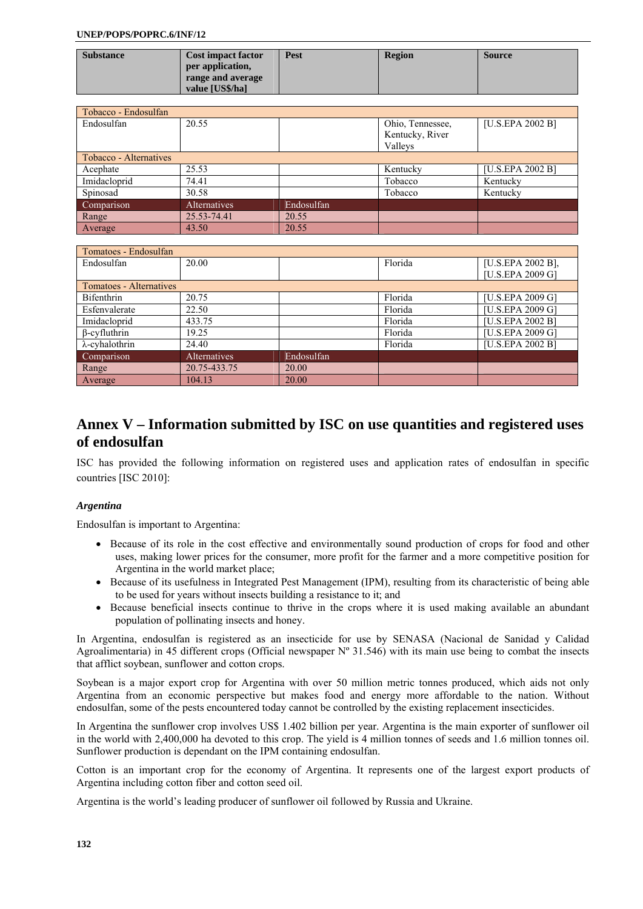| <b>Substance</b> | <b>Cost impact factor</b> | Pest | <b>Region</b> | <b>Source</b> |
|------------------|---------------------------|------|---------------|---------------|
|                  | per application,          |      |               |               |
|                  | range and average         |      |               |               |
|                  | value [US\$/ha]           |      |               |               |

| Tobacco - Endosulfan   |              |            |                  |                  |
|------------------------|--------------|------------|------------------|------------------|
| Endosulfan             | 20.55        |            | Ohio, Tennessee, | [U.S.EPA 2002 B] |
|                        |              |            | Kentucky, River  |                  |
|                        |              |            | Valleys          |                  |
| Tobacco - Alternatives |              |            |                  |                  |
| Acephate               | 25.53        |            | Kentucky         | [U.S.EPA 2002 B] |
| Imidacloprid           | 74.41        |            | Tobacco          | Kentucky         |
| Spinosad               | 30.58        |            | Tobacco          | Kentucky         |
| Comparison             | Alternatives | Endosulfan |                  |                  |
| Range                  | 25.53-74.41  | 20.55      |                  |                  |
| Average                | 43.50        | 20.55      |                  |                  |

| Tomatoes - Endosulfan   |                     |            |         |                   |
|-------------------------|---------------------|------------|---------|-------------------|
| Endosulfan              | 20.00               |            | Florida | [U.S.EPA 2002 B], |
|                         |                     |            |         | [U.S.EPA 2009 G]  |
| Tomatoes - Alternatives |                     |            |         |                   |
| Bifenthrin              | 20.75               |            | Florida | [U.S.EPA 2009 G]  |
| Esfenvalerate           | 22.50               |            | Florida | [U.S.EPA 2009 G]  |
| Imidacloprid            | 433.75              |            | Florida | [U.S.EPA 2002 B]  |
| $\beta$ -cyfluthrin     | 19.25               |            | Florida | [U.S.EPA 2009 G]  |
| $\lambda$ -cyhalothrin  | 24.40               |            | Florida | [U.S.EPA 2002 B]  |
| Comparison              | <b>Alternatives</b> | Endosulfan |         |                   |
| Range                   | 20.75-433.75        | 20.00      |         |                   |
| Average                 | 104.13              | 20.00      |         |                   |

# **Annex V – Information submitted by ISC on use quantities and registered uses of endosulfan**

ISC has provided the following information on registered uses and application rates of endosulfan in specific countries [ISC 2010]:

## *Argentina*

Endosulfan is important to Argentina:

- Because of its role in the cost effective and environmentally sound production of crops for food and other uses, making lower prices for the consumer, more profit for the farmer and a more competitive position for Argentina in the world market place;
- Because of its usefulness in Integrated Pest Management (IPM), resulting from its characteristic of being able to be used for years without insects building a resistance to it; and
- Because beneficial insects continue to thrive in the crops where it is used making available an abundant population of pollinating insects and honey.

In Argentina, endosulfan is registered as an insecticide for use by SENASA (Nacional de Sanidad y Calidad Agroalimentaria) in 45 different crops (Official newspaper  $N^{\circ}$  31.546) with its main use being to combat the insects that afflict soybean, sunflower and cotton crops.

Soybean is a major export crop for Argentina with over 50 million metric tonnes produced, which aids not only Argentina from an economic perspective but makes food and energy more affordable to the nation. Without endosulfan, some of the pests encountered today cannot be controlled by the existing replacement insecticides.

In Argentina the sunflower crop involves US\$ 1.402 billion per year. Argentina is the main exporter of sunflower oil in the world with 2,400,000 ha devoted to this crop. The yield is 4 million tonnes of seeds and 1.6 million tonnes oil. Sunflower production is dependant on the IPM containing endosulfan.

Cotton is an important crop for the economy of Argentina. It represents one of the largest export products of Argentina including cotton fiber and cotton seed oil.

Argentina is the world's leading producer of sunflower oil followed by Russia and Ukraine.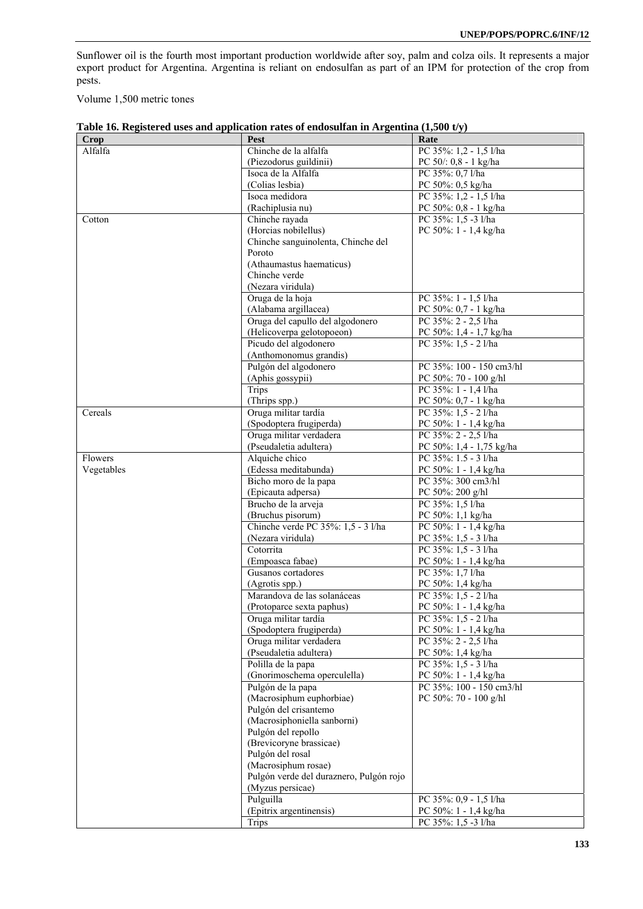Sunflower oil is the fourth most important production worldwide after soy, palm and colza oils. It represents a major export product for Argentina. Argentina is reliant on endosulfan as part of an IPM for protection of the crop from pests.

Volume 1,500 metric tones

| Alfalfa<br>PC 50/: 0,8 - 1 kg/ha<br>(Piezodorus guildinii)<br>PC 35%: 0,7 l/ha<br>Isoca de la Alfalfa<br>(Colias lesbia)<br>PC 50%: 0,5 kg/ha<br>PC 35%: 1,2 - 1,5 l/ha<br>Isoca medidora<br>(Rachiplusia nu)<br>PC 50%: 0,8 - 1 kg/ha<br>Chinche rayada<br>PC 35%: 1,5 -3 l/ha<br>Cotton<br>(Horcias nobilellus)<br>PC 50%: 1 - 1,4 kg/ha<br>Chinche sanguinolenta, Chinche del<br>Poroto<br>(Athaumastus haematicus)<br>Chinche verde<br>(Nezara viridula)<br>Oruga de la hoja<br>PC 35%: 1 - 1,5 l/ha<br>(Alabama argillacea)<br>PC 50%: 0,7 - 1 kg/ha<br>Oruga del capullo del algodonero<br>PC 35%: 2 - 2,5 l/ha<br>PC 50%: 1,4 - 1,7 kg/ha<br>(Helicoverpa gelotopoeon)<br>Picudo del algodonero<br>PC 35%: 1,5 - 2 l/ha<br>(Anthomonomus grandis)<br>PC 35%: 100 - 150 cm3/hl<br>Pulgón del algodonero<br>(Aphis gossypii)<br>PC 50%: 70 - 100 g/hl<br>Trips<br>PC 35%: 1 - 1,4 l/ha<br>(Thrips spp.)<br>PC 50%: 0,7 - 1 kg/ha<br>Oruga militar tardía<br>PC 35%: 1,5 - 2 l/ha<br>Cereals<br>(Spodoptera frugiperda)<br>PC 50%: 1 - 1,4 kg/ha<br>PC 35%: 2 - 2,5 l/ha<br>Oruga militar verdadera<br>(Pseudaletia adultera)<br>PC 50%: 1,4 - 1,75 kg/ha<br>PC 35%: 1.5 - 3 l/ha<br>Alquiche chico<br>Flowers<br>Vegetables<br>(Edessa meditabunda)<br>PC 50%: 1 - 1,4 kg/ha<br>PC 35%: 300 cm3/hl<br>Bicho moro de la papa<br>(Epicauta adpersa)<br>PC 50%: 200 g/hl<br>Brucho de la arveja<br>PC 35%: 1,5 l/ha<br>(Bruchus pisorum)<br>PC 50%: 1,1 kg/ha<br>Chinche verde PC 35%: 1,5 - 3 l/ha<br>PC 50%: 1 - 1,4 kg/ha<br>(Nezara viridula)<br>PC 35%: 1,5 - 3 l/ha<br>Cotorrita<br>PC 35%: 1,5 - 3 l/ha<br>(Empoasca fabae)<br>PC 50%: 1 - 1,4 kg/ha<br>Gusanos cortadores<br>PC 35%: 1,7 l/ha<br>PC 50%: 1,4 kg/ha<br>(Agrotis spp.)<br>Marandova de las solanáceas<br>PC 35%: 1,5 - 2 l/ha<br>(Protoparce sexta paphus)<br>PC 50%: $1 - 1,4$ kg/ha<br>PC 35%: 1,5 - 2 l/ha<br>Oruga militar tardía<br>(Spodoptera frugiperda)<br>PC 50%: 1 - 1,4 kg/ha<br>Oruga militar verdadera<br>PC 35%: 2 - 2,5 l/ha<br>(Pseudaletia adultera)<br>PC 50%: 1,4 kg/ha<br>Polilla de la papa<br>PC 35%: 1.5 - 3 l/ha<br>PC 50%: 1 - 1,4 kg/ha<br>(Gnorimoschema operculella)<br>PC 35%: 100 - 150 cm3/hl<br>Pulgón de la papa<br>(Macrosiphum euphorbiae)<br>PC 50%: 70 - 100 g/hl<br>Pulgón del crisantemo<br>(Macrosiphoniella sanborni)<br>Pulgón del repollo<br>(Brevicoryne brassicae)<br>Pulgón del rosal<br>(Macrosiphum rosae)<br>Pulgón verde del duraznero, Pulgón rojo<br>(Myzus persicae)<br>Pulguilla<br>PC 35%: 0,9 - 1,5 l/ha<br>(Epitrix argentinensis)<br>PC 50%: 1 - 1,4 kg/ha<br>PC 35%: 1,5 -3 l/ha<br><b>Trips</b> | <b>Crop</b> | Pest                  | Rate                   |
|--------------------------------------------------------------------------------------------------------------------------------------------------------------------------------------------------------------------------------------------------------------------------------------------------------------------------------------------------------------------------------------------------------------------------------------------------------------------------------------------------------------------------------------------------------------------------------------------------------------------------------------------------------------------------------------------------------------------------------------------------------------------------------------------------------------------------------------------------------------------------------------------------------------------------------------------------------------------------------------------------------------------------------------------------------------------------------------------------------------------------------------------------------------------------------------------------------------------------------------------------------------------------------------------------------------------------------------------------------------------------------------------------------------------------------------------------------------------------------------------------------------------------------------------------------------------------------------------------------------------------------------------------------------------------------------------------------------------------------------------------------------------------------------------------------------------------------------------------------------------------------------------------------------------------------------------------------------------------------------------------------------------------------------------------------------------------------------------------------------------------------------------------------------------------------------------------------------------------------------------------------------------------------------------------------------------------------------------------------------------------------------------------------------------------------------------------------------------------------------------------------------------------------------------------------------------------------------------------------------------------------------|-------------|-----------------------|------------------------|
|                                                                                                                                                                                                                                                                                                                                                                                                                                                                                                                                                                                                                                                                                                                                                                                                                                                                                                                                                                                                                                                                                                                                                                                                                                                                                                                                                                                                                                                                                                                                                                                                                                                                                                                                                                                                                                                                                                                                                                                                                                                                                                                                                                                                                                                                                                                                                                                                                                                                                                                                                                                                                                      |             | Chinche de la alfalfa | PC 35%: 1,2 - 1,5 l/ha |
|                                                                                                                                                                                                                                                                                                                                                                                                                                                                                                                                                                                                                                                                                                                                                                                                                                                                                                                                                                                                                                                                                                                                                                                                                                                                                                                                                                                                                                                                                                                                                                                                                                                                                                                                                                                                                                                                                                                                                                                                                                                                                                                                                                                                                                                                                                                                                                                                                                                                                                                                                                                                                                      |             |                       |                        |
|                                                                                                                                                                                                                                                                                                                                                                                                                                                                                                                                                                                                                                                                                                                                                                                                                                                                                                                                                                                                                                                                                                                                                                                                                                                                                                                                                                                                                                                                                                                                                                                                                                                                                                                                                                                                                                                                                                                                                                                                                                                                                                                                                                                                                                                                                                                                                                                                                                                                                                                                                                                                                                      |             |                       |                        |
|                                                                                                                                                                                                                                                                                                                                                                                                                                                                                                                                                                                                                                                                                                                                                                                                                                                                                                                                                                                                                                                                                                                                                                                                                                                                                                                                                                                                                                                                                                                                                                                                                                                                                                                                                                                                                                                                                                                                                                                                                                                                                                                                                                                                                                                                                                                                                                                                                                                                                                                                                                                                                                      |             |                       |                        |
|                                                                                                                                                                                                                                                                                                                                                                                                                                                                                                                                                                                                                                                                                                                                                                                                                                                                                                                                                                                                                                                                                                                                                                                                                                                                                                                                                                                                                                                                                                                                                                                                                                                                                                                                                                                                                                                                                                                                                                                                                                                                                                                                                                                                                                                                                                                                                                                                                                                                                                                                                                                                                                      |             |                       |                        |
|                                                                                                                                                                                                                                                                                                                                                                                                                                                                                                                                                                                                                                                                                                                                                                                                                                                                                                                                                                                                                                                                                                                                                                                                                                                                                                                                                                                                                                                                                                                                                                                                                                                                                                                                                                                                                                                                                                                                                                                                                                                                                                                                                                                                                                                                                                                                                                                                                                                                                                                                                                                                                                      |             |                       |                        |
|                                                                                                                                                                                                                                                                                                                                                                                                                                                                                                                                                                                                                                                                                                                                                                                                                                                                                                                                                                                                                                                                                                                                                                                                                                                                                                                                                                                                                                                                                                                                                                                                                                                                                                                                                                                                                                                                                                                                                                                                                                                                                                                                                                                                                                                                                                                                                                                                                                                                                                                                                                                                                                      |             |                       |                        |
|                                                                                                                                                                                                                                                                                                                                                                                                                                                                                                                                                                                                                                                                                                                                                                                                                                                                                                                                                                                                                                                                                                                                                                                                                                                                                                                                                                                                                                                                                                                                                                                                                                                                                                                                                                                                                                                                                                                                                                                                                                                                                                                                                                                                                                                                                                                                                                                                                                                                                                                                                                                                                                      |             |                       |                        |
|                                                                                                                                                                                                                                                                                                                                                                                                                                                                                                                                                                                                                                                                                                                                                                                                                                                                                                                                                                                                                                                                                                                                                                                                                                                                                                                                                                                                                                                                                                                                                                                                                                                                                                                                                                                                                                                                                                                                                                                                                                                                                                                                                                                                                                                                                                                                                                                                                                                                                                                                                                                                                                      |             |                       |                        |
|                                                                                                                                                                                                                                                                                                                                                                                                                                                                                                                                                                                                                                                                                                                                                                                                                                                                                                                                                                                                                                                                                                                                                                                                                                                                                                                                                                                                                                                                                                                                                                                                                                                                                                                                                                                                                                                                                                                                                                                                                                                                                                                                                                                                                                                                                                                                                                                                                                                                                                                                                                                                                                      |             |                       |                        |
|                                                                                                                                                                                                                                                                                                                                                                                                                                                                                                                                                                                                                                                                                                                                                                                                                                                                                                                                                                                                                                                                                                                                                                                                                                                                                                                                                                                                                                                                                                                                                                                                                                                                                                                                                                                                                                                                                                                                                                                                                                                                                                                                                                                                                                                                                                                                                                                                                                                                                                                                                                                                                                      |             |                       |                        |
|                                                                                                                                                                                                                                                                                                                                                                                                                                                                                                                                                                                                                                                                                                                                                                                                                                                                                                                                                                                                                                                                                                                                                                                                                                                                                                                                                                                                                                                                                                                                                                                                                                                                                                                                                                                                                                                                                                                                                                                                                                                                                                                                                                                                                                                                                                                                                                                                                                                                                                                                                                                                                                      |             |                       |                        |
|                                                                                                                                                                                                                                                                                                                                                                                                                                                                                                                                                                                                                                                                                                                                                                                                                                                                                                                                                                                                                                                                                                                                                                                                                                                                                                                                                                                                                                                                                                                                                                                                                                                                                                                                                                                                                                                                                                                                                                                                                                                                                                                                                                                                                                                                                                                                                                                                                                                                                                                                                                                                                                      |             |                       |                        |
|                                                                                                                                                                                                                                                                                                                                                                                                                                                                                                                                                                                                                                                                                                                                                                                                                                                                                                                                                                                                                                                                                                                                                                                                                                                                                                                                                                                                                                                                                                                                                                                                                                                                                                                                                                                                                                                                                                                                                                                                                                                                                                                                                                                                                                                                                                                                                                                                                                                                                                                                                                                                                                      |             |                       |                        |
|                                                                                                                                                                                                                                                                                                                                                                                                                                                                                                                                                                                                                                                                                                                                                                                                                                                                                                                                                                                                                                                                                                                                                                                                                                                                                                                                                                                                                                                                                                                                                                                                                                                                                                                                                                                                                                                                                                                                                                                                                                                                                                                                                                                                                                                                                                                                                                                                                                                                                                                                                                                                                                      |             |                       |                        |
|                                                                                                                                                                                                                                                                                                                                                                                                                                                                                                                                                                                                                                                                                                                                                                                                                                                                                                                                                                                                                                                                                                                                                                                                                                                                                                                                                                                                                                                                                                                                                                                                                                                                                                                                                                                                                                                                                                                                                                                                                                                                                                                                                                                                                                                                                                                                                                                                                                                                                                                                                                                                                                      |             |                       |                        |
|                                                                                                                                                                                                                                                                                                                                                                                                                                                                                                                                                                                                                                                                                                                                                                                                                                                                                                                                                                                                                                                                                                                                                                                                                                                                                                                                                                                                                                                                                                                                                                                                                                                                                                                                                                                                                                                                                                                                                                                                                                                                                                                                                                                                                                                                                                                                                                                                                                                                                                                                                                                                                                      |             |                       |                        |
|                                                                                                                                                                                                                                                                                                                                                                                                                                                                                                                                                                                                                                                                                                                                                                                                                                                                                                                                                                                                                                                                                                                                                                                                                                                                                                                                                                                                                                                                                                                                                                                                                                                                                                                                                                                                                                                                                                                                                                                                                                                                                                                                                                                                                                                                                                                                                                                                                                                                                                                                                                                                                                      |             |                       |                        |
|                                                                                                                                                                                                                                                                                                                                                                                                                                                                                                                                                                                                                                                                                                                                                                                                                                                                                                                                                                                                                                                                                                                                                                                                                                                                                                                                                                                                                                                                                                                                                                                                                                                                                                                                                                                                                                                                                                                                                                                                                                                                                                                                                                                                                                                                                                                                                                                                                                                                                                                                                                                                                                      |             |                       |                        |
|                                                                                                                                                                                                                                                                                                                                                                                                                                                                                                                                                                                                                                                                                                                                                                                                                                                                                                                                                                                                                                                                                                                                                                                                                                                                                                                                                                                                                                                                                                                                                                                                                                                                                                                                                                                                                                                                                                                                                                                                                                                                                                                                                                                                                                                                                                                                                                                                                                                                                                                                                                                                                                      |             |                       |                        |
|                                                                                                                                                                                                                                                                                                                                                                                                                                                                                                                                                                                                                                                                                                                                                                                                                                                                                                                                                                                                                                                                                                                                                                                                                                                                                                                                                                                                                                                                                                                                                                                                                                                                                                                                                                                                                                                                                                                                                                                                                                                                                                                                                                                                                                                                                                                                                                                                                                                                                                                                                                                                                                      |             |                       |                        |
|                                                                                                                                                                                                                                                                                                                                                                                                                                                                                                                                                                                                                                                                                                                                                                                                                                                                                                                                                                                                                                                                                                                                                                                                                                                                                                                                                                                                                                                                                                                                                                                                                                                                                                                                                                                                                                                                                                                                                                                                                                                                                                                                                                                                                                                                                                                                                                                                                                                                                                                                                                                                                                      |             |                       |                        |
|                                                                                                                                                                                                                                                                                                                                                                                                                                                                                                                                                                                                                                                                                                                                                                                                                                                                                                                                                                                                                                                                                                                                                                                                                                                                                                                                                                                                                                                                                                                                                                                                                                                                                                                                                                                                                                                                                                                                                                                                                                                                                                                                                                                                                                                                                                                                                                                                                                                                                                                                                                                                                                      |             |                       |                        |
|                                                                                                                                                                                                                                                                                                                                                                                                                                                                                                                                                                                                                                                                                                                                                                                                                                                                                                                                                                                                                                                                                                                                                                                                                                                                                                                                                                                                                                                                                                                                                                                                                                                                                                                                                                                                                                                                                                                                                                                                                                                                                                                                                                                                                                                                                                                                                                                                                                                                                                                                                                                                                                      |             |                       |                        |
|                                                                                                                                                                                                                                                                                                                                                                                                                                                                                                                                                                                                                                                                                                                                                                                                                                                                                                                                                                                                                                                                                                                                                                                                                                                                                                                                                                                                                                                                                                                                                                                                                                                                                                                                                                                                                                                                                                                                                                                                                                                                                                                                                                                                                                                                                                                                                                                                                                                                                                                                                                                                                                      |             |                       |                        |
|                                                                                                                                                                                                                                                                                                                                                                                                                                                                                                                                                                                                                                                                                                                                                                                                                                                                                                                                                                                                                                                                                                                                                                                                                                                                                                                                                                                                                                                                                                                                                                                                                                                                                                                                                                                                                                                                                                                                                                                                                                                                                                                                                                                                                                                                                                                                                                                                                                                                                                                                                                                                                                      |             |                       |                        |
|                                                                                                                                                                                                                                                                                                                                                                                                                                                                                                                                                                                                                                                                                                                                                                                                                                                                                                                                                                                                                                                                                                                                                                                                                                                                                                                                                                                                                                                                                                                                                                                                                                                                                                                                                                                                                                                                                                                                                                                                                                                                                                                                                                                                                                                                                                                                                                                                                                                                                                                                                                                                                                      |             |                       |                        |
|                                                                                                                                                                                                                                                                                                                                                                                                                                                                                                                                                                                                                                                                                                                                                                                                                                                                                                                                                                                                                                                                                                                                                                                                                                                                                                                                                                                                                                                                                                                                                                                                                                                                                                                                                                                                                                                                                                                                                                                                                                                                                                                                                                                                                                                                                                                                                                                                                                                                                                                                                                                                                                      |             |                       |                        |
|                                                                                                                                                                                                                                                                                                                                                                                                                                                                                                                                                                                                                                                                                                                                                                                                                                                                                                                                                                                                                                                                                                                                                                                                                                                                                                                                                                                                                                                                                                                                                                                                                                                                                                                                                                                                                                                                                                                                                                                                                                                                                                                                                                                                                                                                                                                                                                                                                                                                                                                                                                                                                                      |             |                       |                        |
|                                                                                                                                                                                                                                                                                                                                                                                                                                                                                                                                                                                                                                                                                                                                                                                                                                                                                                                                                                                                                                                                                                                                                                                                                                                                                                                                                                                                                                                                                                                                                                                                                                                                                                                                                                                                                                                                                                                                                                                                                                                                                                                                                                                                                                                                                                                                                                                                                                                                                                                                                                                                                                      |             |                       |                        |
|                                                                                                                                                                                                                                                                                                                                                                                                                                                                                                                                                                                                                                                                                                                                                                                                                                                                                                                                                                                                                                                                                                                                                                                                                                                                                                                                                                                                                                                                                                                                                                                                                                                                                                                                                                                                                                                                                                                                                                                                                                                                                                                                                                                                                                                                                                                                                                                                                                                                                                                                                                                                                                      |             |                       |                        |
|                                                                                                                                                                                                                                                                                                                                                                                                                                                                                                                                                                                                                                                                                                                                                                                                                                                                                                                                                                                                                                                                                                                                                                                                                                                                                                                                                                                                                                                                                                                                                                                                                                                                                                                                                                                                                                                                                                                                                                                                                                                                                                                                                                                                                                                                                                                                                                                                                                                                                                                                                                                                                                      |             |                       |                        |
|                                                                                                                                                                                                                                                                                                                                                                                                                                                                                                                                                                                                                                                                                                                                                                                                                                                                                                                                                                                                                                                                                                                                                                                                                                                                                                                                                                                                                                                                                                                                                                                                                                                                                                                                                                                                                                                                                                                                                                                                                                                                                                                                                                                                                                                                                                                                                                                                                                                                                                                                                                                                                                      |             |                       |                        |
|                                                                                                                                                                                                                                                                                                                                                                                                                                                                                                                                                                                                                                                                                                                                                                                                                                                                                                                                                                                                                                                                                                                                                                                                                                                                                                                                                                                                                                                                                                                                                                                                                                                                                                                                                                                                                                                                                                                                                                                                                                                                                                                                                                                                                                                                                                                                                                                                                                                                                                                                                                                                                                      |             |                       |                        |
|                                                                                                                                                                                                                                                                                                                                                                                                                                                                                                                                                                                                                                                                                                                                                                                                                                                                                                                                                                                                                                                                                                                                                                                                                                                                                                                                                                                                                                                                                                                                                                                                                                                                                                                                                                                                                                                                                                                                                                                                                                                                                                                                                                                                                                                                                                                                                                                                                                                                                                                                                                                                                                      |             |                       |                        |
|                                                                                                                                                                                                                                                                                                                                                                                                                                                                                                                                                                                                                                                                                                                                                                                                                                                                                                                                                                                                                                                                                                                                                                                                                                                                                                                                                                                                                                                                                                                                                                                                                                                                                                                                                                                                                                                                                                                                                                                                                                                                                                                                                                                                                                                                                                                                                                                                                                                                                                                                                                                                                                      |             |                       |                        |
|                                                                                                                                                                                                                                                                                                                                                                                                                                                                                                                                                                                                                                                                                                                                                                                                                                                                                                                                                                                                                                                                                                                                                                                                                                                                                                                                                                                                                                                                                                                                                                                                                                                                                                                                                                                                                                                                                                                                                                                                                                                                                                                                                                                                                                                                                                                                                                                                                                                                                                                                                                                                                                      |             |                       |                        |
|                                                                                                                                                                                                                                                                                                                                                                                                                                                                                                                                                                                                                                                                                                                                                                                                                                                                                                                                                                                                                                                                                                                                                                                                                                                                                                                                                                                                                                                                                                                                                                                                                                                                                                                                                                                                                                                                                                                                                                                                                                                                                                                                                                                                                                                                                                                                                                                                                                                                                                                                                                                                                                      |             |                       |                        |
|                                                                                                                                                                                                                                                                                                                                                                                                                                                                                                                                                                                                                                                                                                                                                                                                                                                                                                                                                                                                                                                                                                                                                                                                                                                                                                                                                                                                                                                                                                                                                                                                                                                                                                                                                                                                                                                                                                                                                                                                                                                                                                                                                                                                                                                                                                                                                                                                                                                                                                                                                                                                                                      |             |                       |                        |
|                                                                                                                                                                                                                                                                                                                                                                                                                                                                                                                                                                                                                                                                                                                                                                                                                                                                                                                                                                                                                                                                                                                                                                                                                                                                                                                                                                                                                                                                                                                                                                                                                                                                                                                                                                                                                                                                                                                                                                                                                                                                                                                                                                                                                                                                                                                                                                                                                                                                                                                                                                                                                                      |             |                       |                        |
|                                                                                                                                                                                                                                                                                                                                                                                                                                                                                                                                                                                                                                                                                                                                                                                                                                                                                                                                                                                                                                                                                                                                                                                                                                                                                                                                                                                                                                                                                                                                                                                                                                                                                                                                                                                                                                                                                                                                                                                                                                                                                                                                                                                                                                                                                                                                                                                                                                                                                                                                                                                                                                      |             |                       |                        |
|                                                                                                                                                                                                                                                                                                                                                                                                                                                                                                                                                                                                                                                                                                                                                                                                                                                                                                                                                                                                                                                                                                                                                                                                                                                                                                                                                                                                                                                                                                                                                                                                                                                                                                                                                                                                                                                                                                                                                                                                                                                                                                                                                                                                                                                                                                                                                                                                                                                                                                                                                                                                                                      |             |                       |                        |
|                                                                                                                                                                                                                                                                                                                                                                                                                                                                                                                                                                                                                                                                                                                                                                                                                                                                                                                                                                                                                                                                                                                                                                                                                                                                                                                                                                                                                                                                                                                                                                                                                                                                                                                                                                                                                                                                                                                                                                                                                                                                                                                                                                                                                                                                                                                                                                                                                                                                                                                                                                                                                                      |             |                       |                        |
|                                                                                                                                                                                                                                                                                                                                                                                                                                                                                                                                                                                                                                                                                                                                                                                                                                                                                                                                                                                                                                                                                                                                                                                                                                                                                                                                                                                                                                                                                                                                                                                                                                                                                                                                                                                                                                                                                                                                                                                                                                                                                                                                                                                                                                                                                                                                                                                                                                                                                                                                                                                                                                      |             |                       |                        |
|                                                                                                                                                                                                                                                                                                                                                                                                                                                                                                                                                                                                                                                                                                                                                                                                                                                                                                                                                                                                                                                                                                                                                                                                                                                                                                                                                                                                                                                                                                                                                                                                                                                                                                                                                                                                                                                                                                                                                                                                                                                                                                                                                                                                                                                                                                                                                                                                                                                                                                                                                                                                                                      |             |                       |                        |
|                                                                                                                                                                                                                                                                                                                                                                                                                                                                                                                                                                                                                                                                                                                                                                                                                                                                                                                                                                                                                                                                                                                                                                                                                                                                                                                                                                                                                                                                                                                                                                                                                                                                                                                                                                                                                                                                                                                                                                                                                                                                                                                                                                                                                                                                                                                                                                                                                                                                                                                                                                                                                                      |             |                       |                        |
|                                                                                                                                                                                                                                                                                                                                                                                                                                                                                                                                                                                                                                                                                                                                                                                                                                                                                                                                                                                                                                                                                                                                                                                                                                                                                                                                                                                                                                                                                                                                                                                                                                                                                                                                                                                                                                                                                                                                                                                                                                                                                                                                                                                                                                                                                                                                                                                                                                                                                                                                                                                                                                      |             |                       |                        |
|                                                                                                                                                                                                                                                                                                                                                                                                                                                                                                                                                                                                                                                                                                                                                                                                                                                                                                                                                                                                                                                                                                                                                                                                                                                                                                                                                                                                                                                                                                                                                                                                                                                                                                                                                                                                                                                                                                                                                                                                                                                                                                                                                                                                                                                                                                                                                                                                                                                                                                                                                                                                                                      |             |                       |                        |
|                                                                                                                                                                                                                                                                                                                                                                                                                                                                                                                                                                                                                                                                                                                                                                                                                                                                                                                                                                                                                                                                                                                                                                                                                                                                                                                                                                                                                                                                                                                                                                                                                                                                                                                                                                                                                                                                                                                                                                                                                                                                                                                                                                                                                                                                                                                                                                                                                                                                                                                                                                                                                                      |             |                       |                        |
|                                                                                                                                                                                                                                                                                                                                                                                                                                                                                                                                                                                                                                                                                                                                                                                                                                                                                                                                                                                                                                                                                                                                                                                                                                                                                                                                                                                                                                                                                                                                                                                                                                                                                                                                                                                                                                                                                                                                                                                                                                                                                                                                                                                                                                                                                                                                                                                                                                                                                                                                                                                                                                      |             |                       |                        |
|                                                                                                                                                                                                                                                                                                                                                                                                                                                                                                                                                                                                                                                                                                                                                                                                                                                                                                                                                                                                                                                                                                                                                                                                                                                                                                                                                                                                                                                                                                                                                                                                                                                                                                                                                                                                                                                                                                                                                                                                                                                                                                                                                                                                                                                                                                                                                                                                                                                                                                                                                                                                                                      |             |                       |                        |
|                                                                                                                                                                                                                                                                                                                                                                                                                                                                                                                                                                                                                                                                                                                                                                                                                                                                                                                                                                                                                                                                                                                                                                                                                                                                                                                                                                                                                                                                                                                                                                                                                                                                                                                                                                                                                                                                                                                                                                                                                                                                                                                                                                                                                                                                                                                                                                                                                                                                                                                                                                                                                                      |             |                       |                        |
|                                                                                                                                                                                                                                                                                                                                                                                                                                                                                                                                                                                                                                                                                                                                                                                                                                                                                                                                                                                                                                                                                                                                                                                                                                                                                                                                                                                                                                                                                                                                                                                                                                                                                                                                                                                                                                                                                                                                                                                                                                                                                                                                                                                                                                                                                                                                                                                                                                                                                                                                                                                                                                      |             |                       |                        |
|                                                                                                                                                                                                                                                                                                                                                                                                                                                                                                                                                                                                                                                                                                                                                                                                                                                                                                                                                                                                                                                                                                                                                                                                                                                                                                                                                                                                                                                                                                                                                                                                                                                                                                                                                                                                                                                                                                                                                                                                                                                                                                                                                                                                                                                                                                                                                                                                                                                                                                                                                                                                                                      |             |                       |                        |
|                                                                                                                                                                                                                                                                                                                                                                                                                                                                                                                                                                                                                                                                                                                                                                                                                                                                                                                                                                                                                                                                                                                                                                                                                                                                                                                                                                                                                                                                                                                                                                                                                                                                                                                                                                                                                                                                                                                                                                                                                                                                                                                                                                                                                                                                                                                                                                                                                                                                                                                                                                                                                                      |             |                       |                        |
|                                                                                                                                                                                                                                                                                                                                                                                                                                                                                                                                                                                                                                                                                                                                                                                                                                                                                                                                                                                                                                                                                                                                                                                                                                                                                                                                                                                                                                                                                                                                                                                                                                                                                                                                                                                                                                                                                                                                                                                                                                                                                                                                                                                                                                                                                                                                                                                                                                                                                                                                                                                                                                      |             |                       |                        |
|                                                                                                                                                                                                                                                                                                                                                                                                                                                                                                                                                                                                                                                                                                                                                                                                                                                                                                                                                                                                                                                                                                                                                                                                                                                                                                                                                                                                                                                                                                                                                                                                                                                                                                                                                                                                                                                                                                                                                                                                                                                                                                                                                                                                                                                                                                                                                                                                                                                                                                                                                                                                                                      |             |                       |                        |
|                                                                                                                                                                                                                                                                                                                                                                                                                                                                                                                                                                                                                                                                                                                                                                                                                                                                                                                                                                                                                                                                                                                                                                                                                                                                                                                                                                                                                                                                                                                                                                                                                                                                                                                                                                                                                                                                                                                                                                                                                                                                                                                                                                                                                                                                                                                                                                                                                                                                                                                                                                                                                                      |             |                       |                        |
|                                                                                                                                                                                                                                                                                                                                                                                                                                                                                                                                                                                                                                                                                                                                                                                                                                                                                                                                                                                                                                                                                                                                                                                                                                                                                                                                                                                                                                                                                                                                                                                                                                                                                                                                                                                                                                                                                                                                                                                                                                                                                                                                                                                                                                                                                                                                                                                                                                                                                                                                                                                                                                      |             |                       |                        |
|                                                                                                                                                                                                                                                                                                                                                                                                                                                                                                                                                                                                                                                                                                                                                                                                                                                                                                                                                                                                                                                                                                                                                                                                                                                                                                                                                                                                                                                                                                                                                                                                                                                                                                                                                                                                                                                                                                                                                                                                                                                                                                                                                                                                                                                                                                                                                                                                                                                                                                                                                                                                                                      |             |                       |                        |
|                                                                                                                                                                                                                                                                                                                                                                                                                                                                                                                                                                                                                                                                                                                                                                                                                                                                                                                                                                                                                                                                                                                                                                                                                                                                                                                                                                                                                                                                                                                                                                                                                                                                                                                                                                                                                                                                                                                                                                                                                                                                                                                                                                                                                                                                                                                                                                                                                                                                                                                                                                                                                                      |             |                       |                        |

| Table 16. Registered uses and application rates of endosulfan in Argentina (1,500 t/y) |  |  |
|----------------------------------------------------------------------------------------|--|--|
|                                                                                        |  |  |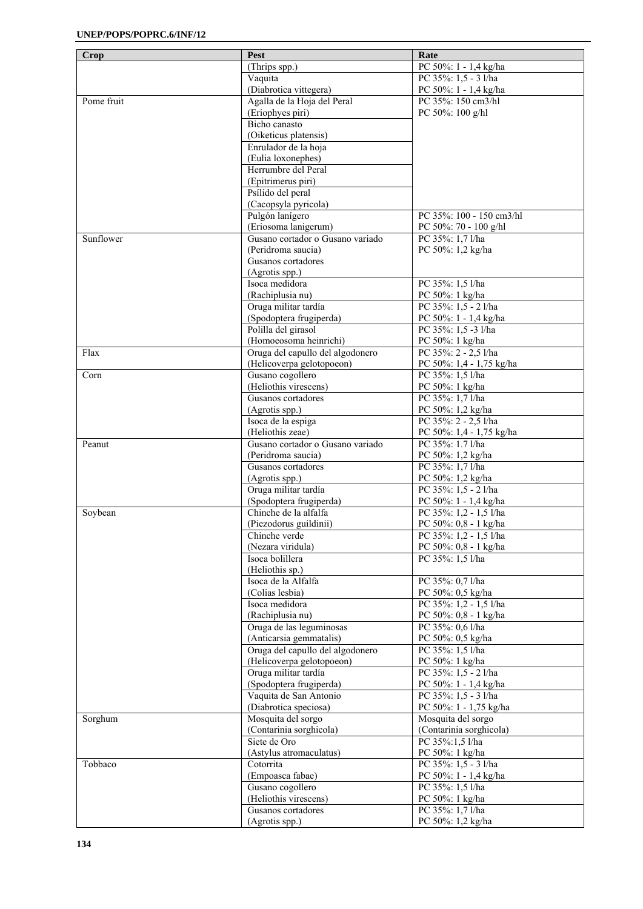| <b>Crop</b> | Pest                                             | Rate                     |
|-------------|--------------------------------------------------|--------------------------|
|             | $(Thrips$ spp.)                                  | PC 50%: 1 - 1,4 kg/ha    |
|             | Vaquita                                          | PC 35%: 1,5 - 3 l/ha     |
|             | (Diabrotica vittegera)                           | PC 50%: 1 - 1,4 kg/ha    |
| Pome fruit  | Agalla de la Hoja del Peral                      | PC 35%: 150 cm3/hl       |
|             | (Eriophyes piri)                                 |                          |
|             |                                                  | PC 50%: 100 g/hl         |
|             | Bicho canasto                                    |                          |
|             | (Oiketicus platensis)                            |                          |
|             | Enrulador de la hoja                             |                          |
|             | (Eulia loxonephes)                               |                          |
|             | Herrumbre del Peral                              |                          |
|             | (Epitrimerus piri)                               |                          |
|             | Psílido del peral                                |                          |
|             | (Cacopsyla pyricola)                             |                          |
|             | Pulgón lanígero                                  | PC 35%: 100 - 150 cm3/hl |
|             | (Eriosoma lanigerum)                             | PC 50%: 70 - 100 g/hl    |
| Sunflower   | Gusano cortador o Gusano variado                 | PC 35%: 1,7 l/ha         |
|             | (Peridroma saucia)                               | PC 50%: 1,2 kg/ha        |
|             | Gusanos cortadores                               |                          |
|             | (Agrotis spp.)                                   |                          |
|             | Isoca medidora                                   | PC 35%: 1,5 l/ha         |
|             | (Rachiplusia nu)                                 | PC 50%: 1 kg/ha          |
|             | Oruga militar tardía                             | PC 35%: 1.5 - 2 l/ha     |
|             | (Spodoptera frugiperda)                          | PC 50%: 1 - 1,4 kg/ha    |
|             | Polilla del girasol                              | PC 35%: 1,5 -3 l/ha      |
|             | (Homoeosoma heinrichi)                           | PC 50%: 1 kg/ha          |
| Flax        | Oruga del capullo del algodonero                 | PC 35%: 2 - 2,5 l/ha     |
|             | (Helicoverpa gelotopoeon)                        | PC 50%: 1,4 - 1,75 kg/ha |
| Corn        | Gusano cogollero                                 | PC 35%: 1,5 l/ha         |
|             | (Heliothis virescens)                            | PC 50%: 1 kg/ha          |
|             | Gusanos cortadores                               | PC 35%: 1,7 l/ha         |
|             | (Agrotis spp.)                                   | PC 50%: 1,2 kg/ha        |
|             | Isoca de la espiga                               | PC 35%: 2 - 2,5 l/ha     |
|             | (Heliothis zeae)                                 | PC 50%: 1,4 - 1,75 kg/ha |
| Peanut      | Gusano cortador o Gusano variado                 | PC 35%: 1.7 l/ha         |
|             | (Peridroma saucia)                               |                          |
|             | Gusanos cortadores                               | PC 50%: 1,2 kg/ha        |
|             |                                                  | PC 35%: 1,7 l/ha         |
|             | (Agrotis spp.)                                   | PC 50%: 1,2 kg/ha        |
|             | Oruga militar tardía                             | PC 35%: 1,5 - 21/ha      |
|             | (Spodoptera frugiperda)<br>Chinche de la alfalfa | PC 50%: 1 - 1,4 kg/ha    |
| Soybean     |                                                  | PC 35%: 1,2 - 1,5 l/ha   |
|             | (Piezodorus guildinii)                           | PC 50%: 0,8 - 1 kg/ha    |
|             | Chinche verde                                    | PC 35%: 1,2 - 1,5 l/ha   |
|             | (Nezara viridula)                                | PC 50%: 0,8 - 1 kg/ha    |
|             | Isoca bolillera                                  | PC 35%: 1,5 l/ha         |
|             | (Heliothis sp.)                                  |                          |
|             | Isoca de la Alfalfa                              | PC 35%: 0.7 l/ha         |
|             | (Colias lesbia)                                  | PC 50%: 0,5 kg/ha        |
|             | Isoca medidora                                   | PC 35%: 1,2 - 1,5 l/ha   |
|             | (Rachiplusia nu)                                 | PC 50%: 0,8 - 1 kg/ha    |
|             | Oruga de las leguminosas                         | PC 35%: 0,6 l/ha         |
|             | (Anticarsia gemmatalis)                          | PC 50%: 0,5 kg/ha        |
|             | Oruga del capullo del algodonero                 | PC 35%: 1,5 l/ha         |
|             | (Helicoverpa gelotopoeon)                        | PC 50%: 1 kg/ha          |
|             | Oruga militar tardía                             | PC 35%: 1,5 - 2 l/ha     |
|             | (Spodoptera frugiperda)                          | PC 50%: 1 - 1,4 kg/ha    |
|             | Vaquita de San Antonio                           | PC 35%: 1,5 - 3 l/ha     |
|             | (Diabrotica speciosa)                            | PC 50%: 1 - 1,75 kg/ha   |
| Sorghum     | Mosquita del sorgo                               | Mosquita del sorgo       |
|             | (Contarinia sorghicola)                          | (Contarinia sorghicola)  |
|             | Siete de Oro                                     | PC 35%:1,5 l/ha          |
|             | (Astylus atromaculatus)                          | PC 50%: 1 kg/ha          |
| Tobbaco     | Cotorrita                                        | PC 35%: 1,5 - 3 l/ha     |
|             | (Empoasca fabae)                                 | PC 50%: 1 - 1,4 kg/ha    |
|             | Gusano cogollero                                 | PC 35%: 1,5 l/ha         |
|             | (Heliothis virescens)                            | PC 50%: 1 kg/ha          |
|             | Gusanos cortadores                               | PC 35%: 1,7 l/ha         |
|             | (Agrotis spp.)                                   | PC 50%: 1,2 kg/ha        |
|             |                                                  |                          |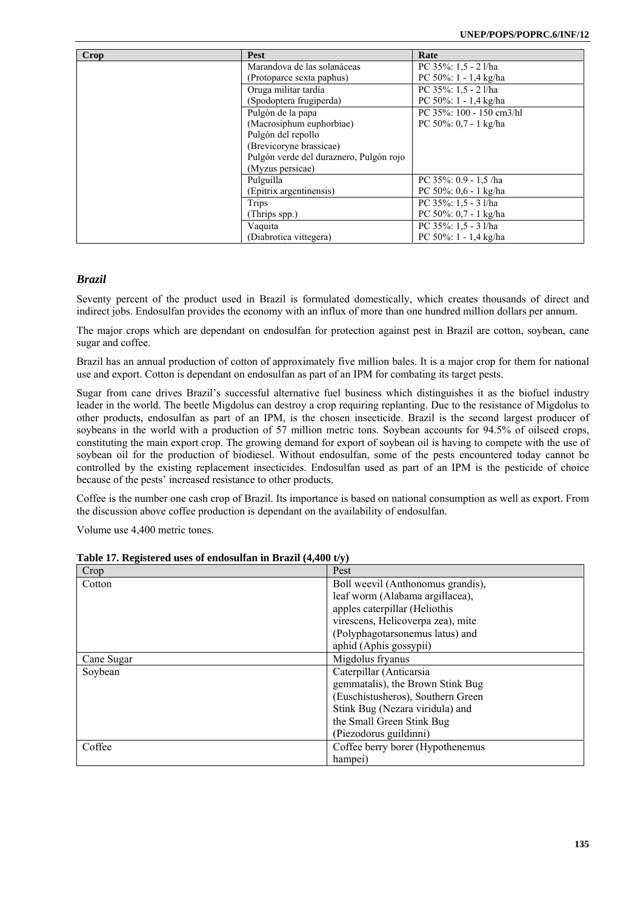| Crop | <b>Pest</b>                             | Rate                      |
|------|-----------------------------------------|---------------------------|
|      | Marandova de las solanáceas             | PC 35%: 1.5 - 2 l/ha      |
|      | (Protoparce sexta paphus)               | PC 50%: $1 - 1.4$ kg/ha   |
|      | Oruga militar tardía                    | PC 35%: 1,5 - 2 l/ha      |
|      | (Spodoptera frugiperda)                 | PC $50\%$ : 1 - 1,4 kg/ha |
|      | Pulgón de la papa                       | PC 35%: 100 - 150 cm3/hl  |
|      | (Macrosiphum euphorbiae)                | PC 50%: $0.7 - 1$ kg/ha   |
|      | Pulgón del repollo                      |                           |
|      | (Brevicoryne brassicae)                 |                           |
|      | Pulgón verde del duraznero, Pulgón rojo |                           |
|      | (Myzus persicae)                        |                           |
|      | Pulguilla                               | PC 35%: 0.9 - 1.5 /ha     |
|      | (Epitrix argentinensis)                 | PC 50%: $0.6 - 1$ kg/ha   |
|      | Trips                                   | PC 35%: 1,5 - 3 l/ha      |
|      | (Thrips spp.)                           | PC 50%: $0.7 - 1$ kg/ha   |
|      | Vaquita                                 | PC 35%: 1,5 - 3 l/ha      |
|      | (Diabrotica vittegera)                  | PC $50\%$ : 1 - 1.4 kg/ha |

## *Brazil*

Seventy percent of the product used in Brazil is formulated domestically, which creates thousands of direct and indirect jobs. Endosulfan provides the economy with an influx of more than one hundred million dollars per annum.

The major crops which are dependant on endosulfan for protection against pest in Brazil are cotton, soybean, cane sugar and coffee.

Brazil has an annual production of cotton of approximately five million bales. It is a major crop for them for national use and export. Cotton is dependant on endosulfan as part of an IPM for combating its target pests.

Sugar from cane drives Brazil's successful alternative fuel business which distinguishes it as the biofuel industry leader in the world. The beetle Migdolus can destroy a crop requiring replanting. Due to the resistance of Migdolus to other products, endosulfan as part of an IPM, is the chosen insecticide. Brazil is the second largest producer of soybeans in the world with a production of 57 million metric tons. Soybean accounts for 94.5% of oilseed crops, constituting the main export crop. The growing demand for export of soybean oil is having to compete with the use of soybean oil for the production of biodiesel. Without endosulfan, some of the pests encountered today cannot be controlled by the existing replacement insecticides. Endosulfan used as part of an IPM is the pesticide of choice because of the pests' increased resistance to other products.

Coffee is the number one cash crop of Brazil. Its importance is based on national consumption as well as export. From the discussion above coffee production is dependant on the availability of endosulfan.

Volume use 4,400 metric tones.

| Crop       | Pest                              |
|------------|-----------------------------------|
| Cotton     | Boll weevil (Anthonomus grandis), |
|            | leaf worm (Alabama argillacea),   |
|            | apples caterpillar (Heliothis     |
|            | virescens, Helicoverpa zea), mite |
|            | (Polyphagotarsonemus latus) and   |
|            | aphid (Aphis gossypii)            |
| Cane Sugar | Migdolus fryanus                  |
| Soybean    | Caterpillar (Anticarsia           |
|            | gemmatalis), the Brown Stink Bug  |
|            | (Euschistusheros), Southern Green |
|            | Stink Bug (Nezara viridula) and   |
|            | the Small Green Stink Bug         |
|            | (Piezodorus guildinni)            |
| Coffee     | Coffee berry borer (Hypothenemus  |
|            | hampei)                           |

| Table 17. Registered uses of endosulfan in Brazil (4,400 t/y) |  |  |  |  |
|---------------------------------------------------------------|--|--|--|--|
|---------------------------------------------------------------|--|--|--|--|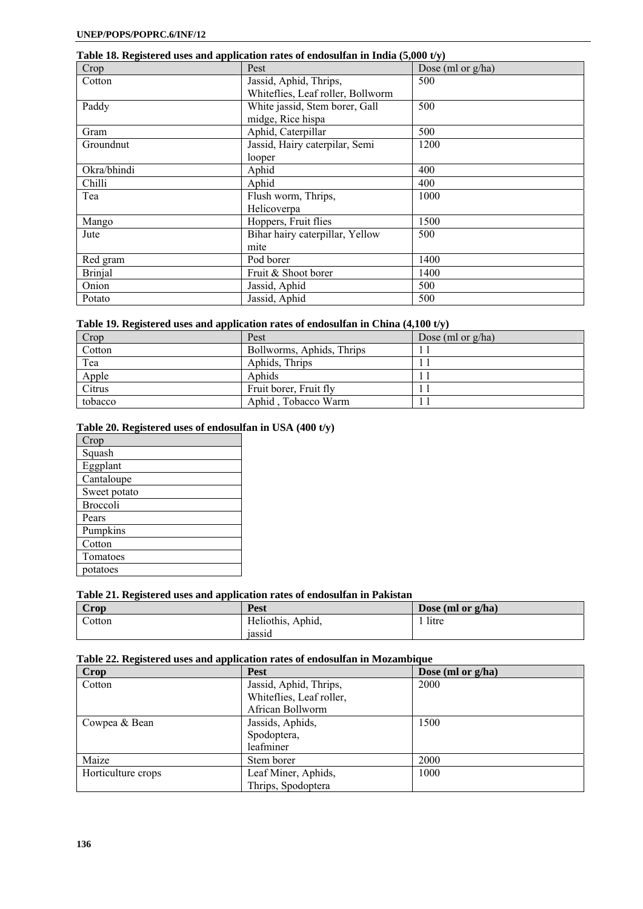## **Table 18. Registered uses and application rates of endosulfan in India (5,000 t/y)**

| Crop           | Pest                              | Dose (ml or g/ha) |
|----------------|-----------------------------------|-------------------|
| Cotton         | Jassid, Aphid, Thrips,            | 500               |
|                | Whiteflies, Leaf roller, Bollworm |                   |
| Paddy          | White jassid, Stem borer, Gall    | 500               |
|                | midge, Rice hispa                 |                   |
| Gram           | Aphid, Caterpillar                | 500               |
| Groundnut      | Jassid, Hairy caterpilar, Semi    | 1200              |
|                | looper                            |                   |
| Okra/bhindi    | Aphid                             | 400               |
| Chilli         | Aphid                             | 400               |
| Tea            | Flush worm, Thrips,               | 1000              |
|                | Helicoverpa                       |                   |
| Mango          | Hoppers, Fruit flies              | 1500              |
| Jute           | Bihar hairy caterpillar, Yellow   | 500               |
|                | mite                              |                   |
| Red gram       | Pod borer                         | 1400              |
| <b>Brinjal</b> | Fruit & Shoot borer               | 1400              |
| Onion          | Jassid, Aphid                     | 500               |
| Potato         | Jassid, Aphid                     | 500               |

## **Table 19. Registered uses and application rates of endosulfan in China (4,100 t/y)**

| Crop    | Pest                      | Dose (ml or $g/ha$ ) |
|---------|---------------------------|----------------------|
| Cotton  | Bollworms, Aphids, Thrips |                      |
| Tea     | Aphids, Thrips            |                      |
| Apple   | Aphids                    |                      |
| Citrus  | Fruit borer, Fruit fly    |                      |
| tobacco | Aphid . Tobacco Warm      |                      |

## **Table 20. Registered uses of endosulfan in USA (400 t/y)**

| Crop            |
|-----------------|
| Squash          |
| Eggplant        |
| Cantaloupe      |
| Sweet potato    |
| <b>Broccoli</b> |
| Pears           |
| Pumpkins        |
| Cotton          |
| Tomatoes        |
| potatoes        |

## **Table 21. Registered uses and application rates of endosulfan in Pakistan**

| Crop   | Pest              | Dose (ml or $g/ha$ ) |
|--------|-------------------|----------------------|
| Cotton | Heliothis, Aphid, | litre                |
|        | 1assid            |                      |

## **Table 22. Registered uses and application rates of endosulfan in Mozambique**

| Crop               | <b>Pest</b>              | Dose (ml or g/ha) |
|--------------------|--------------------------|-------------------|
| Cotton             | Jassid, Aphid, Thrips,   | 2000              |
|                    | Whiteflies, Leaf roller, |                   |
|                    | African Bollworm         |                   |
| Cowpea & Bean      | Jassids, Aphids,         | 1500              |
|                    | Spodoptera,              |                   |
|                    | leafminer                |                   |
| Maize              | Stem borer               | 2000              |
| Horticulture crops | Leaf Miner, Aphids,      | 1000              |
|                    | Thrips, Spodoptera       |                   |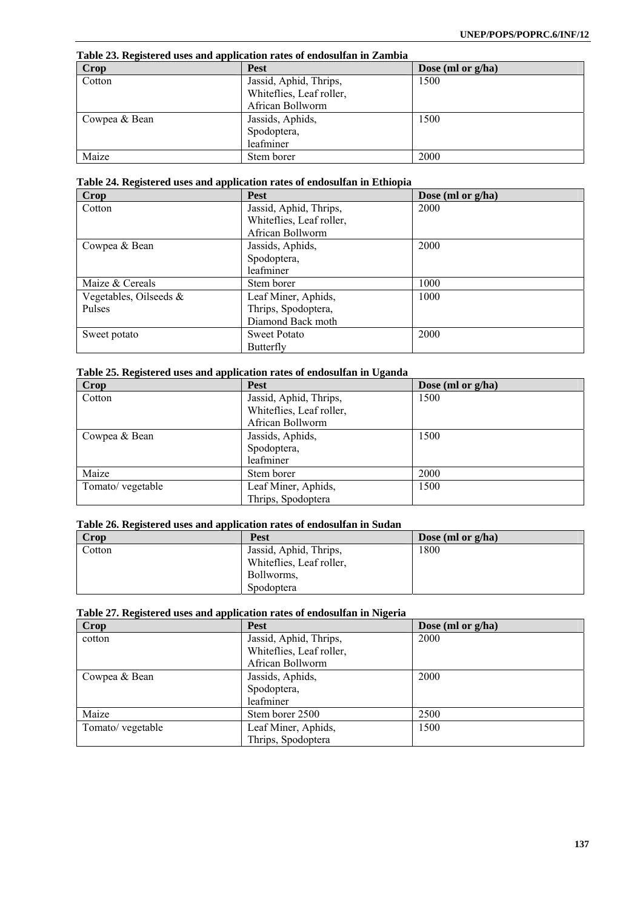**Table 23. Registered uses and application rates of endosulfan in Zambia** 

| Crop          | <b>Pest</b>              | Dose (ml or $g/ha$ ) |
|---------------|--------------------------|----------------------|
| Cotton        | Jassid, Aphid, Thrips,   | 1500                 |
|               | Whiteflies, Leaf roller, |                      |
|               | African Bollworm         |                      |
| Cowpea & Bean | Jassids, Aphids,         | 1500                 |
|               | Spodoptera,              |                      |
|               | leafminer                |                      |
| Maize         | Stem borer               | 2000                 |

## **Table 24. Registered uses and application rates of endosulfan in Ethiopia**

| -<br>. .<br><b>Crop</b> | Pest                     | Dose (ml or $g/ha$ ) |
|-------------------------|--------------------------|----------------------|
| Cotton                  | Jassid, Aphid, Thrips,   | 2000                 |
|                         | Whiteflies, Leaf roller, |                      |
|                         | African Bollworm         |                      |
| Cowpea & Bean           | Jassids, Aphids,         | 2000                 |
|                         | Spodoptera,              |                      |
|                         | leafminer                |                      |
| Maize & Cereals         | Stem borer               | 1000                 |
| Vegetables, Oilseeds &  | Leaf Miner, Aphids,      | 1000                 |
| Pulses                  | Thrips, Spodoptera,      |                      |
|                         | Diamond Back moth        |                      |
| Sweet potato            | <b>Sweet Potato</b>      | 2000                 |
|                         | Butterfly                |                      |

## **Table 25. Registered uses and application rates of endosulfan in Uganda**

| Crop              | Pest                     | Dose (ml or g/ha) |
|-------------------|--------------------------|-------------------|
| Cotton            | Jassid, Aphid, Thrips,   | 1500              |
|                   | Whiteflies, Leaf roller, |                   |
|                   | African Bollworm         |                   |
| Cowpea & Bean     | Jassids, Aphids,         | 1500              |
|                   | Spodoptera,              |                   |
|                   | leafminer                |                   |
| Maize             | Stem borer               | 2000              |
| Tomato/ vegetable | Leaf Miner, Aphids,      | 1500              |
|                   | Thrips, Spodoptera       |                   |

### **Table 26. Registered uses and application rates of endosulfan in Sudan**

| Crop   | Pest                     | Dose (ml or $g/ha$ ) |
|--------|--------------------------|----------------------|
| Cotton | Jassid, Aphid, Thrips,   | 1800                 |
|        | Whiteflies, Leaf roller, |                      |
|        | Bollworms,               |                      |
|        | Spodoptera               |                      |

## **Table 27. Registered uses and application rates of endosulfan in Nigeria**

| <b>Crop</b>       | <b>Pest</b>              | Dose (ml or g/ha) |
|-------------------|--------------------------|-------------------|
| cotton            | Jassid, Aphid, Thrips,   | 2000              |
|                   | Whiteflies, Leaf roller, |                   |
|                   | African Bollworm         |                   |
| Cowpea & Bean     | Jassids, Aphids,         | 2000              |
|                   | Spodoptera,              |                   |
|                   | leafminer                |                   |
| Maize             | Stem borer 2500          | 2500              |
| Tomato/ vegetable | Leaf Miner, Aphids,      | 1500              |
|                   | Thrips, Spodoptera       |                   |